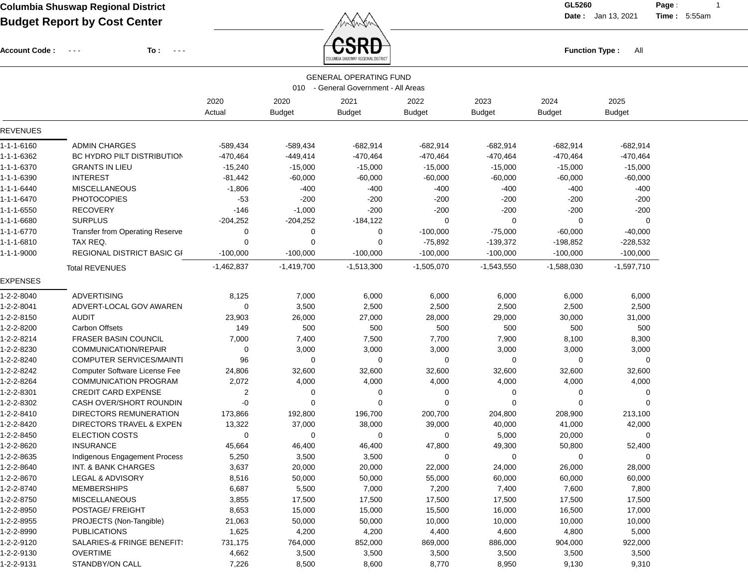Account Code : ---

**To :**

 $\textcolor{red}{\textbf{CSRD}}$  . The set of  $\textcolor{red}{\textbf{Function Type:}}$  and  $\textcolor{red}{\textbf{Function Type:}}$ 

**Date :** Jan 13, 2021 **Time :**

**Page :** 1 5:55am

|                 |                                      |                |                       | <b>GENERAL OPERATING FUND</b><br>010 - General Government - All Areas |                       |                       |                       |                       |  |
|-----------------|--------------------------------------|----------------|-----------------------|-----------------------------------------------------------------------|-----------------------|-----------------------|-----------------------|-----------------------|--|
|                 |                                      | 2020<br>Actual | 2020<br><b>Budget</b> | 2021<br><b>Budget</b>                                                 | 2022<br><b>Budget</b> | 2023<br><b>Budget</b> | 2024<br><b>Budget</b> | 2025<br><b>Budget</b> |  |
| <b>REVENUES</b> |                                      |                |                       |                                                                       |                       |                       |                       |                       |  |
| 1-1-1-6160      | <b>ADMIN CHARGES</b>                 | $-589,434$     | $-589,434$            | $-682,914$                                                            | $-682,914$            | -682,914              | $-682,914$            | $-682,914$            |  |
| 1-1-1-6362      | <b>BC HYDRO PILT DISTRIBUTION</b>    | $-470,464$     | $-449,414$            | $-470,464$                                                            | $-470,464$            | $-470,464$            | $-470,464$            | $-470,464$            |  |
| 1-1-1-6370      | <b>GRANTS IN LIEU</b>                | $-15,240$      | $-15,000$             | $-15,000$                                                             | $-15,000$             | $-15,000$             | $-15,000$             | $-15,000$             |  |
| 1-1-1-6390      | <b>INTEREST</b>                      | $-81,442$      | $-60,000$             | $-60,000$                                                             | $-60,000$             | $-60,000$             | $-60,000$             | $-60,000$             |  |
| 1-1-1-6440      | <b>MISCELLANEOUS</b>                 | $-1,806$       | $-400$                | $-400$                                                                | $-400$                | $-400$                | $-400$                | $-400$                |  |
| 1-1-1-6470      | <b>PHOTOCOPIES</b>                   | $-53$          | $-200$                | $-200$                                                                | $-200$                | $-200$                | $-200$                | $-200$                |  |
| 1-1-1-6550      | <b>RECOVERY</b>                      | $-146$         | $-1,000$              | $-200$                                                                | $-200$                | $-200$                | $-200$                | $-200$                |  |
| 1-1-1-6680      | <b>SURPLUS</b>                       | $-204,252$     | $-204,252$            | $-184,122$                                                            | $\Omega$              | 0                     | 0                     | 0                     |  |
| 1-1-1-6770      | Transfer from Operating Reserve      | 0              | 0                     | 0                                                                     | $-100,000$            | $-75,000$             | $-60,000$             | $-40,000$             |  |
| 1-1-1-6810      | TAX REQ.                             | 0              | 0                     | 0                                                                     | $-75,892$             | $-139,372$            | -198,852              | $-228,532$            |  |
| 1-1-1-9000      | <b>REGIONAL DISTRICT BASIC GI</b>    | $-100,000$     | $-100,000$            | $-100,000$                                                            | $-100,000$            | $-100,000$            | $-100,000$            | $-100,000$            |  |
|                 | <b>Total REVENUES</b>                | $-1,462,837$   | $-1,419,700$          | $-1,513,300$                                                          | $-1,505,070$          | $-1,543,550$          | $-1,588,030$          | $-1,597,710$          |  |
| <b>EXPENSES</b> |                                      |                |                       |                                                                       |                       |                       |                       |                       |  |
| 1-2-2-8040      | <b>ADVERTISING</b>                   | 8,125          | 7,000                 | 6,000                                                                 | 6,000                 | 6,000                 | 6,000                 | 6,000                 |  |
| 1-2-2-8041      | ADVERT-LOCAL GOV AWAREN              | 0              | 3,500                 | 2,500                                                                 | 2,500                 | 2,500                 | 2,500                 | 2,500                 |  |
| 1-2-2-8150      | AUDIT                                | 23,903         | 26,000                | 27,000                                                                | 28,000                | 29,000                | 30,000                | 31,000                |  |
| 1-2-2-8200      | <b>Carbon Offsets</b>                | 149            | 500                   | 500                                                                   | 500                   | 500                   | 500                   | 500                   |  |
| 1-2-2-8214      | <b>FRASER BASIN COUNCIL</b>          | 7,000          | 7,400                 | 7,500                                                                 | 7,700                 | 7,900                 | 8,100                 | 8,300                 |  |
| 1-2-2-8230      | COMMUNICATION/REPAIR                 | 0              | 3,000                 | 3,000                                                                 | 3,000                 | 3,000                 | 3,000                 | 3,000                 |  |
| 1-2-2-8240      | <b>COMPUTER SERVICES/MAINTI</b>      | 96             | 0                     | 0                                                                     | 0                     | 0                     | 0                     | 0                     |  |
| 1-2-2-8242      | <b>Computer Software License Fee</b> | 24,806         | 32,600                | 32,600                                                                | 32,600                | 32,600                | 32,600                | 32,600                |  |
| 1-2-2-8264      | <b>COMMUNICATION PROGRAM</b>         | 2,072          | 4,000                 | 4,000                                                                 | 4,000                 | 4,000                 | 4,000                 | 4,000                 |  |
| 1-2-2-8301      | <b>CREDIT CARD EXPENSE</b>           | 2              | 0                     | 0                                                                     | 0                     | 0                     | 0                     | 0                     |  |
| 1-2-2-8302      | CASH OVER/SHORT ROUNDIN              | -0             | 0                     | 0                                                                     | $\Omega$              | 0                     | 0                     | $\Omega$              |  |
| 1-2-2-8410      | DIRECTORS REMUNERATION               | 173,866        | 192,800               | 196,700                                                               | 200,700               | 204,800               | 208,900               | 213,100               |  |
| 1-2-2-8420      | DIRECTORS TRAVEL & EXPEN             | 13,322         | 37,000                | 38,000                                                                | 39,000                | 40,000                | 41,000                | 42,000                |  |
| 1-2-2-8450      | <b>ELECTION COSTS</b>                | 0              | 0                     | 0                                                                     | 0                     | 5,000                 | 20,000                | 0                     |  |
| 1-2-2-8620      | <b>INSURANCE</b>                     | 45,664         | 46,400                | 46,400                                                                | 47,800                | 49,300                | 50,800                | 52,400                |  |
| 1-2-2-8635      | Indigenous Engagement Process        | 5,250          | 3,500                 | 3,500                                                                 | 0                     | 0                     | 0                     | 0                     |  |
| 1-2-2-8640      | <b>INT. &amp; BANK CHARGES</b>       | 3,637          | 20,000                | 20,000                                                                | 22,000                | 24,000                | 26,000                | 28,000                |  |
| 1-2-2-8670      | <b>LEGAL &amp; ADVISORY</b>          | 8,516          | 50,000                | 50,000                                                                | 55,000                | 60,000                | 60,000                | 60,000                |  |
| 1-2-2-8740      | MEMBERSHIPS                          | 6,687          | 5,500                 | 7,000                                                                 | 7,200                 | 7,400                 | 7,600                 | 7,800                 |  |
| 1-2-2-8750      | <b>MISCELLANEOUS</b>                 | 3,855          | 17,500                | 17,500                                                                | 17,500                | 17,500                | 17,500                | 17,500                |  |
| 1-2-2-8950      | POSTAGE/ FREIGHT                     | 8,653          | 15,000                | 15,000                                                                | 15,500                | 16,000                | 16,500                | 17,000                |  |
| 1-2-2-8955      | PROJECTS (Non-Tangible)              | 21,063         | 50,000                | 50,000                                                                | 10,000                | 10,000                | 10,000                | 10,000                |  |
| 1-2-2-8990      | <b>PUBLICATIONS</b>                  | 1,625          | 4,200                 | 4,200                                                                 | 4,400                 | 4,600                 | 4,800                 | 5,000                 |  |
| 1-2-2-9120      | SALARIES-& FRINGE BENEFIT:           | 731,175        | 764,000               | 852,000                                                               | 869,000               | 886,000               | 904,000               | 922,000               |  |
| 1-2-2-9130      | <b>OVERTIME</b>                      | 4,662          | 3,500                 | 3,500                                                                 | 3,500                 | 3,500                 | 3,500                 | 3,500                 |  |
| 1-2-2-9131      | STANDBY/ON CALL                      | 7,226          | 8,500                 | 8,600                                                                 | 8,770                 | 8,950                 | 9,130                 | 9,310                 |  |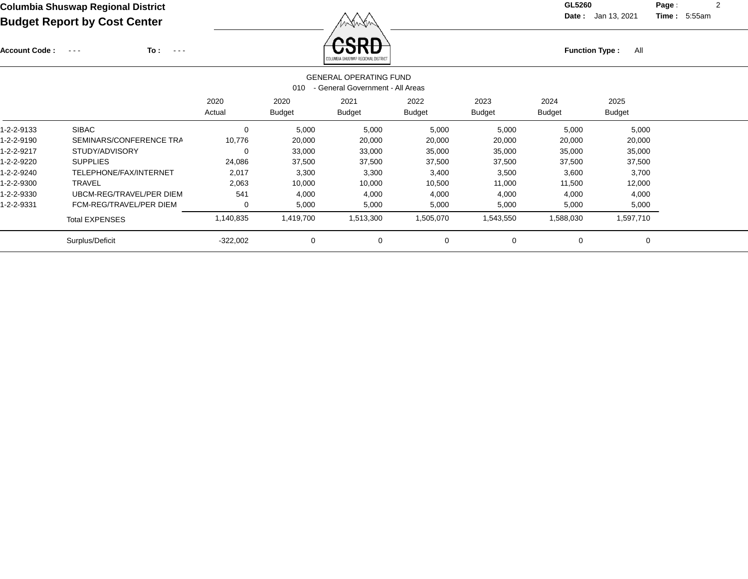Account Code : ---

**To :**

Function Type : All<br>
COLUMBIA SHUSWAP REGIONAL DISTRICT

**Date :** Jan 13, 2021 **Time :**

**Page :** 2 5:55am

|            |                          |                | 010                   | <b>GENERAL OPERATING FUND</b><br>- General Government - All Areas |                       |                       |                       |                       |
|------------|--------------------------|----------------|-----------------------|-------------------------------------------------------------------|-----------------------|-----------------------|-----------------------|-----------------------|
|            |                          | 2020<br>Actual | 2020<br><b>Budget</b> | 2021<br><b>Budget</b>                                             | 2022<br><b>Budget</b> | 2023<br><b>Budget</b> | 2024<br><b>Budget</b> | 2025<br><b>Budget</b> |
| 1-2-2-9133 | <b>SIBAC</b>             | 0              | 5,000                 | 5,000                                                             | 5,000                 | 5,000                 | 5,000                 | 5,000                 |
| 1-2-2-9190 | SEMINARS/CONFERENCE TRA  | 10,776         | 20,000                | 20,000                                                            | 20,000                | 20,000                | 20,000                | 20,000                |
| 1-2-2-9217 | STUDY/ADVISORY           | 0              | 33,000                | 33,000                                                            | 35,000                | 35,000                | 35,000                | 35,000                |
| 1-2-2-9220 | <b>SUPPLIES</b>          | 24,086         | 37,500                | 37,500                                                            | 37,500                | 37,500                | 37,500                | 37,500                |
| 1-2-2-9240 | TELEPHONE/FAX/INTERNET   | 2,017          | 3,300                 | 3,300                                                             | 3,400                 | 3,500                 | 3,600                 | 3,700                 |
| 1-2-2-9300 | <b>TRAVEL</b>            | 2,063          | 10,000                | 10,000                                                            | 10,500                | 11,000                | 11,500                | 12,000                |
| 1-2-2-9330 | UBCM-REG/TRAVEL/PER DIEM | 541            | 4,000                 | 4,000                                                             | 4,000                 | 4,000                 | 4,000                 | 4,000                 |
| 1-2-2-9331 | FCM-REG/TRAVEL/PER DIEM  | 0              | 5,000                 | 5,000                                                             | 5,000                 | 5,000                 | 5,000                 | 5,000                 |
|            | <b>Total EXPENSES</b>    | 1,140,835      | 1,419,700             | 1,513,300                                                         | 1,505,070             | 1,543,550             | 1,588,030             | 1,597,710             |
|            | Surplus/Deficit          | $-322,002$     | $\mathbf 0$           | 0                                                                 | $\mathbf 0$           | $\mathbf 0$           | $\mathbf 0$           | 0                     |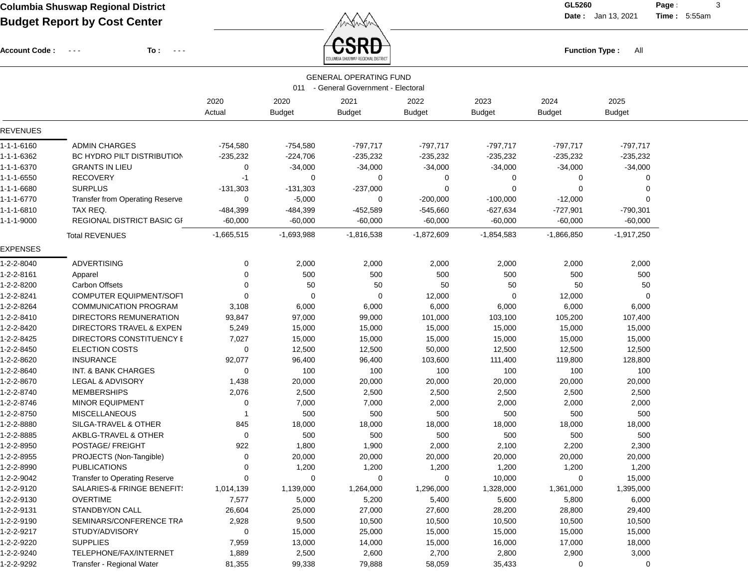Account Code : ---

**To :**

 $F_{\text{unction Type: All}}$ 

**Date :** Jan 13, 2021 **Time :**

**Page :** 3 5:55am

|                 |                                        |                |                       | <b>GENERAL OPERATING FUND</b><br>011 - General Government - Electoral |                       |                       |                       |                       |  |
|-----------------|----------------------------------------|----------------|-----------------------|-----------------------------------------------------------------------|-----------------------|-----------------------|-----------------------|-----------------------|--|
|                 |                                        | 2020<br>Actual | 2020<br><b>Budget</b> | 2021<br><b>Budget</b>                                                 | 2022<br><b>Budget</b> | 2023<br><b>Budget</b> | 2024<br><b>Budget</b> | 2025<br><b>Budget</b> |  |
| <b>REVENUES</b> |                                        |                |                       |                                                                       |                       |                       |                       |                       |  |
| 1-1-1-6160      | <b>ADMIN CHARGES</b>                   | $-754,580$     | $-754,580$            | $-797,717$                                                            | $-797,717$            | $-797,717$            | $-797,717$            | $-797,717$            |  |
| 1-1-1-6362      | BC HYDRO PILT DISTRIBUTION             | $-235,232$     | $-224,706$            | $-235,232$                                                            | $-235,232$            | $-235,232$            | $-235,232$            | $-235,232$            |  |
| 1-1-1-6370      | <b>GRANTS IN LIEU</b>                  | 0              | $-34,000$             | $-34,000$                                                             | $-34,000$             | $-34,000$             | $-34,000$             | $-34,000$             |  |
| 1-1-1-6550      | <b>RECOVERY</b>                        | -1             | 0                     | 0                                                                     | 0                     | 0                     | 0                     | 0                     |  |
| 1-1-1-6680      | <b>SURPLUS</b>                         | $-131,303$     | $-131,303$            | $-237,000$                                                            | 0                     | 0                     | $\Omega$              | $\mathbf 0$           |  |
| 1-1-1-6770      | <b>Transfer from Operating Reserve</b> | 0              | $-5,000$              | 0                                                                     | $-200,000$            | $-100,000$            | $-12,000$             | $\Omega$              |  |
| 1-1-1-6810      | TAX REQ.                               | -484,399       | -484,399              | $-452,589$                                                            | -545,660              | $-627,634$            | $-727,901$            | $-790,301$            |  |
| 1-1-1-9000      | REGIONAL DISTRICT BASIC GI             | $-60,000$      | $-60,000$             | $-60,000$                                                             | $-60,000$             | $-60,000$             | $-60,000$             | $-60,000$             |  |
|                 | <b>Total REVENUES</b>                  | $-1,665,515$   | $-1,693,988$          | $-1,816,538$                                                          | $-1,872,609$          | $-1,854,583$          | $-1,866,850$          | $-1,917,250$          |  |
| <b>EXPENSES</b> |                                        |                |                       |                                                                       |                       |                       |                       |                       |  |
| 1-2-2-8040      | <b>ADVERTISING</b>                     | 0              | 2,000                 | 2,000                                                                 | 2,000                 | 2,000                 | 2,000                 | 2,000                 |  |
| 1-2-2-8161      | Apparel                                | 0              | 500                   | 500                                                                   | 500                   | 500                   | 500                   | 500                   |  |
| 1-2-2-8200      | <b>Carbon Offsets</b>                  | 0              | 50                    | 50                                                                    | 50                    | 50                    | 50                    | 50                    |  |
| 1-2-2-8241      | <b>COMPUTER EQUIPMENT/SOFT</b>         | $\Omega$       | $\mathbf 0$           | $\Omega$                                                              | 12,000                | 0                     | 12,000                | $\mathbf 0$           |  |
| 1-2-2-8264      | <b>COMMUNICATION PROGRAM</b>           | 3,108          | 6,000                 | 6,000                                                                 | 6,000                 | 6,000                 | 6,000                 | 6,000                 |  |
| 1-2-2-8410      | DIRECTORS REMUNERATION                 | 93,847         | 97,000                | 99,000                                                                | 101,000               | 103,100               | 105,200               | 107,400               |  |
| 1-2-2-8420      | DIRECTORS TRAVEL & EXPEN               | 5,249          | 15,000                | 15,000                                                                | 15,000                | 15,000                | 15,000                | 15,000                |  |
| 1-2-2-8425      | DIRECTORS CONSTITUENCY E               | 7,027          | 15,000                | 15,000                                                                | 15,000                | 15,000                | 15,000                | 15,000                |  |
| 1-2-2-8450      | <b>ELECTION COSTS</b>                  | 0              | 12,500                | 12,500                                                                | 50,000                | 12,500                | 12,500                | 12,500                |  |
| 1-2-2-8620      | <b>INSURANCE</b>                       | 92,077         | 96,400                | 96,400                                                                | 103,600               | 111,400               | 119,800               | 128,800               |  |
| 1-2-2-8640      | INT. & BANK CHARGES                    | 0              | 100                   | 100                                                                   | 100                   | 100                   | 100                   | 100                   |  |
| 1-2-2-8670      | LEGAL & ADVISORY                       | 1,438          | 20,000                | 20,000                                                                | 20,000                | 20,000                | 20,000                | 20,000                |  |
| 1-2-2-8740      | <b>MEMBERSHIPS</b>                     | 2,076          | 2,500                 | 2,500                                                                 | 2,500                 | 2,500                 | 2,500                 | 2,500                 |  |
| 1-2-2-8746      | <b>MINOR EQUIPMENT</b>                 | 0              | 7,000                 | 7,000                                                                 | 2,000                 | 2,000                 | 2,000                 | 2,000                 |  |
| 1-2-2-8750      | <b>MISCELLANEOUS</b>                   | -1             | 500                   | 500                                                                   | 500                   | 500                   | 500                   | 500                   |  |
| 1-2-2-8880      | SILGA-TRAVEL & OTHER                   | 845            | 18,000                | 18,000                                                                | 18,000                | 18,000                | 18,000                | 18,000                |  |
| 1-2-2-8885      | AKBLG-TRAVEL & OTHER                   | 0              | 500                   | 500                                                                   | 500                   | 500                   | 500                   | 500                   |  |
| 1-2-2-8950      | POSTAGE/ FREIGHT                       | 922            | 1,800                 | 1,900                                                                 | 2,000                 | 2,100                 | 2,200                 | 2,300                 |  |
| 1-2-2-8955      | PROJECTS (Non-Tangible)                | 0              | 20,000                | 20,000                                                                | 20,000                | 20,000                | 20,000                | 20,000                |  |
| 1-2-2-8990      | <b>PUBLICATIONS</b>                    | 0              | 1,200                 | 1,200                                                                 | 1,200                 | 1,200                 | 1,200                 | 1,200                 |  |
| 1-2-2-9042      | Transfer to Operating Reserve          | 0              | 0                     | 0                                                                     | 0                     | 10,000                | 0                     | 15,000                |  |
| 1-2-2-9120      | SALARIES-& FRINGE BENEFIT!             | 1,014,139      | 1,139,000             | 1,264,000                                                             | 1,296,000             | 1,328,000             | 1,361,000             | 1,395,000             |  |
| 1-2-2-9130      | <b>OVERTIME</b>                        | 7,577          | 5,000                 | 5,200                                                                 | 5,400                 | 5,600                 | 5,800                 | 6,000                 |  |
| 1-2-2-9131      | STANDBY/ON CALL                        | 26,604         | 25,000                | 27,000                                                                | 27,600                | 28,200                | 28,800                | 29,400                |  |
| 1-2-2-9190      | SEMINARS/CONFERENCE TRA                | 2,928          | 9,500                 | 10,500                                                                | 10,500                | 10,500                | 10,500                | 10,500                |  |
| 1-2-2-9217      | STUDY/ADVISORY                         | 0              | 15,000                | 25,000                                                                | 15,000                | 15,000                | 15,000                | 15,000                |  |
| 1-2-2-9220      | <b>SUPPLIES</b>                        | 7,959          | 13,000                | 14,000                                                                | 15,000                | 16,000                | 17,000                | 18,000                |  |
| 1-2-2-9240      | TELEPHONE/FAX/INTERNET                 | 1,889          | 2,500                 | 2,600                                                                 | 2,700                 | 2,800                 | 2,900                 | 3,000                 |  |
| 1-2-2-9292      | Transfer - Regional Water              | 81,355         | 99,338                | 79,888                                                                | 58,059                | 35,433                | 0                     | 0                     |  |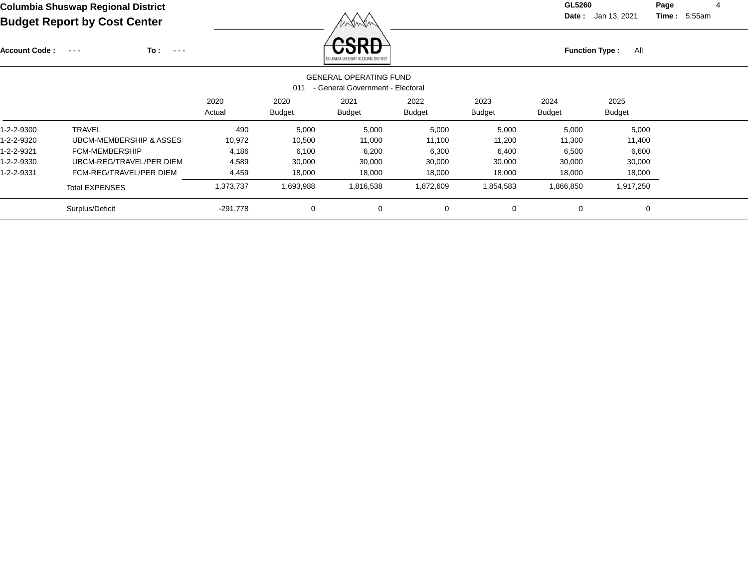Account Code : ---

**To :**

**Function Type :** All

**Date :** Jan 13, 2021 **Time :**

**Page :** 4 5:55am

|            |                                    |                |                       | COLUMBIA SHUSWAP REGIONAL DISTRICT                                |                       |                       |                       |                       |  |
|------------|------------------------------------|----------------|-----------------------|-------------------------------------------------------------------|-----------------------|-----------------------|-----------------------|-----------------------|--|
|            |                                    |                | 011                   | <b>GENERAL OPERATING FUND</b><br>- General Government - Electoral |                       |                       |                       |                       |  |
|            |                                    | 2020<br>Actual | 2020<br><b>Budget</b> | 2021<br><b>Budget</b>                                             | 2022<br><b>Budget</b> | 2023<br><b>Budget</b> | 2024<br><b>Budget</b> | 2025<br><b>Budget</b> |  |
| 1-2-2-9300 | <b>TRAVEL</b>                      | 490            | 5,000                 | 5,000                                                             | 5,000                 | 5,000                 | 5,000                 | 5,000                 |  |
| 1-2-2-9320 | <b>UBCM-MEMBERSHIP &amp; ASSES</b> | 10,972         | 10,500                | 11,000                                                            | 11,100                | 11,200                | 11,300                | 11,400                |  |
| 1-2-2-9321 | FCM-MEMBERSHIP                     | 4,186          | 6,100                 | 6,200                                                             | 6,300                 | 6,400                 | 6,500                 | 6,600                 |  |
| 1-2-2-9330 | UBCM-REG/TRAVEL/PER DIEM           | 4,589          | 30,000                | 30,000                                                            | 30,000                | 30,000                | 30,000                | 30,000                |  |
| 1-2-2-9331 | FCM-REG/TRAVEL/PER DIEM            | 4,459          | 18,000                | 18,000                                                            | 18,000                | 18,000                | 18,000                | 18,000                |  |
|            | <b>Total EXPENSES</b>              | 1,373,737      | 1,693,988             | 1,816,538                                                         | 1,872,609             | 1,854,583             | 1,866,850             | 1,917,250             |  |
|            | Surplus/Deficit                    | $-291,778$     | $\mathbf 0$           | 0                                                                 | 0                     | $\mathbf 0$           | 0                     | 0                     |  |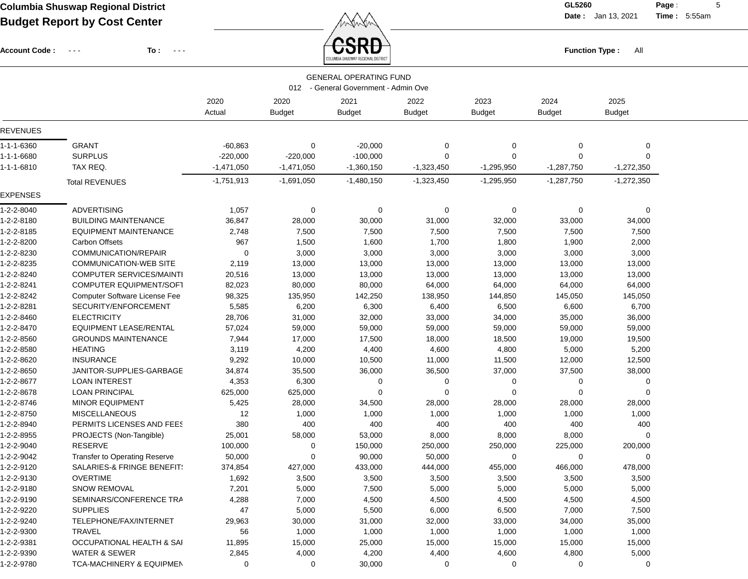Account Code : ---

**To :**

 $\textbf{CSRD}\Big\}$ 

**Date :** Jan 13, 2021 **Time :**

**Page :** 5 5:55am

|                 |                                      |              |               | <b>GENERAL OPERATING FUND</b>        |               |                |               |                |  |
|-----------------|--------------------------------------|--------------|---------------|--------------------------------------|---------------|----------------|---------------|----------------|--|
|                 |                                      |              |               | 012 - General Government - Admin Ove |               |                |               |                |  |
|                 |                                      | 2020         | 2020          | 2021                                 | 2022          | 2023           | 2024          | 2025           |  |
|                 |                                      | Actual       | <b>Budget</b> | <b>Budget</b>                        | <b>Budget</b> | <b>Budget</b>  | <b>Budget</b> | <b>Budget</b>  |  |
| <b>REVENUES</b> |                                      |              |               |                                      |               |                |               |                |  |
| 1-1-1-6360      | <b>GRANT</b>                         | $-60,863$    | 0             | $-20,000$                            | 0             | $\mathbf 0$    | $\mathbf 0$   | $\mathbf 0$    |  |
| 1-1-1-6680      | <b>SURPLUS</b>                       | $-220,000$   | $-220,000$    | $-100,000$                           | $\Omega$      | $\mathbf 0$    | 0             | $\Omega$       |  |
| 1-1-1-6810      | TAX REQ.                             | $-1,471,050$ | $-1,471,050$  | $-1,360,150$                         | $-1,323,450$  | $-1,295,950$   | $-1,287,750$  | $-1,272,350$   |  |
|                 | <b>Total REVENUES</b>                | $-1,751,913$ | $-1,691,050$  | $-1,480,150$                         | $-1,323,450$  | $-1,295,950$   | $-1,287,750$  | $-1,272,350$   |  |
| <b>EXPENSES</b> |                                      |              |               |                                      |               |                |               |                |  |
| 1-2-2-8040      | <b>ADVERTISING</b>                   | 1,057        | 0             | 0                                    | 0             | 0              | 0             | 0              |  |
| 1-2-2-8180      | <b>BUILDING MAINTENANCE</b>          | 36,847       | 28,000        | 30,000                               | 31,000        | 32,000         | 33,000        | 34,000         |  |
| 1-2-2-8185      | <b>EQUIPMENT MAINTENANCE</b>         | 2,748        | 7,500         | 7,500                                | 7,500         | 7,500          | 7,500         | 7,500          |  |
| 1-2-2-8200      | <b>Carbon Offsets</b>                | 967          | 1,500         | 1,600                                | 1,700         | 1,800          | 1,900         | 2,000          |  |
| 1-2-2-8230      | COMMUNICATION/REPAIR                 | $\mathbf 0$  | 3,000         | 3,000                                | 3,000         | 3,000          | 3,000         | 3,000          |  |
| 1-2-2-8235      | <b>COMMUNICATION-WEB SITE</b>        | 2,119        | 13,000        | 13,000                               | 13,000        | 13,000         | 13,000        | 13,000         |  |
| 1-2-2-8240      | <b>COMPUTER SERVICES/MAINTI</b>      | 20,516       | 13,000        | 13,000                               | 13,000        | 13,000         | 13,000        | 13,000         |  |
| 1-2-2-8241      | <b>COMPUTER EQUIPMENT/SOFT</b>       | 82,023       | 80,000        | 80,000                               | 64,000        | 64,000         | 64,000        | 64,000         |  |
| 1-2-2-8242      | Computer Software License Fee        | 98,325       | 135,950       | 142,250                              | 138,950       | 144,850        | 145,050       | 145,050        |  |
| 1-2-2-8281      | SECURITY/ENFORCEMENT                 | 5,585        | 6,200         | 6,300                                | 6,400         | 6,500          | 6,600         | 6,700          |  |
| 1-2-2-8460      | <b>ELECTRICITY</b>                   | 28,706       | 31,000        | 32,000                               | 33,000        | 34,000         | 35,000        | 36,000         |  |
| 1-2-2-8470      | <b>EQUIPMENT LEASE/RENTAL</b>        | 57,024       | 59,000        | 59,000                               | 59,000        | 59,000         | 59,000        | 59,000         |  |
| 1-2-2-8560      | <b>GROUNDS MAINTENANCE</b>           | 7,944        | 17,000        | 17,500                               | 18,000        | 18,500         | 19,000        | 19,500         |  |
| 1-2-2-8580      | <b>HEATING</b>                       | 3,119        | 4,200         | 4,400                                | 4,600         | 4,800          | 5,000         | 5,200          |  |
| 1-2-2-8620      | <b>INSURANCE</b>                     | 9,292        | 10,000        | 10,500                               | 11,000        | 11,500         | 12,000        | 12,500         |  |
| 1-2-2-8650      | JANITOR-SUPPLIES-GARBAGE             | 34,874       | 35,500        | 36,000                               | 36,500        | 37,000         | 37,500        | 38,000         |  |
| 1-2-2-8677      | <b>LOAN INTEREST</b>                 | 4,353        | 6,300         | 0                                    | 0             | 0              | 0             | $\overline{0}$ |  |
| 1-2-2-8678      | <b>LOAN PRINCIPAL</b>                | 625,000      | 625,000       | $\Omega$                             | $\Omega$      | $\Omega$       | $\mathbf 0$   | $\Omega$       |  |
| 1-2-2-8746      | <b>MINOR EQUIPMENT</b>               | 5,425        | 28,000        | 34,500                               | 28,000        | 28,000         | 28,000        | 28,000         |  |
| 1-2-2-8750      | <b>MISCELLANEOUS</b>                 | 12           | 1,000         | 1,000                                | 1,000         | 1,000          | 1,000         | 1,000          |  |
| 1-2-2-8940      | PERMITS LICENSES AND FEES            | 380          | 400           | 400                                  | 400           | 400            | 400           | 400            |  |
| 1-2-2-8955      | PROJECTS (Non-Tangible)              | 25,001       | 58,000        | 53,000                               | 8,000         | 8,000          | 8,000         | $\overline{0}$ |  |
| 1-2-2-9040      | RESERVE                              | 100,000      | 0             | 150,000                              | 250,000       | 250,000        | 225,000       | 200,000        |  |
| 1-2-2-9042      | <b>Transfer to Operating Reserve</b> | 50,000       | $\Omega$      | 90,000                               | 50,000        | $\overline{0}$ | 0             | 0              |  |
| 1-2-2-9120      | SALARIES-& FRINGE BENEFIT!           | 374,854      | 427,000       | 433,000                              | 444,000       | 455,000        | 466,000       | 478,000        |  |
| 1-2-2-9130      | <b>OVERTIME</b>                      | 1,692        | 3,500         | 3,500                                | 3,500         | 3,500          | 3,500         | 3,500          |  |
| 1-2-2-9180      | <b>SNOW REMOVAL</b>                  | 7,201        | 5,000         | 7,500                                | 5,000         | 5,000          | 5,000         | 5,000          |  |
| 1-2-2-9190      | SEMINARS/CONFERENCE TRA              | 4,288        | 7,000         | 4,500                                | 4,500         | 4,500          | 4,500         | 4,500          |  |
| 1-2-2-9220      | <b>SUPPLIES</b>                      | 47           | 5,000         | 5,500                                | 6,000         | 6,500          | 7,000         | 7,500          |  |
| 1-2-2-9240      | TELEPHONE/FAX/INTERNET               | 29,963       | 30,000        | 31,000                               | 32,000        | 33,000         | 34,000        | 35,000         |  |
| 1-2-2-9300      | TRAVEL                               | 56           | 1,000         | 1,000                                | 1,000         | 1,000          | 1,000         | 1,000          |  |
| 1-2-2-9381      | OCCUPATIONAL HEALTH & SAI            | 11,895       | 15,000        | 25,000                               | 15,000        | 15,000         | 15,000        | 15,000         |  |
| 1-2-2-9390      | <b>WATER &amp; SEWER</b>             | 2,845        | 4,000         | 4,200                                | 4,400         | 4,600          | 4,800         | 5,000          |  |
| 1-2-2-9780      | TCA-MACHINERY & EQUIPMEN             | 0            | 0             | 30,000                               | 0             | 0              | 0             | 0              |  |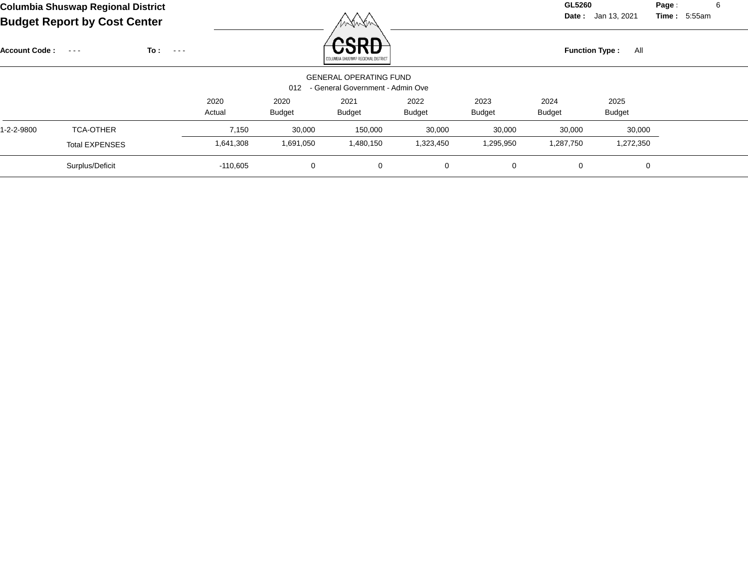**Date :** Jan 13, 2021 **Time :**

**Page :** 6 5:55am

|                      |                       |                             |                |                       | 1 1 1 1 1 1 1 1                                                   |                |                       |                       |                       |  |
|----------------------|-----------------------|-----------------------------|----------------|-----------------------|-------------------------------------------------------------------|----------------|-----------------------|-----------------------|-----------------------|--|
| <b>Account Code:</b> | $\sim$ $\sim$ $\sim$  | To:<br>$\sim$ $\sim$ $\sim$ |                |                       | renn<br>COLUMBIA SHUSWAP REGIONAL DISTRICT                        |                |                       | <b>Function Type:</b> | All                   |  |
|                      |                       |                             |                | 012                   | <b>GENERAL OPERATING FUND</b><br>- General Government - Admin Ove |                |                       |                       |                       |  |
|                      |                       |                             | 2020<br>Actual | 2020<br><b>Budget</b> | 2021<br><b>Budget</b>                                             | 2022<br>Budget | 2023<br><b>Budget</b> | 2024<br><b>Budget</b> | 2025<br><b>Budget</b> |  |
| 1-2-2-9800           | <b>TCA-OTHER</b>      |                             | 7,150          | 30,000                | 150,000                                                           | 30,000         | 30,000                | 30,000                | 30,000                |  |
|                      | <b>Total EXPENSES</b> |                             | 1,641,308      | 1,691,050             | 1,480,150                                                         | 1,323,450      | 1,295,950             | 1,287,750             | 1,272,350             |  |
|                      | Surplus/Deficit       |                             | $-110,605$     | 0                     | 0                                                                 | $\mathbf{0}$   | $\mathbf 0$           | 0                     | 0                     |  |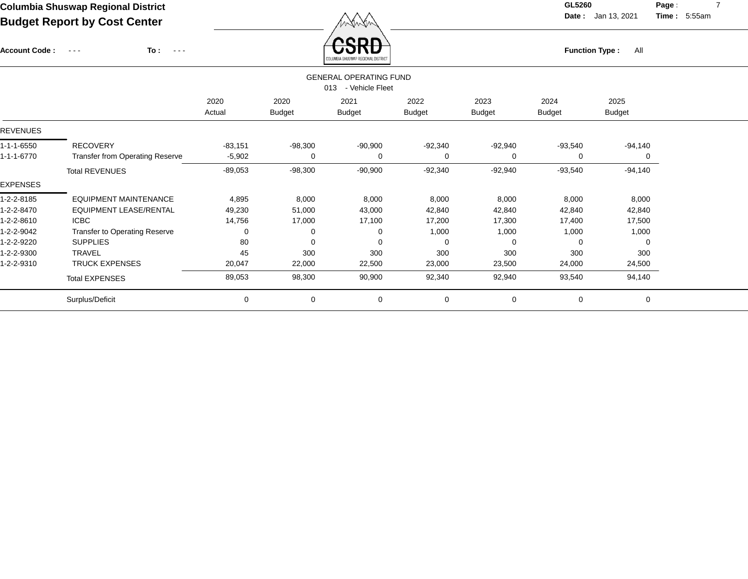**Date :** Jan 13, 2021 **Time :**

**Page :** 7 5:55am

| Baagot Roport by Obot Sonton                                                 |                           |                           | wwww                                 |                           |                                                      |                           |                           |                       |
|------------------------------------------------------------------------------|---------------------------|---------------------------|--------------------------------------|---------------------------|------------------------------------------------------|---------------------------|---------------------------|-----------------------|
| To:<br>$\sim$ $\sim$ $\sim$<br>$\sim$ $\sim$ $\sim$                          |                           |                           | QD.<br>OLUMBIA SHUSWAP REGIONAL DIS' |                           |                                                      |                           | All                       |                       |
|                                                                              |                           |                           |                                      |                           |                                                      |                           |                           |                       |
|                                                                              | 2020<br>Actual            | 2020<br><b>Budget</b>     | 2021<br><b>Budget</b>                | 2022<br><b>Budget</b>     | 2023<br><b>Budget</b>                                | 2024<br><b>Budget</b>     | 2025<br><b>Budget</b>     |                       |
|                                                                              |                           |                           |                                      |                           |                                                      |                           |                           |                       |
| <b>RECOVERY</b><br><b>Transfer from Operating Reserve</b>                    | $-83,151$<br>$-5,902$     | $-98,300$<br>0            | $-90,900$<br>0                       | $-92,340$<br>0            | $-92,940$<br>0                                       | $-93,540$<br>0            | $-94,140$<br>0            |                       |
| <b>Total REVENUES</b>                                                        | $-89,053$                 | $-98,300$                 | $-90,900$                            | $-92,340$                 | $-92,940$                                            | $-93,540$                 | $-94,140$                 |                       |
|                                                                              |                           |                           |                                      |                           |                                                      |                           |                           |                       |
| <b>EQUIPMENT MAINTENANCE</b><br><b>EQUIPMENT LEASE/RENTAL</b><br><b>ICBC</b> | 4,895<br>49,230<br>14,756 | 8,000<br>51,000<br>17,000 | 8,000<br>43,000<br>17,100            | 8,000<br>42,840<br>17,200 | 8,000<br>42,840<br>17,300                            | 8,000<br>42,840<br>17,400 | 8,000<br>42,840<br>17,500 |                       |
| Transfer to Operating Reserve                                                | 0                         | 0                         | 0                                    | 1,000                     | 1,000                                                | 1,000                     | 1,000                     |                       |
| <b>SUPPLIES</b>                                                              | 80                        | 0                         | 0                                    | 0                         | 0                                                    | 0                         | 0                         |                       |
| <b>TRAVEL</b>                                                                | 45                        | 300                       | 300                                  | 300                       | 300                                                  | 300                       | 300                       |                       |
| <b>TRUCK EXPENSES</b>                                                        | 20,047                    | 22,000                    | 22,500                               | 23,000                    | 23,500                                               | 24,000                    | 24,500                    |                       |
| <b>Total EXPENSES</b>                                                        | 89,053                    | 98,300                    | 90,900                               | 92,340                    | 92,940                                               | 93,540                    | 94,140                    |                       |
| Surplus/Deficit                                                              | 0                         | 0                         | 0                                    | $\mathbf 0$               | 0                                                    | $\mathbf 0$               | 0                         |                       |
|                                                                              | <b>Account Code:</b>      |                           |                                      |                           | <b>GENERAL OPERATING FUND</b><br>013 - Vehicle Fleet |                           |                           | <b>Function Type:</b> |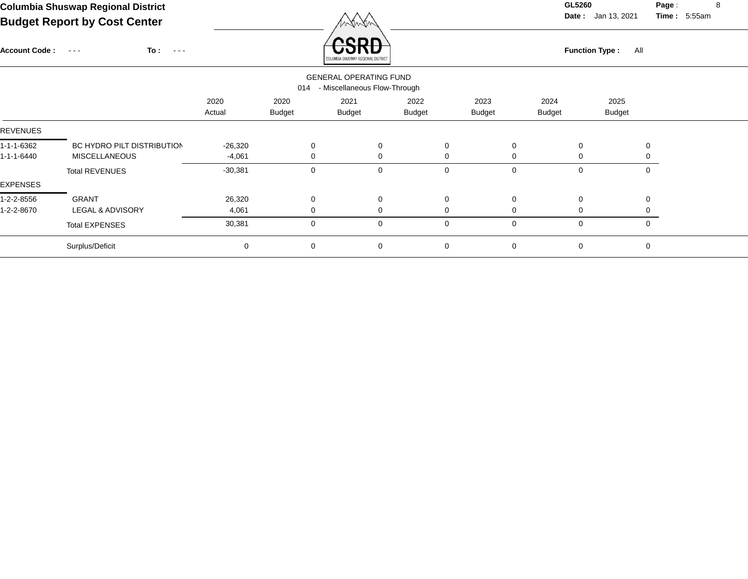**Date :** Jan 13, 2021 **Time : Page :** 8 5:55am

| <b>Account Code:</b> | $To: ---$<br>$\sim$ $\sim$ $\sim$ |                |                       | .<br>ים א<br>MBIA SHUSWAP REGIONAL DISTRIC<br><b>GENERAL OPERATING FUND</b> |                       |                       |                       | <b>Function Type:</b><br>All |  |
|----------------------|-----------------------------------|----------------|-----------------------|-----------------------------------------------------------------------------|-----------------------|-----------------------|-----------------------|------------------------------|--|
|                      |                                   |                | 014                   | - Miscellaneous Flow-Through                                                |                       |                       |                       |                              |  |
|                      |                                   | 2020<br>Actual | 2020<br><b>Budget</b> | 2021<br><b>Budget</b>                                                       | 2022<br><b>Budget</b> | 2023<br><b>Budget</b> | 2024<br><b>Budget</b> | 2025<br><b>Budget</b>        |  |
| <b>REVENUES</b>      |                                   |                |                       |                                                                             |                       |                       |                       |                              |  |
| 1-1-1-6362           | BC HYDRO PILT DISTRIBUTION        | $-26,320$      | $\mathbf 0$           | 0                                                                           | $\mathbf 0$           | $\mathbf 0$           | $\mathbf 0$           | $\Omega$                     |  |
| 1-1-1-6440           | <b>MISCELLANEOUS</b>              | $-4,061$       | 0                     | 0                                                                           | 0                     | 0                     | $\Omega$              |                              |  |
|                      | <b>Total REVENUES</b>             | $-30,381$      | 0                     | 0                                                                           | $\mathbf 0$           | $\mathbf 0$           | $\mathbf 0$           | 0                            |  |
| EXPENSES             |                                   |                |                       |                                                                             |                       |                       |                       |                              |  |
| 1-2-2-8556           | <b>GRANT</b>                      | 26,320         | $\mathbf 0$           | 0                                                                           | $\mathbf 0$           | $\mathbf 0$           | 0                     | $\Omega$                     |  |
| 1-2-2-8670           | LEGAL & ADVISORY                  | 4,061          | 0                     | 0                                                                           | $\mathbf 0$           | 0                     | $\Omega$              |                              |  |
|                      | <b>Total EXPENSES</b>             | 30,381         | 0                     | 0                                                                           | $\mathbf 0$           | $\mathbf 0$           | $\mathbf 0$           | 0                            |  |
|                      | Surplus/Deficit                   | $\pmb{0}$      | $\mathbf 0$           | 0                                                                           | $\mathbf 0$           | $\mathbf 0$           | 0                     | $\mathbf 0$                  |  |
|                      |                                   |                |                       |                                                                             |                       |                       |                       |                              |  |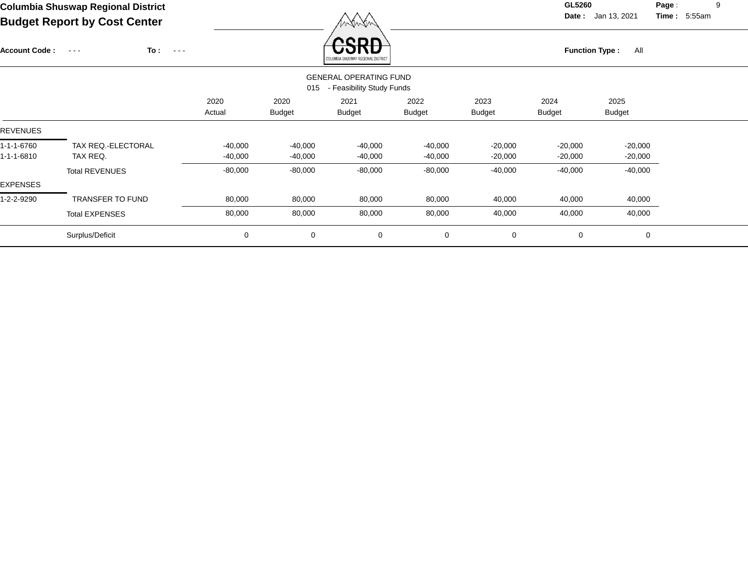XW

**Date :** Jan 13, 2021 **Time :**

**Page :** 9 5:55am

| <b>Account Code:</b> | To:<br>$\sim$ $\sim$ $\sim$<br>$\sim$ $\sim$ $\sim$ |           |               | nenn<br>OLUMBIA SHUSWAP REGIONAL DISTRICT                  |               |               | <b>Function Type:</b> | All           |  |
|----------------------|-----------------------------------------------------|-----------|---------------|------------------------------------------------------------|---------------|---------------|-----------------------|---------------|--|
|                      |                                                     |           | 015           | <b>GENERAL OPERATING FUND</b><br>- Feasibility Study Funds |               |               |                       |               |  |
|                      |                                                     | 2020      | 2020          | 2021                                                       | 2022          | 2023          | 2024                  | 2025          |  |
|                      |                                                     | Actual    | <b>Budget</b> | <b>Budget</b>                                              | <b>Budget</b> | <b>Budget</b> | <b>Budget</b>         | <b>Budget</b> |  |
| <b>REVENUES</b>      |                                                     |           |               |                                                            |               |               |                       |               |  |
| 1-1-1-6760           | TAX REQ.-ELECTORAL                                  | $-40,000$ | $-40,000$     | $-40,000$                                                  | $-40,000$     | $-20,000$     | $-20,000$             | $-20,000$     |  |
| 1-1-1-6810           | TAX REQ.                                            | $-40,000$ | $-40,000$     | $-40,000$                                                  | $-40,000$     | $-20,000$     | $-20,000$             | $-20,000$     |  |
|                      | <b>Total REVENUES</b>                               | $-80,000$ | $-80,000$     | $-80,000$                                                  | $-80,000$     | $-40,000$     | $-40,000$             | $-40,000$     |  |
| <b>EXPENSES</b>      |                                                     |           |               |                                                            |               |               |                       |               |  |
| 1-2-2-9290           | <b>TRANSFER TO FUND</b>                             | 80,000    | 80,000        | 80,000                                                     | 80,000        | 40,000        | 40,000                | 40,000        |  |
|                      | <b>Total EXPENSES</b>                               | 80,000    | 80,000        | 80,000                                                     | 80,000        | 40,000        | 40,000                | 40,000        |  |
|                      | Surplus/Deficit                                     | 0         | 0             | 0                                                          | 0             | 0             | 0                     | 0             |  |
|                      |                                                     |           |               |                                                            |               |               |                       |               |  |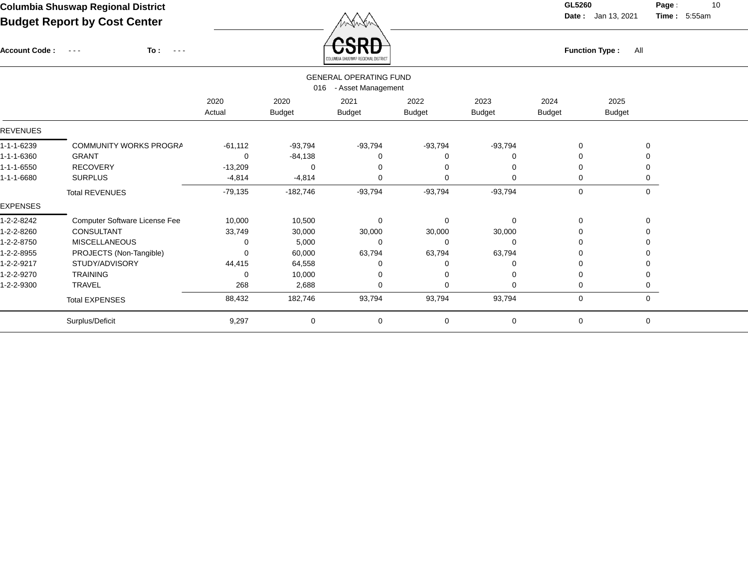Account Code : ---

**To :**

**Function Type :** All

**Date :** Jan 13, 2021 **Time :**

**Page :** 10 5:55am

|                 |                               |                |                       | COLUMBIA SHUSWAP REGIONAL DISTRICT                  |                       |                       |                       |                       |  |
|-----------------|-------------------------------|----------------|-----------------------|-----------------------------------------------------|-----------------------|-----------------------|-----------------------|-----------------------|--|
|                 |                               |                | 016                   | <b>GENERAL OPERATING FUND</b><br>- Asset Management |                       |                       |                       |                       |  |
|                 |                               | 2020<br>Actual | 2020<br><b>Budget</b> | 2021<br><b>Budget</b>                               | 2022<br><b>Budget</b> | 2023<br><b>Budget</b> | 2024<br><b>Budget</b> | 2025<br><b>Budget</b> |  |
| <b>REVENUES</b> |                               |                |                       |                                                     |                       |                       |                       |                       |  |
| 1-1-1-6239      | COMMUNITY WORKS PROGRA        | $-61,112$      | $-93,794$             | $-93,794$                                           | $-93,794$             | $-93,794$             | 0                     | 0                     |  |
| 1-1-1-6360      | <b>GRANT</b>                  | 0              | $-84,138$             |                                                     | $\Omega$              | 0                     | 0                     |                       |  |
| 1-1-1-6550      | <b>RECOVERY</b>               | $-13,209$      | 0                     |                                                     | 0                     | $\Omega$              | $\Omega$              | $\Omega$              |  |
| 1-1-1-6680      | <b>SURPLUS</b>                | $-4,814$       | $-4,814$              | $\Omega$                                            | 0                     | $\Omega$              | 0                     | $\Omega$              |  |
|                 | <b>Total REVENUES</b>         | $-79,135$      | $-182,746$            | $-93,794$                                           | $-93,794$             | $-93,794$             | 0                     | $\mathbf 0$           |  |
| <b>EXPENSES</b> |                               |                |                       |                                                     |                       |                       |                       |                       |  |
| 1-2-2-8242      | Computer Software License Fee | 10,000         | 10,500                | $\Omega$                                            | 0                     | 0                     | 0                     | $\mathbf 0$           |  |
| 1-2-2-8260      | CONSULTANT                    | 33,749         | 30,000                | 30,000                                              | 30,000                | 30,000                | 0                     |                       |  |
| 1-2-2-8750      | <b>MISCELLANEOUS</b>          | 0              | 5,000                 | $\Omega$                                            | 0                     | 0                     | 0                     | $\Omega$              |  |
| 1-2-2-8955      | PROJECTS (Non-Tangible)       |                | 60,000                | 63,794                                              | 63,794                | 63,794                | 0                     |                       |  |
| 1-2-2-9217      | STUDY/ADVISORY                | 44,415         | 64,558                |                                                     | $\Omega$              | 0                     | 0                     |                       |  |
| 1-2-2-9270      | <b>TRAINING</b>               | 0              | 10,000                |                                                     | 0                     | $\Omega$              | 0                     |                       |  |
| 1-2-2-9300      | TRAVEL                        | 268            | 2,688                 | $\Omega$                                            | $\Omega$              | $\Omega$              | 0                     | ∩                     |  |
|                 | <b>Total EXPENSES</b>         | 88,432         | 182,746               | 93,794                                              | 93,794                | 93,794                | 0                     | $\mathbf 0$           |  |
|                 | Surplus/Deficit               | 9,297          | $\mathbf 0$           | 0                                                   | 0                     | 0                     | 0                     | $\mathbf 0$           |  |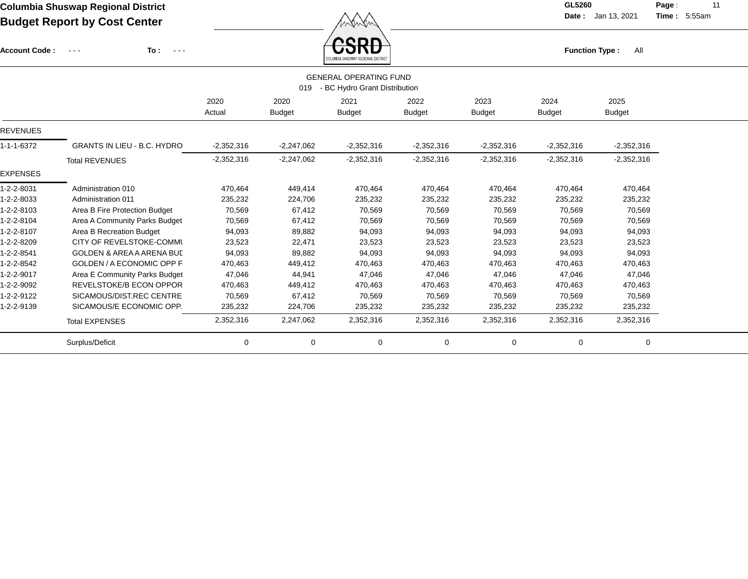**Function Type :** All

**Date :** Jan 13, 2021 **Time :**

**Page :** 11 5:55am

| <b>Account Code:</b> | To:<br>$\frac{1}{2} \left( \frac{1}{2} \right) \frac{1}{2} \left( \frac{1}{2} \right) \frac{1}{2} \left( \frac{1}{2} \right) \frac{1}{2} \left( \frac{1}{2} \right) \frac{1}{2} \left( \frac{1}{2} \right) \frac{1}{2} \left( \frac{1}{2} \right) \frac{1}{2} \left( \frac{1}{2} \right) \frac{1}{2} \left( \frac{1}{2} \right) \frac{1}{2} \left( \frac{1}{2} \right) \frac{1}{2} \left( \frac{1}{2} \right) \frac{1}{2} \left( \frac{1}{2} \right)$<br>$\sim$ $\sim$ $\sim$ |                |                       | ᠸ᠋ᢒᡰᢉᠣ<br>UMBIA SHUSWAP REGIONAL DISTRICT                      |                       |                       | <b>Function Type:</b> | All                   |  |
|----------------------|-------------------------------------------------------------------------------------------------------------------------------------------------------------------------------------------------------------------------------------------------------------------------------------------------------------------------------------------------------------------------------------------------------------------------------------------------------------------------------|----------------|-----------------------|----------------------------------------------------------------|-----------------------|-----------------------|-----------------------|-----------------------|--|
|                      |                                                                                                                                                                                                                                                                                                                                                                                                                                                                               |                | 019                   | <b>GENERAL OPERATING FUND</b><br>- BC Hydro Grant Distribution |                       |                       |                       |                       |  |
|                      |                                                                                                                                                                                                                                                                                                                                                                                                                                                                               | 2020<br>Actual | 2020<br><b>Budget</b> | 2021<br><b>Budget</b>                                          | 2022<br><b>Budget</b> | 2023<br><b>Budget</b> | 2024<br><b>Budget</b> | 2025<br><b>Budget</b> |  |
| <b>REVENUES</b>      |                                                                                                                                                                                                                                                                                                                                                                                                                                                                               |                |                       |                                                                |                       |                       |                       |                       |  |
| 1-1-1-6372           | <b>GRANTS IN LIEU - B.C. HYDRO</b>                                                                                                                                                                                                                                                                                                                                                                                                                                            | $-2,352,316$   | $-2,247,062$          | $-2,352,316$                                                   | $-2,352,316$          | $-2,352,316$          | $-2,352,316$          | $-2,352,316$          |  |
|                      | <b>Total REVENUES</b>                                                                                                                                                                                                                                                                                                                                                                                                                                                         | $-2,352,316$   | $-2,247,062$          | $-2,352,316$                                                   | $-2,352,316$          | $-2,352,316$          | $-2,352,316$          | $-2,352,316$          |  |
| <b>EXPENSES</b>      |                                                                                                                                                                                                                                                                                                                                                                                                                                                                               |                |                       |                                                                |                       |                       |                       |                       |  |
| 1-2-2-8031           | Administration 010                                                                                                                                                                                                                                                                                                                                                                                                                                                            | 470,464        | 449,414               | 470,464                                                        | 470,464               | 470,464               | 470,464               | 470,464               |  |
| 1-2-2-8033           | Administration 011                                                                                                                                                                                                                                                                                                                                                                                                                                                            | 235,232        | 224,706               | 235,232                                                        | 235,232               | 235,232               | 235,232               | 235,232               |  |
| 1-2-2-8103           | Area B Fire Protection Budget                                                                                                                                                                                                                                                                                                                                                                                                                                                 | 70,569         | 67,412                | 70,569                                                         | 70,569                | 70,569                | 70,569                | 70,569                |  |
| 1-2-2-8104           | Area A Community Parks Budget                                                                                                                                                                                                                                                                                                                                                                                                                                                 | 70,569         | 67,412                | 70,569                                                         | 70,569                | 70,569                | 70,569                | 70,569                |  |
| 1-2-2-8107           | Area B Recreation Budget                                                                                                                                                                                                                                                                                                                                                                                                                                                      | 94,093         | 89,882                | 94,093                                                         | 94,093                | 94,093                | 94,093                | 94,093                |  |
| 1-2-2-8209           | CITY OF REVELSTOKE-COMMU                                                                                                                                                                                                                                                                                                                                                                                                                                                      | 23,523         | 22,471                | 23,523                                                         | 23,523                | 23,523                | 23,523                | 23,523                |  |
| 1-2-2-8541           | <b>GOLDEN &amp; AREA A ARENA BUL</b>                                                                                                                                                                                                                                                                                                                                                                                                                                          | 94,093         | 89,882                | 94,093                                                         | 94,093                | 94,093                | 94,093                | 94,093                |  |
| 1-2-2-8542           | GOLDEN / A ECONOMIC OPP F                                                                                                                                                                                                                                                                                                                                                                                                                                                     | 470,463        | 449,412               | 470,463                                                        | 470,463               | 470,463               | 470,463               | 470,463               |  |
| 1-2-2-9017           | Area E Community Parks Budget                                                                                                                                                                                                                                                                                                                                                                                                                                                 | 47,046         | 44,941                | 47,046                                                         | 47,046                | 47,046                | 47,046                | 47,046                |  |
| 1-2-2-9092           | <b>REVELSTOKE/B ECON OPPOR</b>                                                                                                                                                                                                                                                                                                                                                                                                                                                | 470,463        | 449,412               | 470,463                                                        | 470,463               | 470,463               | 470,463               | 470,463               |  |
| 1-2-2-9122           | SICAMOUS/DIST.REC CENTRE                                                                                                                                                                                                                                                                                                                                                                                                                                                      | 70,569         | 67,412                | 70,569                                                         | 70,569                | 70,569                | 70,569                | 70,569                |  |
| 1-2-2-9139           | SICAMOUS/E ECONOMIC OPP.                                                                                                                                                                                                                                                                                                                                                                                                                                                      | 235,232        | 224,706               | 235,232                                                        | 235,232               | 235,232               | 235,232               | 235,232               |  |
|                      | <b>Total EXPENSES</b>                                                                                                                                                                                                                                                                                                                                                                                                                                                         | 2,352,316      | 2,247,062             | 2,352,316                                                      | 2,352,316             | 2,352,316             | 2,352,316             | 2,352,316             |  |
|                      | Surplus/Deficit                                                                                                                                                                                                                                                                                                                                                                                                                                                               | 0              | $\mathbf 0$           | 0                                                              | 0                     | 0                     | 0                     | $\mathbf 0$           |  |
|                      |                                                                                                                                                                                                                                                                                                                                                                                                                                                                               |                |                       |                                                                |                       |                       |                       |                       |  |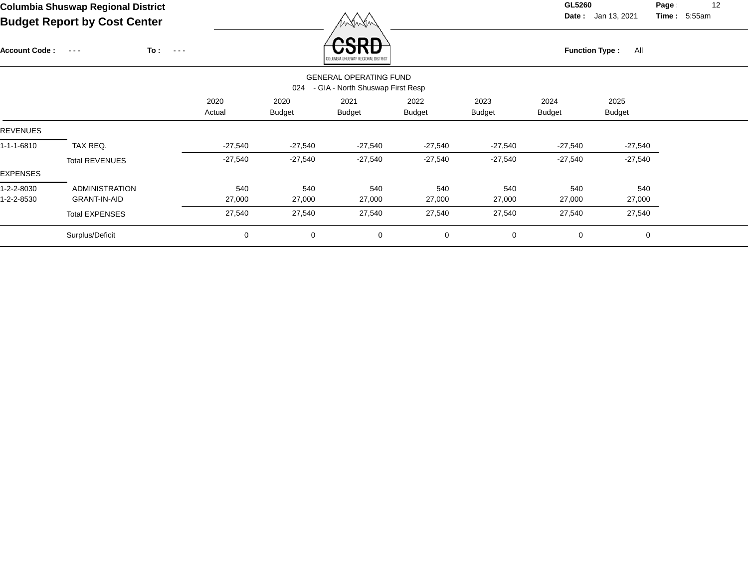**Date :** Jan 13, 2021 **Time :**

**Page :** 12 5:55am

| <b>Account Code:</b> | $\sim$ $\sim$ $\sim$  | To:<br>$\sim$ $\sim$ $\sim$ |                |                       | CDC<br>LUMBIA SHUSWAP REGIONAL DISTRIC'                           |                       |                       | <b>Function Type:</b> | All                   |  |
|----------------------|-----------------------|-----------------------------|----------------|-----------------------|-------------------------------------------------------------------|-----------------------|-----------------------|-----------------------|-----------------------|--|
|                      |                       |                             |                | 024                   | <b>GENERAL OPERATING FUND</b><br>- GIA - North Shuswap First Resp |                       |                       |                       |                       |  |
|                      |                       |                             | 2020<br>Actual | 2020<br><b>Budget</b> | 2021<br><b>Budget</b>                                             | 2022<br><b>Budget</b> | 2023<br><b>Budget</b> | 2024<br><b>Budget</b> | 2025<br><b>Budget</b> |  |
| <b>REVENUES</b>      |                       |                             |                |                       |                                                                   |                       |                       |                       |                       |  |
| 1-1-1-6810           | TAX REQ.              |                             | $-27,540$      | $-27,540$             | $-27,540$                                                         | $-27,540$             | $-27,540$             | $-27,540$             | $-27,540$             |  |
|                      | <b>Total REVENUES</b> |                             | $-27,540$      | $-27,540$             | $-27,540$                                                         | $-27,540$             | $-27,540$             | $-27,540$             | $-27,540$             |  |
| <b>EXPENSES</b>      |                       |                             |                |                       |                                                                   |                       |                       |                       |                       |  |
| 1-2-2-8030           | <b>ADMINISTRATION</b> |                             | 540            | 540                   | 540                                                               | 540                   | 540                   | 540                   | 540                   |  |
| 1-2-2-8530           | <b>GRANT-IN-AID</b>   |                             | 27,000         | 27,000                | 27,000                                                            | 27,000                | 27,000                | 27,000                | 27,000                |  |
|                      | <b>Total EXPENSES</b> |                             | 27,540         | 27,540                | 27,540                                                            | 27,540                | 27,540                | 27,540                | 27,540                |  |
|                      | Surplus/Deficit       |                             | 0              | $\mathbf 0$           | 0                                                                 | 0                     | 0                     | 0                     | $\mathbf 0$           |  |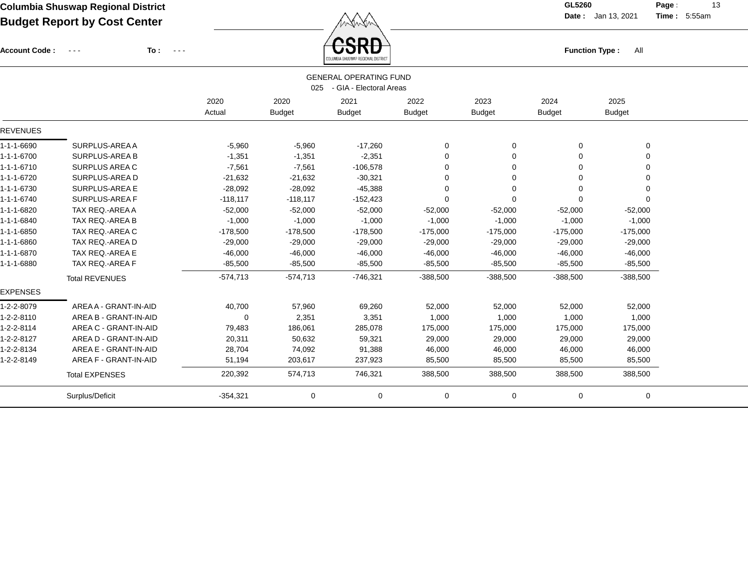$\angle$  **CSRD** 

**Date :** Jan 13, 2021 **Time :**

**Page :** 13 5:55am

| <b>Account Code:</b> | To:<br>$\frac{1}{2} \frac{1}{2} \frac{1}{2} \frac{1}{2} \frac{1}{2} \frac{1}{2} \frac{1}{2} \frac{1}{2} \frac{1}{2} \frac{1}{2} \frac{1}{2} \frac{1}{2} \frac{1}{2} \frac{1}{2} \frac{1}{2} \frac{1}{2} \frac{1}{2} \frac{1}{2} \frac{1}{2} \frac{1}{2} \frac{1}{2} \frac{1}{2} \frac{1}{2} \frac{1}{2} \frac{1}{2} \frac{1}{2} \frac{1}{2} \frac{1}{2} \frac{1}{2} \frac{1}{2} \frac{1}{2} \frac{$ | $\sim$ $\sim$ $\sim$ |               | UOND                          |               |               | <b>Function Type:</b> | All           |  |
|----------------------|-----------------------------------------------------------------------------------------------------------------------------------------------------------------------------------------------------------------------------------------------------------------------------------------------------------------------------------------------------------------------------------------------------|----------------------|---------------|-------------------------------|---------------|---------------|-----------------------|---------------|--|
|                      |                                                                                                                                                                                                                                                                                                                                                                                                     |                      |               | <b>GENERAL OPERATING FUND</b> |               |               |                       |               |  |
|                      |                                                                                                                                                                                                                                                                                                                                                                                                     |                      | 025           | - GIA - Electoral Areas       |               |               |                       |               |  |
|                      |                                                                                                                                                                                                                                                                                                                                                                                                     | 2020                 | 2020          | 2021                          | 2022          | 2023          | 2024                  | 2025          |  |
|                      |                                                                                                                                                                                                                                                                                                                                                                                                     | Actual               | <b>Budget</b> | <b>Budget</b>                 | <b>Budget</b> | <b>Budget</b> | <b>Budget</b>         | <b>Budget</b> |  |
| <b>REVENUES</b>      |                                                                                                                                                                                                                                                                                                                                                                                                     |                      |               |                               |               |               |                       |               |  |
| 1-1-1-6690           | SURPLUS-AREA A                                                                                                                                                                                                                                                                                                                                                                                      | $-5,960$             | $-5,960$      | $-17,260$                     | $\Omega$      | 0             | $\Omega$              | 0             |  |
| $1 - 1 - 1 - 6700$   | <b>SURPLUS-AREA B</b>                                                                                                                                                                                                                                                                                                                                                                               | $-1,351$             | $-1,351$      | $-2,351$                      | 0             | $\Omega$      |                       | 0             |  |
| 1-1-1-6710           | <b>SURPLUS AREA C</b>                                                                                                                                                                                                                                                                                                                                                                               | $-7,561$             | $-7,561$      | $-106,578$                    | 0             | $\Omega$      | $\Omega$              | 0             |  |
| 1-1-1-6720           | SURPLUS-AREA D                                                                                                                                                                                                                                                                                                                                                                                      | $-21,632$            | $-21,632$     | $-30,321$                     | 0             | $\Omega$      | $\Omega$              | 0             |  |
| 1-1-1-6730           | <b>SURPLUS-AREA E</b>                                                                                                                                                                                                                                                                                                                                                                               | $-28,092$            | $-28,092$     | $-45,388$                     | $\Omega$      | $\Omega$      | 0                     | 0             |  |
| 1-1-1-6740           | SURPLUS-AREA F                                                                                                                                                                                                                                                                                                                                                                                      | $-118,117$           | $-118,117$    | $-152,423$                    | $\Omega$      | 0             |                       | 0             |  |
| 1-1-1-6820           | TAX REQ.-AREA A                                                                                                                                                                                                                                                                                                                                                                                     | $-52,000$            | $-52,000$     | $-52,000$                     | $-52,000$     | $-52,000$     | $-52,000$             | $-52,000$     |  |
| 1-1-1-6840           | TAX REQ.-AREA B                                                                                                                                                                                                                                                                                                                                                                                     | $-1,000$             | $-1,000$      | $-1,000$                      | $-1,000$      | $-1,000$      | $-1,000$              | $-1,000$      |  |
| 1-1-1-6850           | TAX REQ.-AREA C                                                                                                                                                                                                                                                                                                                                                                                     | $-178,500$           | $-178,500$    | $-178,500$                    | $-175,000$    | $-175,000$    | $-175,000$            | $-175,000$    |  |
| 1-1-1-6860           | TAX REQ.-AREA D                                                                                                                                                                                                                                                                                                                                                                                     | $-29,000$            | $-29,000$     | $-29,000$                     | $-29,000$     | $-29,000$     | $-29,000$             | $-29,000$     |  |
| 1-1-1-6870           | TAX REQ.-AREA E                                                                                                                                                                                                                                                                                                                                                                                     | $-46,000$            | $-46,000$     | $-46,000$                     | $-46,000$     | $-46,000$     | $-46,000$             | $-46,000$     |  |
| 1-1-1-6880           | TAX REQ.-AREA F                                                                                                                                                                                                                                                                                                                                                                                     | $-85,500$            | $-85,500$     | $-85,500$                     | $-85,500$     | $-85,500$     | $-85,500$             | $-85,500$     |  |
|                      | <b>Total REVENUES</b>                                                                                                                                                                                                                                                                                                                                                                               | $-574,713$           | $-574,713$    | $-746,321$                    | $-388,500$    | $-388,500$    | $-388,500$            | $-388,500$    |  |
| <b>EXPENSES</b>      |                                                                                                                                                                                                                                                                                                                                                                                                     |                      |               |                               |               |               |                       |               |  |
| 1-2-2-8079           | AREA A - GRANT-IN-AID                                                                                                                                                                                                                                                                                                                                                                               | 40,700               | 57,960        | 69,260                        | 52,000        | 52,000        | 52,000                | 52,000        |  |
| 1-2-2-8110           | AREA B - GRANT-IN-AID                                                                                                                                                                                                                                                                                                                                                                               | 0                    | 2,351         | 3,351                         | 1,000         | 1,000         | 1,000                 | 1,000         |  |
| 1-2-2-8114           | AREA C - GRANT-IN-AID                                                                                                                                                                                                                                                                                                                                                                               | 79,483               | 186,061       | 285,078                       | 175,000       | 175,000       | 175,000               | 175,000       |  |
| 1-2-2-8127           | AREA D - GRANT-IN-AID                                                                                                                                                                                                                                                                                                                                                                               | 20,311               | 50,632        | 59,321                        | 29,000        | 29,000        | 29,000                | 29,000        |  |
| 1-2-2-8134           | AREA E - GRANT-IN-AID                                                                                                                                                                                                                                                                                                                                                                               | 28,704               | 74,092        | 91,388                        | 46,000        | 46,000        | 46,000                | 46,000        |  |
| 1-2-2-8149           | AREA F - GRANT-IN-AID                                                                                                                                                                                                                                                                                                                                                                               | 51,194               | 203,617       | 237,923                       | 85,500        | 85,500        | 85,500                | 85,500        |  |
|                      | <b>Total EXPENSES</b>                                                                                                                                                                                                                                                                                                                                                                               | 220,392              | 574,713       | 746,321                       | 388,500       | 388,500       | 388,500               | 388,500       |  |
|                      | Surplus/Deficit                                                                                                                                                                                                                                                                                                                                                                                     | $-354,321$           | 0             | 0                             | 0             | 0             | 0                     | 0             |  |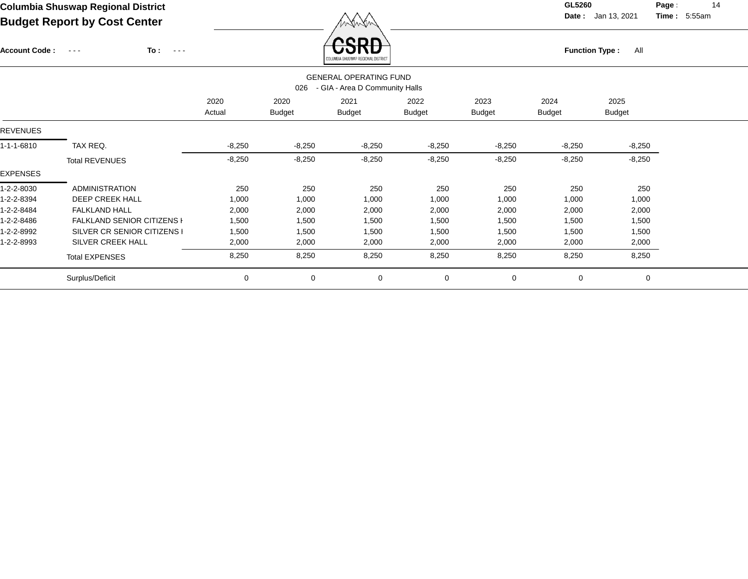**Date :** Jan 13, 2021 **Time :**

**Page :** 14 5:55am

**To :** Account Code : ---

| COLUMBIA SHUSWAP REGIONAL DISTRICT |  |
|------------------------------------|--|

**Function Type :** All

|                 |                                   |                |                       | <b><i><u>AAFAWDIN AUAANNI, UEAIAINIË NATUA</u>N</i></b>         |                       |                       |                |                       |  |
|-----------------|-----------------------------------|----------------|-----------------------|-----------------------------------------------------------------|-----------------------|-----------------------|----------------|-----------------------|--|
|                 |                                   |                | 026                   | <b>GENERAL OPERATING FUND</b><br>- GIA - Area D Community Halls |                       |                       |                |                       |  |
|                 |                                   | 2020<br>Actual | 2020<br><b>Budget</b> | 2021<br><b>Budget</b>                                           | 2022<br><b>Budget</b> | 2023<br><b>Budget</b> | 2024<br>Budget | 2025<br><b>Budget</b> |  |
| <b>REVENUES</b> |                                   |                |                       |                                                                 |                       |                       |                |                       |  |
| 1-1-1-6810      | TAX REQ.                          | $-8,250$       | $-8,250$              | $-8,250$                                                        | $-8,250$              | $-8,250$              | $-8,250$       | $-8,250$              |  |
|                 | <b>Total REVENUES</b>             | $-8,250$       | $-8,250$              | $-8,250$                                                        | $-8,250$              | $-8,250$              | $-8,250$       | $-8,250$              |  |
| EXPENSES        |                                   |                |                       |                                                                 |                       |                       |                |                       |  |
| 1-2-2-8030      | <b>ADMINISTRATION</b>             | 250            | 250                   | 250                                                             | 250                   | 250                   | 250            | 250                   |  |
| 1-2-2-8394      | DEEP CREEK HALL                   | 1,000          | 1,000                 | 1,000                                                           | 1,000                 | 1,000                 | 1,000          | 1,000                 |  |
| 1-2-2-8484      | <b>FALKLAND HALL</b>              | 2,000          | 2,000                 | 2,000                                                           | 2,000                 | 2,000                 | 2,000          | 2,000                 |  |
| 1-2-2-8486      | <b>FALKLAND SENIOR CITIZENS I</b> | 1,500          | 1,500                 | 1,500                                                           | 1,500                 | 1,500                 | 1,500          | 1,500                 |  |
| 1-2-2-8992      | SILVER CR SENIOR CITIZENS I       | 1,500          | 1,500                 | 1,500                                                           | 1,500                 | 1,500                 | 1,500          | 1,500                 |  |
| 1-2-2-8993      | SILVER CREEK HALL                 | 2,000          | 2,000                 | 2,000                                                           | 2,000                 | 2,000                 | 2,000          | 2,000                 |  |
|                 | <b>Total EXPENSES</b>             | 8,250          | 8,250                 | 8,250                                                           | 8,250                 | 8,250                 | 8,250          | 8,250                 |  |
|                 | Surplus/Deficit                   | 0              | $\mathbf 0$           | 0                                                               | $\mathbf 0$           | $\mathbf 0$           | 0              | 0                     |  |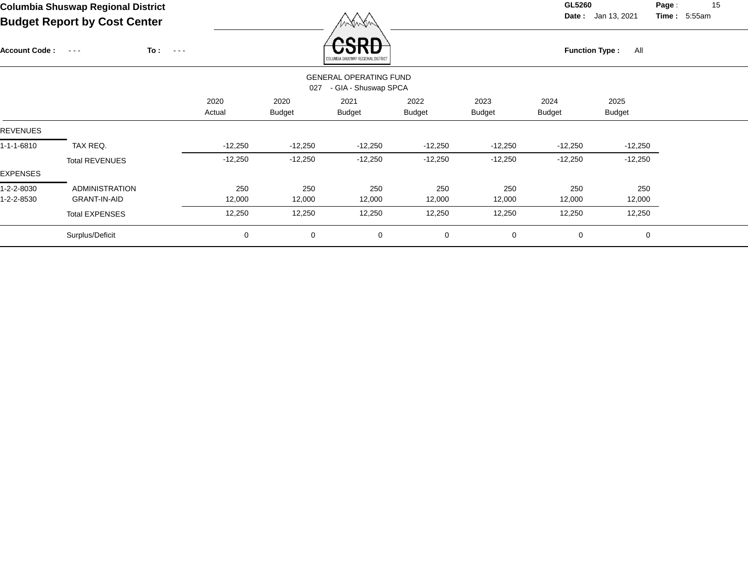**Date :** Jan 13, 2021 **Time :**

**Page :** 15 5:55am

| <b>Account Code :</b>    | $\sim 100$ $\sim$                            | To:<br>$\sim$ $\sim$ $\sim$ |                |                       | onr<br>COLUMBIA SHUSWAP REGIONAL DISTRICT             |                |                       | <b>Function Type:</b> | All                   |  |
|--------------------------|----------------------------------------------|-----------------------------|----------------|-----------------------|-------------------------------------------------------|----------------|-----------------------|-----------------------|-----------------------|--|
|                          |                                              |                             |                | 027                   | <b>GENERAL OPERATING FUND</b><br>- GIA - Shuswap SPCA |                |                       |                       |                       |  |
|                          |                                              |                             | 2020<br>Actual | 2020<br><b>Budget</b> | 2021<br><b>Budget</b>                                 | 2022<br>Budget | 2023<br><b>Budget</b> | 2024<br><b>Budget</b> | 2025<br><b>Budget</b> |  |
| <b>REVENUES</b>          |                                              |                             |                |                       |                                                       |                |                       |                       |                       |  |
| 1-1-1-6810               | TAX REQ.                                     |                             | $-12,250$      | $-12,250$             | $-12,250$                                             | $-12,250$      | $-12,250$             | $-12,250$             | $-12,250$             |  |
|                          | <b>Total REVENUES</b>                        |                             | $-12,250$      | $-12,250$             | $-12,250$                                             | $-12,250$      | $-12,250$             | $-12,250$             | $-12,250$             |  |
| EXPENSES                 |                                              |                             |                |                       |                                                       |                |                       |                       |                       |  |
| 1-2-2-8030<br>1-2-2-8530 | <b>ADMINISTRATION</b><br><b>GRANT-IN-AID</b> |                             | 250<br>12,000  | 250<br>12,000         | 250<br>12,000                                         | 250<br>12,000  | 250<br>12,000         | 250<br>12,000         | 250<br>12,000         |  |
|                          | <b>Total EXPENSES</b>                        |                             | 12,250         | 12,250                | 12,250                                                | 12,250         | 12,250                | 12,250                | 12,250                |  |
|                          | Surplus/Deficit                              |                             | 0              | 0                     | 0                                                     | 0              | 0                     | 0                     | 0                     |  |

XW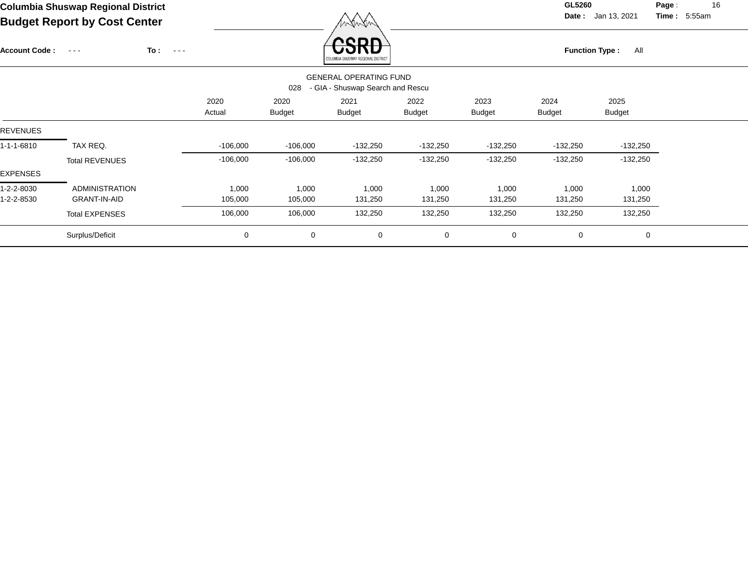# **Columbia Shuswap Regional District GL5260**

Account Code : ---

**Date :** Jan 13, 2021 **Time :**

**Page :** 16 5:55am

**Budget Report by Cost Center**

**To :**



|                 |                       |                |                       | COLUMBIA SHUSWAP REGIONAL DISTRICT                                |                       |                       |                       |                       |  |
|-----------------|-----------------------|----------------|-----------------------|-------------------------------------------------------------------|-----------------------|-----------------------|-----------------------|-----------------------|--|
|                 |                       |                | 028                   | <b>GENERAL OPERATING FUND</b><br>- GIA - Shuswap Search and Rescu |                       |                       |                       |                       |  |
|                 |                       | 2020<br>Actual | 2020<br><b>Budget</b> | 2021<br><b>Budget</b>                                             | 2022<br><b>Budget</b> | 2023<br><b>Budget</b> | 2024<br><b>Budget</b> | 2025<br><b>Budget</b> |  |
| <b>REVENUES</b> |                       |                |                       |                                                                   |                       |                       |                       |                       |  |
| 1-1-1-6810      | TAX REQ.              | $-106,000$     | $-106,000$            | $-132,250$                                                        | $-132,250$            | $-132,250$            | -132,250              | $-132,250$            |  |
|                 | <b>Total REVENUES</b> | $-106,000$     | $-106,000$            | $-132,250$                                                        | $-132,250$            | $-132,250$            | $-132,250$            | $-132,250$            |  |
| <b>EXPENSES</b> |                       |                |                       |                                                                   |                       |                       |                       |                       |  |
| 1-2-2-8030      | <b>ADMINISTRATION</b> | 1,000          | 1,000                 | 1,000                                                             | 1,000                 | 1,000                 | 1,000                 | 1,000                 |  |
| 1-2-2-8530      | GRANT-IN-AID          | 105,000        | 105,000               | 131,250                                                           | 131,250               | 131,250               | 131,250               | 131,250               |  |
|                 | <b>Total EXPENSES</b> | 106,000        | 106,000               | 132,250                                                           | 132,250               | 132,250               | 132,250               | 132,250               |  |
|                 | Surplus/Deficit       | $\mathbf 0$    | 0                     | 0                                                                 | $\mathbf 0$           | 0                     | $\mathbf 0$           | 0                     |  |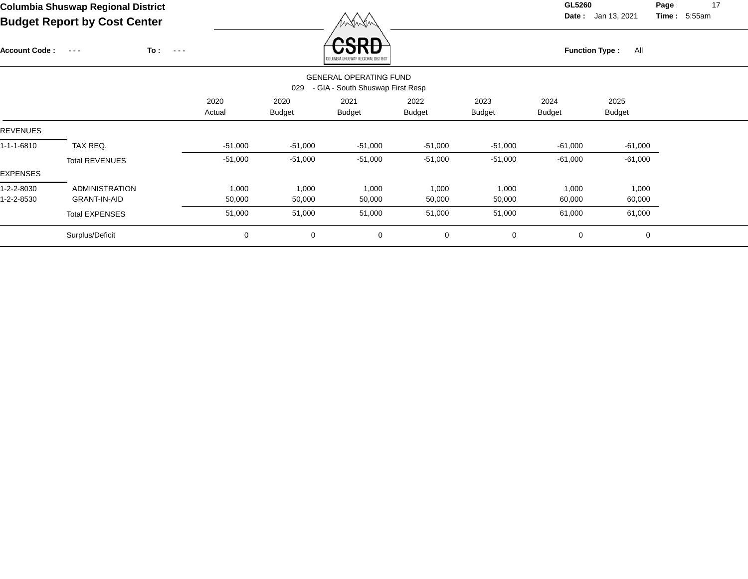**Date :** Jan 13, 2021 **Time : Page :** 17

5:55am

| <b>Account Code:</b> | To:<br>$\sim$ $\sim$ $\sim$ | $\sim$ $ -$ |             |                       | <b>CDL</b><br>COLUMBIA SHUSWAP REGIONAL DISTRICT<br><b>GENERAL OPERATING FUND</b> |                       |                       | <b>Function Type:</b> | All                   |  |
|----------------------|-----------------------------|-------------|-------------|-----------------------|-----------------------------------------------------------------------------------|-----------------------|-----------------------|-----------------------|-----------------------|--|
|                      |                             |             |             | 029                   | - GIA - South Shuswap First Resp                                                  |                       |                       |                       |                       |  |
|                      |                             | 2020        | Actual      | 2020<br><b>Budget</b> | 2021<br><b>Budget</b>                                                             | 2022<br><b>Budget</b> | 2023<br><b>Budget</b> | 2024<br><b>Budget</b> | 2025<br><b>Budget</b> |  |
| <b>REVENUES</b>      |                             |             |             |                       |                                                                                   |                       |                       |                       |                       |  |
| 1-1-1-6810           | TAX REQ.                    |             | $-51,000$   | $-51,000$             | $-51,000$                                                                         | $-51,000$             | $-51,000$             | $-61,000$             | $-61,000$             |  |
|                      | <b>Total REVENUES</b>       |             | $-51,000$   | $-51,000$             | $-51,000$                                                                         | $-51,000$             | $-51,000$             | $-61,000$             | $-61,000$             |  |
| EXPENSES             |                             |             |             |                       |                                                                                   |                       |                       |                       |                       |  |
| 1-2-2-8030           | <b>ADMINISTRATION</b>       |             | 1,000       | 1,000                 | 1,000                                                                             | 1,000                 | 1,000                 | 1,000                 | 1,000                 |  |
| 1-2-2-8530           | <b>GRANT-IN-AID</b>         |             | 50,000      | 50,000                | 50,000                                                                            | 50,000                | 50,000                | 60,000                | 60,000                |  |
|                      | <b>Total EXPENSES</b>       |             | 51,000      | 51,000                | 51,000                                                                            | 51,000                | 51,000                | 61,000                | 61,000                |  |
|                      | Surplus/Deficit             |             | $\mathbf 0$ | 0                     | $\mathbf 0$                                                                       | 0                     | $\mathbf 0$           | $\mathbf 0$           | $\mathbf 0$           |  |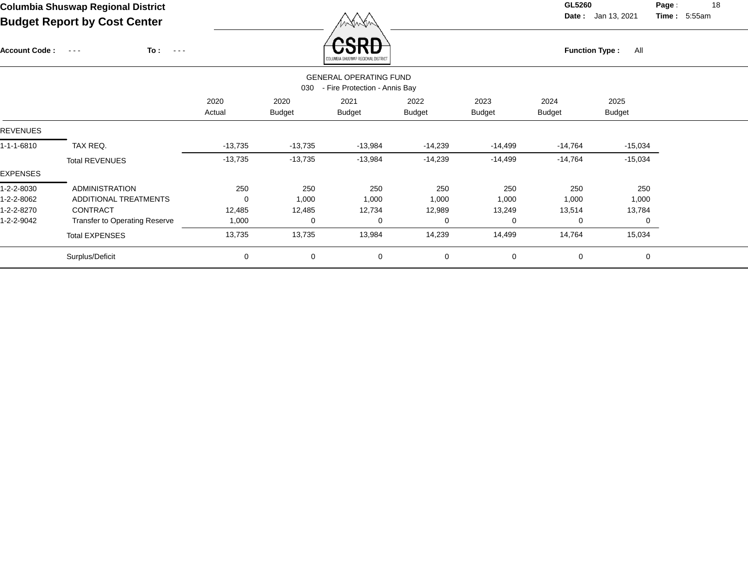# **Columbia Shuswap Regional District GL5260**

 $\overline{\phantom{a}}$ 

**Page :** 18 **Time:** 5:55am

|                      | <b>Budget Report by Cost Center</b>                 |           |               | WANAN                                  |               | <b>Date:</b> Jan 13, 2021<br><b>Time</b> : $5:55am$ |                              |               |  |  |  |
|----------------------|-----------------------------------------------------|-----------|---------------|----------------------------------------|---------------|-----------------------------------------------------|------------------------------|---------------|--|--|--|
| <b>Account Code:</b> | To:<br>$\sim$ $\sim$ $\sim$<br>$\sim$ $\sim$ $\sim$ |           |               | radi<br>JMRIA SHUSWAP REGIONAL DISTRIC |               |                                                     | <b>Function Type:</b><br>All |               |  |  |  |
|                      |                                                     |           |               | <b>GENERAL OPERATING FUND</b>          |               |                                                     |                              |               |  |  |  |
|                      |                                                     |           | 030           | - Fire Protection - Annis Bay          |               |                                                     |                              |               |  |  |  |
|                      |                                                     | 2020      | 2020          | 2021                                   | 2022          | 2023                                                | 2024                         | 2025          |  |  |  |
|                      |                                                     | Actual    | <b>Budget</b> | <b>Budget</b>                          | <b>Budget</b> | <b>Budget</b>                                       | <b>Budget</b>                | <b>Budget</b> |  |  |  |
| <b>REVENUES</b>      |                                                     |           |               |                                        |               |                                                     |                              |               |  |  |  |
| 1-1-1-6810           | TAX REQ.                                            | $-13,735$ | $-13,735$     | $-13,984$                              | $-14,239$     | -14,499                                             | $-14,764$                    | $-15,034$     |  |  |  |
|                      | <b>Total REVENUES</b>                               | $-13,735$ | $-13,735$     | $-13,984$                              | $-14,239$     | $-14,499$                                           | $-14,764$                    | $-15,034$     |  |  |  |
| EXPENSES             |                                                     |           |               |                                        |               |                                                     |                              |               |  |  |  |
| 1-2-2-8030           | <b>ADMINISTRATION</b>                               | 250       | 250           | 250                                    | 250           | 250                                                 | 250                          | 250           |  |  |  |
| 1-2-2-8062           | ADDITIONAL TREATMENTS                               | 0         | 1,000         | 1,000                                  | 1,000         | 1,000                                               | 1,000                        | 1,000         |  |  |  |
| 1-2-2-8270           | <b>CONTRACT</b>                                     | 12,485    | 12,485        | 12,734                                 | 12,989        | 13,249                                              | 13,514                       | 13,784        |  |  |  |
| 1-2-2-9042           | Transfer to Operating Reserve                       | 1,000     | 0             | 0                                      | $\Omega$      | $\Omega$                                            | 0                            | 0             |  |  |  |
|                      | <b>Total EXPENSES</b>                               | 13,735    | 13,735        | 13,984                                 | 14,239        | 14,499                                              | 14,764                       | 15,034        |  |  |  |
|                      | Surplus/Deficit                                     | 0         | 0             | 0                                      | $\mathbf 0$   | 0                                                   | 0                            | $\mathbf 0$   |  |  |  |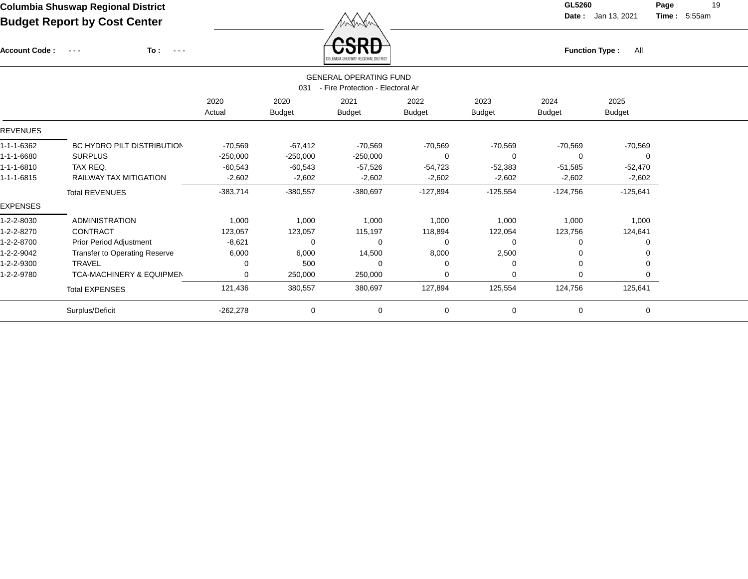Account Code : ---

**To :**

Function Type : All<br><sub>COLUMBIA SHUSWAP REGIONAL DISTRICT</sub>

**Date :** Jan 13, 2021 **Time :**

**Page :** 19 5:55am

|                 |                                      |                | 031                   | <b>GENERAL OPERATING FUND</b><br>- Fire Protection - Electoral Ar |                       |                       |                       |                       |  |
|-----------------|--------------------------------------|----------------|-----------------------|-------------------------------------------------------------------|-----------------------|-----------------------|-----------------------|-----------------------|--|
|                 |                                      | 2020<br>Actual | 2020<br><b>Budget</b> | 2021<br><b>Budget</b>                                             | 2022<br><b>Budget</b> | 2023<br><b>Budget</b> | 2024<br><b>Budget</b> | 2025<br><b>Budget</b> |  |
| <b>REVENUES</b> |                                      |                |                       |                                                                   |                       |                       |                       |                       |  |
| 1-1-1-6362      | BC HYDRO PILT DISTRIBUTION           | $-70,569$      | $-67,412$             | -70,569                                                           | $-70,569$             | $-70,569$             | $-70,569$             | $-70,569$             |  |
| 1-1-1-6680      | <b>SURPLUS</b>                       | $-250,000$     | $-250,000$            | $-250,000$                                                        | 0                     | 0                     | $\Omega$              |                       |  |
| 1-1-1-6810      | TAX REQ.                             | $-60,543$      | $-60,543$             | $-57,526$                                                         | $-54,723$             | $-52,383$             | $-51,585$             | $-52,470$             |  |
| 1-1-1-6815      | <b>RAILWAY TAX MITIGATION</b>        | $-2,602$       | $-2,602$              | $-2,602$                                                          | $-2,602$              | $-2,602$              | $-2,602$              | $-2,602$              |  |
|                 | <b>Total REVENUES</b>                | $-383,714$     | $-380,557$            | $-380,697$                                                        | $-127,894$            | $-125,554$            | $-124,756$            | $-125,641$            |  |
| <b>EXPENSES</b> |                                      |                |                       |                                                                   |                       |                       |                       |                       |  |
| 1-2-2-8030      | <b>ADMINISTRATION</b>                | 1,000          | 1,000                 | 1,000                                                             | 1,000                 | 1,000                 | 1,000                 | 1,000                 |  |
| 1-2-2-8270      | CONTRACT                             | 123,057        | 123,057               | 115,197                                                           | 118,894               | 122,054               | 123,756               | 124,641               |  |
| 1-2-2-8700      | <b>Prior Period Adjustment</b>       | $-8,621$       |                       | 0                                                                 | $\Omega$              | $\Omega$              |                       |                       |  |
| 1-2-2-9042      | <b>Transfer to Operating Reserve</b> | 6,000          | 6,000                 | 14,500                                                            | 8,000                 | 2,500                 |                       |                       |  |
| 1-2-2-9300      | <b>TRAVEL</b>                        | 0              | 500                   |                                                                   | $\mathbf 0$           | $\Omega$              | 0                     |                       |  |
| 1-2-2-9780      | <b>TCA-MACHINERY &amp; EQUIPMEN</b>  | 0              | 250,000               | 250,000                                                           | 0                     | 0                     | $\Omega$              |                       |  |
|                 | <b>Total EXPENSES</b>                | 121,436        | 380,557               | 380,697                                                           | 127,894               | 125,554               | 124,756               | 125,641               |  |
|                 | Surplus/Deficit                      | $-262,278$     | 0                     | 0                                                                 | $\mathbf 0$           | 0                     | 0                     | $\Omega$              |  |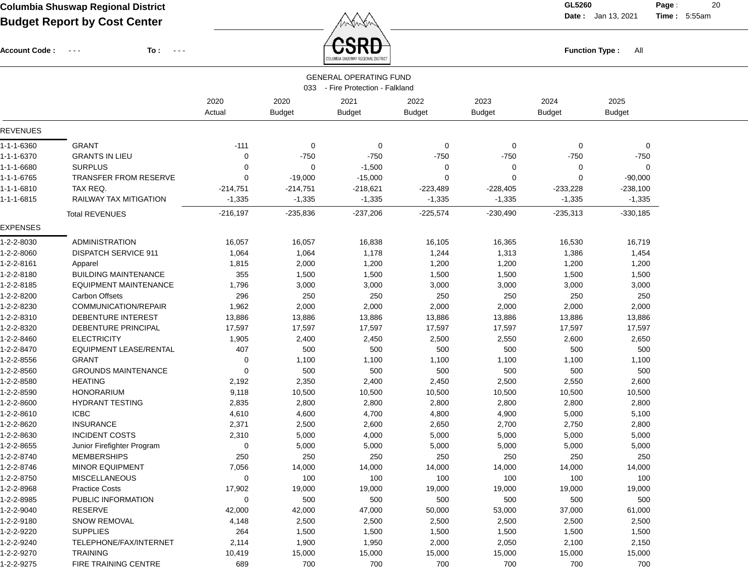**Date :** Jan 13, 2021 **Time :**

**Page :** 20 5:55am

Account Code : ---

**To :**

Function Type : All<br>
COLUMBIA SHUSWAP REGIONAL DISTRICT

|                 |                               |            |               | <b>GENERAL OPERATING FUND</b><br>033 - Fire Protection - Falkland |               |               |               |               |  |
|-----------------|-------------------------------|------------|---------------|-------------------------------------------------------------------|---------------|---------------|---------------|---------------|--|
|                 |                               | 2020       | 2020          | 2021                                                              | 2022          | 2023          | 2024          | 2025          |  |
|                 |                               | Actual     | <b>Budget</b> | <b>Budget</b>                                                     | <b>Budget</b> | <b>Budget</b> | <b>Budget</b> | <b>Budget</b> |  |
| REVENUES        |                               |            |               |                                                                   |               |               |               |               |  |
| 1-1-1-6360      | <b>GRANT</b>                  | $-111$     | 0             | 0                                                                 | 0             | 0             | 0             | 0             |  |
| 1-1-1-6370      | <b>GRANTS IN LIEU</b>         | 0          | $-750$        | $-750$                                                            | $-750$        | $-750$        | $-750$        | $-750$        |  |
| 1-1-1-6680      | <b>SURPLUS</b>                | 0          | 0             | $-1,500$                                                          | 0             | 0             | 0             | 0             |  |
| 1-1-1-6765      | TRANSFER FROM RESERVE         | 0          | $-19,000$     | $-15,000$                                                         | $\Omega$      | $\Omega$      | 0             | $-90,000$     |  |
| 1-1-1-6810      | TAX REQ.                      | -214,751   | $-214,751$    | $-218,621$                                                        | $-223,489$    | $-228,405$    | $-233,228$    | $-238,100$    |  |
| 1-1-1-6815      | <b>RAILWAY TAX MITIGATION</b> | $-1,335$   | $-1,335$      | $-1,335$                                                          | $-1,335$      | $-1,335$      | $-1,335$      | $-1,335$      |  |
|                 | <b>Total REVENUES</b>         | $-216,197$ | $-235,836$    | $-237,206$                                                        | $-225,574$    | $-230,490$    | $-235,313$    | $-330,185$    |  |
| <b>EXPENSES</b> |                               |            |               |                                                                   |               |               |               |               |  |
| 1-2-2-8030      | <b>ADMINISTRATION</b>         | 16,057     | 16,057        | 16,838                                                            | 16,105        | 16,365        | 16,530        | 16,719        |  |
| 1-2-2-8060      | <b>DISPATCH SERVICE 911</b>   | 1,064      | 1,064         | 1,178                                                             | 1,244         | 1,313         | 1,386         | 1,454         |  |
| 1-2-2-8161      | Apparel                       | 1,815      | 2,000         | 1,200                                                             | 1,200         | 1,200         | 1,200         | 1,200         |  |
| 1-2-2-8180      | <b>BUILDING MAINTENANCE</b>   | 355        | 1,500         | 1,500                                                             | 1,500         | 1,500         | 1,500         | 1,500         |  |
| 1-2-2-8185      | <b>EQUIPMENT MAINTENANCE</b>  | 1,796      | 3,000         | 3,000                                                             | 3,000         | 3,000         | 3,000         | 3,000         |  |
| 1-2-2-8200      | <b>Carbon Offsets</b>         | 296        | 250           | 250                                                               | 250           | 250           | 250           | 250           |  |
| 1-2-2-8230      | COMMUNICATION/REPAIR          | 1,962      | 2,000         | 2,000                                                             | 2,000         | 2,000         | 2,000         | 2,000         |  |
| 1-2-2-8310      | DEBENTURE INTEREST            | 13,886     | 13,886        | 13,886                                                            | 13,886        | 13,886        | 13,886        | 13,886        |  |
| 1-2-2-8320      | DEBENTURE PRINCIPAL           | 17,597     | 17,597        | 17,597                                                            | 17,597        | 17,597        | 17,597        | 17,597        |  |
| 1-2-2-8460      | <b>ELECTRICITY</b>            | 1,905      | 2,400         | 2,450                                                             | 2,500         | 2,550         | 2,600         | 2,650         |  |
| 1-2-2-8470      | <b>EQUIPMENT LEASE/RENTAL</b> | 407        | 500           | 500                                                               | 500           | 500           | 500           | 500           |  |
| 1-2-2-8556      | <b>GRANT</b>                  | 0          | 1,100         | 1,100                                                             | 1,100         | 1,100         | 1,100         | 1,100         |  |
| 1-2-2-8560      | <b>GROUNDS MAINTENANCE</b>    | 0          | 500           | 500                                                               | 500           | 500           | 500           | 500           |  |
| 1-2-2-8580      | <b>HEATING</b>                | 2,192      | 2,350         | 2,400                                                             | 2,450         | 2,500         | 2,550         | 2,600         |  |
| 1-2-2-8590      | <b>HONORARIUM</b>             | 9,118      | 10,500        | 10,500                                                            | 10,500        | 10,500        | 10,500        | 10,500        |  |
| 1-2-2-8600      | <b>HYDRANT TESTING</b>        | 2,835      | 2,800         | 2,800                                                             | 2,800         | 2,800         | 2,800         | 2,800         |  |
| 1-2-2-8610      | <b>ICBC</b>                   | 4,610      | 4,600         | 4,700                                                             | 4,800         | 4,900         | 5,000         | 5,100         |  |
| 1-2-2-8620      | <b>INSURANCE</b>              | 2,371      | 2,500         | 2,600                                                             | 2,650         | 2,700         | 2,750         | 2,800         |  |
| 1-2-2-8630      | <b>INCIDENT COSTS</b>         | 2,310      | 5,000         | 4,000                                                             | 5,000         | 5,000         | 5,000         | 5,000         |  |
| 1-2-2-8655      | Junior Firefighter Program    | 0          | 5,000         | 5,000                                                             | 5,000         | 5,000         | 5,000         | 5,000         |  |
| 1-2-2-8740      | <b>MEMBERSHIPS</b>            | 250        | 250           | 250                                                               | 250           | 250           | 250           | 250           |  |
| 1-2-2-8746      | MINOR EQUIPMENT               | 7,056      | 14,000        | 14,000                                                            | 14,000        | 14,000        | 14,000        | 14,000        |  |
| 1-2-2-8750      | <b>MISCELLANEOUS</b>          | 0          | 100           | 100                                                               | 100           | 100           | 100           | 100           |  |
| 1-2-2-8968      | <b>Practice Costs</b>         | 17,902     | 19,000        | 19,000                                                            | 19,000        | 19,000        | 19,000        | 19,000        |  |
| 1-2-2-8985      | PUBLIC INFORMATION            | 0          | 500           | 500                                                               | 500           | 500           | 500           | 500           |  |
| 1-2-2-9040      | <b>RESERVE</b>                | 42,000     | 42,000        | 47,000                                                            | 50,000        | 53,000        | 37,000        | 61,000        |  |
| 1-2-2-9180      | <b>SNOW REMOVAL</b>           | 4,148      | 2,500         | 2,500                                                             | 2,500         | 2,500         | 2,500         | 2,500         |  |
| 1-2-2-9220      | <b>SUPPLIES</b>               | 264        | 1,500         | 1,500                                                             | 1,500         | 1,500         | 1,500         | 1,500         |  |
| 1-2-2-9240      | TELEPHONE/FAX/INTERNET        | 2,114      | 1,900         | 1,950                                                             | 2,000         | 2,050         | 2,100         | 2,150         |  |
| 1-2-2-9270      | <b>TRAINING</b>               | 10,419     | 15,000        | 15,000                                                            | 15,000        | 15,000        | 15,000        | 15,000        |  |
| 1-2-2-9275      | FIRE TRAINING CENTRE          | 689        | 700           | 700                                                               | 700           | 700           | 700           | 700           |  |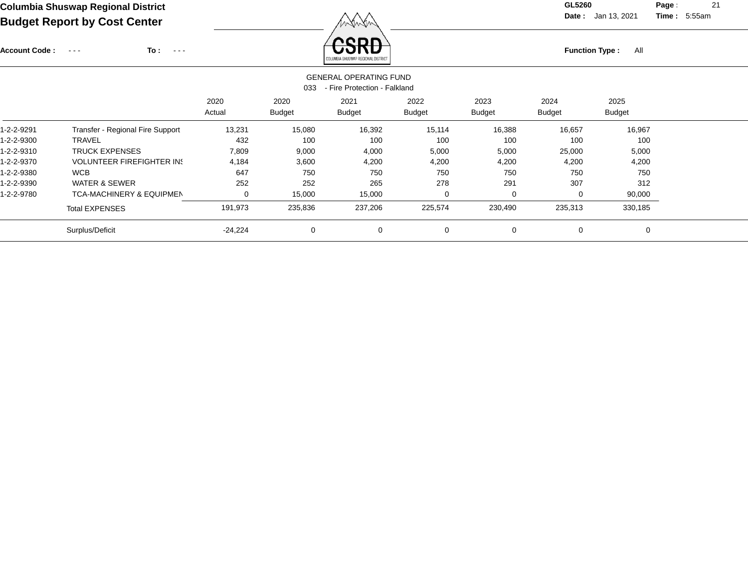Account Code : ---

**To :**

Function Type : All<br>COLUMBIA SHUSWAP REGIONAL DISTRICT

**Date :** Jan 13, 2021 **Time :**

**Page :** 21 5:55am

|            | <b>GENERAL OPERATING FUND</b><br>- Fire Protection - Falkland<br>033 |                |                       |                       |                |                       |                       |                       |  |  |  |  |
|------------|----------------------------------------------------------------------|----------------|-----------------------|-----------------------|----------------|-----------------------|-----------------------|-----------------------|--|--|--|--|
|            |                                                                      | 2020<br>Actual | 2020<br><b>Budget</b> | 2021<br><b>Budget</b> | 2022<br>Budget | 2023<br><b>Budget</b> | 2024<br><b>Budget</b> | 2025<br><b>Budget</b> |  |  |  |  |
| 1-2-2-9291 | Transfer - Regional Fire Support                                     | 13,231         | 15,080                | 16,392                | 15,114         | 16,388                | 16,657                | 16,967                |  |  |  |  |
| 1-2-2-9300 | <b>TRAVEL</b>                                                        | 432            | 100                   | 100                   | 100            | 100                   | 100                   | 100                   |  |  |  |  |
| 1-2-2-9310 | <b>TRUCK EXPENSES</b>                                                | 7,809          | 9,000                 | 4,000                 | 5,000          | 5,000                 | 25,000                | 5,000                 |  |  |  |  |
| 1-2-2-9370 | <b>VOLUNTEER FIREFIGHTER IN:</b>                                     | 4,184          | 3,600                 | 4,200                 | 4,200          | 4,200                 | 4,200                 | 4,200                 |  |  |  |  |
| 1-2-2-9380 | <b>WCB</b>                                                           | 647            | 750                   | 750                   | 750            | 750                   | 750                   | 750                   |  |  |  |  |
| 1-2-2-9390 | <b>WATER &amp; SEWER</b>                                             | 252            | 252                   | 265                   | 278            | 291                   | 307                   | 312                   |  |  |  |  |
| 1-2-2-9780 | <b>TCA-MACHINERY &amp; EQUIPMEN</b>                                  | 0              | 15,000                | 15,000                | 0              | 0                     | 0                     | 90,000                |  |  |  |  |
|            | <b>Total EXPENSES</b>                                                | 191,973        | 235,836               | 237,206               | 225,574        | 230,490               | 235,313               | 330,185               |  |  |  |  |
|            | Surplus/Deficit                                                      | $-24,224$      | $\mathbf 0$           | 0                     | 0              | 0                     | $\mathbf 0$           | $\Omega$              |  |  |  |  |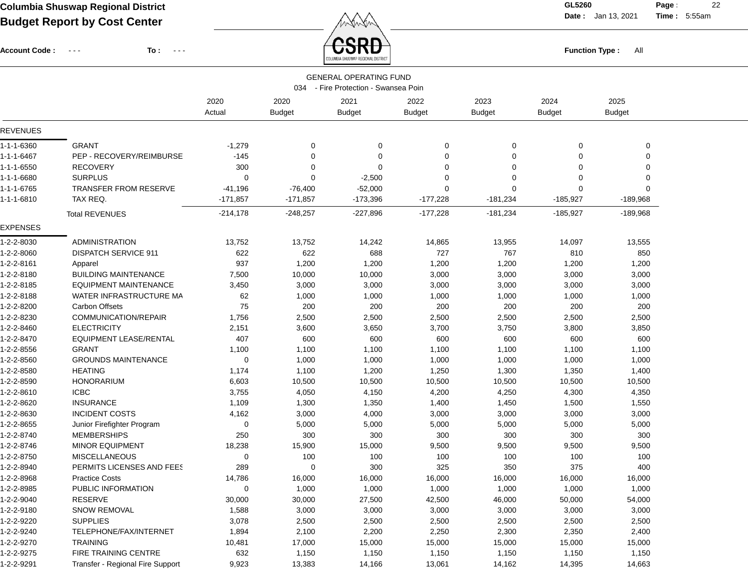**Date :** Jan 13, 2021 **Time :**

**Page :** 22 5:55am

Account Code : ---

**To :**



|                 |                                  |                | 034                   | <b>GENERAL OPERATING FUND</b><br>- Fire Protection - Swansea Poin |                       |                       |                       |                       |  |
|-----------------|----------------------------------|----------------|-----------------------|-------------------------------------------------------------------|-----------------------|-----------------------|-----------------------|-----------------------|--|
|                 |                                  | 2020<br>Actual | 2020<br><b>Budget</b> | 2021<br><b>Budget</b>                                             | 2022<br><b>Budget</b> | 2023<br><b>Budget</b> | 2024<br><b>Budget</b> | 2025<br><b>Budget</b> |  |
| <b>REVENUES</b> |                                  |                |                       |                                                                   |                       |                       |                       |                       |  |
| 1-1-1-6360      | <b>GRANT</b>                     | $-1,279$       | $\overline{0}$        | 0                                                                 | 0                     | $\Omega$              | 0                     | 0                     |  |
| 1-1-1-6467      | PEP - RECOVERY/REIMBURSE         | $-145$         | $\Omega$              | $\mathbf 0$                                                       | $\mathbf 0$           | $\Omega$              | 0                     | 0                     |  |
| 1-1-1-6550      | <b>RECOVERY</b>                  | 300            | $\Omega$              | $\Omega$                                                          | $\Omega$              | $\Omega$              | 0                     | $\Omega$              |  |
| 1-1-1-6680      | <b>SURPLUS</b>                   | 0              | 0                     | $-2,500$                                                          | $\Omega$              | $\Omega$              | 0                     | $\Omega$              |  |
| 1-1-1-6765      | <b>TRANSFER FROM RESERVE</b>     | $-41,196$      | $-76,400$             | $-52,000$                                                         | $\Omega$              | $\Omega$              | 0                     | $\Omega$              |  |
| 1-1-1-6810      | TAX REQ.                         | $-171,857$     | $-171,857$            | $-173,396$                                                        | $-177,228$            | $-181,234$            | $-185,927$            | $-189,968$            |  |
|                 | <b>Total REVENUES</b>            | $-214,178$     | $-248,257$            | $-227,896$                                                        | $-177,228$            | $-181,234$            | $-185,927$            | $-189,968$            |  |
| <b>EXPENSES</b> |                                  |                |                       |                                                                   |                       |                       |                       |                       |  |
| 1-2-2-8030      | ADMINISTRATION                   | 13,752         | 13,752                | 14,242                                                            | 14,865                | 13,955                | 14,097                | 13,555                |  |
| 1-2-2-8060      | <b>DISPATCH SERVICE 911</b>      | 622            | 622                   | 688                                                               | 727                   | 767                   | 810                   | 850                   |  |
| 1-2-2-8161      | Apparel                          | 937            | 1,200                 | 1,200                                                             | 1,200                 | 1,200                 | 1,200                 | 1,200                 |  |
| 1-2-2-8180      | <b>BUILDING MAINTENANCE</b>      | 7,500          | 10,000                | 10,000                                                            | 3,000                 | 3,000                 | 3,000                 | 3,000                 |  |
| 1-2-2-8185      | <b>EQUIPMENT MAINTENANCE</b>     | 3,450          | 3,000                 | 3,000                                                             | 3,000                 | 3,000                 | 3,000                 | 3,000                 |  |
| 1-2-2-8188      | WATER INFRASTRUCTURE MA          | 62             | 1,000                 | 1,000                                                             | 1,000                 | 1,000                 | 1,000                 | 1,000                 |  |
| 1-2-2-8200      | Carbon Offsets                   | 75             | 200                   | 200                                                               | 200                   | 200                   | 200                   | 200                   |  |
| 1-2-2-8230      | COMMUNICATION/REPAIR             | 1,756          | 2,500                 | 2,500                                                             | 2,500                 | 2,500                 | 2,500                 | 2,500                 |  |
| 1-2-2-8460      | <b>ELECTRICITY</b>               | 2,151          | 3,600                 | 3,650                                                             | 3,700                 | 3,750                 | 3,800                 | 3,850                 |  |
| 1-2-2-8470      | <b>EQUIPMENT LEASE/RENTAL</b>    | 407            | 600                   | 600                                                               | 600                   | 600                   | 600                   | 600                   |  |
| 1-2-2-8556      | <b>GRANT</b>                     | 1,100          | 1,100                 | 1,100                                                             | 1,100                 | 1,100                 | 1,100                 | 1,100                 |  |
| 1-2-2-8560      | <b>GROUNDS MAINTENANCE</b>       | 0              | 1,000                 | 1,000                                                             | 1,000                 | 1,000                 | 1,000                 | 1,000                 |  |
| 1-2-2-8580      | <b>HEATING</b>                   | 1,174          | 1,100                 | 1,200                                                             | 1,250                 | 1,300                 | 1,350                 | 1,400                 |  |
| 1-2-2-8590      | <b>HONORARIUM</b>                | 6,603          | 10,500                | 10,500                                                            | 10,500                | 10,500                | 10,500                | 10,500                |  |
| 1-2-2-8610      | <b>ICBC</b>                      | 3,755          | 4,050                 | 4,150                                                             | 4,200                 | 4,250                 | 4,300                 | 4,350                 |  |
| 1-2-2-8620      | <b>INSURANCE</b>                 | 1,109          | 1,300                 | 1,350                                                             | 1,400                 | 1,450                 | 1,500                 | 1,550                 |  |
| 1-2-2-8630      | <b>INCIDENT COSTS</b>            | 4,162          | 3,000                 | 4,000                                                             | 3,000                 | 3,000                 | 3,000                 | 3,000                 |  |
| 1-2-2-8655      | Junior Firefighter Program       | 0              | 5,000                 | 5,000                                                             | 5,000                 | 5,000                 | 5,000                 | 5,000                 |  |
| 1-2-2-8740      | <b>MEMBERSHIPS</b>               | 250            | 300                   | 300                                                               | 300                   | 300                   | 300                   | 300                   |  |
| 1-2-2-8746      | MINOR EQUIPMENT                  | 18,238         | 15,900                | 15,000                                                            | 9,500                 | 9,500                 | 9,500                 | 9,500                 |  |
| 1-2-2-8750      | <b>MISCELLANEOUS</b>             | 0              | 100                   | 100                                                               | 100                   | 100                   | 100                   | 100                   |  |
| 1-2-2-8940      | PERMITS LICENSES AND FEES        | 289            | 0                     | 300                                                               | 325                   | 350                   | 375                   | 400                   |  |
| 1-2-2-8968      | <b>Practice Costs</b>            | 14,786         | 16,000                | 16,000                                                            | 16,000                | 16,000                | 16,000                | 16,000                |  |
| 1-2-2-8985      | PUBLIC INFORMATION               | $\Omega$       | 1,000                 | 1,000                                                             | 1,000                 | 1,000                 | 1,000                 | 1,000                 |  |
| 1-2-2-9040      | <b>RESERVE</b>                   | 30,000         | 30,000                | 27,500                                                            | 42,500                | 46,000                | 50,000                | 54,000                |  |
| 1-2-2-9180      | <b>SNOW REMOVAL</b>              | 1,588          | 3,000                 | 3,000                                                             | 3,000                 | 3,000                 | 3,000                 | 3,000                 |  |
| 1-2-2-9220      | <b>SUPPLIES</b>                  | 3,078          | 2,500                 | 2,500                                                             | 2,500                 | 2,500                 | 2,500                 | 2,500                 |  |
| 1-2-2-9240      | TELEPHONE/FAX/INTERNET           | 1,894          | 2,100                 | 2,200                                                             | 2,250                 | 2,300                 | 2,350                 | 2,400                 |  |
| 1-2-2-9270      | <b>TRAINING</b>                  | 10,481         | 17,000                | 15,000                                                            | 15,000                | 15,000                | 15,000                | 15,000                |  |
| 1-2-2-9275      | FIRE TRAINING CENTRE             | 632            | 1,150                 | 1,150                                                             | 1,150                 | 1,150                 | 1,150                 | 1,150                 |  |
| 1-2-2-9291      | Transfer - Regional Fire Support | 9,923          | 13,383                | 14,166                                                            | 13,061                | 14,162                | 14,395                | 14,663                |  |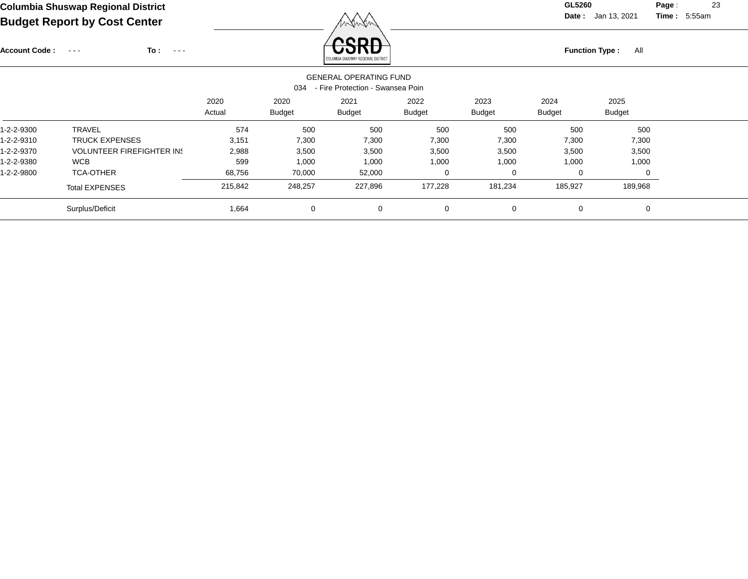# **Columbia Shuswap Regional District GL5260**

Account Code : ---

**Date :** Jan 13, 2021 **Time :**

**Page :** 23 5:55am

**Budget Report by Cost Center**

**To :**

**Function Type :** All **Function Type** : All

| <b>GENERAL OPERATING FUND</b><br>- Fire Protection - Swansea Poin<br>034 |                                  |                |                       |                       |                       |                       |                       |                |  |  |  |  |
|--------------------------------------------------------------------------|----------------------------------|----------------|-----------------------|-----------------------|-----------------------|-----------------------|-----------------------|----------------|--|--|--|--|
|                                                                          |                                  | 2020<br>Actual | 2020<br><b>Budget</b> | 2021<br><b>Budget</b> | 2022<br><b>Budget</b> | 2023<br><b>Budget</b> | 2024<br><b>Budget</b> | 2025<br>Budget |  |  |  |  |
| 1-2-2-9300                                                               | <b>TRAVEL</b>                    | 574            | 500                   | 500                   | 500                   | 500                   | 500                   | 500            |  |  |  |  |
| 1-2-2-9310                                                               | <b>TRUCK EXPENSES</b>            | 3,151          | 7,300                 | 7,300                 | 7,300                 | 7,300                 | 7,300                 | 7,300          |  |  |  |  |
| 1-2-2-9370                                                               | <b>VOLUNTEER FIREFIGHTER IN:</b> | 2,988          | 3,500                 | 3,500                 | 3,500                 | 3,500                 | 3,500                 | 3,500          |  |  |  |  |
| 1-2-2-9380                                                               | <b>WCB</b>                       | 599            | 1,000                 | 1,000                 | 1,000                 | 1,000                 | 1,000                 | 1,000          |  |  |  |  |
| 1-2-2-9800                                                               | <b>TCA-OTHER</b>                 | 68,756         | 70,000                | 52,000                | 0                     | 0                     | 0                     |                |  |  |  |  |
|                                                                          | <b>Total EXPENSES</b>            | 215,842        | 248,257               | 227,896               | 177,228               | 181,234               | 185,927               | 189,968        |  |  |  |  |
|                                                                          | Surplus/Deficit                  | 1,664          | $\mathbf 0$           | $\mathbf 0$           | $\mathbf 0$           | $\Omega$              | 0                     | 0              |  |  |  |  |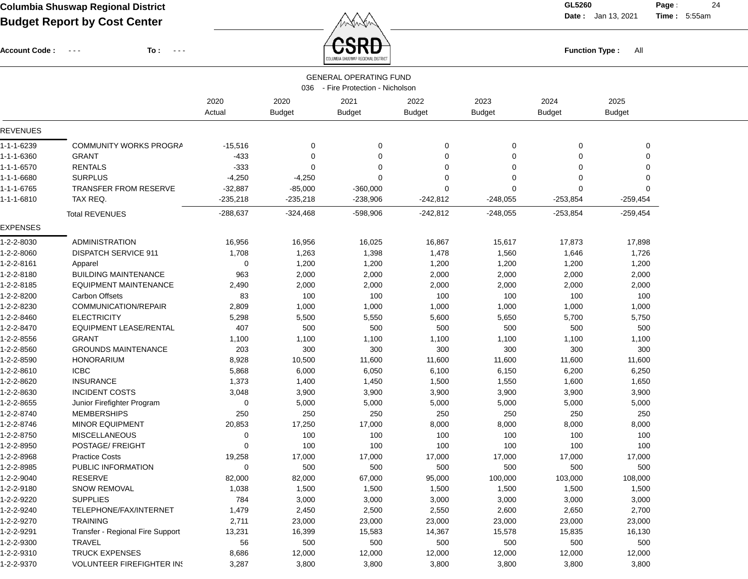**Date :** Jan 13, 2021 **Time :**

**Page :** 24 5:55am

| <b>Account Code :</b> | To :<br>.<br>$\sim$ $\sim$ $\sim$ |                |                       | <b>SRD</b><br><b>Function Type:</b><br>All |                       |                       |                       |                       |  |  |
|-----------------------|-----------------------------------|----------------|-----------------------|--------------------------------------------|-----------------------|-----------------------|-----------------------|-----------------------|--|--|
|                       |                                   |                |                       | <b>GENERAL OPERATING FUND</b>              |                       |                       |                       |                       |  |  |
|                       |                                   |                |                       | 036 - Fire Protection - Nicholson          |                       |                       |                       |                       |  |  |
|                       |                                   | 2020<br>Actual | 2020<br><b>Budget</b> | 2021<br><b>Budget</b>                      | 2022<br><b>Budget</b> | 2023<br><b>Budget</b> | 2024<br><b>Budget</b> | 2025<br><b>Budget</b> |  |  |
| <b>REVENUES</b>       |                                   |                |                       |                                            |                       |                       |                       |                       |  |  |
| 1-1-1-6239            | <b>COMMUNITY WORKS PROGRA</b>     | $-15,516$      | 0                     | 0                                          | 0                     | 0                     | 0                     | 0                     |  |  |
| 1-1-1-6360            | <b>GRANT</b>                      | $-433$         | $\Omega$              | 0                                          | 0                     | 0                     | $\Omega$              | 0                     |  |  |
| 1-1-1-6570            | <b>RENTALS</b>                    | $-333$         | $\Omega$              | 0                                          | $\Omega$              | 0                     | $\Omega$              | 0                     |  |  |
| 1-1-1-6680            | <b>SURPLUS</b>                    | $-4,250$       | $-4,250$              | $\Omega$                                   | 0                     | 0                     | $\Omega$              | 0                     |  |  |
| 1-1-1-6765            | <b>TRANSFER FROM RESERVE</b>      | $-32,887$      | $-85,000$             | $-360,000$                                 | $\Omega$              | $\Omega$              | $\Omega$              | $\Omega$              |  |  |
| 1-1-1-6810            | TAX REQ.                          | $-235,218$     | $-235,218$            | $-238,906$                                 | $-242,812$            | $-248,055$            | $-253,854$            | $-259,454$            |  |  |
|                       | <b>Total REVENUES</b>             | $-288,637$     | $-324,468$            | $-598,906$                                 | $-242,812$            | $-248,055$            | $-253,854$            | $-259,454$            |  |  |
| <b>EXPENSES</b>       |                                   |                |                       |                                            |                       |                       |                       |                       |  |  |
| 1-2-2-8030            | <b>ADMINISTRATION</b>             | 16,956         | 16,956                | 16,025                                     | 16,867                | 15,617                | 17,873                | 17,898                |  |  |
| 1-2-2-8060            | <b>DISPATCH SERVICE 911</b>       | 1,708          | 1,263                 | 1,398                                      | 1,478                 | 1,560                 | 1,646                 | 1,726                 |  |  |
| 1-2-2-8161            | Apparel                           | 0              | 1,200                 | 1,200                                      | 1,200                 | 1,200                 | 1,200                 | 1,200                 |  |  |
| 1-2-2-8180            | <b>BUILDING MAINTENANCE</b>       | 963            | 2,000                 | 2,000                                      | 2,000                 | 2,000                 | 2,000                 | 2,000                 |  |  |
| 1-2-2-8185            | <b>EQUIPMENT MAINTENANCE</b>      | 2,490          | 2,000                 | 2,000                                      | 2,000                 | 2,000                 | 2,000                 | 2,000                 |  |  |
| 1-2-2-8200            | <b>Carbon Offsets</b>             | 83             | 100                   | 100                                        | 100                   | 100                   | 100                   | 100                   |  |  |
| 1-2-2-8230            | COMMUNICATION/REPAIR              | 2,809          | 1,000                 | 1,000                                      | 1,000                 | 1,000                 | 1,000                 | 1,000                 |  |  |
| 1-2-2-8460            | <b>ELECTRICITY</b>                | 5,298          | 5,500                 | 5,550                                      | 5,600                 | 5,650                 | 5,700                 | 5,750                 |  |  |
| 1-2-2-8470            | <b>EQUIPMENT LEASE/RENTAL</b>     | 407            | 500                   | 500                                        | 500                   | 500                   | 500                   | 500                   |  |  |
| 1-2-2-8556            | <b>GRANT</b>                      | 1,100          | 1,100                 | 1,100                                      | 1,100                 | 1,100                 | 1,100                 | 1,100                 |  |  |
| 1-2-2-8560            | <b>GROUNDS MAINTENANCE</b>        | 203            | 300                   | 300                                        | 300                   | 300                   | 300                   | 300                   |  |  |
| 1-2-2-8590            | <b>HONORARIUM</b>                 | 8,928          | 10,500                | 11,600                                     | 11,600                | 11,600                | 11,600                | 11,600                |  |  |
| 1-2-2-8610            | <b>ICBC</b>                       | 5,868          | 6,000                 | 6,050                                      | 6,100                 | 6,150                 | 6,200                 | 6,250                 |  |  |
| 1-2-2-8620            | <b>INSURANCE</b>                  | 1,373          | 1,400                 | 1,450                                      | 1,500                 | 1,550                 | 1,600                 | 1,650                 |  |  |
| 1-2-2-8630            | <b>INCIDENT COSTS</b>             | 3,048          | 3,900                 | 3,900                                      | 3,900                 | 3,900                 | 3,900                 | 3,900                 |  |  |
| 1-2-2-8655            | Junior Firefighter Program        | $\Omega$       | 5,000                 | 5,000                                      | 5,000                 | 5,000                 | 5,000                 | 5,000                 |  |  |
| 1-2-2-8740            | <b>MEMBERSHIPS</b>                | 250            | 250                   | 250                                        | 250                   | 250                   | 250                   | 250                   |  |  |
| 1-2-2-8746            | MINOR EQUIPMENT                   | 20,853         | 17,250                | 17,000                                     | 8,000                 | 8,000                 | 8,000                 | 8,000                 |  |  |
| 1-2-2-8750            | <b>MISCELLANEOUS</b>              | 0              | 100                   | 100                                        | 100                   | 100                   | 100                   | 100                   |  |  |
| 1-2-2-8950            | POSTAGE/ FREIGHT                  | 0              | 100                   | 100                                        | 100                   | 100                   | 100                   | 100                   |  |  |
| 1-2-2-8968            | <b>Practice Costs</b>             | 19,258         | 17,000                | 17,000                                     | 17,000                | 17,000                | 17,000                | 17,000                |  |  |
| 1-2-2-8985            | PUBLIC INFORMATION                | $\mathbf 0$    | 500                   | 500                                        | 500                   | 500                   | 500                   | 500                   |  |  |
| 1-2-2-9040            | <b>RESERVE</b>                    | 82,000         | 82,000                | 67,000                                     | 95,000                | 100,000               | 103,000               | 108,000               |  |  |
| 1-2-2-9180            | SNOW REMOVAL                      | 1,038          | 1,500                 | 1,500                                      | 1,500                 | 1,500                 | 1,500                 | 1,500                 |  |  |
| 1-2-2-9220            | <b>SUPPLIES</b>                   | 784            | 3,000                 | 3,000                                      | 3,000                 | 3,000                 | 3,000                 | 3,000                 |  |  |
| 1-2-2-9240            | TELEPHONE/FAX/INTERNET            | 1,479          | 2,450                 | 2,500                                      | 2,550                 | 2,600                 | 2,650                 | 2,700                 |  |  |
| 1-2-2-9270            | <b>TRAINING</b>                   | 2,711          | 23,000                | 23,000                                     | 23,000                | 23,000                | 23,000                | 23,000                |  |  |
| 1-2-2-9291            | Transfer - Regional Fire Support  | 13,231         | 16,399                | 15,583                                     | 14,367                | 15,578                | 15,835                | 16,130                |  |  |
| 1-2-2-9300            | <b>TRAVEL</b>                     | 56             | 500                   | 500                                        | 500                   | 500                   | 500                   | 500                   |  |  |
| 1-2-2-9310            | <b>TRUCK EXPENSES</b>             | 8,686          | 12,000                | 12,000                                     | 12,000                | 12,000                | 12,000                | 12,000                |  |  |
| 1-2-2-9370            | <b>VOLUNTEER FIREFIGHTER IN!</b>  | 3,287          | 3,800                 | 3,800                                      | 3,800                 | 3,800                 | 3,800                 | 3,800                 |  |  |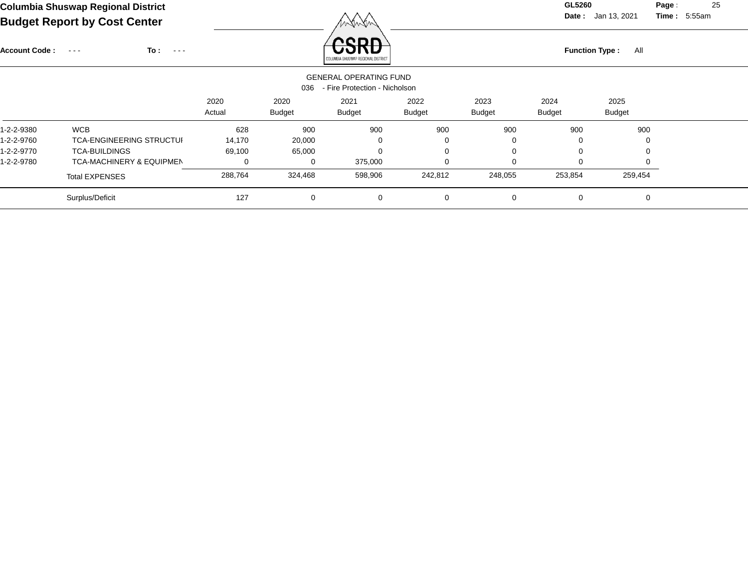**Date :** Jan 13, 2021 **Time :**

**Page :** 25 5:55am

| <b>Account Code:</b> | To:<br>$\sim$ $\sim$ $\sim$<br>$\sim 100$ $\sim$ |                |                       | חחסי<br>COLUMBIA SHUSWAP REGIONAL DISTRIC                      |                |                       | <b>Function Type:</b><br>All |                       |  |  |  |
|----------------------|--------------------------------------------------|----------------|-----------------------|----------------------------------------------------------------|----------------|-----------------------|------------------------------|-----------------------|--|--|--|
|                      |                                                  |                | 036                   | <b>GENERAL OPERATING FUND</b><br>- Fire Protection - Nicholson |                |                       |                              |                       |  |  |  |
|                      |                                                  | 2020<br>Actual | 2020<br><b>Budget</b> | 2021<br><b>Budget</b>                                          | 2022<br>Budget | 2023<br><b>Budget</b> | 2024<br><b>Budget</b>        | 2025<br><b>Budget</b> |  |  |  |
| 1-2-2-9380           | <b>WCB</b>                                       | 628            | 900                   | 900                                                            | 900            | 900                   | 900                          | 900                   |  |  |  |
| 1-2-2-9760           | <b>TCA-ENGINEERING STRUCTUL</b>                  | 14,170         | 20,000                | 0                                                              | 0              | $\mathbf 0$           | $\Omega$                     |                       |  |  |  |
| 1-2-2-9770           | <b>TCA-BUILDINGS</b>                             | 69,100         | 65,000                | 0                                                              | $\mathbf 0$    | 0                     | 0                            |                       |  |  |  |
| 1-2-2-9780           | <b>TCA-MACHINERY &amp; EQUIPMEN</b>              | 0              | 0                     | 375,000                                                        | $\mathbf 0$    | 0                     | $\Omega$                     |                       |  |  |  |
|                      | <b>Total EXPENSES</b>                            | 288,764        | 324,468               | 598,906                                                        | 242,812        | 248,055               | 253,854                      | 259,454               |  |  |  |
|                      | Surplus/Deficit                                  | 127            | $\mathbf 0$           | 0                                                              | $\mathbf 0$    | 0                     | 0                            | 0                     |  |  |  |
|                      |                                                  |                |                       |                                                                |                |                       |                              |                       |  |  |  |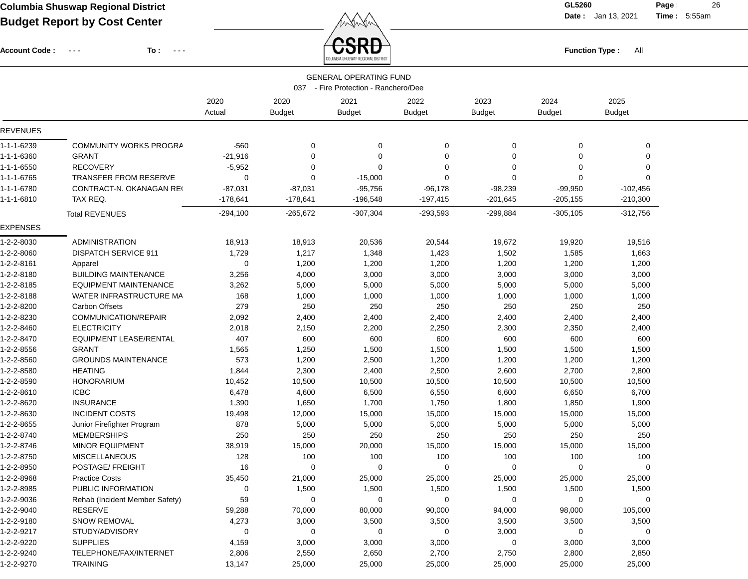**Date :** Jan 13, 2021 **Time :**

**Page :** 26 5:55am

Account Code : ---

÷

**To :**

Function Type : All<br>
COLUMBIA SHUSWAP REGIONAL DISTRICT

| <b>GENERAL OPERATING FUND</b><br>- Fire Protection - Ranchero/Dee<br>037 |                                |            |               |               |               |               |               |               |  |
|--------------------------------------------------------------------------|--------------------------------|------------|---------------|---------------|---------------|---------------|---------------|---------------|--|
|                                                                          |                                | 2020       | 2020          | 2021          | 2022          | 2023          | 2024          | 2025          |  |
|                                                                          |                                | Actual     | <b>Budget</b> | <b>Budget</b> | <b>Budget</b> | <b>Budget</b> | <b>Budget</b> | <b>Budget</b> |  |
| <b>REVENUES</b>                                                          |                                |            |               |               |               |               |               |               |  |
| 1-1-1-6239                                                               | <b>COMMUNITY WORKS PROGRA</b>  | -560       | 0             | 0             | 0             | $\mathbf 0$   | 0             | 0             |  |
| 1-1-1-6360                                                               | <b>GRANT</b>                   | $-21,916$  | $\mathbf 0$   | 0             | $\mathbf 0$   | $\Omega$      | 0             | 0             |  |
| 1-1-1-6550                                                               | <b>RECOVERY</b>                | $-5,952$   | $\Omega$      | 0             | $\Omega$      | $\Omega$      | 0             | $\Omega$      |  |
| 1-1-1-6765                                                               | <b>TRANSFER FROM RESERVE</b>   | 0          | 0             | $-15,000$     | $\Omega$      | $\Omega$      | 0             | $\Omega$      |  |
| 1-1-1-6780                                                               | CONTRACT-N. OKANAGAN RE        | $-87,031$  | $-87,031$     | $-95,756$     | $-96,178$     | $-98,239$     | $-99,950$     | $-102,456$    |  |
| 1-1-1-6810                                                               | TAX REQ.                       | -178,641   | $-178,641$    | -196,548      | $-197,415$    | $-201,645$    | $-205, 155$   | $-210,300$    |  |
|                                                                          | <b>Total REVENUES</b>          | $-294,100$ | $-265,672$    | $-307,304$    | $-293,593$    | $-299,884$    | $-305,105$    | $-312,756$    |  |
| <b>EXPENSES</b>                                                          |                                |            |               |               |               |               |               |               |  |
| 1-2-2-8030                                                               | <b>ADMINISTRATION</b>          | 18,913     | 18,913        | 20,536        | 20,544        | 19,672        | 19,920        | 19,516        |  |
| 1-2-2-8060                                                               | <b>DISPATCH SERVICE 911</b>    | 1,729      | 1,217         | 1,348         | 1,423         | 1,502         | 1,585         | 1,663         |  |
| 1-2-2-8161                                                               | Apparel                        | 0          | 1,200         | 1,200         | 1,200         | 1,200         | 1,200         | 1,200         |  |
| 1-2-2-8180                                                               | <b>BUILDING MAINTENANCE</b>    | 3,256      | 4,000         | 3,000         | 3,000         | 3,000         | 3,000         | 3,000         |  |
| 1-2-2-8185                                                               | EQUIPMENT MAINTENANCE          | 3,262      | 5,000         | 5,000         | 5,000         | 5,000         | 5,000         | 5,000         |  |
| 1-2-2-8188                                                               | WATER INFRASTRUCTURE MA        | 168        | 1,000         | 1,000         | 1,000         | 1,000         | 1,000         | 1,000         |  |
| 1-2-2-8200                                                               | <b>Carbon Offsets</b>          | 279        | 250           | 250           | 250           | 250           | 250           | 250           |  |
| 1-2-2-8230                                                               | COMMUNICATION/REPAIR           | 2,092      | 2,400         | 2,400         | 2,400         | 2,400         | 2,400         | 2,400         |  |
| 1-2-2-8460                                                               | <b>ELECTRICITY</b>             | 2,018      | 2,150         | 2,200         | 2,250         | 2,300         | 2,350         | 2,400         |  |
| 1-2-2-8470                                                               | <b>EQUIPMENT LEASE/RENTAL</b>  | 407        | 600           | 600           | 600           | 600           | 600           | 600           |  |
| 1-2-2-8556                                                               | <b>GRANT</b>                   | 1,565      | 1,250         | 1,500         | 1,500         | 1,500         | 1,500         | 1,500         |  |
| 1-2-2-8560                                                               | <b>GROUNDS MAINTENANCE</b>     | 573        | 1,200         | 2,500         | 1,200         | 1,200         | 1,200         | 1,200         |  |
| 1-2-2-8580                                                               | <b>HEATING</b>                 | 1,844      | 2,300         | 2,400         | 2,500         | 2,600         | 2,700         | 2,800         |  |
| 1-2-2-8590                                                               | <b>HONORARIUM</b>              | 10,452     | 10,500        | 10,500        | 10,500        | 10,500        | 10,500        | 10,500        |  |
| 1-2-2-8610                                                               | <b>ICBC</b>                    | 6,478      | 4,600         | 6,500         | 6,550         | 6,600         | 6,650         | 6,700         |  |
| 1-2-2-8620                                                               | <b>INSURANCE</b>               | 1,390      | 1,650         | 1,700         | 1,750         | 1,800         | 1,850         | 1,900         |  |
| 1-2-2-8630                                                               | <b>INCIDENT COSTS</b>          | 19,498     | 12,000        | 15,000        | 15,000        | 15,000        | 15,000        | 15,000        |  |
| 1-2-2-8655                                                               | Junior Firefighter Program     | 878        | 5,000         | 5,000         | 5,000         | 5,000         | 5,000         | 5,000         |  |
| 1-2-2-8740                                                               | <b>MEMBERSHIPS</b>             | 250        | 250           | 250           | 250           | 250           | 250           | 250           |  |
| 1-2-2-8746                                                               | MINOR EQUIPMENT                | 38,919     | 15,000        | 20,000        | 15,000        | 15,000        | 15,000        | 15,000        |  |
| 1-2-2-8750                                                               | <b>MISCELLANEOUS</b>           | 128        | 100           | 100           | 100           | 100           | 100           | 100           |  |
| 1-2-2-8950                                                               | POSTAGE/ FREIGHT               | 16         | $\mathbf 0$   | 0             | $\mathbf 0$   | 0             | 0             | 0             |  |
| 1-2-2-8968                                                               | <b>Practice Costs</b>          | 35,450     | 21,000        | 25,000        | 25,000        | 25,000        | 25,000        | 25,000        |  |
| 1-2-2-8985                                                               | PUBLIC INFORMATION             | 0          | 1,500         | 1,500         | 1,500         | 1,500         | 1,500         | 1,500         |  |
| 1-2-2-9036                                                               | Rehab (Incident Member Safety) | 59         | 0             | 0             | 0             | 0             | 0             | 0             |  |
| 1-2-2-9040                                                               | RESERVE                        | 59,288     | 70,000        | 80,000        | 90,000        | 94,000        | 98,000        | 105,000       |  |
| 1-2-2-9180                                                               | <b>SNOW REMOVAL</b>            | 4,273      | 3,000         | 3,500         | 3,500         | 3,500         | 3,500         | 3,500         |  |
| 1-2-2-9217                                                               | STUDY/ADVISORY                 | 0          | 0             | $\mathbf 0$   | 0             | 3,000         | 0             | $\mathbf 0$   |  |
| 1-2-2-9220                                                               | <b>SUPPLIES</b>                | 4,159      | 3,000         | 3,000         | 3,000         | 0             | 3,000         | 3,000         |  |
| 1-2-2-9240                                                               | TELEPHONE/FAX/INTERNET         | 2,806      | 2,550         | 2,650         | 2,700         | 2,750         | 2,800         | 2,850         |  |
| 1-2-2-9270                                                               | <b>TRAINING</b>                | 13,147     | 25,000        | 25,000        | 25,000        | 25,000        | 25,000        | 25,000        |  |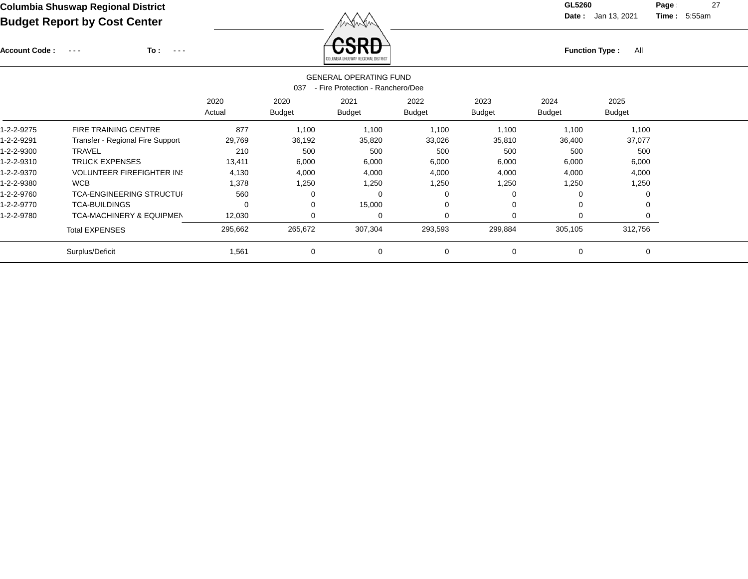Account Code : ---

**To :**

Function Type : All<br>
COLUMBIA SHUSWAP REGIONAL DISTRICT

**Date :** Jan 13, 2021 **Time :**

**Page :** 27 5:55am

| <b>GENERAL OPERATING FUND</b><br>- Fire Protection - Ranchero/Dee<br>037 |                                     |                |                       |                       |                       |                       |                       |                       |  |  |  |
|--------------------------------------------------------------------------|-------------------------------------|----------------|-----------------------|-----------------------|-----------------------|-----------------------|-----------------------|-----------------------|--|--|--|
|                                                                          |                                     | 2020<br>Actual | 2020<br><b>Budget</b> | 2021<br><b>Budget</b> | 2022<br><b>Budget</b> | 2023<br><b>Budget</b> | 2024<br><b>Budget</b> | 2025<br><b>Budget</b> |  |  |  |
| 1-2-2-9275                                                               | <b>FIRE TRAINING CENTRE</b>         | 877            | 1,100                 | 1,100                 | 1,100                 | 1,100                 | 1,100                 | 1,100                 |  |  |  |
| 1-2-2-9291                                                               | Transfer - Regional Fire Support    | 29,769         | 36,192                | 35,820                | 33,026                | 35,810                | 36,400                | 37,077                |  |  |  |
| 1-2-2-9300                                                               | <b>TRAVEL</b>                       | 210            | 500                   | 500                   | 500                   | 500                   | 500                   | 500                   |  |  |  |
| 1-2-2-9310                                                               | <b>TRUCK EXPENSES</b>               | 13,411         | 6,000                 | 6,000                 | 6,000                 | 6,000                 | 6,000                 | 6,000                 |  |  |  |
| 1-2-2-9370                                                               | <b>VOLUNTEER FIREFIGHTER IN!</b>    | 4,130          | 4,000                 | 4,000                 | 4,000                 | 4,000                 | 4,000                 | 4,000                 |  |  |  |
| 1-2-2-9380                                                               | <b>WCB</b>                          | 1,378          | 1,250                 | 1,250                 | 1,250                 | 1,250                 | 1,250                 | 1,250                 |  |  |  |
| 1-2-2-9760                                                               | <b>TCA-ENGINEERING STRUCTUI</b>     | 560            | ∩                     |                       |                       |                       |                       |                       |  |  |  |
| 1-2-2-9770                                                               | <b>TCA-BUILDINGS</b>                | 0              | 0                     | 15,000                | 0                     |                       | $\Omega$              |                       |  |  |  |
| 1-2-2-9780                                                               | <b>TCA-MACHINERY &amp; EQUIPMEN</b> | 12,030         | 0                     | 0                     | 0                     |                       | 0                     |                       |  |  |  |
|                                                                          | <b>Total EXPENSES</b>               | 295,662        | 265,672               | 307,304               | 293,593               | 299,884               | 305,105               | 312,756               |  |  |  |
|                                                                          | Surplus/Deficit                     | 1,561          | 0                     | 0                     | $\mathbf 0$           | 0                     | 0                     | $\Omega$              |  |  |  |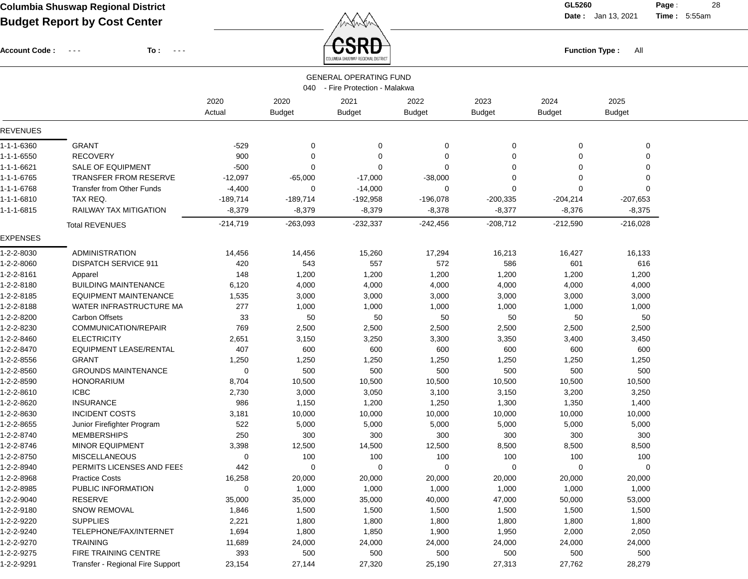Account Code : ---

**To :**

 $\overleftrightarrow{CSRD}$  Function Type : All

**Date :** Jan 13, 2021 **Time :**

**Page :** 28 5:55am

|                          |                                                  |                |                       | COLUMBIA SHUSWAP REGIONAL DISTRICT                               |                       |                       |                       |                       |  |
|--------------------------|--------------------------------------------------|----------------|-----------------------|------------------------------------------------------------------|-----------------------|-----------------------|-----------------------|-----------------------|--|
|                          |                                                  |                |                       | <b>GENERAL OPERATING FUND</b><br>040 - Fire Protection - Malakwa |                       |                       |                       |                       |  |
|                          |                                                  | 2020<br>Actual | 2020<br><b>Budget</b> | 2021<br><b>Budget</b>                                            | 2022<br><b>Budget</b> | 2023<br><b>Budget</b> | 2024<br><b>Budget</b> | 2025<br><b>Budget</b> |  |
| <b>REVENUES</b>          |                                                  |                |                       |                                                                  |                       |                       |                       |                       |  |
| 1-1-1-6360               | <b>GRANT</b>                                     | $-529$         | 0                     | 0                                                                | 0                     | 0                     | 0                     | 0                     |  |
| 1-1-1-6550               | <b>RECOVERY</b>                                  | 900            | 0                     | 0                                                                | 0                     | 0                     | 0                     | 0                     |  |
| 1-1-1-6621               | SALE OF EQUIPMENT                                | $-500$         | 0                     | 0                                                                | $\mathbf 0$           | 0                     | $\Omega$              | 0                     |  |
| 1-1-1-6765               | <b>TRANSFER FROM RESERVE</b>                     | $-12,097$      | $-65,000$             | $-17,000$                                                        | $-38,000$             | 0                     | 0                     | 0                     |  |
| 1-1-1-6768               | <b>Transfer from Other Funds</b>                 | $-4,400$       | 0                     | $-14,000$                                                        | 0                     | $\mathbf 0$           | $\mathbf 0$           | $\mathbf 0$           |  |
| 1-1-1-6810               | TAX REQ.                                         | $-189,714$     | $-189,714$            | $-192,958$                                                       | $-196,078$            | $-200,335$            | $-204,214$            | $-207,653$            |  |
| 1-1-1-6815               | RAILWAY TAX MITIGATION                           | $-8,379$       | $-8,379$              | $-8,379$                                                         | $-8,378$              | $-8,377$              | $-8,376$              | $-8,375$              |  |
|                          | <b>Total REVENUES</b>                            | $-214,719$     | $-263,093$            | $-232,337$                                                       | $-242,456$            | $-208,712$            | $-212,590$            | $-216,028$            |  |
| <b>EXPENSES</b>          |                                                  |                |                       |                                                                  |                       |                       |                       |                       |  |
| 1-2-2-8030               | <b>ADMINISTRATION</b>                            | 14,456         | 14,456                | 15,260                                                           | 17,294                | 16,213                | 16,427                | 16,133                |  |
| 1-2-2-8060               | <b>DISPATCH SERVICE 911</b>                      | 420            | 543                   | 557                                                              | 572                   | 586                   | 601                   | 616                   |  |
| 1-2-2-8161               | Apparel                                          | 148            | 1,200                 | 1,200                                                            | 1,200                 | 1,200                 | 1,200                 | 1,200                 |  |
| 1-2-2-8180               | <b>BUILDING MAINTENANCE</b>                      | 6,120          | 4,000                 | 4,000                                                            | 4,000                 | 4,000                 | 4,000                 | 4,000                 |  |
| 1-2-2-8185               | <b>EQUIPMENT MAINTENANCE</b>                     | 1,535          | 3,000                 | 3,000                                                            | 3,000                 | 3,000                 | 3,000                 | 3,000                 |  |
| 1-2-2-8188               | WATER INFRASTRUCTURE MA                          | 277            | 1,000                 | 1,000                                                            | 1,000                 | 1,000                 | 1,000                 | 1,000                 |  |
| 1-2-2-8200               | <b>Carbon Offsets</b>                            | 33             | 50                    | 50                                                               | 50                    | 50                    | 50                    | 50                    |  |
| 1-2-2-8230               | COMMUNICATION/REPAIR                             | 769            | 2,500                 | 2,500                                                            | 2,500                 | 2,500                 | 2,500                 | 2,500                 |  |
| 1-2-2-8460               | <b>ELECTRICITY</b>                               | 2,651          | 3,150                 | 3,250                                                            | 3,300                 | 3,350                 | 3,400                 | 3,450                 |  |
| 1-2-2-8470               | <b>EQUIPMENT LEASE/RENTAL</b>                    | 407            | 600                   | 600                                                              | 600                   | 600                   | 600                   | 600                   |  |
| 1-2-2-8556               | <b>GRANT</b>                                     | 1,250          | 1,250                 | 1,250                                                            | 1,250                 | 1,250                 | 1,250                 | 1,250                 |  |
| 1-2-2-8560               | <b>GROUNDS MAINTENANCE</b>                       | 0              | 500                   | 500                                                              | 500                   | 500                   | 500                   | 500                   |  |
| 1-2-2-8590               | <b>HONORARIUM</b>                                | 8,704          | 10,500                | 10,500                                                           | 10,500                | 10,500                | 10,500                | 10,500                |  |
| 1-2-2-8610               | <b>ICBC</b>                                      | 2,730          | 3,000                 | 3,050                                                            | 3,100                 | 3,150                 | 3,200                 | 3,250                 |  |
| 1-2-2-8620               | <b>INSURANCE</b>                                 | 986            | 1,150                 | 1,200                                                            | 1,250                 | 1,300                 | 1,350                 | 1,400                 |  |
| 1-2-2-8630<br>1-2-2-8655 | <b>INCIDENT COSTS</b>                            | 3,181<br>522   | 10,000                | 10,000<br>5,000                                                  | 10,000                | 10,000                | 10,000                | 10,000                |  |
| 1-2-2-8740               | Junior Firefighter Program<br><b>MEMBERSHIPS</b> | 250            | 5,000<br>300          | 300                                                              | 5,000<br>300          | 5,000<br>300          | 5,000<br>300          | 5,000<br>300          |  |
| 1-2-2-8746               | <b>MINOR EQUIPMENT</b>                           | 3,398          | 12,500                | 14,500                                                           | 12,500                | 8,500                 | 8,500                 | 8,500                 |  |
| 1-2-2-8750               | <b>MISCELLANEOUS</b>                             | 0              | 100                   | 100                                                              | 100                   | 100                   | 100                   | 100                   |  |
| 1-2-2-8940               | PERMITS LICENSES AND FEES                        | 442            | 0                     | 0                                                                | 0                     | 0                     | 0                     | 0                     |  |
| 1-2-2-8968               | <b>Practice Costs</b>                            | 16,258         | 20,000                | 20,000                                                           | 20,000                | 20,000                | 20,000                | 20,000                |  |
| 1-2-2-8985               | PUBLIC INFORMATION                               | 0              | 1,000                 | 1,000                                                            | 1,000                 | 1,000                 | 1,000                 | 1,000                 |  |
| 1-2-2-9040               | RESERVE                                          | 35,000         | 35,000                | 35,000                                                           | 40,000                | 47,000                | 50,000                | 53,000                |  |
| 1-2-2-9180               | <b>SNOW REMOVAL</b>                              | 1,846          | 1,500                 | 1,500                                                            | 1,500                 | 1,500                 | 1,500                 | 1,500                 |  |
| 1-2-2-9220               | <b>SUPPLIES</b>                                  | 2,221          | 1,800                 | 1,800                                                            | 1,800                 | 1,800                 | 1,800                 | 1,800                 |  |
| 1-2-2-9240               | TELEPHONE/FAX/INTERNET                           | 1,694          | 1,800                 | 1,850                                                            | 1,900                 | 1,950                 | 2,000                 | 2,050                 |  |
| 1-2-2-9270               | <b>TRAINING</b>                                  | 11,689         | 24,000                | 24,000                                                           | 24,000                | 24,000                | 24,000                | 24,000                |  |
| 1-2-2-9275               | FIRE TRAINING CENTRE                             | 393            | 500                   | 500                                                              | 500                   | 500                   | 500                   | 500                   |  |
| 1-2-2-9291               | Transfer - Regional Fire Support                 | 23,154         | 27,144                | 27,320                                                           | 25,190                | 27,313                | 27,762                | 28,279                |  |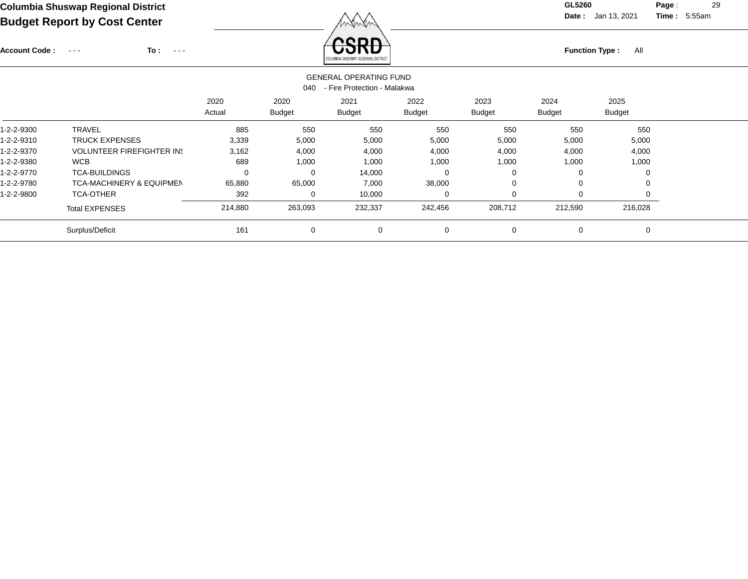Account Code : ---

**To :**

Function Type : All<br>COLUMBIA SHUSWAP REGIONAL DISTRICT

**Date :** Jan 13, 2021 **Time :**

**Page :** 29 5:55am

|            | <b>GENERAL OPERATING FUND</b><br>- Fire Protection - Malakwa<br>040 |                |                       |                       |                       |                       |                       |                       |  |  |  |  |
|------------|---------------------------------------------------------------------|----------------|-----------------------|-----------------------|-----------------------|-----------------------|-----------------------|-----------------------|--|--|--|--|
|            |                                                                     | 2020<br>Actual | 2020<br><b>Budget</b> | 2021<br><b>Budget</b> | 2022<br><b>Budget</b> | 2023<br><b>Budget</b> | 2024<br><b>Budget</b> | 2025<br><b>Budget</b> |  |  |  |  |
| 1-2-2-9300 | <b>TRAVEL</b>                                                       | 885            | 550                   | 550                   | 550                   | 550                   | 550                   | 550                   |  |  |  |  |
| 1-2-2-9310 | <b>TRUCK EXPENSES</b>                                               | 3,339          | 5,000                 | 5,000                 | 5,000                 | 5,000                 | 5,000                 | 5,000                 |  |  |  |  |
| 1-2-2-9370 | <b>VOLUNTEER FIREFIGHTER IN:</b>                                    | 3,162          | 4,000                 | 4,000                 | 4,000                 | 4,000                 | 4,000                 | 4,000                 |  |  |  |  |
| 1-2-2-9380 | <b>WCB</b>                                                          | 689            | 1,000                 | 1,000                 | 1,000                 | 1,000                 | 1,000                 | 1,000                 |  |  |  |  |
| 1-2-2-9770 | <b>TCA-BUILDINGS</b>                                                | 0              | $\Omega$              | 14,000                | 0                     |                       | 0                     |                       |  |  |  |  |
| 1-2-2-9780 | <b>TCA-MACHINERY &amp; EQUIPMEN</b>                                 | 65,880         | 65,000                | 7,000                 | 38,000                |                       | $\Omega$              |                       |  |  |  |  |
| 1-2-2-9800 | <b>TCA-OTHER</b>                                                    | 392            | 0                     | 10,000                | 0                     |                       | $\Omega$              |                       |  |  |  |  |
|            | <b>Total EXPENSES</b>                                               | 214,880        | 263,093               | 232,337               | 242,456               | 208,712               | 212,590               | 216,028               |  |  |  |  |
|            | Surplus/Deficit                                                     | 161            | 0                     | $\mathbf 0$           | 0                     | $\mathbf 0$           | 0                     | $\mathbf 0$           |  |  |  |  |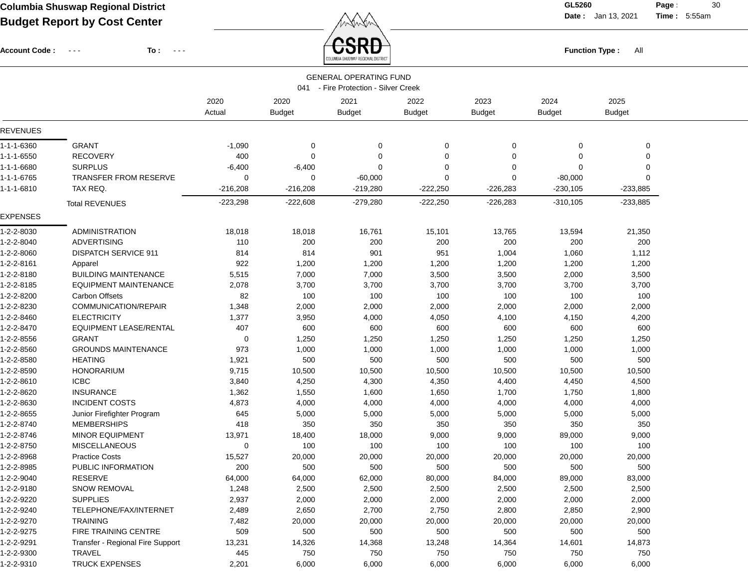**Date :** Jan 13, 2021 **Time :**

**Page :** 30 5:55am

| <b>Account Code :</b> | To :<br>$\sim$ $ -$<br>$\frac{1}{2} \left( \frac{1}{2} \right) \left( \frac{1}{2} \right) \left( \frac{1}{2} \right)$ |                |                       | SRA<br><b>Function Type:</b><br>All<br>DLUMBIA SHUSWAP REGIONAL DISTRIC |                       |                       |                       |                       |  |  |
|-----------------------|-----------------------------------------------------------------------------------------------------------------------|----------------|-----------------------|-------------------------------------------------------------------------|-----------------------|-----------------------|-----------------------|-----------------------|--|--|
|                       |                                                                                                                       |                |                       | <b>GENERAL OPERATING FUND</b>                                           |                       |                       |                       |                       |  |  |
|                       |                                                                                                                       |                |                       | 041 - Fire Protection - Silver Creek                                    |                       |                       |                       |                       |  |  |
|                       |                                                                                                                       | 2020<br>Actual | 2020<br><b>Budget</b> | 2021<br><b>Budget</b>                                                   | 2022<br><b>Budget</b> | 2023<br><b>Budget</b> | 2024<br><b>Budget</b> | 2025<br><b>Budget</b> |  |  |
| <b>REVENUES</b>       |                                                                                                                       |                |                       |                                                                         |                       |                       |                       |                       |  |  |
| 1-1-1-6360            | <b>GRANT</b>                                                                                                          | $-1,090$       | 0                     | 0                                                                       | 0                     | 0                     | 0                     | 0                     |  |  |
| 1-1-1-6550            | <b>RECOVERY</b>                                                                                                       | 400            | 0                     | 0                                                                       | 0                     | 0                     | 0                     | 0                     |  |  |
| 1-1-1-6680            | <b>SURPLUS</b>                                                                                                        | $-6,400$       | $-6,400$              | $\Omega$                                                                | 0                     | 0                     | 0                     | 0                     |  |  |
| 1-1-1-6765            | <b>TRANSFER FROM RESERVE</b>                                                                                          | 0              | 0                     | $-60,000$                                                               | $\Omega$              | 0                     | $-80,000$             | $\Omega$              |  |  |
| 1-1-1-6810            | TAX REQ.                                                                                                              | $-216,208$     | $-216,208$            | $-219,280$                                                              | $-222,250$            | $-226,283$            | $-230,105$            | $-233,885$            |  |  |
| <b>EXPENSES</b>       | <b>Total REVENUES</b>                                                                                                 | $-223,298$     | $-222,608$            | $-279,280$                                                              | $-222,250$            | $-226,283$            | $-310,105$            | $-233,885$            |  |  |
| 1-2-2-8030            | <b>ADMINISTRATION</b>                                                                                                 | 18,018         | 18,018                | 16,761                                                                  | 15,101                | 13,765                | 13,594                | 21,350                |  |  |
| 1-2-2-8040            | <b>ADVERTISING</b>                                                                                                    | 110            | 200                   | 200                                                                     | 200                   | 200                   | 200                   | 200                   |  |  |
| 1-2-2-8060            | <b>DISPATCH SERVICE 911</b>                                                                                           | 814            | 814                   | 901                                                                     | 951                   | 1,004                 | 1,060                 | 1,112                 |  |  |
| 1-2-2-8161            | Apparel                                                                                                               | 922            | 1,200                 | 1,200                                                                   | 1,200                 | 1,200                 | 1,200                 | 1,200                 |  |  |
| 1-2-2-8180            | <b>BUILDING MAINTENANCE</b>                                                                                           | 5,515          | 7,000                 | 7,000                                                                   | 3,500                 | 3,500                 | 2,000                 | 3,500                 |  |  |
| 1-2-2-8185            | <b>EQUIPMENT MAINTENANCE</b>                                                                                          | 2,078          | 3,700                 | 3,700                                                                   | 3,700                 | 3,700                 | 3,700                 | 3,700                 |  |  |
| 1-2-2-8200            | <b>Carbon Offsets</b>                                                                                                 | 82             | 100                   | 100                                                                     | 100                   | 100                   | 100                   | 100                   |  |  |
| 1-2-2-8230            | COMMUNICATION/REPAIR                                                                                                  | 1,348          | 2,000                 | 2,000                                                                   | 2,000                 | 2,000                 | 2,000                 | 2,000                 |  |  |
| 1-2-2-8460            | <b>ELECTRICITY</b>                                                                                                    | 1,377          | 3,950                 | 4,000                                                                   | 4,050                 | 4,100                 | 4,150                 | 4,200                 |  |  |
| 1-2-2-8470            | <b>EQUIPMENT LEASE/RENTAL</b>                                                                                         | 407            | 600                   | 600                                                                     | 600                   | 600                   | 600                   | 600                   |  |  |
| 1-2-2-8556            | <b>GRANT</b>                                                                                                          | 0              | 1,250                 | 1,250                                                                   | 1,250                 | 1,250                 | 1,250                 | 1,250                 |  |  |
| 1-2-2-8560            | <b>GROUNDS MAINTENANCE</b>                                                                                            | 973            | 1,000                 | 1,000                                                                   | 1,000                 | 1,000                 | 1,000                 | 1,000                 |  |  |
| 1-2-2-8580            | <b>HEATING</b>                                                                                                        | 1,921          | 500                   | 500                                                                     | 500                   | 500                   | 500                   | 500                   |  |  |
| 1-2-2-8590            | <b>HONORARIUM</b>                                                                                                     | 9,715          | 10,500                | 10,500                                                                  | 10,500                | 10,500                | 10,500                | 10,500                |  |  |
| 1-2-2-8610            | <b>ICBC</b>                                                                                                           | 3,840          | 4,250                 | 4,300                                                                   | 4,350                 | 4,400                 | 4,450                 | 4,500                 |  |  |
| 1-2-2-8620            | <b>INSURANCE</b>                                                                                                      | 1,362          | 1,550                 | 1,600                                                                   | 1,650                 | 1,700                 | 1,750                 | 1,800                 |  |  |
| 1-2-2-8630            | <b>INCIDENT COSTS</b>                                                                                                 | 4,873          | 4,000                 | 4,000                                                                   | 4,000                 | 4,000                 | 4,000                 | 4,000                 |  |  |
| 1-2-2-8655            | Junior Firefighter Program                                                                                            | 645            | 5,000                 | 5,000                                                                   | 5,000                 | 5,000                 | 5,000                 | 5,000                 |  |  |
| 1-2-2-8740            | <b>MEMBERSHIPS</b>                                                                                                    | 418            | 350                   | 350                                                                     | 350                   | 350                   | 350                   | 350                   |  |  |
| 1-2-2-8746            | <b>MINOR EQUIPMENT</b>                                                                                                | 13,971         | 18,400                | 18,000                                                                  | 9,000                 | 9,000                 | 89,000                | 9,000                 |  |  |
| 1-2-2-8750            | <b>MISCELLANEOUS</b>                                                                                                  | 0              | 100                   | 100                                                                     | 100                   | 100                   | 100                   | 100                   |  |  |
| 1-2-2-8968            | <b>Practice Costs</b>                                                                                                 | 15,527         | 20,000                | 20,000                                                                  | 20,000                | 20,000                | 20,000                | 20,000                |  |  |
| 1-2-2-8985            | PUBLIC INFORMATION                                                                                                    | 200            | 500                   | 500                                                                     | 500                   | 500                   | 500                   | 500                   |  |  |
| 1-2-2-9040            | <b>RESERVE</b>                                                                                                        | 64,000         | 64,000                | 62,000                                                                  | 80,000                | 84,000                | 89,000                | 83,000                |  |  |
| 1-2-2-9180            | <b>SNOW REMOVAL</b>                                                                                                   | 1,248          | 2,500                 | 2,500                                                                   | 2,500                 | 2,500                 | 2,500                 | 2,500                 |  |  |
| 1-2-2-9220            | <b>SUPPLIES</b>                                                                                                       | 2,937          | 2,000                 | 2,000                                                                   | 2,000                 | 2,000                 | 2,000                 | 2,000                 |  |  |
| 1-2-2-9240            | TELEPHONE/FAX/INTERNET                                                                                                | 2,489          | 2,650                 | 2,700                                                                   | 2,750                 | 2,800                 | 2,850                 | 2,900                 |  |  |
| 1-2-2-9270            | <b>TRAINING</b>                                                                                                       | 7,482          | 20,000                | 20,000                                                                  | 20,000                | 20,000                | 20,000                | 20,000                |  |  |
| 1-2-2-9275            | FIRE TRAINING CENTRE                                                                                                  | 509            | 500                   | 500                                                                     | 500                   | 500                   | 500                   | 500                   |  |  |
| 1-2-2-9291            | Transfer - Regional Fire Support                                                                                      | 13,231         | 14,326                | 14,368                                                                  | 13,248                | 14,364                | 14,601                | 14,873                |  |  |
| 1-2-2-9300            | TRAVEL                                                                                                                | 445            | 750                   | 750                                                                     | 750                   | 750                   | 750                   | 750                   |  |  |
| 1-2-2-9310            | <b>TRUCK EXPENSES</b>                                                                                                 | 2,201          | 6,000                 | 6,000                                                                   | 6,000                 | 6,000                 | 6,000                 | 6,000                 |  |  |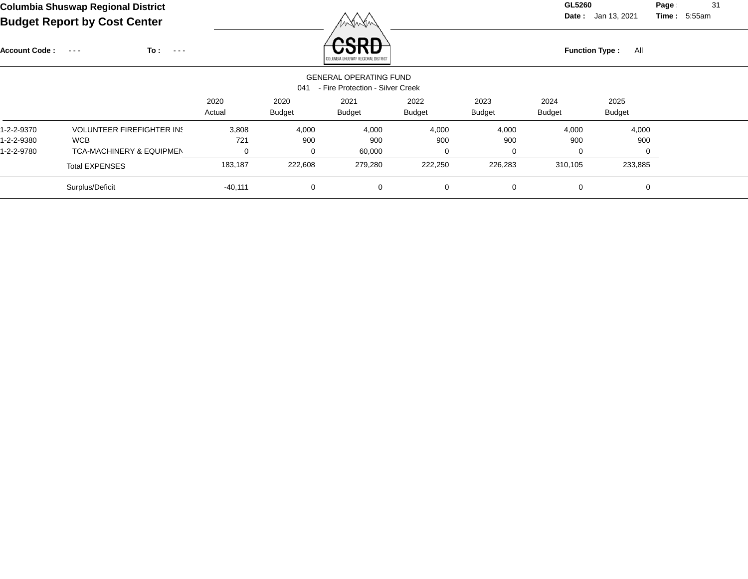**Date :** Jan 13, 2021 **Time :**

**Page :** 31 5:55am

| <b>Account Code:</b> | To :<br>$\sim$ $\sim$ $\sim$<br>$\sim$ $\sim$ $\sim$ |                |                       | nonr<br>COLUMBIA SHUSWAP REGIONAL DISTRICT                        |                |                       | <b>Function Type:</b> | All                   |  |
|----------------------|------------------------------------------------------|----------------|-----------------------|-------------------------------------------------------------------|----------------|-----------------------|-----------------------|-----------------------|--|
|                      |                                                      |                | 041                   | <b>GENERAL OPERATING FUND</b><br>- Fire Protection - Silver Creek |                |                       |                       |                       |  |
|                      |                                                      | 2020<br>Actual | 2020<br><b>Budget</b> | 2021<br><b>Budget</b>                                             | 2022<br>Budget | 2023<br><b>Budget</b> | 2024<br><b>Budget</b> | 2025<br><b>Budget</b> |  |
| 1-2-2-9370           | <b>VOLUNTEER FIREFIGHTER IN!</b>                     | 3,808          | 4,000                 | 4,000                                                             | 4,000          | 4,000                 | 4,000                 | 4,000                 |  |
| 1-2-2-9380           | <b>WCB</b>                                           | 721            | 900                   | 900                                                               | 900            | 900                   | 900                   | 900                   |  |
| 1-2-2-9780           | <b>TCA-MACHINERY &amp; EQUIPMEN</b>                  | 0              | 0                     | 60,000                                                            | 0              | 0                     | 0                     | $\Omega$              |  |
|                      | <b>Total EXPENSES</b>                                | 183,187        | 222,608               | 279,280                                                           | 222,250        | 226,283               | 310,105               | 233,885               |  |
|                      | Surplus/Deficit                                      | $-40,111$      | 0                     | 0                                                                 | $\mathbf 0$    | $\mathbf 0$           | 0                     | 0                     |  |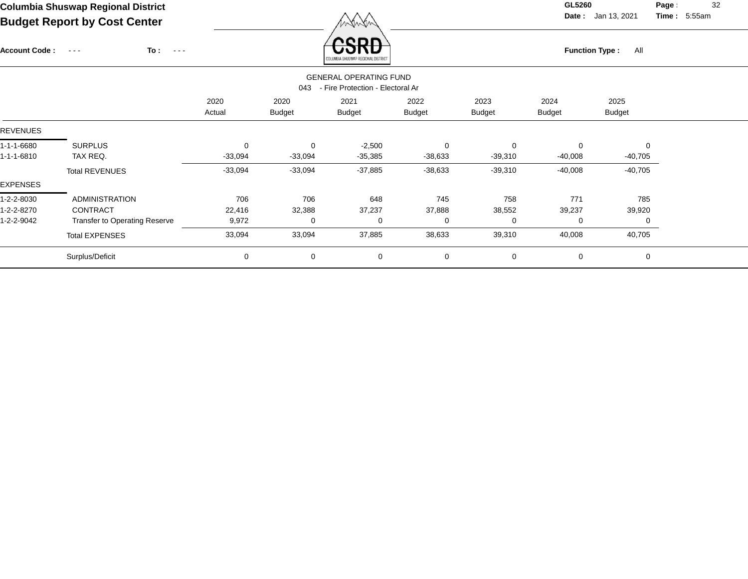Account Code : ---

**To :**

**Function Type :** All

**Date :** Jan 13, 2021 **Time :**

**Page :** 32 5:55am

|                 |                                         |           |               | <b>GENERAL OPERATING FUND</b> |               |               |               |               |  |  |  |  |  |
|-----------------|-----------------------------------------|-----------|---------------|-------------------------------|---------------|---------------|---------------|---------------|--|--|--|--|--|
|                 | - Fire Protection - Electoral Ar<br>043 |           |               |                               |               |               |               |               |  |  |  |  |  |
|                 |                                         | 2020      | 2020          | 2021                          | 2022          | 2023          | 2024          | 2025          |  |  |  |  |  |
|                 |                                         | Actual    | <b>Budget</b> | <b>Budget</b>                 | <b>Budget</b> | <b>Budget</b> | <b>Budget</b> | <b>Budget</b> |  |  |  |  |  |
| <b>REVENUES</b> |                                         |           |               |                               |               |               |               |               |  |  |  |  |  |
| 1-1-1-6680      | <b>SURPLUS</b>                          | 0         | $\mathbf 0$   | $-2,500$                      | 0             | $\mathbf 0$   | $\mathbf 0$   | $\mathbf 0$   |  |  |  |  |  |
| 1-1-1-6810      | TAX REQ.                                | $-33,094$ | $-33,094$     | $-35,385$                     | $-38,633$     | $-39,310$     | $-40,008$     | $-40,705$     |  |  |  |  |  |
|                 | <b>Total REVENUES</b>                   | $-33,094$ | $-33,094$     | $-37,885$                     | $-38,633$     | $-39,310$     | $-40,008$     | $-40,705$     |  |  |  |  |  |
| <b>EXPENSES</b> |                                         |           |               |                               |               |               |               |               |  |  |  |  |  |
| 1-2-2-8030      | <b>ADMINISTRATION</b>                   | 706       | 706           | 648                           | 745           | 758           | 771           | 785           |  |  |  |  |  |
| 1-2-2-8270      | <b>CONTRACT</b>                         | 22,416    | 32,388        | 37,237                        | 37,888        | 38,552        | 39,237        | 39,920        |  |  |  |  |  |
| 1-2-2-9042      | <b>Transfer to Operating Reserve</b>    | 9,972     | 0             | 0                             | 0             | 0             | 0             | 0             |  |  |  |  |  |
|                 | <b>Total EXPENSES</b>                   | 33,094    | 33,094        | 37,885                        | 38,633        | 39,310        | 40,008        | 40,705        |  |  |  |  |  |
|                 | Surplus/Deficit                         | 0         | $\mathbf 0$   | 0                             | 0             | 0             | 0             | $\mathbf 0$   |  |  |  |  |  |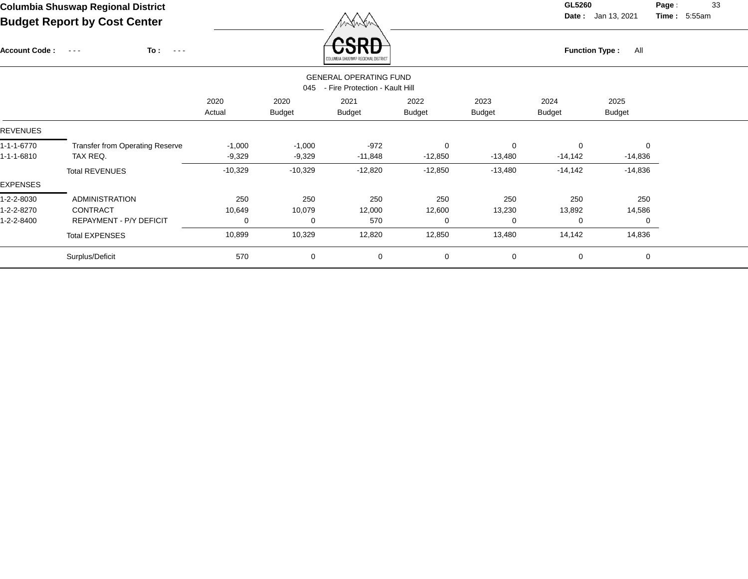Account Code : ---

**To :**

 $\overline{CSPD}$  Function Type : All

**Date :** Jan 13, 2021 **Time :**

**Page :** 33 5:55am

|                                                                        |                                                                     |                      |                       | COLUMBIA SHUSWAP REGIONAL DISTRICT |                           |                           |                       |                               |  |  |  |  |
|------------------------------------------------------------------------|---------------------------------------------------------------------|----------------------|-----------------------|------------------------------------|---------------------------|---------------------------|-----------------------|-------------------------------|--|--|--|--|
| <b>GENERAL OPERATING FUND</b><br>- Fire Protection - Kault Hill<br>045 |                                                                     |                      |                       |                                    |                           |                           |                       |                               |  |  |  |  |
|                                                                        |                                                                     | 2020<br>Actual       | 2020<br><b>Budget</b> | 2021<br>Budget                     | 2022<br><b>Budget</b>     | 2023<br><b>Budget</b>     | 2024<br><b>Budget</b> | 2025<br><b>Budget</b>         |  |  |  |  |
| <b>REVENUES</b>                                                        |                                                                     |                      |                       |                                    |                           |                           |                       |                               |  |  |  |  |
| 1-1-1-6770<br>1-1-1-6810                                               | <b>Transfer from Operating Reserve</b><br>TAX REQ.                  | $-1,000$<br>$-9,329$ | $-1,000$<br>$-9,329$  | -972<br>-11,848                    | $\mathbf 0$<br>$-12,850$  | $\Omega$<br>$-13,480$     | 0<br>$-14,142$        | $\mathbf 0$<br>$-14,836$      |  |  |  |  |
| <b>EXPENSES</b>                                                        | <b>Total REVENUES</b>                                               | $-10,329$            | $-10,329$             | $-12,820$                          | $-12,850$                 | $-13,480$                 | $-14,142$             | $-14,836$                     |  |  |  |  |
| 1-2-2-8030<br>1-2-2-8270<br>1-2-2-8400                                 | <b>ADMINISTRATION</b><br>CONTRACT<br><b>REPAYMENT - P/Y DEFICIT</b> | 250<br>10,649<br>0   | 250<br>10,079<br>0    | 250<br>12,000<br>570               | 250<br>12,600<br>$\Omega$ | 250<br>13,230<br>$\Omega$ | 250<br>13,892<br>0    | 250<br>14,586<br>$\mathbf{0}$ |  |  |  |  |
|                                                                        | <b>Total EXPENSES</b>                                               | 10,899               | 10,329                | 12,820                             | 12,850                    | 13,480                    | 14,142                | 14,836                        |  |  |  |  |
|                                                                        | Surplus/Deficit                                                     | 570                  | $\mathbf 0$           | 0                                  | $\mathbf 0$               | $\mathbf 0$               | 0                     | 0                             |  |  |  |  |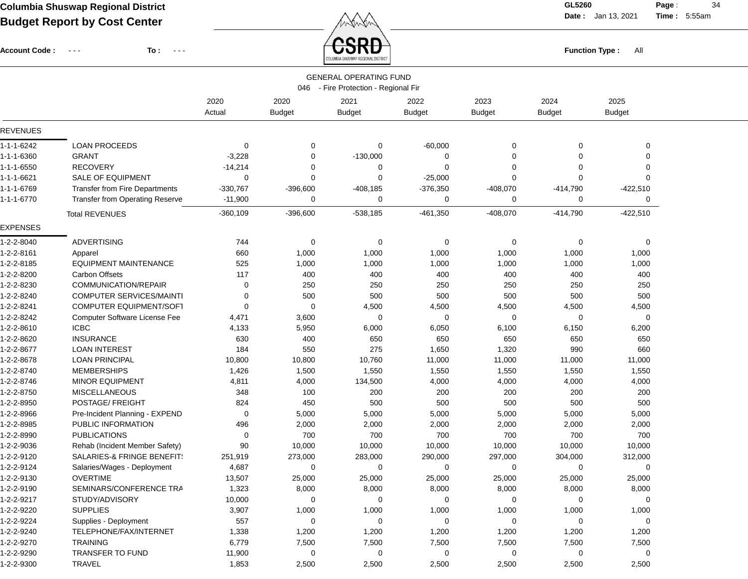**Date :** Jan 13, 2021 **Time :**

**Page :** 34 5:55am

Account Code : ---

**To :**

Function Type : All<br> **Function Type** : All

|                 | <b>GENERAL OPERATING FUND</b><br>046 - Fire Protection - Regional Fir |                |                       |                       |                       |                       |                       |                       |  |  |  |
|-----------------|-----------------------------------------------------------------------|----------------|-----------------------|-----------------------|-----------------------|-----------------------|-----------------------|-----------------------|--|--|--|
|                 |                                                                       | 2020<br>Actual | 2020<br><b>Budget</b> | 2021<br><b>Budget</b> | 2022<br><b>Budget</b> | 2023<br><b>Budget</b> | 2024<br><b>Budget</b> | 2025<br><b>Budget</b> |  |  |  |
| <b>REVENUES</b> |                                                                       |                |                       |                       |                       |                       |                       |                       |  |  |  |
| 1-1-1-6242      | <b>LOAN PROCEEDS</b>                                                  | 0              | 0                     | 0                     | $-60,000$             | $\Omega$              | 0                     | 0                     |  |  |  |
| 1-1-1-6360      | <b>GRANT</b>                                                          | $-3,228$       | $\overline{0}$        | $-130,000$            | 0                     | $\Omega$              | 0                     | 0                     |  |  |  |
| 1-1-1-6550      | <b>RECOVERY</b>                                                       | $-14,214$      | $\Omega$              | $\Omega$              | $\mathbf 0$           | $\Omega$              | 0                     | $\Omega$              |  |  |  |
| 1-1-1-6621      | <b>SALE OF EQUIPMENT</b>                                              | 0              | 0                     | 0                     | $-25,000$             | $\Omega$              | 0                     | $\Omega$              |  |  |  |
| 1-1-1-6769      | <b>Transfer from Fire Departments</b>                                 | $-330,767$     | $-396,600$            | $-408,185$            | $-376,350$            | $-408,070$            | $-414,790$            | $-422,510$            |  |  |  |
| 1-1-1-6770      | Transfer from Operating Reserve                                       | $-11,900$      | 0                     | 0                     | $\Omega$              | 0                     | 0                     | 0                     |  |  |  |
|                 | <b>Total REVENUES</b>                                                 | $-360,109$     | $-396,600$            | $-538,185$            | $-461,350$            | $-408,070$            | $-414,790$            | $-422,510$            |  |  |  |
| <b>EXPENSES</b> |                                                                       |                |                       |                       |                       |                       |                       |                       |  |  |  |
| 1-2-2-8040      | <b>ADVERTISING</b>                                                    | 744            | 0                     | 0                     | 0                     | 0                     | 0                     | 0                     |  |  |  |
| 1-2-2-8161      | Apparel                                                               | 660            | 1,000                 | 1,000                 | 1,000                 | 1,000                 | 1,000                 | 1,000                 |  |  |  |
| 1-2-2-8185      | <b>EQUIPMENT MAINTENANCE</b>                                          | 525            | 1,000                 | 1,000                 | 1,000                 | 1,000                 | 1,000                 | 1,000                 |  |  |  |
| 1-2-2-8200      | <b>Carbon Offsets</b>                                                 | 117            | 400                   | 400                   | 400                   | 400                   | 400                   | 400                   |  |  |  |
| 1-2-2-8230      | COMMUNICATION/REPAIR                                                  | 0              | 250                   | 250                   | 250                   | 250                   | 250                   | 250                   |  |  |  |
| 1-2-2-8240      | <b>COMPUTER SERVICES/MAINTI</b>                                       | 0              | 500                   | 500                   | 500                   | 500                   | 500                   | 500                   |  |  |  |
| 1-2-2-8241      | COMPUTER EQUIPMENT/SOFT                                               | 0              | 0                     | 4,500                 | 4,500                 | 4,500                 | 4,500                 | 4,500                 |  |  |  |
| 1-2-2-8242      | <b>Computer Software License Fee</b>                                  | 4,471          | 3,600                 | 0                     | 0                     | 0                     | 0                     | $\mathbf 0$           |  |  |  |
| 1-2-2-8610      | <b>ICBC</b>                                                           | 4,133          | 5,950                 | 6,000                 | 6,050                 | 6,100                 | 6,150                 | 6,200                 |  |  |  |
| 1-2-2-8620      | <b>INSURANCE</b>                                                      | 630            | 400                   | 650                   | 650                   | 650                   | 650                   | 650                   |  |  |  |
| 1-2-2-8677      | <b>LOAN INTEREST</b>                                                  | 184            | 550                   | 275                   | 1,650                 | 1,320                 | 990                   | 660                   |  |  |  |
| 1-2-2-8678      | <b>LOAN PRINCIPAL</b>                                                 | 10,800         | 10,800                | 10,760                | 11,000                | 11,000                | 11,000                | 11,000                |  |  |  |
| 1-2-2-8740      | <b>MEMBERSHIPS</b>                                                    | 1,426          | 1,500                 | 1,550                 | 1,550                 | 1,550                 | 1,550                 | 1,550                 |  |  |  |
| 1-2-2-8746      | MINOR EQUIPMENT                                                       | 4,811          | 4,000                 | 134,500               | 4,000                 | 4,000                 | 4,000                 | 4,000                 |  |  |  |
| 1-2-2-8750      | <b>MISCELLANEOUS</b>                                                  | 348            | 100                   | 200                   | 200                   | 200                   | 200                   | 200                   |  |  |  |
| 1-2-2-8950      | POSTAGE/ FREIGHT                                                      | 824            | 450                   | 500                   | 500                   | 500                   | 500                   | 500                   |  |  |  |
| 1-2-2-8966      | Pre-Incident Planning - EXPEND                                        | 0              | 5,000                 | 5,000                 | 5,000                 | 5,000                 | 5,000                 | 5,000                 |  |  |  |
| 1-2-2-8985      | PUBLIC INFORMATION                                                    | 496            | 2,000                 | 2,000                 | 2,000                 | 2,000                 | 2,000                 | 2,000                 |  |  |  |
| 1-2-2-8990      | <b>PUBLICATIONS</b>                                                   | 0              | 700                   | 700                   | 700                   | 700                   | 700                   | 700                   |  |  |  |
| 1-2-2-9036      | Rehab (Incident Member Safety)                                        | 90             | 10,000                | 10,000                | 10,000                | 10,000                | 10,000                | 10,000                |  |  |  |
| 1-2-2-9120      | SALARIES-& FRINGE BENEFIT:                                            | 251,919        | 273,000               | 283,000               | 290,000               | 297,000               | 304,000               | 312,000               |  |  |  |
| 1-2-2-9124      | Salaries/Wages - Deployment                                           | 4,687          | 0                     | 0                     | $\mathbf 0$           | $\mathbf 0$           | 0                     | 0                     |  |  |  |
| 1-2-2-9130      | <b>OVERTIME</b>                                                       | 13,507         | 25,000                | 25,000                | 25,000                | 25,000                | 25,000                | 25,000                |  |  |  |
| 1-2-2-9190      | SEMINARS/CONFERENCE TRA                                               | 1,323          | 8,000                 | 8,000                 | 8,000                 | 8,000                 | 8,000                 | 8,000                 |  |  |  |
| 1-2-2-9217      | STUDY/ADVISORY                                                        | 10,000         | 0                     | 0                     | 0                     | 0                     | 0                     | 0                     |  |  |  |
| 1-2-2-9220      | <b>SUPPLIES</b>                                                       | 3,907          | 1,000                 | 1,000                 | 1,000                 | 1,000                 | 1,000                 | 1,000                 |  |  |  |
| 1-2-2-9224      | Supplies - Deployment                                                 | 557            | 0                     | 0                     | 0                     | 0                     | 0                     | 0                     |  |  |  |
| 1-2-2-9240      | TELEPHONE/FAX/INTERNET                                                | 1,338          | 1,200                 | 1,200                 | 1,200                 | 1,200                 | 1,200                 | 1,200                 |  |  |  |
| 1-2-2-9270      | <b>TRAINING</b>                                                       | 6,779          | 7,500                 | 7,500                 | 7,500                 | 7,500                 | 7,500                 | 7,500                 |  |  |  |
| 1-2-2-9290      | TRANSFER TO FUND                                                      | 11,900         | 0                     | 0                     | 0                     | 0                     | 0                     | 0                     |  |  |  |
| 1-2-2-9300      | <b>TRAVEL</b>                                                         | 1,853          | 2,500                 | 2,500                 | 2,500                 | 2,500                 | 2,500                 | 2,500                 |  |  |  |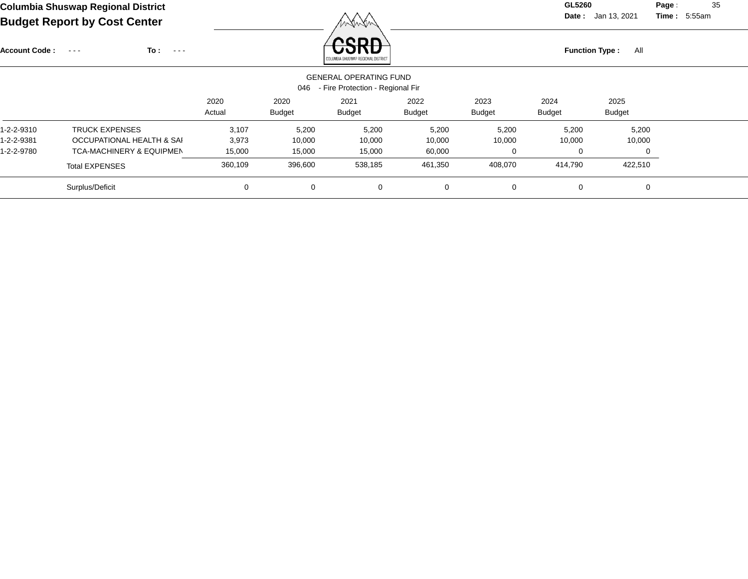**Date :** Jan 13, 2021 **Time :**

**Page :** 35 5:55am

| <b>Account Code:</b> | To:<br>$\sim$ $\sim$ $\sim$<br>$\sim$ $\sim$ $\sim$ |         |               | neon<br>COLUMBIA SHUSWAP REGIONAL DISTRICT                        |         |               | <b>Function Type:</b><br>All |               |  |  |  |
|----------------------|-----------------------------------------------------|---------|---------------|-------------------------------------------------------------------|---------|---------------|------------------------------|---------------|--|--|--|
|                      |                                                     |         | 046           | <b>GENERAL OPERATING FUND</b><br>- Fire Protection - Regional Fir |         |               |                              |               |  |  |  |
|                      |                                                     | 2020    | 2020          | 2021                                                              | 2022    | 2023          | 2024                         | 2025          |  |  |  |
|                      |                                                     | Actual  | <b>Budget</b> | <b>Budget</b>                                                     | Budget  | <b>Budget</b> | <b>Budget</b>                | <b>Budget</b> |  |  |  |
| 1-2-2-9310           | <b>TRUCK EXPENSES</b>                               | 3,107   | 5,200         | 5,200                                                             | 5,200   | 5,200         | 5,200                        | 5,200         |  |  |  |
| 1-2-2-9381           | OCCUPATIONAL HEALTH & SAI                           | 3,973   | 10,000        | 10,000                                                            | 10,000  | 10,000        | 10,000                       | 10,000        |  |  |  |
| 1-2-2-9780           | <b>TCA-MACHINERY &amp; EQUIPMEN</b>                 | 15,000  | 15,000        | 15,000                                                            | 60,000  | 0             | $\Omega$                     |               |  |  |  |
|                      | <b>Total EXPENSES</b>                               | 360,109 | 396,600       | 538,185                                                           | 461,350 | 408,070       | 414,790                      | 422,510       |  |  |  |
|                      | Surplus/Deficit                                     | 0       | 0             | 0                                                                 | 0       | 0             | 0                            | 0             |  |  |  |
|                      |                                                     |         |               |                                                                   |         |               |                              |               |  |  |  |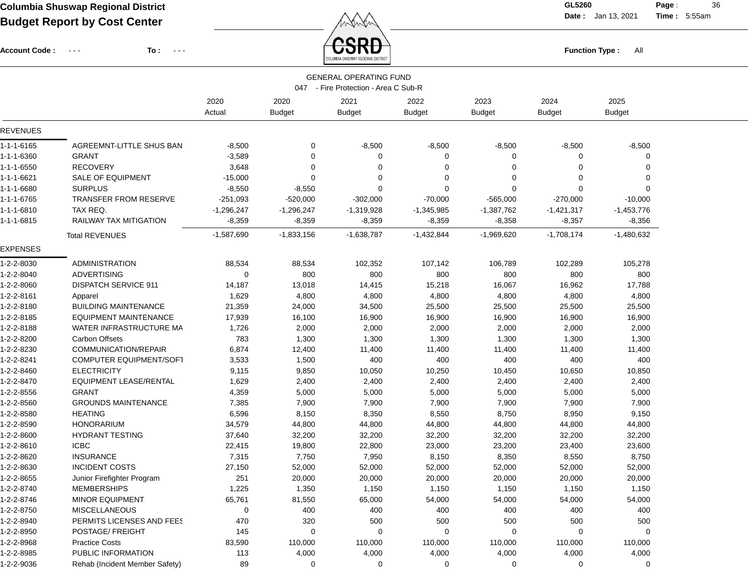Account Code : ---

**To :**

 $\overleftrightarrow{CSRD}$  Function Type : All

**Date :** Jan 13, 2021 **Time :**

**Page :** 36 5:55am

|                                                                       |                                |                |                       | Olumbia shusway kegional distric |                       |                       |                       |                       |  |
|-----------------------------------------------------------------------|--------------------------------|----------------|-----------------------|----------------------------------|-----------------------|-----------------------|-----------------------|-----------------------|--|
| <b>GENERAL OPERATING FUND</b><br>047 - Fire Protection - Area C Sub-R |                                |                |                       |                                  |                       |                       |                       |                       |  |
|                                                                       |                                | 2020<br>Actual | 2020<br><b>Budget</b> | 2021<br><b>Budget</b>            | 2022<br><b>Budget</b> | 2023<br><b>Budget</b> | 2024<br><b>Budget</b> | 2025<br><b>Budget</b> |  |
| <b>REVENUES</b>                                                       |                                |                |                       |                                  |                       |                       |                       |                       |  |
| 1-1-1-6165                                                            | AGREEMNT-LITTLE SHUS BAN       | $-8,500$       | 0                     | $-8,500$                         | $-8,500$              | $-8,500$              | $-8,500$              | $-8,500$              |  |
| 1-1-1-6360                                                            | <b>GRANT</b>                   | $-3,589$       | 0                     | 0                                | 0                     | 0                     | 0                     | 0                     |  |
| 1-1-1-6550                                                            | <b>RECOVERY</b>                | 3,648          | 0                     | 0                                | 0                     | 0                     | 0                     | 0                     |  |
| 1-1-1-6621                                                            | SALE OF EQUIPMENT              | $-15,000$      | 0                     | 0                                | 0                     | 0                     | 0                     | 0                     |  |
| 1-1-1-6680                                                            | <b>SURPLUS</b>                 | $-8,550$       | $-8,550$              | $\mathbf 0$                      | $\mathbf 0$           | $\Omega$              | $\mathbf 0$           | $\mathbf 0$           |  |
| 1-1-1-6765                                                            | <b>TRANSFER FROM RESERVE</b>   | $-251,093$     | $-520,000$            | $-302,000$                       | $-70,000$             | $-565,000$            | $-270,000$            | $-10,000$             |  |
| 1-1-1-6810                                                            | TAX REQ.                       | $-1,296,247$   | $-1,296,247$          | $-1,319,928$                     | $-1,345,985$          | $-1,387,762$          | $-1,421,317$          | $-1,453,776$          |  |
| 1-1-1-6815                                                            | RAILWAY TAX MITIGATION         | $-8,359$       | $-8,359$              | $-8,359$                         | $-8,359$              | $-8,358$              | $-8,357$              | $-8,356$              |  |
|                                                                       | <b>Total REVENUES</b>          | $-1,587,690$   | $-1,833,156$          | $-1,638,787$                     | $-1,432,844$          | $-1,969,620$          | $-1,708,174$          | $-1,480,632$          |  |
| EXPENSES                                                              |                                |                |                       |                                  |                       |                       |                       |                       |  |
| 1-2-2-8030                                                            | <b>ADMINISTRATION</b>          | 88,534         | 88,534                | 102,352                          | 107,142               | 106,789               | 102,289               | 105,278               |  |
| 1-2-2-8040                                                            | <b>ADVERTISING</b>             | 0              | 800                   | 800                              | 800                   | 800                   | 800                   | 800                   |  |
| 1-2-2-8060                                                            | <b>DISPATCH SERVICE 911</b>    | 14,187         | 13,018                | 14,415                           | 15,218                | 16,067                | 16,962                | 17,788                |  |
| 1-2-2-8161                                                            | Apparel                        | 1,629          | 4,800                 | 4,800                            | 4,800                 | 4,800                 | 4,800                 | 4,800                 |  |
| 1-2-2-8180                                                            | <b>BUILDING MAINTENANCE</b>    | 21,359         | 24,000                | 34,500                           | 25,500                | 25,500                | 25,500                | 25,500                |  |
| 1-2-2-8185                                                            | <b>EQUIPMENT MAINTENANCE</b>   | 17,939         | 16,100                | 16,900                           | 16,900                | 16,900                | 16,900                | 16,900                |  |
| 1-2-2-8188                                                            | WATER INFRASTRUCTURE MA        | 1,726          | 2,000                 | 2,000                            | 2,000                 | 2,000                 | 2,000                 | 2,000                 |  |
| 1-2-2-8200                                                            | <b>Carbon Offsets</b>          | 783            | 1,300                 | 1,300                            | 1,300                 | 1,300                 | 1,300                 | 1,300                 |  |
| 1-2-2-8230                                                            | COMMUNICATION/REPAIR           | 6,874          | 12,400                | 11,400                           | 11,400                | 11,400                | 11,400                | 11,400                |  |
| 1-2-2-8241                                                            | COMPUTER EQUIPMENT/SOFT        | 3,533          | 1,500                 | 400                              | 400                   | 400                   | 400                   | 400                   |  |
| 1-2-2-8460                                                            | <b>ELECTRICITY</b>             | 9,115          | 9,850                 | 10,050                           | 10,250                | 10,450                | 10,650                | 10,850                |  |
| 1-2-2-8470                                                            | <b>EQUIPMENT LEASE/RENTAL</b>  | 1,629          | 2,400                 | 2,400                            | 2,400                 | 2,400                 | 2,400                 | 2,400                 |  |
| 1-2-2-8556                                                            | <b>GRANT</b>                   | 4,359          | 5,000                 | 5,000                            | 5,000                 | 5,000                 | 5,000                 | 5,000                 |  |
| 1-2-2-8560                                                            | <b>GROUNDS MAINTENANCE</b>     | 7,385          | 7,900                 | 7,900                            | 7,900                 | 7,900                 | 7,900                 | 7,900                 |  |
| 1-2-2-8580                                                            | <b>HEATING</b>                 | 6,596          | 8,150                 | 8,350                            | 8,550                 | 8,750                 | 8,950                 | 9,150                 |  |
| 1-2-2-8590                                                            | <b>HONORARIUM</b>              | 34,579         | 44,800                | 44,800                           | 44,800                | 44,800                | 44,800                | 44,800                |  |
| 1-2-2-8600                                                            | <b>HYDRANT TESTING</b>         | 37,640         | 32,200                | 32,200                           | 32,200                | 32,200                | 32,200                | 32,200                |  |
| 1-2-2-8610                                                            | <b>ICBC</b>                    | 22,415         | 19,800                | 22,800                           | 23,000                | 23,200                | 23,400                | 23,600                |  |
| 1-2-2-8620                                                            | <b>INSURANCE</b>               | 7,315          | 7,750                 | 7,950                            | 8,150                 | 8,350                 | 8,550                 | 8,750                 |  |
| 1-2-2-8630                                                            | <b>INCIDENT COSTS</b>          | 27,150         | 52,000                | 52,000                           | 52,000                | 52,000                | 52,000                | 52,000                |  |
| 1-2-2-8655                                                            | Junior Firefighter Program     | 251            | 20,000                | 20,000                           | 20,000                | 20,000                | 20,000                | 20,000                |  |
| 1-2-2-8740                                                            | <b>MEMBERSHIPS</b>             | 1,225          | 1,350                 | 1,150                            | 1,150                 | 1,150                 | 1,150                 | 1,150                 |  |
| 1-2-2-8746                                                            | MINOR EQUIPMENT                | 65,761         | 81,550                | 65,000                           | 54,000                | 54,000                | 54,000                | 54,000                |  |
| 1-2-2-8750                                                            | <b>MISCELLANEOUS</b>           | 0              | 400                   | 400                              | 400                   | 400                   | 400                   | 400                   |  |
| 1-2-2-8940                                                            | PERMITS LICENSES AND FEES      | 470            | 320                   | 500                              | 500                   | 500                   | 500                   | 500                   |  |
| 1-2-2-8950                                                            | POSTAGE/ FREIGHT               | 145            | 0                     | 0                                | 0                     | 0                     | 0                     | 0                     |  |
| 1-2-2-8968                                                            | <b>Practice Costs</b>          | 83,590         | 110,000               | 110,000                          | 110,000               | 110,000               | 110,000               | 110,000               |  |
| 1-2-2-8985                                                            | PUBLIC INFORMATION             | 113            | 4,000                 | 4,000                            | 4,000                 | 4,000                 | 4,000                 | 4,000                 |  |
| 1-2-2-9036                                                            | Rehab (Incident Member Safety) | 89             | 0                     | 0                                | 0                     | 0                     | 0                     | 0                     |  |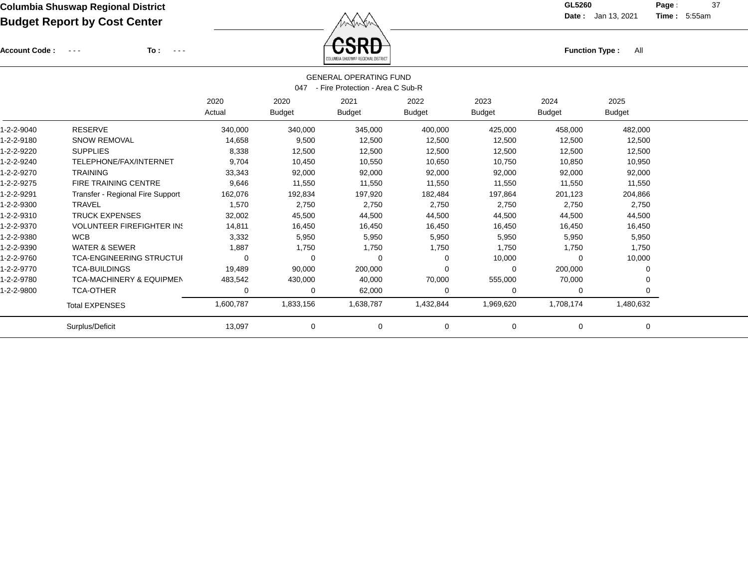Account Code : ---

**To :**

Function Type : All<br>
COLUMBIA SHUSWAP REGIONAL DISTRICT

**Date :** Jan 13, 2021 **Time :**

**Page :** 37 5:55am

| <b>GENERAL OPERATING FUND</b><br>- Fire Protection - Area C Sub-R<br>047 |                                     |                |                       |                       |                       |                       |                       |                       |  |  |  |
|--------------------------------------------------------------------------|-------------------------------------|----------------|-----------------------|-----------------------|-----------------------|-----------------------|-----------------------|-----------------------|--|--|--|
|                                                                          |                                     | 2020<br>Actual | 2020<br><b>Budget</b> | 2021<br><b>Budget</b> | 2022<br><b>Budget</b> | 2023<br><b>Budget</b> | 2024<br><b>Budget</b> | 2025<br><b>Budget</b> |  |  |  |
| 1-2-2-9040                                                               | <b>RESERVE</b>                      | 340,000        | 340,000               | 345,000               | 400,000               | 425,000               | 458,000               | 482,000               |  |  |  |
| 1-2-2-9180                                                               | <b>SNOW REMOVAL</b>                 | 14,658         | 9,500                 | 12,500                | 12,500                | 12,500                | 12,500                | 12,500                |  |  |  |
| 1-2-2-9220                                                               | <b>SUPPLIES</b>                     | 8,338          | 12,500                | 12,500                | 12,500                | 12,500                | 12,500                | 12,500                |  |  |  |
| 1-2-2-9240                                                               | TELEPHONE/FAX/INTERNET              | 9.704          | 10,450                | 10,550                | 10,650                | 10,750                | 10,850                | 10,950                |  |  |  |
| 1-2-2-9270                                                               | TRAINING                            | 33,343         | 92,000                | 92,000                | 92,000                | 92,000                | 92,000                | 92,000                |  |  |  |
| 1-2-2-9275                                                               | <b>FIRE TRAINING CENTRE</b>         | 9,646          | 11,550                | 11,550                | 11,550                | 11,550                | 11,550                | 11,550                |  |  |  |
| 1-2-2-9291                                                               | Transfer - Regional Fire Support    | 162,076        | 192,834               | 197,920               | 182,484               | 197,864               | 201,123               | 204,866               |  |  |  |
| 1-2-2-9300                                                               | <b>TRAVEL</b>                       | 1,570          | 2,750                 | 2,750                 | 2,750                 | 2,750                 | 2,750                 | 2,750                 |  |  |  |
| 1-2-2-9310                                                               | <b>TRUCK EXPENSES</b>               | 32,002         | 45,500                | 44,500                | 44,500                | 44,500                | 44,500                | 44,500                |  |  |  |
| 1-2-2-9370                                                               | <b>VOLUNTEER FIREFIGHTER IN!</b>    | 14.811         | 16,450                | 16,450                | 16,450                | 16,450                | 16,450                | 16,450                |  |  |  |
| 1-2-2-9380                                                               | <b>WCB</b>                          | 3,332          | 5,950                 | 5,950                 | 5,950                 | 5,950                 | 5,950                 | 5,950                 |  |  |  |
| 1-2-2-9390                                                               | <b>WATER &amp; SEWER</b>            | 1,887          | 1,750                 | 1,750                 | 1,750                 | 1,750                 | 1,750                 | 1,750                 |  |  |  |
| 1-2-2-9760                                                               | <b>TCA-ENGINEERING STRUCTUI</b>     | 0              | 0                     | 0                     | 0                     | 10,000                | $\Omega$              | 10,000                |  |  |  |
| 1-2-2-9770                                                               | <b>TCA-BUILDINGS</b>                | 19,489         | 90,000                | 200,000               | $\Omega$              | $\Omega$              | 200,000               | 0                     |  |  |  |
| 1-2-2-9780                                                               | <b>TCA-MACHINERY &amp; EQUIPMEN</b> | 483,542        | 430,000               | 40,000                | 70,000                | 555,000               | 70,000                | $\Omega$              |  |  |  |
| 1-2-2-9800                                                               | <b>TCA-OTHER</b>                    | 0              | 0                     | 62,000                | $\Omega$              | 0                     | 0                     | 0                     |  |  |  |
|                                                                          | <b>Total EXPENSES</b>               | 1,600,787      | 1,833,156             | 1,638,787             | 1,432,844             | 1,969,620             | 1,708,174             | 1,480,632             |  |  |  |
|                                                                          | Surplus/Deficit                     | 13,097         | 0                     | 0                     | 0                     | 0                     | 0                     | 0                     |  |  |  |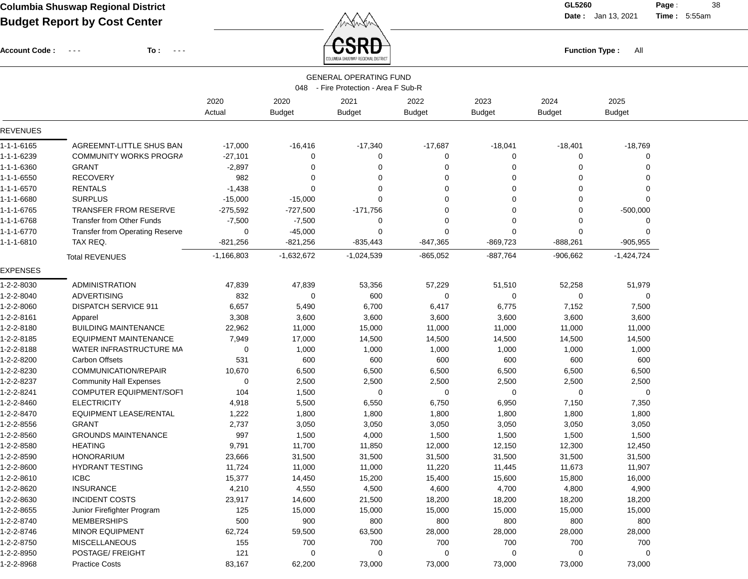**Date :** Jan 13, 2021 **Time :**

**Page :** 38 5:55am

Account Code : ---

**To :**

**Function Type :** All **Function Type** : All

| <b>GENERAL OPERATING FUND</b><br>- Fire Protection - Area F Sub-R<br>048 |                                        |                |                       |                       |                       |                       |                       |                       |  |  |
|--------------------------------------------------------------------------|----------------------------------------|----------------|-----------------------|-----------------------|-----------------------|-----------------------|-----------------------|-----------------------|--|--|
|                                                                          |                                        | 2020<br>Actual | 2020<br><b>Budget</b> | 2021<br><b>Budget</b> | 2022<br><b>Budget</b> | 2023<br><b>Budget</b> | 2024<br><b>Budget</b> | 2025<br><b>Budget</b> |  |  |
| <b>REVENUES</b>                                                          |                                        |                |                       |                       |                       |                       |                       |                       |  |  |
| 1-1-1-6165                                                               | AGREEMNT-LITTLE SHUS BAN               | $-17,000$      | $-16,416$             | $-17,340$             | $-17,687$             | $-18,041$             | $-18,401$             | $-18,769$             |  |  |
| 1-1-1-6239                                                               | <b>COMMUNITY WORKS PROGRA</b>          | $-27,101$      | $\Omega$              | 0                     | 0                     | 0                     | 0                     | $\Omega$              |  |  |
| 1-1-1-6360                                                               | <b>GRANT</b>                           | $-2,897$       | 0                     | 0                     | $\Omega$              | 0                     | 0                     | $\Omega$              |  |  |
| 1-1-1-6550                                                               | <b>RECOVERY</b>                        | 982            | 0                     | 0                     | 0                     | $\Omega$              | 0                     | $\Omega$              |  |  |
| 1-1-1-6570                                                               | <b>RENTALS</b>                         | $-1,438$       | $\mathbf 0$           | $\Omega$              | $\Omega$              | $\Omega$              | $\mathbf 0$           | $\Omega$              |  |  |
| 1-1-1-6680                                                               | <b>SURPLUS</b>                         | $-15,000$      | $-15,000$             | 0                     | $\Omega$              | $\Omega$              | 0                     | $\Omega$              |  |  |
| 1-1-1-6765                                                               | <b>TRANSFER FROM RESERVE</b>           | $-275,592$     | $-727,500$            | $-171,756$            | $\Omega$              | $\Omega$              | $\Omega$              | $-500,000$            |  |  |
| 1-1-1-6768                                                               | <b>Transfer from Other Funds</b>       | $-7,500$       | $-7,500$              | 0                     | 0                     | $\Omega$              | 0                     | 0                     |  |  |
| 1-1-1-6770                                                               | <b>Transfer from Operating Reserve</b> | 0              | $-45,000$             | 0                     | $\Omega$              | $\Omega$              | 0                     | $\Omega$              |  |  |
| 1-1-1-6810                                                               | TAX REQ.                               | $-821,256$     | $-821,256$            | $-835,443$            | $-847,365$            | $-869,723$            | $-888,261$            | $-905,955$            |  |  |
|                                                                          | <b>Total REVENUES</b>                  | $-1,166,803$   | $-1,632,672$          | -1,024,539            | $-865,052$            | $-887,764$            | $-906,662$            | $-1,424,724$          |  |  |
| EXPENSES                                                                 |                                        |                |                       |                       |                       |                       |                       |                       |  |  |
| 1-2-2-8030                                                               | ADMINISTRATION                         | 47,839         | 47,839                | 53,356                | 57,229                | 51,510                | 52,258                | 51,979                |  |  |
| 1-2-2-8040                                                               | <b>ADVERTISING</b>                     | 832            | 0                     | 600                   | 0                     | 0                     | 0                     | 0                     |  |  |
| 1-2-2-8060                                                               | <b>DISPATCH SERVICE 911</b>            | 6,657          | 5,490                 | 6,700                 | 6,417                 | 6,775                 | 7,152                 | 7,500                 |  |  |
| 1-2-2-8161                                                               | Apparel                                | 3,308          | 3,600                 | 3,600                 | 3,600                 | 3,600                 | 3,600                 | 3,600                 |  |  |
| 1-2-2-8180                                                               | <b>BUILDING MAINTENANCE</b>            | 22,962         | 11,000                | 15,000                | 11,000                | 11,000                | 11,000                | 11,000                |  |  |
| 1-2-2-8185                                                               | <b>EQUIPMENT MAINTENANCE</b>           | 7,949          | 17,000                | 14,500                | 14,500                | 14,500                | 14,500                | 14,500                |  |  |
| 1-2-2-8188                                                               | WATER INFRASTRUCTURE MA                | 0              | 1,000                 | 1,000                 | 1,000                 | 1,000                 | 1,000                 | 1,000                 |  |  |
| 1-2-2-8200                                                               | Carbon Offsets                         | 531            | 600                   | 600                   | 600                   | 600                   | 600                   | 600                   |  |  |
| 1-2-2-8230                                                               | COMMUNICATION/REPAIR                   | 10,670         | 6,500                 | 6,500                 | 6,500                 | 6,500                 | 6,500                 | 6,500                 |  |  |
| 1-2-2-8237                                                               | <b>Community Hall Expenses</b>         | 0              | 2,500                 | 2,500                 | 2,500                 | 2,500                 | 2,500                 | 2,500                 |  |  |
| 1-2-2-8241                                                               | COMPUTER EQUIPMENT/SOFT                | 104            | 1,500                 | 0                     | 0                     | 0                     | 0                     | 0                     |  |  |
| 1-2-2-8460                                                               | <b>ELECTRICITY</b>                     | 4,918          | 5,500                 | 6,550                 | 6,750                 | 6,950                 | 7,150                 | 7,350                 |  |  |
| 1-2-2-8470                                                               | <b>EQUIPMENT LEASE/RENTAL</b>          | 1,222          | 1,800                 | 1,800                 | 1,800                 | 1,800                 | 1,800                 | 1,800                 |  |  |
| 1-2-2-8556                                                               | <b>GRANT</b>                           | 2,737          | 3,050                 | 3,050                 | 3,050                 | 3,050                 | 3,050                 | 3,050                 |  |  |
| 1-2-2-8560                                                               | <b>GROUNDS MAINTENANCE</b>             | 997            | 1,500                 | 4,000                 | 1,500                 | 1,500                 | 1,500                 | 1,500                 |  |  |
| 1-2-2-8580                                                               | <b>HEATING</b>                         | 9,791          | 11,700                | 11,850                | 12,000                | 12,150                | 12,300                | 12,450                |  |  |
| 1-2-2-8590                                                               | <b>HONORARIUM</b>                      | 23,666         | 31,500                | 31,500                | 31,500                | 31,500                | 31,500                | 31,500                |  |  |
| 1-2-2-8600                                                               | <b>HYDRANT TESTING</b>                 | 11,724         | 11,000                | 11,000                | 11,220                | 11,445                | 11,673                | 11,907                |  |  |
| 1-2-2-8610                                                               | <b>ICBC</b>                            | 15,377         | 14,450                | 15,200                | 15,400                | 15,600                | 15,800                | 16,000                |  |  |
| 1-2-2-8620                                                               | <b>INSURANCE</b>                       | 4,210          | 4,550                 | 4,500                 | 4,600                 | 4,700                 | 4,800                 | 4,900                 |  |  |
| 1-2-2-8630                                                               | <b>INCIDENT COSTS</b>                  | 23,917         | 14,600                | 21,500                | 18,200                | 18,200                | 18,200                | 18,200                |  |  |
| 1-2-2-8655                                                               | Junior Firefighter Program             | 125            | 15,000                | 15,000                | 15,000                | 15,000                | 15,000                | 15,000                |  |  |
| 1-2-2-8740                                                               | <b>MEMBERSHIPS</b>                     | 500            | 900                   | 800                   | 800                   | 800                   | 800                   | 800                   |  |  |
| 1-2-2-8746                                                               | <b>MINOR EQUIPMENT</b>                 | 62,724         | 59,500                | 63,500                | 28,000                | 28,000                | 28,000                | 28,000                |  |  |
| 1-2-2-8750                                                               | <b>MISCELLANEOUS</b>                   | 155            | 700                   | 700                   | 700                   | 700                   | 700                   | 700                   |  |  |
| 1-2-2-8950                                                               | POSTAGE/ FREIGHT                       | 121            | 0                     | 0                     | 0                     | 0                     | 0                     | 0                     |  |  |
| 1-2-2-8968                                                               | <b>Practice Costs</b>                  | 83,167         | 62,200                | 73,000                | 73,000                | 73,000                | 73,000                | 73,000                |  |  |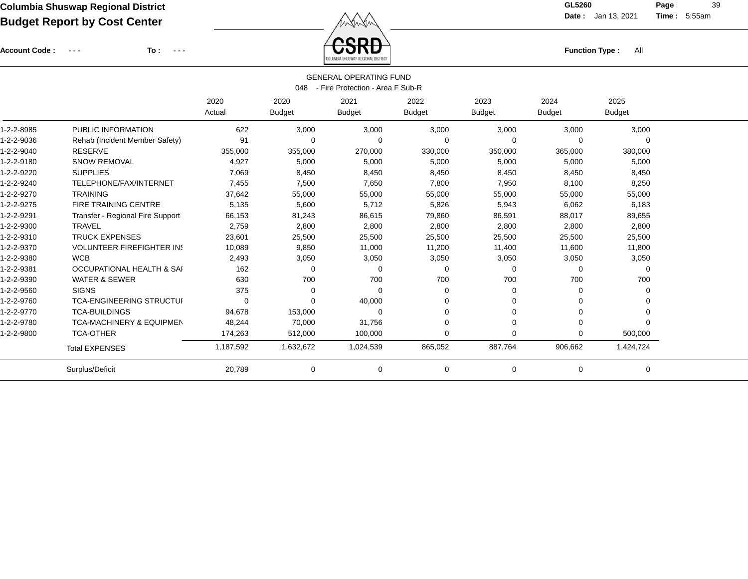Account Code : ---

**To :**

Function Type : All<br>
COLUMBIA SHUSWAP REGIONAL DISTRICT

**Date :** Jan 13, 2021 **Time :**

**Page :** 39 5:55am

| <b>GENERAL OPERATING FUND</b><br>- Fire Protection - Area F Sub-R<br>048 |                                      |                |                       |                       |                       |                       |                       |                       |  |  |  |  |
|--------------------------------------------------------------------------|--------------------------------------|----------------|-----------------------|-----------------------|-----------------------|-----------------------|-----------------------|-----------------------|--|--|--|--|
|                                                                          |                                      | 2020<br>Actual | 2020<br><b>Budget</b> | 2021<br><b>Budget</b> | 2022<br><b>Budget</b> | 2023<br><b>Budget</b> | 2024<br><b>Budget</b> | 2025<br><b>Budget</b> |  |  |  |  |
| 1-2-2-8985                                                               | PUBLIC INFORMATION                   | 622            | 3,000                 | 3,000                 | 3,000                 | 3,000                 | 3,000                 | 3,000                 |  |  |  |  |
| 1-2-2-9036                                                               | Rehab (Incident Member Safety)       | 91             | $\Omega$              | $\Omega$              | $\Omega$              | $\Omega$              | 0                     | $\Omega$              |  |  |  |  |
| 1-2-2-9040                                                               | <b>RESERVE</b>                       | 355,000        | 355,000               | 270,000               | 330,000               | 350,000               | 365,000               | 380,000               |  |  |  |  |
| 1-2-2-9180                                                               | <b>SNOW REMOVAL</b>                  | 4,927          | 5,000                 | 5,000                 | 5,000                 | 5,000                 | 5,000                 | 5,000                 |  |  |  |  |
| 1-2-2-9220                                                               | <b>SUPPLIES</b>                      | 7,069          | 8,450                 | 8,450                 | 8,450                 | 8,450                 | 8,450                 | 8,450                 |  |  |  |  |
| 1-2-2-9240                                                               | TELEPHONE/FAX/INTERNET               | 7,455          | 7,500                 | 7,650                 | 7,800                 | 7,950                 | 8,100                 | 8,250                 |  |  |  |  |
| 1-2-2-9270                                                               | <b>TRAINING</b>                      | 37,642         | 55,000                | 55,000                | 55,000                | 55,000                | 55,000                | 55,000                |  |  |  |  |
| 1-2-2-9275                                                               | <b>FIRE TRAINING CENTRE</b>          | 5,135          | 5,600                 | 5,712                 | 5,826                 | 5,943                 | 6,062                 | 6,183                 |  |  |  |  |
| 1-2-2-9291                                                               | Transfer - Regional Fire Support     | 66,153         | 81,243                | 86,615                | 79,860                | 86,591                | 88,017                | 89,655                |  |  |  |  |
| 1-2-2-9300                                                               | <b>TRAVEL</b>                        | 2,759          | 2,800                 | 2,800                 | 2,800                 | 2,800                 | 2,800                 | 2,800                 |  |  |  |  |
| 1-2-2-9310                                                               | <b>TRUCK EXPENSES</b>                | 23,601         | 25,500                | 25,500                | 25,500                | 25,500                | 25,500                | 25,500                |  |  |  |  |
| 1-2-2-9370                                                               | <b>VOLUNTEER FIREFIGHTER IN!</b>     | 10,089         | 9,850                 | 11,000                | 11,200                | 11,400                | 11,600                | 11,800                |  |  |  |  |
| 1-2-2-9380                                                               | <b>WCB</b>                           | 2,493          | 3,050                 | 3,050                 | 3,050                 | 3,050                 | 3,050                 | 3,050                 |  |  |  |  |
| 1-2-2-9381                                                               | <b>OCCUPATIONAL HEALTH &amp; SAI</b> | 162            | $\Omega$              | $\Omega$              | $\Omega$              | $\Omega$              | $\Omega$              | 0                     |  |  |  |  |
| 1-2-2-9390                                                               | <b>WATER &amp; SEWER</b>             | 630            | 700                   | 700                   | 700                   | 700                   | 700                   | 700                   |  |  |  |  |
| 1-2-2-9560                                                               | <b>SIGNS</b>                         | 375            | $\Omega$              | $\Omega$              | 0                     | 0                     | 0                     | 0                     |  |  |  |  |
| 1-2-2-9760                                                               | <b>TCA-ENGINEERING STRUCTUI</b>      | $\Omega$       | $\Omega$              | 40,000                | 0                     | $\Omega$              | $\Omega$              | $\Omega$              |  |  |  |  |
| 1-2-2-9770                                                               | <b>TCA-BUILDINGS</b>                 | 94,678         | 153,000               | $\Omega$              | 0                     | $\Omega$              | 0                     | $\Omega$              |  |  |  |  |
| 1-2-2-9780                                                               | <b>TCA-MACHINERY &amp; EQUIPMEN</b>  | 48,244         | 70,000                | 31,756                | 0                     | $\Omega$              | 0                     | $\Omega$              |  |  |  |  |
| 1-2-2-9800                                                               | <b>TCA-OTHER</b>                     | 174,263        | 512,000               | 100,000               | $\Omega$              | $\Omega$              | 0                     | 500,000               |  |  |  |  |
|                                                                          | <b>Total EXPENSES</b>                | 1,187,592      | 1,632,672             | 1,024,539             | 865,052               | 887,764               | 906,662               | 1,424,724             |  |  |  |  |
|                                                                          | Surplus/Deficit                      | 20,789         | 0                     | 0                     | 0                     | $\mathbf 0$           | 0                     | 0                     |  |  |  |  |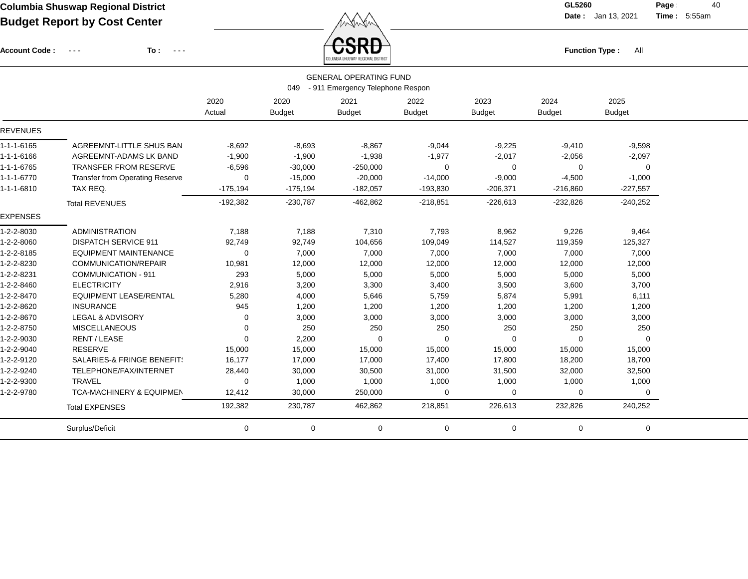Account Code : ---

**To :**

Function Type : All<br><sub>COLUMBIA SHUSWAP REGIONAL DISTRICT</sub>

**Date :** Jan 13, 2021 **Time :**

**Page : 40** 5:55am

| <b>GENERAL OPERATING FUND</b><br>- 911 Emergency Telephone Respon<br>049 |                                                                                                                          |                |                       |                       |                       |                       |                       |                       |  |  |  |  |  |
|--------------------------------------------------------------------------|--------------------------------------------------------------------------------------------------------------------------|----------------|-----------------------|-----------------------|-----------------------|-----------------------|-----------------------|-----------------------|--|--|--|--|--|
|                                                                          |                                                                                                                          | 2020<br>Actual | 2020<br><b>Budget</b> | 2021<br><b>Budget</b> | 2022<br><b>Budget</b> | 2023<br><b>Budget</b> | 2024<br><b>Budget</b> | 2025<br><b>Budget</b> |  |  |  |  |  |
| <b>REVENUES</b>                                                          |                                                                                                                          |                |                       |                       |                       |                       |                       |                       |  |  |  |  |  |
| 1-1-1-6165                                                               | AGREEMNT-LITTLE SHUS BAN                                                                                                 | $-8,692$       | $-8,693$              | $-8,867$              | $-9,044$              | $-9,225$              | $-9,410$              | $-9,598$              |  |  |  |  |  |
| 1-1-1-6166                                                               | AGREEMNT-ADAMS LK BAND                                                                                                   | $-1,900$       | $-1,900$              | $-1,938$              | $-1,977$              | $-2,017$              | $-2,056$              | $-2,097$              |  |  |  |  |  |
| 1-1-1-6765                                                               | TRANSFER FROM RESERVE                                                                                                    | $-6,596$       | $-30,000$             | $-250,000$            | 0                     | 0                     | 0                     | $\mathbf 0$           |  |  |  |  |  |
| $1 - 1 - 1 - 6770$                                                       | <b>Transfer from Operating Reserve</b>                                                                                   | 0              | $-15,000$             | $-20,000$             | $-14,000$             | $-9,000$              | $-4,500$              | $-1,000$              |  |  |  |  |  |
| $1 - 1 - 1 - 6810$                                                       | TAX REQ.                                                                                                                 | $-175,194$     | $-175,194$            | $-182,057$            | $-193,830$            | $-206,371$            | $-216,860$            | $-227,557$            |  |  |  |  |  |
|                                                                          | <b>Total REVENUES</b>                                                                                                    | $-192,382$     | $-230,787$            | $-462,862$            | $-218,851$            | $-226,613$            | $-232,826$            | $-240,252$            |  |  |  |  |  |
| <b>EXPENSES</b>                                                          |                                                                                                                          |                |                       |                       |                       |                       |                       |                       |  |  |  |  |  |
| 1-2-2-8030                                                               | <b>ADMINISTRATION</b>                                                                                                    | 7.188          | 7,188                 | 7,310                 | 7,793                 | 8,962                 | 9,226                 | 9,464                 |  |  |  |  |  |
| 1-2-2-8060                                                               | <b>DISPATCH SERVICE 911</b>                                                                                              | 92,749         | 92,749                | 104,656               | 109,049               | 114,527               | 119,359               | 125,327               |  |  |  |  |  |
| 1-2-2-8185                                                               | <b>EQUIPMENT MAINTENANCE</b>                                                                                             | 0              | 7,000                 | 7,000                 | 7,000                 | 7,000                 | 7,000                 | 7,000                 |  |  |  |  |  |
| 1-2-2-8230                                                               | COMMUNICATION/REPAIR                                                                                                     | 10,981         | 12,000                | 12,000                | 12,000                | 12,000                | 12,000                | 12,000                |  |  |  |  |  |
| 1-2-2-8231                                                               | <b>COMMUNICATION - 911</b>                                                                                               | 293            | 5,000                 | 5,000                 | 5,000                 | 5,000                 | 5,000                 | 5,000                 |  |  |  |  |  |
| 1-2-2-8460                                                               | <b>ELECTRICITY</b>                                                                                                       | 2,916          | 3,200                 | 3,300                 | 3,400                 | 3,500                 | 3,600                 | 3,700                 |  |  |  |  |  |
| 1-2-2-8470                                                               | <b>EQUIPMENT LEASE/RENTAL</b>                                                                                            | 5,280          | 4,000                 | 5,646                 | 5,759                 | 5,874                 | 5,991                 | 6,111                 |  |  |  |  |  |
| 1-2-2-8620                                                               | <b>INSURANCE</b>                                                                                                         | 945            | 1,200                 | 1,200                 | 1,200                 | 1,200                 | 1,200                 | 1,200                 |  |  |  |  |  |
| 1-2-2-8670                                                               | <b>LEGAL &amp; ADVISORY</b>                                                                                              | 0              | 3,000                 | 3,000                 | 3,000                 | 3,000                 | 3,000                 | 3,000                 |  |  |  |  |  |
| 1-2-2-8750                                                               | <b>MISCELLANEOUS</b>                                                                                                     | $\Omega$       | 250                   | 250                   | 250                   | 250                   | 250                   | 250                   |  |  |  |  |  |
| 1-2-2-9030                                                               | <b>RENT / LEASE</b>                                                                                                      | $\Omega$       | 2,200                 | $\Omega$              | $\mathbf 0$           | $\mathbf 0$           | 0                     | $\Omega$              |  |  |  |  |  |
| 1-2-2-9040                                                               | <b>RESERVE</b>                                                                                                           | 15,000         | 15,000                | 15,000                | 15,000                | 15,000                | 15,000                | 15,000                |  |  |  |  |  |
| 1-2-2-9120                                                               | <b>SALARIES-&amp; FRINGE BENEFIT:</b>                                                                                    | 16,177         | 17,000                | 17,000                | 17,400                | 17,800                | 18,200                | 18,700                |  |  |  |  |  |
| 1-2-2-9240                                                               | TELEPHONE/FAX/INTERNET                                                                                                   | 28,440         | 30,000                | 30,500                | 31,000                | 31,500                | 32,000                | 32,500                |  |  |  |  |  |
| 1-2-2-9300                                                               | <b>TRAVEL</b>                                                                                                            | 0              | 1,000                 | 1,000                 | 1,000                 | 1,000                 | 1,000                 | 1,000                 |  |  |  |  |  |
| 1-2-2-9780                                                               | <b>TCA-MACHINERY &amp; EQUIPMEN</b>                                                                                      | 12,412         | 30,000                | 250,000               | 0                     | 0                     | 0                     | 0                     |  |  |  |  |  |
|                                                                          | <b>Total EXPENSES</b>                                                                                                    | 192,382        | 230,787               | 462,862               | 218,851               | 226,613               | 232,826               | 240,252               |  |  |  |  |  |
|                                                                          | Surplus/Deficit<br>$\mathbf 0$<br>$\mathbf 0$<br>$\mathbf 0$<br>$\mathbf 0$<br>$\mathbf 0$<br>$\mathbf 0$<br>$\mathbf 0$ |                |                       |                       |                       |                       |                       |                       |  |  |  |  |  |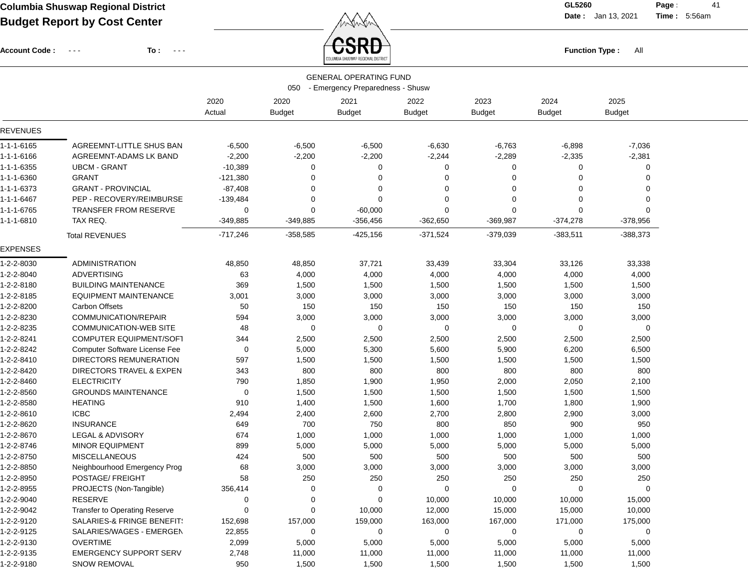**Date :** Jan 13, 2021 **Time : Page :** 41

5:56am

Account Code : ---

**To :**

Function Type : All<br><sub>COLUMBIA SHUSWAP REGIONAL DISTRICT</sub>

|                 | <b>GENERAL OPERATING FUND</b><br>050<br>- Emergency Preparedness - Shusw |            |               |               |               |               |               |               |  |  |  |
|-----------------|--------------------------------------------------------------------------|------------|---------------|---------------|---------------|---------------|---------------|---------------|--|--|--|
|                 |                                                                          | 2020       | 2020          | 2021          | 2022          | 2023          | 2024          | 2025          |  |  |  |
|                 |                                                                          | Actual     | <b>Budget</b> | <b>Budget</b> | <b>Budget</b> | <b>Budget</b> | <b>Budget</b> | <b>Budget</b> |  |  |  |
| <b>REVENUES</b> |                                                                          |            |               |               |               |               |               |               |  |  |  |
| 1-1-1-6165      | AGREEMNT-LITTLE SHUS BAN                                                 | $-6,500$   | $-6,500$      | $-6,500$      | $-6,630$      | $-6,763$      | $-6,898$      | $-7,036$      |  |  |  |
| 1-1-1-6166      | AGREEMNT-ADAMS LK BAND                                                   | $-2,200$   | $-2,200$      | $-2,200$      | $-2,244$      | $-2,289$      | $-2,335$      | $-2,381$      |  |  |  |
| 1-1-1-6355      | <b>UBCM - GRANT</b>                                                      | $-10,389$  | 0             | 0             | $\Omega$      | $\Omega$      | 0             | $\Omega$      |  |  |  |
| 1-1-1-6360      | <b>GRANT</b>                                                             | $-121,380$ | $\Omega$      | 0             | 0             | $\Omega$      | 0             | $\Omega$      |  |  |  |
| 1-1-1-6373      | <b>GRANT - PROVINCIAL</b>                                                | $-87,408$  | $\Omega$      | $\Omega$      | $\Omega$      | $\Omega$      | $\Omega$      | $\Omega$      |  |  |  |
| 1-1-1-6467      | PEP - RECOVERY/REIMBURSE                                                 | $-139,484$ | 0             | $\Omega$      | $\Omega$      | $\Omega$      | 0             | $\Omega$      |  |  |  |
| 1-1-1-6765      | TRANSFER FROM RESERVE                                                    | 0          | $\mathbf 0$   | $-60,000$     | $\Omega$      | $\mathbf 0$   | 0             | $\Omega$      |  |  |  |
| 1-1-1-6810      | TAX REQ.                                                                 | -349,885   | $-349,885$    | $-356,456$    | $-362,650$    | $-369,987$    | $-374,278$    | $-378,956$    |  |  |  |
|                 | <b>Total REVENUES</b>                                                    | $-717,246$ | $-358,585$    | $-425,156$    | $-371,524$    | $-379,039$    | $-383,511$    | $-388,373$    |  |  |  |
| <b>EXPENSES</b> |                                                                          |            |               |               |               |               |               |               |  |  |  |
| 1-2-2-8030      | <b>ADMINISTRATION</b>                                                    | 48,850     | 48,850        | 37,721        | 33,439        | 33,304        | 33,126        | 33,338        |  |  |  |
| 1-2-2-8040      | <b>ADVERTISING</b>                                                       | 63         | 4,000         | 4,000         | 4,000         | 4,000         | 4,000         | 4,000         |  |  |  |
| 1-2-2-8180      | <b>BUILDING MAINTENANCE</b>                                              | 369        | 1,500         | 1,500         | 1,500         | 1,500         | 1,500         | 1,500         |  |  |  |
| 1-2-2-8185      | EQUIPMENT MAINTENANCE                                                    | 3,001      | 3,000         | 3,000         | 3,000         | 3,000         | 3,000         | 3,000         |  |  |  |
| 1-2-2-8200      | <b>Carbon Offsets</b>                                                    | 50         | 150           | 150           | 150           | 150           | 150           | 150           |  |  |  |
| 1-2-2-8230      | COMMUNICATION/REPAIR                                                     | 594        | 3,000         | 3,000         | 3,000         | 3,000         | 3,000         | 3,000         |  |  |  |
| 1-2-2-8235      | <b>COMMUNICATION-WEB SITE</b>                                            | 48         | 0             | 0             | 0             | $\mathbf 0$   | 0             | 0             |  |  |  |
| 1-2-2-8241      | <b>COMPUTER EQUIPMENT/SOFT</b>                                           | 344        | 2,500         | 2,500         | 2,500         | 2,500         | 2,500         | 2,500         |  |  |  |
| 1-2-2-8242      | <b>Computer Software License Fee</b>                                     | 0          | 5,000         | 5,300         | 5,600         | 5,900         | 6,200         | 6,500         |  |  |  |
| 1-2-2-8410      | DIRECTORS REMUNERATION                                                   | 597        | 1,500         | 1,500         | 1,500         | 1,500         | 1,500         | 1,500         |  |  |  |
| 1-2-2-8420      | DIRECTORS TRAVEL & EXPEN                                                 | 343        | 800           | 800           | 800           | 800           | 800           | 800           |  |  |  |
| 1-2-2-8460      | <b>ELECTRICITY</b>                                                       | 790        | 1,850         | 1,900         | 1,950         | 2,000         | 2,050         | 2,100         |  |  |  |
| 1-2-2-8560      | <b>GROUNDS MAINTENANCE</b>                                               | 0          | 1,500         | 1,500         | 1,500         | 1,500         | 1,500         | 1,500         |  |  |  |
| 1-2-2-8580      | <b>HEATING</b>                                                           | 910        | 1,400         | 1,500         | 1,600         | 1,700         | 1,800         | 1,900         |  |  |  |
| 1-2-2-8610      | <b>ICBC</b>                                                              | 2,494      | 2,400         | 2,600         | 2,700         | 2,800         | 2,900         | 3,000         |  |  |  |
| 1-2-2-8620      | <b>INSURANCE</b>                                                         | 649        | 700           | 750           | 800           | 850           | 900           | 950           |  |  |  |
| 1-2-2-8670      | LEGAL & ADVISORY                                                         | 674        | 1,000         | 1,000         | 1,000         | 1,000         | 1,000         | 1,000         |  |  |  |
| 1-2-2-8746      | <b>MINOR EQUIPMENT</b>                                                   | 899        | 5,000         | 5,000         | 5,000         | 5,000         | 5,000         | 5,000         |  |  |  |
| 1-2-2-8750      | <b>MISCELLANEOUS</b>                                                     | 424        | 500           | 500           | 500           | 500           | 500           | 500           |  |  |  |
| 1-2-2-8850      | Neighbourhood Emergency Prog                                             | 68         | 3,000         | 3,000         | 3,000         | 3,000         | 3,000         | 3,000         |  |  |  |
| 1-2-2-8950      | POSTAGE/ FREIGHT                                                         | 58         | 250           | 250           | 250           | 250           | 250           | 250           |  |  |  |
| 1-2-2-8955      | PROJECTS (Non-Tangible)                                                  | 356,414    | 0             | $\Omega$      | 0             | $\Omega$      | U             | 0             |  |  |  |
| 1-2-2-9040      | RESERVE                                                                  | 0          | 0             | 0             | 10,000        | 10,000        | 10,000        | 15,000        |  |  |  |
| 1-2-2-9042      | <b>Transfer to Operating Reserve</b>                                     | 0          | 0             | 10,000        | 12,000        | 15,000        | 15,000        | 10,000        |  |  |  |
| 1-2-2-9120      | SALARIES-& FRINGE BENEFIT:                                               | 152,698    | 157,000       | 159,000       | 163,000       | 167,000       | 171,000       | 175,000       |  |  |  |
| 1-2-2-9125      | SALARIES/WAGES - EMERGEN                                                 | 22,855     | 0             | 0             | 0             | 0             | 0             | $\mathbf 0$   |  |  |  |
| 1-2-2-9130      | <b>OVERTIME</b>                                                          | 2,099      | 5,000         | 5,000         | 5,000         | 5,000         | 5,000         | 5,000         |  |  |  |
| 1-2-2-9135      | <b>EMERGENCY SUPPORT SERV</b>                                            | 2,748      | 11,000        | 11,000        | 11,000        | 11,000        | 11,000        | 11,000        |  |  |  |
| 1-2-2-9180      | <b>SNOW REMOVAL</b>                                                      | 950        | 1,500         | 1,500         | 1,500         | 1,500         | 1,500         | 1,500         |  |  |  |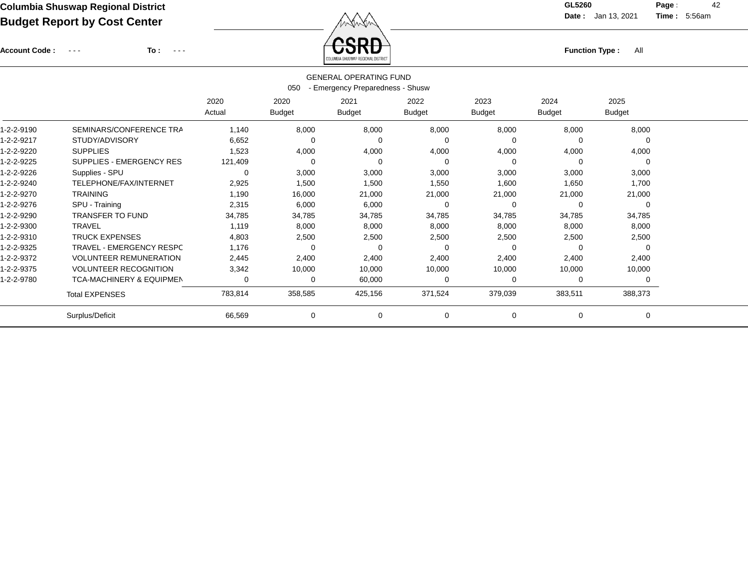Account Code : ---

**To :**

Function Type : All<br>
COLUMBIA SHUSWAP REGIONAL DISTRICT

**Date :** Jan 13, 2021 **Time :**

**Page :** 42 5:56am

| <b>GENERAL OPERATING FUND</b><br>- Emergency Preparedness - Shusw<br>050                           |                                     |                |                       |                       |                       |                       |                |                       |  |  |  |
|----------------------------------------------------------------------------------------------------|-------------------------------------|----------------|-----------------------|-----------------------|-----------------------|-----------------------|----------------|-----------------------|--|--|--|
|                                                                                                    |                                     | 2020<br>Actual | 2020<br><b>Budget</b> | 2021<br><b>Budget</b> | 2022<br><b>Budget</b> | 2023<br><b>Budget</b> | 2024<br>Budget | 2025<br><b>Budget</b> |  |  |  |
| 1-2-2-9190                                                                                         | SEMINARS/CONFERENCE TRA             | 1,140          | 8,000                 | 8,000                 | 8,000                 | 8,000                 | 8,000          | 8,000                 |  |  |  |
| 1-2-2-9217                                                                                         | STUDY/ADVISORY                      | 6,652          | 0                     | 0                     | $\Omega$              | 0                     | $\Omega$       |                       |  |  |  |
| 1-2-2-9220                                                                                         | <b>SUPPLIES</b>                     | 1,523          | 4,000                 | 4,000                 | 4,000                 | 4,000                 | 4,000          | 4,000                 |  |  |  |
| 1-2-2-9225                                                                                         | <b>SUPPLIES - EMERGENCY RES</b>     | 121,409        | 0                     | 0                     | $\Omega$              | 0                     | 0              | $\Omega$              |  |  |  |
| 1-2-2-9226                                                                                         | Supplies - SPU                      | 0              | 3,000                 | 3,000                 | 3,000                 | 3,000                 | 3,000          | 3,000                 |  |  |  |
| 1-2-2-9240                                                                                         | TELEPHONE/FAX/INTERNET              | 2,925          | 1,500                 | 1,500                 | 1,550                 | 1,600                 | 1,650          | 1,700                 |  |  |  |
| 1-2-2-9270                                                                                         | <b>TRAINING</b>                     | 1,190          | 16,000                | 21,000                | 21,000                | 21,000                | 21,000         | 21,000                |  |  |  |
| 1-2-2-9276                                                                                         | SPU - Training                      | 2,315          | 6,000                 | 6,000                 | 0                     | 0                     | 0              | $\Omega$              |  |  |  |
| 1-2-2-9290                                                                                         | <b>TRANSFER TO FUND</b>             | 34,785         | 34,785                | 34,785                | 34,785                | 34,785                | 34,785         | 34,785                |  |  |  |
| 1-2-2-9300                                                                                         | <b>TRAVEL</b>                       | 1,119          | 8,000                 | 8,000                 | 8,000                 | 8,000                 | 8,000          | 8,000                 |  |  |  |
| 1-2-2-9310                                                                                         | <b>TRUCK EXPENSES</b>               | 4,803          | 2,500                 | 2,500                 | 2,500                 | 2,500                 | 2,500          | 2,500                 |  |  |  |
| 1-2-2-9325                                                                                         | TRAVEL - EMERGENCY RESPC            | 1,176          | $\Omega$              | 0                     | $\Omega$              | 0                     | $\Omega$       | $\Omega$              |  |  |  |
| 1-2-2-9372                                                                                         | <b>VOLUNTEER REMUNERATION</b>       | 2,445          | 2,400                 | 2,400                 | 2,400                 | 2,400                 | 2,400          | 2,400                 |  |  |  |
| 1-2-2-9375                                                                                         | <b>VOLUNTEER RECOGNITION</b>        | 3,342          | 10,000                | 10,000                | 10,000                | 10,000                | 10,000         | 10,000                |  |  |  |
| 1-2-2-9780                                                                                         | <b>TCA-MACHINERY &amp; EQUIPMEN</b> | 0              | 0                     | 60,000                | 0                     | 0                     | 0              |                       |  |  |  |
| 783,814<br>358,585<br>425,156<br>371,524<br>379,039<br>383,511<br>388,373<br><b>Total EXPENSES</b> |                                     |                |                       |                       |                       |                       |                |                       |  |  |  |
| Surplus/Deficit<br>66,569<br>0<br>0<br>$\overline{0}$<br>0<br>0<br>0                               |                                     |                |                       |                       |                       |                       |                |                       |  |  |  |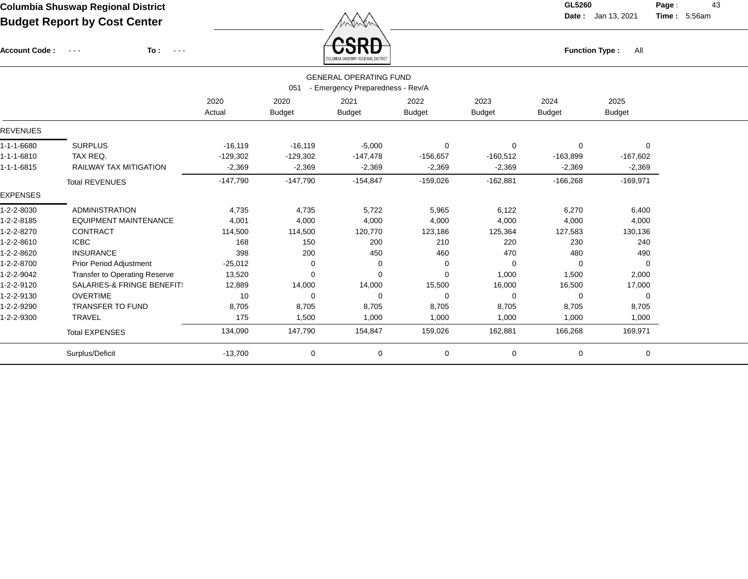Account Code : ---

**To :**

 $\overleftrightarrow{CSRD}$  Function Type : All

**Date :** Jan 13, 2021 **Time :**

**Page :** 43 5:56am

|                 |                                                                          |            |               | ANDALMAN ALLAN HALL, URPAINING MIN LUID |               |               |               |               |  |  |  |  |  |
|-----------------|--------------------------------------------------------------------------|------------|---------------|-----------------------------------------|---------------|---------------|---------------|---------------|--|--|--|--|--|
|                 | <b>GENERAL OPERATING FUND</b><br>051<br>- Emergency Preparedness - Rev/A |            |               |                                         |               |               |               |               |  |  |  |  |  |
|                 |                                                                          | 2020       | 2020          | 2021                                    | 2022          | 2023          | 2024          | 2025          |  |  |  |  |  |
|                 |                                                                          | Actual     | <b>Budget</b> | <b>Budget</b>                           | <b>Budget</b> | <b>Budget</b> | <b>Budget</b> | <b>Budget</b> |  |  |  |  |  |
| <b>REVENUES</b> |                                                                          |            |               |                                         |               |               |               |               |  |  |  |  |  |
| 1-1-1-6680      | <b>SURPLUS</b>                                                           | $-16,119$  | $-16,119$     | $-5,000$                                | $\mathbf 0$   | 0             | 0             | $\Omega$      |  |  |  |  |  |
| 1-1-1-6810      | TAX REQ.                                                                 | $-129,302$ | $-129,302$    | $-147,478$                              | $-156,657$    | $-160,512$    | $-163,899$    | $-167,602$    |  |  |  |  |  |
| 1-1-1-6815      | <b>RAILWAY TAX MITIGATION</b>                                            | $-2,369$   | $-2,369$      | $-2,369$                                | $-2,369$      | $-2,369$      | $-2,369$      | $-2,369$      |  |  |  |  |  |
|                 | <b>Total REVENUES</b>                                                    | $-147,790$ | $-147,790$    | $-154,847$                              | $-159,026$    | $-162,881$    | $-166,268$    | $-169,971$    |  |  |  |  |  |
| <b>EXPENSES</b> |                                                                          |            |               |                                         |               |               |               |               |  |  |  |  |  |
| 1-2-2-8030      | <b>ADMINISTRATION</b>                                                    | 4,735      | 4,735         | 5,722                                   | 5,965         | 6,122         | 6,270         | 6,400         |  |  |  |  |  |
| 1-2-2-8185      | <b>EQUIPMENT MAINTENANCE</b>                                             | 4,001      | 4,000         | 4,000                                   | 4,000         | 4,000         | 4,000         | 4,000         |  |  |  |  |  |
| 1-2-2-8270      | <b>CONTRACT</b>                                                          | 114,500    | 114,500       | 120,770                                 | 123,186       | 125,364       | 127,583       | 130,136       |  |  |  |  |  |
| 1-2-2-8610      | <b>ICBC</b>                                                              | 168        | 150           | 200                                     | 210           | 220           | 230           | 240           |  |  |  |  |  |
| 1-2-2-8620      | <b>INSURANCE</b>                                                         | 398        | 200           | 450                                     | 460           | 470           | 480           | 490           |  |  |  |  |  |
| 1-2-2-8700      | <b>Prior Period Adjustment</b>                                           | $-25,012$  | $\mathbf 0$   | 0                                       | 0             | $\Omega$      | 0             | $\mathbf 0$   |  |  |  |  |  |
| 1-2-2-9042      | Transfer to Operating Reserve                                            | 13,520     | $\mathbf 0$   | $\Omega$                                | $\Omega$      | 1,000         | 1,500         | 2,000         |  |  |  |  |  |
| 1-2-2-9120      | <b>SALARIES-&amp; FRINGE BENEFIT:</b>                                    | 12,889     | 14,000        | 14,000                                  | 15,500        | 16,000        | 16,500        | 17,000        |  |  |  |  |  |
| 1-2-2-9130      | <b>OVERTIME</b>                                                          | 10         | 0             | $\mathbf 0$                             | $\mathbf 0$   | $\Omega$      | 0             | 0             |  |  |  |  |  |
| 1-2-2-9290      | <b>TRANSFER TO FUND</b>                                                  | 8,705      | 8,705         | 8,705                                   | 8,705         | 8,705         | 8,705         | 8,705         |  |  |  |  |  |
| 1-2-2-9300      | <b>TRAVEL</b>                                                            | 175        | 1,500         | 1,000                                   | 1,000         | 1,000         | 1,000         | 1,000         |  |  |  |  |  |
|                 | <b>Total EXPENSES</b>                                                    | 134,090    | 147,790       | 154,847                                 | 159,026       | 162,881       | 166,268       | 169,971       |  |  |  |  |  |
|                 | Surplus/Deficit                                                          | $-13,700$  | $\mathbf 0$   | $\mathbf 0$                             | 0             | 0             | 0             | 0             |  |  |  |  |  |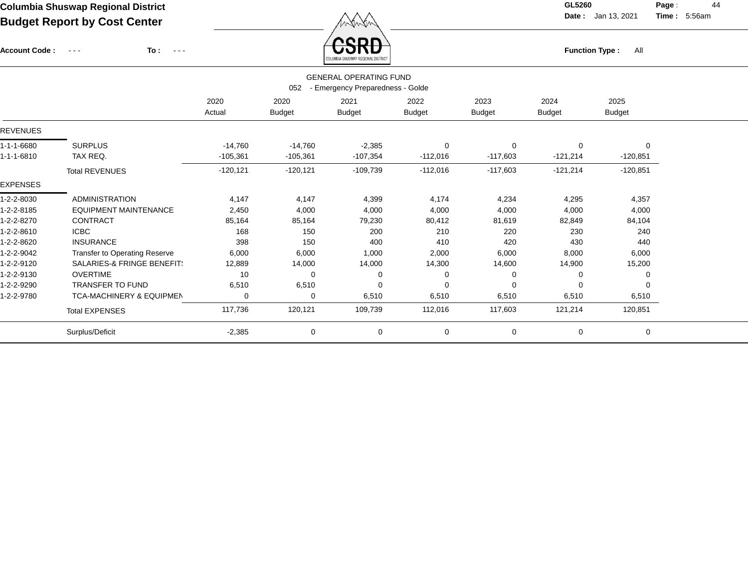Account Code : ---

**To :**

 $\overleftrightarrow{CSRD}$  Function Type : All

**Date :** Jan 13, 2021 **Time :**

**Page :** 44 5:56am

|                                                      |                                                                          |            |               | COLUMBIA SHUSWAP REGIONAL DISTRICT |               |             |            |               |  |  |  |  |  |
|------------------------------------------------------|--------------------------------------------------------------------------|------------|---------------|------------------------------------|---------------|-------------|------------|---------------|--|--|--|--|--|
|                                                      | <b>GENERAL OPERATING FUND</b><br>052<br>- Emergency Preparedness - Golde |            |               |                                    |               |             |            |               |  |  |  |  |  |
| 2025<br>2020<br>2020<br>2021<br>2022<br>2023<br>2024 |                                                                          |            |               |                                    |               |             |            |               |  |  |  |  |  |
|                                                      |                                                                          | Actual     | <b>Budget</b> | <b>Budget</b>                      | <b>Budget</b> | Budget      | Budget     | <b>Budget</b> |  |  |  |  |  |
| <b>REVENUES</b>                                      |                                                                          |            |               |                                    |               |             |            |               |  |  |  |  |  |
| 1-1-1-6680                                           | <b>SURPLUS</b>                                                           | $-14,760$  | $-14,760$     | $-2,385$                           | $\mathbf 0$   | $\mathbf 0$ | $\Omega$   | $\Omega$      |  |  |  |  |  |
| 1-1-1-6810                                           | TAX REQ.                                                                 | $-105,361$ | $-105,361$    | $-107,354$                         | $-112,016$    | $-117,603$  | $-121,214$ | $-120,851$    |  |  |  |  |  |
|                                                      | <b>Total REVENUES</b>                                                    | $-120,121$ | $-120, 121$   | $-109,739$                         | $-112,016$    | $-117,603$  | $-121,214$ | $-120,851$    |  |  |  |  |  |
| <b>EXPENSES</b>                                      |                                                                          |            |               |                                    |               |             |            |               |  |  |  |  |  |
| 1-2-2-8030                                           | <b>ADMINISTRATION</b>                                                    | 4,147      | 4,147         | 4,399                              | 4,174         | 4,234       | 4,295      | 4,357         |  |  |  |  |  |
| 1-2-2-8185                                           | <b>EQUIPMENT MAINTENANCE</b>                                             | 2,450      | 4,000         | 4,000                              | 4,000         | 4,000       | 4,000      | 4,000         |  |  |  |  |  |
| 1-2-2-8270                                           | <b>CONTRACT</b>                                                          | 85,164     | 85,164        | 79,230                             | 80,412        | 81,619      | 82,849     | 84,104        |  |  |  |  |  |
| 1-2-2-8610                                           | <b>ICBC</b>                                                              | 168        | 150           | 200                                | 210           | 220         | 230        | 240           |  |  |  |  |  |
| 1-2-2-8620                                           | <b>INSURANCE</b>                                                         | 398        | 150           | 400                                | 410           | 420         | 430        | 440           |  |  |  |  |  |
| 1-2-2-9042                                           | Transfer to Operating Reserve                                            | 6,000      | 6,000         | 1,000                              | 2,000         | 6,000       | 8,000      | 6,000         |  |  |  |  |  |
| 1-2-2-9120                                           | <b>SALARIES-&amp; FRINGE BENEFIT:</b>                                    | 12,889     | 14,000        | 14,000                             | 14,300        | 14,600      | 14,900     | 15,200        |  |  |  |  |  |
| 1-2-2-9130                                           | <b>OVERTIME</b>                                                          | 10         | $\Omega$      | 0                                  | 0             | 0           | $\Omega$   |               |  |  |  |  |  |
| 1-2-2-9290                                           | <b>TRANSFER TO FUND</b>                                                  | 6,510      | 6,510         | 0                                  | $\mathbf 0$   | 0           | $\Omega$   |               |  |  |  |  |  |
| 1-2-2-9780                                           | <b>TCA-MACHINERY &amp; EQUIPMEN</b>                                      | 0          | 0             | 6,510                              | 6,510         | 6,510       | 6,510      | 6,510         |  |  |  |  |  |
|                                                      | <b>Total EXPENSES</b>                                                    | 117,736    | 120,121       | 109,739                            | 112,016       | 117,603     | 121,214    | 120,851       |  |  |  |  |  |
|                                                      | Surplus/Deficit                                                          | $-2,385$   | 0             | 0                                  | $\mathbf 0$   | $\mathbf 0$ | 0          | $\Omega$      |  |  |  |  |  |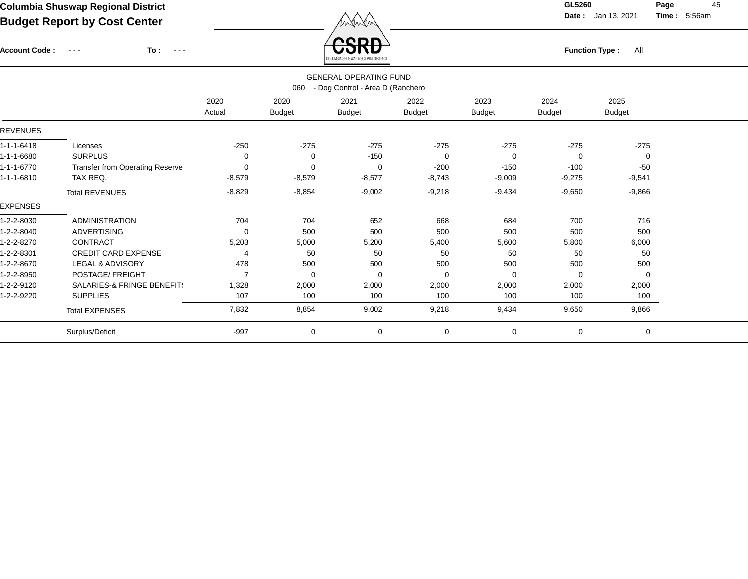Account Code : ---

**To :**

 $\overline{\text{CSRD}}$  Function Type : All

**Date :** Jan 13, 2021 **Time :**

**Page :** 45 5:56am

|                                                      |                                       |          |               | COLUMBIA SHUSWAP REGIONAL DISTRICT |               |               |               |               |  |  |  |
|------------------------------------------------------|---------------------------------------|----------|---------------|------------------------------------|---------------|---------------|---------------|---------------|--|--|--|
|                                                      |                                       |          |               | <b>GENERAL OPERATING FUND</b>      |               |               |               |               |  |  |  |
|                                                      |                                       |          | 060           | - Dog Control - Area D (Ranchero   |               |               |               |               |  |  |  |
| 2020<br>2021<br>2024<br>2025<br>2020<br>2022<br>2023 |                                       |          |               |                                    |               |               |               |               |  |  |  |
|                                                      |                                       | Actual   | <b>Budget</b> | <b>Budget</b>                      | <b>Budget</b> | <b>Budget</b> | <b>Budget</b> | <b>Budget</b> |  |  |  |
| <b>REVENUES</b>                                      |                                       |          |               |                                    |               |               |               |               |  |  |  |
| 1-1-1-6418                                           | Licenses                              | $-250$   | $-275$        | $-275$                             | $-275$        | $-275$        | $-275$        | $-275$        |  |  |  |
| 1-1-1-6680                                           | <b>SURPLUS</b>                        | 0        | 0             | $-150$                             | 0             | 0             | 0             | 0             |  |  |  |
| 1-1-1-6770                                           | Transfer from Operating Reserve       | 0        | $\Omega$      | $\Omega$                           | $-200$        | $-150$        | $-100$        | $-50$         |  |  |  |
| 1-1-1-6810                                           | TAX REQ.                              | $-8,579$ | $-8,579$      | $-8,577$                           | $-8,743$      | $-9,009$      | $-9,275$      | $-9,541$      |  |  |  |
|                                                      | <b>Total REVENUES</b>                 | $-8,829$ | $-8,854$      | $-9,002$                           | $-9,218$      | $-9,434$      | $-9,650$      | $-9,866$      |  |  |  |
| <b>EXPENSES</b>                                      |                                       |          |               |                                    |               |               |               |               |  |  |  |
| 1-2-2-8030                                           | <b>ADMINISTRATION</b>                 | 704      | 704           | 652                                | 668           | 684           | 700           | 716           |  |  |  |
| 1-2-2-8040                                           | <b>ADVERTISING</b>                    | 0        | 500           | 500                                | 500           | 500           | 500           | 500           |  |  |  |
| 1-2-2-8270                                           | <b>CONTRACT</b>                       | 5,203    | 5,000         | 5,200                              | 5,400         | 5,600         | 5,800         | 6,000         |  |  |  |
| 1-2-2-8301                                           | <b>CREDIT CARD EXPENSE</b>            | 4        | 50            | 50                                 | 50            | 50            | 50            | 50            |  |  |  |
| 1-2-2-8670                                           | <b>LEGAL &amp; ADVISORY</b>           | 478      | 500           | 500                                | 500           | 500           | 500           | 500           |  |  |  |
| 1-2-2-8950                                           | POSTAGE/ FREIGHT                      | 7        | $\Omega$      | $\Omega$                           | $\Omega$      | $\Omega$      | 0             | 0             |  |  |  |
| 1-2-2-9120                                           | <b>SALARIES-&amp; FRINGE BENEFIT:</b> | 1,328    | 2,000         | 2,000                              | 2,000         | 2,000         | 2,000         | 2,000         |  |  |  |
| 1-2-2-9220                                           | <b>SUPPLIES</b>                       | 107      | 100           | 100                                | 100           | 100           | 100           | 100           |  |  |  |
|                                                      | <b>Total EXPENSES</b>                 | 7,832    | 8,854         | 9,002                              | 9,218         | 9,434         | 9,650         | 9,866         |  |  |  |
|                                                      | Surplus/Deficit                       | $-997$   | 0             | 0                                  | $\mathbf 0$   | 0             | 0             | 0             |  |  |  |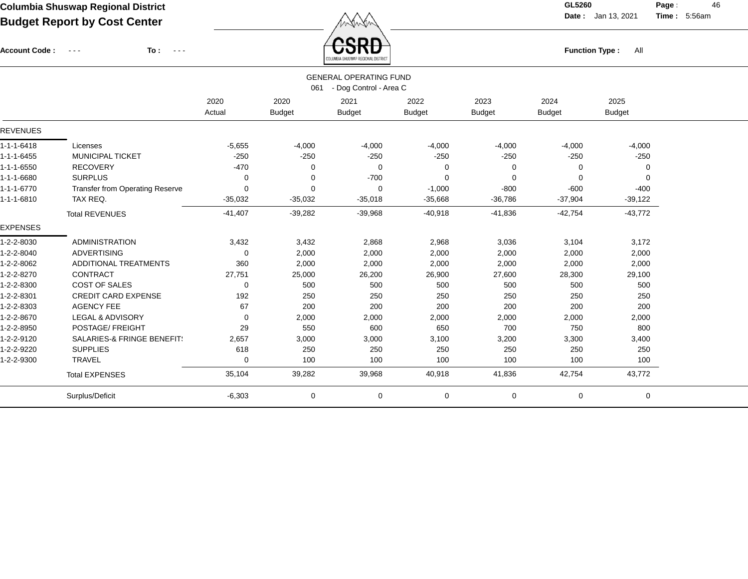$\overbrace{CSRD}$  Function Type : All

**Date :** Jan 13, 2021 **Time :**

**Page :** 46 5:56am

| <b>UOKD</b><br>To:<br><b>Account Code:</b><br><b>Function Type:</b><br>All<br>$\sim$ $\sim$ $\sim$<br>$\sim$ $\sim$ $\sim$ |           |               |               |               |                                                         |               |                |  |
|----------------------------------------------------------------------------------------------------------------------------|-----------|---------------|---------------|---------------|---------------------------------------------------------|---------------|----------------|--|
|                                                                                                                            |           |               |               |               |                                                         |               |                |  |
|                                                                                                                            |           | 061           |               |               |                                                         |               |                |  |
|                                                                                                                            | 2020      | 2020          | 2021          | 2022          | 2023                                                    | 2024          | 2025           |  |
|                                                                                                                            | Actual    | <b>Budget</b> | <b>Budget</b> | <b>Budget</b> | <b>Budget</b>                                           | <b>Budget</b> | <b>Budget</b>  |  |
|                                                                                                                            |           |               |               |               |                                                         |               |                |  |
| Licenses                                                                                                                   | $-5,655$  | $-4,000$      | $-4,000$      | $-4,000$      | $-4,000$                                                | $-4,000$      | $-4,000$       |  |
| <b>MUNICIPAL TICKET</b>                                                                                                    | $-250$    | $-250$        | $-250$        | $-250$        | $-250$                                                  | $-250$        | $-250$         |  |
| <b>RECOVERY</b>                                                                                                            | $-470$    | 0             | $\mathbf 0$   | $\Omega$      | 0                                                       | 0             | $\overline{0}$ |  |
| <b>SURPLUS</b>                                                                                                             | $\Omega$  | 0             | $-700$        | $\Omega$      | $\Omega$                                                | $\Omega$      | 0              |  |
| Transfer from Operating Reserve                                                                                            | $\Omega$  | 0             | 0             | $-1,000$      | $-800$                                                  | $-600$        | $-400$         |  |
| TAX REQ.                                                                                                                   | $-35,032$ | $-35,032$     | $-35,018$     | $-35,668$     | $-36,786$                                               | $-37,904$     | $-39,122$      |  |
| <b>Total REVENUES</b>                                                                                                      | $-41,407$ | $-39,282$     | $-39,968$     | $-40,918$     | $-41,836$                                               | $-42,754$     | $-43,772$      |  |
|                                                                                                                            |           |               |               |               |                                                         |               |                |  |
| <b>ADMINISTRATION</b>                                                                                                      | 3,432     | 3,432         | 2,868         | 2,968         | 3,036                                                   | 3,104         | 3,172          |  |
| <b>ADVERTISING</b>                                                                                                         | $\Omega$  | 2,000         | 2,000         | 2,000         | 2,000                                                   | 2,000         | 2,000          |  |
| ADDITIONAL TREATMENTS                                                                                                      | 360       | 2,000         | 2,000         | 2,000         | 2,000                                                   | 2,000         | 2,000          |  |
| <b>CONTRACT</b>                                                                                                            | 27,751    | 25,000        | 26,200        | 26,900        | 27,600                                                  | 28,300        | 29,100         |  |
| <b>COST OF SALES</b>                                                                                                       | 0         | 500           | 500           | 500           | 500                                                     | 500           | 500            |  |
| <b>CREDIT CARD EXPENSE</b>                                                                                                 | 192       | 250           | 250           | 250           | 250                                                     | 250           | 250            |  |
| <b>AGENCY FEE</b>                                                                                                          | 67        | 200           | 200           | 200           | 200                                                     | 200           | 200            |  |
| LEGAL & ADVISORY                                                                                                           | 0         | 2,000         | 2,000         | 2,000         | 2,000                                                   | 2,000         | 2,000          |  |
| POSTAGE/ FREIGHT                                                                                                           | 29        | 550           | 600           | 650           | 700                                                     | 750           | 800            |  |
| SALARIES-& FRINGE BENEFIT!                                                                                                 | 2,657     | 3,000         | 3,000         | 3,100         | 3,200                                                   | 3,300         | 3,400          |  |
| <b>SUPPLIES</b>                                                                                                            | 618       | 250           | 250           | 250           | 250                                                     | 250           | 250            |  |
| <b>TRAVEL</b>                                                                                                              | 0         | 100           | 100           | 100           | 100                                                     | 100           | 100            |  |
| <b>Total EXPENSES</b>                                                                                                      | 35,104    | 39,282        | 39,968        | 40,918        | 41,836                                                  | 42,754        | 43,772         |  |
| Surplus/Deficit                                                                                                            | $-6,303$  | 0             | 0             | 0             | 0                                                       | 0             | 0              |  |
|                                                                                                                            |           |               |               |               | <b>GENERAL OPERATING FUND</b><br>- Dog Control - Area C |               |                |  |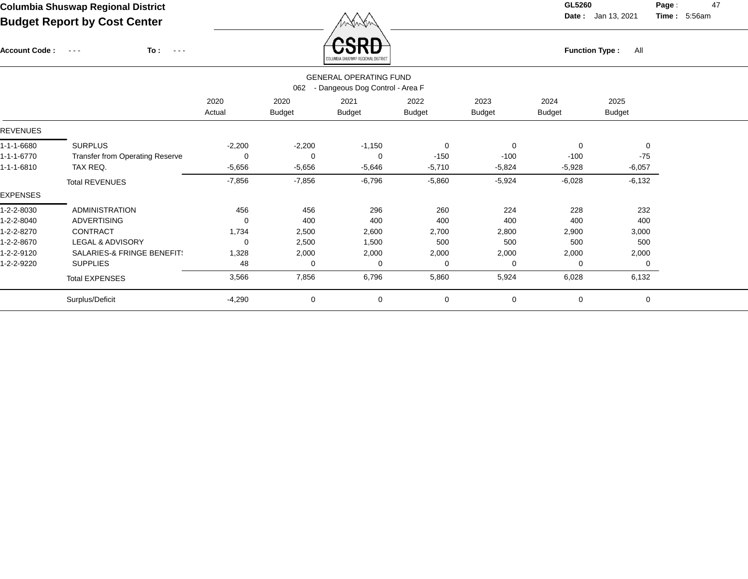Account Code : ---

**To :**

 $\overleftrightarrow{CSRD}$  Function Type : All

**Date :** Jan 13, 2021 **Time :**

**Page :** 47 5:56am

|                                                                                                                                                               | COLUMBIA SHOSWAP REGIONAL DISTRICT                                      |          |          |          |             |          |          |          |  |  |  |  |  |  |
|---------------------------------------------------------------------------------------------------------------------------------------------------------------|-------------------------------------------------------------------------|----------|----------|----------|-------------|----------|----------|----------|--|--|--|--|--|--|
|                                                                                                                                                               | <b>GENERAL OPERATING FUND</b><br>- Dangeous Dog Control - Area F<br>062 |          |          |          |             |          |          |          |  |  |  |  |  |  |
| 2020<br>2020<br>2021<br>2022<br>2023<br>2024<br>2025<br><b>Budget</b><br><b>Budget</b><br><b>Budget</b><br><b>Budget</b><br>Actual<br>Budget<br><b>Budget</b> |                                                                         |          |          |          |             |          |          |          |  |  |  |  |  |  |
| REVENUES                                                                                                                                                      |                                                                         |          |          |          |             |          |          |          |  |  |  |  |  |  |
| 1-1-1-6680                                                                                                                                                    | <b>SURPLUS</b>                                                          | $-2,200$ | $-2,200$ | $-1,150$ | 0           | 0        | 0        | 0        |  |  |  |  |  |  |
| 1-1-1-6770                                                                                                                                                    | <b>Transfer from Operating Reserve</b>                                  | 0        | $\Omega$ | $\Omega$ | $-150$      | $-100$   | $-100$   | $-75$    |  |  |  |  |  |  |
| 1-1-1-6810                                                                                                                                                    | TAX REQ.                                                                | $-5,656$ | $-5,656$ | $-5,646$ | $-5,710$    | $-5,824$ | $-5,928$ | $-6,057$ |  |  |  |  |  |  |
|                                                                                                                                                               | <b>Total REVENUES</b>                                                   | $-7,856$ | $-7,856$ | $-6,796$ | $-5,860$    | $-5,924$ | $-6,028$ | $-6,132$ |  |  |  |  |  |  |
| <b>EXPENSES</b>                                                                                                                                               |                                                                         |          |          |          |             |          |          |          |  |  |  |  |  |  |
| 1-2-2-8030                                                                                                                                                    | <b>ADMINISTRATION</b>                                                   | 456      | 456      | 296      | 260         | 224      | 228      | 232      |  |  |  |  |  |  |
| 1-2-2-8040                                                                                                                                                    | <b>ADVERTISING</b>                                                      | 0        | 400      | 400      | 400         | 400      | 400      | 400      |  |  |  |  |  |  |
| 1-2-2-8270                                                                                                                                                    | <b>CONTRACT</b>                                                         | 1,734    | 2,500    | 2,600    | 2,700       | 2,800    | 2,900    | 3,000    |  |  |  |  |  |  |
| 1-2-2-8670                                                                                                                                                    | LEGAL & ADVISORY                                                        | 0        | 2,500    | 1,500    | 500         | 500      | 500      | 500      |  |  |  |  |  |  |
| 1-2-2-9120                                                                                                                                                    | SALARIES-& FRINGE BENEFIT!                                              | 1,328    | 2,000    | 2,000    | 2,000       | 2,000    | 2,000    | 2,000    |  |  |  |  |  |  |
| 1-2-2-9220                                                                                                                                                    | <b>SUPPLIES</b>                                                         | 48       | 0        | 0        | $\mathbf 0$ | $\Omega$ | 0        | 0        |  |  |  |  |  |  |
|                                                                                                                                                               | <b>Total EXPENSES</b>                                                   | 3,566    | 7,856    | 6,796    | 5,860       | 5,924    | 6,028    | 6,132    |  |  |  |  |  |  |
|                                                                                                                                                               | Surplus/Deficit                                                         | $-4,290$ | 0        | 0        | $\mathbf 0$ | 0        | 0        | 0        |  |  |  |  |  |  |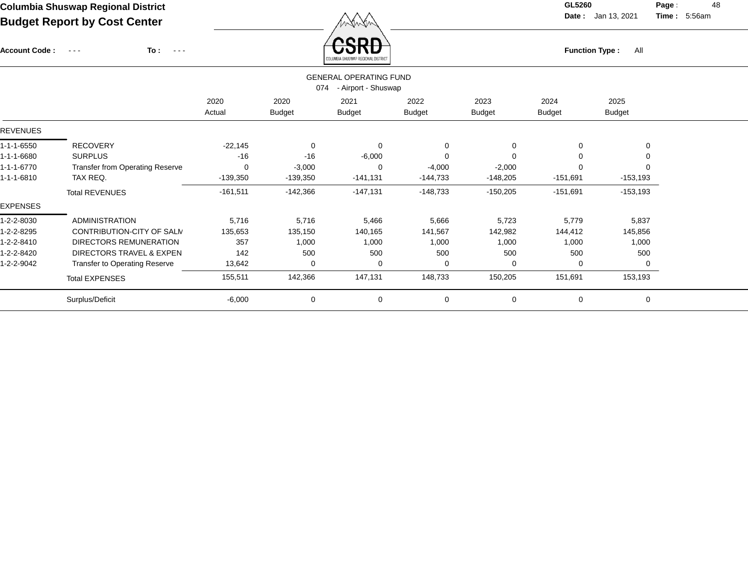Account Code : ---

**To :**

**Function Type :** All

**Date :** Jan 13, 2021 **Time :**

**Page :** 48 5:56am

| COLUMBIA SHUSWAP REGIONAL DISTRICT |                                                             |                |                       |                       |                       |                       |                |                       |  |  |  |  |  |  |
|------------------------------------|-------------------------------------------------------------|----------------|-----------------------|-----------------------|-----------------------|-----------------------|----------------|-----------------------|--|--|--|--|--|--|
|                                    | <b>GENERAL OPERATING FUND</b><br>074<br>- Airport - Shuswap |                |                       |                       |                       |                       |                |                       |  |  |  |  |  |  |
|                                    |                                                             | 2020<br>Actual | 2020<br><b>Budget</b> | 2021<br><b>Budget</b> | 2022<br><b>Budget</b> | 2023<br><b>Budget</b> | 2024<br>Budget | 2025<br><b>Budget</b> |  |  |  |  |  |  |
| <b>REVENUES</b>                    |                                                             |                |                       |                       |                       |                       |                |                       |  |  |  |  |  |  |
| 1-1-1-6550                         | <b>RECOVERY</b>                                             | $-22,145$      | $\mathbf 0$           | $\mathbf 0$           | $\mathbf 0$           | $\Omega$              | 0              | 0                     |  |  |  |  |  |  |
| 1-1-1-6680                         | <b>SURPLUS</b>                                              | $-16$          | $-16$                 | $-6,000$              | $\Omega$              |                       | 0              |                       |  |  |  |  |  |  |
| 1-1-1-6770                         | <b>Transfer from Operating Reserve</b>                      | 0              | $-3,000$              | $\Omega$              | $-4,000$              | $-2,000$              | 0              |                       |  |  |  |  |  |  |
| 1-1-1-6810                         | TAX REQ.                                                    | $-139,350$     | $-139,350$            | $-141,131$            | $-144,733$            | $-148,205$            | $-151,691$     | $-153,193$            |  |  |  |  |  |  |
|                                    | <b>Total REVENUES</b>                                       | $-161,511$     | $-142,366$            | $-147,131$            | $-148,733$            | $-150,205$            | $-151,691$     | $-153,193$            |  |  |  |  |  |  |
| <b>EXPENSES</b>                    |                                                             |                |                       |                       |                       |                       |                |                       |  |  |  |  |  |  |
| 1-2-2-8030                         | <b>ADMINISTRATION</b>                                       | 5,716          | 5,716                 | 5,466                 | 5,666                 | 5,723                 | 5,779          | 5,837                 |  |  |  |  |  |  |
| 1-2-2-8295                         | CONTRIBUTION-CITY OF SALM                                   | 135,653        | 135,150               | 140,165               | 141,567               | 142,982               | 144,412        | 145,856               |  |  |  |  |  |  |
| 1-2-2-8410                         | DIRECTORS REMUNERATION                                      | 357            | 1,000                 | 1,000                 | 1,000                 | 1,000                 | 1,000          | 1,000                 |  |  |  |  |  |  |
| 1-2-2-8420                         | <b>DIRECTORS TRAVEL &amp; EXPEN</b>                         | 142            | 500                   | 500                   | 500                   | 500                   | 500            | 500                   |  |  |  |  |  |  |
| 1-2-2-9042                         | <b>Transfer to Operating Reserve</b>                        | 13,642         | $\mathbf 0$           | $\Omega$              | 0                     | $\Omega$              | 0              |                       |  |  |  |  |  |  |
|                                    | <b>Total EXPENSES</b>                                       | 155,511        | 142,366               | 147,131               | 148,733               | 150,205               | 151,691        | 153,193               |  |  |  |  |  |  |
|                                    | Surplus/Deficit                                             | $-6,000$       | 0                     | 0                     | 0                     | 0                     | 0              | 0                     |  |  |  |  |  |  |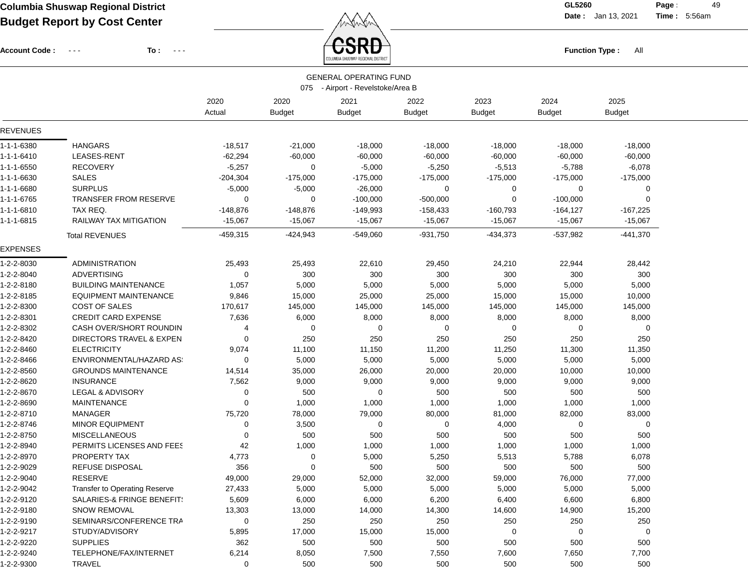Account Code : ---

**To :**

 $\overrightarrow{CSRD}$  Function Type : All

**Date :** Jan 13, 2021 **Time :**

**Page :** 49 5:56am

|                 |                                       |                |                       | <b>GENERAL OPERATING FUND</b><br>075 - Airport - Revelstoke/Area B |                       |                       |                       |                       |  |
|-----------------|---------------------------------------|----------------|-----------------------|--------------------------------------------------------------------|-----------------------|-----------------------|-----------------------|-----------------------|--|
|                 |                                       | 2020<br>Actual | 2020<br><b>Budget</b> | 2021<br><b>Budget</b>                                              | 2022<br><b>Budget</b> | 2023<br><b>Budget</b> | 2024<br><b>Budget</b> | 2025<br><b>Budget</b> |  |
| REVENUES        |                                       |                |                       |                                                                    |                       |                       |                       |                       |  |
| 1-1-1-6380      | <b>HANGARS</b>                        | $-18,517$      | $-21,000$             | $-18,000$                                                          | $-18,000$             | $-18,000$             | $-18,000$             | $-18,000$             |  |
| 1-1-1-6410      | LEASES-RENT                           | $-62,294$      | $-60,000$             | $-60,000$                                                          | $-60,000$             | $-60,000$             | $-60,000$             | $-60,000$             |  |
| 1-1-1-6550      | <b>RECOVERY</b>                       | $-5,257$       | 0                     | $-5,000$                                                           | $-5,250$              | $-5,513$              | $-5,788$              | $-6,078$              |  |
| 1-1-1-6630      | <b>SALES</b>                          | $-204,304$     | $-175,000$            | $-175,000$                                                         | $-175,000$            | $-175,000$            | $-175,000$            | $-175,000$            |  |
| 1-1-1-6680      | <b>SURPLUS</b>                        | $-5,000$       | $-5,000$              | $-26,000$                                                          | 0                     | 0                     | 0                     | 0                     |  |
| 1-1-1-6765      | <b>TRANSFER FROM RESERVE</b>          | 0              | 0                     | $-100,000$                                                         | $-500,000$            | 0                     | -100,000              | 0                     |  |
| 1-1-1-6810      | TAX REQ.                              | -148,876       | -148,876              | $-149,993$                                                         | $-158,433$            | $-160,793$            | $-164, 127$           | $-167,225$            |  |
| 1-1-1-6815      | RAILWAY TAX MITIGATION                | $-15,067$      | $-15,067$             | $-15,067$                                                          | $-15,067$             | $-15,067$             | $-15,067$             | $-15,067$             |  |
|                 | <b>Total REVENUES</b>                 | $-459,315$     | $-424,943$            | $-549,060$                                                         | $-931,750$            | $-434,373$            | $-537,982$            | $-441,370$            |  |
| <b>EXPENSES</b> |                                       |                |                       |                                                                    |                       |                       |                       |                       |  |
| 1-2-2-8030      | <b>ADMINISTRATION</b>                 | 25,493         | 25,493                | 22,610                                                             | 29,450                | 24,210                | 22,944                | 28,442                |  |
| 1-2-2-8040      | <b>ADVERTISING</b>                    | 0              | 300                   | 300                                                                | 300                   | 300                   | 300                   | 300                   |  |
| 1-2-2-8180      | <b>BUILDING MAINTENANCE</b>           | 1,057          | 5,000                 | 5,000                                                              | 5,000                 | 5,000                 | 5,000                 | 5,000                 |  |
| 1-2-2-8185      | EQUIPMENT MAINTENANCE                 | 9,846          | 15,000                | 25,000                                                             | 25,000                | 15,000                | 15,000                | 10,000                |  |
| 1-2-2-8300      | <b>COST OF SALES</b>                  | 170,617        | 145,000               | 145,000                                                            | 145,000               | 145,000               | 145,000               | 145,000               |  |
| 1-2-2-8301      | <b>CREDIT CARD EXPENSE</b>            | 7,636          | 6,000                 | 8,000                                                              | 8,000                 | 8,000                 | 8,000                 | 8,000                 |  |
| 1-2-2-8302      | CASH OVER/SHORT ROUNDIN               | 4              | 0                     | 0                                                                  | 0                     | 0                     | 0                     | 0                     |  |
| 1-2-2-8420      | DIRECTORS TRAVEL & EXPEN              | 0              | 250                   | 250                                                                | 250                   | 250                   | 250                   | 250                   |  |
| 1-2-2-8460      | <b>ELECTRICITY</b>                    | 9,074          | 11,100                | 11,150                                                             | 11,200                | 11,250                | 11,300                | 11,350                |  |
| 1-2-2-8466      | ENVIRONMENTAL/HAZARD AS:              | 0              | 5,000                 | 5,000                                                              | 5,000                 | 5,000                 | 5,000                 | 5,000                 |  |
| 1-2-2-8560      | <b>GROUNDS MAINTENANCE</b>            | 14,514         | 35,000                | 26,000                                                             | 20,000                | 20,000                | 10,000                | 10,000                |  |
| 1-2-2-8620      | <b>INSURANCE</b>                      | 7,562          | 9,000                 | 9,000                                                              | 9,000                 | 9,000                 | 9,000                 | 9,000                 |  |
| 1-2-2-8670      | LEGAL & ADVISORY                      | 0              | 500                   | $\mathbf 0$                                                        | 500                   | 500                   | 500                   | 500                   |  |
| 1-2-2-8690      | <b>MAINTENANCE</b>                    | 0              | 1,000                 | 1,000                                                              | 1,000                 | 1,000                 | 1,000                 | 1,000                 |  |
| 1-2-2-8710      | <b>MANAGER</b>                        | 75,720         | 78,000                | 79,000                                                             | 80,000                | 81,000                | 82,000                | 83,000                |  |
| 1-2-2-8746      | <b>MINOR EQUIPMENT</b>                | 0              | 3,500                 | 0                                                                  | 0                     | 4,000                 | 0                     | 0                     |  |
| 1-2-2-8750      | <b>MISCELLANEOUS</b>                  | 0              | 500                   | 500                                                                | 500                   | 500                   | 500                   | 500                   |  |
| 1-2-2-8940      | PERMITS LICENSES AND FEES             | 42             | 1,000                 | 1,000                                                              | 1,000                 | 1,000                 | 1,000                 | 1,000                 |  |
| 1-2-2-8970      | PROPERTY TAX                          | 4,773          | 0                     | 5,000                                                              | 5,250                 | 5,513                 | 5,788                 | 6,078                 |  |
| 1-2-2-9029      | REFUSE DISPOSAL                       | 356            | $\Omega$              | 500                                                                | 500                   | 500                   | 500                   | 500                   |  |
| 1-2-2-9040      | <b>RESERVE</b>                        | 49,000         | 29,000                | 52,000                                                             | 32,000                | 59,000                | 76,000                | 77,000                |  |
| 1-2-2-9042      | Transfer to Operating Reserve         | 27,433         | 5,000                 | 5,000                                                              | 5,000                 | 5,000                 | 5,000                 | 5,000                 |  |
| 1-2-2-9120      | <b>SALARIES-&amp; FRINGE BENEFIT:</b> | 5,609          | 6,000                 | 6,000                                                              | 6,200                 | 6,400                 | 6,600                 | 6,800                 |  |
| 1-2-2-9180      | <b>SNOW REMOVAL</b>                   | 13,303         | 13,000                | 14,000                                                             | 14,300                | 14,600                | 14,900                | 15,200                |  |
| 1-2-2-9190      | SEMINARS/CONFERENCE TRA               | 0              | 250                   | 250                                                                | 250                   | 250                   | 250                   | 250                   |  |
| 1-2-2-9217      | STUDY/ADVISORY                        | 5,895          | 17,000                | 15,000                                                             | 15,000                | 0                     | 0                     | 0                     |  |
| 1-2-2-9220      | <b>SUPPLIES</b>                       | 362            | 500                   | 500                                                                | 500                   | 500                   | 500                   | 500                   |  |
| 1-2-2-9240      | TELEPHONE/FAX/INTERNET                | 6,214          | 8,050                 | 7,500                                                              | 7,550                 | 7,600                 | 7,650                 | 7,700                 |  |
| 1-2-2-9300      | <b>TRAVEL</b>                         | $\mathbf 0$    | 500                   | 500                                                                | 500                   | 500                   | 500                   | 500                   |  |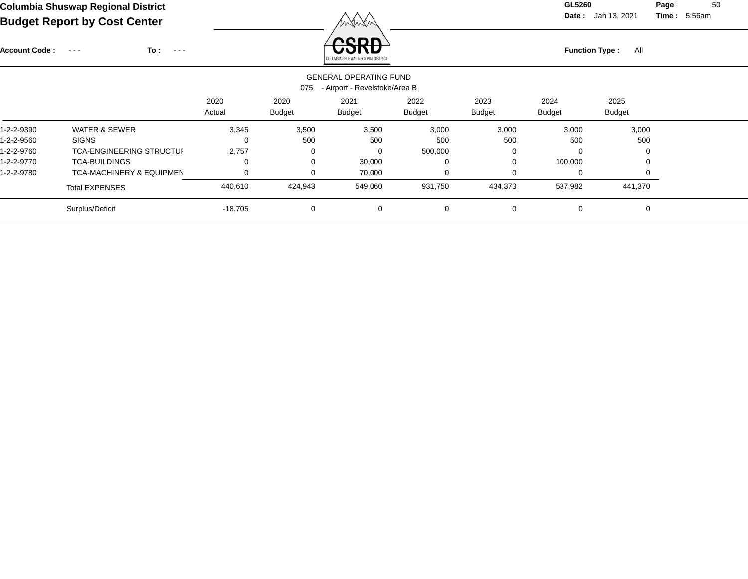**Date :** Jan 13, 2021 **Time : Page :** 50 5:56am

| To:<br><b>Account Code :</b><br>$\sim$ $\sim$ $\sim$<br>$\sim$ $\sim$ $\sim$ |                |                       | RODR<br>COLUMBIA SHUSWAP REGIONAL DISTRICT |                       | All<br><b>Function Type:</b> |                       |                       |  |  |  |  |
|------------------------------------------------------------------------------|----------------|-----------------------|--------------------------------------------|-----------------------|------------------------------|-----------------------|-----------------------|--|--|--|--|
| <b>GENERAL OPERATING FUND</b><br>- Airport - Revelstoke/Area B<br>075        |                |                       |                                            |                       |                              |                       |                       |  |  |  |  |
|                                                                              | 2020<br>Actual | 2020<br><b>Budget</b> | 2021<br><b>Budget</b>                      | 2022<br><b>Budget</b> | 2023<br><b>Budget</b>        | 2024<br><b>Budget</b> | 2025<br><b>Budget</b> |  |  |  |  |
| <b>WATER &amp; SEWER</b>                                                     | 3,345          | 3,500                 | 3,500                                      | 3,000                 | 3,000                        | 3,000                 | 3,000                 |  |  |  |  |
| <b>SIGNS</b>                                                                 | 0              | 500                   | 500                                        | 500                   | 500                          | 500                   | 500                   |  |  |  |  |
| <b>TCA-ENGINEERING STRUCTUI</b>                                              | 2,757          | 0                     | 0                                          | 500,000               | 0                            | $\Omega$              | 0                     |  |  |  |  |
| <b>TCA-BUILDINGS</b>                                                         | 0              | $\Omega$              | 30,000                                     | 0                     | 0                            | 100,000               | 0                     |  |  |  |  |
| <b>TCA-MACHINERY &amp; EQUIPMEN</b>                                          | 0              | ∩                     | 70,000                                     | 0                     | 0                            | 0                     | 0                     |  |  |  |  |
| <b>Total EXPENSES</b>                                                        | 440,610        | 424,943               | 549,060                                    | 931,750               | 434,373                      | 537,982               | 441,370               |  |  |  |  |
| Surplus/Deficit                                                              | $-18,705$      | $\Omega$              | 0                                          | 0                     | $\mathbf 0$                  | $\mathbf 0$           | 0                     |  |  |  |  |
|                                                                              |                |                       |                                            |                       |                              |                       |                       |  |  |  |  |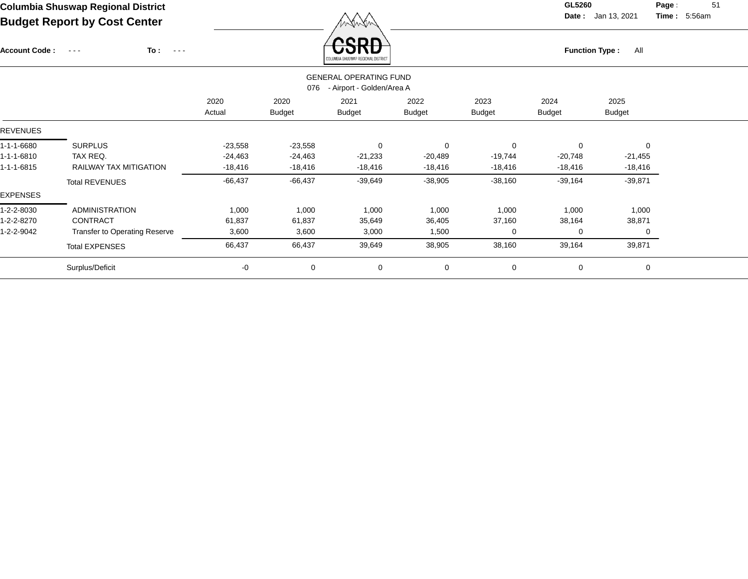Account Code : ---

**To :**

 $\overrightarrow{CSRD}$  Function Type : All

**Date :** Jan 13, 2021 **Time :**

**Page :** 51 5:56am

|            |                                      |                |                       | <b>PURPLISHED AND REAL PROPERTY ROLLED FIND</b>            |                |                       |                       |                       |  |
|------------|--------------------------------------|----------------|-----------------------|------------------------------------------------------------|----------------|-----------------------|-----------------------|-----------------------|--|
|            |                                      |                | 076                   | <b>GENERAL OPERATING FUND</b><br>- Airport - Golden/Area A |                |                       |                       |                       |  |
|            |                                      | 2020<br>Actual | 2020<br><b>Budget</b> | 2021<br><b>Budget</b>                                      | 2022<br>Budget | 2023<br><b>Budget</b> | 2024<br><b>Budget</b> | 2025<br><b>Budget</b> |  |
| REVENUES   |                                      |                |                       |                                                            |                |                       |                       |                       |  |
| 1-1-1-6680 | <b>SURPLUS</b>                       | $-23,558$      | $-23,558$             | $\mathbf 0$                                                | 0              | $\mathbf 0$           | 0                     | $\mathbf 0$           |  |
| 1-1-1-6810 | TAX REQ.                             | $-24,463$      | $-24,463$             | $-21,233$                                                  | $-20,489$      | $-19,744$             | $-20,748$             | $-21,455$             |  |
| 1-1-1-6815 | RAILWAY TAX MITIGATION               | $-18,416$      | $-18,416$             | $-18,416$                                                  | $-18,416$      | $-18,416$             | -18,416               | $-18,416$             |  |
|            | <b>Total REVENUES</b>                | $-66,437$      | $-66,437$             | $-39,649$                                                  | $-38,905$      | $-38,160$             | $-39,164$             | $-39,871$             |  |
| EXPENSES   |                                      |                |                       |                                                            |                |                       |                       |                       |  |
| 1-2-2-8030 | <b>ADMINISTRATION</b>                | 1,000          | 1,000                 | 1,000                                                      | 1,000          | 1,000                 | 1,000                 | 1,000                 |  |
| 1-2-2-8270 | CONTRACT                             | 61,837         | 61,837                | 35,649                                                     | 36,405         | 37,160                | 38,164                | 38,871                |  |
| 1-2-2-9042 | <b>Transfer to Operating Reserve</b> | 3,600          | 3,600                 | 3,000                                                      | 1,500          | $\Omega$              | 0                     | 0                     |  |
|            | <b>Total EXPENSES</b>                | 66,437         | 66,437                | 39,649                                                     | 38,905         | 38,160                | 39,164                | 39,871                |  |
|            | Surplus/Deficit                      | -0             | 0                     | 0                                                          | $\mathbf 0$    | 0                     | 0                     | 0                     |  |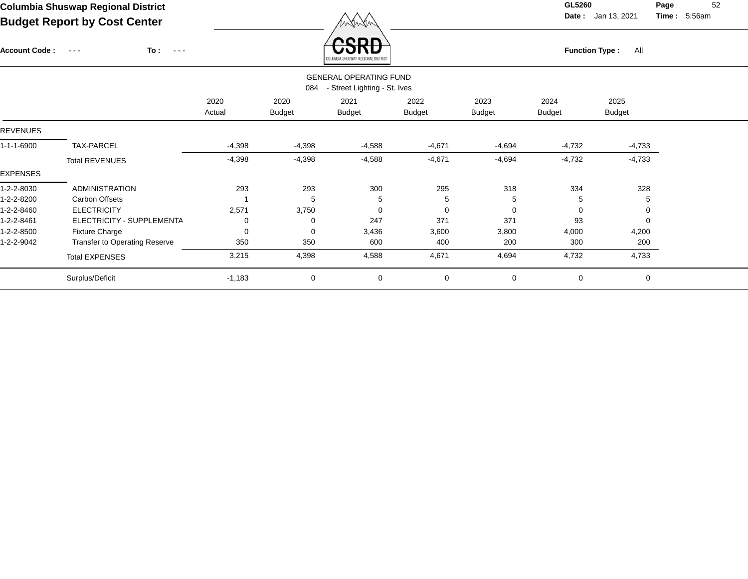**Date :** Jan 13, 2021 **Time :**

**Page :** 52 5:56am

| To:<br><b>Account Code:</b><br>$\sim$ $\sim$ $\sim$<br>$\sim$ $\sim$ $\sim$ |                |                       | LUMBIA SHUSWAP REGIONAL DISTRICT |                       |                                                               |                       | All                   |                       |
|-----------------------------------------------------------------------------|----------------|-----------------------|----------------------------------|-----------------------|---------------------------------------------------------------|-----------------------|-----------------------|-----------------------|
|                                                                             |                |                       |                                  |                       |                                                               |                       |                       |                       |
|                                                                             | 2020<br>Actual | 2020<br><b>Budget</b> | 2021<br><b>Budget</b>            | 2022<br><b>Budget</b> | 2023<br><b>Budget</b>                                         | 2024<br><b>Budget</b> | 2025<br><b>Budget</b> |                       |
|                                                                             |                |                       |                                  |                       |                                                               |                       |                       |                       |
| TAX-PARCEL                                                                  | $-4,398$       | $-4,398$              | $-4,588$                         | $-4,671$              | $-4,694$                                                      | $-4,732$              | $-4,733$              |                       |
| <b>Total REVENUES</b>                                                       | $-4,398$       | $-4,398$              | $-4,588$                         | $-4,671$              | $-4,694$                                                      | $-4,732$              | $-4,733$              |                       |
|                                                                             |                |                       |                                  |                       |                                                               |                       |                       |                       |
| <b>ADMINISTRATION</b>                                                       | 293            | 293                   | 300                              | 295                   | 318                                                           | 334                   | 328                   |                       |
| Carbon Offsets                                                              |                | 5                     | 5                                | 5                     | 5                                                             | 5                     | 5                     |                       |
| <b>ELECTRICITY</b>                                                          | 2,571          | 3,750                 | 0                                | 0                     | $\Omega$                                                      | $\mathbf 0$           | 0                     |                       |
| ELECTRICITY - SUPPLEMENTA                                                   | 0              | 0                     | 247                              | 371                   | 371                                                           | 93                    | 0                     |                       |
| <b>Fixture Charge</b>                                                       | 0              | 0                     | 3,436                            | 3,600                 | 3,800                                                         | 4,000                 | 4,200                 |                       |
| Transfer to Operating Reserve                                               | 350            | 350                   | 600                              | 400                   | 200                                                           | 300                   | 200                   |                       |
| <b>Total EXPENSES</b>                                                       | 3,215          | 4,398                 | 4,588                            | 4,671                 | 4,694                                                         | 4,732                 | 4,733                 |                       |
| Surplus/Deficit                                                             | $-1,183$       | 0                     | $\mathbf 0$                      | 0                     | 0                                                             | $\mathbf 0$           | $\mathbf 0$           |                       |
|                                                                             |                |                       | 084                              |                       | <b>GENERAL OPERATING FUND</b><br>- Street Lighting - St. Ives |                       |                       | <b>Function Type:</b> |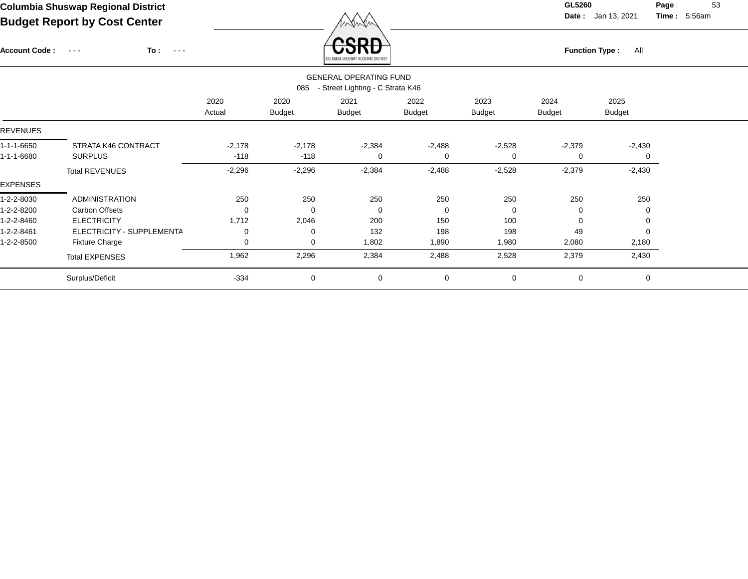Account Code : ---

**To :**

 $\overleftrightarrow{CSRD}$  Function Type : All

**Date :** Jan 13, 2021 **Time :**

**Page :** 53 5:56am

|                 | <b><i><u>AAFAWDIN AUAANNE UEAIAINE NIATURA</u></i></b>                   |                |                       |                       |                       |                       |                       |                       |  |  |  |  |  |  |
|-----------------|--------------------------------------------------------------------------|----------------|-----------------------|-----------------------|-----------------------|-----------------------|-----------------------|-----------------------|--|--|--|--|--|--|
|                 | <b>GENERAL OPERATING FUND</b><br>- Street Lighting - C Strata K46<br>085 |                |                       |                       |                       |                       |                       |                       |  |  |  |  |  |  |
|                 |                                                                          | 2020<br>Actual | 2020<br><b>Budget</b> | 2021<br><b>Budget</b> | 2022<br><b>Budget</b> | 2023<br><b>Budget</b> | 2024<br><b>Budget</b> | 2025<br><b>Budget</b> |  |  |  |  |  |  |
| <b>REVENUES</b> |                                                                          |                |                       |                       |                       |                       |                       |                       |  |  |  |  |  |  |
| 1-1-1-6650      | STRATA K46 CONTRACT                                                      | $-2,178$       | $-2,178$              | $-2,384$              | $-2,488$              | $-2,528$              | $-2,379$              | $-2,430$              |  |  |  |  |  |  |
| 1-1-1-6680      | <b>SURPLUS</b>                                                           | $-118$         | $-118$                | 0                     | 0                     | 0                     | 0                     | 0                     |  |  |  |  |  |  |
|                 | <b>Total REVENUES</b>                                                    | $-2,296$       | $-2,296$              | $-2,384$              | $-2,488$              | $-2,528$              | $-2,379$              | $-2,430$              |  |  |  |  |  |  |
| <b>EXPENSES</b> |                                                                          |                |                       |                       |                       |                       |                       |                       |  |  |  |  |  |  |
| 1-2-2-8030      | <b>ADMINISTRATION</b>                                                    | 250            | 250                   | 250                   | 250                   | 250                   | 250                   | 250                   |  |  |  |  |  |  |
| 1-2-2-8200      | Carbon Offsets                                                           | 0              | $\Omega$              | $\Omega$              | 0                     | 0                     | 0                     | 0                     |  |  |  |  |  |  |
| 1-2-2-8460      | <b>ELECTRICITY</b>                                                       | 1,712          | 2,046                 | 200                   | 150                   | 100                   | 0                     | 0                     |  |  |  |  |  |  |
| 1-2-2-8461      | ELECTRICITY - SUPPLEMENTA                                                | 0              | 0                     | 132                   | 198                   | 198                   | 49                    | 0                     |  |  |  |  |  |  |
| 1-2-2-8500      | <b>Fixture Charge</b>                                                    | 0              | 0                     | 1,802                 | 1,890                 | 1,980                 | 2,080                 | 2,180                 |  |  |  |  |  |  |
|                 | <b>Total EXPENSES</b>                                                    | 1,962          | 2,296                 | 2,384                 | 2,488                 | 2,528                 | 2,379                 | 2,430                 |  |  |  |  |  |  |
|                 | Surplus/Deficit                                                          | $-334$         | $\mathbf 0$           | 0                     | 0                     | $\mathbf 0$           | 0                     | 0                     |  |  |  |  |  |  |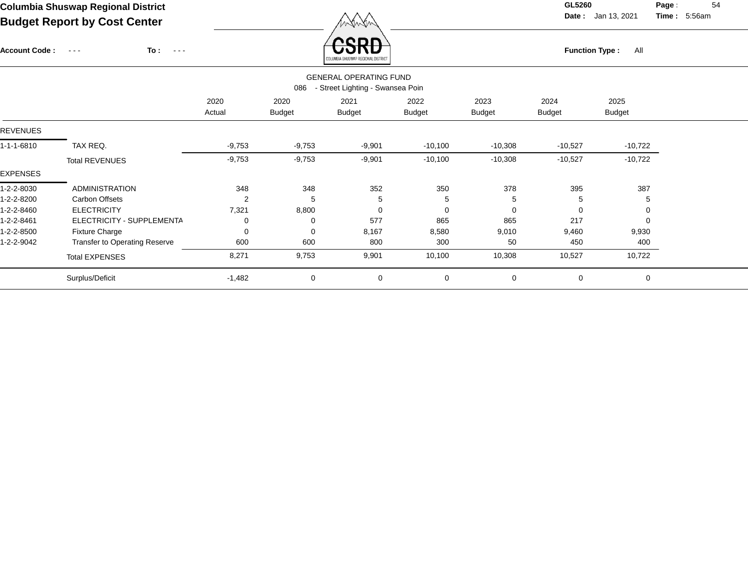**Date :** Jan 13, 2021 **Time : Page :** 54

5:56am

**To :** Account Code : ---Function Type : All<br>
COLUMBIA SHUSWAP REGIONAL DISTRICT

|            | <b>GENERAL OPERATING FUND</b><br>- Street Lighting - Swansea Poin<br>086 |                |                       |                |                       |                       |                |                       |  |  |  |  |  |
|------------|--------------------------------------------------------------------------|----------------|-----------------------|----------------|-----------------------|-----------------------|----------------|-----------------------|--|--|--|--|--|
|            |                                                                          | 2020<br>Actual | 2020<br><b>Budget</b> | 2021<br>Budget | 2022<br><b>Budget</b> | 2023<br><b>Budget</b> | 2024<br>Budget | 2025<br><b>Budget</b> |  |  |  |  |  |
| REVENUES   |                                                                          |                |                       |                |                       |                       |                |                       |  |  |  |  |  |
| 1-1-1-6810 | TAX REQ.                                                                 | $-9,753$       | $-9,753$              | $-9,901$       | $-10,100$             | $-10,308$             | $-10,527$      | $-10,722$             |  |  |  |  |  |
|            | <b>Total REVENUES</b>                                                    | $-9,753$       | $-9,753$              | $-9,901$       | $-10,100$             | $-10,308$             | $-10,527$      | $-10,722$             |  |  |  |  |  |
| EXPENSES   |                                                                          |                |                       |                |                       |                       |                |                       |  |  |  |  |  |
| 1-2-2-8030 | <b>ADMINISTRATION</b>                                                    | 348            | 348                   | 352            | 350                   | 378                   | 395            | 387                   |  |  |  |  |  |
| 1-2-2-8200 | Carbon Offsets                                                           | 2              | 5                     | 5              | 5                     | 5                     | 5              | 5                     |  |  |  |  |  |
| 1-2-2-8460 | <b>ELECTRICITY</b>                                                       | 7,321          | 8,800                 | 0              | $\mathbf 0$           | 0                     | $\Omega$       | 0                     |  |  |  |  |  |
| 1-2-2-8461 | ELECTRICITY - SUPPLEMENTA                                                | 0              | 0                     | 577            | 865                   | 865                   | 217            |                       |  |  |  |  |  |
| 1-2-2-8500 | <b>Fixture Charge</b>                                                    | 0              | $\Omega$              | 8,167          | 8,580                 | 9,010                 | 9,460          | 9,930                 |  |  |  |  |  |
| 1-2-2-9042 | <b>Transfer to Operating Reserve</b>                                     | 600            | 600                   | 800            | 300                   | 50                    | 450            | 400                   |  |  |  |  |  |
|            | <b>Total EXPENSES</b>                                                    | 8,271          | 9,753                 | 9,901          | 10,100                | 10,308                | 10,527         | 10,722                |  |  |  |  |  |
|            | Surplus/Deficit                                                          | $-1,482$       | $\mathbf 0$           | 0              | $\mathbf 0$           | 0                     | $\mathbf 0$    | $\mathbf 0$           |  |  |  |  |  |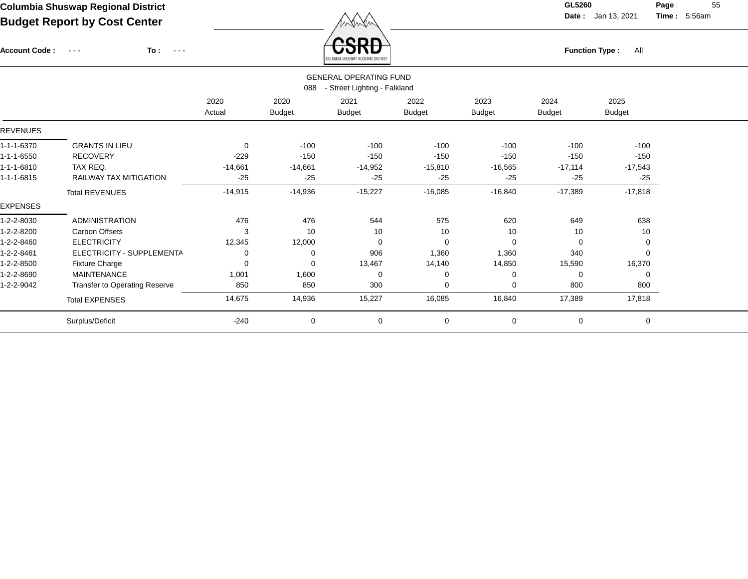Account Code : ---

**To :**

 $F_{\text{unction Type: All}}$ 

**Date :** Jan 13, 2021 **Time :**

**Page :** 55 5:56am

|                 |                                                                      |           |               | <b>COLUMBIA SHRSWAF REGIONAL DISTRICT</b> |               |               |               |               |  |  |  |  |  |  |
|-----------------|----------------------------------------------------------------------|-----------|---------------|-------------------------------------------|---------------|---------------|---------------|---------------|--|--|--|--|--|--|
|                 | <b>GENERAL OPERATING FUND</b><br>- Street Lighting - Falkland<br>088 |           |               |                                           |               |               |               |               |  |  |  |  |  |  |
|                 |                                                                      | 2020      | 2020          | 2021                                      | 2022          | 2023          | 2024          | 2025          |  |  |  |  |  |  |
|                 |                                                                      | Actual    | <b>Budget</b> | <b>Budget</b>                             | <b>Budget</b> | <b>Budget</b> | <b>Budget</b> | <b>Budget</b> |  |  |  |  |  |  |
| <b>REVENUES</b> |                                                                      |           |               |                                           |               |               |               |               |  |  |  |  |  |  |
| 1-1-1-6370      | <b>GRANTS IN LIEU</b>                                                | 0         | $-100$        | $-100$                                    | $-100$        | $-100$        | $-100$        | $-100$        |  |  |  |  |  |  |
| 1-1-1-6550      | <b>RECOVERY</b>                                                      | $-229$    | $-150$        | $-150$                                    | $-150$        | $-150$        | $-150$        | $-150$        |  |  |  |  |  |  |
| 1-1-1-6810      | TAX REQ.                                                             | $-14,661$ | $-14,661$     | $-14,952$                                 | $-15,810$     | $-16,565$     | $-17,114$     | $-17,543$     |  |  |  |  |  |  |
| 1-1-1-6815      | <b>RAILWAY TAX MITIGATION</b>                                        | $-25$     | $-25$         | $-25$                                     | $-25$         | $-25$         | $-25$         | $-25$         |  |  |  |  |  |  |
|                 | <b>Total REVENUES</b>                                                | $-14,915$ | $-14,936$     | $-15,227$                                 | $-16,085$     | $-16,840$     | $-17,389$     | $-17,818$     |  |  |  |  |  |  |
| <b>EXPENSES</b> |                                                                      |           |               |                                           |               |               |               |               |  |  |  |  |  |  |
| 1-2-2-8030      | <b>ADMINISTRATION</b>                                                | 476       | 476           | 544                                       | 575           | 620           | 649           | 638           |  |  |  |  |  |  |
| 1-2-2-8200      | Carbon Offsets                                                       | 3         | 10            | 10                                        | 10            | 10            | 10            | 10            |  |  |  |  |  |  |
| 1-2-2-8460      | <b>ELECTRICITY</b>                                                   | 12,345    | 12,000        | $\Omega$                                  | 0             | $\Omega$      | 0             | 0             |  |  |  |  |  |  |
| 1-2-2-8461      | ELECTRICITY - SUPPLEMENTA                                            | 0         | 0             | 906                                       | 1,360         | 1,360         | 340           | $\Omega$      |  |  |  |  |  |  |
| 1-2-2-8500      | <b>Fixture Charge</b>                                                | 0         | 0             | 13,467                                    | 14,140        | 14,850        | 15,590        | 16,370        |  |  |  |  |  |  |
| 1-2-2-8690      | <b>MAINTENANCE</b>                                                   | 1,001     | 1,600         | 0                                         | $\Omega$      |               | 0             | 0             |  |  |  |  |  |  |
| 1-2-2-9042      | Transfer to Operating Reserve                                        | 850       | 850           | 300                                       | $\Omega$      | $\Omega$      | 800           | 800           |  |  |  |  |  |  |
|                 | <b>Total EXPENSES</b>                                                | 14,675    | 14,936        | 15,227                                    | 16,085        | 16,840        | 17,389        | 17,818        |  |  |  |  |  |  |
|                 | Surplus/Deficit                                                      | $-240$    | 0             | 0                                         | $\mathbf 0$   | $\mathbf 0$   | 0             | 0             |  |  |  |  |  |  |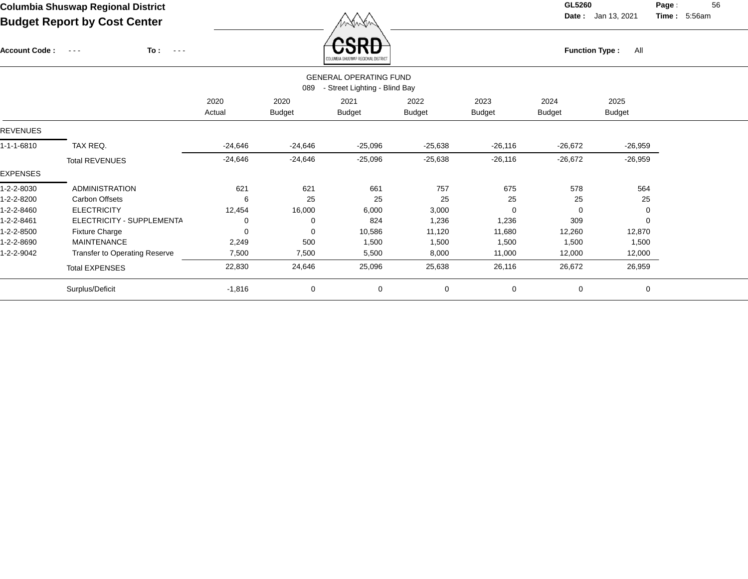$\angle$  **CSRD** 

**Date :** Jan 13, 2021 **Time :**

**Page :** 56 5:56am

| <b>Account Code:</b> | To:<br>$\sim$ $ \sim$<br>$\sim$ $\sim$ $\sim$ |                |                       | <b>UJND</b><br>COLUMBIA SHUSWAP REGIONAL DISTRICT              |                       | <b>Function Type:</b><br>All |                       |                       |  |  |
|----------------------|-----------------------------------------------|----------------|-----------------------|----------------------------------------------------------------|-----------------------|------------------------------|-----------------------|-----------------------|--|--|
|                      |                                               |                | 089                   | <b>GENERAL OPERATING FUND</b><br>- Street Lighting - Blind Bay |                       |                              |                       |                       |  |  |
|                      |                                               | 2020<br>Actual | 2020<br><b>Budget</b> | 2021<br>Budget                                                 | 2022<br><b>Budget</b> | 2023<br><b>Budget</b>        | 2024<br><b>Budget</b> | 2025<br><b>Budget</b> |  |  |
| REVENUES             |                                               |                |                       |                                                                |                       |                              |                       |                       |  |  |
| 1-1-1-6810           | TAX REQ.                                      | $-24,646$      | -24,646               | $-25,096$                                                      | $-25,638$             | $-26,116$                    | $-26,672$             | $-26,959$             |  |  |
|                      | <b>Total REVENUES</b>                         | $-24,646$      | $-24,646$             | $-25,096$                                                      | $-25,638$             | $-26,116$                    | $-26,672$             | $-26,959$             |  |  |
| <b>EXPENSES</b>      |                                               |                |                       |                                                                |                       |                              |                       |                       |  |  |
| 1-2-2-8030           | <b>ADMINISTRATION</b>                         | 621            | 621                   | 661                                                            | 757                   | 675                          | 578                   | 564                   |  |  |
| 1-2-2-8200           | Carbon Offsets                                | 6              | 25                    | 25                                                             | 25                    | 25                           | 25                    | 25                    |  |  |
| 1-2-2-8460           | <b>ELECTRICITY</b>                            | 12,454         | 16,000                | 6,000                                                          | 3,000                 | $\Omega$                     | $\Omega$              |                       |  |  |
| 1-2-2-8461           | ELECTRICITY - SUPPLEMENTA                     | 0              | 0                     | 824                                                            | 1,236                 | 1,236                        | 309                   |                       |  |  |
| 1-2-2-8500           | <b>Fixture Charge</b>                         | 0              | $\Omega$              | 10,586                                                         | 11,120                | 11,680                       | 12,260                | 12,870                |  |  |
| 1-2-2-8690           | <b>MAINTENANCE</b>                            | 2,249          | 500                   | 1,500                                                          | 1,500                 | 1,500                        | 1,500                 | 1,500                 |  |  |
| 1-2-2-9042           | Transfer to Operating Reserve                 | 7,500          | 7,500                 | 5,500                                                          | 8,000                 | 11,000                       | 12,000                | 12,000                |  |  |
|                      | <b>Total EXPENSES</b>                         | 22,830         | 24,646                | 25,096                                                         | 25,638                | 26,116                       | 26,672                | 26,959                |  |  |
|                      | Surplus/Deficit                               | $-1,816$       | 0                     | 0                                                              | $\mathbf 0$           | $\mathbf 0$                  | 0                     | 0                     |  |  |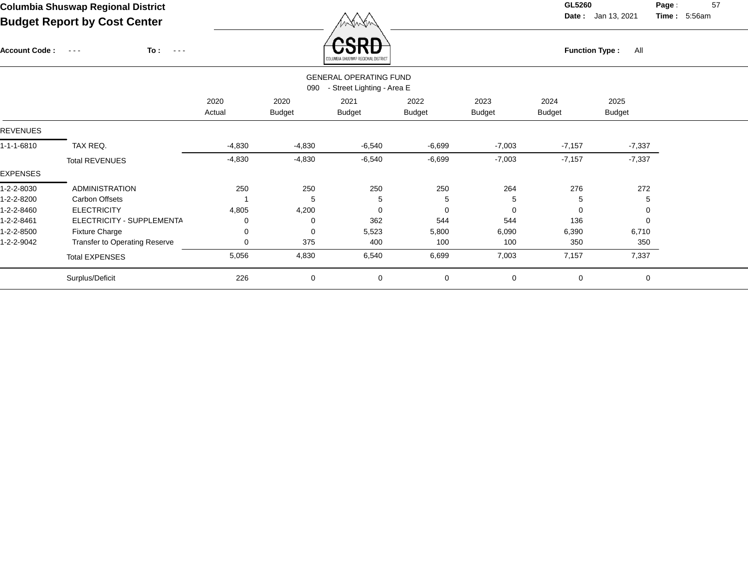$\angle$  **CSRD** 

**Date :** Jan 13, 2021 **Time :**

**Page :** 57 5:56am

| <b>Account Code:</b> | To :<br>$\sim$ $\sim$ $\sim$<br>$\frac{1}{2} \frac{1}{2} \frac{1}{2} \frac{1}{2} \frac{1}{2} \frac{1}{2} \frac{1}{2} \frac{1}{2} \frac{1}{2} \frac{1}{2} \frac{1}{2} \frac{1}{2} \frac{1}{2} \frac{1}{2} \frac{1}{2} \frac{1}{2} \frac{1}{2} \frac{1}{2} \frac{1}{2} \frac{1}{2} \frac{1}{2} \frac{1}{2} \frac{1}{2} \frac{1}{2} \frac{1}{2} \frac{1}{2} \frac{1}{2} \frac{1}{2} \frac{1}{2} \frac{1}{2} \frac{1}{2} \frac{$ |          |               | <b>UJND</b><br>LUMBIA SHUSWAP REGIONAL DISTRICT |               | <b>Function Type:</b><br>All |               |               |  |  |
|----------------------|------------------------------------------------------------------------------------------------------------------------------------------------------------------------------------------------------------------------------------------------------------------------------------------------------------------------------------------------------------------------------------------------------------------------------|----------|---------------|-------------------------------------------------|---------------|------------------------------|---------------|---------------|--|--|
|                      |                                                                                                                                                                                                                                                                                                                                                                                                                              |          |               | <b>GENERAL OPERATING FUND</b>                   |               |                              |               |               |  |  |
|                      |                                                                                                                                                                                                                                                                                                                                                                                                                              |          | 090           | - Street Lighting - Area E                      |               |                              |               |               |  |  |
|                      |                                                                                                                                                                                                                                                                                                                                                                                                                              | 2020     | 2020          | 2021                                            | 2022          | 2023                         | 2024          | 2025          |  |  |
|                      |                                                                                                                                                                                                                                                                                                                                                                                                                              | Actual   | <b>Budget</b> | <b>Budget</b>                                   | <b>Budget</b> | <b>Budget</b>                | <b>Budget</b> | <b>Budget</b> |  |  |
| <b>REVENUES</b>      |                                                                                                                                                                                                                                                                                                                                                                                                                              |          |               |                                                 |               |                              |               |               |  |  |
| 1-1-1-6810           | TAX REQ.                                                                                                                                                                                                                                                                                                                                                                                                                     | $-4,830$ | $-4,830$      | $-6,540$                                        | $-6,699$      | $-7,003$                     | $-7,157$      | $-7,337$      |  |  |
|                      | <b>Total REVENUES</b>                                                                                                                                                                                                                                                                                                                                                                                                        | $-4,830$ | $-4,830$      | $-6,540$                                        | $-6,699$      | $-7,003$                     | $-7,157$      | $-7,337$      |  |  |
| <b>EXPENSES</b>      |                                                                                                                                                                                                                                                                                                                                                                                                                              |          |               |                                                 |               |                              |               |               |  |  |
| 1-2-2-8030           | <b>ADMINISTRATION</b>                                                                                                                                                                                                                                                                                                                                                                                                        | 250      | 250           | 250                                             | 250           | 264                          | 276           | 272           |  |  |
| 1-2-2-8200           | Carbon Offsets                                                                                                                                                                                                                                                                                                                                                                                                               |          | 5             | 5                                               | 5             |                              | 5             | 5             |  |  |
| 1-2-2-8460           | <b>ELECTRICITY</b>                                                                                                                                                                                                                                                                                                                                                                                                           | 4,805    | 4,200         | 0                                               | $\Omega$      |                              | 0             | $\Omega$      |  |  |
| 1-2-2-8461           | ELECTRICITY - SUPPLEMENTA                                                                                                                                                                                                                                                                                                                                                                                                    | 0        | $\Omega$      | 362                                             | 544           | 544                          | 136           | $\Omega$      |  |  |
| 1-2-2-8500           | <b>Fixture Charge</b>                                                                                                                                                                                                                                                                                                                                                                                                        | 0        | $\Omega$      | 5,523                                           | 5,800         | 6,090                        | 6,390         | 6,710         |  |  |
| 1-2-2-9042           | <b>Transfer to Operating Reserve</b>                                                                                                                                                                                                                                                                                                                                                                                         | 0        | 375           | 400                                             | 100           | 100                          | 350           | 350           |  |  |
|                      | <b>Total EXPENSES</b>                                                                                                                                                                                                                                                                                                                                                                                                        | 5,056    | 4,830         | 6,540                                           | 6,699         | 7,003                        | 7,157         | 7,337         |  |  |
|                      | Surplus/Deficit                                                                                                                                                                                                                                                                                                                                                                                                              | 226      | $\mathbf 0$   | 0                                               | $\mathbf 0$   | $\mathbf 0$                  | 0             | 0             |  |  |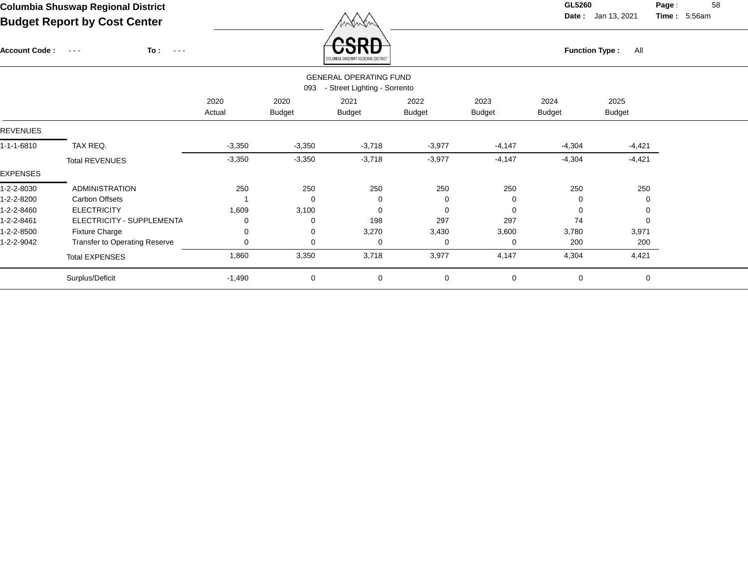**Date :** Jan 13, 2021 **Time :**

**Page :** 58 5:56am

| <b>Account Code:</b> | To:<br>$\sim$ $  -$<br>$\sim$ $\sim$ $\sim$ |                |                       | CБ<br>MRIA SHUSWAP REGIONAL DISTRICT                  |                       | <b>Function Type:</b><br>All |                       |                       |  |  |
|----------------------|---------------------------------------------|----------------|-----------------------|-------------------------------------------------------|-----------------------|------------------------------|-----------------------|-----------------------|--|--|
|                      |                                             |                | 093                   | <b>GENERAL OPERATING FUND</b>                         |                       |                              |                       |                       |  |  |
|                      |                                             | 2020<br>Actual | 2020<br><b>Budget</b> | - Street Lighting - Sorrento<br>2021<br><b>Budget</b> | 2022<br><b>Budget</b> | 2023<br><b>Budget</b>        | 2024<br><b>Budget</b> | 2025<br><b>Budget</b> |  |  |
| <b>REVENUES</b>      |                                             |                |                       |                                                       |                       |                              |                       |                       |  |  |
| 1-1-1-6810           | TAX REQ.                                    | $-3,350$       | $-3,350$              | $-3,718$                                              | $-3,977$              | $-4,147$                     | $-4,304$              | $-4,421$              |  |  |
|                      | <b>Total REVENUES</b>                       | $-3,350$       | $-3,350$              | $-3,718$                                              | $-3,977$              | $-4,147$                     | $-4,304$              | $-4,421$              |  |  |
| EXPENSES             |                                             |                |                       |                                                       |                       |                              |                       |                       |  |  |
| 1-2-2-8030           | <b>ADMINISTRATION</b>                       | 250            | 250                   | 250                                                   | 250                   | 250                          | 250                   | 250                   |  |  |
| 1-2-2-8200           | Carbon Offsets                              |                | $\mathbf 0$           | 0                                                     | 0                     | $\Omega$                     | 0                     | 0                     |  |  |
| 1-2-2-8460           | <b>ELECTRICITY</b>                          | 1,609          | 3,100                 | $\Omega$                                              | $\Omega$              | $\Omega$                     | $\Omega$              | $\Omega$              |  |  |
| 1-2-2-8461           | ELECTRICITY - SUPPLEMENTA                   | 0              | 0                     | 198                                                   | 297                   | 297                          | 74                    | $\Omega$              |  |  |
| 1-2-2-8500           | <b>Fixture Charge</b>                       | 0              | 0                     | 3,270                                                 | 3,430                 | 3,600                        | 3,780                 | 3,971                 |  |  |
| 1-2-2-9042           | Transfer to Operating Reserve               | 0              | 0                     | 0                                                     | 0                     | $\Omega$                     | 200                   | 200                   |  |  |
|                      | <b>Total EXPENSES</b>                       | 1,860          | 3,350                 | 3,718                                                 | 3,977                 | 4,147                        | 4,304                 | 4,421                 |  |  |
|                      | Surplus/Deficit                             | $-1,490$       | 0                     | 0                                                     | 0                     | 0                            | $\mathbf 0$           | $\mathbf 0$           |  |  |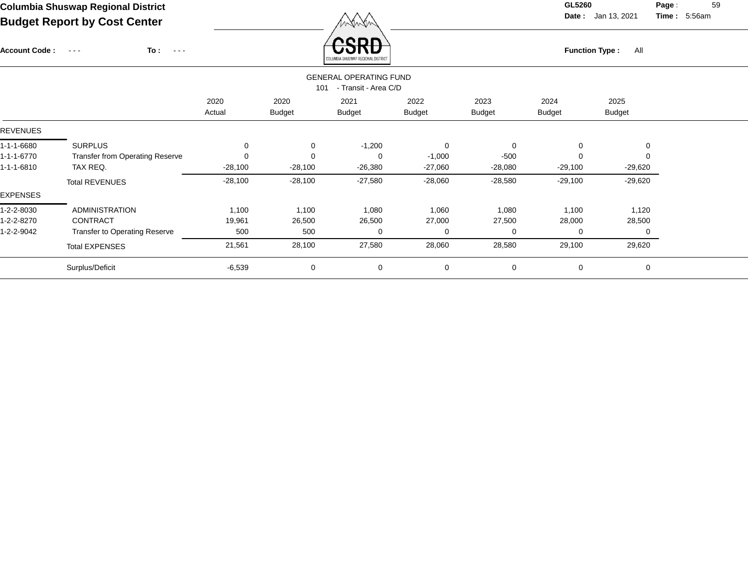Account Code : ---

**To :**

 $\overrightarrow{CSRD}$  Function Type : All

**Date :** Jan 13, 2021 **Time :**

**Page :** 59 5:56am

|            |                                                              |                |                       | ANTAMBIN SURSMAL URSINIAIT NISTURI |                       |                       |                       |                       |  |  |  |  |  |  |
|------------|--------------------------------------------------------------|----------------|-----------------------|------------------------------------|-----------------------|-----------------------|-----------------------|-----------------------|--|--|--|--|--|--|
|            | <b>GENERAL OPERATING FUND</b><br>- Transit - Area C/D<br>101 |                |                       |                                    |                       |                       |                       |                       |  |  |  |  |  |  |
|            |                                                              | 2020<br>Actual | 2020<br><b>Budget</b> | 2021<br><b>Budget</b>              | 2022<br><b>Budget</b> | 2023<br><b>Budget</b> | 2024<br><b>Budget</b> | 2025<br><b>Budget</b> |  |  |  |  |  |  |
| REVENUES   |                                                              |                |                       |                                    |                       |                       |                       |                       |  |  |  |  |  |  |
| 1-1-1-6680 | <b>SURPLUS</b>                                               | 0              | 0                     | $-1,200$                           | $\mathbf 0$           | $\mathbf 0$           | 0                     | 0                     |  |  |  |  |  |  |
| 1-1-1-6770 | <b>Transfer from Operating Reserve</b>                       | 0              | $\Omega$              | $\Omega$                           | $-1,000$              | $-500$                | $\Omega$              |                       |  |  |  |  |  |  |
| 1-1-1-6810 | TAX REQ.                                                     | $-28,100$      | $-28,100$             | $-26,380$                          | $-27,060$             | $-28,080$             | $-29,100$             | $-29,620$             |  |  |  |  |  |  |
|            | <b>Total REVENUES</b>                                        | $-28,100$      | $-28,100$             | $-27,580$                          | $-28,060$             | $-28,580$             | $-29,100$             | $-29,620$             |  |  |  |  |  |  |
| EXPENSES   |                                                              |                |                       |                                    |                       |                       |                       |                       |  |  |  |  |  |  |
| 1-2-2-8030 | <b>ADMINISTRATION</b>                                        | 1,100          | 1,100                 | 1,080                              | 1,060                 | 1,080                 | 1,100                 | 1,120                 |  |  |  |  |  |  |
| 1-2-2-8270 | CONTRACT                                                     | 19,961         | 26,500                | 26,500                             | 27,000                | 27,500                | 28,000                | 28,500                |  |  |  |  |  |  |
| 1-2-2-9042 | <b>Transfer to Operating Reserve</b>                         | 500            | 500                   | 0                                  | $\Omega$              | $\Omega$              | 0                     |                       |  |  |  |  |  |  |
|            | <b>Total EXPENSES</b>                                        | 21,561         | 28,100                | 27,580                             | 28,060                | 28,580                | 29,100                | 29,620                |  |  |  |  |  |  |
|            | Surplus/Deficit                                              | $-6,539$       | 0                     | 0                                  | 0                     | $\mathbf 0$           | 0                     | 0                     |  |  |  |  |  |  |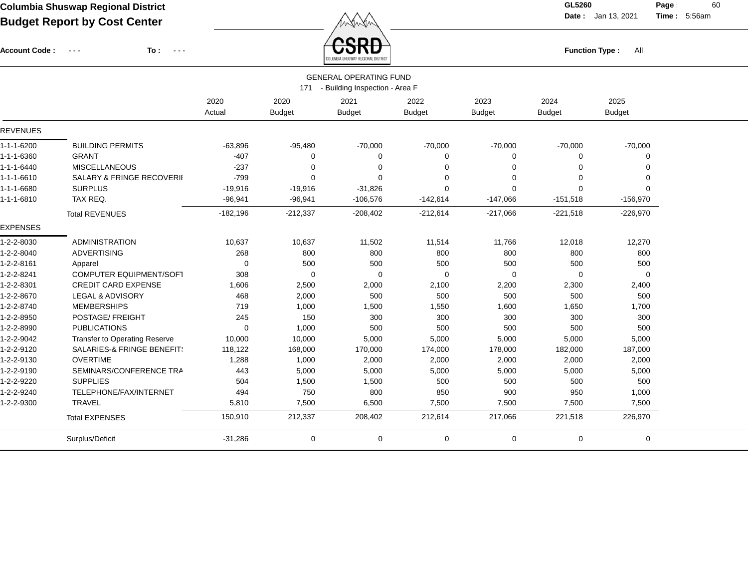Account Code : ---

**To :**

 $\overline{\text{CSRD}}$  Function Type : All

**Date :** Jan 13, 2021 **Time :**

**Page :** 60 5:56am

|                    | COLUMBIA SHUSWAP REGIONAL DISTRICT   |             |               |                                    |               |                |               |               |  |  |  |  |
|--------------------|--------------------------------------|-------------|---------------|------------------------------------|---------------|----------------|---------------|---------------|--|--|--|--|
|                    |                                      |             |               | <b>GENERAL OPERATING FUND</b>      |               |                |               |               |  |  |  |  |
|                    |                                      |             |               | 171 - Building Inspection - Area F |               |                |               |               |  |  |  |  |
|                    |                                      | 2020        | 2020          | 2021                               | 2022          | 2023           | 2024          | 2025          |  |  |  |  |
|                    |                                      | Actual      | <b>Budget</b> | <b>Budget</b>                      | <b>Budget</b> | <b>Budget</b>  | <b>Budget</b> | <b>Budget</b> |  |  |  |  |
| <b>REVENUES</b>    |                                      |             |               |                                    |               |                |               |               |  |  |  |  |
| 1-1-1-6200         | <b>BUILDING PERMITS</b>              | $-63,896$   | $-95,480$     | $-70,000$                          | $-70,000$     | $-70,000$      | $-70,000$     | $-70,000$     |  |  |  |  |
| 1-1-1-6360         | <b>GRANT</b>                         | $-407$      | $\Omega$      | $\Omega$                           | 0             | 0              | $\Omega$      | 0             |  |  |  |  |
| $1 - 1 - 1 - 6440$ | <b>MISCELLANEOUS</b>                 | $-237$      | $\Omega$      | $\Omega$                           | $\Omega$      | $\Omega$       | ∩             | $\Omega$      |  |  |  |  |
| 1-1-1-6610         | <b>SALARY &amp; FRINGE RECOVERII</b> | $-799$      | $\Omega$      | $\Omega$                           | 0             | $\overline{0}$ | $\Omega$      | 0             |  |  |  |  |
| 1-1-1-6680         | <b>SURPLUS</b>                       | $-19,916$   | $-19,916$     | $-31,826$                          | $\Omega$      | 0              | $\Omega$      | $\Omega$      |  |  |  |  |
| 1-1-1-6810         | TAX REQ.                             | $-96,941$   | $-96,941$     | $-106,576$                         | $-142,614$    | $-147,066$     | $-151,518$    | $-156,970$    |  |  |  |  |
|                    | <b>Total REVENUES</b>                | $-182,196$  | $-212,337$    | $-208,402$                         | $-212,614$    | $-217,066$     | $-221,518$    | $-226,970$    |  |  |  |  |
| <b>EXPENSES</b>    |                                      |             |               |                                    |               |                |               |               |  |  |  |  |
| 1-2-2-8030         | <b>ADMINISTRATION</b>                | 10,637      | 10,637        | 11,502                             | 11,514        | 11,766         | 12,018        | 12,270        |  |  |  |  |
| 1-2-2-8040         | <b>ADVERTISING</b>                   | 268         | 800           | 800                                | 800           | 800            | 800           | 800           |  |  |  |  |
| 1-2-2-8161         | Apparel                              | $\mathbf 0$ | 500           | 500                                | 500           | 500            | 500           | 500           |  |  |  |  |
| 1-2-2-8241         | COMPUTER EQUIPMENT/SOFT              | 308         | $\mathbf 0$   | $\Omega$                           | $\mathbf 0$   | $\mathbf 0$    | $\Omega$      | 0             |  |  |  |  |
| 1-2-2-8301         | <b>CREDIT CARD EXPENSE</b>           | 1,606       | 2,500         | 2,000                              | 2,100         | 2,200          | 2,300         | 2,400         |  |  |  |  |
| 1-2-2-8670         | <b>LEGAL &amp; ADVISORY</b>          | 468         | 2,000         | 500                                | 500           | 500            | 500           | 500           |  |  |  |  |
| 1-2-2-8740         | <b>MEMBERSHIPS</b>                   | 719         | 1,000         | 1,500                              | 1,550         | 1,600          | 1,650         | 1,700         |  |  |  |  |
| 1-2-2-8950         | POSTAGE/ FREIGHT                     | 245         | 150           | 300                                | 300           | 300            | 300           | 300           |  |  |  |  |
| 1-2-2-8990         | <b>PUBLICATIONS</b>                  | $\mathbf 0$ | 1,000         | 500                                | 500           | 500            | 500           | 500           |  |  |  |  |
| 1-2-2-9042         | <b>Transfer to Operating Reserve</b> | 10,000      | 10,000        | 5,000                              | 5,000         | 5,000          | 5,000         | 5,000         |  |  |  |  |
| 1-2-2-9120         | SALARIES-& FRINGE BENEFIT!           | 118,122     | 168,000       | 170,000                            | 174,000       | 178,000        | 182,000       | 187,000       |  |  |  |  |
| 1-2-2-9130         | <b>OVERTIME</b>                      | 1,288       | 1,000         | 2,000                              | 2,000         | 2,000          | 2,000         | 2,000         |  |  |  |  |
| 1-2-2-9190         | SEMINARS/CONFERENCE TRA              | 443         | 5,000         | 5,000                              | 5,000         | 5,000          | 5,000         | 5,000         |  |  |  |  |
| 1-2-2-9220         | <b>SUPPLIES</b>                      | 504         | 1,500         | 1,500                              | 500           | 500            | 500           | 500           |  |  |  |  |
| 1-2-2-9240         | TELEPHONE/FAX/INTERNET               | 494         | 750           | 800                                | 850           | 900            | 950           | 1,000         |  |  |  |  |
| 1-2-2-9300         | <b>TRAVEL</b>                        | 5,810       | 7,500         | 6,500                              | 7,500         | 7,500          | 7,500         | 7,500         |  |  |  |  |
|                    | <b>Total EXPENSES</b>                | 150,910     | 212,337       | 208,402                            | 212,614       | 217,066        | 221,518       | 226,970       |  |  |  |  |
|                    | Surplus/Deficit                      | $-31,286$   | 0             | 0                                  | $\mathbf 0$   | $\mathbf 0$    | $\mathbf 0$   | 0             |  |  |  |  |
|                    |                                      |             |               |                                    |               |                |               |               |  |  |  |  |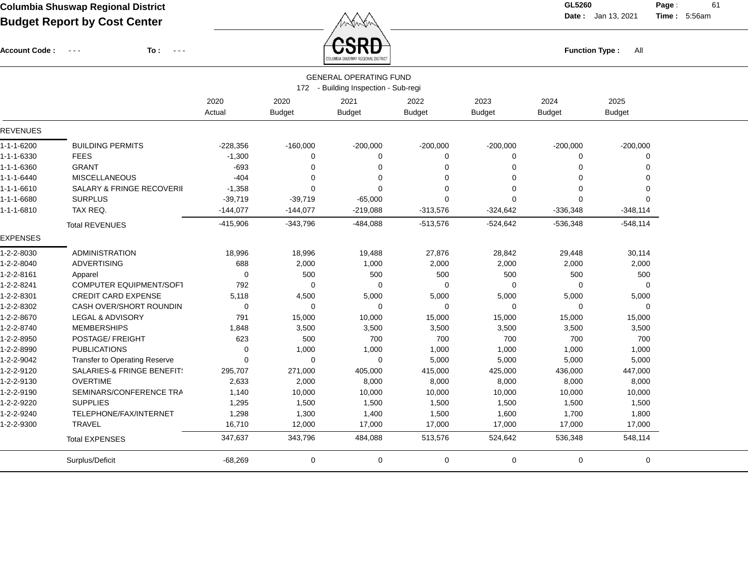**Date :** Jan 13, 2021 **Time : Page :** 61

5:56am

| Account Code:   | To :<br>$\sim$ $\sim$ $\sim$<br>$\frac{1}{2} \frac{1}{2} \frac{1}{2} \frac{1}{2} \frac{1}{2} \frac{1}{2} \frac{1}{2} \frac{1}{2} \frac{1}{2} \frac{1}{2} \frac{1}{2} \frac{1}{2} \frac{1}{2} \frac{1}{2} \frac{1}{2} \frac{1}{2} \frac{1}{2} \frac{1}{2} \frac{1}{2} \frac{1}{2} \frac{1}{2} \frac{1}{2} \frac{1}{2} \frac{1}{2} \frac{1}{2} \frac{1}{2} \frac{1}{2} \frac{1}{2} \frac{1}{2} \frac{1}{2} \frac{1}{2} \frac{$ |            | QDN<br><b>Function Type:</b><br>All |                                      |               |                |               |               |  |
|-----------------|------------------------------------------------------------------------------------------------------------------------------------------------------------------------------------------------------------------------------------------------------------------------------------------------------------------------------------------------------------------------------------------------------------------------------|------------|-------------------------------------|--------------------------------------|---------------|----------------|---------------|---------------|--|
|                 |                                                                                                                                                                                                                                                                                                                                                                                                                              |            |                                     | <b>GENERAL OPERATING FUND</b>        |               |                |               |               |  |
|                 |                                                                                                                                                                                                                                                                                                                                                                                                                              |            |                                     | 172 - Building Inspection - Sub-regi |               |                |               |               |  |
|                 |                                                                                                                                                                                                                                                                                                                                                                                                                              | 2020       | 2020                                | 2021                                 | 2022          | 2023           | 2024          | 2025          |  |
|                 |                                                                                                                                                                                                                                                                                                                                                                                                                              | Actual     | <b>Budget</b>                       | <b>Budget</b>                        | <b>Budget</b> | <b>Budget</b>  | <b>Budget</b> | <b>Budget</b> |  |
| <b>REVENUES</b> |                                                                                                                                                                                                                                                                                                                                                                                                                              |            |                                     |                                      |               |                |               |               |  |
| 1-1-1-6200      | <b>BUILDING PERMITS</b>                                                                                                                                                                                                                                                                                                                                                                                                      | $-228,356$ | $-160,000$                          | $-200,000$                           | $-200,000$    | $-200,000$     | $-200,000$    | $-200,000$    |  |
| 1-1-1-6330      | <b>FEES</b>                                                                                                                                                                                                                                                                                                                                                                                                                  | $-1,300$   | $\Omega$                            | $\Omega$                             | 0             | 0              | $\Omega$      | $\Omega$      |  |
| 1-1-1-6360      | <b>GRANT</b>                                                                                                                                                                                                                                                                                                                                                                                                                 | $-693$     | $\Omega$                            | $\Omega$                             | $\Omega$      | $\Omega$       | $\Omega$      | $\Omega$      |  |
| 1-1-1-6440      | <b>MISCELLANEOUS</b>                                                                                                                                                                                                                                                                                                                                                                                                         | $-404$     | $\Omega$                            | $\Omega$                             | $\Omega$      | $\Omega$       | $\Omega$      | $\Omega$      |  |
| 1-1-1-6610      | SALARY & FRINGE RECOVERII                                                                                                                                                                                                                                                                                                                                                                                                    | $-1,358$   | $\Omega$                            | $\Omega$                             | 0             | $\Omega$       | $\Omega$      | $\Omega$      |  |
| 1-1-1-6680      | <b>SURPLUS</b>                                                                                                                                                                                                                                                                                                                                                                                                               | $-39,719$  | $-39,719$                           | $-65,000$                            | $\Omega$      | $\mathbf 0$    | $\Omega$      | $\Omega$      |  |
| 1-1-1-6810      | TAX REQ.                                                                                                                                                                                                                                                                                                                                                                                                                     | $-144,077$ | $-144,077$                          | $-219,088$                           | $-313,576$    | $-324,642$     | $-336,348$    | $-348,114$    |  |
|                 | <b>Total REVENUES</b>                                                                                                                                                                                                                                                                                                                                                                                                        | $-415,906$ | $-343,796$                          | -484,088                             | $-513,576$    | $-524,642$     | $-536,348$    | $-548,114$    |  |
| <b>EXPENSES</b> |                                                                                                                                                                                                                                                                                                                                                                                                                              |            |                                     |                                      |               |                |               |               |  |
| 1-2-2-8030      | <b>ADMINISTRATION</b>                                                                                                                                                                                                                                                                                                                                                                                                        | 18,996     | 18,996                              | 19,488                               | 27,876        | 28,842         | 29,448        | 30,114        |  |
| 1-2-2-8040      | <b>ADVERTISING</b>                                                                                                                                                                                                                                                                                                                                                                                                           | 688        | 2,000                               | 1,000                                | 2,000         | 2,000          | 2,000         | 2,000         |  |
| 1-2-2-8161      | Apparel                                                                                                                                                                                                                                                                                                                                                                                                                      | $\Omega$   | 500                                 | 500                                  | 500           | 500            | 500           | 500           |  |
| 1-2-2-8241      | <b>COMPUTER EQUIPMENT/SOFT</b>                                                                                                                                                                                                                                                                                                                                                                                               | 792        | $\Omega$                            | $\Omega$                             | $\Omega$      | $\overline{0}$ | $\Omega$      | $\Omega$      |  |
| 1-2-2-8301      | <b>CREDIT CARD EXPENSE</b>                                                                                                                                                                                                                                                                                                                                                                                                   | 5,118      | 4,500                               | 5,000                                | 5,000         | 5,000          | 5,000         | 5,000         |  |
| 1-2-2-8302      | <b>CASH OVER/SHORT ROUNDIN</b>                                                                                                                                                                                                                                                                                                                                                                                               | $\Omega$   | $\Omega$                            | $\Omega$                             | 0             | $\mathbf 0$    | $\Omega$      | $\Omega$      |  |
| 1-2-2-8670      | LEGAL & ADVISORY                                                                                                                                                                                                                                                                                                                                                                                                             | 791        | 15,000                              | 10,000                               | 15,000        | 15,000         | 15,000        | 15,000        |  |
| 1-2-2-8740      | <b>MEMBERSHIPS</b>                                                                                                                                                                                                                                                                                                                                                                                                           | 1,848      | 3,500                               | 3,500                                | 3,500         | 3,500          | 3,500         | 3,500         |  |
| 1-2-2-8950      | POSTAGE/ FREIGHT                                                                                                                                                                                                                                                                                                                                                                                                             | 623        | 500                                 | 700                                  | 700           | 700            | 700           | 700           |  |
| 1-2-2-8990      | <b>PUBLICATIONS</b>                                                                                                                                                                                                                                                                                                                                                                                                          | 0          | 1,000                               | 1,000                                | 1,000         | 1,000          | 1,000         | 1,000         |  |
| 1-2-2-9042      | <b>Transfer to Operating Reserve</b>                                                                                                                                                                                                                                                                                                                                                                                         | $\Omega$   | $\Omega$                            | $\Omega$                             | 5,000         | 5,000          | 5,000         | 5,000         |  |
| 1-2-2-9120      | SALARIES-& FRINGE BENEFIT!                                                                                                                                                                                                                                                                                                                                                                                                   | 295,707    | 271,000                             | 405,000                              | 415,000       | 425,000        | 436,000       | 447,000       |  |
| 1-2-2-9130      | <b>OVERTIME</b>                                                                                                                                                                                                                                                                                                                                                                                                              | 2,633      | 2,000                               | 8,000                                | 8,000         | 8,000          | 8,000         | 8,000         |  |
| 1-2-2-9190      | SEMINARS/CONFERENCE TRA                                                                                                                                                                                                                                                                                                                                                                                                      | 1,140      | 10,000                              | 10,000                               | 10,000        | 10,000         | 10,000        | 10,000        |  |
| 1-2-2-9220      | <b>SUPPLIES</b>                                                                                                                                                                                                                                                                                                                                                                                                              | 1,295      | 1,500                               | 1,500                                | 1,500         | 1,500          | 1,500         | 1,500         |  |
| 1-2-2-9240      | TELEPHONE/FAX/INTERNET                                                                                                                                                                                                                                                                                                                                                                                                       | 1,298      | 1,300                               | 1,400                                | 1,500         | 1,600          | 1,700         | 1,800         |  |
| 1-2-2-9300      | <b>TRAVEL</b>                                                                                                                                                                                                                                                                                                                                                                                                                | 16,710     | 12,000                              | 17,000                               | 17,000        | 17,000         | 17,000        | 17,000        |  |
|                 | <b>Total EXPENSES</b>                                                                                                                                                                                                                                                                                                                                                                                                        | 347,637    | 343,796                             | 484,088                              | 513,576       | 524,642        | 536,348       | 548,114       |  |
|                 | Surplus/Deficit                                                                                                                                                                                                                                                                                                                                                                                                              | $-68,269$  | $\mathbf 0$                         | 0                                    | $\mathbf 0$   | $\mathbf 0$    | $\mathbf 0$   | 0             |  |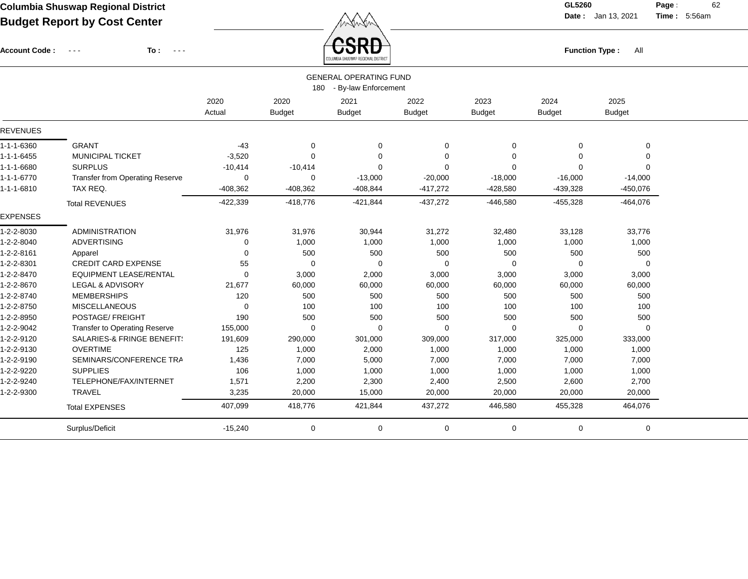Account Code : ---

**To :**

**Function Type :** All

**Date :** Jan 13, 2021 **Time :**

**Page :** 62 5:56am

|                    | COLUMBIA SHUSWAP REGIONAL DISTRICT     |            |               |                               |               |               |               |               |  |  |  |  |
|--------------------|----------------------------------------|------------|---------------|-------------------------------|---------------|---------------|---------------|---------------|--|--|--|--|
|                    |                                        |            |               | <b>GENERAL OPERATING FUND</b> |               |               |               |               |  |  |  |  |
|                    |                                        |            | 180           | - By-law Enforcement          |               |               |               |               |  |  |  |  |
|                    |                                        | 2020       | 2020          | 2021                          | 2022          | 2023          | 2024          | 2025          |  |  |  |  |
|                    |                                        | Actual     | <b>Budget</b> | <b>Budget</b>                 | <b>Budget</b> | <b>Budget</b> | <b>Budget</b> | <b>Budget</b> |  |  |  |  |
| <b>REVENUES</b>    |                                        |            |               |                               |               |               |               |               |  |  |  |  |
| 1-1-1-6360         | <b>GRANT</b>                           | $-43$      | 0             | 0                             | 0             | 0             | 0             | 0             |  |  |  |  |
| $1 - 1 - 1 - 6455$ | <b>MUNICIPAL TICKET</b>                | $-3,520$   | $\Omega$      | $\Omega$                      | 0             | $\Omega$      | $\Omega$      | 0             |  |  |  |  |
| 1-1-1-6680         | <b>SURPLUS</b>                         | $-10,414$  | $-10,414$     | $\Omega$                      | $\Omega$      | $\Omega$      | $\Omega$      | $\Omega$      |  |  |  |  |
| $1 - 1 - 1 - 6770$ | <b>Transfer from Operating Reserve</b> | 0          | $\Omega$      | $-13,000$                     | $-20,000$     | $-18,000$     | $-16,000$     | $-14,000$     |  |  |  |  |
| 1-1-1-6810         | TAX REQ.                               | $-408,362$ | $-408,362$    | $-408,844$                    | $-417,272$    | $-428,580$    | $-439,328$    | $-450,076$    |  |  |  |  |
|                    | <b>Total REVENUES</b>                  | $-422,339$ | $-418,776$    | $-421,844$                    | $-437,272$    | $-446,580$    | $-455,328$    | $-464,076$    |  |  |  |  |
| <b>EXPENSES</b>    |                                        |            |               |                               |               |               |               |               |  |  |  |  |
| 1-2-2-8030         | <b>ADMINISTRATION</b>                  | 31,976     | 31,976        | 30,944                        | 31,272        | 32,480        | 33,128        | 33,776        |  |  |  |  |
| 1-2-2-8040         | <b>ADVERTISING</b>                     | 0          | 1,000         | 1,000                         | 1,000         | 1,000         | 1,000         | 1,000         |  |  |  |  |
| 1-2-2-8161         | Apparel                                | $\Omega$   | 500           | 500                           | 500           | 500           | 500           | 500           |  |  |  |  |
| 1-2-2-8301         | <b>CREDIT CARD EXPENSE</b>             | 55         | $\mathbf 0$   | 0                             | 0             | 0             | 0             | $\mathbf 0$   |  |  |  |  |
| 1-2-2-8470         | <b>EQUIPMENT LEASE/RENTAL</b>          | 0          | 3,000         | 2,000                         | 3,000         | 3,000         | 3,000         | 3,000         |  |  |  |  |
| 1-2-2-8670         | LEGAL & ADVISORY                       | 21,677     | 60,000        | 60,000                        | 60,000        | 60,000        | 60,000        | 60,000        |  |  |  |  |
| 1-2-2-8740         | <b>MEMBERSHIPS</b>                     | 120        | 500           | 500                           | 500           | 500           | 500           | 500           |  |  |  |  |
| 1-2-2-8750         | <b>MISCELLANEOUS</b>                   | 0          | 100           | 100                           | 100           | 100           | 100           | 100           |  |  |  |  |
| 1-2-2-8950         | POSTAGE/ FREIGHT                       | 190        | 500           | 500                           | 500           | 500           | 500           | 500           |  |  |  |  |
| 1-2-2-9042         | <b>Transfer to Operating Reserve</b>   | 155,000    | $\Omega$      | $\Omega$                      | $\mathbf 0$   | $\Omega$      | $\Omega$      | $\Omega$      |  |  |  |  |
| 1-2-2-9120         | SALARIES-& FRINGE BENEFIT!             | 191,609    | 290,000       | 301,000                       | 309,000       | 317,000       | 325,000       | 333,000       |  |  |  |  |
| 1-2-2-9130         | <b>OVERTIME</b>                        | 125        | 1,000         | 2,000                         | 1,000         | 1,000         | 1,000         | 1,000         |  |  |  |  |
| 1-2-2-9190         | SEMINARS/CONFERENCE TRA                | 1,436      | 7,000         | 5,000                         | 7,000         | 7,000         | 7,000         | 7,000         |  |  |  |  |
| 1-2-2-9220         | <b>SUPPLIES</b>                        | 106        | 1,000         | 1,000                         | 1,000         | 1,000         | 1,000         | 1,000         |  |  |  |  |
| 1-2-2-9240         | TELEPHONE/FAX/INTERNET                 | 1,571      | 2,200         | 2,300                         | 2,400         | 2,500         | 2,600         | 2,700         |  |  |  |  |
| 1-2-2-9300         | <b>TRAVEL</b>                          | 3,235      | 20,000        | 15,000                        | 20,000        | 20,000        | 20,000        | 20,000        |  |  |  |  |
|                    | <b>Total EXPENSES</b>                  | 407,099    | 418,776       | 421,844                       | 437,272       | 446,580       | 455,328       | 464,076       |  |  |  |  |
|                    | Surplus/Deficit                        | $-15,240$  | 0             | 0                             | 0             | 0             | 0             | 0             |  |  |  |  |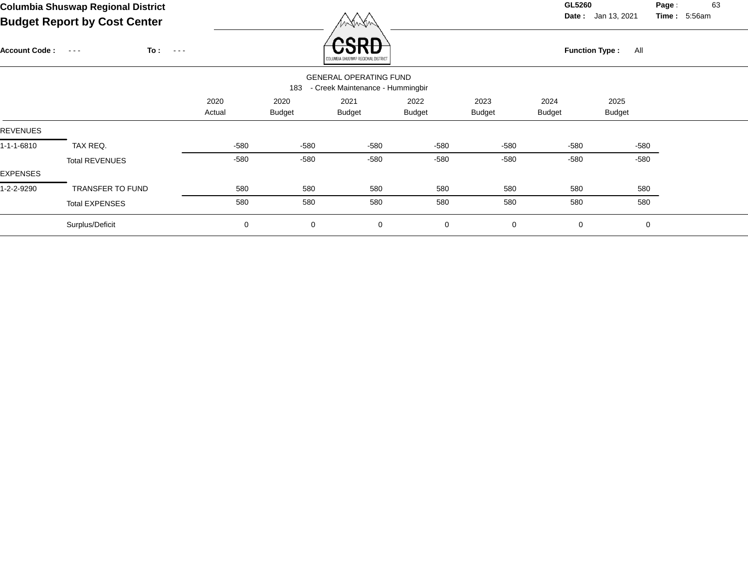**Date :** Jan 13, 2021 **Time :**

**Page :** 63 5:56am

| $-$ aagot nopont by $\sim$ oot comon             |                |                       | / <i>v</i> v v v v v                     |                       |                                                                   |                       |                       |                       |
|--------------------------------------------------|----------------|-----------------------|------------------------------------------|-----------------------|-------------------------------------------------------------------|-----------------------|-----------------------|-----------------------|
| To:<br><b>Account Code:</b><br>$\sim 100$ $\sim$ |                |                       | enr<br>OLUMBIA SHUSWAP REGIONAL DISTRIC' |                       |                                                                   |                       | All                   |                       |
|                                                  |                |                       |                                          |                       |                                                                   |                       |                       |                       |
|                                                  | 2020<br>Actual | 2020<br><b>Budget</b> | 2021<br><b>Budget</b>                    | 2022<br><b>Budget</b> | 2023<br><b>Budget</b>                                             | 2024<br><b>Budget</b> | 2025<br><b>Budget</b> |                       |
|                                                  |                |                       |                                          |                       |                                                                   |                       |                       |                       |
| TAX REQ.                                         | -580           | $-580$                | -580                                     | -580                  | -580                                                              | $-580$                | -580                  |                       |
| <b>Total REVENUES</b>                            | -580           | $-580$                | $-580$                                   | -580                  | -580                                                              | $-580$                | -580                  |                       |
| TRANSFER TO FUND                                 | 580            | 580                   | 580                                      | 580                   | 580                                                               | 580                   | 580                   |                       |
| <b>Total EXPENSES</b>                            | 580            | 580                   | 580                                      | 580                   | 580                                                               | 580                   | 580                   |                       |
| Surplus/Deficit                                  | $\pmb{0}$      | $\mathbf 0$           | 0                                        | $\mathbf 0$           | $\mathbf 0$                                                       | $\mathbf 0$           | $\mathbf 0$           |                       |
|                                                  |                | $\sim$ $\sim$ $\sim$  | 183                                      |                       | <b>GENERAL OPERATING FUND</b><br>- Creek Maintenance - Hummingbir |                       |                       | <b>Function Type:</b> |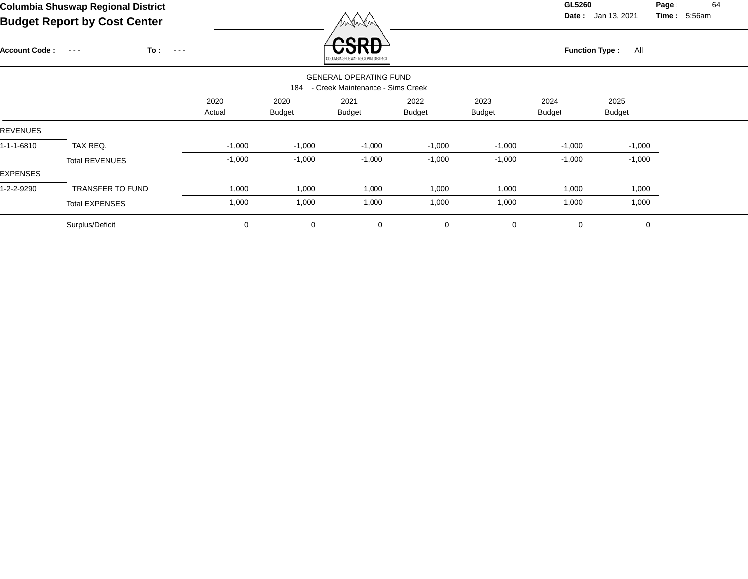**Date :** Jan 13, 2021 **Time :**

**Page :** 64 5:56am

|                      | Budget Report by Cost Center                      |                |                       | MANANY                                                            |                       |                       |                       |                       |  |
|----------------------|---------------------------------------------------|----------------|-----------------------|-------------------------------------------------------------------|-----------------------|-----------------------|-----------------------|-----------------------|--|
| <b>Account Code:</b> | To :<br>$\sim$ $\sim$ $\sim$<br>$\sim 100$ $\sim$ |                |                       | CDL<br>COLUMBIA SHUSWAP REGIONAL DISTRICT                         |                       |                       | <b>Function Type:</b> | All                   |  |
|                      |                                                   |                | 184                   | <b>GENERAL OPERATING FUND</b><br>- Creek Maintenance - Sims Creek |                       |                       |                       |                       |  |
|                      |                                                   | 2020<br>Actual | 2020<br><b>Budget</b> | 2021<br>Budget                                                    | 2022<br><b>Budget</b> | 2023<br><b>Budget</b> | 2024<br>Budget        | 2025<br><b>Budget</b> |  |
| <b>REVENUES</b>      |                                                   |                |                       |                                                                   |                       |                       |                       |                       |  |
| 1-1-1-6810           | TAX REQ.                                          | $-1,000$       | $-1,000$              | $-1,000$                                                          | $-1,000$              | $-1,000$              | $-1,000$              | $-1,000$              |  |
| EXPENSES             | <b>Total REVENUES</b>                             | $-1,000$       | $-1,000$              | $-1,000$                                                          | $-1,000$              | $-1,000$              | $-1,000$              | $-1,000$              |  |
| 1-2-2-9290           | <b>TRANSFER TO FUND</b>                           | 1,000          | 1,000                 | 1,000                                                             | 1,000                 | 1,000                 | 1,000                 | 1,000                 |  |
|                      | <b>Total EXPENSES</b>                             | 1,000          | 1,000                 | 1,000                                                             | 1,000                 | 1,000                 | 1,000                 | 1,000                 |  |
|                      | Surplus/Deficit                                   | 0              | $\mathbf 0$           | 0                                                                 | $\mathbf 0$           | $\mathbf 0$           | 0                     | 0                     |  |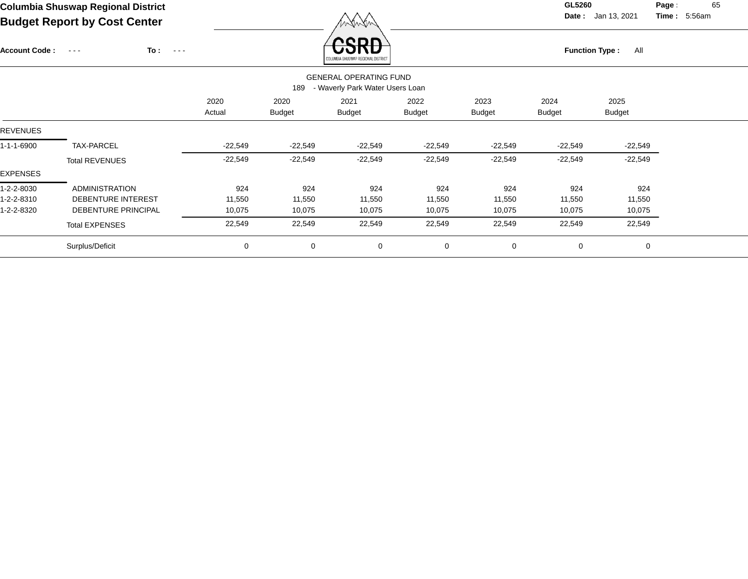**Date :** Jan 13, 2021 **Time :**

**Page :** 65 5:56am

| Budget Report by Cost Center |                                             |                |                       | menen                                                            |                |                       |                              |                       |  |  |  |
|------------------------------|---------------------------------------------|----------------|-----------------------|------------------------------------------------------------------|----------------|-----------------------|------------------------------|-----------------------|--|--|--|
| <b>Account Code:</b>         | To:<br>$\sim$ $  -$<br>$\sim$ $\sim$ $\sim$ |                |                       | CDL<br>COLUMBIA SHUSWAP REGIONAL DISTRICT                        |                |                       | <b>Function Type:</b><br>All |                       |  |  |  |
|                              |                                             |                | 189                   | <b>GENERAL OPERATING FUND</b><br>- Waverly Park Water Users Loan |                |                       |                              |                       |  |  |  |
|                              |                                             | 2020<br>Actual | 2020<br><b>Budget</b> | 2021<br><b>Budget</b>                                            | 2022<br>Budget | 2023<br><b>Budget</b> | 2024<br><b>Budget</b>        | 2025<br><b>Budget</b> |  |  |  |
| <b>REVENUES</b>              |                                             |                |                       |                                                                  |                |                       |                              |                       |  |  |  |
| 1-1-1-6900                   | TAX-PARCEL                                  | $-22,549$      | $-22,549$             | $-22,549$                                                        | $-22,549$      | $-22,549$             | $-22,549$                    | $-22,549$             |  |  |  |
|                              | <b>Total REVENUES</b>                       | $-22,549$      | $-22,549$             | $-22,549$                                                        | $-22,549$      | $-22,549$             | $-22,549$                    | $-22,549$             |  |  |  |
| EXPENSES                     |                                             |                |                       |                                                                  |                |                       |                              |                       |  |  |  |
| 1-2-2-8030                   | ADMINISTRATION                              | 924            | 924                   | 924                                                              | 924            | 924                   | 924                          | 924                   |  |  |  |
| 1-2-2-8310                   | DEBENTURE INTEREST                          | 11,550         | 11,550                | 11,550                                                           | 11,550         | 11,550                | 11,550                       | 11,550                |  |  |  |
| 1-2-2-8320                   | DEBENTURE PRINCIPAL                         | 10,075         | 10,075                | 10,075                                                           | 10,075         | 10,075                | 10,075                       | 10,075                |  |  |  |
|                              | <b>Total EXPENSES</b>                       | 22,549         | 22,549                | 22,549                                                           | 22,549         | 22,549                | 22,549                       | 22,549                |  |  |  |
|                              | Surplus/Deficit                             | 0              | $\mathbf 0$           | $\mathbf 0$                                                      | $\mathbf 0$    | $\mathbf 0$           | $\mathbf 0$                  | 0                     |  |  |  |
|                              |                                             |                |                       |                                                                  |                |                       |                              |                       |  |  |  |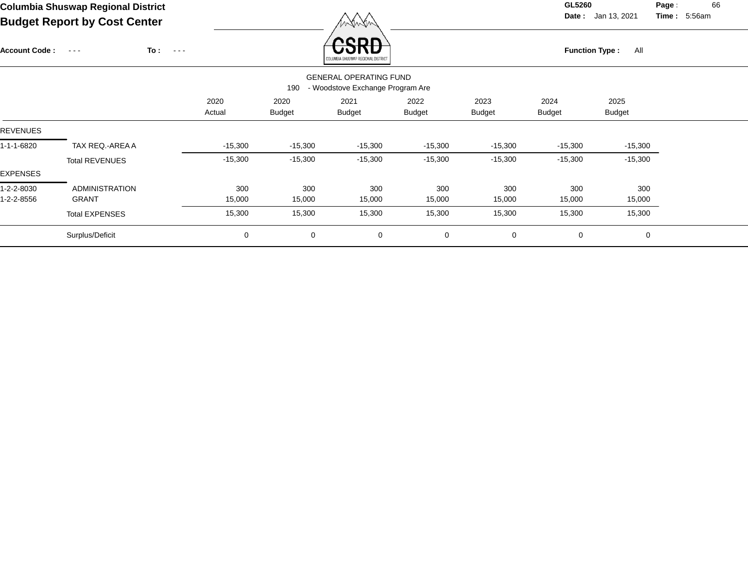**Date :** Jan 13, 2021 **Time :**

**Page :** 66 5:56am

|                      |                       |                              |                |                       | .                                                                 |                       |                       |                       |                       |  |
|----------------------|-----------------------|------------------------------|----------------|-----------------------|-------------------------------------------------------------------|-----------------------|-----------------------|-----------------------|-----------------------|--|
| <b>Account Code:</b> | $\sim$ $\sim$ $\sim$  | To :<br>$\sim$ $\sim$ $\sim$ |                |                       | enn<br>COLUMBIA SHUSWAP REGIONAL DISTRICT                         |                       |                       | <b>Function Type:</b> | All                   |  |
|                      |                       |                              |                | 190                   | <b>GENERAL OPERATING FUND</b><br>- Woodstove Exchange Program Are |                       |                       |                       |                       |  |
|                      |                       |                              | 2020<br>Actual | 2020<br><b>Budget</b> | 2021<br><b>Budget</b>                                             | 2022<br><b>Budget</b> | 2023<br><b>Budget</b> | 2024<br><b>Budget</b> | 2025<br><b>Budget</b> |  |
| <b>REVENUES</b>      |                       |                              |                |                       |                                                                   |                       |                       |                       |                       |  |
| 1-1-1-6820           | TAX REQ.-AREA A       |                              | $-15,300$      | $-15,300$             | $-15,300$                                                         | $-15,300$             | $-15,300$             | $-15,300$             | $-15,300$             |  |
|                      | <b>Total REVENUES</b> |                              | $-15,300$      | $-15,300$             | $-15,300$                                                         | $-15,300$             | $-15,300$             | $-15,300$             | $-15,300$             |  |
| <b>EXPENSES</b>      |                       |                              |                |                       |                                                                   |                       |                       |                       |                       |  |
| 1-2-2-8030           | <b>ADMINISTRATION</b> |                              | 300            | 300                   | 300                                                               | 300                   | 300                   | 300                   | 300                   |  |
| 1-2-2-8556           | GRANT                 |                              | 15,000         | 15,000                | 15,000                                                            | 15,000                | 15,000                | 15,000                | 15,000                |  |
|                      | <b>Total EXPENSES</b> |                              | 15,300         | 15,300                | 15,300                                                            | 15,300                | 15,300                | 15,300                | 15,300                |  |
|                      | Surplus/Deficit       |                              | 0              | 0                     | 0                                                                 | $\mathbf 0$           | 0                     | 0                     | 0                     |  |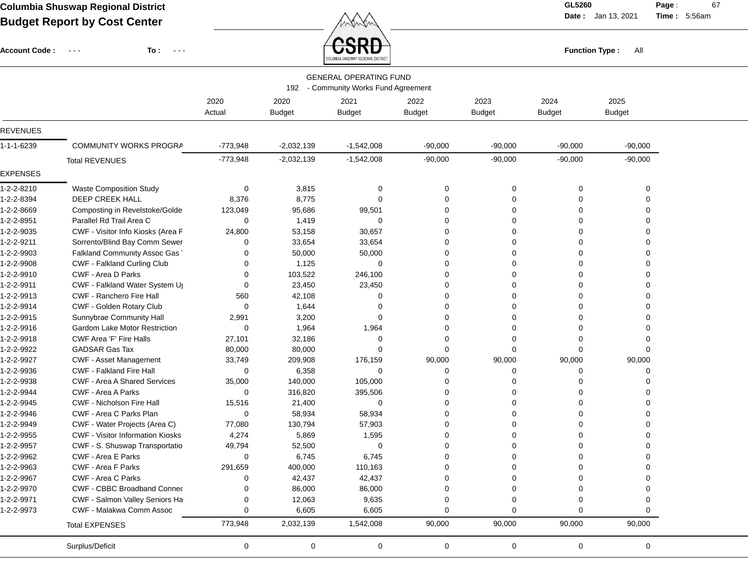**Date :** Jan 13, 2021 **Time :**

**Page :** 67 5:56am

|                      | Buaget Report by Cost Center                        |            |               | manan                                  |               |               |               |                              |  |
|----------------------|-----------------------------------------------------|------------|---------------|----------------------------------------|---------------|---------------|---------------|------------------------------|--|
| <b>Account Code:</b> | To:<br>$\sim$ $\sim$ $\sim$<br>$\sim$ $\sim$ $\sim$ |            |               | edr<br>COLUMBIA SHUSWAP REGIONAL DISTR |               |               |               | <b>Function Type:</b><br>All |  |
|                      |                                                     |            |               | <b>GENERAL OPERATING FUND</b>          |               |               |               |                              |  |
|                      |                                                     |            |               | 192 - Community Works Fund Agreement   |               |               |               |                              |  |
|                      |                                                     | 2020       | 2020          | 2021                                   | 2022          | 2023          | 2024          | 2025                         |  |
|                      |                                                     | Actual     | <b>Budget</b> | <b>Budget</b>                          | <b>Budget</b> | <b>Budget</b> | <b>Budget</b> | <b>Budget</b>                |  |
| <b>REVENUES</b>      |                                                     |            |               |                                        |               |               |               |                              |  |
| 1-1-1-6239           | COMMUNITY WORKS PROGRA                              | $-773,948$ | $-2,032,139$  | $-1,542,008$                           | $-90,000$     | $-90,000$     | $-90,000$     | $-90,000$                    |  |
|                      | <b>Total REVENUES</b>                               | $-773,948$ | $-2,032,139$  | $-1,542,008$                           | $-90,000$     | $-90,000$     | $-90,000$     | $-90,000$                    |  |
| <b>EXPENSES</b>      |                                                     |            |               |                                        |               |               |               |                              |  |
| 1-2-2-8210           | <b>Waste Composition Study</b>                      | 0          | 3,815         | 0                                      | 0             | 0             | 0             | $\Omega$                     |  |
| 1-2-2-8394           | <b>DEEP CREEK HALL</b>                              | 8,376      | 8,775         | 0                                      | $\Omega$      | $\Omega$      | $\Omega$      |                              |  |
| 1-2-2-8669           | Composting in Revelstoke/Golde                      | 123,049    | 95,686        | 99,501                                 | $\Omega$      | 0             | $\Omega$      |                              |  |
| 1-2-2-8951           | Parallel Rd Trail Area C                            | 0          | 1,419         | 0                                      | $\Omega$      | O             |               |                              |  |
| 1-2-2-9035           | CWF - Visitor Info Kiosks (Area F                   | 24,800     | 53,158        | 30,657                                 | ∩             |               |               |                              |  |
| 1-2-2-9211           | Sorrento/Blind Bay Comm Sewer                       | 0          | 33,654        | 33,654                                 | 0             |               |               |                              |  |
| 1-2-2-9903           | Falkland Community Assoc Gas                        | $\Omega$   | 50,000        | 50,000                                 | $\Omega$      |               |               |                              |  |
| 1-2-2-9908           | CWF - Falkland Curling Club                         | 0          | 1,125         | 0                                      |               | 0             | $\Omega$      |                              |  |
| 1-2-2-9910           | CWF - Area D Parks                                  | 0          | 103,522       | 246,100                                | $\Omega$      | 0             |               |                              |  |
| 1-2-2-9911           | CWF - Falkland Water System U                       | 0          | 23,450        | 23,450                                 | $\Omega$      | $\Omega$      | $\Omega$      |                              |  |
| 1-2-2-9913           | CWF - Ranchero Fire Hall                            | 560        | 42,108        | 0                                      | $\Omega$      | $\Omega$      |               |                              |  |
| 1-2-2-9914           | CWF - Golden Rotary Club                            | 0          | 1,644         |                                        | $\Omega$      | O             |               |                              |  |
| 1-2-2-9915           | Sunnybrae Community Hall                            | 2,991      | 3,200         | 0                                      | $\Omega$      | 0             |               |                              |  |
| 1-2-2-9916           | Gardom Lake Motor Restriction                       | 0          | 1,964         | 1,964                                  | $\Omega$      | 0             |               |                              |  |
| 1-2-2-9918           | CWF Area 'F' Fire Halls                             | 27,101     | 32,186        | 0                                      | 0             |               |               |                              |  |
| 1-2-2-9922           | <b>GADSAR Gas Tax</b>                               | 80,000     | 80,000        | 0                                      | $\Omega$      | $\Omega$      |               |                              |  |
| 1-2-2-9927           | <b>CWF - Asset Management</b>                       | 33,749     | 209,908       | 176,159                                | 90,000        | 90,000        | 90,000        | 90,000                       |  |
| 1-2-2-9936           | <b>CWF - Falkland Fire Hall</b>                     | 0          | 6,358         | 0                                      | $\Omega$      | 0             |               |                              |  |
| 1-2-2-9938           | <b>CWF - Area A Shared Services</b>                 | 35,000     | 140,000       | 105,000                                | $\Omega$      | 0             |               |                              |  |
| 1-2-2-9944           | <b>CWF - Area A Parks</b>                           | $\Omega$   | 316,820       | 395,506                                | $\Omega$      |               |               |                              |  |
| 1-2-2-9945           | <b>CWF - Nicholson Fire Hall</b>                    | 15,516     | 21,400        | 0                                      | $\Omega$      |               |               |                              |  |
| 1-2-2-9946           | CWF - Area C Parks Plan                             | 0          | 58,934        | 58,934                                 | $\Omega$      |               |               |                              |  |
| 1-2-2-9949           | CWF - Water Projects (Area C)                       | 77,080     | 130,794       | 57,903                                 |               |               |               |                              |  |
| 1-2-2-9955           | <b>CWF - Visitor Information Kiosks</b>             | 4,274      | 5,869         | 1,595                                  | 0             | 0             |               |                              |  |
| 1-2-2-9957           | CWF - S. Shuswap Transportatio                      | 49,794     | 52,500        | $\mathbf 0$                            |               |               |               |                              |  |
| 1-2-2-9962           | CWF - Area E Parks                                  | 0          | 6,745         | 6,745                                  | 0             | 0             |               |                              |  |
| 1-2-2-9963           | CWF - Area F Parks                                  | 291,659    | 400,000       | 110,163                                |               | 0             |               |                              |  |
| 1-2-2-9967           | CWF - Area C Parks                                  | 0          | 42,437        | 42,437                                 |               |               |               |                              |  |
| 1-2-2-9970           | CWF - CBBC Broadband Connec                         | $\Omega$   | 86,000        | 86,000                                 |               |               |               |                              |  |
| 1-2-2-9971           | CWF - Salmon Valley Seniors Ha                      | 0          | 12,063        | 9,635                                  |               |               |               |                              |  |
| 1-2-2-9973           | CWF - Malakwa Comm Assoc                            | $\Omega$   | 6,605         | 6,605                                  | $\Omega$      | 0             | ∩             |                              |  |
|                      | <b>Total EXPENSES</b>                               | 773,948    | 2,032,139     | 1,542,008                              | 90,000        | 90,000        | 90,000        | 90,000                       |  |

Surplus/Deficit 0 0 0 0 0 0 0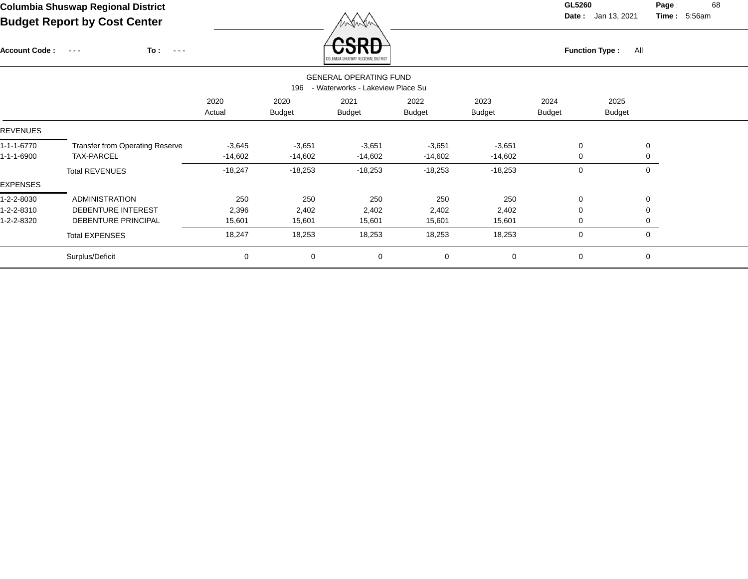Account Code : ---

**To :**

Function Type : All<br><sub>COLUMBIA SHUSWAP REGIONAL DISTRICT</sub>

**Date :** Jan 13, 2021 **Time :**

**Page :** 68 5:56am

| <b>GENERAL OPERATING FUND</b><br>- Waterworks - Lakeview Place Su<br>196 |                                        |                |                       |                       |                       |                       |                       |                       |              |  |  |
|--------------------------------------------------------------------------|----------------------------------------|----------------|-----------------------|-----------------------|-----------------------|-----------------------|-----------------------|-----------------------|--------------|--|--|
|                                                                          |                                        | 2020<br>Actual | 2020<br><b>Budget</b> | 2021<br><b>Budget</b> | 2022<br><b>Budget</b> | 2023<br><b>Budget</b> | 2024<br><b>Budget</b> | 2025<br><b>Budget</b> |              |  |  |
| REVENUES                                                                 |                                        |                |                       |                       |                       |                       |                       |                       |              |  |  |
| 1-1-1-6770                                                               | <b>Transfer from Operating Reserve</b> | $-3,645$       | $-3,651$              | $-3,651$              | $-3,651$              | $-3,651$              | 0                     |                       | $\mathbf 0$  |  |  |
| 1-1-1-6900                                                               | <b>TAX-PARCEL</b>                      | $-14,602$      | $-14,602$             | $-14,602$             | $-14,602$             | $-14,602$             | 0                     |                       | 0            |  |  |
|                                                                          | <b>Total REVENUES</b>                  | $-18,247$      | $-18,253$             | $-18,253$             | $-18,253$             | $-18,253$             | 0                     |                       | $\mathbf{0}$ |  |  |
| EXPENSES                                                                 |                                        |                |                       |                       |                       |                       |                       |                       |              |  |  |
| 1-2-2-8030                                                               | <b>ADMINISTRATION</b>                  | 250            | 250                   | 250                   | 250                   | 250                   | 0                     |                       | $\mathbf 0$  |  |  |
| 1-2-2-8310                                                               | <b>DEBENTURE INTEREST</b>              | 2,396          | 2,402                 | 2,402                 | 2,402                 | 2,402                 | 0                     |                       | $\mathbf{0}$ |  |  |
| 1-2-2-8320                                                               | DEBENTURE PRINCIPAL                    | 15,601         | 15,601                | 15,601                | 15,601                | 15,601                | 0                     |                       | $\mathbf{0}$ |  |  |
|                                                                          | <b>Total EXPENSES</b>                  | 18,247         | 18,253                | 18,253                | 18,253                | 18,253                | 0                     |                       | $\mathbf{0}$ |  |  |
|                                                                          | Surplus/Deficit                        | 0              | $\mathbf 0$           | 0                     | $\mathbf 0$           | $\Omega$              | 0                     |                       | 0            |  |  |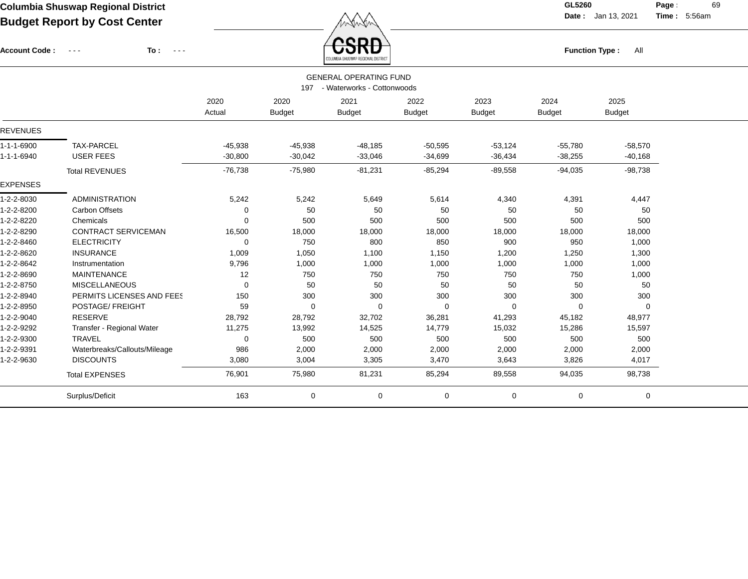Account Code : ---

**To :**

**Function Type :** All

**Date :** Jan 13, 2021 **Time :**

**Page :** 69 5:56am

|                 |                                                                    |                |                       | COLUMBIA SHUSWAP REGIONAL DISTRICT |                       |                       |                       |                       |  |  |  |  |  |
|-----------------|--------------------------------------------------------------------|----------------|-----------------------|------------------------------------|-----------------------|-----------------------|-----------------------|-----------------------|--|--|--|--|--|
|                 | <b>GENERAL OPERATING FUND</b><br>197<br>- Waterworks - Cottonwoods |                |                       |                                    |                       |                       |                       |                       |  |  |  |  |  |
|                 |                                                                    | 2020<br>Actual | 2020<br><b>Budget</b> | 2021<br><b>Budget</b>              | 2022<br><b>Budget</b> | 2023<br><b>Budget</b> | 2024<br><b>Budget</b> | 2025<br><b>Budget</b> |  |  |  |  |  |
| <b>REVENUES</b> |                                                                    |                |                       |                                    |                       |                       |                       |                       |  |  |  |  |  |
| 1-1-1-6900      | <b>TAX-PARCEL</b>                                                  | $-45,938$      | $-45,938$             | $-48,185$                          | $-50,595$             | $-53,124$             | $-55,780$             | $-58,570$             |  |  |  |  |  |
| 1-1-1-6940      | <b>USER FEES</b>                                                   | $-30,800$      | $-30,042$             | $-33,046$                          | $-34,699$             | $-36,434$             | $-38,255$             | $-40,168$             |  |  |  |  |  |
|                 | <b>Total REVENUES</b>                                              | $-76,738$      | $-75,980$             | $-81,231$                          | $-85,294$             | $-89,558$             | $-94,035$             | $-98,738$             |  |  |  |  |  |
| <b>EXPENSES</b> |                                                                    |                |                       |                                    |                       |                       |                       |                       |  |  |  |  |  |
| 1-2-2-8030      | <b>ADMINISTRATION</b>                                              | 5,242          | 5,242                 | 5,649                              | 5,614                 | 4,340                 | 4,391                 | 4,447                 |  |  |  |  |  |
| 1-2-2-8200      | <b>Carbon Offsets</b>                                              | 0              | 50                    | 50                                 | 50                    | 50                    | 50                    | 50                    |  |  |  |  |  |
| 1-2-2-8220      | Chemicals                                                          | 0              | 500                   | 500                                | 500                   | 500                   | 500                   | 500                   |  |  |  |  |  |
| 1-2-2-8290      | <b>CONTRACT SERVICEMAN</b>                                         | 16,500         | 18,000                | 18,000                             | 18,000                | 18,000                | 18,000                | 18,000                |  |  |  |  |  |
| 1-2-2-8460      | <b>ELECTRICITY</b>                                                 | $\mathbf 0$    | 750                   | 800                                | 850                   | 900                   | 950                   | 1,000                 |  |  |  |  |  |
| 1-2-2-8620      | <b>INSURANCE</b>                                                   | 1,009          | 1,050                 | 1,100                              | 1,150                 | 1,200                 | 1,250                 | 1,300                 |  |  |  |  |  |
| 1-2-2-8642      | Instrumentation                                                    | 9,796          | 1,000                 | 1,000                              | 1,000                 | 1,000                 | 1,000                 | 1,000                 |  |  |  |  |  |
| 1-2-2-8690      | <b>MAINTENANCE</b>                                                 | 12             | 750                   | 750                                | 750                   | 750                   | 750                   | 1,000                 |  |  |  |  |  |
| 1-2-2-8750      | <b>MISCELLANEOUS</b>                                               | 0              | 50                    | 50                                 | 50                    | 50                    | 50                    | 50                    |  |  |  |  |  |
| 1-2-2-8940      | PERMITS LICENSES AND FEES                                          | 150            | 300                   | 300                                | 300                   | 300                   | 300                   | 300                   |  |  |  |  |  |
| 1-2-2-8950      | POSTAGE/ FREIGHT                                                   | 59             | $\Omega$              | 0                                  | $\Omega$              | 0                     | $\Omega$              | 0                     |  |  |  |  |  |
| 1-2-2-9040      | <b>RESERVE</b>                                                     | 28,792         | 28,792                | 32,702                             | 36,281                | 41,293                | 45,182                | 48,977                |  |  |  |  |  |
| 1-2-2-9292      | Transfer - Regional Water                                          | 11,275         | 13,992                | 14,525                             | 14,779                | 15,032                | 15,286                | 15,597                |  |  |  |  |  |
| 1-2-2-9300      | <b>TRAVEL</b>                                                      | 0              | 500                   | 500                                | 500                   | 500                   | 500                   | 500                   |  |  |  |  |  |
| 1-2-2-9391      | Waterbreaks/Callouts/Mileage                                       | 986            | 2,000                 | 2,000                              | 2,000                 | 2,000                 | 2,000                 | 2,000                 |  |  |  |  |  |
| 1-2-2-9630      | <b>DISCOUNTS</b>                                                   | 3,080          | 3,004                 | 3,305                              | 3,470                 | 3,643                 | 3,826                 | 4,017                 |  |  |  |  |  |
|                 | <b>Total EXPENSES</b>                                              | 76,901         | 75,980                | 81,231                             | 85,294                | 89,558                | 94,035                | 98,738                |  |  |  |  |  |
|                 | Surplus/Deficit                                                    | 163            | 0                     | 0                                  | 0                     | 0                     | $\mathbf 0$           | 0                     |  |  |  |  |  |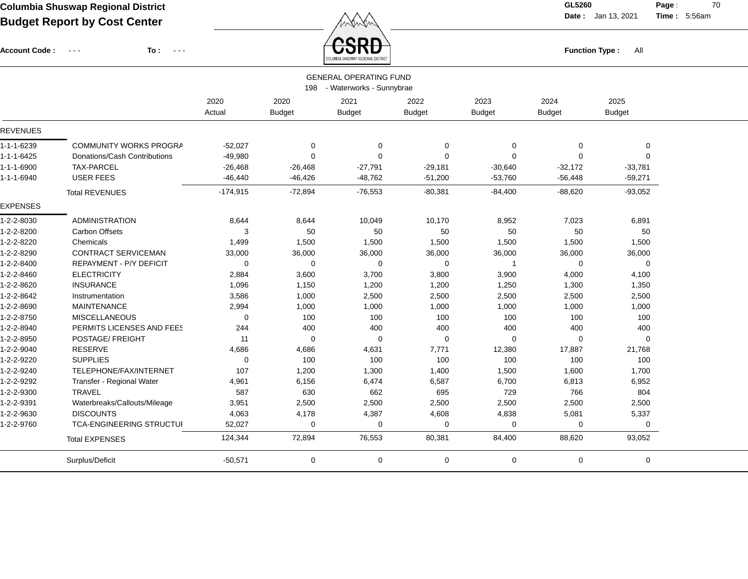Account Code : ---

**To :**

**Date :** Jan 13, 2021 **Time : Page :** 70 5:56am **Function Type :** All

|                 |                                 |            |               | COLUMBIA SHUSWAP REGIONAL DISTRICT |               |               |               |               |  |
|-----------------|---------------------------------|------------|---------------|------------------------------------|---------------|---------------|---------------|---------------|--|
|                 |                                 |            |               | <b>GENERAL OPERATING FUND</b>      |               |               |               |               |  |
|                 |                                 |            |               | 198 - Waterworks - Sunnybrae       |               |               |               |               |  |
|                 |                                 | 2020       | 2020          | 2021                               | 2022          | 2023          | 2024          | 2025          |  |
|                 |                                 | Actual     | <b>Budget</b> | <b>Budget</b>                      | <b>Budget</b> | <b>Budget</b> | <b>Budget</b> | <b>Budget</b> |  |
| <b>REVENUES</b> |                                 |            |               |                                    |               |               |               |               |  |
| 1-1-1-6239      | COMMUNITY WORKS PROGRA          | $-52,027$  | 0             | $\mathbf 0$                        | 0             | $\mathbf 0$   | 0             | 0             |  |
| 1-1-1-6425      | Donations/Cash Contributions    | $-49,980$  | $\Omega$      | $\Omega$                           | $\Omega$      | $\Omega$      | $\mathbf 0$   | $\mathbf 0$   |  |
| 1-1-1-6900      | TAX-PARCEL                      | $-26,468$  | $-26,468$     | $-27,791$                          | $-29,181$     | $-30,640$     | $-32,172$     | $-33,781$     |  |
| 1-1-1-6940      | <b>USER FEES</b>                | $-46,440$  | $-46,426$     | $-48,762$                          | $-51,200$     | $-53,760$     | $-56,448$     | $-59,271$     |  |
|                 | <b>Total REVENUES</b>           | $-174,915$ | $-72,894$     | $-76,553$                          | $-80,381$     | $-84,400$     | $-88,620$     | $-93,052$     |  |
| <b>EXPENSES</b> |                                 |            |               |                                    |               |               |               |               |  |
| 1-2-2-8030      | <b>ADMINISTRATION</b>           | 8,644      | 8,644         | 10,049                             | 10,170        | 8,952         | 7,023         | 6,891         |  |
| 1-2-2-8200      | <b>Carbon Offsets</b>           | 3          | 50            | 50                                 | 50            | 50            | 50            | 50            |  |
| 1-2-2-8220      | Chemicals                       | 1,499      | 1,500         | 1,500                              | 1,500         | 1,500         | 1,500         | 1,500         |  |
| 1-2-2-8290      | <b>CONTRACT SERVICEMAN</b>      | 33,000     | 36,000        | 36,000                             | 36,000        | 36,000        | 36,000        | 36,000        |  |
| 1-2-2-8400      | <b>REPAYMENT - P/Y DEFICIT</b>  | $\Omega$   | $\Omega$      | $\Omega$                           | 0             | -1            | 0             | 0             |  |
| 1-2-2-8460      | <b>ELECTRICITY</b>              | 2,884      | 3,600         | 3,700                              | 3,800         | 3,900         | 4,000         | 4,100         |  |
| 1-2-2-8620      | <b>INSURANCE</b>                | 1,096      | 1,150         | 1,200                              | 1,200         | 1,250         | 1,300         | 1,350         |  |
| 1-2-2-8642      | Instrumentation                 | 3,586      | 1,000         | 2,500                              | 2,500         | 2,500         | 2,500         | 2,500         |  |
| 1-2-2-8690      | <b>MAINTENANCE</b>              | 2,994      | 1,000         | 1,000                              | 1,000         | 1,000         | 1,000         | 1,000         |  |
| 1-2-2-8750      | <b>MISCELLANEOUS</b>            | $\Omega$   | 100           | 100                                | 100           | 100           | 100           | 100           |  |
| 1-2-2-8940      | PERMITS LICENSES AND FEES       | 244        | 400           | 400                                | 400           | 400           | 400           | 400           |  |
| 1-2-2-8950      | POSTAGE/ FREIGHT                | 11         | $\Omega$      | $\Omega$                           | 0             | 0             | 0             | 0             |  |
| 1-2-2-9040      | RESERVE                         | 4,686      | 4,686         | 4,631                              | 7,771         | 12,380        | 17,887        | 21,768        |  |
| 1-2-2-9220      | <b>SUPPLIES</b>                 | $\Omega$   | 100           | 100                                | 100           | 100           | 100           | 100           |  |
| 1-2-2-9240      | TELEPHONE/FAX/INTERNET          | 107        | 1,200         | 1,300                              | 1,400         | 1,500         | 1,600         | 1,700         |  |
| 1-2-2-9292      | Transfer - Regional Water       | 4,961      | 6,156         | 6,474                              | 6,587         | 6,700         | 6,813         | 6,952         |  |
| 1-2-2-9300      | <b>TRAVEL</b>                   | 587        | 630           | 662                                | 695           | 729           | 766           | 804           |  |
| 1-2-2-9391      | Waterbreaks/Callouts/Mileage    | 3,951      | 2,500         | 2,500                              | 2,500         | 2,500         | 2,500         | 2,500         |  |
| 1-2-2-9630      | <b>DISCOUNTS</b>                | 4,063      | 4,178         | 4,387                              | 4,608         | 4,838         | 5,081         | 5,337         |  |
| 1-2-2-9760      | <b>TCA-ENGINEERING STRUCTUI</b> | 52,027     | $\mathbf 0$   | $\Omega$                           | $\Omega$      | $\Omega$      | 0             | 0             |  |
|                 | <b>Total EXPENSES</b>           | 124,344    | 72,894        | 76,553                             | 80,381        | 84,400        | 88,620        | 93,052        |  |
|                 | Surplus/Deficit                 | $-50,571$  | 0             | 0                                  | 0             | $\mathbf 0$   | 0             | 0             |  |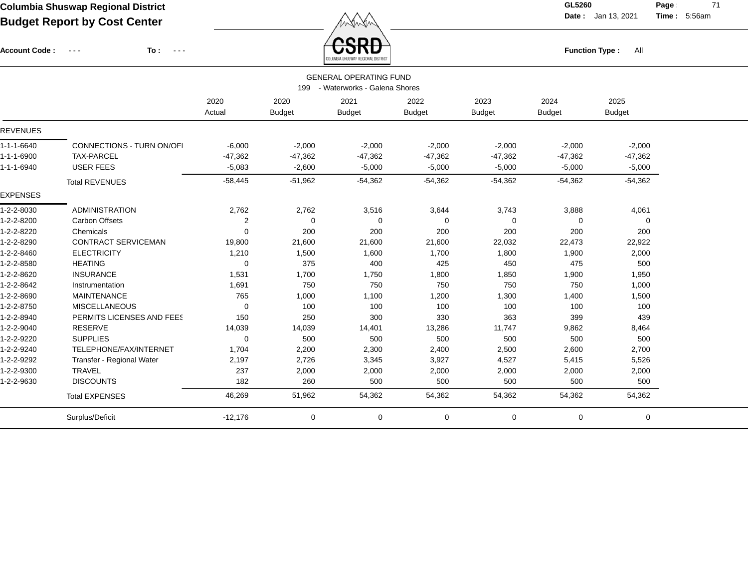Account Code : ---

**To :**

 $\overleftrightarrow{CSRD}$  Function Type : All

**Date :** Jan 13, 2021 **Time :**

**Page :** 71 5:56am

|                 | <b><i>LUMBIA SHUGHAF REQIVIME UISTRIC</i></b>                     |             |               |               |               |               |               |               |  |  |  |  |  |
|-----------------|-------------------------------------------------------------------|-------------|---------------|---------------|---------------|---------------|---------------|---------------|--|--|--|--|--|
|                 | <b>GENERAL OPERATING FUND</b><br>199 - Waterworks - Galena Shores |             |               |               |               |               |               |               |  |  |  |  |  |
|                 |                                                                   |             |               |               |               |               |               |               |  |  |  |  |  |
|                 |                                                                   | 2020        | 2020          | 2021          | 2022          | 2023          | 2024          | 2025          |  |  |  |  |  |
|                 |                                                                   | Actual      | <b>Budget</b> | <b>Budget</b> | <b>Budget</b> | <b>Budget</b> | <b>Budget</b> | <b>Budget</b> |  |  |  |  |  |
| <b>REVENUES</b> |                                                                   |             |               |               |               |               |               |               |  |  |  |  |  |
| 1-1-1-6640      | <b>CONNECTIONS - TURN ON/OFI</b>                                  | $-6,000$    | $-2,000$      | $-2,000$      | $-2,000$      | $-2,000$      | $-2,000$      | $-2,000$      |  |  |  |  |  |
| 1-1-1-6900      | <b>TAX-PARCEL</b>                                                 | $-47,362$   | $-47,362$     | $-47,362$     | $-47,362$     | $-47,362$     | $-47,362$     | $-47,362$     |  |  |  |  |  |
| 1-1-1-6940      | <b>USER FEES</b>                                                  | $-5,083$    | $-2,600$      | $-5,000$      | $-5,000$      | $-5,000$      | $-5,000$      | $-5,000$      |  |  |  |  |  |
|                 | <b>Total REVENUES</b>                                             | $-58,445$   | $-51,962$     | $-54,362$     | $-54,362$     | $-54,362$     | $-54,362$     | $-54,362$     |  |  |  |  |  |
| <b>EXPENSES</b> |                                                                   |             |               |               |               |               |               |               |  |  |  |  |  |
| 1-2-2-8030      | <b>ADMINISTRATION</b>                                             | 2,762       | 2,762         | 3,516         | 3,644         | 3,743         | 3,888         | 4,061         |  |  |  |  |  |
| 1-2-2-8200      | <b>Carbon Offsets</b>                                             | 2           | $\Omega$      | $\mathbf 0$   | 0             | 0             | 0             | $\mathbf 0$   |  |  |  |  |  |
| 1-2-2-8220      | Chemicals                                                         | 0           | 200           | 200           | 200           | 200           | 200           | 200           |  |  |  |  |  |
| 1-2-2-8290      | <b>CONTRACT SERVICEMAN</b>                                        | 19,800      | 21,600        | 21,600        | 21,600        | 22,032        | 22,473        | 22,922        |  |  |  |  |  |
| 1-2-2-8460      | <b>ELECTRICITY</b>                                                | 1,210       | 1,500         | 1,600         | 1,700         | 1,800         | 1,900         | 2,000         |  |  |  |  |  |
| 1-2-2-8580      | <b>HEATING</b>                                                    | $\mathbf 0$ | 375           | 400           | 425           | 450           | 475           | 500           |  |  |  |  |  |
| 1-2-2-8620      | <b>INSURANCE</b>                                                  | 1,531       | 1,700         | 1,750         | 1,800         | 1,850         | 1,900         | 1,950         |  |  |  |  |  |
| 1-2-2-8642      | Instrumentation                                                   | 1,691       | 750           | 750           | 750           | 750           | 750           | 1,000         |  |  |  |  |  |
| 1-2-2-8690      | <b>MAINTENANCE</b>                                                | 765         | 1,000         | 1,100         | 1,200         | 1,300         | 1,400         | 1,500         |  |  |  |  |  |
| 1-2-2-8750      | <b>MISCELLANEOUS</b>                                              | 0           | 100           | 100           | 100           | 100           | 100           | 100           |  |  |  |  |  |
| 1-2-2-8940      | PERMITS LICENSES AND FEES                                         | 150         | 250           | 300           | 330           | 363           | 399           | 439           |  |  |  |  |  |
| 1-2-2-9040      | <b>RESERVE</b>                                                    | 14,039      | 14,039        | 14,401        | 13,286        | 11,747        | 9,862         | 8,464         |  |  |  |  |  |
| 1-2-2-9220      | <b>SUPPLIES</b>                                                   | 0           | 500           | 500           | 500           | 500           | 500           | 500           |  |  |  |  |  |
| 1-2-2-9240      | TELEPHONE/FAX/INTERNET                                            | 1,704       | 2,200         | 2,300         | 2,400         | 2,500         | 2,600         | 2,700         |  |  |  |  |  |
| 1-2-2-9292      | Transfer - Regional Water                                         | 2,197       | 2,726         | 3,345         | 3,927         | 4,527         | 5,415         | 5,526         |  |  |  |  |  |
| 1-2-2-9300      | <b>TRAVEL</b>                                                     | 237         | 2,000         | 2,000         | 2,000         | 2,000         | 2,000         | 2,000         |  |  |  |  |  |
| 1-2-2-9630      | <b>DISCOUNTS</b>                                                  | 182         | 260           | 500           | 500           | 500           | 500           | 500           |  |  |  |  |  |
|                 | <b>Total EXPENSES</b>                                             | 46,269      | 51,962        | 54,362        | 54,362        | 54,362        | 54,362        | 54,362        |  |  |  |  |  |
|                 | Surplus/Deficit                                                   | $-12,176$   | 0             | $\mathbf 0$   | 0             | 0             | 0             | 0             |  |  |  |  |  |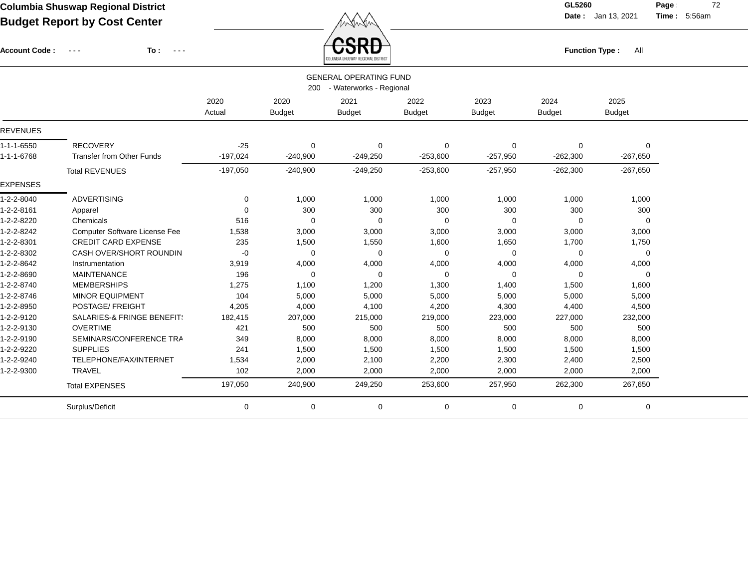$\angle$  **CSRD** 

**Date :** Jan 13, 2021 **Time :**

**Page :** 72 5:56am

| <b>Account Code:</b> | To:<br>$\sim$ $\sim$ $\sim$<br>$\sim$ $\sim$ $\sim$ |            |               | ᡦᢒᡰᠻᠣ<br>ILUMBIA SHUSWAP REGIONAL DISTRIC' |               | All<br><b>Function Type:</b> |               |               |  |
|----------------------|-----------------------------------------------------|------------|---------------|--------------------------------------------|---------------|------------------------------|---------------|---------------|--|
|                      |                                                     |            |               | <b>GENERAL OPERATING FUND</b>              |               |                              |               |               |  |
|                      |                                                     |            | 200           | - Waterworks - Regional                    |               |                              |               |               |  |
|                      |                                                     | 2020       | 2020          | 2021                                       | 2022          | 2023                         | 2024          | 2025          |  |
|                      |                                                     | Actual     | <b>Budget</b> | <b>Budget</b>                              | <b>Budget</b> | <b>Budget</b>                | <b>Budget</b> | <b>Budget</b> |  |
| <b>REVENUES</b>      |                                                     |            |               |                                            |               |                              |               |               |  |
| 1-1-1-6550           | <b>RECOVERY</b>                                     | $-25$      | 0             | 0                                          | 0             | 0                            | 0             | 0             |  |
| 1-1-1-6768           | <b>Transfer from Other Funds</b>                    | $-197,024$ | $-240,900$    | $-249,250$                                 | $-253,600$    | $-257,950$                   | $-262,300$    | $-267,650$    |  |
|                      | <b>Total REVENUES</b>                               | $-197,050$ | $-240,900$    | $-249,250$                                 | $-253,600$    | $-257,950$                   | $-262,300$    | $-267,650$    |  |
| <b>EXPENSES</b>      |                                                     |            |               |                                            |               |                              |               |               |  |
| 1-2-2-8040           | <b>ADVERTISING</b>                                  | 0          | 1,000         | 1,000                                      | 1,000         | 1,000                        | 1,000         | 1,000         |  |
| 1-2-2-8161           | Apparel                                             | $\Omega$   | 300           | 300                                        | 300           | 300                          | 300           | 300           |  |
| 1-2-2-8220           | Chemicals                                           | 516        | $\mathbf 0$   | 0                                          | 0             | 0                            | $\Omega$      | $\mathbf 0$   |  |
| 1-2-2-8242           | <b>Computer Software License Fee</b>                | 1,538      | 3,000         | 3,000                                      | 3,000         | 3,000                        | 3,000         | 3,000         |  |
| 1-2-2-8301           | <b>CREDIT CARD EXPENSE</b>                          | 235        | 1,500         | 1,550                                      | 1,600         | 1,650                        | 1,700         | 1,750         |  |
| 1-2-2-8302           | CASH OVER/SHORT ROUNDIN                             | -0         | $\mathbf 0$   | $\Omega$                                   | $\mathbf 0$   | 0                            | $\Omega$      | $\mathbf 0$   |  |
| 1-2-2-8642           | Instrumentation                                     | 3,919      | 4,000         | 4,000                                      | 4,000         | 4,000                        | 4,000         | 4,000         |  |
| 1-2-2-8690           | <b>MAINTENANCE</b>                                  | 196        | $\mathbf 0$   | 0                                          | 0             | 0                            | 0             | $\mathbf 0$   |  |
| 1-2-2-8740           | <b>MEMBERSHIPS</b>                                  | 1,275      | 1,100         | 1,200                                      | 1,300         | 1,400                        | 1,500         | 1,600         |  |
| 1-2-2-8746           | <b>MINOR EQUIPMENT</b>                              | 104        | 5,000         | 5,000                                      | 5,000         | 5,000                        | 5,000         | 5,000         |  |
| 1-2-2-8950           | POSTAGE/ FREIGHT                                    | 4,205      | 4,000         | 4,100                                      | 4,200         | 4,300                        | 4,400         | 4,500         |  |
| 1-2-2-9120           | SALARIES-& FRINGE BENEFIT!                          | 182,415    | 207,000       | 215,000                                    | 219,000       | 223,000                      | 227,000       | 232,000       |  |
| 1-2-2-9130           | <b>OVERTIME</b>                                     | 421        | 500           | 500                                        | 500           | 500                          | 500           | 500           |  |
| 1-2-2-9190           | SEMINARS/CONFERENCE TRA                             | 349        | 8,000         | 8,000                                      | 8,000         | 8,000                        | 8,000         | 8,000         |  |
| 1-2-2-9220           | <b>SUPPLIES</b>                                     | 241        | 1,500         | 1,500                                      | 1,500         | 1,500                        | 1,500         | 1,500         |  |
| 1-2-2-9240           | TELEPHONE/FAX/INTERNET                              | 1,534      | 2,000         | 2,100                                      | 2,200         | 2,300                        | 2,400         | 2,500         |  |
| 1-2-2-9300           | <b>TRAVEL</b>                                       | 102        | 2,000         | 2,000                                      | 2,000         | 2,000                        | 2,000         | 2,000         |  |
|                      | <b>Total EXPENSES</b>                               | 197,050    | 240,900       | 249,250                                    | 253,600       | 257,950                      | 262,300       | 267,650       |  |
|                      | Surplus/Deficit                                     | 0          | 0             | 0                                          | 0             | 0                            | 0             | 0             |  |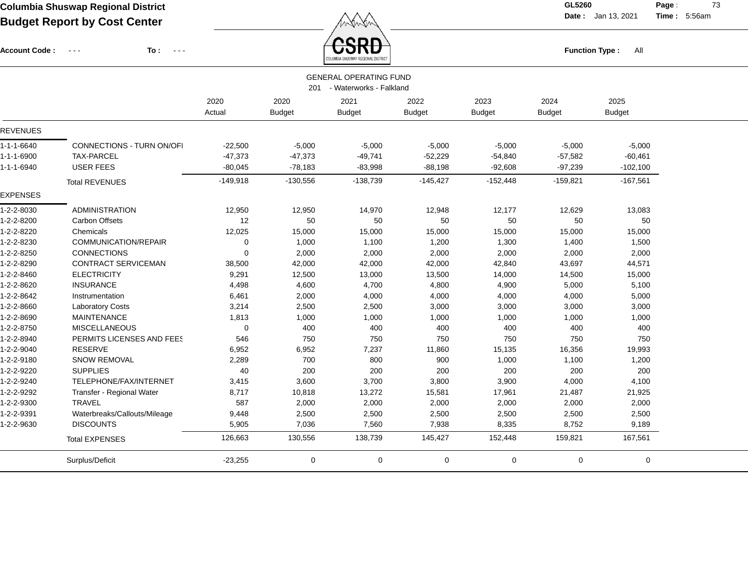$\overbrace{CSRD}$  Function Type : All

**Date :** Jan 13, 2021 **Time :**

**Page :** 73 5:56am

| <b>Account Code:</b> | To:<br>$\sim$ $\sim$ $\sim$ $\sim$<br>$\sim$ $\sim$ $\sim$ |                |                       | COLUMBIA SHUSWAP REGIONAL DISTRICT                           |                       |                       | <b>Function Type:</b> | All                   |  |
|----------------------|------------------------------------------------------------|----------------|-----------------------|--------------------------------------------------------------|-----------------------|-----------------------|-----------------------|-----------------------|--|
|                      |                                                            |                |                       | <b>GENERAL OPERATING FUND</b><br>201 - Waterworks - Falkland |                       |                       |                       |                       |  |
|                      |                                                            | 2020<br>Actual | 2020<br><b>Budget</b> | 2021<br><b>Budget</b>                                        | 2022<br><b>Budget</b> | 2023<br><b>Budget</b> | 2024<br><b>Budget</b> | 2025<br><b>Budget</b> |  |
| <b>REVENUES</b>      |                                                            |                |                       |                                                              |                       |                       |                       |                       |  |
| $1 - 1 - 1 - 6640$   | <b>CONNECTIONS - TURN ON/OFI</b>                           | $-22,500$      | $-5,000$              | $-5,000$                                                     | $-5,000$              | $-5,000$              | $-5,000$              | $-5,000$              |  |
| 1-1-1-6900           | TAX-PARCEL                                                 | $-47,373$      | $-47,373$             | $-49,741$                                                    | $-52,229$             | $-54,840$             | $-57,582$             | $-60,461$             |  |
| 1-1-1-6940           | <b>USER FEES</b>                                           | $-80,045$      | $-78,183$             | $-83,998$                                                    | $-88,198$             | $-92,608$             | $-97,239$             | $-102,100$            |  |
|                      | <b>Total REVENUES</b>                                      | $-149,918$     | $-130,556$            | $-138,739$                                                   | $-145,427$            | $-152,448$            | $-159,821$            | $-167,561$            |  |
| <b>EXPENSES</b>      |                                                            |                |                       |                                                              |                       |                       |                       |                       |  |
| 1-2-2-8030           | <b>ADMINISTRATION</b>                                      | 12,950         | 12,950                | 14,970                                                       | 12,948                | 12,177                | 12,629                | 13,083                |  |
| 1-2-2-8200           | <b>Carbon Offsets</b>                                      | 12             | 50                    | 50                                                           | 50                    | 50                    | 50                    | 50                    |  |
| 1-2-2-8220           | Chemicals                                                  | 12,025         | 15,000                | 15,000                                                       | 15,000                | 15,000                | 15,000                | 15,000                |  |
| 1-2-2-8230           | COMMUNICATION/REPAIR                                       | 0              | 1,000                 | 1,100                                                        | 1,200                 | 1,300                 | 1,400                 | 1,500                 |  |
| 1-2-2-8250           | CONNECTIONS                                                | $\Omega$       | 2,000                 | 2,000                                                        | 2,000                 | 2,000                 | 2,000                 | 2,000                 |  |
| 1-2-2-8290           | <b>CONTRACT SERVICEMAN</b>                                 | 38,500         | 42,000                | 42,000                                                       | 42,000                | 42,840                | 43,697                | 44,571                |  |
| 1-2-2-8460           | <b>ELECTRICITY</b>                                         | 9,291          | 12,500                | 13,000                                                       | 13,500                | 14,000                | 14,500                | 15,000                |  |
| 1-2-2-8620           | <b>INSURANCE</b>                                           | 4,498          | 4,600                 | 4,700                                                        | 4,800                 | 4,900                 | 5,000                 | 5,100                 |  |
| 1-2-2-8642           | Instrumentation                                            | 6,461          | 2,000                 | 4,000                                                        | 4,000                 | 4,000                 | 4,000                 | 5,000                 |  |
| 1-2-2-8660           | <b>Laboratory Costs</b>                                    | 3,214          | 2,500                 | 2,500                                                        | 3,000                 | 3,000                 | 3,000                 | 3,000                 |  |
| 1-2-2-8690           | <b>MAINTENANCE</b>                                         | 1,813          | 1,000                 | 1,000                                                        | 1,000                 | 1,000                 | 1,000                 | 1,000                 |  |
| 1-2-2-8750           | <b>MISCELLANEOUS</b>                                       | $\mathbf 0$    | 400                   | 400                                                          | 400                   | 400                   | 400                   | 400                   |  |
| 1-2-2-8940           | PERMITS LICENSES AND FEES                                  | 546            | 750                   | 750                                                          | 750                   | 750                   | 750                   | 750                   |  |
| 1-2-2-9040           | <b>RESERVE</b>                                             | 6,952          | 6,952                 | 7,237                                                        | 11,860                | 15,135                | 16,356                | 19,993                |  |
| 1-2-2-9180           | SNOW REMOVAL                                               | 2,289          | 700                   | 800                                                          | 900                   | 1,000                 | 1,100                 | 1,200                 |  |
| 1-2-2-9220           | <b>SUPPLIES</b>                                            | 40             | 200                   | 200                                                          | 200                   | 200                   | 200                   | 200                   |  |
| 1-2-2-9240           | TELEPHONE/FAX/INTERNET                                     | 3,415          | 3,600                 | 3,700                                                        | 3,800                 | 3,900                 | 4,000                 | 4,100                 |  |
| 1-2-2-9292           | Transfer - Regional Water                                  | 8,717          | 10,818                | 13,272                                                       | 15,581                | 17,961                | 21,487                | 21,925                |  |
| 1-2-2-9300           | <b>TRAVEL</b>                                              | 587            | 2,000                 | 2,000                                                        | 2,000                 | 2,000                 | 2,000                 | 2,000                 |  |
| 1-2-2-9391           | Waterbreaks/Callouts/Mileage                               | 9,448          | 2,500                 | 2,500                                                        | 2,500                 | 2,500                 | 2,500                 | 2,500                 |  |
| 1-2-2-9630           | <b>DISCOUNTS</b>                                           | 5,905          | 7,036                 | 7,560                                                        | 7,938                 | 8,335                 | 8,752                 | 9,189                 |  |
|                      | <b>Total EXPENSES</b>                                      | 126,663        | 130,556               | 138,739                                                      | 145,427               | 152,448               | 159,821               | 167,561               |  |
|                      | Surplus/Deficit                                            | $-23,255$      | $\mathbf 0$           | $\mathbf 0$                                                  | 0                     | 0                     | $\mathbf 0$           | $\mathbf 0$           |  |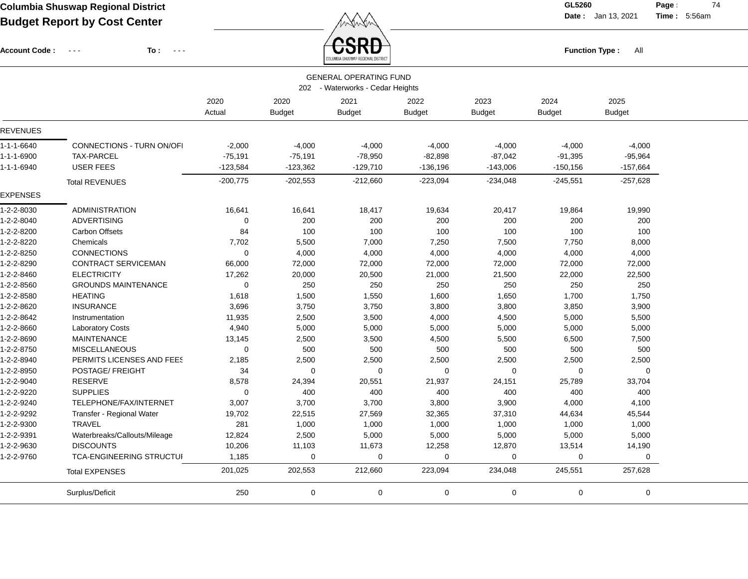Account Code : ---

**To :**

 $\overleftrightarrow{CSRD}$  Function Type : All

**Date :** Jan 13, 2021 **Time :**

**Page :** 74 5:56am

|                    |                                  |             |               | JULUMBIA ƏHUƏWAP REGIUNAL DIƏTRIGT |               |               |               |               |  |
|--------------------|----------------------------------|-------------|---------------|------------------------------------|---------------|---------------|---------------|---------------|--|
|                    |                                  |             |               | <b>GENERAL OPERATING FUND</b>      |               |               |               |               |  |
|                    |                                  |             |               | 202 - Waterworks - Cedar Heights   |               |               |               |               |  |
|                    |                                  | 2020        | 2020          | 2021                               | 2022          | 2023          | 2024          | 2025          |  |
|                    |                                  | Actual      | <b>Budget</b> | <b>Budget</b>                      | <b>Budget</b> | <b>Budget</b> | <b>Budget</b> | <b>Budget</b> |  |
| <b>REVENUES</b>    |                                  |             |               |                                    |               |               |               |               |  |
| $1 - 1 - 1 - 6640$ | <b>CONNECTIONS - TURN ON/OFI</b> | $-2,000$    | $-4,000$      | $-4,000$                           | $-4,000$      | $-4,000$      | $-4,000$      | $-4,000$      |  |
| 1-1-1-6900         | <b>TAX-PARCEL</b>                | $-75,191$   | $-75,191$     | $-78,950$                          | $-82,898$     | $-87,042$     | $-91,395$     | $-95,964$     |  |
| 1-1-1-6940         | <b>USER FEES</b>                 | $-123,584$  | $-123,362$    | $-129,710$                         | $-136,196$    | $-143,006$    | $-150, 156$   | $-157,664$    |  |
|                    | <b>Total REVENUES</b>            | $-200,775$  | $-202,553$    | $-212,660$                         | $-223,094$    | $-234,048$    | $-245,551$    | $-257,628$    |  |
| <b>EXPENSES</b>    |                                  |             |               |                                    |               |               |               |               |  |
| 1-2-2-8030         | <b>ADMINISTRATION</b>            | 16,641      | 16,641        | 18,417                             | 19,634        | 20,417        | 19,864        | 19,990        |  |
| 1-2-2-8040         | <b>ADVERTISING</b>               | 0           | 200           | 200                                | 200           | 200           | 200           | 200           |  |
| 1-2-2-8200         | <b>Carbon Offsets</b>            | 84          | 100           | 100                                | 100           | 100           | 100           | 100           |  |
| 1-2-2-8220         | Chemicals                        | 7,702       | 5,500         | 7,000                              | 7,250         | 7,500         | 7,750         | 8,000         |  |
| 1-2-2-8250         | CONNECTIONS                      | 0           | 4,000         | 4,000                              | 4,000         | 4,000         | 4,000         | 4,000         |  |
| 1-2-2-8290         | CONTRACT SERVICEMAN              | 66,000      | 72,000        | 72,000                             | 72,000        | 72,000        | 72,000        | 72,000        |  |
| 1-2-2-8460         | <b>ELECTRICITY</b>               | 17,262      | 20,000        | 20,500                             | 21,000        | 21,500        | 22,000        | 22,500        |  |
| 1-2-2-8560         | <b>GROUNDS MAINTENANCE</b>       | $\mathbf 0$ | 250           | 250                                | 250           | 250           | 250           | 250           |  |
| 1-2-2-8580         | <b>HEATING</b>                   | 1,618       | 1,500         | 1,550                              | 1,600         | 1,650         | 1,700         | 1,750         |  |
| 1-2-2-8620         | <b>INSURANCE</b>                 | 3,696       | 3,750         | 3,750                              | 3,800         | 3,800         | 3,850         | 3,900         |  |
| 1-2-2-8642         | Instrumentation                  | 11,935      | 2,500         | 3,500                              | 4,000         | 4,500         | 5,000         | 5,500         |  |
| 1-2-2-8660         | <b>Laboratory Costs</b>          | 4,940       | 5,000         | 5,000                              | 5,000         | 5,000         | 5,000         | 5,000         |  |
| 1-2-2-8690         | <b>MAINTENANCE</b>               | 13,145      | 2,500         | 3,500                              | 4,500         | 5,500         | 6,500         | 7,500         |  |
| 1-2-2-8750         | <b>MISCELLANEOUS</b>             | $\mathbf 0$ | 500           | 500                                | 500           | 500           | 500           | 500           |  |
| 1-2-2-8940         | PERMITS LICENSES AND FEES        | 2,185       | 2,500         | 2,500                              | 2,500         | 2,500         | 2,500         | 2,500         |  |
| 1-2-2-8950         | POSTAGE/ FREIGHT                 | 34          | $\mathbf 0$   | $\Omega$                           | 0             | 0             | $\Omega$      | $\mathbf 0$   |  |
| 1-2-2-9040         | RESERVE                          | 8,578       | 24,394        | 20,551                             | 21,937        | 24,151        | 25,789        | 33,704        |  |
| 1-2-2-9220         | <b>SUPPLIES</b>                  | 0           | 400           | 400                                | 400           | 400           | 400           | 400           |  |
| 1-2-2-9240         | TELEPHONE/FAX/INTERNET           | 3,007       | 3,700         | 3,700                              | 3,800         | 3,900         | 4,000         | 4,100         |  |
| 1-2-2-9292         | Transfer - Regional Water        | 19,702      | 22,515        | 27,569                             | 32,365        | 37,310        | 44,634        | 45,544        |  |
| 1-2-2-9300         | <b>TRAVEL</b>                    | 281         | 1,000         | 1,000                              | 1,000         | 1,000         | 1,000         | 1,000         |  |
| 1-2-2-9391         | Waterbreaks/Callouts/Mileage     | 12,824      | 2,500         | 5,000                              | 5,000         | 5,000         | 5,000         | 5,000         |  |
| 1-2-2-9630         | <b>DISCOUNTS</b>                 | 10,206      | 11,103        | 11,673                             | 12,258        | 12,870        | 13,514        | 14,190        |  |
| 1-2-2-9760         | TCA-ENGINEERING STRUCTUI         | 1,185       | $\mathbf 0$   | $\mathbf 0$                        | $\mathbf 0$   | 0             | 0             | $\mathbf 0$   |  |
|                    | <b>Total EXPENSES</b>            | 201,025     | 202,553       | 212,660                            | 223,094       | 234,048       | 245,551       | 257,628       |  |
|                    | Surplus/Deficit                  | 250         | $\mathbf 0$   | 0                                  | $\mathbf 0$   | $\mathbf 0$   | $\mathbf 0$   | $\mathbf 0$   |  |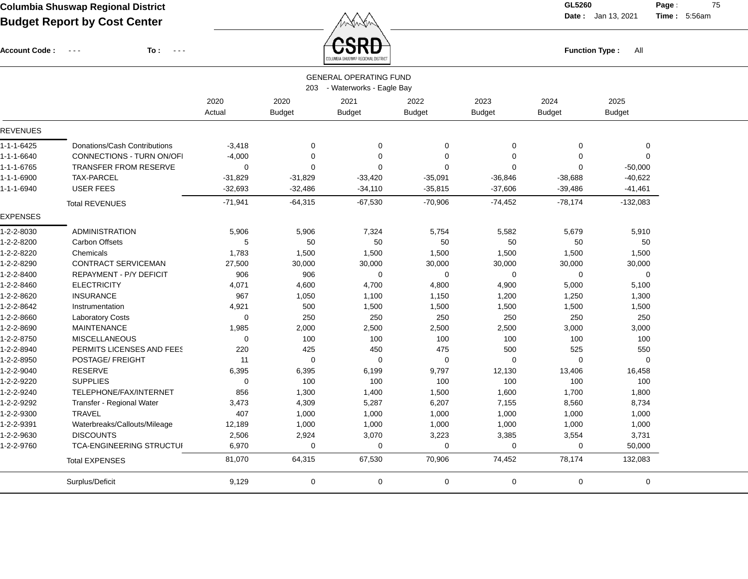$\angle$  **CSRD** 

**Date :** Jan 13, 2021 **Time :**

**Page :** 75 5:56am

| <b>Account Code:</b> | To:<br>$\sim$ $\sim$ $\sim$<br>$\sim$ $\sim$ $\sim$ |                |               | <b>UOND</b><br>COLUMBIA SHUSWAP REGIONAL DISTRICT |               |               | <b>Function Type:</b> | All           |  |
|----------------------|-----------------------------------------------------|----------------|---------------|---------------------------------------------------|---------------|---------------|-----------------------|---------------|--|
|                      |                                                     |                |               | <b>GENERAL OPERATING FUND</b>                     |               |               |                       |               |  |
|                      |                                                     |                |               | 203 - Waterworks - Eagle Bay                      |               |               |                       |               |  |
|                      |                                                     | 2020           | 2020          | 2021                                              | 2022          | 2023          | 2024                  | 2025          |  |
|                      |                                                     | Actual         | <b>Budget</b> | <b>Budget</b>                                     | <b>Budget</b> | <b>Budget</b> | <b>Budget</b>         | <b>Budget</b> |  |
| <b>REVENUES</b>      |                                                     |                |               |                                                   |               |               |                       |               |  |
| 1-1-1-6425           | Donations/Cash Contributions                        | $-3,418$       | $\mathbf 0$   | 0                                                 | 0             | $\mathbf 0$   | 0                     | 0             |  |
| 1-1-1-6640           | CONNECTIONS - TURN ON/OFI                           | $-4,000$       | $\Omega$      | $\Omega$                                          | $\mathbf 0$   | $\Omega$      | $\Omega$              | $\mathbf 0$   |  |
| 1-1-1-6765           | <b>TRANSFER FROM RESERVE</b>                        | $\Omega$       | $\Omega$      | $\Omega$                                          | $\Omega$      | $\Omega$      | 0                     | $-50,000$     |  |
| 1-1-1-6900           | TAX-PARCEL                                          | -31,829        | $-31,829$     | $-33,420$                                         | $-35,091$     | $-36,846$     | $-38,688$             | $-40,622$     |  |
| 1-1-1-6940           | <b>USER FEES</b>                                    | $-32,693$      | $-32,486$     | $-34,110$                                         | $-35,815$     | $-37,606$     | $-39,486$             | $-41,461$     |  |
|                      | <b>Total REVENUES</b>                               | $-71,941$      | $-64,315$     | $-67,530$                                         | $-70,906$     | $-74,452$     | $-78,174$             | $-132,083$    |  |
| <b>EXPENSES</b>      |                                                     |                |               |                                                   |               |               |                       |               |  |
| 1-2-2-8030           | <b>ADMINISTRATION</b>                               | 5,906          | 5,906         | 7,324                                             | 5,754         | 5,582         | 5,679                 | 5,910         |  |
| 1-2-2-8200           | <b>Carbon Offsets</b>                               | 5              | 50            | 50                                                | 50            | 50            | 50                    | 50            |  |
| 1-2-2-8220           | Chemicals                                           | 1,783          | 1,500         | 1,500                                             | 1,500         | 1,500         | 1,500                 | 1,500         |  |
| 1-2-2-8290           | CONTRACT SERVICEMAN                                 | 27,500         | 30,000        | 30,000                                            | 30,000        | 30,000        | 30,000                | 30,000        |  |
| 1-2-2-8400           | REPAYMENT - P/Y DEFICIT                             | 906            | 906           | 0                                                 | 0             | 0             | 0                     | 0             |  |
| 1-2-2-8460           | <b>ELECTRICITY</b>                                  | 4,071          | 4,600         | 4,700                                             | 4,800         | 4,900         | 5,000                 | 5,100         |  |
| 1-2-2-8620           | <b>INSURANCE</b>                                    | 967            | 1,050         | 1,100                                             | 1,150         | 1,200         | 1,250                 | 1,300         |  |
| 1-2-2-8642           | Instrumentation                                     | 4,921          | 500           | 1,500                                             | 1,500         | 1,500         | 1,500                 | 1,500         |  |
| 1-2-2-8660           | <b>Laboratory Costs</b>                             | $\overline{0}$ | 250           | 250                                               | 250           | 250           | 250                   | 250           |  |
| 1-2-2-8690           | <b>MAINTENANCE</b>                                  | 1,985          | 2,000         | 2,500                                             | 2,500         | 2,500         | 3,000                 | 3,000         |  |
| 1-2-2-8750           | <b>MISCELLANEOUS</b>                                | $\Omega$       | 100           | 100                                               | 100           | 100           | 100                   | 100           |  |
| 1-2-2-8940           | PERMITS LICENSES AND FEES                           | 220            | 425           | 450                                               | 475           | 500           | 525                   | 550           |  |
| 1-2-2-8950           | POSTAGE/ FREIGHT                                    | 11             | 0             | $\mathbf 0$                                       | 0             | 0             | 0                     | 0             |  |
| 1-2-2-9040           | RESERVE                                             | 6,395          | 6,395         | 6,199                                             | 9,797         | 12,130        | 13,406                | 16,458        |  |
| 1-2-2-9220           | <b>SUPPLIES</b>                                     | $\Omega$       | 100           | 100                                               | 100           | 100           | 100                   | 100           |  |
| 1-2-2-9240           | TELEPHONE/FAX/INTERNET                              | 856            | 1,300         | 1,400                                             | 1,500         | 1,600         | 1,700                 | 1,800         |  |
| 1-2-2-9292           | Transfer - Regional Water                           | 3,473          | 4,309         | 5,287                                             | 6,207         | 7,155         | 8,560                 | 8,734         |  |
| 1-2-2-9300           | <b>TRAVEL</b>                                       | 407            | 1,000         | 1,000                                             | 1,000         | 1,000         | 1,000                 | 1,000         |  |
| 1-2-2-9391           | Waterbreaks/Callouts/Mileage                        | 12,189         | 1,000         | 1,000                                             | 1,000         | 1,000         | 1,000                 | 1,000         |  |
| 1-2-2-9630           | <b>DISCOUNTS</b>                                    | 2,506          | 2,924         | 3,070                                             | 3,223         | 3,385         | 3,554                 | 3,731         |  |
| 1-2-2-9760           | TCA-ENGINEERING STRUCTUI                            | 6,970          | $\mathbf 0$   | $\Omega$                                          | $\mathbf 0$   | $\mathbf 0$   | 0                     | 50,000        |  |
|                      | <b>Total EXPENSES</b>                               | 81,070         | 64,315        | 67,530                                            | 70,906        | 74,452        | 78,174                | 132,083       |  |
|                      | Surplus/Deficit                                     | 9,129          | $\pmb{0}$     | $\pmb{0}$                                         | $\mathbf 0$   | $\pmb{0}$     | $\mathbf 0$           | $\mathbf 0$   |  |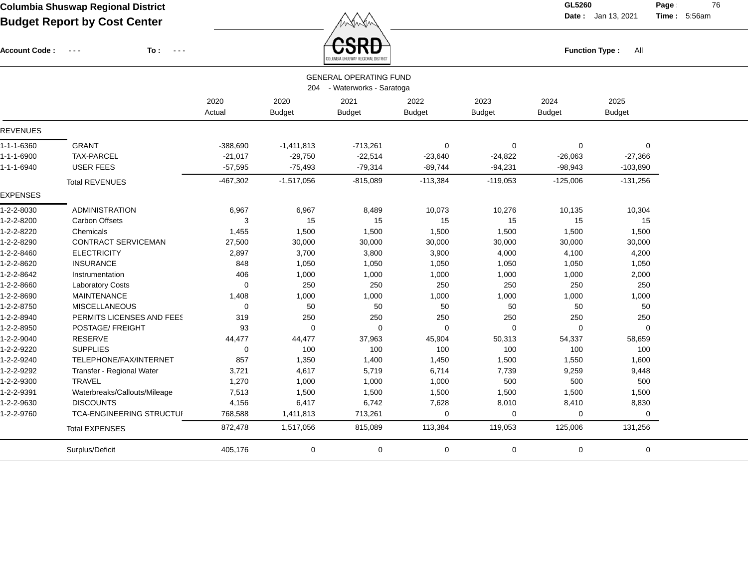Account Code : ---

**To :**

 $\overbrace{CSRD}$  Function Type : All

**Date :** Jan 13, 2021 **Time :**

**Page :** 76 5:56am

|                    |                                 |             |               | COLUMBIA SHUSWAP REGIONAL DISTRICT |               |               |               |               |  |
|--------------------|---------------------------------|-------------|---------------|------------------------------------|---------------|---------------|---------------|---------------|--|
|                    |                                 |             |               | <b>GENERAL OPERATING FUND</b>      |               |               |               |               |  |
|                    |                                 |             |               | 204 - Waterworks - Saratoga        |               |               |               |               |  |
|                    |                                 | 2020        | 2020          | 2021                               | 2022          | 2023          | 2024          | 2025          |  |
|                    |                                 | Actual      | <b>Budget</b> | <b>Budget</b>                      | <b>Budget</b> | <b>Budget</b> | <b>Budget</b> | <b>Budget</b> |  |
| <b>REVENUES</b>    |                                 |             |               |                                    |               |               |               |               |  |
| 1-1-1-6360         | <b>GRANT</b>                    | $-388,690$  | $-1,411,813$  | $-713,261$                         | 0             | $\mathbf 0$   | 0             | 0             |  |
| $1 - 1 - 1 - 6900$ | <b>TAX-PARCEL</b>               | $-21,017$   | $-29,750$     | $-22,514$                          | $-23,640$     | $-24,822$     | $-26,063$     | $-27,366$     |  |
| 1-1-1-6940         | <b>USER FEES</b>                | $-57,595$   | $-75,493$     | $-79,314$                          | $-89,744$     | $-94,231$     | $-98,943$     | $-103,890$    |  |
|                    | <b>Total REVENUES</b>           | $-467,302$  | $-1,517,056$  | $-815,089$                         | $-113,384$    | $-119,053$    | $-125,006$    | $-131,256$    |  |
| <b>EXPENSES</b>    |                                 |             |               |                                    |               |               |               |               |  |
| 1-2-2-8030         | <b>ADMINISTRATION</b>           | 6,967       | 6,967         | 8,489                              | 10,073        | 10,276        | 10,135        | 10,304        |  |
| 1-2-2-8200         | <b>Carbon Offsets</b>           | 3           | 15            | 15                                 | 15            | 15            | 15            | 15            |  |
| 1-2-2-8220         | Chemicals                       | 1,455       | 1,500         | 1,500                              | 1,500         | 1,500         | 1,500         | 1,500         |  |
| 1-2-2-8290         | <b>CONTRACT SERVICEMAN</b>      | 27,500      | 30,000        | 30,000                             | 30,000        | 30,000        | 30,000        | 30,000        |  |
| 1-2-2-8460         | <b>ELECTRICITY</b>              | 2,897       | 3,700         | 3,800                              | 3,900         | 4,000         | 4,100         | 4,200         |  |
| 1-2-2-8620         | <b>INSURANCE</b>                | 848         | 1,050         | 1,050                              | 1,050         | 1,050         | 1,050         | 1,050         |  |
| 1-2-2-8642         | Instrumentation                 | 406         | 1,000         | 1,000                              | 1,000         | 1,000         | 1,000         | 2,000         |  |
| 1-2-2-8660         | <b>Laboratory Costs</b>         | $\mathbf 0$ | 250           | 250                                | 250           | 250           | 250           | 250           |  |
| 1-2-2-8690         | <b>MAINTENANCE</b>              | 1,408       | 1,000         | 1,000                              | 1,000         | 1,000         | 1,000         | 1,000         |  |
| 1-2-2-8750         | <b>MISCELLANEOUS</b>            | $\mathbf 0$ | 50            | 50                                 | 50            | 50            | 50            | 50            |  |
| 1-2-2-8940         | PERMITS LICENSES AND FEES       | 319         | 250           | 250                                | 250           | 250           | 250           | 250           |  |
| 1-2-2-8950         | POSTAGE/ FREIGHT                | 93          | 0             | 0                                  | 0             | $\mathbf 0$   | 0             | $\Omega$      |  |
| 1-2-2-9040         | <b>RESERVE</b>                  | 44,477      | 44,477        | 37,963                             | 45,904        | 50,313        | 54,337        | 58,659        |  |
| 1-2-2-9220         | <b>SUPPLIES</b>                 | $\mathbf 0$ | 100           | 100                                | 100           | 100           | 100           | 100           |  |
| 1-2-2-9240         | TELEPHONE/FAX/INTERNET          | 857         | 1,350         | 1,400                              | 1,450         | 1,500         | 1,550         | 1,600         |  |
| 1-2-2-9292         | Transfer - Regional Water       | 3,721       | 4,617         | 5,719                              | 6,714         | 7,739         | 9,259         | 9,448         |  |
| 1-2-2-9300         | <b>TRAVEL</b>                   | 1,270       | 1,000         | 1,000                              | 1,000         | 500           | 500           | 500           |  |
| 1-2-2-9391         | Waterbreaks/Callouts/Mileage    | 7,513       | 1,500         | 1,500                              | 1,500         | 1,500         | 1,500         | 1,500         |  |
| 1-2-2-9630         | <b>DISCOUNTS</b>                | 4,156       | 6,417         | 6,742                              | 7,628         | 8,010         | 8,410         | 8,830         |  |
| 1-2-2-9760         | <b>TCA-ENGINEERING STRUCTUI</b> | 768,588     | 1,411,813     | 713,261                            | 0             | 0             | 0             | 0             |  |
|                    | <b>Total EXPENSES</b>           | 872,478     | 1,517,056     | 815,089                            | 113,384       | 119,053       | 125,006       | 131,256       |  |
|                    | Surplus/Deficit                 | 405,176     | 0             | $\mathbf 0$                        | 0             | $\mathbf 0$   | 0             | 0             |  |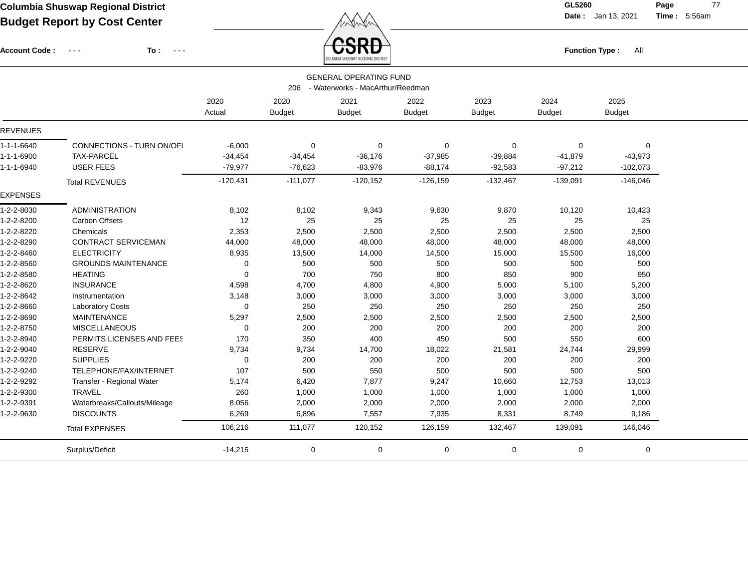Account Code : ---

**To :**

 $\overleftrightarrow{CSRD}$  Function Type : All

**Date :** Jan 13, 2021 **Time :**

**Page :** 77 5:56am

|                 | <b>GENERAL OPERATING FUND</b><br>- Waterworks - MacArthur/Reedman<br>206 |             |               |               |               |               |               |               |  |
|-----------------|--------------------------------------------------------------------------|-------------|---------------|---------------|---------------|---------------|---------------|---------------|--|
|                 |                                                                          | 2020        | 2020          | 2021          | 2022          | 2023          | 2024          | 2025          |  |
|                 |                                                                          | Actual      | <b>Budget</b> | <b>Budget</b> | <b>Budget</b> | <b>Budget</b> | <b>Budget</b> | <b>Budget</b> |  |
| <b>REVENUES</b> |                                                                          |             |               |               |               |               |               |               |  |
| 1-1-1-6640      | CONNECTIONS - TURN ON/OFI                                                | $-6,000$    | 0             | $\mathbf 0$   | 0             | $\mathbf 0$   | 0             | $\Omega$      |  |
| 1-1-1-6900      | <b>TAX-PARCEL</b>                                                        | $-34,454$   | $-34,454$     | $-36,176$     | $-37,985$     | $-39,884$     | $-41,879$     | $-43,973$     |  |
| 1-1-1-6940      | <b>USER FEES</b>                                                         | $-79,977$   | $-76,623$     | $-83,976$     | $-88,174$     | $-92,583$     | $-97,212$     | $-102,073$    |  |
|                 | <b>Total REVENUES</b>                                                    | $-120,431$  | $-111,077$    | $-120, 152$   | $-126,159$    | $-132,467$    | $-139,091$    | $-146,046$    |  |
| <b>EXPENSES</b> |                                                                          |             |               |               |               |               |               |               |  |
| 1-2-2-8030      | <b>ADMINISTRATION</b>                                                    | 8,102       | 8,102         | 9,343         | 9,630         | 9,870         | 10,120        | 10,423        |  |
| 1-2-2-8200      | <b>Carbon Offsets</b>                                                    | 12          | 25            | 25            | 25            | 25            | 25            | 25            |  |
| 1-2-2-8220      | Chemicals                                                                | 2,353       | 2,500         | 2,500         | 2,500         | 2,500         | 2,500         | 2,500         |  |
| 1-2-2-8290      | <b>CONTRACT SERVICEMAN</b>                                               | 44,000      | 48,000        | 48,000        | 48,000        | 48,000        | 48,000        | 48,000        |  |
| 1-2-2-8460      | <b>ELECTRICITY</b>                                                       | 8,935       | 13,500        | 14,000        | 14,500        | 15,000        | 15,500        | 16,000        |  |
| 1-2-2-8560      | <b>GROUNDS MAINTENANCE</b>                                               | $\mathbf 0$ | 500           | 500           | 500           | 500           | 500           | 500           |  |
| 1-2-2-8580      | <b>HEATING</b>                                                           | $\Omega$    | 700           | 750           | 800           | 850           | 900           | 950           |  |
| 1-2-2-8620      | <b>INSURANCE</b>                                                         | 4,598       | 4,700         | 4,800         | 4,900         | 5,000         | 5,100         | 5,200         |  |
| 1-2-2-8642      | Instrumentation                                                          | 3,148       | 3,000         | 3,000         | 3,000         | 3,000         | 3,000         | 3,000         |  |
| 1-2-2-8660      | <b>Laboratory Costs</b>                                                  | $\Omega$    | 250           | 250           | 250           | 250           | 250           | 250           |  |
| 1-2-2-8690      | <b>MAINTENANCE</b>                                                       | 5,297       | 2,500         | 2,500         | 2,500         | 2,500         | 2,500         | 2,500         |  |
| 1-2-2-8750      | <b>MISCELLANEOUS</b>                                                     | 0           | 200           | 200           | 200           | 200           | 200           | 200           |  |
| 1-2-2-8940      | PERMITS LICENSES AND FEES                                                | 170         | 350           | 400           | 450           | 500           | 550           | 600           |  |
| 1-2-2-9040      | <b>RESERVE</b>                                                           | 9,734       | 9,734         | 14,700        | 18,022        | 21,581        | 24,744        | 29,999        |  |
| 1-2-2-9220      | <b>SUPPLIES</b>                                                          | $\mathbf 0$ | 200           | 200           | 200           | 200           | 200           | 200           |  |
| 1-2-2-9240      | TELEPHONE/FAX/INTERNET                                                   | 107         | 500           | 550           | 500           | 500           | 500           | 500           |  |
| 1-2-2-9292      | Transfer - Regional Water                                                | 5,174       | 6,420         | 7,877         | 9,247         | 10,660        | 12,753        | 13,013        |  |
| 1-2-2-9300      | <b>TRAVEL</b>                                                            | 260         | 1,000         | 1,000         | 1,000         | 1,000         | 1,000         | 1,000         |  |
| 1-2-2-9391      | Waterbreaks/Callouts/Mileage                                             | 8,056       | 2,000         | 2,000         | 2,000         | 2,000         | 2,000         | 2,000         |  |
| 1-2-2-9630      | <b>DISCOUNTS</b>                                                         | 6,269       | 6,896         | 7,557         | 7,935         | 8,331         | 8,749         | 9,186         |  |
|                 | <b>Total EXPENSES</b>                                                    | 106,216     | 111,077       | 120,152       | 126,159       | 132,467       | 139,091       | 146,046       |  |
|                 | Surplus/Deficit                                                          | $-14,215$   | 0             | $\mathbf 0$   | 0             | 0             | 0             | 0             |  |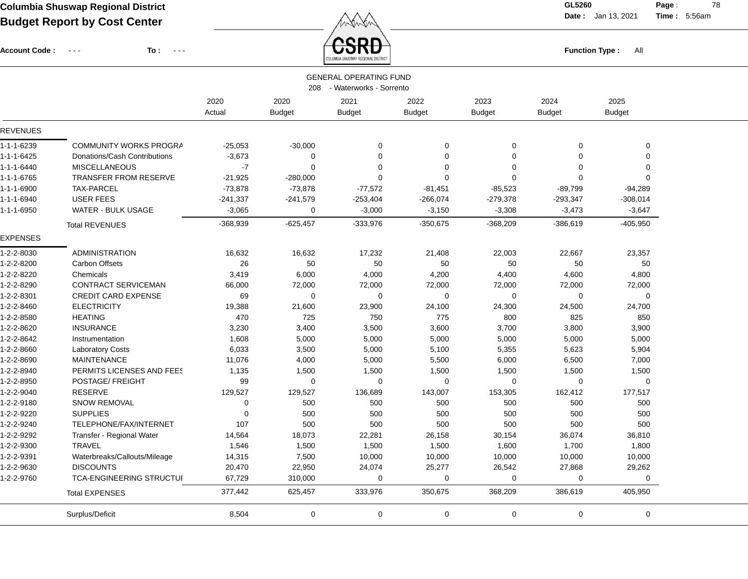Function Type : All<br>COLUMBIA SHUSWAP REGIONAL DISTRICT

**Date :** Jan 13, 2021 **Time :**

**Page :** 78 5:56am

| Account Code: --- | To: | . |
|-------------------|-----|---|
|                   |     |   |

|                 | <b>GENERAL OPERATING FUND</b><br>208 - Waterworks - Sorrento |                   |                       |                       |                       |                       |                       |                       |  |
|-----------------|--------------------------------------------------------------|-------------------|-----------------------|-----------------------|-----------------------|-----------------------|-----------------------|-----------------------|--|
|                 |                                                              | 2020<br>Actual    | 2020<br><b>Budget</b> | 2021<br><b>Budget</b> | 2022<br><b>Budget</b> | 2023<br><b>Budget</b> | 2024<br><b>Budget</b> | 2025<br><b>Budget</b> |  |
| <b>REVENUES</b> |                                                              |                   |                       |                       |                       |                       |                       |                       |  |
| 1-1-1-6239      | COMMUNITY WORKS PROGRA                                       | $-25,053$         | $-30,000$             | 0                     | $\mathbf 0$           | 0                     | $\Omega$              | 0                     |  |
| 1-1-1-6425      | Donations/Cash Contributions                                 | $-3,673$          | 0                     | $\mathbf 0$           | $\mathbf 0$           | $\Omega$              | $\Omega$              | $\mathbf 0$           |  |
| 1-1-1-6440      | <b>MISCELLANEOUS</b>                                         | $\textnormal{-}7$ | $\Omega$              | 0                     | $\mathbf 0$           | $\Omega$              | $\Omega$              | $\Omega$              |  |
| 1-1-1-6765      | <b>TRANSFER FROM RESERVE</b>                                 | $-21,925$         | $-280,000$            | 0                     | $\mathbf 0$           | $\mathbf 0$           | $\Omega$              | $\Omega$              |  |
| 1-1-1-6900      | <b>TAX-PARCEL</b>                                            | $-73,878$         | $-73,878$             | $-77,572$             | $-81,451$             | $-85,523$             | $-89,799$             | $-94,289$             |  |
| 1-1-1-6940      | <b>USER FEES</b>                                             | $-241,337$        | $-241,579$            | $-253,404$            | $-266,074$            | $-279,378$            | $-293,347$            | $-308,014$            |  |
| 1-1-1-6950      | WATER - BULK USAGE                                           | $-3,065$          | 0                     | $-3,000$              | $-3,150$              | $-3,308$              | $-3,473$              | $-3,647$              |  |
|                 | <b>Total REVENUES</b>                                        | -368,939          | $-625,457$            | -333,976              | $-350,675$            | $-368,209$            | $-386,619$            | -405,950              |  |
| <b>EXPENSES</b> |                                                              |                   |                       |                       |                       |                       |                       |                       |  |
| 1-2-2-8030      | <b>ADMINISTRATION</b>                                        | 16,632            | 16,632                | 17,232                | 21,408                | 22,003                | 22,667                | 23,357                |  |
| 1-2-2-8200      | <b>Carbon Offsets</b>                                        | 26                | 50                    | 50                    | 50                    | 50                    | 50                    | 50                    |  |
| 1-2-2-8220      | Chemicals                                                    | 3,419             | 6,000                 | 4,000                 | 4,200                 | 4,400                 | 4,600                 | 4,800                 |  |
| 1-2-2-8290      | CONTRACT SERVICEMAN                                          | 66,000            | 72,000                | 72,000                | 72,000                | 72,000                | 72,000                | 72,000                |  |
| 1-2-2-8301      | <b>CREDIT CARD EXPENSE</b>                                   | 69                | 0                     | 0                     | $\mathbf 0$           | $\mathbf 0$           | $\Omega$              | 0                     |  |
| 1-2-2-8460      | <b>ELECTRICITY</b>                                           | 19,388            | 21,600                | 23,900                | 24,100                | 24,300                | 24,500                | 24,700                |  |
| 1-2-2-8580      | <b>HEATING</b>                                               | 470               | 725                   | 750                   | 775                   | 800                   | 825                   | 850                   |  |
| 1-2-2-8620      | <b>INSURANCE</b>                                             | 3,230             | 3,400                 | 3,500                 | 3,600                 | 3,700                 | 3,800                 | 3,900                 |  |
| 1-2-2-8642      | Instrumentation                                              | 1,608             | 5,000                 | 5,000                 | 5,000                 | 5,000                 | 5,000                 | 5,000                 |  |
| 1-2-2-8660      | <b>Laboratory Costs</b>                                      | 6,033             | 3,500                 | 5,000                 | 5,100                 | 5,355                 | 5,623                 | 5,904                 |  |
| 1-2-2-8690      | <b>MAINTENANCE</b>                                           | 11,076            | 4,000                 | 5,000                 | 5,500                 | 6,000                 | 6,500                 | 7,000                 |  |
| 1-2-2-8940      | PERMITS LICENSES AND FEES                                    | 1,135             | 1,500                 | 1,500                 | 1,500                 | 1,500                 | 1,500                 | 1,500                 |  |
| 1-2-2-8950      | POSTAGE/ FREIGHT                                             | 99                | 0                     | 0                     | $\mathbf 0$           | $\mathbf 0$           | $\Omega$              | $\mathbf 0$           |  |
| 1-2-2-9040      | <b>RESERVE</b>                                               | 129,527           | 129,527               | 136,689               | 143,007               | 153,305               | 162,412               | 177,517               |  |
| 1-2-2-9180      | SNOW REMOVAL                                                 | 0                 | 500                   | 500                   | 500                   | 500                   | 500                   | 500                   |  |
| 1-2-2-9220      | <b>SUPPLIES</b>                                              | $\mathbf 0$       | 500                   | 500                   | 500                   | 500                   | 500                   | 500                   |  |
| 1-2-2-9240      | TELEPHONE/FAX/INTERNET                                       | 107               | 500                   | 500                   | 500                   | 500                   | 500                   | 500                   |  |
| 1-2-2-9292      | Transfer - Regional Water                                    | 14,564            | 18,073                | 22,281                | 26,158                | 30,154                | 36,074                | 36,810                |  |
| 1-2-2-9300      | <b>TRAVEL</b>                                                | 1,546             | 1,500                 | 1,500                 | 1,500                 | 1,600                 | 1,700                 | 1,800                 |  |
| 1-2-2-9391      | Waterbreaks/Callouts/Mileage                                 | 14,315            | 7,500                 | 10,000                | 10,000                | 10,000                | 10,000                | 10,000                |  |
| 1-2-2-9630      | <b>DISCOUNTS</b>                                             | 20,470            | 22,950                | 24,074                | 25,277                | 26,542                | 27,868                | 29,262                |  |
| 1-2-2-9760      | TCA-ENGINEERING STRUCTUI                                     | 67,729            | 310,000               | 0                     | $\mathbf 0$           | 0                     | 0                     | $\mathbf 0$           |  |
|                 | <b>Total EXPENSES</b>                                        | 377,442           | 625,457               | 333,976               | 350,675               | 368,209               | 386,619               | 405,950               |  |
|                 |                                                              |                   |                       |                       |                       |                       |                       |                       |  |
|                 | Surplus/Deficit                                              | 8,504             | 0                     | 0                     | 0                     | $\mathbf 0$           | $\mathbf 0$           | $\mathbf 0$           |  |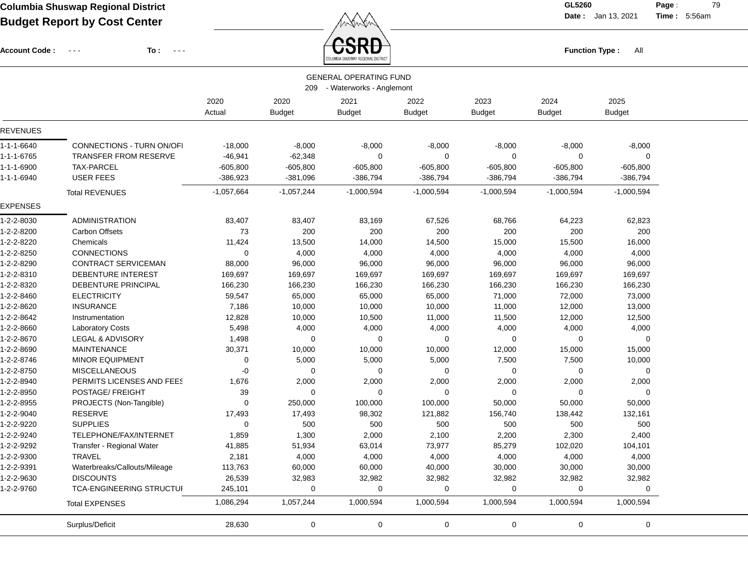Account Code : ---

**To :**

 $\overleftrightarrow{CSRD}$  Function Type : All

**Date :** Jan 13, 2021 **Time :**

**Page :** 79 5:56am

|                 |                                                                  |                |                       | ULUMBIA ƏMUƏWAP KEGIUNAL DIƏTKILI |                       |                       |                       |                       |  |
|-----------------|------------------------------------------------------------------|----------------|-----------------------|-----------------------------------|-----------------------|-----------------------|-----------------------|-----------------------|--|
|                 | <b>GENERAL OPERATING FUND</b><br>209<br>- Waterworks - Anglemont |                |                       |                                   |                       |                       |                       |                       |  |
|                 |                                                                  | 2020<br>Actual | 2020<br><b>Budget</b> | 2021<br><b>Budget</b>             | 2022<br><b>Budget</b> | 2023<br><b>Budget</b> | 2024<br><b>Budget</b> | 2025<br><b>Budget</b> |  |
| <b>REVENUES</b> |                                                                  |                |                       |                                   |                       |                       |                       |                       |  |
| 1-1-1-6640      | CONNECTIONS - TURN ON/OFI                                        | $-18,000$      | $-8,000$              | $-8,000$                          | $-8,000$              | $-8,000$              | $-8,000$              | $-8,000$              |  |
| 1-1-1-6765      | <b>TRANSFER FROM RESERVE</b>                                     | $-46,941$      | $-62,348$             | 0                                 | $\mathbf 0$           | $\mathbf 0$           | $\mathbf 0$           | $\Omega$              |  |
| 1-1-1-6900      | <b>TAX-PARCEL</b>                                                | $-605,800$     | $-605,800$            | $-605,800$                        | $-605,800$            | $-605,800$            | $-605,800$            | $-605,800$            |  |
| 1-1-1-6940      | <b>USER FEES</b>                                                 | $-386,923$     | $-381,096$            | -386,794                          | $-386,794$            | $-386,794$            | $-386,794$            | $-386,794$            |  |
|                 | <b>Total REVENUES</b>                                            | $-1,057,664$   | $-1,057,244$          | $-1,000,594$                      | $-1,000,594$          | $-1,000,594$          | $-1,000,594$          | $-1,000,594$          |  |
| <b>EXPENSES</b> |                                                                  |                |                       |                                   |                       |                       |                       |                       |  |
| 1-2-2-8030      | <b>ADMINISTRATION</b>                                            | 83,407         | 83,407                | 83,169                            | 67,526                | 68,766                | 64,223                | 62,823                |  |
| 1-2-2-8200      | <b>Carbon Offsets</b>                                            | 73             | 200                   | 200                               | 200                   | 200                   | 200                   | 200                   |  |
| 1-2-2-8220      | Chemicals                                                        | 11,424         | 13,500                | 14,000                            | 14,500                | 15,000                | 15,500                | 16,000                |  |
| 1-2-2-8250      | <b>CONNECTIONS</b>                                               | $\mathbf 0$    | 4,000                 | 4,000                             | 4,000                 | 4,000                 | 4,000                 | 4,000                 |  |
| 1-2-2-8290      | CONTRACT SERVICEMAN                                              | 88,000         | 96,000                | 96,000                            | 96,000                | 96,000                | 96,000                | 96,000                |  |
| 1-2-2-8310      | DEBENTURE INTEREST                                               | 169,697        | 169,697               | 169,697                           | 169,697               | 169,697               | 169,697               | 169,697               |  |
| 1-2-2-8320      | DEBENTURE PRINCIPAL                                              | 166,230        | 166,230               | 166,230                           | 166,230               | 166,230               | 166,230               | 166,230               |  |
| 1-2-2-8460      | <b>ELECTRICITY</b>                                               | 59,547         | 65,000                | 65,000                            | 65,000                | 71,000                | 72,000                | 73,000                |  |
| 1-2-2-8620      | <b>INSURANCE</b>                                                 | 7,186          | 10,000                | 10,000                            | 10,000                | 11,000                | 12,000                | 13,000                |  |
| 1-2-2-8642      | Instrumentation                                                  | 12,828         | 10,000                | 10,500                            | 11,000                | 11,500                | 12,000                | 12,500                |  |
| 1-2-2-8660      | <b>Laboratory Costs</b>                                          | 5,498          | 4,000                 | 4,000                             | 4,000                 | 4,000                 | 4,000                 | 4,000                 |  |
| 1-2-2-8670      | <b>LEGAL &amp; ADVISORY</b>                                      | 1,498          | $\mathbf 0$           | $\mathbf 0$                       | $\overline{0}$        | $\mathbf 0$           | $\mathbf 0$           | $\mathbf 0$           |  |
| 1-2-2-8690      | <b>MAINTENANCE</b>                                               | 30,371         | 10,000                | 10,000                            | 10,000                | 12,000                | 15,000                | 15,000                |  |
| 1-2-2-8746      | <b>MINOR EQUIPMENT</b>                                           | $\mathbf 0$    | 5,000                 | 5,000                             | 5,000                 | 7,500                 | 7,500                 | 10,000                |  |
| 1-2-2-8750      | <b>MISCELLANEOUS</b>                                             | $-0$           | 0                     | $\pmb{0}$                         | $\overline{0}$        | $\mathbf 0$           | $\mathbf 0$           | $\mathbf 0$           |  |
| 1-2-2-8940      | PERMITS LICENSES AND FEES                                        | 1,676          | 2,000                 | 2,000                             | 2,000                 | 2,000                 | 2,000                 | 2,000                 |  |
| 1-2-2-8950      | POSTAGE/ FREIGHT                                                 | 39             | 0                     | 0                                 | $\Omega$              | 0                     | 0                     | 0                     |  |
| 1-2-2-8955      | PROJECTS (Non-Tangible)                                          | $\mathbf 0$    | 250,000               | 100,000                           | 100,000               | 50,000                | 50,000                | 50,000                |  |
| 1-2-2-9040      | <b>RESERVE</b>                                                   | 17,493         | 17,493                | 98,302                            | 121,882               | 156,740               | 138,442               | 132,161               |  |
| 1-2-2-9220      | <b>SUPPLIES</b>                                                  | $\Omega$       | 500                   | 500                               | 500                   | 500                   | 500                   | 500                   |  |
| 1-2-2-9240      | TELEPHONE/FAX/INTERNET                                           | 1,859          | 1,300                 | 2,000                             | 2,100                 | 2,200                 | 2,300                 | 2,400                 |  |
| 1-2-2-9292      | Transfer - Regional Water                                        | 41,885         | 51,934                | 63,014                            | 73,977                | 85,279                | 102,020               | 104,101               |  |
| 1-2-2-9300      | <b>TRAVEL</b>                                                    | 2,181          | 4,000                 | 4,000                             | 4,000                 | 4,000                 | 4,000                 | 4,000                 |  |
| 1-2-2-9391      | Waterbreaks/Callouts/Mileage                                     | 113,763        | 60,000                | 60,000                            | 40,000                | 30,000                | 30,000                | 30,000                |  |
| 1-2-2-9630      | <b>DISCOUNTS</b>                                                 | 26,539         | 32,983                | 32,982                            | 32,982                | 32,982                | 32,982                | 32,982                |  |
| 1-2-2-9760      | <b>TCA-ENGINEERING STRUCTUI</b>                                  | 245,101        | 0                     | 0                                 | 0                     | 0                     | 0                     | $\mathbf 0$           |  |
|                 | <b>Total EXPENSES</b>                                            | 1,086,294      | 1,057,244             | 1,000,594                         | 1,000,594             | 1,000,594             | 1,000,594             | 1,000,594             |  |
|                 | Surplus/Deficit                                                  | 28,630         | $\mathbf 0$           | $\pmb{0}$                         | $\mathbf 0$           | $\mathbf 0$           | $\mathbf 0$           | $\mathbf 0$           |  |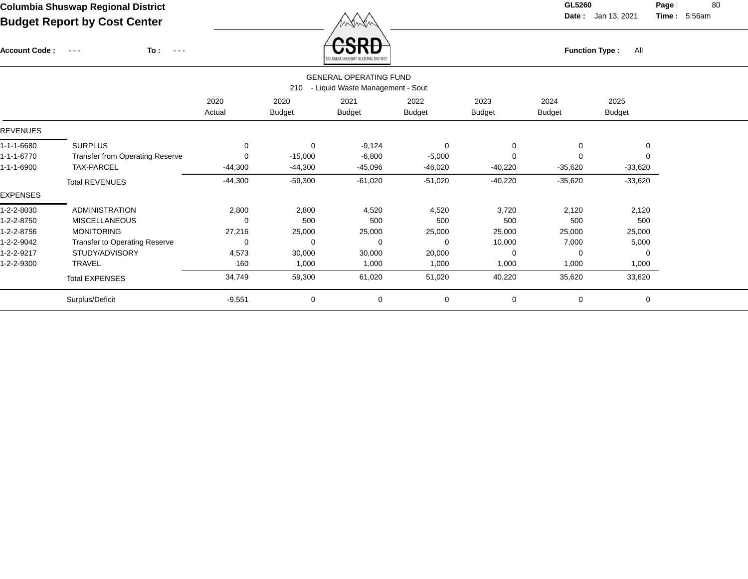Account Code : ---

**To :**

Function Type : All<br>COLUMBIA SHUSWAP REGIONAL DISTRICT

**Date :** Jan 13, 2021 **Time :**

**Page : 80** 5:56am

|                 | <b>GENERAL OPERATING FUND</b><br>210<br>- Liquid Waste Management - Sout |                |                       |                       |                       |                       |                       |                       |  |  |
|-----------------|--------------------------------------------------------------------------|----------------|-----------------------|-----------------------|-----------------------|-----------------------|-----------------------|-----------------------|--|--|
|                 |                                                                          | 2020<br>Actual | 2020<br><b>Budget</b> | 2021<br><b>Budget</b> | 2022<br><b>Budget</b> | 2023<br><b>Budget</b> | 2024<br><b>Budget</b> | 2025<br><b>Budget</b> |  |  |
| <b>REVENUES</b> |                                                                          |                |                       |                       |                       |                       |                       |                       |  |  |
| 1-1-1-6680      | <b>SURPLUS</b>                                                           | 0              | $\mathbf 0$           | $-9,124$              | 0                     | $\mathbf 0$           | 0                     | 0                     |  |  |
| 1-1-1-6770      | <b>Transfer from Operating Reserve</b>                                   | $\Omega$       | $-15,000$             | $-6,800$              | $-5,000$              | 0                     | $\Omega$              | $\mathbf 0$           |  |  |
| 1-1-1-6900      | TAX-PARCEL                                                               | $-44,300$      | $-44,300$             | $-45,096$             | $-46,020$             | $-40,220$             | $-35,620$             | $-33,620$             |  |  |
|                 | <b>Total REVENUES</b>                                                    | $-44,300$      | $-59,300$             | $-61,020$             | $-51,020$             | $-40,220$             | $-35,620$             | $-33,620$             |  |  |
| <b>EXPENSES</b> |                                                                          |                |                       |                       |                       |                       |                       |                       |  |  |
| 1-2-2-8030      | <b>ADMINISTRATION</b>                                                    | 2,800          | 2,800                 | 4,520                 | 4,520                 | 3,720                 | 2,120                 | 2,120                 |  |  |
| 1-2-2-8750      | <b>MISCELLANEOUS</b>                                                     | 0              | 500                   | 500                   | 500                   | 500                   | 500                   | 500                   |  |  |
| 1-2-2-8756      | <b>MONITORING</b>                                                        | 27,216         | 25,000                | 25,000                | 25,000                | 25,000                | 25,000                | 25,000                |  |  |
| 1-2-2-9042      | <b>Transfer to Operating Reserve</b>                                     | 0              | $\Omega$              | $\Omega$              | 0                     | 10,000                | 7,000                 | 5,000                 |  |  |
| 1-2-2-9217      | STUDY/ADVISORY                                                           | 4,573          | 30,000                | 30,000                | 20,000                | 0                     | 0                     | 0                     |  |  |
| 1-2-2-9300      | <b>TRAVEL</b>                                                            | 160            | 1,000                 | 1,000                 | 1,000                 | 1,000                 | 1,000                 | 1,000                 |  |  |
|                 | <b>Total EXPENSES</b>                                                    | 34,749         | 59,300                | 61,020                | 51,020                | 40,220                | 35,620                | 33,620                |  |  |
|                 | Surplus/Deficit                                                          | $-9,551$       | 0                     | 0                     | 0                     | 0                     | 0                     | $\mathbf 0$           |  |  |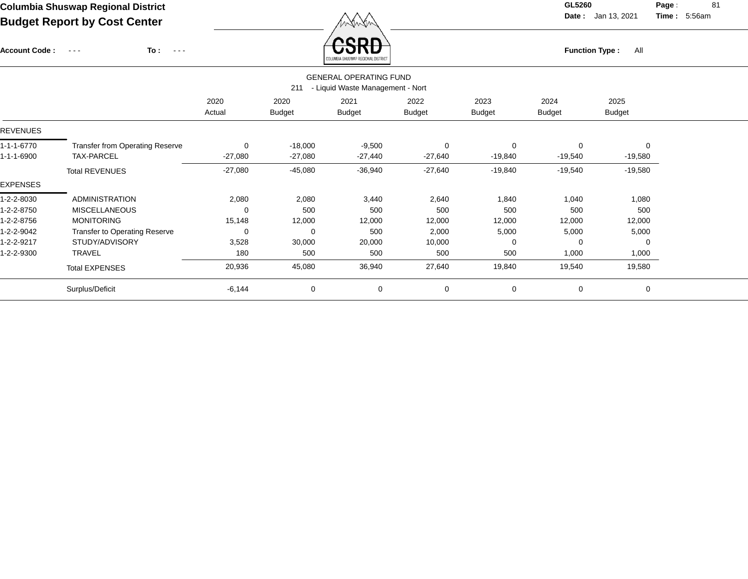Account Code : ---

**To :**

**Function Type :** All

**Date :** Jan 13, 2021 **Time :**

**Page :** 81 5:56am

|            |                                                                          |                |                       | COLUMBIA SHUSWAP REGIONAL DISTRICT |                       |                       |                       |                       |  |  |
|------------|--------------------------------------------------------------------------|----------------|-----------------------|------------------------------------|-----------------------|-----------------------|-----------------------|-----------------------|--|--|
|            | <b>GENERAL OPERATING FUND</b><br>- Liquid Waste Management - Nort<br>211 |                |                       |                                    |                       |                       |                       |                       |  |  |
|            |                                                                          | 2020<br>Actual | 2020<br><b>Budget</b> | 2021<br><b>Budget</b>              | 2022<br><b>Budget</b> | 2023<br><b>Budget</b> | 2024<br><b>Budget</b> | 2025<br><b>Budget</b> |  |  |
| REVENUES   |                                                                          |                |                       |                                    |                       |                       |                       |                       |  |  |
| 1-1-1-6770 | <b>Transfer from Operating Reserve</b>                                   | 0              | $-18,000$             | $-9,500$                           | $\mathbf 0$           | $\Omega$              | 0                     | $\mathbf 0$           |  |  |
| 1-1-1-6900 | <b>TAX-PARCEL</b>                                                        | $-27,080$      | $-27,080$             | $-27,440$                          | $-27,640$             | $-19,840$             | -19,540               | $-19,580$             |  |  |
|            | <b>Total REVENUES</b>                                                    | $-27,080$      | $-45,080$             | $-36,940$                          | $-27,640$             | $-19,840$             | $-19,540$             | $-19,580$             |  |  |
| EXPENSES   |                                                                          |                |                       |                                    |                       |                       |                       |                       |  |  |
| 1-2-2-8030 | <b>ADMINISTRATION</b>                                                    | 2,080          | 2,080                 | 3,440                              | 2,640                 | 1,840                 | 1,040                 | 1,080                 |  |  |
| 1-2-2-8750 | <b>MISCELLANEOUS</b>                                                     | 0              | 500                   | 500                                | 500                   | 500                   | 500                   | 500                   |  |  |
| 1-2-2-8756 | <b>MONITORING</b>                                                        | 15,148         | 12,000                | 12,000                             | 12,000                | 12,000                | 12,000                | 12,000                |  |  |
| 1-2-2-9042 | <b>Transfer to Operating Reserve</b>                                     | 0              | 0                     | 500                                | 2,000                 | 5,000                 | 5,000                 | 5,000                 |  |  |
| 1-2-2-9217 | STUDY/ADVISORY                                                           | 3,528          | 30,000                | 20,000                             | 10,000                |                       | $\Omega$              | $\mathbf 0$           |  |  |
| 1-2-2-9300 | <b>TRAVEL</b>                                                            | 180            | 500                   | 500                                | 500                   | 500                   | 1,000                 | 1,000                 |  |  |
|            | <b>Total EXPENSES</b>                                                    | 20,936         | 45,080                | 36,940                             | 27,640                | 19,840                | 19,540                | 19,580                |  |  |
|            | Surplus/Deficit                                                          | $-6,144$       | $\mathbf 0$           | 0                                  | $\mathbf 0$           | 0                     | 0                     | 0                     |  |  |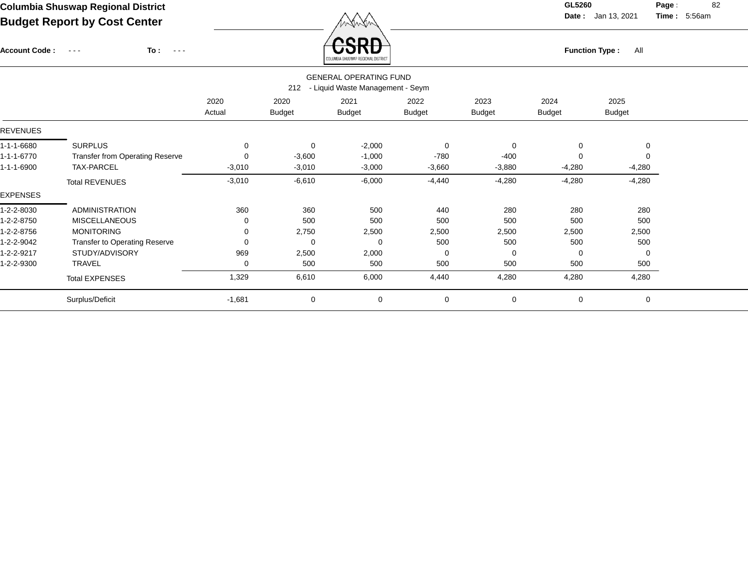Account Code : ---

**To :**

Function Type : All<br>columents hus war regional pisters<sup>1</sup>

**Date :** Jan 13, 2021 **Time :**

**Page :** 82 5:56am

|                 |                                        |                | 212                   | <b>GENERAL OPERATING FUND</b><br>- Liquid Waste Management - Seym |                       |                       |                |                       |  |
|-----------------|----------------------------------------|----------------|-----------------------|-------------------------------------------------------------------|-----------------------|-----------------------|----------------|-----------------------|--|
|                 |                                        | 2020<br>Actual | 2020<br><b>Budget</b> | 2021<br><b>Budget</b>                                             | 2022<br><b>Budget</b> | 2023<br><b>Budget</b> | 2024<br>Budget | 2025<br><b>Budget</b> |  |
| <b>REVENUES</b> |                                        |                |                       |                                                                   |                       |                       |                |                       |  |
| 1-1-1-6680      | <b>SURPLUS</b>                         | 0              | 0                     | $-2,000$                                                          | $\mathbf 0$           | 0                     | 0              | 0                     |  |
| 1-1-1-6770      | <b>Transfer from Operating Reserve</b> | 0              | $-3,600$              | $-1,000$                                                          | $-780$                | $-400$                | 0              |                       |  |
| 1-1-1-6900      | TAX-PARCEL                             | $-3,010$       | $-3,010$              | $-3,000$                                                          | $-3,660$              | $-3,880$              | $-4,280$       | $-4,280$              |  |
|                 | <b>Total REVENUES</b>                  | $-3,010$       | $-6,610$              | $-6,000$                                                          | $-4,440$              | $-4,280$              | $-4,280$       | $-4,280$              |  |
| <b>EXPENSES</b> |                                        |                |                       |                                                                   |                       |                       |                |                       |  |
| 1-2-2-8030      | <b>ADMINISTRATION</b>                  | 360            | 360                   | 500                                                               | 440                   | 280                   | 280            | 280                   |  |
| 1-2-2-8750      | <b>MISCELLANEOUS</b>                   | 0              | 500                   | 500                                                               | 500                   | 500                   | 500            | 500                   |  |
| 1-2-2-8756      | <b>MONITORING</b>                      | 0              | 2,750                 | 2,500                                                             | 2,500                 | 2,500                 | 2,500          | 2,500                 |  |
| 1-2-2-9042      | <b>Transfer to Operating Reserve</b>   | 0              | 0                     | $\Omega$                                                          | 500                   | 500                   | 500            | 500                   |  |
| 1-2-2-9217      | STUDY/ADVISORY                         | 969            | 2,500                 | 2,000                                                             | 0                     | 0                     | 0              | 0                     |  |
| 1-2-2-9300      | <b>TRAVEL</b>                          | 0              | 500                   | 500                                                               | 500                   | 500                   | 500            | 500                   |  |
|                 | <b>Total EXPENSES</b>                  | 1,329          | 6,610                 | 6,000                                                             | 4,440                 | 4,280                 | 4,280          | 4,280                 |  |
|                 | Surplus/Deficit                        | $-1,681$       | $\mathbf 0$           | $\mathbf 0$                                                       | $\mathbf 0$           | $\mathbf 0$           | 0              | $\mathbf 0$           |  |
|                 |                                        |                |                       |                                                                   |                       |                       |                |                       |  |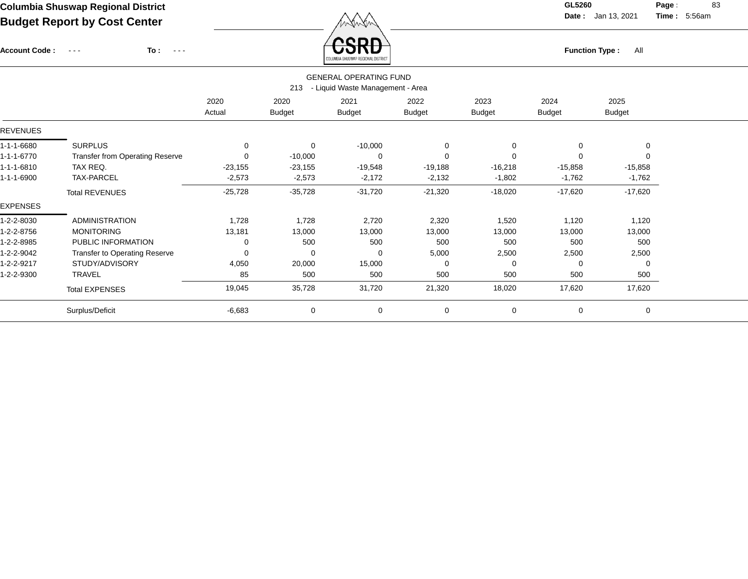Account Code : ---

**To :**

Function Type : All<br>COLUMBIA SHUSWAP REGIONAL DISTRICT

**Date :** Jan 13, 2021 **Time :**

**Page :** 83 5:56am

|                 | <b>GENERAL OPERATING FUND</b><br>- Liquid Waste Management - Area<br>213 |           |               |               |               |               |               |               |  |  |
|-----------------|--------------------------------------------------------------------------|-----------|---------------|---------------|---------------|---------------|---------------|---------------|--|--|
|                 |                                                                          | 2020      | 2020          | 2021          | 2022          | 2023          | 2024          | 2025          |  |  |
|                 |                                                                          | Actual    | <b>Budget</b> | <b>Budget</b> | <b>Budget</b> | <b>Budget</b> | <b>Budget</b> | <b>Budget</b> |  |  |
| <b>REVENUES</b> |                                                                          |           |               |               |               |               |               |               |  |  |
| 1-1-1-6680      | <b>SURPLUS</b>                                                           | 0         | 0             | $-10,000$     | 0             | $\Omega$      | 0             | 0             |  |  |
| 1-1-1-6770      | <b>Transfer from Operating Reserve</b>                                   | 0         | $-10,000$     | 0             | $\Omega$      |               | 0             | $\Omega$      |  |  |
| 1-1-1-6810      | TAX REQ.                                                                 | $-23,155$ | $-23,155$     | $-19,548$     | $-19,188$     | $-16,218$     | $-15,858$     | $-15,858$     |  |  |
| 1-1-1-6900      | TAX-PARCEL                                                               | $-2,573$  | $-2,573$      | $-2,172$      | $-2,132$      | $-1,802$      | $-1,762$      | $-1,762$      |  |  |
|                 | <b>Total REVENUES</b>                                                    | $-25,728$ | $-35,728$     | $-31,720$     | $-21,320$     | $-18,020$     | $-17,620$     | $-17,620$     |  |  |
| <b>EXPENSES</b> |                                                                          |           |               |               |               |               |               |               |  |  |
| 1-2-2-8030      | <b>ADMINISTRATION</b>                                                    | 1,728     | 1,728         | 2,720         | 2,320         | 1,520         | 1,120         | 1,120         |  |  |
| 1-2-2-8756      | <b>MONITORING</b>                                                        | 13,181    | 13,000        | 13,000        | 13,000        | 13,000        | 13,000        | 13,000        |  |  |
| 1-2-2-8985      | PUBLIC INFORMATION                                                       | 0         | 500           | 500           | 500           | 500           | 500           | 500           |  |  |
| 1-2-2-9042      | Transfer to Operating Reserve                                            | 0         | 0             | 0             | 5,000         | 2,500         | 2,500         | 2,500         |  |  |
| 1-2-2-9217      | STUDY/ADVISORY                                                           | 4,050     | 20,000        | 15,000        | $\Omega$      | $\Omega$      | 0             | $\mathbf 0$   |  |  |
| 1-2-2-9300      | <b>TRAVEL</b>                                                            | 85        | 500           | 500           | 500           | 500           | 500           | 500           |  |  |
|                 | <b>Total EXPENSES</b>                                                    | 19,045    | 35,728        | 31,720        | 21,320        | 18,020        | 17,620        | 17,620        |  |  |
|                 | Surplus/Deficit                                                          | $-6,683$  | $\mathbf 0$   | $\mathbf 0$   | $\mathbf 0$   | $\mathbf 0$   | $\mathbf 0$   | $\mathbf 0$   |  |  |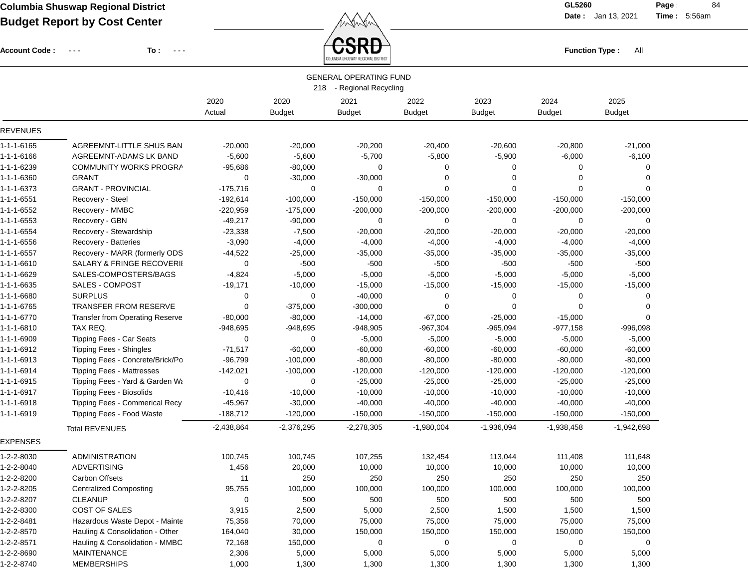Account Code : ---

**To :**

 $F_{\text{unction Type}: \text{All}}$ 

**Date :** Jan 13, 2021 **Time :**

**Page :** 84 5:56am

|                 |                                  |              |               | <b>GENERAL OPERATING FUND</b> |               |               |               |               |  |
|-----------------|----------------------------------|--------------|---------------|-------------------------------|---------------|---------------|---------------|---------------|--|
|                 |                                  |              |               | 218 - Regional Recycling      |               |               |               |               |  |
|                 |                                  | 2020         | 2020          | 2021                          | 2022          | 2023          | 2024          | 2025          |  |
|                 |                                  | Actual       | <b>Budget</b> | <b>Budget</b>                 | <b>Budget</b> | <b>Budget</b> | <b>Budget</b> | <b>Budget</b> |  |
| <b>REVENUES</b> |                                  |              |               |                               |               |               |               |               |  |
| 1-1-1-6165      | AGREEMNT-LITTLE SHUS BAN         | $-20,000$    | $-20,000$     | $-20,200$                     | $-20,400$     | $-20,600$     | $-20,800$     | $-21,000$     |  |
| 1-1-1-6166      | AGREEMNT-ADAMS LK BAND           | $-5,600$     | $-5,600$      | $-5,700$                      | $-5,800$      | $-5,900$      | $-6,000$      | $-6,100$      |  |
| 1-1-1-6239      | COMMUNITY WORKS PROGRA           | $-95,686$    | $-80,000$     | 0                             | 0             | 0             | $\Omega$      | $\Omega$      |  |
| 1-1-1-6360      | <b>GRANT</b>                     | 0            | $-30,000$     | $-30,000$                     | 0             | 0             | $\Omega$      | $\Omega$      |  |
| 1-1-1-6373      | <b>GRANT - PROVINCIAL</b>        | $-175,716$   | 0             | 0                             | $\mathbf 0$   | $\mathbf 0$   | $\Omega$      |               |  |
| 1-1-1-6551      | Recovery - Steel                 | $-192,614$   | $-100,000$    | $-150,000$                    | $-150,000$    | $-150,000$    | $-150,000$    | $-150,000$    |  |
| 1-1-1-6552      | Recovery - MMBC                  | $-220,959$   | $-175,000$    | $-200,000$                    | $-200,000$    | $-200,000$    | $-200,000$    | $-200,000$    |  |
| 1-1-1-6553      | Recovery - GBN                   | $-49,217$    | $-90,000$     | 0                             | 0             | 0             | $\Omega$      | 0             |  |
| 1-1-1-6554      | Recovery - Stewardship           | $-23,338$    | $-7,500$      | $-20,000$                     | $-20,000$     | $-20,000$     | $-20,000$     | $-20,000$     |  |
| 1-1-1-6556      | Recovery - Batteries             | $-3,090$     | $-4,000$      | $-4,000$                      | $-4,000$      | $-4,000$      | $-4,000$      | $-4,000$      |  |
| 1-1-1-6557      | Recovery - MARR (formerly ODS    | $-44,522$    | $-25,000$     | $-35,000$                     | $-35,000$     | $-35,000$     | $-35,000$     | $-35,000$     |  |
| 1-1-1-6610      | SALARY & FRINGE RECOVERII        | 0            | $-500$        | $-500$                        | $-500$        | $-500$        | $-500$        | $-500$        |  |
| 1-1-1-6629      | SALES-COMPOSTERS/BAGS            | $-4,824$     | $-5,000$      | $-5,000$                      | $-5,000$      | $-5,000$      | $-5,000$      | $-5,000$      |  |
| 1-1-1-6635      | <b>SALES - COMPOST</b>           | $-19,171$    | $-10,000$     | $-15,000$                     | $-15,000$     | $-15,000$     | $-15,000$     | $-15,000$     |  |
| 1-1-1-6680      | <b>SURPLUS</b>                   | 0            | 0             | $-40,000$                     | 0             | 0             | 0             | 0             |  |
| 1-1-1-6765      | <b>TRANSFER FROM RESERVE</b>     | 0            | $-375,000$    | $-300,000$                    | $\mathbf 0$   | 0             | $\Omega$      | $\Omega$      |  |
| 1-1-1-6770      | Transfer from Operating Reserve  | $-80,000$    | $-80,000$     | $-14,000$                     | $-67,000$     | $-25,000$     | $-15,000$     |               |  |
| 1-1-1-6810      | TAX REQ.                         | $-948,695$   | -948,695      | $-948,905$                    | $-967,304$    | $-965,094$    | $-977,158$    | $-996,098$    |  |
| 1-1-1-6909      | <b>Tipping Fees - Car Seats</b>  | 0            | 0             | $-5,000$                      | $-5,000$      | $-5,000$      | $-5,000$      | $-5,000$      |  |
| 1-1-1-6912      | <b>Tipping Fees - Shingles</b>   | $-71,517$    | $-60,000$     | $-60,000$                     | $-60,000$     | $-60,000$     | $-60,000$     | $-60,000$     |  |
| 1-1-1-6913      | Tipping Fees - Concrete/Brick/Po | $-96,799$    | $-100,000$    | $-80,000$                     | $-80,000$     | $-80,000$     | $-80,000$     | $-80,000$     |  |
| 1-1-1-6914      | <b>Tipping Fees - Mattresses</b> | $-142,021$   | $-100,000$    | $-120,000$                    | $-120,000$    | $-120,000$    | $-120,000$    | $-120,000$    |  |
| 1-1-1-6915      | Tipping Fees - Yard & Garden Wa  | 0            | 0             | $-25,000$                     | $-25,000$     | $-25,000$     | $-25,000$     | $-25,000$     |  |
| 1-1-1-6917      | Tipping Fees - Biosolids         | $-10,416$    | $-10,000$     | $-10,000$                     | $-10,000$     | $-10,000$     | $-10,000$     | $-10,000$     |  |
| 1-1-1-6918      | Tipping Fees - Commerical Recy   | $-45,967$    | $-30,000$     | $-40,000$                     | $-40,000$     | $-40,000$     | $-40,000$     | $-40,000$     |  |
| 1-1-1-6919      | Tipping Fees - Food Waste        | $-188,712$   | $-120,000$    | $-150,000$                    | $-150,000$    | $-150,000$    | $-150,000$    | $-150,000$    |  |
|                 | <b>Total REVENUES</b>            | $-2,438,864$ | $-2,376,295$  | $-2,278,305$                  | $-1,980,004$  | $-1,936,094$  | $-1,938,458$  | $-1,942,698$  |  |
| <b>EXPENSES</b> |                                  |              |               |                               |               |               |               |               |  |
| 1-2-2-8030      | <b>ADMINISTRATION</b>            | 100,745      | 100,745       | 107,255                       | 132,454       | 113,044       | 111,408       | 111,648       |  |
| 1-2-2-8040      | <b>ADVERTISING</b>               | 1,456        | 20,000        | 10,000                        | 10,000        | 10,000        | 10,000        | 10,000        |  |
| 1-2-2-8200      | <b>Carbon Offsets</b>            | 11           | 250           | 250                           | 250           | 250           | 250           | 250           |  |
| 1-2-2-8205      | <b>Centralized Composting</b>    | 95,755       | 100,000       | 100,000                       | 100,000       | 100,000       | 100,000       | 100,000       |  |
| 1-2-2-8207      | <b>CLEANUP</b>                   | 0            | 500           | 500                           | 500           | 500           | 500           | 500           |  |
| 1-2-2-8300      | COST OF SALES                    | 3,915        | 2,500         | 5,000                         | 2,500         | 1,500         | 1,500         | 1,500         |  |
| 1-2-2-8481      | Hazardous Waste Depot - Mainte   | 75,356       | 70,000        | 75,000                        | 75,000        | 75,000        | 75,000        | 75,000        |  |
| 1-2-2-8570      | Hauling & Consolidation - Other  | 164,040      | 30,000        | 150,000                       | 150,000       | 150,000       | 150,000       | 150,000       |  |
| 1-2-2-8571      | Hauling & Consolidation - MMBC   | 72,168       | 150,000       | 0                             | 0             | 0             | 0             | 0             |  |
| 1-2-2-8690      | <b>MAINTENANCE</b>               | 2,306        | 5,000         | 5,000                         | 5,000         | 5,000         | 5,000         | 5,000         |  |
| 1-2-2-8740      | <b>MEMBERSHIPS</b>               | 1,000        | 1,300         | 1,300                         | 1,300         | 1,300         | 1,300         | 1,300         |  |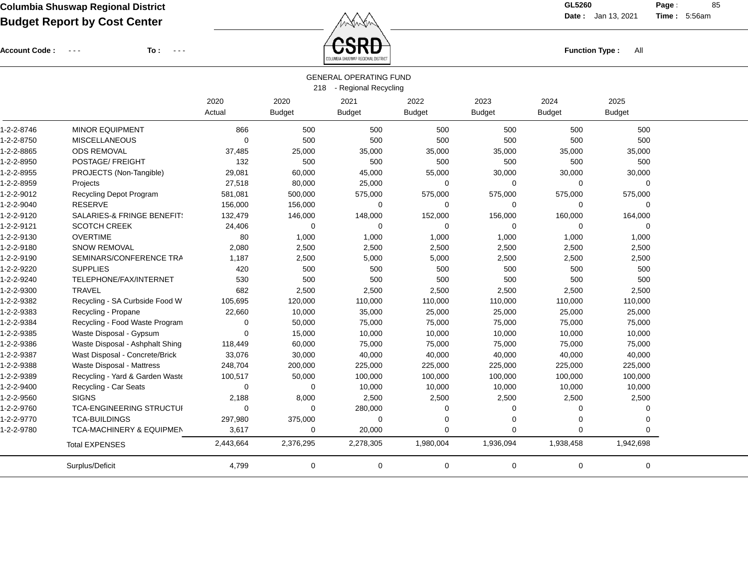Account Code : ---

**To :**

Function Type : All<br>COLUMBIA SHUSWAP REGIONAL DISTRICT

**Date :** Jan 13, 2021 **Time :**

**Page :** 85 5:56am

|            |                                 |                |                       | <b>GENERAL OPERATING FUND</b><br>218 - Regional Recycling |                       |                       |                       |                       |  |
|------------|---------------------------------|----------------|-----------------------|-----------------------------------------------------------|-----------------------|-----------------------|-----------------------|-----------------------|--|
|            |                                 | 2020<br>Actual | 2020<br><b>Budget</b> | 2021<br><b>Budget</b>                                     | 2022<br><b>Budget</b> | 2023<br><b>Budget</b> | 2024<br><b>Budget</b> | 2025<br><b>Budget</b> |  |
| 1-2-2-8746 | MINOR EQUIPMENT                 | 866            | 500                   | 500                                                       | 500                   | 500                   | 500                   | 500                   |  |
| 1-2-2-8750 | <b>MISCELLANEOUS</b>            | $\mathbf 0$    | 500                   | 500                                                       | 500                   | 500                   | 500                   | 500                   |  |
| 1-2-2-8865 | <b>ODS REMOVAL</b>              | 37,485         | 25,000                | 35,000                                                    | 35,000                | 35,000                | 35,000                | 35,000                |  |
| 1-2-2-8950 | POSTAGE/ FREIGHT                | 132            | 500                   | 500                                                       | 500                   | 500                   | 500                   | 500                   |  |
| 1-2-2-8955 | PROJECTS (Non-Tangible)         | 29,081         | 60,000                | 45,000                                                    | 55,000                | 30,000                | 30,000                | 30,000                |  |
| 1-2-2-8959 | Projects                        | 27,518         | 80,000                | 25,000                                                    | 0                     | 0                     | $\mathbf 0$           | 0                     |  |
| 1-2-2-9012 | Recycling Depot Program         | 581,081        | 500,000               | 575,000                                                   | 575,000               | 575,000               | 575,000               | 575,000               |  |
| 1-2-2-9040 | <b>RESERVE</b>                  | 156,000        | 156,000               | 0                                                         | 0                     | 0                     | $\mathbf 0$           | 0                     |  |
| 1-2-2-9120 | SALARIES-& FRINGE BENEFIT:      | 132,479        | 146,000               | 148,000                                                   | 152,000               | 156,000               | 160,000               | 164,000               |  |
| 1-2-2-9121 | <b>SCOTCH CREEK</b>             | 24,406         | 0                     | 0                                                         | 0                     | 0                     | 0                     | $\Omega$              |  |
| 1-2-2-9130 | <b>OVERTIME</b>                 | 80             | 1,000                 | 1,000                                                     | 1,000                 | 1,000                 | 1,000                 | 1,000                 |  |
| 1-2-2-9180 | <b>SNOW REMOVAL</b>             | 2,080          | 2,500                 | 2,500                                                     | 2,500                 | 2,500                 | 2,500                 | 2,500                 |  |
| 1-2-2-9190 | SEMINARS/CONFERENCE TRA         | 1,187          | 2,500                 | 5,000                                                     | 5,000                 | 2,500                 | 2,500                 | 2,500                 |  |
| 1-2-2-9220 | <b>SUPPLIES</b>                 | 420            | 500                   | 500                                                       | 500                   | 500                   | 500                   | 500                   |  |
| 1-2-2-9240 | TELEPHONE/FAX/INTERNET          | 530            | 500                   | 500                                                       | 500                   | 500                   | 500                   | 500                   |  |
| 1-2-2-9300 | <b>TRAVEL</b>                   | 682            | 2,500                 | 2,500                                                     | 2,500                 | 2,500                 | 2,500                 | 2,500                 |  |
| 1-2-2-9382 | Recycling - SA Curbside Food W  | 105,695        | 120,000               | 110,000                                                   | 110,000               | 110,000               | 110,000               | 110,000               |  |
| 1-2-2-9383 | Recycling - Propane             | 22,660         | 10,000                | 35,000                                                    | 25,000                | 25,000                | 25,000                | 25,000                |  |
| 1-2-2-9384 | Recycling - Food Waste Program  | $\mathbf 0$    | 50,000                | 75,000                                                    | 75,000                | 75,000                | 75,000                | 75,000                |  |
| 1-2-2-9385 | Waste Disposal - Gypsum         | $\mathbf 0$    | 15,000                | 10,000                                                    | 10,000                | 10,000                | 10,000                | 10,000                |  |
| 1-2-2-9386 | Waste Disposal - Ashphalt Shing | 118,449        | 60,000                | 75,000                                                    | 75,000                | 75,000                | 75,000                | 75,000                |  |
| 1-2-2-9387 | Wast Disposal - Concrete/Brick  | 33,076         | 30,000                | 40,000                                                    | 40,000                | 40,000                | 40,000                | 40,000                |  |
| 1-2-2-9388 | Waste Disposal - Mattress       | 248,704        | 200,000               | 225,000                                                   | 225,000               | 225,000               | 225,000               | 225,000               |  |
| 1-2-2-9389 | Recycling - Yard & Garden Waste | 100,517        | 50,000                | 100,000                                                   | 100,000               | 100,000               | 100,000               | 100,000               |  |
| 1-2-2-9400 | Recycling - Car Seats           | $\Omega$       | 0                     | 10,000                                                    | 10,000                | 10,000                | 10,000                | 10,000                |  |
| 1-2-2-9560 | <b>SIGNS</b>                    | 2,188          | 8,000                 | 2,500                                                     | 2,500                 | 2,500                 | 2,500                 | 2,500                 |  |
| 1-2-2-9760 | TCA-ENGINEERING STRUCTUI        | $\mathbf 0$    | 0                     | 280,000                                                   | 0                     | 0                     | $\mathbf 0$           | 0                     |  |
| 1-2-2-9770 | <b>TCA-BUILDINGS</b>            | 297,980        | 375,000               | $\mathbf 0$                                               | $\mathbf 0$           | 0                     | $\mathbf 0$           | 0                     |  |
| 1-2-2-9780 | TCA-MACHINERY & EQUIPMEN        | 3,617          | 0                     | 20,000                                                    | $\mathbf 0$           | $\overline{0}$        | $\mathbf 0$           | $\Omega$              |  |
|            | <b>Total EXPENSES</b>           | 2,443,664      | 2,376,295             | 2,278,305                                                 | 1,980,004             | 1,936,094             | 1,938,458             | 1,942,698             |  |
|            | Surplus/Deficit                 | 4,799          | 0                     | 0                                                         | $\mathbf 0$           | 0                     | 0                     | 0                     |  |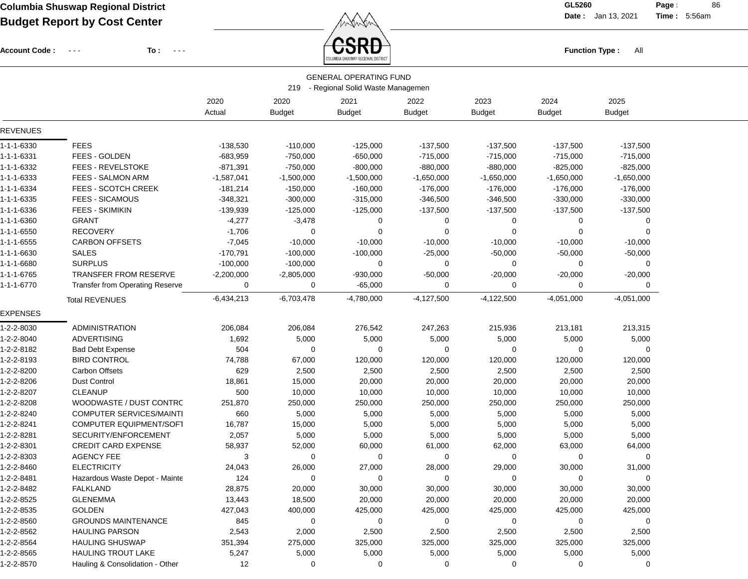Account Code : ---

**To :**

 $\textcolor{red}{\mathbf{S}\mathbf{R}\mathbf{D}}$  and  $\textcolor{red}{\mathbf{F}}$  and  $\textcolor{red}{\mathbf{F}}$  and  $\textcolor{red}{\mathbf{F}}$  and  $\textcolor{red}{\mathbf{F}}$  and  $\textcolor{red}{\mathbf{F}}$  and  $\textcolor{red}{\mathbf{F}}$  and  $\textcolor{red}{\mathbf{F}}$  and  $\textcolor{red}{\mathbf{F}}$  and  $\textcolor{red}{\mathbf{F}}$  and  $\textcolor{red}{\mathbf{F}}$  and  $\$ 

**Date :** Jan 13, 2021 **Time :**

**Page : 86** 5:56am

|            |                                        |                |                       | <b>GENERAL OPERATING FUND</b><br>219 - Regional Solid Waste Managemen |                       |                       |                       |                       |  |
|------------|----------------------------------------|----------------|-----------------------|-----------------------------------------------------------------------|-----------------------|-----------------------|-----------------------|-----------------------|--|
|            |                                        | 2020<br>Actual | 2020<br><b>Budget</b> | 2021<br><b>Budget</b>                                                 | 2022<br><b>Budget</b> | 2023<br><b>Budget</b> | 2024<br><b>Budget</b> | 2025<br><b>Budget</b> |  |
| REVENUES   |                                        |                |                       |                                                                       |                       |                       |                       |                       |  |
| 1-1-1-6330 | <b>FEES</b>                            | $-138,530$     | $-110,000$            | $-125,000$                                                            | $-137,500$            | $-137,500$            | $-137,500$            | $-137,500$            |  |
| 1-1-1-6331 | FEES - GOLDEN                          | $-683,959$     | $-750,000$            | $-650,000$                                                            | $-715,000$            | $-715,000$            | $-715,000$            | $-715,000$            |  |
| 1-1-1-6332 | <b>FEES - REVELSTOKE</b>               | $-871,391$     | $-750,000$            | $-800,000$                                                            | $-880,000$            | $-880,000$            | $-825,000$            | $-825,000$            |  |
| 1-1-1-6333 | FEES - SALMON ARM                      | $-1,587,041$   | $-1,500,000$          | $-1,500,000$                                                          | $-1,650,000$          | $-1,650,000$          | $-1,650,000$          | $-1,650,000$          |  |
| 1-1-1-6334 | <b>FEES - SCOTCH CREEK</b>             | $-181,214$     | $-150,000$            | $-160,000$                                                            | $-176,000$            | $-176,000$            | $-176,000$            | $-176,000$            |  |
| 1-1-1-6335 | <b>FEES - SICAMOUS</b>                 | $-348,321$     | $-300,000$            | $-315,000$                                                            | $-346,500$            | $-346,500$            | $-330,000$            | $-330,000$            |  |
| 1-1-1-6336 | FEES - SKIMIKIN                        | -139,939       | $-125,000$            | $-125,000$                                                            | $-137,500$            | $-137,500$            | $-137,500$            | $-137,500$            |  |
| 1-1-1-6360 | <b>GRANT</b>                           | $-4,277$       | $-3,478$              | 0                                                                     | 0                     | 0                     | 0                     | 0                     |  |
| 1-1-1-6550 | RECOVERY                               | $-1,706$       | 0                     | 0                                                                     | 0                     | 0                     | 0                     | $\Omega$              |  |
| 1-1-1-6555 | <b>CARBON OFFSETS</b>                  | $-7,045$       | $-10,000$             | $-10,000$                                                             | $-10,000$             | $-10,000$             | $-10,000$             | $-10,000$             |  |
| 1-1-1-6630 | <b>SALES</b>                           | $-170,791$     | $-100,000$            | $-100,000$                                                            | $-25,000$             | $-50,000$             | $-50,000$             | $-50,000$             |  |
| 1-1-1-6680 | <b>SURPLUS</b>                         | $-100,000$     | $-100,000$            | 0                                                                     | 0                     | 0                     | 0                     | 0                     |  |
| 1-1-1-6765 | <b>TRANSFER FROM RESERVE</b>           | $-2,200,000$   | $-2,805,000$          | -930,000                                                              | $-50,000$             | -20,000               | $-20,000$             | $-20,000$             |  |
| 1-1-1-6770 | <b>Transfer from Operating Reserve</b> | 0              | 0                     | $-65,000$                                                             | 0                     | 0                     | 0                     | 0                     |  |
|            | <b>Total REVENUES</b>                  | $-6,434,213$   | $-6,703,478$          | $-4,780,000$                                                          | $-4,127,500$          | $-4,122,500$          | $-4,051,000$          | $-4,051,000$          |  |
| EXPENSES   |                                        |                |                       |                                                                       |                       |                       |                       |                       |  |
| 1-2-2-8030 | <b>ADMINISTRATION</b>                  | 206,084        | 206,084               | 276,542                                                               | 247,263               | 215,936               | 213,181               | 213,315               |  |
| 1-2-2-8040 | <b>ADVERTISING</b>                     | 1,692          | 5,000                 | 5,000                                                                 | 5,000                 | 5,000                 | 5,000                 | 5,000                 |  |
| 1-2-2-8182 | Bad Debt Expense                       | 504            | 0                     | 0                                                                     | 0                     | 0                     | 0                     | 0                     |  |
| 1-2-2-8193 | <b>BIRD CONTROL</b>                    | 74,788         | 67,000                | 120,000                                                               | 120,000               | 120,000               | 120,000               | 120,000               |  |
| 1-2-2-8200 | <b>Carbon Offsets</b>                  | 629            | 2,500                 | 2,500                                                                 | 2,500                 | 2,500                 | 2,500                 | 2,500                 |  |
| 1-2-2-8206 | Dust Control                           | 18,861         | 15,000                | 20,000                                                                | 20,000                | 20,000                | 20,000                | 20,000                |  |
| 1-2-2-8207 | <b>CLEANUP</b>                         | 500            | 10,000                | 10,000                                                                | 10,000                | 10,000                | 10,000                | 10,000                |  |
| 1-2-2-8208 | WOODWASTE / DUST CONTRC                | 251,870        | 250,000               | 250,000                                                               | 250,000               | 250,000               | 250,000               | 250,000               |  |
| 1-2-2-8240 | <b>COMPUTER SERVICES/MAINTI</b>        | 660            | 5,000                 | 5,000                                                                 | 5,000                 | 5,000                 | 5,000                 | 5,000                 |  |
| 1-2-2-8241 | COMPUTER EQUIPMENT/SOFT                | 16,787         | 15,000                | 5,000                                                                 | 5,000                 | 5,000                 | 5,000                 | 5,000                 |  |
| 1-2-2-8281 | SECURITY/ENFORCEMENT                   | 2,057          | 5,000                 | 5,000                                                                 | 5,000                 | 5,000                 | 5,000                 | 5,000                 |  |
| 1-2-2-8301 | <b>CREDIT CARD EXPENSE</b>             | 58,937         | 52,000                | 60,000                                                                | 61,000                | 62,000                | 63,000                | 64,000                |  |
| 1-2-2-8303 | <b>AGENCY FEE</b>                      | 3              | 0                     | 0                                                                     | 0                     | 0                     | 0                     | 0                     |  |
| 1-2-2-8460 | <b>ELECTRICITY</b>                     | 24,043         | 26,000                | 27,000                                                                | 28,000                | 29,000                | 30,000                | 31,000                |  |
| 1-2-2-8481 | Hazardous Waste Depot - Mainte         | 124            | 0                     | 0                                                                     | 0                     | 0                     | 0                     | 0                     |  |
| 1-2-2-8482 | <b>FALKLAND</b>                        | 28,875         | 20,000                | 30,000                                                                | 30,000                | 30,000                | 30,000                | 30,000                |  |
| 1-2-2-8525 | <b>GLENEMMA</b>                        | 13,443         | 18,500                | 20,000                                                                | 20,000                | 20,000                | 20,000                | 20,000                |  |
| 1-2-2-8535 | <b>GOLDEN</b>                          | 427,043        | 400,000               | 425,000                                                               | 425,000               | 425,000               | 425,000               | 425,000               |  |
| 1-2-2-8560 | <b>GROUNDS MAINTENANCE</b>             | 845            | 0                     | 0                                                                     | 0                     | 0                     | 0                     | 0                     |  |
| 1-2-2-8562 | <b>HAULING PARSON</b>                  | 2,543          | 2,000                 | 2,500                                                                 | 2,500                 | 2,500                 | 2,500                 | 2,500                 |  |
| 1-2-2-8564 | <b>HAULING SHUSWAP</b>                 | 351,394        | 275,000               | 325,000                                                               | 325,000               | 325,000               | 325,000               | 325,000               |  |
| 1-2-2-8565 | <b>HAULING TROUT LAKE</b>              | 5,247          | 5,000                 | 5,000                                                                 | 5,000                 | 5,000                 | 5,000                 | 5,000                 |  |
| 1-2-2-8570 | Hauling & Consolidation - Other        | 12             | 0                     | 0                                                                     | 0                     | 0                     | 0                     | 0                     |  |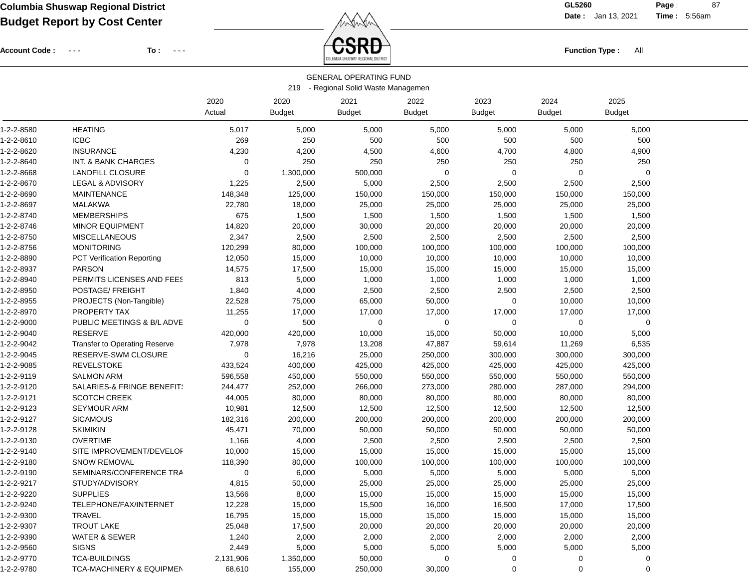**Date :** Jan 13, 2021 **Time :**

**Page :** 87 5:56am

Account Code : ---

**To :**



|            |                                     |             |               | <b>GENERAL OPERATING FUND</b>    |               |               |               |               |  |
|------------|-------------------------------------|-------------|---------------|----------------------------------|---------------|---------------|---------------|---------------|--|
|            |                                     |             | 219           | - Regional Solid Waste Managemen |               |               |               |               |  |
|            |                                     | 2020        | 2020          | 2021                             | 2022          | 2023          | 2024          | 2025          |  |
|            |                                     | Actual      | <b>Budget</b> | <b>Budget</b>                    | <b>Budget</b> | <b>Budget</b> | <b>Budget</b> | <b>Budget</b> |  |
| 1-2-2-8580 | <b>HEATING</b>                      | 5,017       | 5,000         | 5,000                            | 5,000         | 5,000         | 5,000         | 5,000         |  |
| 1-2-2-8610 | <b>ICBC</b>                         | 269         | 250           | 500                              | 500           | 500           | 500           | 500           |  |
| 1-2-2-8620 | <b>INSURANCE</b>                    | 4,230       | 4,200         | 4,500                            | 4,600         | 4,700         | 4,800         | 4,900         |  |
| 1-2-2-8640 | INT. & BANK CHARGES                 | 0           | 250           | 250                              | 250           | 250           | 250           | 250           |  |
| 1-2-2-8668 | <b>LANDFILL CLOSURE</b>             | 0           | 1,300,000     | 500,000                          | 0             | $\Omega$      | 0             | 0             |  |
| 1-2-2-8670 | <b>LEGAL &amp; ADVISORY</b>         | 1,225       | 2,500         | 5,000                            | 2,500         | 2,500         | 2,500         | 2,500         |  |
| 1-2-2-8690 | <b>MAINTENANCE</b>                  | 148,348     | 125,000       | 150,000                          | 150,000       | 150,000       | 150,000       | 150,000       |  |
| 1-2-2-8697 | <b>MALAKWA</b>                      | 22,780      | 18,000        | 25,000                           | 25,000        | 25,000        | 25,000        | 25,000        |  |
| 1-2-2-8740 | <b>MEMBERSHIPS</b>                  | 675         | 1,500         | 1,500                            | 1,500         | 1,500         | 1,500         | 1,500         |  |
| 1-2-2-8746 | <b>MINOR EQUIPMENT</b>              | 14,820      | 20,000        | 30,000                           | 20,000        | 20,000        | 20,000        | 20,000        |  |
| 1-2-2-8750 | <b>MISCELLANEOUS</b>                | 2,347       | 2,500         | 2,500                            | 2,500         | 2,500         | 2,500         | 2,500         |  |
| 1-2-2-8756 | <b>MONITORING</b>                   | 120,299     | 80,000        | 100,000                          | 100,000       | 100,000       | 100,000       | 100,000       |  |
| 1-2-2-8890 | PCT Verification Reporting          | 12,050      | 15,000        | 10,000                           | 10,000        | 10,000        | 10,000        | 10,000        |  |
| 1-2-2-8937 | <b>PARSON</b>                       | 14,575      | 17,500        | 15,000                           | 15,000        | 15,000        | 15,000        | 15,000        |  |
| 1-2-2-8940 | PERMITS LICENSES AND FEES           | 813         | 5,000         | 1,000                            | 1,000         | 1,000         | 1,000         | 1,000         |  |
| 1-2-2-8950 | POSTAGE/ FREIGHT                    | 1,840       | 4,000         | 2,500                            | 2,500         | 2,500         | 2,500         | 2,500         |  |
| 1-2-2-8955 | PROJECTS (Non-Tangible)             | 22,528      | 75,000        | 65,000                           | 50,000        | 0             | 10,000        | 10,000        |  |
| 1-2-2-8970 | PROPERTY TAX                        | 11,255      | 17,000        | 17,000                           | 17,000        | 17,000        | 17,000        | 17,000        |  |
| 1-2-2-9000 | PUBLIC MEETINGS & B/L ADVE          | $\mathbf 0$ | 500           | 0                                | 0             | $\Omega$      | 0             | 0             |  |
| 1-2-2-9040 | <b>RESERVE</b>                      | 420,000     | 420,000       | 10,000                           | 15,000        | 50,000        | 10,000        | 5,000         |  |
| 1-2-2-9042 | Transfer to Operating Reserve       | 7,978       | 7,978         | 13,208                           | 47,887        | 59,614        | 11,269        | 6,535         |  |
| 1-2-2-9045 | RESERVE-SWM CLOSURE                 | 0           | 16,216        | 25,000                           | 250,000       | 300,000       | 300,000       | 300,000       |  |
| 1-2-2-9085 | <b>REVELSTOKE</b>                   | 433,524     | 400,000       | 425,000                          | 425,000       | 425,000       | 425,000       | 425,000       |  |
| 1-2-2-9119 | <b>SALMON ARM</b>                   | 596,558     | 450,000       | 550,000                          | 550,000       | 550,000       | 550,000       | 550,000       |  |
| 1-2-2-9120 | SALARIES-& FRINGE BENEFIT!          | 244,477     | 252,000       | 266,000                          | 273,000       | 280,000       | 287,000       | 294,000       |  |
| 1-2-2-9121 | <b>SCOTCH CREEK</b>                 | 44,005      | 80,000        | 80,000                           | 80,000        | 80,000        | 80,000        | 80,000        |  |
| 1-2-2-9123 | <b>SEYMOUR ARM</b>                  | 10,981      | 12,500        | 12,500                           | 12,500        | 12,500        | 12,500        | 12,500        |  |
| 1-2-2-9127 | <b>SICAMOUS</b>                     | 182,316     | 200,000       | 200,000                          | 200,000       | 200,000       | 200,000       | 200,000       |  |
| 1-2-2-9128 | <b>SKIMIKIN</b>                     | 45,471      | 70,000        | 50,000                           | 50,000        | 50,000        | 50,000        | 50,000        |  |
| 1-2-2-9130 | <b>OVERTIME</b>                     | 1,166       | 4,000         | 2,500                            | 2,500         | 2,500         | 2,500         | 2,500         |  |
| 1-2-2-9140 | SITE IMPROVEMENT/DEVELOI            | 10,000      | 15,000        | 15,000                           | 15,000        | 15,000        | 15,000        | 15,000        |  |
| 1-2-2-9180 | <b>SNOW REMOVAL</b>                 | 118,390     | 80,000        | 100,000                          | 100,000       | 100,000       | 100,000       | 100,000       |  |
| 1-2-2-9190 | SEMINARS/CONFERENCE TRA             | 0           | 6,000         | 5,000                            | 5,000         | 5,000         | 5,000         | 5,000         |  |
| 1-2-2-9217 | STUDY/ADVISORY                      | 4,815       | 50,000        | 25,000                           | 25,000        | 25,000        | 25,000        | 25,000        |  |
| 1-2-2-9220 | <b>SUPPLIES</b>                     | 13,566      | 8,000         | 15,000                           | 15,000        | 15,000        | 15,000        | 15,000        |  |
| 1-2-2-9240 | TELEPHONE/FAX/INTERNET              | 12,228      | 15,000        | 15,500                           | 16,000        | 16,500        | 17,000        | 17,500        |  |
| 1-2-2-9300 | <b>TRAVEL</b>                       | 16,795      | 15,000        | 15,000                           | 15,000        | 15,000        | 15,000        | 15,000        |  |
| 1-2-2-9307 | <b>TROUT LAKE</b>                   | 25,048      | 17,500        | 20,000                           | 20,000        | 20,000        | 20,000        | 20,000        |  |
| 1-2-2-9390 | <b>WATER &amp; SEWER</b>            | 1,240       | 2,000         | 2,000                            | 2,000         | 2,000         | 2,000         | 2,000         |  |
| 1-2-2-9560 | <b>SIGNS</b>                        | 2,449       | 5,000         | 5,000                            | 5,000         | 5,000         | 5,000         | 5,000         |  |
| 1-2-2-9770 | <b>TCA-BUILDINGS</b>                | 2,131,906   | 1,350,000     | 50,000                           | $\mathbf 0$   | 0             | 0             | 0             |  |
| 1-2-2-9780 | <b>TCA-MACHINERY &amp; EQUIPMEN</b> | 68,610      | 155,000       | 250,000                          | 30,000        | 0             | 0             | 0             |  |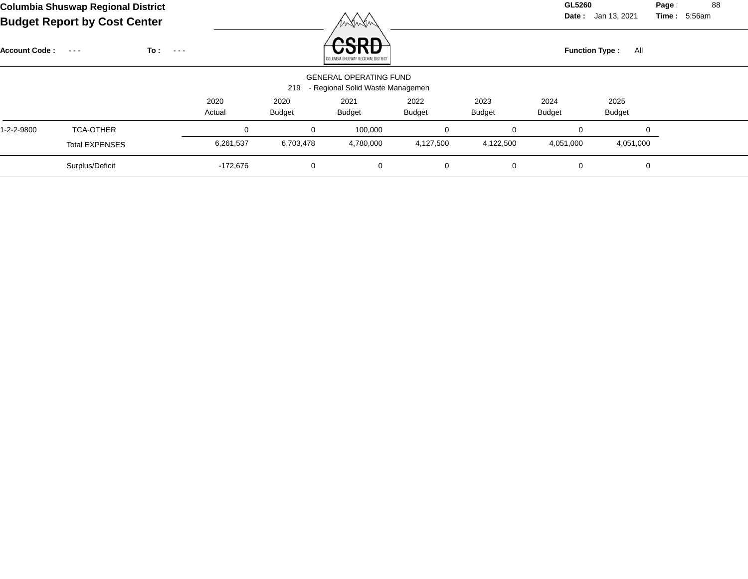| Columbia Shuswap Regional District  |        | GL5260 |
|-------------------------------------|--------|--------|
| <b>Budget Report by Cost Center</b> | mandon | Date : |

**Date :** Jan 13, 2021 **Time :**

**Page :** 88 5:56am

| <b>Account Code:</b> | $\sim$ $\sim$ $\sim$  | To:<br>$\sim$ $\sim$ $\sim$ |                |                       | reon<br>COLUMBIA SHUSWAP REGIONAL DISTRICT                        |                |                       | <b>Function Type:</b> | All                   |  |
|----------------------|-----------------------|-----------------------------|----------------|-----------------------|-------------------------------------------------------------------|----------------|-----------------------|-----------------------|-----------------------|--|
|                      |                       |                             |                | 219                   | <b>GENERAL OPERATING FUND</b><br>- Regional Solid Waste Managemen |                |                       |                       |                       |  |
|                      |                       |                             | 2020<br>Actual | 2020<br><b>Budget</b> | 2021<br><b>Budget</b>                                             | 2022<br>Budget | 2023<br><b>Budget</b> | 2024<br><b>Budget</b> | 2025<br><b>Budget</b> |  |
| 1-2-2-9800           | <b>TCA-OTHER</b>      |                             | 0              | 0                     | 100,000                                                           | $\mathbf 0$    | $\mathbf 0$           | $\Omega$              |                       |  |
|                      | <b>Total EXPENSES</b> |                             | 6,261,537      | 6,703,478             | 4,780,000                                                         | 4,127,500      | 4,122,500             | 4,051,000             | 4,051,000             |  |
|                      | Surplus/Deficit       |                             | $-172,676$     | 0                     | 0                                                                 | $\mathbf 0$    | 0                     | 0                     | 0                     |  |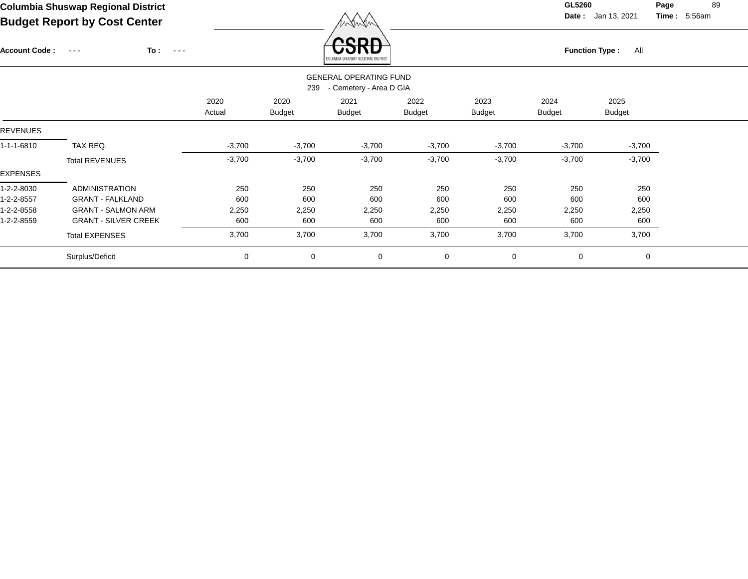**Date :** Jan 13, 2021 **Time : Page :** 89 5:56am

| <b>Account Code:</b> | To :<br>$\sim$ $  -$<br>$\sim$ $\sim$ $\sim$ |                |                       | enn<br>COLUMBIA SHUSWAP REGIONAL DISTRICT                |                       |                       | <b>Function Type:</b><br>All |                       |  |  |
|----------------------|----------------------------------------------|----------------|-----------------------|----------------------------------------------------------|-----------------------|-----------------------|------------------------------|-----------------------|--|--|
|                      |                                              |                | 239                   | <b>GENERAL OPERATING FUND</b><br>- Cemetery - Area D GIA |                       |                       |                              |                       |  |  |
|                      |                                              | 2020<br>Actual | 2020<br><b>Budget</b> | 2021<br><b>Budget</b>                                    | 2022<br><b>Budget</b> | 2023<br><b>Budget</b> | 2024<br><b>Budget</b>        | 2025<br><b>Budget</b> |  |  |
| <b>REVENUES</b>      |                                              |                |                       |                                                          |                       |                       |                              |                       |  |  |
| 1-1-1-6810           | TAX REQ.                                     | $-3,700$       | $-3,700$              | $-3,700$                                                 | $-3,700$              | $-3,700$              | $-3,700$                     | $-3,700$              |  |  |
|                      | <b>Total REVENUES</b>                        | $-3,700$       | $-3,700$              | $-3,700$                                                 | $-3,700$              | $-3,700$              | $-3,700$                     | $-3,700$              |  |  |
| EXPENSES             |                                              |                |                       |                                                          |                       |                       |                              |                       |  |  |
| 1-2-2-8030           | <b>ADMINISTRATION</b>                        | 250            | 250                   | 250                                                      | 250                   | 250                   | 250                          | 250                   |  |  |
| 1-2-2-8557           | <b>GRANT - FALKLAND</b>                      | 600            | 600                   | 600                                                      | 600                   | 600                   | 600                          | 600                   |  |  |
| 1-2-2-8558           | <b>GRANT - SALMON ARM</b>                    | 2,250          | 2,250                 | 2,250                                                    | 2,250                 | 2,250                 | 2,250                        | 2,250                 |  |  |
| 1-2-2-8559           | <b>GRANT - SILVER CREEK</b>                  | 600            | 600                   | 600                                                      | 600                   | 600                   | 600                          | 600                   |  |  |
|                      | <b>Total EXPENSES</b>                        | 3,700          | 3,700                 | 3,700                                                    | 3,700                 | 3,700                 | 3,700                        | 3,700                 |  |  |
|                      | Surplus/Deficit                              | 0              | 0                     | $\mathbf 0$                                              | 0                     | $\mathbf 0$           | 0                            | $\mathbf 0$           |  |  |
|                      |                                              |                |                       |                                                          |                       |                       |                              |                       |  |  |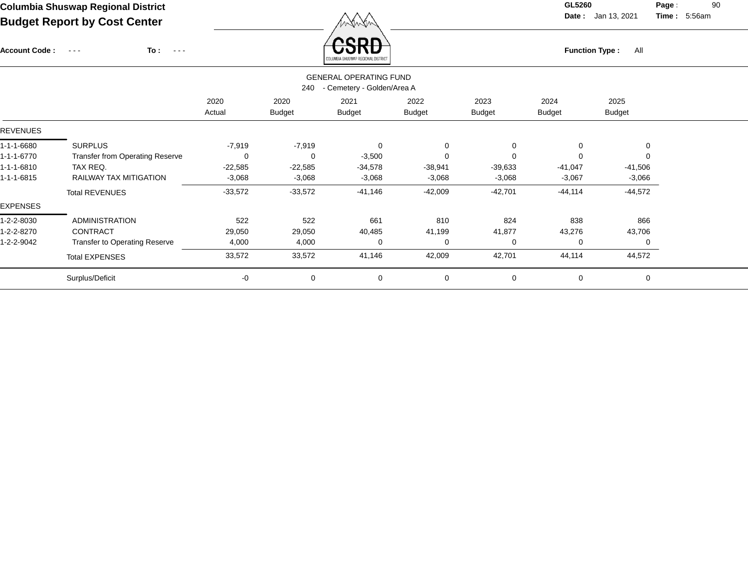Account Code : ---

**To :**

 $\overleftrightarrow{CSRD}$  Function Type : All

**Date :** Jan 13, 2021 **Time :**

**Page :** 90 5:56am

|                 |                                        |           |               | COLUMBIA SHUSWAP REGIONAL DISTRICT |               |               |           |               |
|-----------------|----------------------------------------|-----------|---------------|------------------------------------|---------------|---------------|-----------|---------------|
|                 |                                        |           |               | <b>GENERAL OPERATING FUND</b>      |               |               |           |               |
|                 |                                        |           | 240           | - Cemetery - Golden/Area A         |               |               |           |               |
|                 |                                        | 2020      | 2020          | 2021                               | 2022          | 2023          | 2024      | 2025          |
|                 |                                        | Actual    | <b>Budget</b> | <b>Budget</b>                      | <b>Budget</b> | <b>Budget</b> | Budget    | <b>Budget</b> |
| <b>REVENUES</b> |                                        |           |               |                                    |               |               |           |               |
| 1-1-1-6680      | <b>SURPLUS</b>                         | $-7,919$  | $-7,919$      | 0                                  | 0             | 0             | 0         | 0             |
| 1-1-1-6770      | <b>Transfer from Operating Reserve</b> | 0         | 0             | $-3,500$                           | 0             | 0             | 0         | 0             |
| 1-1-1-6810      | TAX REQ.                               | $-22,585$ | $-22,585$     | $-34,578$                          | $-38,941$     | $-39,633$     | $-41,047$ | $-41,506$     |
| 1-1-1-6815      | RAILWAY TAX MITIGATION                 | $-3,068$  | $-3,068$      | $-3,068$                           | $-3,068$      | $-3,068$      | $-3,067$  | $-3,066$      |
|                 | <b>Total REVENUES</b>                  | $-33,572$ | $-33,572$     | $-41,146$                          | $-42,009$     | $-42,701$     | $-44,114$ | $-44,572$     |
| <b>EXPENSES</b> |                                        |           |               |                                    |               |               |           |               |
| 1-2-2-8030      | <b>ADMINISTRATION</b>                  | 522       | 522           | 661                                | 810           | 824           | 838       | 866           |
| 1-2-2-8270      | <b>CONTRACT</b>                        | 29,050    | 29,050        | 40,485                             | 41,199        | 41,877        | 43,276    | 43,706        |
| 1-2-2-9042      | <b>Transfer to Operating Reserve</b>   | 4,000     | 4,000         | 0                                  | 0             | 0             | 0         | 0             |
|                 | <b>Total EXPENSES</b>                  | 33,572    | 33,572        | 41,146                             | 42,009        | 42,701        | 44,114    | 44,572        |
|                 | Surplus/Deficit                        | -0        | $\mathbf 0$   | 0                                  | 0             | 0             | 0         | $\mathbf 0$   |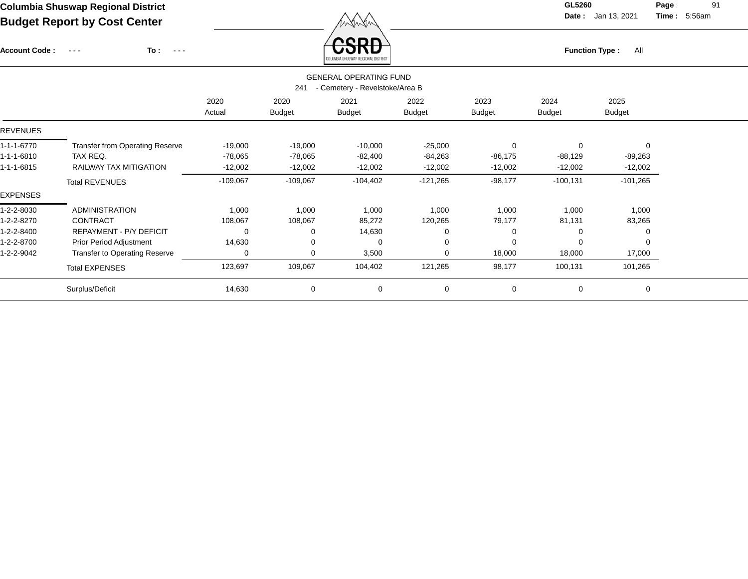Account Code : ---

**To :**

 $F_{\text{unction Type: All}}$ 

**Date :** Jan 13, 2021 **Time :**

**Page :** 91 5:56am

|                                                                        |                                        |                |                       | SAFAWDIN AUSANAL UEAIAIWIP RIATURA |                       |                       |                       |                       |  |  |
|------------------------------------------------------------------------|----------------------------------------|----------------|-----------------------|------------------------------------|-----------------------|-----------------------|-----------------------|-----------------------|--|--|
| <b>GENERAL OPERATING FUND</b><br>- Cemetery - Revelstoke/Area B<br>241 |                                        |                |                       |                                    |                       |                       |                       |                       |  |  |
|                                                                        |                                        | 2020<br>Actual | 2020<br><b>Budget</b> | 2021<br><b>Budget</b>              | 2022<br><b>Budget</b> | 2023<br><b>Budget</b> | 2024<br><b>Budget</b> | 2025<br><b>Budget</b> |  |  |
| <b>REVENUES</b>                                                        |                                        |                |                       |                                    |                       |                       |                       |                       |  |  |
| 1-1-1-6770                                                             | <b>Transfer from Operating Reserve</b> | $-19,000$      | $-19,000$             | $-10,000$                          | $-25,000$             | 0                     | 0                     | $\mathbf 0$           |  |  |
| 1-1-1-6810                                                             | TAX REQ.                               | $-78,065$      | $-78,065$             | $-82,400$                          | $-84,263$             | $-86,175$             | $-88,129$             | $-89,263$             |  |  |
| 1-1-1-6815                                                             | RAILWAY TAX MITIGATION                 | $-12,002$      | $-12,002$             | $-12,002$                          | $-12,002$             | $-12,002$             | $-12,002$             | $-12,002$             |  |  |
|                                                                        | <b>Total REVENUES</b>                  | $-109,067$     | $-109,067$            | $-104,402$                         | $-121,265$            | $-98,177$             | $-100, 131$           | $-101,265$            |  |  |
| <b>EXPENSES</b>                                                        |                                        |                |                       |                                    |                       |                       |                       |                       |  |  |
| 1-2-2-8030                                                             | <b>ADMINISTRATION</b>                  | 1,000          | 1,000                 | 1,000                              | 1,000                 | 1,000                 | 1,000                 | 1,000                 |  |  |
| 1-2-2-8270                                                             | <b>CONTRACT</b>                        | 108,067        | 108,067               | 85,272                             | 120,265               | 79,177                | 81,131                | 83,265                |  |  |
| 1-2-2-8400                                                             | REPAYMENT - P/Y DEFICIT                | 0              | 0                     | 14,630                             |                       |                       | 0                     | 0                     |  |  |
| 1-2-2-8700                                                             | <b>Prior Period Adjustment</b>         | 14,630         | 0                     | 0                                  | $\Omega$              |                       | $\Omega$              | $\Omega$              |  |  |
| 1-2-2-9042                                                             | <b>Transfer to Operating Reserve</b>   | 0              | 0                     | 3,500                              | $\Omega$              | 18,000                | 18,000                | 17,000                |  |  |
|                                                                        | <b>Total EXPENSES</b>                  | 123,697        | 109,067               | 104,402                            | 121,265               | 98,177                | 100,131               | 101,265               |  |  |
|                                                                        | Surplus/Deficit                        | 14,630         | 0                     | 0                                  | 0                     | 0                     | 0                     | 0                     |  |  |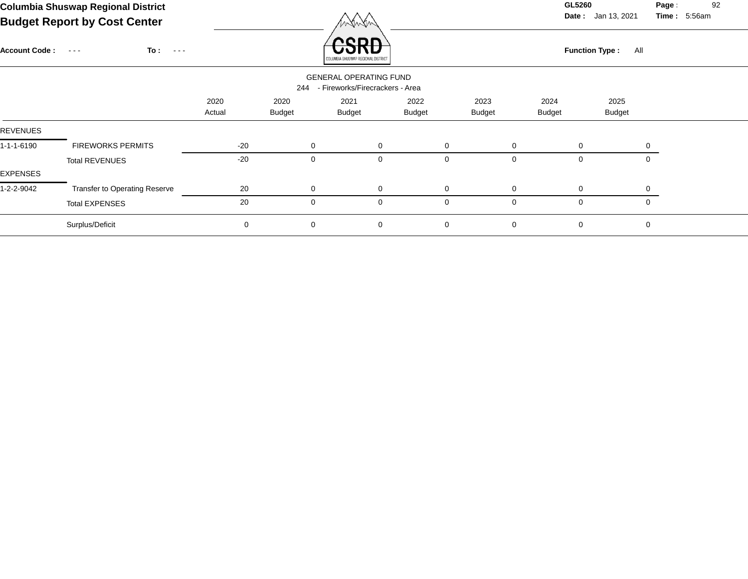**Date :** Jan 13, 2021 **Time :**

**Page :** 92 5:56am

| <b>Account Code:</b> | To :<br>$\sim$ $\sim$ $\sim$ $\sim$<br>$\sim$ $\sim$ $\sim$ |                | וספי<br>COLUMBIA SHUSWAP REGIONAL DISTRICT |                                                                  |                       |                       |                       | <b>Function Type:</b><br>All |             |  |  |  |
|----------------------|-------------------------------------------------------------|----------------|--------------------------------------------|------------------------------------------------------------------|-----------------------|-----------------------|-----------------------|------------------------------|-------------|--|--|--|
|                      |                                                             |                | 244                                        | <b>GENERAL OPERATING FUND</b><br>- Fireworks/Firecrackers - Area |                       |                       |                       |                              |             |  |  |  |
|                      |                                                             | 2020<br>Actual | 2020<br><b>Budget</b>                      | 2021<br><b>Budget</b>                                            | 2022<br><b>Budget</b> | 2023<br><b>Budget</b> | 2024<br><b>Budget</b> | 2025<br><b>Budget</b>        |             |  |  |  |
| <b>REVENUES</b>      |                                                             |                |                                            |                                                                  |                       |                       |                       |                              |             |  |  |  |
| 1-1-1-6190           | <b>FIREWORKS PERMITS</b>                                    | $-20$          | $\mathbf 0$                                | $\mathbf 0$                                                      | $\mathbf 0$           |                       | $\mathbf 0$           | $\mathbf 0$                  | 0           |  |  |  |
| EXPENSES             | <b>Total REVENUES</b>                                       | $-20$          | $\mathbf 0$                                | $\mathbf 0$                                                      | $\mathbf 0$           |                       | $\overline{0}$        | $\mathbf 0$                  | $\Omega$    |  |  |  |
| 1-2-2-9042           | Transfer to Operating Reserve                               | 20             | $\mathbf 0$                                | $\mathbf 0$                                                      | $\mathbf 0$           |                       | $\mathbf 0$           | $\mathbf 0$                  | $\Omega$    |  |  |  |
|                      | <b>Total EXPENSES</b>                                       | 20             | $\mathbf 0$                                | $\mathbf{0}$                                                     | 0                     |                       | $\mathbf 0$           | 0                            | 0           |  |  |  |
|                      | Surplus/Deficit                                             | 0              | $\mathbf 0$                                | $\mathbf 0$                                                      | $\mathbf 0$           |                       | $\mathbf 0$           | 0                            | $\mathbf 0$ |  |  |  |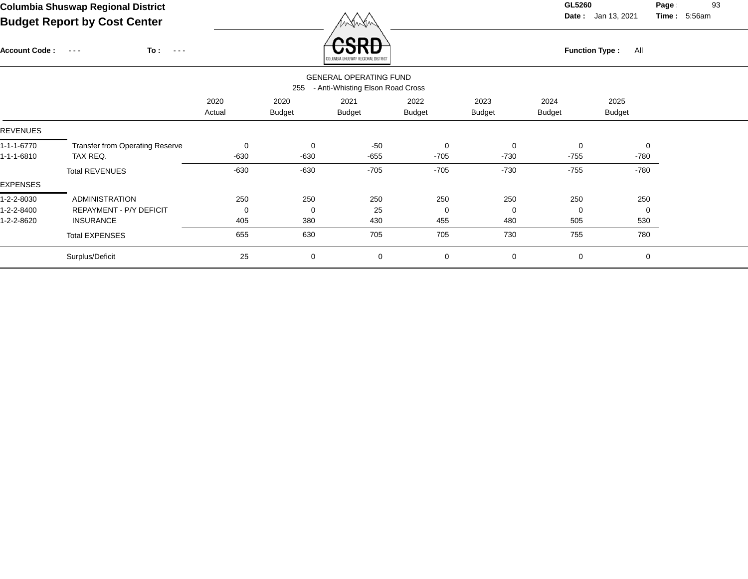**Date :** Jan 13, 2021 **Time :**

**Page :** 93 5:56am

| <b>Account Code:</b> | To:<br>$\sim$ $\sim$ $\sim$<br>$\sim$ $\sim$ $\sim$ |             |               | CDL<br>COLUMBIA SHUSWAP REGIONAL DISTRIC' |               |               |               | <b>Function Type:</b><br>All |  |
|----------------------|-----------------------------------------------------|-------------|---------------|-------------------------------------------|---------------|---------------|---------------|------------------------------|--|
|                      |                                                     |             |               | <b>GENERAL OPERATING FUND</b>             |               |               |               |                              |  |
|                      |                                                     |             | 255           | - Anti-Whisting Elson Road Cross          |               |               |               |                              |  |
|                      |                                                     | 2020        | 2020          | 2021                                      | 2022          | 2023          | 2024          | 2025                         |  |
|                      |                                                     | Actual      | <b>Budget</b> | <b>Budget</b>                             | <b>Budget</b> | <b>Budget</b> | <b>Budget</b> | <b>Budget</b>                |  |
| REVENUES             |                                                     |             |               |                                           |               |               |               |                              |  |
| 1-1-1-6770           | Transfer from Operating Reserve                     | 0           | $\mathbf 0$   | $-50$                                     | $\mathbf 0$   | 0             | $\mathbf 0$   | 0                            |  |
| 1-1-1-6810           | TAX REQ.                                            | -630        | $-630$        | -655                                      | $-705$        | $-730$        | $-755$        | -780                         |  |
|                      | <b>Total REVENUES</b>                               | $-630$      | $-630$        | $-705$                                    | $-705$        | -730          | $-755$        | -780                         |  |
| <b>EXPENSES</b>      |                                                     |             |               |                                           |               |               |               |                              |  |
| 1-2-2-8030           | <b>ADMINISTRATION</b>                               | 250         | 250           | 250                                       | 250           | 250           | 250           | 250                          |  |
| 1-2-2-8400           | <b>REPAYMENT - P/Y DEFICIT</b>                      | $\mathbf 0$ | $\mathbf 0$   | 25                                        | 0             | $\mathbf 0$   | $\Omega$      | $\overline{0}$               |  |
| 1-2-2-8620           | <b>INSURANCE</b>                                    | 405         | 380           | 430                                       | 455           | 480           | 505           | 530                          |  |
|                      | <b>Total EXPENSES</b>                               | 655         | 630           | 705                                       | 705           | 730           | 755           | 780                          |  |
|                      | Surplus/Deficit                                     | 25          | 0             | 0                                         | 0             | 0             | 0             | 0                            |  |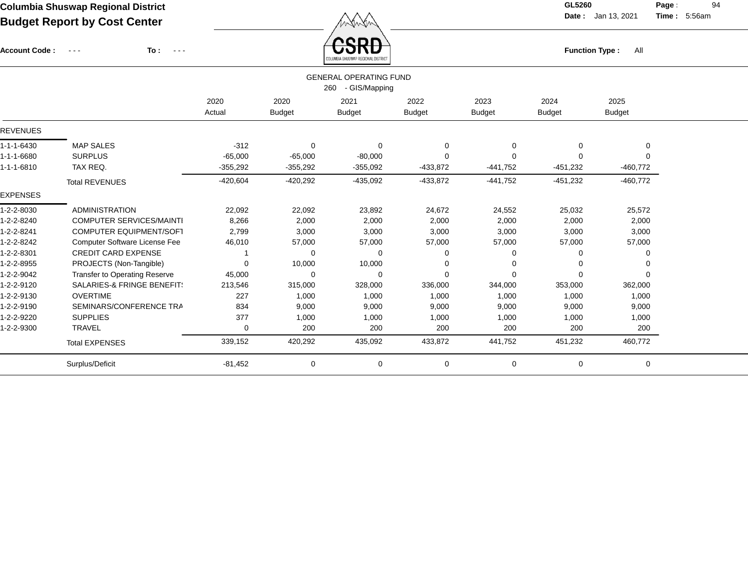$\overbrace{CSRD}$  Function Type : All

**Date :** Jan 13, 2021 **Time :**

**Page :** 94 5:56am

| <b>Account Code:</b> | ᠸ᠋ᢒᡰᢉᠣ<br>To:<br>$\frac{1}{2} \left( \frac{1}{2} \right) \frac{1}{2} \left( \frac{1}{2} \right) \frac{1}{2} \left( \frac{1}{2} \right) \frac{1}{2} \left( \frac{1}{2} \right) \frac{1}{2} \left( \frac{1}{2} \right) \frac{1}{2} \left( \frac{1}{2} \right) \frac{1}{2} \left( \frac{1}{2} \right) \frac{1}{2} \left( \frac{1}{2} \right) \frac{1}{2} \left( \frac{1}{2} \right) \frac{1}{2} \left( \frac{1}{2} \right) \frac{1}{2} \left( \frac{1}{2} \right)$<br>$\sim$ $\sim$ $\sim$<br>OLUMBIA SHUSWAP REGIONAL DISTRICT |            |               |                               |               |               | All<br><b>Function Type:</b> |               |  |  |  |
|----------------------|------------------------------------------------------------------------------------------------------------------------------------------------------------------------------------------------------------------------------------------------------------------------------------------------------------------------------------------------------------------------------------------------------------------------------------------------------------------------------------------------------------------------------|------------|---------------|-------------------------------|---------------|---------------|------------------------------|---------------|--|--|--|
|                      |                                                                                                                                                                                                                                                                                                                                                                                                                                                                                                                              |            |               | <b>GENERAL OPERATING FUND</b> |               |               |                              |               |  |  |  |
|                      |                                                                                                                                                                                                                                                                                                                                                                                                                                                                                                                              |            |               | 260 - GIS/Mapping             |               |               |                              |               |  |  |  |
|                      |                                                                                                                                                                                                                                                                                                                                                                                                                                                                                                                              | 2020       | 2020          | 2021                          | 2022          | 2023          | 2024                         | 2025          |  |  |  |
|                      |                                                                                                                                                                                                                                                                                                                                                                                                                                                                                                                              | Actual     | <b>Budget</b> | <b>Budget</b>                 | <b>Budget</b> | <b>Budget</b> | <b>Budget</b>                | <b>Budget</b> |  |  |  |
| <b>REVENUES</b>      |                                                                                                                                                                                                                                                                                                                                                                                                                                                                                                                              |            |               |                               |               |               |                              |               |  |  |  |
| $1 - 1 - 1 - 6430$   | <b>MAP SALES</b>                                                                                                                                                                                                                                                                                                                                                                                                                                                                                                             | $-312$     | $\mathbf 0$   | $\Omega$                      | 0             | 0             | 0                            | $\mathbf 0$   |  |  |  |
| 1-1-1-6680           | <b>SURPLUS</b>                                                                                                                                                                                                                                                                                                                                                                                                                                                                                                               | $-65,000$  | $-65,000$     | $-80,000$                     | $\Omega$      | $\Omega$      | 0                            | $\Omega$      |  |  |  |
| 1-1-1-6810           | TAX REQ.                                                                                                                                                                                                                                                                                                                                                                                                                                                                                                                     | $-355,292$ | $-355,292$    | $-355,092$                    | $-433,872$    | $-441,752$    | $-451,232$                   | $-460,772$    |  |  |  |
|                      | <b>Total REVENUES</b>                                                                                                                                                                                                                                                                                                                                                                                                                                                                                                        | $-420,604$ | $-420,292$    | $-435,092$                    | $-433,872$    | $-441,752$    | $-451,232$                   | $-460,772$    |  |  |  |
| <b>EXPENSES</b>      |                                                                                                                                                                                                                                                                                                                                                                                                                                                                                                                              |            |               |                               |               |               |                              |               |  |  |  |
| 1-2-2-8030           | <b>ADMINISTRATION</b>                                                                                                                                                                                                                                                                                                                                                                                                                                                                                                        | 22,092     | 22,092        | 23,892                        | 24,672        | 24,552        | 25,032                       | 25,572        |  |  |  |
| 1-2-2-8240           | <b>COMPUTER SERVICES/MAINTI</b>                                                                                                                                                                                                                                                                                                                                                                                                                                                                                              | 8,266      | 2,000         | 2,000                         | 2,000         | 2,000         | 2,000                        | 2,000         |  |  |  |
| 1-2-2-8241           | <b>COMPUTER EQUIPMENT/SOFT</b>                                                                                                                                                                                                                                                                                                                                                                                                                                                                                               | 2,799      | 3,000         | 3,000                         | 3,000         | 3,000         | 3,000                        | 3,000         |  |  |  |
| 1-2-2-8242           | <b>Computer Software License Fee</b>                                                                                                                                                                                                                                                                                                                                                                                                                                                                                         | 46,010     | 57,000        | 57,000                        | 57,000        | 57,000        | 57,000                       | 57,000        |  |  |  |
| 1-2-2-8301           | <b>CREDIT CARD EXPENSE</b>                                                                                                                                                                                                                                                                                                                                                                                                                                                                                                   |            | 0             | $\Omega$                      | 0             | 0             | 0                            | $\Omega$      |  |  |  |
| 1-2-2-8955           | PROJECTS (Non-Tangible)                                                                                                                                                                                                                                                                                                                                                                                                                                                                                                      | $\Omega$   | 10,000        | 10,000                        | 0             | 0             | 0                            | $\Omega$      |  |  |  |
| 1-2-2-9042           | Transfer to Operating Reserve                                                                                                                                                                                                                                                                                                                                                                                                                                                                                                | 45,000     | $\mathbf 0$   | 0                             | $\Omega$      | $\Omega$      | $\Omega$                     | $\Omega$      |  |  |  |
| 1-2-2-9120           | SALARIES-& FRINGE BENEFIT!                                                                                                                                                                                                                                                                                                                                                                                                                                                                                                   | 213,546    | 315,000       | 328,000                       | 336,000       | 344,000       | 353,000                      | 362,000       |  |  |  |
| 1-2-2-9130           | <b>OVERTIME</b>                                                                                                                                                                                                                                                                                                                                                                                                                                                                                                              | 227        | 1,000         | 1,000                         | 1,000         | 1,000         | 1,000                        | 1,000         |  |  |  |
| 1-2-2-9190           | SEMINARS/CONFERENCE TRA                                                                                                                                                                                                                                                                                                                                                                                                                                                                                                      | 834        | 9,000         | 9,000                         | 9,000         | 9,000         | 9,000                        | 9,000         |  |  |  |
| 1-2-2-9220           | <b>SUPPLIES</b>                                                                                                                                                                                                                                                                                                                                                                                                                                                                                                              | 377        | 1,000         | 1,000                         | 1,000         | 1,000         | 1,000                        | 1,000         |  |  |  |
| 1-2-2-9300           | <b>TRAVEL</b>                                                                                                                                                                                                                                                                                                                                                                                                                                                                                                                | 0          | 200           | 200                           | 200           | 200           | 200                          | 200           |  |  |  |
|                      | <b>Total EXPENSES</b>                                                                                                                                                                                                                                                                                                                                                                                                                                                                                                        | 339,152    | 420,292       | 435,092                       | 433,872       | 441,752       | 451,232                      | 460,772       |  |  |  |
|                      | Surplus/Deficit                                                                                                                                                                                                                                                                                                                                                                                                                                                                                                              | $-81,452$  | 0             | 0                             | 0             | 0             | 0                            | 0             |  |  |  |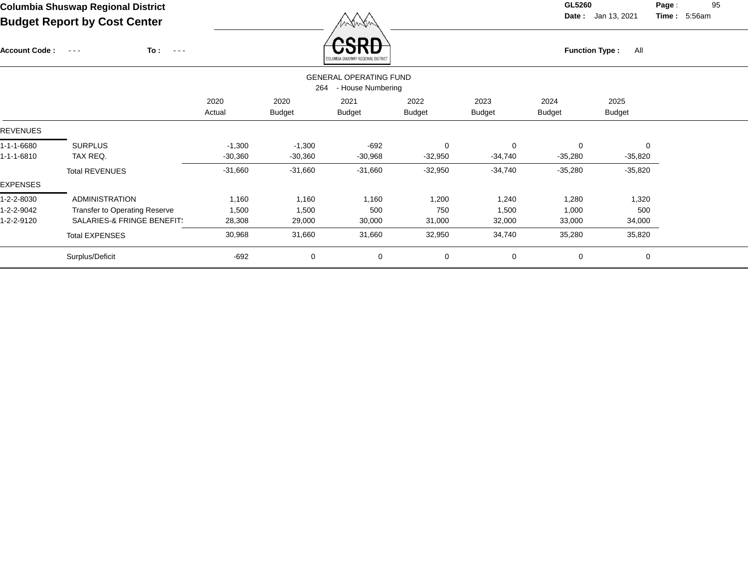Account Code : ---

**To :**

 $\overleftrightarrow{CSRD}$  Function Type : All

**Date :** Jan 13, 2021 **Time :**

**Page :** 95 5:56am

|                                                           |                               |                |                       | COLUMBIA SHUSWAP REGIONAL DISTRICT |                       |                       |                       |                       |  |
|-----------------------------------------------------------|-------------------------------|----------------|-----------------------|------------------------------------|-----------------------|-----------------------|-----------------------|-----------------------|--|
| <b>GENERAL OPERATING FUND</b><br>- House Numbering<br>264 |                               |                |                       |                                    |                       |                       |                       |                       |  |
|                                                           |                               | 2020<br>Actual | 2020<br><b>Budget</b> | 2021<br><b>Budget</b>              | 2022<br><b>Budget</b> | 2023<br><b>Budget</b> | 2024<br><b>Budget</b> | 2025<br><b>Budget</b> |  |
| <b>REVENUES</b>                                           |                               |                |                       |                                    |                       |                       |                       |                       |  |
| 1-1-1-6680                                                | <b>SURPLUS</b>                | $-1,300$       | $-1,300$              | $-692$                             | $\mathbf 0$           | $\mathbf 0$           | $\mathbf 0$           | $\mathbf 0$           |  |
| l-1-1-6810                                                | TAX REQ.                      | $-30,360$      | $-30,360$             | $-30,968$                          | $-32,950$             | $-34,740$             | $-35,280$             | $-35,820$             |  |
|                                                           | <b>Total REVENUES</b>         | $-31,660$      | $-31,660$             | $-31,660$                          | $-32,950$             | $-34,740$             | $-35,280$             | $-35,820$             |  |
| <b>EXPENSES</b>                                           |                               |                |                       |                                    |                       |                       |                       |                       |  |
| 1-2-2-8030                                                | <b>ADMINISTRATION</b>         | 1,160          | 1,160                 | 1,160                              | 1,200                 | 1,240                 | 1,280                 | 1,320                 |  |
| $-2 - 2 - 9042$                                           | Transfer to Operating Reserve | 1,500          | 1,500                 | 500                                | 750                   | 1,500                 | 1,000                 | 500                   |  |
| $-2 - 2 - 9120$                                           | SALARIES-& FRINGE BENEFIT!    | 28,308         | 29,000                | 30,000                             | 31,000                | 32,000                | 33,000                | 34,000                |  |
|                                                           | <b>Total EXPENSES</b>         | 30,968         | 31,660                | 31,660                             | 32,950                | 34,740                | 35,280                | 35,820                |  |
|                                                           | Surplus/Deficit               | $-692$         | 0                     | 0                                  | $\mathbf 0$           | 0                     | $\mathbf 0$           | 0                     |  |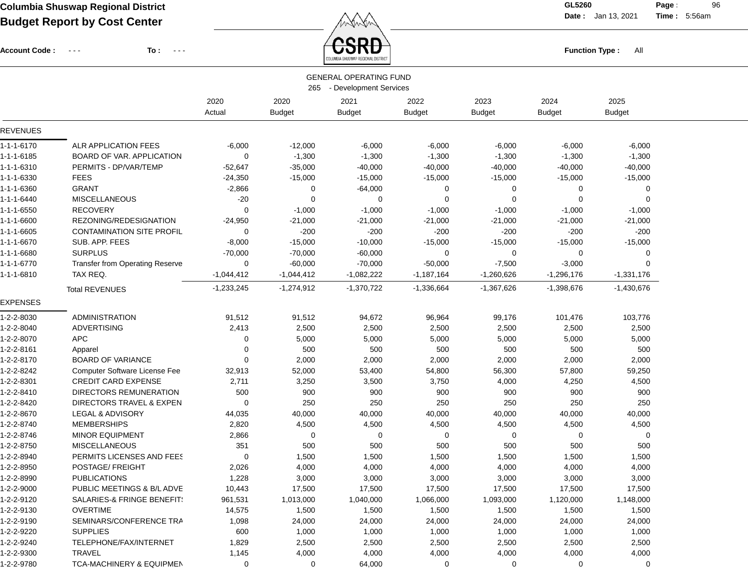Account Code : ---

**To :**

 $\overleftrightarrow{CSRD}$  Function Type : All

**Date :** Jan 13, 2021 **Time :**

**Page :** 96 5:56am

|                 |                                       |                |                       | <b>GENERAL OPERATING FUND</b><br>265 - Development Services |                       |                       |                       |                       |
|-----------------|---------------------------------------|----------------|-----------------------|-------------------------------------------------------------|-----------------------|-----------------------|-----------------------|-----------------------|
|                 |                                       | 2020<br>Actual | 2020<br><b>Budget</b> | 2021<br><b>Budget</b>                                       | 2022<br><b>Budget</b> | 2023<br><b>Budget</b> | 2024<br><b>Budget</b> | 2025<br><b>Budget</b> |
| <b>REVENUES</b> |                                       |                |                       |                                                             |                       |                       |                       |                       |
| 1-1-1-6170      | ALR APPLICATION FEES                  | $-6,000$       | $-12,000$             | $-6,000$                                                    | $-6,000$              | $-6,000$              | $-6,000$              | $-6,000$              |
| 1-1-1-6185      | <b>BOARD OF VAR. APPLICATION</b>      | $\mathbf 0$    | $-1,300$              | $-1,300$                                                    | $-1,300$              | $-1,300$              | $-1,300$              | $-1,300$              |
| 1-1-1-6310      | PERMITS - DP/VAR/TEMP                 | $-52,647$      | $-35,000$             | $-40,000$                                                   | $-40,000$             | $-40,000$             | $-40,000$             | $-40,000$             |
| 1-1-1-6330      | <b>FEES</b>                           | $-24,350$      | $-15,000$             | $-15,000$                                                   | $-15,000$             | $-15,000$             | $-15,000$             | $-15,000$             |
| 1-1-1-6360      | <b>GRANT</b>                          | $-2,866$       | 0                     | $-64,000$                                                   | 0                     | 0                     | $\overline{0}$        | 0                     |
| 1-1-1-6440      | <b>MISCELLANEOUS</b>                  | $-20$          | 0                     | 0                                                           | $\mathbf 0$           | 0                     | $\Omega$              | $\Omega$              |
| 1-1-1-6550      | <b>RECOVERY</b>                       | 0              | $-1,000$              | $-1,000$                                                    | $-1,000$              | $-1,000$              | $-1,000$              | $-1,000$              |
| 1-1-1-6600      | REZONING/REDESIGNATION                | $-24,950$      | $-21,000$             | $-21,000$                                                   | $-21,000$             | $-21,000$             | $-21,000$             | $-21,000$             |
| 1-1-1-6605      | <b>CONTAMINATION SITE PROFIL</b>      | 0              | $-200$                | $-200$                                                      | $-200$                | $-200$                | $-200$                | $-200$                |
| 1-1-1-6670      | SUB. APP. FEES                        | $-8,000$       | $-15,000$             | $-10,000$                                                   | $-15,000$             | $-15,000$             | $-15,000$             | $-15,000$             |
| 1-1-1-6680      | <b>SURPLUS</b>                        | $-70,000$      | $-70,000$             | $-60,000$                                                   | 0                     | 0                     | 0                     | 0                     |
| 1-1-1-6770      | Transfer from Operating Reserve       | 0              | $-60,000$             | $-70,000$                                                   | $-50,000$             | $-7,500$              | $-3,000$              |                       |
| 1-1-1-6810      | TAX REQ.                              | $-1,044,412$   | $-1,044,412$          | $-1,082,222$                                                | $-1,187,164$          | $-1,260,626$          | $-1,296,176$          | $-1,331,176$          |
|                 | <b>Total REVENUES</b>                 | $-1,233,245$   | $-1,274,912$          | $-1,370,722$                                                | $-1,336,664$          | $-1,367,626$          | $-1,398,676$          | $-1,430,676$          |
| <b>EXPENSES</b> |                                       |                |                       |                                                             |                       |                       |                       |                       |
| 1-2-2-8030      | <b>ADMINISTRATION</b>                 | 91,512         | 91,512                | 94,672                                                      | 96,964                | 99,176                | 101,476               | 103,776               |
| 1-2-2-8040      | ADVERTISING                           | 2,413          | 2,500                 | 2,500                                                       | 2,500                 | 2,500                 | 2,500                 | 2,500                 |
| 1-2-2-8070      | <b>APC</b>                            | 0              | 5,000                 | 5,000                                                       | 5,000                 | 5,000                 | 5,000                 | 5,000                 |
| 1-2-2-8161      | Apparel                               | $\mathbf 0$    | 500                   | 500                                                         | 500                   | 500                   | 500                   | 500                   |
| 1-2-2-8170      | <b>BOARD OF VARIANCE</b>              | $\Omega$       | 2,000                 | 2,000                                                       | 2,000                 | 2,000                 | 2,000                 | 2,000                 |
| 1-2-2-8242      | <b>Computer Software License Fee</b>  | 32,913         | 52,000                | 53,400                                                      | 54,800                | 56,300                | 57,800                | 59,250                |
| 1-2-2-8301      | <b>CREDIT CARD EXPENSE</b>            | 2,711          | 3,250                 | 3,500                                                       | 3,750                 | 4,000                 | 4,250                 | 4,500                 |
| 1-2-2-8410      | DIRECTORS REMUNERATION                | 500            | 900                   | 900                                                         | 900                   | 900                   | 900                   | 900                   |
| 1-2-2-8420      | DIRECTORS TRAVEL & EXPEN              | 0              | 250                   | 250                                                         | 250                   | 250                   | 250                   | 250                   |
| 1-2-2-8670      | LEGAL & ADVISORY                      | 44,035         | 40,000                | 40,000                                                      | 40,000                | 40,000                | 40,000                | 40,000                |
| 1-2-2-8740      | <b>MEMBERSHIPS</b>                    | 2,820          | 4,500                 | 4,500                                                       | 4,500                 | 4,500                 | 4,500                 | 4,500                 |
| 1-2-2-8746      | <b>MINOR EQUIPMENT</b>                | 2,866          | 0                     | 0                                                           | 0                     | 0                     | $\overline{0}$        | 0                     |
| 1-2-2-8750      | <b>MISCELLANEOUS</b>                  | 351            | 500                   | 500                                                         | 500                   | 500                   | 500                   | 500                   |
| 1-2-2-8940      | PERMITS LICENSES AND FEES             | 0              | 1,500                 | 1,500                                                       | 1,500                 | 1,500                 | 1,500                 | 1,500                 |
| 1-2-2-8950      | POSTAGE/ FREIGHT                      | 2,026          | 4,000                 | 4,000                                                       | 4,000                 | 4,000                 | 4,000                 | 4,000                 |
| 1-2-2-8990      | <b>PUBLICATIONS</b>                   | 1,228          | 3,000                 | 3,000                                                       | 3,000                 | 3,000                 | 3,000                 | 3,000                 |
| 1-2-2-9000      | PUBLIC MEETINGS & B/L ADVE            | 10,443         | 17,500                | 17,500                                                      | 17,500                | 17,500                | 17,500                | 17,500                |
| 1-2-2-9120      | <b>SALARIES-&amp; FRINGE BENEFIT:</b> | 961,531        | 1,013,000             | 1,040,000                                                   | 1,066,000             | 1,093,000             | 1,120,000             | 1,148,000             |
| 1-2-2-9130      | <b>OVERTIME</b>                       | 14,575         | 1,500                 | 1,500                                                       | 1,500                 | 1,500                 | 1,500                 | 1,500                 |
| 1-2-2-9190      | SEMINARS/CONFERENCE TRA               | 1,098          | 24,000                | 24,000                                                      | 24,000                | 24,000                | 24,000                | 24,000                |
| 1-2-2-9220      | <b>SUPPLIES</b>                       | 600            | 1,000                 | 1,000                                                       | 1,000                 | 1,000                 | 1,000                 | 1,000                 |
| 1-2-2-9240      | TELEPHONE/FAX/INTERNET                | 1,829          | 2,500                 | 2,500                                                       | 2,500                 | 2,500                 | 2,500                 | 2,500                 |
| 1-2-2-9300      | TRAVEL                                | 1,145          | 4,000                 | 4,000                                                       | 4,000                 | 4,000                 | 4,000                 | 4,000                 |
| 1-2-2-9780      | TCA-MACHINERY & EQUIPMEN              | 0              | 0                     | 64,000                                                      | 0                     | 0                     | 0                     | 0                     |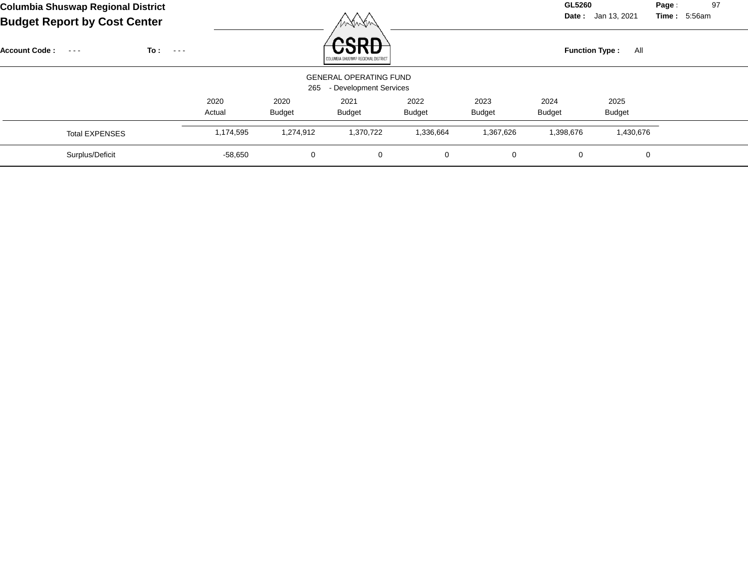| Columbia Shuswap Regional District<br><b>Budget Report by Cost Center</b> |                              |                |                       | WANYN                                                   |                       |                       | GL5260                | Date: Jan 13, 2021    | Page<br>97<br>Time: 5:56am |
|---------------------------------------------------------------------------|------------------------------|----------------|-----------------------|---------------------------------------------------------|-----------------------|-----------------------|-----------------------|-----------------------|----------------------------|
| <b>Account Code:</b><br>$\sim$ $\sim$ $\sim$                              | To :<br>$\sim$ $\sim$ $\sim$ |                |                       | חחמי<br>COLUMBIA SHUSWAP REGIONAL DISTRICT              |                       |                       | <b>Function Type:</b> | All                   |                            |
|                                                                           |                              |                | 265                   | <b>GENERAL OPERATING FUND</b><br>- Development Services |                       |                       |                       |                       |                            |
|                                                                           |                              | 2020<br>Actual | 2020<br><b>Budget</b> | 2021<br><b>Budget</b>                                   | 2022<br><b>Budget</b> | 2023<br><b>Budget</b> | 2024<br><b>Budget</b> | 2025<br><b>Budget</b> |                            |
| <b>Total EXPENSES</b>                                                     |                              | 1,174,595      | 1,274,912             | 1,370,722                                               | 1,336,664             | 1,367,626             | 1,398,676             | 1,430,676             |                            |
| Surplus/Deficit                                                           |                              | $-58,650$      | 0                     | 0                                                       | 0                     | 0                     | $\mathbf 0$           | 0                     |                            |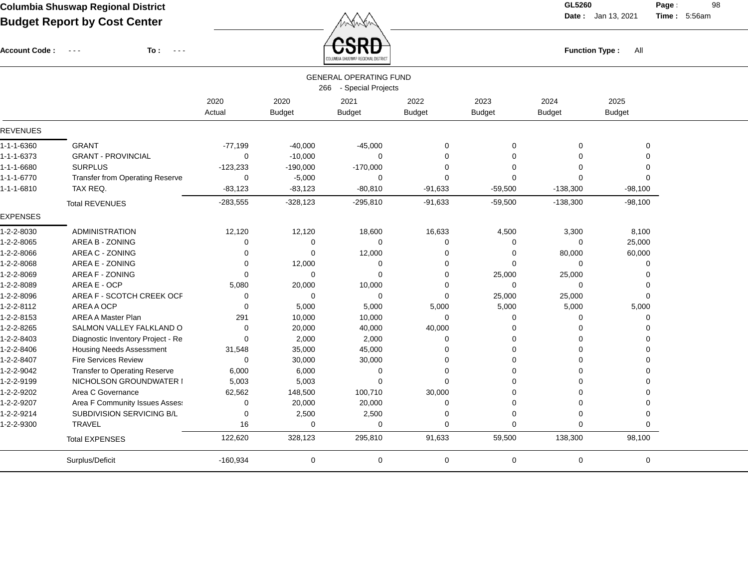Account Code : ---

**To :**

 $\overline{\text{CSRD}}$  Function Type : All

**Date :** Jan 13, 2021 **Time :**

**Page :** 98 5:56am

|                    |                                        |             |               | COLUMBIA SHUSWAP REGIONAL DISTRICT |               |               |                |                |  |
|--------------------|----------------------------------------|-------------|---------------|------------------------------------|---------------|---------------|----------------|----------------|--|
|                    |                                        |             |               | <b>GENERAL OPERATING FUND</b>      |               |               |                |                |  |
|                    |                                        |             |               | 266 - Special Projects             |               |               |                |                |  |
|                    |                                        | 2020        | 2020          | 2021                               | 2022          | 2023          | 2024           | 2025           |  |
|                    |                                        | Actual      | <b>Budget</b> | <b>Budget</b>                      | <b>Budget</b> | <b>Budget</b> | <b>Budget</b>  | <b>Budget</b>  |  |
| <b>REVENUES</b>    |                                        |             |               |                                    |               |               |                |                |  |
| 1-1-1-6360         | <b>GRANT</b>                           | $-77,199$   | $-40,000$     | $-45,000$                          | 0             | $\mathbf 0$   | 0              | $\mathbf 0$    |  |
| 1-1-1-6373         | <b>GRANT - PROVINCIAL</b>              | 0           | $-10,000$     | $\Omega$                           | $\mathbf 0$   | $\Omega$      | 0              | 0              |  |
| 1-1-1-6680         | <b>SURPLUS</b>                         | $-123,233$  | $-190,000$    | $-170,000$                         | 0             | $\Omega$      | $\Omega$       | $\Omega$       |  |
| $1 - 1 - 1 - 6770$ | <b>Transfer from Operating Reserve</b> | 0           | $-5,000$      | $\Omega$                           | $\mathbf 0$   | $\Omega$      | $\Omega$       | $\Omega$       |  |
| 1-1-1-6810         | TAX REQ.                               | $-83,123$   | $-83,123$     | $-80, 810$                         | $-91,633$     | $-59,500$     | $-138,300$     | $-98,100$      |  |
|                    | <b>Total REVENUES</b>                  | $-283,555$  | $-328,123$    | $-295,810$                         | $-91,633$     | $-59,500$     | $-138,300$     | $-98,100$      |  |
| <b>EXPENSES</b>    |                                        |             |               |                                    |               |               |                |                |  |
| 1-2-2-8030         | <b>ADMINISTRATION</b>                  | 12,120      | 12,120        | 18,600                             | 16,633        | 4,500         | 3,300          | 8,100          |  |
| 1-2-2-8065         | AREA B - ZONING                        | 0           | $\mathbf 0$   | $\Omega$                           | 0             | 0             | $\mathbf 0$    | 25,000         |  |
| 1-2-2-8066         | AREA C - ZONING                        | 0           | $\mathbf 0$   | 12,000                             | 0             | 0             | 80,000         | 60,000         |  |
| 1-2-2-8068         | AREA E - ZONING                        | 0           | 12,000        | 0                                  | 0             | $\mathbf 0$   | $\mathbf 0$    | 0              |  |
| 1-2-2-8069         | AREA F - ZONING                        | $\Omega$    | $\mathbf 0$   | $\Omega$                           | 0             | 25,000        | 25,000         | $\mathbf 0$    |  |
| 1-2-2-8089         | AREA E - OCP                           | 5,080       | 20,000        | 10,000                             | 0             | $\mathbf 0$   | 0              | $\mathbf 0$    |  |
| 1-2-2-8096         | AREA F - SCOTCH CREEK OCF              | 0           | $\mathbf 0$   | 0                                  | $\mathbf 0$   | 25,000        | 25,000         | $\Omega$       |  |
| 1-2-2-8112         | AREA A OCP                             | $\Omega$    | 5,000         | 5,000                              | 5,000         | 5,000         | 5,000          | 5,000          |  |
| 1-2-2-8153         | <b>AREA A Master Plan</b>              | 291         | 10,000        | 10,000                             | $\mathbf 0$   | $\Omega$      | 0              | $\Omega$       |  |
| 1-2-2-8265         | SALMON VALLEY FALKLAND O               | 0           | 20,000        | 40,000                             | 40,000        | $\Omega$      | $\Omega$       | $\Omega$       |  |
| 1-2-2-8403         | Diagnostic Inventory Project - Re      | 0           | 2,000         | 2,000                              | 0             | $\Omega$      | $\Omega$       | $\Omega$       |  |
| 1-2-2-8406         | <b>Housing Needs Assessment</b>        | 31,548      | 35,000        | 45,000                             | 0             | $\Omega$      | 0              | $\Omega$       |  |
| 1-2-2-8407         | <b>Fire Services Review</b>            | $\mathbf 0$ | 30,000        | 30,000                             | $\mathbf 0$   | $\Omega$      | $\Omega$       | $\Omega$       |  |
| 1-2-2-9042         | Transfer to Operating Reserve          | 6,000       | 6,000         | 0                                  | 0             | 0             | 0              | $\Omega$       |  |
| 1-2-2-9199         | NICHOLSON GROUNDWATER I                | 5,003       | 5,003         | $\Omega$                           | $\mathbf 0$   | $\Omega$      | $\Omega$       | $\Omega$       |  |
| 1-2-2-9202         | Area C Governance                      | 62,562      | 148,500       | 100,710                            | 30,000        | 0             | $\Omega$       | $\Omega$       |  |
| 1-2-2-9207         | Area F Community Issues Asses:         | 0           | 20,000        | 20,000                             | $\mathbf 0$   | $\mathbf 0$   | $\overline{0}$ | $\overline{0}$ |  |
| 1-2-2-9214         | SUBDIVISION SERVICING B/L              | 0           | 2,500         | 2,500                              | 0             | $\mathbf 0$   | $\Omega$       | $\Omega$       |  |
| 1-2-2-9300         | <b>TRAVEL</b>                          | 16          | $\mathbf 0$   | $\mathbf 0$                        | $\Omega$      | $\Omega$      | 0              | $\Omega$       |  |
|                    | <b>Total EXPENSES</b>                  | 122,620     | 328,123       | 295,810                            | 91,633        | 59,500        | 138,300        | 98,100         |  |
|                    | Surplus/Deficit                        | $-160,934$  | $\mathbf 0$   | $\mathbf 0$                        | $\mathbf 0$   | 0             | 0              | $\mathbf 0$    |  |
|                    |                                        |             |               |                                    |               |               |                |                |  |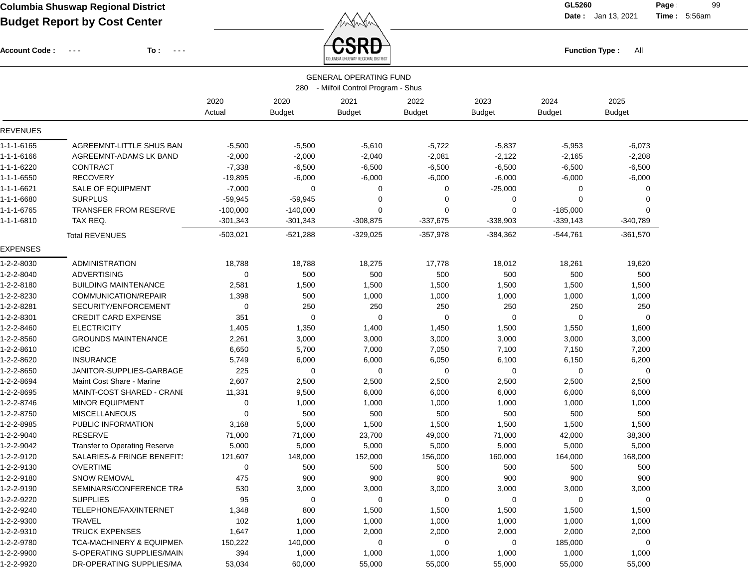Account Code : ---

**To :**

 $\overrightarrow{CSRD}$  Function Type : All

**Date :** Jan 13, 2021 **Time :**

**Page :** 99 5:56am

|                          |                                               |                |                       | PAINSILLAUMAN, UPAIAUS NO LUIA                                        |                       |                       |                       |                       |  |
|--------------------------|-----------------------------------------------|----------------|-----------------------|-----------------------------------------------------------------------|-----------------------|-----------------------|-----------------------|-----------------------|--|
|                          |                                               |                |                       | <b>GENERAL OPERATING FUND</b><br>280 - Milfoil Control Program - Shus |                       |                       |                       |                       |  |
|                          |                                               | 2020<br>Actual | 2020<br><b>Budget</b> | 2021<br><b>Budget</b>                                                 | 2022<br><b>Budget</b> | 2023<br><b>Budget</b> | 2024<br><b>Budget</b> | 2025<br><b>Budget</b> |  |
| <b>REVENUES</b>          |                                               |                |                       |                                                                       |                       |                       |                       |                       |  |
| 1-1-1-6165               | AGREEMNT-LITTLE SHUS BAN                      | $-5,500$       | $-5,500$              | $-5,610$                                                              | $-5,722$              | $-5,837$              | $-5,953$              | $-6,073$              |  |
| 1-1-1-6166               | AGREEMNT-ADAMS LK BAND                        | $-2,000$       | $-2,000$              | $-2,040$                                                              | $-2,081$              | $-2,122$              | $-2,165$              | $-2,208$              |  |
| 1-1-1-6220               | <b>CONTRACT</b>                               | $-7,338$       | $-6,500$              | $-6,500$                                                              | $-6,500$              | $-6,500$              | $-6,500$              | $-6,500$              |  |
| 1-1-1-6550               | <b>RECOVERY</b>                               | $-19,895$      | $-6,000$              | $-6,000$                                                              | $-6,000$              | $-6,000$              | $-6,000$              | $-6,000$              |  |
| 1-1-1-6621               | <b>SALE OF EQUIPMENT</b>                      | $-7,000$       | 0                     | 0                                                                     | 0                     | $-25,000$             | 0                     | $\Omega$              |  |
| 1-1-1-6680               | <b>SURPLUS</b>                                | $-59,945$      | $-59,945$             | 0                                                                     | 0                     | 0                     | $\Omega$              | $\Omega$              |  |
| 1-1-1-6765               | <b>TRANSFER FROM RESERVE</b>                  | $-100,000$     | $-140,000$            | 0                                                                     | 0                     | $\mathbf 0$           | $-185,000$            | $\Omega$              |  |
| 1-1-1-6810               | TAX REQ.                                      | $-301,343$     | $-301,343$            | $-308,875$                                                            | $-337,675$            | $-338,903$            | $-339,143$            | $-340,789$            |  |
|                          | <b>Total REVENUES</b>                         | $-503,021$     | $-521,288$            | $-329,025$                                                            | $-357,978$            | $-384,362$            | $-544,761$            | $-361,570$            |  |
| EXPENSES                 |                                               |                |                       |                                                                       |                       |                       |                       |                       |  |
| 1-2-2-8030               | <b>ADMINISTRATION</b>                         | 18,788         | 18,788                | 18,275                                                                | 17,778                | 18,012                | 18,261                | 19,620                |  |
| 1-2-2-8040               | <b>ADVERTISING</b>                            | 0              | 500                   | 500                                                                   | 500                   | 500                   | 500                   | 500                   |  |
| 1-2-2-8180               | <b>BUILDING MAINTENANCE</b>                   | 2,581          | 1,500                 | 1,500                                                                 | 1,500                 | 1,500                 | 1,500                 | 1,500                 |  |
| 1-2-2-8230               | COMMUNICATION/REPAIR                          | 1,398          | 500                   | 1,000                                                                 | 1,000                 | 1,000                 | 1,000                 | 1,000                 |  |
| 1-2-2-8281               | SECURITY/ENFORCEMENT                          | 0              | 250                   | 250                                                                   | 250                   | 250                   | 250                   | 250                   |  |
| 1-2-2-8301               | <b>CREDIT CARD EXPENSE</b>                    | 351            | 0                     | 0                                                                     | $\mathbf 0$           | $\mathbf 0$           | $\Omega$              | $\Omega$              |  |
| 1-2-2-8460               | <b>ELECTRICITY</b>                            | 1,405          | 1,350                 | 1,400                                                                 | 1,450                 | 1,500                 | 1,550                 | 1,600                 |  |
| 1-2-2-8560               | <b>GROUNDS MAINTENANCE</b>                    | 2,261          | 3,000                 | 3,000                                                                 | 3,000                 | 3,000                 | 3,000                 | 3,000                 |  |
| 1-2-2-8610               | <b>ICBC</b>                                   | 6,650          | 5,700                 | 7,000                                                                 | 7,050                 | 7,100                 | 7,150                 | 7,200                 |  |
| 1-2-2-8620               | <b>INSURANCE</b>                              | 5,749          | 6,000                 | 6,000                                                                 | 6,050                 | 6,100                 | 6,150                 | 6,200                 |  |
| 1-2-2-8650               | JANITOR-SUPPLIES-GARBAGE                      | 225            | 0                     | 0                                                                     | 0                     | 0                     | $\mathbf 0$           | 0                     |  |
| 1-2-2-8694               | Maint Cost Share - Marine                     | 2,607          | 2,500                 | 2,500                                                                 | 2,500                 | 2,500                 | 2,500                 | 2,500                 |  |
| 1-2-2-8695               | MAINT-COST SHARED - CRANI                     | 11,331         | 9,500                 | 6,000                                                                 | 6,000                 | 6,000                 | 6,000                 | 6,000                 |  |
| 1-2-2-8746               | <b>MINOR EQUIPMENT</b>                        | 0              | 1,000                 | 1,000                                                                 | 1,000                 | 1,000                 | 1,000                 | 1,000                 |  |
| 1-2-2-8750               | <b>MISCELLANEOUS</b>                          | 0              | 500                   | 500                                                                   | 500                   | 500                   | 500                   | 500                   |  |
| 1-2-2-8985               | PUBLIC INFORMATION                            | 3,168          | 5,000                 | 1,500                                                                 | 1,500                 | 1,500                 | 1,500                 | 1,500                 |  |
| 1-2-2-9040               | RESERVE                                       | 71,000         | 71,000                | 23,700                                                                | 49,000                | 71,000                | 42,000                | 38,300                |  |
| 1-2-2-9042               | <b>Transfer to Operating Reserve</b>          | 5,000          | 5,000                 | 5,000                                                                 | 5,000                 | 5,000                 | 5,000                 | 5,000                 |  |
| 1-2-2-9120               | SALARIES-& FRINGE BENEFIT:<br><b>OVERTIME</b> | 121,607        | 148,000               | 152,000                                                               | 156,000               | 160,000               | 164,000               | 168,000               |  |
| 1-2-2-9130<br>1-2-2-9180 | <b>SNOW REMOVAL</b>                           | 0<br>475       | 500<br>900            | 500<br>900                                                            | 500<br>900            | 500<br>900            | 500<br>900            | 500<br>900            |  |
| 1-2-2-9190               |                                               |                |                       |                                                                       |                       |                       |                       |                       |  |
| 1-2-2-9220               | SEMINARS/CONFERENCE TRA<br><b>SUPPLIES</b>    | 530<br>95      | 3,000<br>0            | 3,000<br>0                                                            | 3,000                 | 3,000<br>0            | 3,000<br>0            | 3,000<br>0            |  |
| 1-2-2-9240               | TELEPHONE/FAX/INTERNET                        |                | 800                   |                                                                       | 0                     |                       |                       |                       |  |
| 1-2-2-9300               | TRAVEL                                        | 1,348<br>102   | 1,000                 | 1,500<br>1,000                                                        | 1,500<br>1,000        | 1,500<br>1,000        | 1,500<br>1,000        | 1,500<br>1,000        |  |
| 1-2-2-9310               | <b>TRUCK EXPENSES</b>                         | 1,647          | 1,000                 | 2,000                                                                 | 2,000                 | 2,000                 | 2,000                 | 2,000                 |  |
| 1-2-2-9780               | <b>TCA-MACHINERY &amp; EQUIPMEN</b>           | 150,222        | 140,000               | 0                                                                     | 0                     | 0                     | 185,000               | 0                     |  |
| 1-2-2-9900               | S-OPERATING SUPPLIES/MAIN                     | 394            | 1,000                 | 1,000                                                                 | 1,000                 | 1,000                 | 1,000                 | 1,000                 |  |
| 1-2-2-9920               | DR-OPERATING SUPPLIES/MA                      | 53,034         | 60,000                | 55,000                                                                | 55,000                | 55,000                | 55,000                | 55,000                |  |
|                          |                                               |                |                       |                                                                       |                       |                       |                       |                       |  |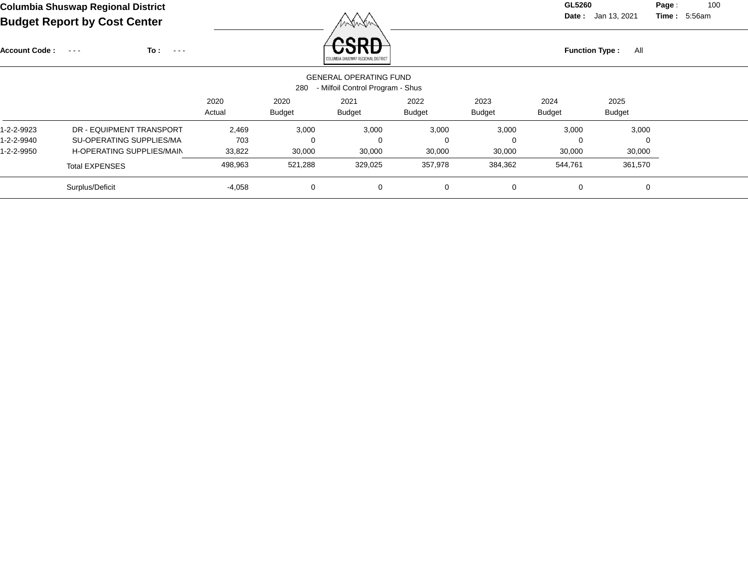**Date :** Jan 13, 2021 **Time :**

**Page :** 100 5:56am

| <b>Account Code:</b> | To:<br>$\sim$ $\sim$ $\sim$<br>$\sim$ $\sim$ $\sim$ |          |               | nenn<br>COLUMBIA SHUSWAP REGIONAL DISTRICT                        |             |               | <b>Function Type:</b> | All           |  |
|----------------------|-----------------------------------------------------|----------|---------------|-------------------------------------------------------------------|-------------|---------------|-----------------------|---------------|--|
|                      |                                                     |          | 280           | <b>GENERAL OPERATING FUND</b><br>- Milfoil Control Program - Shus |             |               |                       |               |  |
|                      |                                                     | 2020     | 2020          | 2021                                                              | 2022        | 2023          | 2024                  | 2025          |  |
|                      |                                                     | Actual   | <b>Budget</b> | <b>Budget</b>                                                     | Budget      | <b>Budget</b> | <b>Budget</b>         | <b>Budget</b> |  |
| 1-2-2-9923           | DR - EQUIPMENT TRANSPORT                            | 2,469    | 3,000         | 3,000                                                             | 3,000       | 3,000         | 3,000                 | 3,000         |  |
| 1-2-2-9940           | SU-OPERATING SUPPLIES/MA                            | 703      |               | 0                                                                 | $\mathbf 0$ | 0             | $\Omega$              | $\Omega$      |  |
| 1-2-2-9950           | H-OPERATING SUPPLIES/MAIN                           | 33,822   | 30,000        | 30,000                                                            | 30,000      | 30,000        | 30,000                | 30,000        |  |
|                      | <b>Total EXPENSES</b>                               | 498,963  | 521,288       | 329,025                                                           | 357,978     | 384,362       | 544,761               | 361,570       |  |
|                      | Surplus/Deficit                                     | $-4,058$ | 0             | 0                                                                 | $\mathbf 0$ | 0             | 0                     | $\Omega$      |  |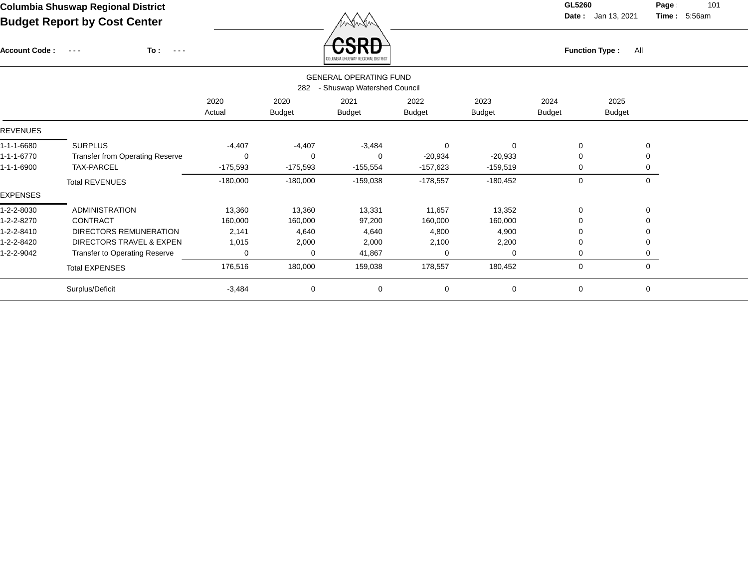Account Code : ---

**To :**

 $F_{\text{unction Type: All}}$ 

**Date :** Jan 13, 2021 **Time :**

**Page :** 101 5:56am

|                 | <b>GENERAL OPERATING FUND</b><br>- Shuswap Watershed Council<br>282 |                |                       |                       |                       |                       |                |                       |  |  |  |
|-----------------|---------------------------------------------------------------------|----------------|-----------------------|-----------------------|-----------------------|-----------------------|----------------|-----------------------|--|--|--|
|                 |                                                                     | 2020<br>Actual | 2020<br><b>Budget</b> | 2021<br><b>Budget</b> | 2022<br><b>Budget</b> | 2023<br><b>Budget</b> | 2024<br>Budget | 2025<br><b>Budget</b> |  |  |  |
| <b>REVENUES</b> |                                                                     |                |                       |                       |                       |                       |                |                       |  |  |  |
| 1-1-1-6680      | <b>SURPLUS</b>                                                      | $-4,407$       | $-4,407$              | $-3,484$              | $\mathbf 0$           | $\Omega$              | 0              | 0                     |  |  |  |
| 1-1-1-6770      | <b>Transfer from Operating Reserve</b>                              | $\Omega$       | $\Omega$              | 0                     | $-20,934$             | $-20,933$             | $\Omega$       | 0                     |  |  |  |
| 1-1-1-6900      | <b>TAX-PARCEL</b>                                                   | $-175,593$     | $-175,593$            | $-155,554$            | $-157,623$            | $-159,519$            | 0              | 0                     |  |  |  |
|                 | <b>Total REVENUES</b>                                               | $-180,000$     | $-180,000$            | $-159,038$            | $-178,557$            | $-180,452$            | 0              | $\mathbf 0$           |  |  |  |
| <b>EXPENSES</b> |                                                                     |                |                       |                       |                       |                       |                |                       |  |  |  |
| 1-2-2-8030      | <b>ADMINISTRATION</b>                                               | 13,360         | 13,360                | 13,331                | 11,657                | 13,352                | 0              | 0                     |  |  |  |
| 1-2-2-8270      | <b>CONTRACT</b>                                                     | 160,000        | 160,000               | 97,200                | 160,000               | 160,000               | $\Omega$       | 0                     |  |  |  |
| 1-2-2-8410      | DIRECTORS REMUNERATION                                              | 2,141          | 4,640                 | 4,640                 | 4,800                 | 4,900                 | 0              | 0                     |  |  |  |
| 1-2-2-8420      | DIRECTORS TRAVEL & EXPEN                                            | 1,015          | 2,000                 | 2,000                 | 2,100                 | 2,200                 | 0              | 0                     |  |  |  |
| 1-2-2-9042      | Transfer to Operating Reserve                                       | 0              | 0                     | 41,867                | 0                     | 0                     | 0              | 0                     |  |  |  |
|                 | <b>Total EXPENSES</b>                                               | 176,516        | 180,000               | 159,038               | 178,557               | 180,452               | 0              | $\mathbf 0$           |  |  |  |
|                 | Surplus/Deficit                                                     | $-3,484$       | 0                     | 0                     | 0                     | 0                     | 0              | 0                     |  |  |  |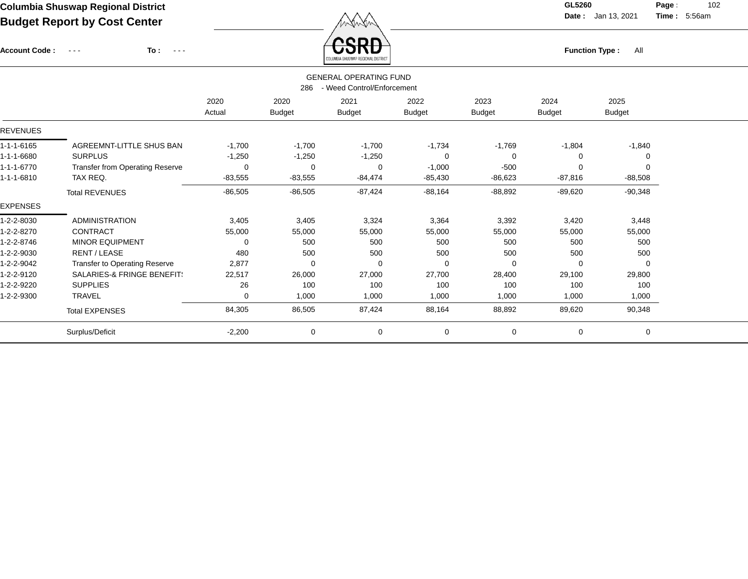Account Code : ---

**To :**

 $\overleftrightarrow{CSRD}$  Function Type : All

**Date :** Jan 13, 2021 **Time :**

**Page :** 102 5:56am

|                 |                                       | <b>GENERAL OPERATING FUND</b><br>- Weed Control/Enforcement<br>286 |                |               |               |               |           |               |  |  |  |
|-----------------|---------------------------------------|--------------------------------------------------------------------|----------------|---------------|---------------|---------------|-----------|---------------|--|--|--|
|                 |                                       | 2020                                                               | 2020           | 2021          | 2022          | 2023          | 2024      | 2025          |  |  |  |
|                 |                                       | Actual                                                             | <b>Budget</b>  | <b>Budget</b> | <b>Budget</b> | <b>Budget</b> | Budget    | <b>Budget</b> |  |  |  |
| <b>REVENUES</b> |                                       |                                                                    |                |               |               |               |           |               |  |  |  |
| 1-1-1-6165      | AGREEMNT-LITTLE SHUS BAN              | $-1,700$                                                           | $-1,700$       | $-1,700$      | $-1,734$      | $-1,769$      | $-1,804$  | $-1,840$      |  |  |  |
| 1-1-1-6680      | <b>SURPLUS</b>                        | $-1,250$                                                           | $-1,250$       | $-1,250$      | $\Omega$      | $\Omega$      | 0         |               |  |  |  |
| 1-1-1-6770      | Transfer from Operating Reserve       | 0                                                                  | $\overline{0}$ | 0             | $-1,000$      | $-500$        | 0         | 0             |  |  |  |
| 1-1-1-6810      | TAX REQ.                              | $-83,555$                                                          | $-83,555$      | $-84,474$     | $-85,430$     | $-86,623$     | $-87,816$ | $-88,508$     |  |  |  |
|                 | <b>Total REVENUES</b>                 | $-86,505$                                                          | $-86,505$      | $-87,424$     | $-88,164$     | $-88,892$     | $-89,620$ | $-90,348$     |  |  |  |
| <b>EXPENSES</b> |                                       |                                                                    |                |               |               |               |           |               |  |  |  |
| 1-2-2-8030      | <b>ADMINISTRATION</b>                 | 3,405                                                              | 3,405          | 3,324         | 3,364         | 3,392         | 3,420     | 3,448         |  |  |  |
| 1-2-2-8270      | <b>CONTRACT</b>                       | 55,000                                                             | 55,000         | 55,000        | 55,000        | 55,000        | 55,000    | 55,000        |  |  |  |
| 1-2-2-8746      | <b>MINOR EQUIPMENT</b>                | 0                                                                  | 500            | 500           | 500           | 500           | 500       | 500           |  |  |  |
| 1-2-2-9030      | RENT / LEASE                          | 480                                                                | 500            | 500           | 500           | 500           | 500       | 500           |  |  |  |
| 1-2-2-9042      | Transfer to Operating Reserve         | 2,877                                                              | $\mathbf 0$    | $\mathbf 0$   | 0             | $\Omega$      | 0         | $\Omega$      |  |  |  |
| 1-2-2-9120      | <b>SALARIES-&amp; FRINGE BENEFIT:</b> | 22,517                                                             | 26,000         | 27,000        | 27,700        | 28,400        | 29,100    | 29,800        |  |  |  |
| 1-2-2-9220      | <b>SUPPLIES</b>                       | 26                                                                 | 100            | 100           | 100           | 100           | 100       | 100           |  |  |  |
| 1-2-2-9300      | <b>TRAVEL</b>                         | 0                                                                  | 1,000          | 1,000         | 1,000         | 1,000         | 1,000     | 1,000         |  |  |  |
|                 | <b>Total EXPENSES</b>                 | 84,305                                                             | 86,505         | 87,424        | 88,164        | 88,892        | 89,620    | 90,348        |  |  |  |
|                 | Surplus/Deficit                       | $-2,200$                                                           | $\mathbf 0$    | $\mathbf 0$   | 0             | 0             | 0         | 0             |  |  |  |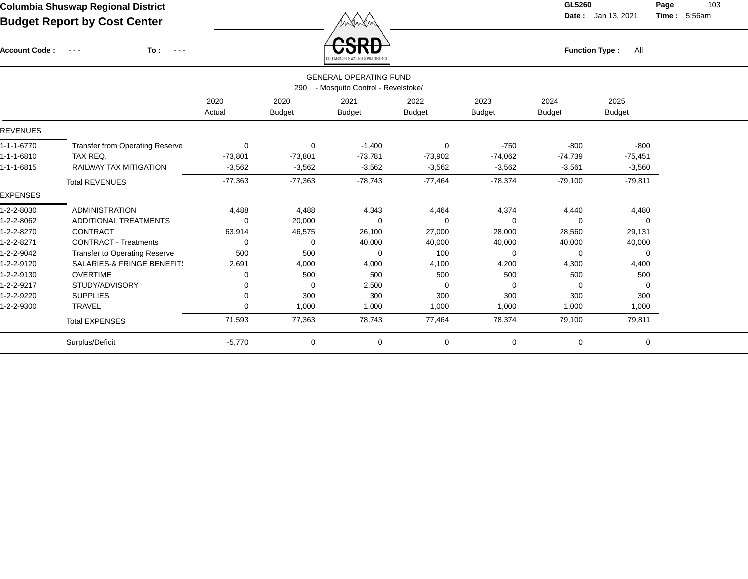Account Code : ---

**To :**

 $\overleftrightarrow{CSRD}$  Function Type : All

**Date :** Jan 13, 2021 **Time :**

**Page :** 103 5:56am

|                 |                                                                          |             |               | COLUMBIA SHUSWAP REGIONAL DISTRICT |               |               |               |               |  |  |  |
|-----------------|--------------------------------------------------------------------------|-------------|---------------|------------------------------------|---------------|---------------|---------------|---------------|--|--|--|
|                 | <b>GENERAL OPERATING FUND</b><br>- Mosquito Control - Revelstoke/<br>290 |             |               |                                    |               |               |               |               |  |  |  |
|                 |                                                                          | 2020        | 2020          | 2021                               | 2022          | 2023          | 2024          | 2025          |  |  |  |
|                 |                                                                          | Actual      | <b>Budget</b> | <b>Budget</b>                      | <b>Budget</b> | <b>Budget</b> | <b>Budget</b> | <b>Budget</b> |  |  |  |
| <b>REVENUES</b> |                                                                          |             |               |                                    |               |               |               |               |  |  |  |
| 1-1-1-6770      | Transfer from Operating Reserve                                          | $\mathbf 0$ | $\mathbf 0$   | $-1,400$                           | $\mathbf 0$   | $-750$        | $-800$        | $-800$        |  |  |  |
| 1-1-1-6810      | TAX REQ.                                                                 | $-73,801$   | $-73,801$     | $-73,781$                          | $-73,902$     | $-74,062$     | $-74,739$     | $-75,451$     |  |  |  |
| 1-1-1-6815      | <b>RAILWAY TAX MITIGATION</b>                                            | $-3,562$    | $-3,562$      | $-3,562$                           | $-3,562$      | $-3,562$      | $-3,561$      | $-3,560$      |  |  |  |
|                 | <b>Total REVENUES</b>                                                    | $-77,363$   | $-77,363$     | $-78,743$                          | $-77,464$     | $-78,374$     | $-79,100$     | $-79,811$     |  |  |  |
| <b>EXPENSES</b> |                                                                          |             |               |                                    |               |               |               |               |  |  |  |
| 1-2-2-8030      | <b>ADMINISTRATION</b>                                                    | 4,488       | 4,488         | 4,343                              | 4,464         | 4,374         | 4,440         | 4,480         |  |  |  |
| 1-2-2-8062      | ADDITIONAL TREATMENTS                                                    | 0           | 20,000        | $\Omega$                           | $\Omega$      | $\Omega$      | 0             | $\mathbf 0$   |  |  |  |
| 1-2-2-8270      | CONTRACT                                                                 | 63,914      | 46,575        | 26,100                             | 27,000        | 28,000        | 28,560        | 29,131        |  |  |  |
| 1-2-2-8271      | <b>CONTRACT - Treatments</b>                                             | 0           | $\Omega$      | 40,000                             | 40,000        | 40,000        | 40,000        | 40,000        |  |  |  |
| 1-2-2-9042      | <b>Transfer to Operating Reserve</b>                                     | 500         | 500           | $\Omega$                           | 100           | $\Omega$      | 0             | 0             |  |  |  |
| 1-2-2-9120      | <b>SALARIES-&amp; FRINGE BENEFIT:</b>                                    | 2,691       | 4,000         | 4,000                              | 4,100         | 4,200         | 4,300         | 4,400         |  |  |  |
| 1-2-2-9130      | <b>OVERTIME</b>                                                          | 0           | 500           | 500                                | 500           | 500           | 500           | 500           |  |  |  |
| 1-2-2-9217      | STUDY/ADVISORY                                                           | 0           | $\Omega$      | 2,500                              | $\Omega$      | $\Omega$      | $\Omega$      | 0             |  |  |  |
| 1-2-2-9220      | <b>SUPPLIES</b>                                                          | 0           | 300           | 300                                | 300           | 300           | 300           | 300           |  |  |  |
| 1-2-2-9300      | <b>TRAVEL</b>                                                            | 0           | 1,000         | 1,000                              | 1,000         | 1,000         | 1,000         | 1,000         |  |  |  |
|                 | <b>Total EXPENSES</b>                                                    | 71,593      | 77,363        | 78,743                             | 77,464        | 78,374        | 79,100        | 79,811        |  |  |  |
|                 | Surplus/Deficit                                                          | $-5,770$    | 0             | 0                                  | $\mathbf 0$   | 0             | 0             | $\mathbf 0$   |  |  |  |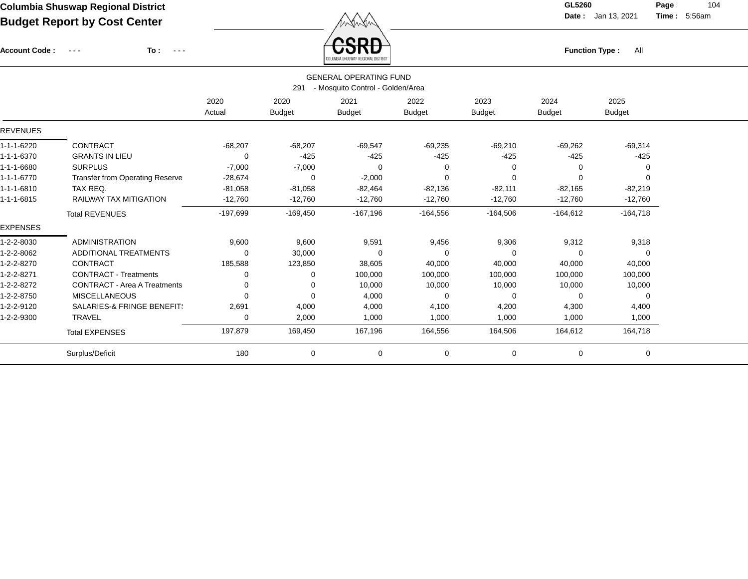Account Code : ---

**To :**

**Function Type :** All

**Date :** Jan 13, 2021 **Time :**

**Page :** 104 5:56am

|                 |                                     |            |               | COLUMBIA SHUSWAP REGIONAL DISTRICT |               |               |               |               |  |
|-----------------|-------------------------------------|------------|---------------|------------------------------------|---------------|---------------|---------------|---------------|--|
|                 |                                     |            |               | <b>GENERAL OPERATING FUND</b>      |               |               |               |               |  |
|                 |                                     |            | 291           | - Mosquito Control - Golden/Area   |               |               |               |               |  |
|                 |                                     | 2020       | 2020          | 2021                               | 2022          | 2023          | 2024          | 2025          |  |
|                 |                                     | Actual     | <b>Budget</b> | <b>Budget</b>                      | <b>Budget</b> | <b>Budget</b> | <b>Budget</b> | <b>Budget</b> |  |
| <b>REVENUES</b> |                                     |            |               |                                    |               |               |               |               |  |
| 1-1-1-6220      | <b>CONTRACT</b>                     | $-68,207$  | $-68,207$     | $-69,547$                          | $-69,235$     | $-69,210$     | $-69,262$     | $-69,314$     |  |
| 1-1-1-6370      | <b>GRANTS IN LIEU</b>               | 0          | $-425$        | $-425$                             | $-425$        | $-425$        | $-425$        | $-425$        |  |
| 1-1-1-6680      | <b>SURPLUS</b>                      | $-7,000$   | $-7,000$      | $\Omega$                           | $\Omega$      | $\Omega$      |               | 0             |  |
| 1-1-1-6770      | Transfer from Operating Reserve     | $-28,674$  | $\Omega$      | $-2,000$                           | $\Omega$      | $\mathbf 0$   | $\Omega$      | 0             |  |
| 1-1-1-6810      | TAX REQ.                            | $-81,058$  | $-81,058$     | $-82,464$                          | $-82,136$     | $-82,111$     | $-82,165$     | $-82,219$     |  |
| 1-1-1-6815      | RAILWAY TAX MITIGATION              | $-12,760$  | $-12,760$     | $-12,760$                          | $-12,760$     | $-12,760$     | $-12,760$     | $-12,760$     |  |
|                 | <b>Total REVENUES</b>               | $-197,699$ | $-169,450$    | $-167,196$                         | $-164,556$    | $-164,506$    | $-164,612$    | $-164,718$    |  |
| <b>EXPENSES</b> |                                     |            |               |                                    |               |               |               |               |  |
| 1-2-2-8030      | <b>ADMINISTRATION</b>               | 9,600      | 9,600         | 9,591                              | 9,456         | 9,306         | 9,312         | 9,318         |  |
| 1-2-2-8062      | ADDITIONAL TREATMENTS               | $\Omega$   | 30,000        | $\Omega$                           | $\Omega$      | $\Omega$      |               | $\Omega$      |  |
| 1-2-2-8270      | <b>CONTRACT</b>                     | 185,588    | 123,850       | 38,605                             | 40,000        | 40,000        | 40,000        | 40,000        |  |
| 1-2-2-8271      | <b>CONTRACT - Treatments</b>        | 0          | 0             | 100,000                            | 100,000       | 100,000       | 100,000       | 100,000       |  |
| 1-2-2-8272      | <b>CONTRACT - Area A Treatments</b> | 0          | 0             | 10,000                             | 10,000        | 10,000        | 10,000        | 10,000        |  |
| 1-2-2-8750      | <b>MISCELLANEOUS</b>                | 0          | $\Omega$      | 4,000                              | 0             | 0             | 0             | 0             |  |
| 1-2-2-9120      | SALARIES-& FRINGE BENEFIT:          | 2,691      | 4,000         | 4,000                              | 4,100         | 4,200         | 4,300         | 4,400         |  |
| 1-2-2-9300      | TRAVEL                              | 0          | 2,000         | 1,000                              | 1,000         | 1,000         | 1,000         | 1,000         |  |
|                 | <b>Total EXPENSES</b>               | 197,879    | 169,450       | 167,196                            | 164,556       | 164,506       | 164,612       | 164,718       |  |
|                 | Surplus/Deficit                     | 180        | 0             | 0                                  | $\mathbf 0$   | 0             | $\mathbf 0$   | 0             |  |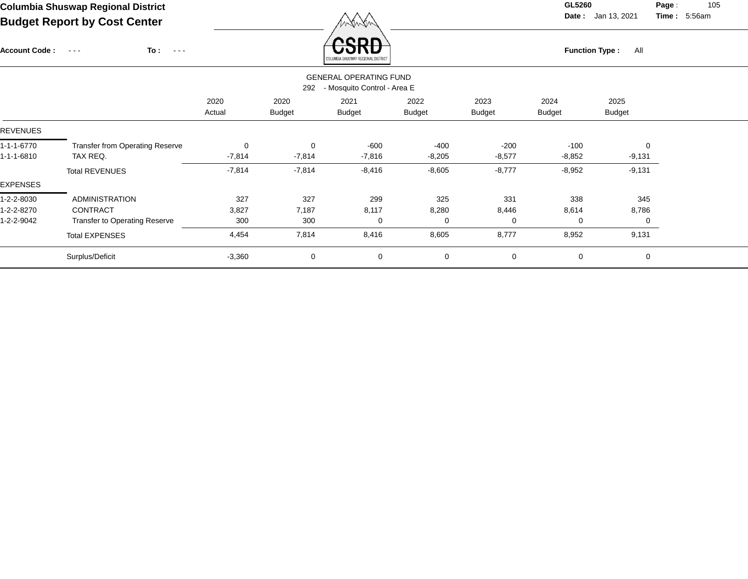Account Code : ---

**To :**

 $F_{\text{unction Type: All}}$ 

**Date :** Jan 13, 2021 **Time :**

**Page :** 105 5:56am

|                 |                                        |                |                       | COLUMBIA SHUSWAP REGIUNAL DISTRICT                           |                       |                       |                       |                       |  |
|-----------------|----------------------------------------|----------------|-----------------------|--------------------------------------------------------------|-----------------------|-----------------------|-----------------------|-----------------------|--|
|                 |                                        |                | 292                   | <b>GENERAL OPERATING FUND</b><br>- Mosquito Control - Area E |                       |                       |                       |                       |  |
|                 |                                        | 2020<br>Actual | 2020<br><b>Budget</b> | 2021<br><b>Budget</b>                                        | 2022<br><b>Budget</b> | 2023<br><b>Budget</b> | 2024<br><b>Budget</b> | 2025<br><b>Budget</b> |  |
| REVENUES        |                                        |                |                       |                                                              |                       |                       |                       |                       |  |
| 1-1-1-6770      | <b>Transfer from Operating Reserve</b> | $\mathbf 0$    | $\mathbf 0$           | $-600$                                                       | $-400$                | $-200$                | $-100$                | $\mathbf 0$           |  |
| -1-1-6810       | TAX REQ.                               | $-7,814$       | $-7,814$              | $-7,816$                                                     | $-8,205$              | $-8,577$              | $-8,852$              | $-9,131$              |  |
|                 | <b>Total REVENUES</b>                  | $-7,814$       | $-7,814$              | $-8,416$                                                     | $-8,605$              | $-8,777$              | $-8,952$              | $-9,131$              |  |
| <b>EXPENSES</b> |                                        |                |                       |                                                              |                       |                       |                       |                       |  |
| l-2-2-8030      | <b>ADMINISTRATION</b>                  | 327            | 327                   | 299                                                          | 325                   | 331                   | 338                   | 345                   |  |
| $-2 - 2 - 8270$ | <b>CONTRACT</b>                        | 3,827          | 7,187                 | 8,117                                                        | 8,280                 | 8,446                 | 8,614                 | 8,786                 |  |
| $-2 - 2 - 9042$ | <b>Transfer to Operating Reserve</b>   | 300            | 300                   | 0                                                            | $\Omega$              | 0                     | 0                     | 0                     |  |
|                 | <b>Total EXPENSES</b>                  | 4,454          | 7,814                 | 8,416                                                        | 8,605                 | 8,777                 | 8,952                 | 9,131                 |  |
|                 | Surplus/Deficit                        | $-3,360$       | 0                     | 0                                                            | 0                     | 0                     | $\mathbf 0$           | 0                     |  |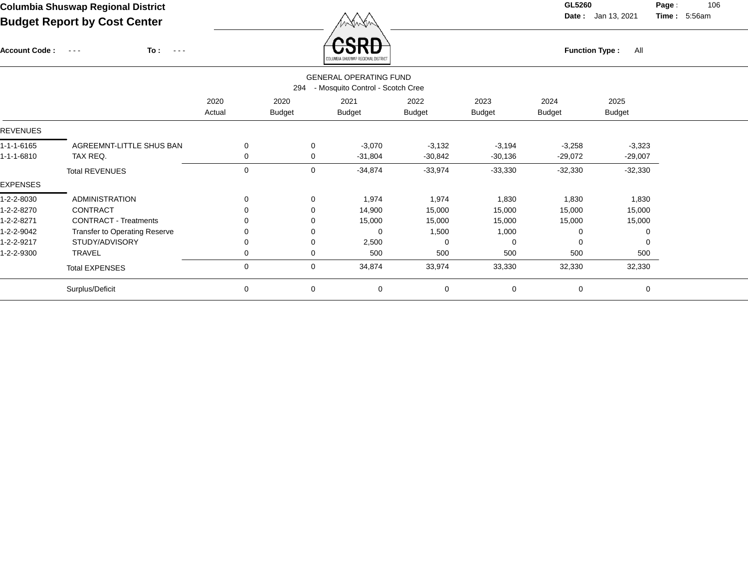Account Code : ---

**To :**

 $\overleftrightarrow{CSRD}$  Function Type : All

**Date :** Jan 13, 2021 **Time :**

**Page :** 106 5:56am

|                 |                                                                          |                |                       | <b>COLUMBIA SHRSWAF REGIONAL DISTRICT</b> |                       |                       |                       |                       |  |  |  |
|-----------------|--------------------------------------------------------------------------|----------------|-----------------------|-------------------------------------------|-----------------------|-----------------------|-----------------------|-----------------------|--|--|--|
|                 | <b>GENERAL OPERATING FUND</b><br>- Mosquito Control - Scotch Cree<br>294 |                |                       |                                           |                       |                       |                       |                       |  |  |  |
|                 |                                                                          | 2020<br>Actual | 2020<br><b>Budget</b> | 2021<br><b>Budget</b>                     | 2022<br><b>Budget</b> | 2023<br><b>Budget</b> | 2024<br><b>Budget</b> | 2025<br><b>Budget</b> |  |  |  |
| <b>REVENUES</b> |                                                                          |                |                       |                                           |                       |                       |                       |                       |  |  |  |
| 1-1-1-6165      | AGREEMNT-LITTLE SHUS BAN                                                 | 0              | 0                     | $-3,070$                                  | $-3,132$              | $-3,194$              | $-3,258$              | $-3,323$              |  |  |  |
| 1-1-1-6810      | TAX REQ.                                                                 | 0              | 0                     | $-31,804$                                 | $-30,842$             | $-30,136$             | $-29,072$             | $-29,007$             |  |  |  |
|                 | <b>Total REVENUES</b>                                                    | 0              | 0                     | $-34,874$                                 | $-33,974$             | $-33,330$             | $-32,330$             | $-32,330$             |  |  |  |
| <b>EXPENSES</b> |                                                                          |                |                       |                                           |                       |                       |                       |                       |  |  |  |
| 1-2-2-8030      | <b>ADMINISTRATION</b>                                                    | 0              | $\mathbf 0$           | 1,974                                     | 1,974                 | 1,830                 | 1,830                 | 1,830                 |  |  |  |
| 1-2-2-8270      | CONTRACT                                                                 | 0              | $\Omega$              | 14,900                                    | 15,000                | 15,000                | 15,000                | 15,000                |  |  |  |
| 1-2-2-8271      | <b>CONTRACT - Treatments</b>                                             | 0              | 0                     | 15,000                                    | 15,000                | 15,000                | 15,000                | 15,000                |  |  |  |
| 1-2-2-9042      | Transfer to Operating Reserve                                            | 0              | 0                     | 0                                         | 1,500                 | 1,000                 | 0                     | 0                     |  |  |  |
| 1-2-2-9217      | STUDY/ADVISORY                                                           | 0              | 0                     | 2,500                                     | $\Omega$              | 0                     | 0                     | $\Omega$              |  |  |  |
| 1-2-2-9300      | <b>TRAVEL</b>                                                            | 0              | 0                     | 500                                       | 500                   | 500                   | 500                   | 500                   |  |  |  |
|                 | <b>Total EXPENSES</b>                                                    | 0              | $\mathbf 0$           | 34,874                                    | 33,974                | 33,330                | 32,330                | 32,330                |  |  |  |
|                 | Surplus/Deficit                                                          | 0              | $\mathbf 0$           | 0                                         | $\mathbf 0$           | $\mathbf 0$           | 0                     | 0                     |  |  |  |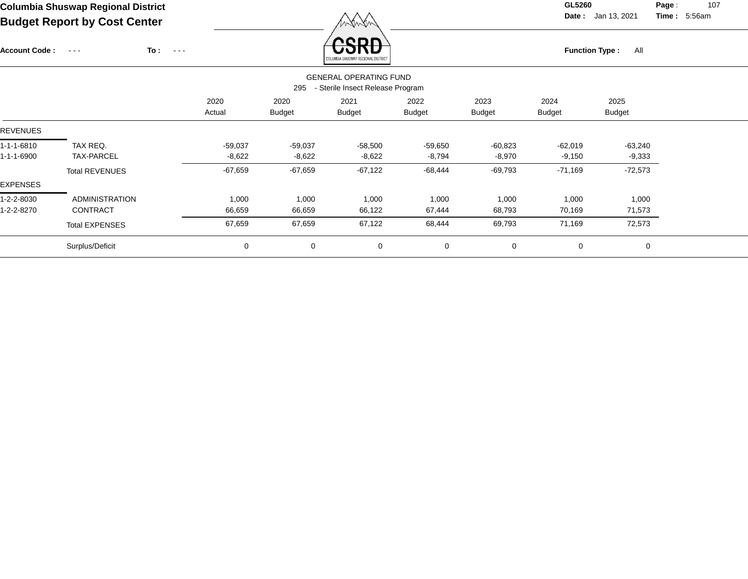Account Code : ---

**Function Type :** All

**Date :** Jan 13, 2021 **Time :**

**Page :** 107 5:56am

| Columbia Shuswap Regional District  |        | GL5260 |
|-------------------------------------|--------|--------|
| <b>Budget Report by Cost Center</b> | MAWAW. | Date:  |
|                                     |        |        |

**To :**

|                          |                                                                          |                       |                       | COLUMBIA SHUSWAP REGIONAL DISTRICT |                       |                       |                       |                       |  |
|--------------------------|--------------------------------------------------------------------------|-----------------------|-----------------------|------------------------------------|-----------------------|-----------------------|-----------------------|-----------------------|--|
|                          | <b>GENERAL OPERATING FUND</b><br>- Sterile Insect Release Program<br>295 |                       |                       |                                    |                       |                       |                       |                       |  |
|                          |                                                                          | 2020<br>Actual        | 2020<br><b>Budget</b> | 2021<br><b>Budget</b>              | 2022<br><b>Budget</b> | 2023<br><b>Budget</b> | 2024<br><b>Budget</b> | 2025<br><b>Budget</b> |  |
| <b>REVENUES</b>          |                                                                          |                       |                       |                                    |                       |                       |                       |                       |  |
| 1-1-1-6810<br>1-1-1-6900 | TAX REQ.<br>TAX-PARCEL                                                   | $-59,037$<br>$-8,622$ | $-59,037$<br>$-8,622$ | $-58,500$<br>$-8,622$              | $-59,650$<br>$-8,794$ | $-60,823$<br>$-8,970$ | -62,019<br>$-9,150$   | -63,240<br>$-9,333$   |  |
| <b>EXPENSES</b>          | <b>Total REVENUES</b>                                                    | $-67,659$             | $-67,659$             | $-67,122$                          | $-68,444$             | $-69,793$             | $-71,169$             | $-72,573$             |  |
| 1-2-2-8030<br>1-2-2-8270 | <b>ADMINISTRATION</b><br><b>CONTRACT</b>                                 | 1,000<br>66,659       | 1,000<br>66,659       | 1,000<br>66,122                    | 1,000<br>67,444       | 1,000<br>68,793       | 1,000<br>70,169       | 1,000<br>71,573       |  |
|                          | <b>Total EXPENSES</b>                                                    | 67,659                | 67,659                | 67,122                             | 68,444                | 69,793                | 71,169                | 72,573                |  |
|                          | Surplus/Deficit                                                          | 0                     | 0                     | $\mathbf 0$                        | 0                     | 0                     | 0                     | 0                     |  |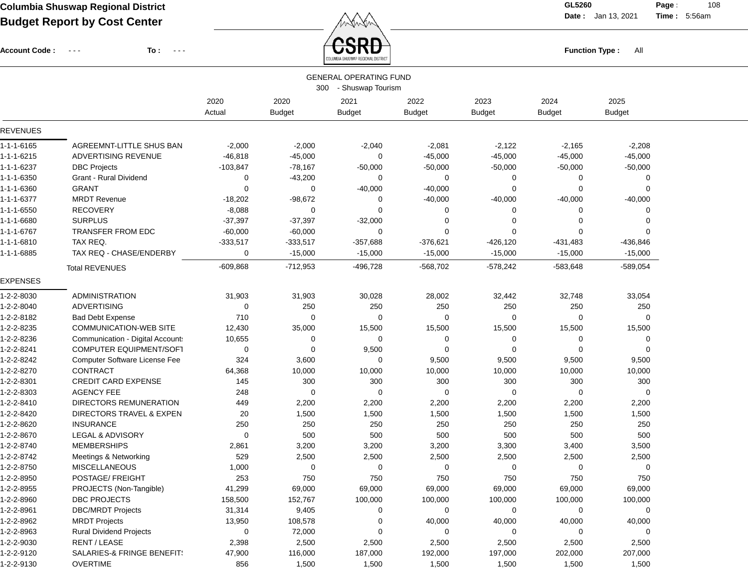**Date :** Jan 13, 2021 **Time :**

**Page :** 108 5:56am

Account Code : ---

**To :**



|                 | <b>GENERAL OPERATING FUND</b><br>300 - Shuswap Tourism |                |                       |                       |                       |                       |                       |                       |  |
|-----------------|--------------------------------------------------------|----------------|-----------------------|-----------------------|-----------------------|-----------------------|-----------------------|-----------------------|--|
|                 |                                                        | 2020<br>Actual | 2020<br><b>Budget</b> | 2021<br><b>Budget</b> | 2022<br><b>Budget</b> | 2023<br><b>Budget</b> | 2024<br><b>Budget</b> | 2025<br><b>Budget</b> |  |
| <b>REVENUES</b> |                                                        |                |                       |                       |                       |                       |                       |                       |  |
| 1-1-1-6165      | AGREEMNT-LITTLE SHUS BAN                               | $-2,000$       | $-2,000$              | $-2,040$              | $-2,081$              | $-2,122$              | $-2,165$              | $-2,208$              |  |
| 1-1-1-6215      | ADVERTISING REVENUE                                    | $-46,818$      | $-45,000$             | 0                     | $-45,000$             | $-45,000$             | $-45,000$             | $-45,000$             |  |
| 1-1-1-6237      | <b>DBC Projects</b>                                    | $-103,847$     | $-78,167$             | $-50,000$             | $-50,000$             | $-50,000$             | $-50,000$             | $-50,000$             |  |
| 1-1-1-6350      | Grant - Rural Dividend                                 | 0              | $-43,200$             | 0                     | 0                     | 0                     | 0                     | $\Omega$              |  |
| 1-1-1-6360      | <b>GRANT</b>                                           | 0              | 0                     | $-40,000$             | $-40,000$             | 0                     | $\Omega$              | $\Omega$              |  |
| 1-1-1-6377      | <b>MRDT Revenue</b>                                    | $-18,202$      | $-98,672$             | 0                     | $-40,000$             | $-40,000$             | $-40,000$             | $-40,000$             |  |
| 1-1-1-6550      | <b>RECOVERY</b>                                        | $-8,088$       | 0                     | 0                     | 0                     | 0                     | $\Omega$              |                       |  |
| 1-1-1-6680      | <b>SURPLUS</b>                                         | $-37,397$      | $-37,397$             | $-32,000$             | 0                     | 0                     | $\Omega$              | ∩                     |  |
| 1-1-1-6767      | TRANSFER FROM EDC                                      | $-60,000$      | $-60,000$             | 0                     | $\mathbf 0$           | $\Omega$              | $\Omega$              |                       |  |
| 1-1-1-6810      | TAX REQ.                                               | $-333,517$     | $-333,517$            | $-357,688$            | $-376,621$            | $-426,120$            | -431,483              | $-436,846$            |  |
| 1-1-1-6885      | TAX REQ - CHASE/ENDERBY                                | 0              | $-15,000$             | $-15,000$             | $-15,000$             | $-15,000$             | $-15,000$             | $-15,000$             |  |
|                 | <b>Total REVENUES</b>                                  | $-609,868$     | $-712,953$            | -496,728              | $-568,702$            | $-578,242$            | $-583,648$            | $-589,054$            |  |
| <b>EXPENSES</b> |                                                        |                |                       |                       |                       |                       |                       |                       |  |
| 1-2-2-8030      | <b>ADMINISTRATION</b>                                  | 31,903         | 31,903                | 30,028                | 28,002                | 32,442                | 32,748                | 33,054                |  |
| 1-2-2-8040      | <b>ADVERTISING</b>                                     | 0              | 250                   | 250                   | 250                   | 250                   | 250                   | 250                   |  |
| 1-2-2-8182      | <b>Bad Debt Expense</b>                                | 710            | 0                     | 0                     | 0                     | 0                     | $\Omega$              | $\Omega$              |  |
| 1-2-2-8235      | <b>COMMUNICATION-WEB SITE</b>                          | 12,430         | 35,000                | 15,500                | 15,500                | 15,500                | 15,500                | 15,500                |  |
| 1-2-2-8236      | Communication - Digital Account:                       | 10,655         | 0                     | 0                     | 0                     | 0                     | $\overline{0}$        | 0                     |  |
| 1-2-2-8241      | <b>COMPUTER EQUIPMENT/SOFT</b>                         | 0              | 0                     | 9,500                 | $\mathbf 0$           | $\Omega$              | $\Omega$              | $\Omega$              |  |
| 1-2-2-8242      | <b>Computer Software License Fee</b>                   | 324            | 3,600                 | 0                     | 9,500                 | 9,500                 | 9,500                 | 9,500                 |  |
| 1-2-2-8270      | <b>CONTRACT</b>                                        | 64,368         | 10,000                | 10,000                | 10,000                | 10,000                | 10,000                | 10,000                |  |
| 1-2-2-8301      | <b>CREDIT CARD EXPENSE</b>                             | 145            | 300                   | 300                   | 300                   | 300                   | 300                   | 300                   |  |
| 1-2-2-8303      | <b>AGENCY FEE</b>                                      | 248            | 0                     | 0                     | 0                     | 0                     | $\Omega$              |                       |  |
| 1-2-2-8410      | DIRECTORS REMUNERATION                                 | 449            | 2,200                 | 2,200                 | 2,200                 | 2,200                 | 2,200                 | 2,200                 |  |
| 1-2-2-8420      | DIRECTORS TRAVEL & EXPEN                               | 20             | 1,500                 | 1,500                 | 1,500                 | 1,500                 | 1,500                 | 1,500                 |  |
| 1-2-2-8620      | <b>INSURANCE</b>                                       | 250            | 250                   | 250                   | 250                   | 250                   | 250                   | 250                   |  |
| 1-2-2-8670      | LEGAL & ADVISORY                                       | 0              | 500                   | 500                   | 500                   | 500                   | 500                   | 500                   |  |
| 1-2-2-8740      | <b>MEMBERSHIPS</b>                                     | 2,861          | 3,200                 | 3,200                 | 3,200                 | 3,300                 | 3,400                 | 3,500                 |  |
| 1-2-2-8742      | Meetings & Networking                                  | 529            | 2,500                 | 2,500                 | 2,500                 | 2,500                 | 2,500                 | 2,500                 |  |
| 1-2-2-8750      | <b>MISCELLANEOUS</b>                                   | 1,000          | $\Omega$              | 0                     | 0                     | 0                     | $\Omega$              | $\Omega$              |  |
| 1-2-2-8950      | POSTAGE/ FREIGHT                                       | 253            | 750                   | 750                   | 750                   | 750                   | 750                   | 750                   |  |
| 1-2-2-8955      | PROJECTS (Non-Tangible)                                | 41,299         | 69,000                | 69,000                | 69,000                | 69,000                | 69,000                | 69,000                |  |
| 1-2-2-8960      | DBC PROJECTS                                           | 158,500        | 152,767               | 100,000               | 100,000               | 100,000               | 100,000               | 100,000               |  |
| 1-2-2-8961      | <b>DBC/MRDT Projects</b>                               | 31,314         | 9,405                 | 0                     | 0                     | 0                     | 0                     | 0                     |  |
| 1-2-2-8962      | <b>MRDT Projects</b>                                   | 13,950         | 108,578               | 0                     | 40,000                | 40,000                | 40,000                | 40,000                |  |
| 1-2-2-8963      | <b>Rural Dividend Projects</b>                         | $\mathbf 0$    | 72,000                | 0                     | 0                     | 0                     | 0                     | 0                     |  |
| 1-2-2-9030      | RENT / LEASE                                           | 2,398          | 2,500                 | 2,500                 | 2,500                 | 2,500                 | 2,500                 | 2,500                 |  |
| 1-2-2-9120      | SALARIES-& FRINGE BENEFIT!                             | 47,900         | 116,000               | 187,000               | 192,000               | 197,000               | 202,000               | 207,000               |  |
| 1-2-2-9130      | <b>OVERTIME</b>                                        | 856            | 1,500                 | 1,500                 | 1,500                 | 1,500                 | 1,500                 | 1,500                 |  |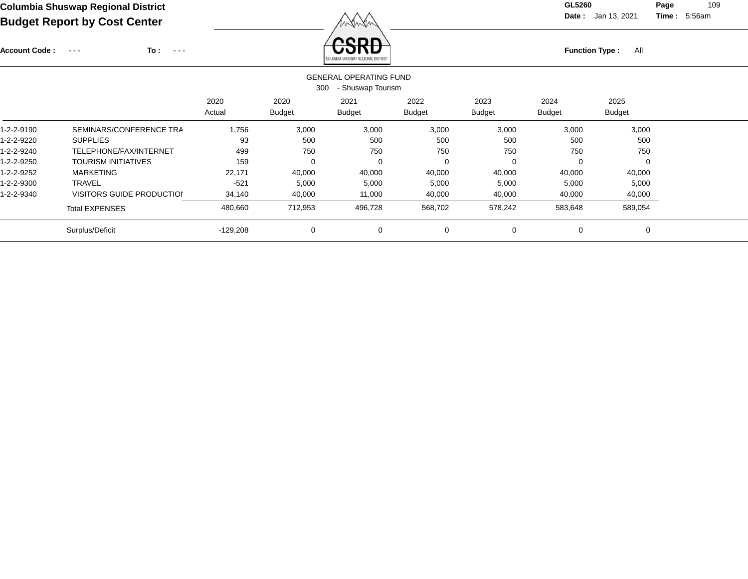Account Code : ---

**To :**

**Function Type :** All **Function Type** : All

**Date :** Jan 13, 2021 **Time :**

**Page :** 109 5:56am

|            |                            |            | 300           | <b>GENERAL OPERATING FUND</b><br>- Shuswap Tourism |             |               |             |               |  |
|------------|----------------------------|------------|---------------|----------------------------------------------------|-------------|---------------|-------------|---------------|--|
|            |                            | 2020       | 2020          | 2021                                               | 2022        | 2023          | 2024        | 2025          |  |
|            |                            | Actual     | <b>Budget</b> | <b>Budget</b>                                      | Budget      | <b>Budget</b> | Budget      | <b>Budget</b> |  |
| l-2-2-9190 | SEMINARS/CONFERENCE TRA    | 1,756      | 3,000         | 3,000                                              | 3,000       | 3,000         | 3,000       | 3,000         |  |
| -2-2-9220  | <b>SUPPLIES</b>            | 93         | 500           | 500                                                | 500         | 500           | 500         | 500           |  |
| -2-2-9240  | TELEPHONE/FAX/INTERNET     | 499        | 750           | 750                                                | 750         | 750           | 750         | 750           |  |
| -2-2-9250  | <b>TOURISM INITIATIVES</b> | 159        | 0             | 0                                                  | 0           | 0             | 0           | 0             |  |
| -2-2-9252  | <b>MARKETING</b>           | 22,171     | 40,000        | 40,000                                             | 40,000      | 40,000        | 40,000      | 40,000        |  |
| -2-2-9300  | <b>TRAVEL</b>              | $-521$     | 5,000         | 5,000                                              | 5,000       | 5,000         | 5,000       | 5,000         |  |
| -2-2-9340  | VISITORS GUIDE PRODUCTION  | 34,140     | 40,000        | 11,000                                             | 40,000      | 40,000        | 40,000      | 40,000        |  |
|            | <b>Total EXPENSES</b>      | 480,660    | 712,953       | 496,728                                            | 568,702     | 578,242       | 583,648     | 589,054       |  |
|            | Surplus/Deficit            | $-129,208$ | 0             | 0                                                  | $\mathbf 0$ | 0             | $\mathbf 0$ | 0             |  |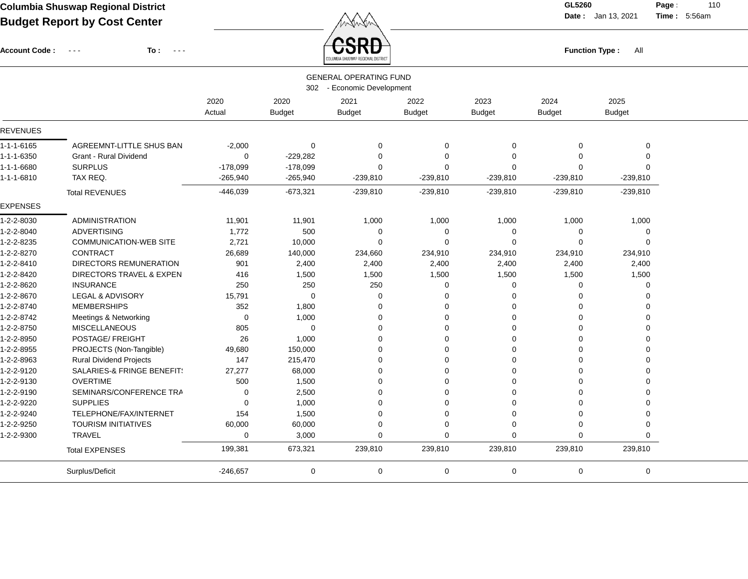Account Code : ---

**To :**

 $\overbrace{CSRD}$  Function Type : All

**Date :** Jan 13, 2021 **Time :**

**Page :** 110 5:56am

|                    |                                       |            |               | COLUMBIA SHUSWAP REGIONAL DISTRICT |               |               |               |               |  |
|--------------------|---------------------------------------|------------|---------------|------------------------------------|---------------|---------------|---------------|---------------|--|
|                    |                                       |            |               | <b>GENERAL OPERATING FUND</b>      |               |               |               |               |  |
|                    |                                       |            |               | 302 - Economic Development         |               |               |               |               |  |
|                    |                                       | 2020       | 2020          | 2021                               | 2022          | 2023          | 2024          | 2025          |  |
|                    |                                       | Actual     | <b>Budget</b> | <b>Budget</b>                      | <b>Budget</b> | <b>Budget</b> | <b>Budget</b> | <b>Budget</b> |  |
| <b>REVENUES</b>    |                                       |            |               |                                    |               |               |               |               |  |
| $1 - 1 - 1 - 6165$ | AGREEMNT-LITTLE SHUS BAN              | $-2,000$   | $\mathbf 0$   | $\mathbf 0$                        | 0             | $\mathbf 0$   | $\mathbf 0$   | $\mathbf 0$   |  |
| 1-1-1-6350         | <b>Grant - Rural Dividend</b>         | 0          | $-229,282$    | $\mathbf 0$                        | $\mathbf 0$   | $\mathbf 0$   | 0             | $\mathbf 0$   |  |
| 1-1-1-6680         | <b>SURPLUS</b>                        | $-178,099$ | $-178,099$    | $\Omega$                           | $\mathbf 0$   | $\mathbf 0$   | $\Omega$      | $\Omega$      |  |
| 1-1-1-6810         | TAX REQ.                              | $-265,940$ | $-265,940$    | $-239,810$                         | $-239,810$    | $-239,810$    | $-239,810$    | $-239,810$    |  |
|                    | <b>Total REVENUES</b>                 | $-446,039$ | $-673,321$    | $-239,810$                         | $-239,810$    | $-239,810$    | $-239,810$    | $-239,810$    |  |
| <b>EXPENSES</b>    |                                       |            |               |                                    |               |               |               |               |  |
| 1-2-2-8030         | <b>ADMINISTRATION</b>                 | 11,901     | 11,901        | 1,000                              | 1,000         | 1,000         | 1,000         | 1,000         |  |
| 1-2-2-8040         | <b>ADVERTISING</b>                    | 1,772      | 500           | $\mathbf 0$                        | $\mathbf 0$   | 0             | 0             | $\mathbf 0$   |  |
| 1-2-2-8235         | <b>COMMUNICATION-WEB SITE</b>         | 2,721      | 10,000        | $\Omega$                           | $\Omega$      | $\Omega$      | $\Omega$      | $\Omega$      |  |
| 1-2-2-8270         | <b>CONTRACT</b>                       | 26,689     | 140,000       | 234,660                            | 234,910       | 234,910       | 234,910       | 234,910       |  |
| 1-2-2-8410         | <b>DIRECTORS REMUNERATION</b>         | 901        | 2,400         | 2,400                              | 2,400         | 2,400         | 2,400         | 2,400         |  |
| 1-2-2-8420         | DIRECTORS TRAVEL & EXPEN              | 416        | 1,500         | 1,500                              | 1,500         | 1,500         | 1,500         | 1,500         |  |
| 1-2-2-8620         | <b>INSURANCE</b>                      | 250        | 250           | 250                                | 0             | 0             | 0             | $\mathbf 0$   |  |
| 1-2-2-8670         | LEGAL & ADVISORY                      | 15,791     | $\mathbf 0$   | 0                                  | 0             | 0             | 0             | $\mathbf 0$   |  |
| 1-2-2-8740         | <b>MEMBERSHIPS</b>                    | 352        | 1,800         | 0                                  | 0             | 0             | 0             | $\Omega$      |  |
| 1-2-2-8742         | Meetings & Networking                 | 0          | 1,000         | 0                                  | 0             | 0             | $\Omega$      | $\Omega$      |  |
| 1-2-2-8750         | <b>MISCELLANEOUS</b>                  | 805        | $\mathbf 0$   | $\Omega$                           | $\mathbf 0$   | $\Omega$      | $\Omega$      | $\Omega$      |  |
| 1-2-2-8950         | POSTAGE/ FREIGHT                      | 26         | 1,000         | $\Omega$                           | $\Omega$      | $\Omega$      | 0             | $\Omega$      |  |
| 1-2-2-8955         | PROJECTS (Non-Tangible)               | 49,680     | 150,000       | $\Omega$                           | $\Omega$      | $\Omega$      | $\Omega$      | $\Omega$      |  |
| 1-2-2-8963         | <b>Rural Dividend Projects</b>        | 147        | 215,470       | $\Omega$                           | $\Omega$      | $\Omega$      | $\Omega$      | $\Omega$      |  |
| 1-2-2-9120         | <b>SALARIES-&amp; FRINGE BENEFITS</b> | 27,277     | 68,000        | $\Omega$                           | $\Omega$      | $\Omega$      | $\Omega$      | $\Omega$      |  |
| 1-2-2-9130         | <b>OVERTIME</b>                       | 500        | 1,500         | $\Omega$                           | $\Omega$      | $\Omega$      | $\Omega$      | $\Omega$      |  |
| 1-2-2-9190         | SEMINARS/CONFERENCE TRA               | 0          | 2,500         | 0                                  | $\Omega$      | $\Omega$      | $\Omega$      | $\Omega$      |  |
| 1-2-2-9220         | <b>SUPPLIES</b>                       | 0          | 1,000         | $\Omega$                           | $\Omega$      | 0             | $\Omega$      | $\Omega$      |  |
| 1-2-2-9240         | TELEPHONE/FAX/INTERNET                | 154        | 1,500         | $\Omega$                           | 0             | $\mathbf 0$   | $\Omega$      | $\mathbf 0$   |  |
| 1-2-2-9250         | <b>TOURISM INITIATIVES</b>            | 60,000     | 60,000        | $\Omega$                           | 0             | $\mathbf 0$   | $\Omega$      | $\Omega$      |  |
| 1-2-2-9300         | TRAVEL                                | 0          | 3,000         | $\mathbf 0$                        | $\mathbf 0$   | $\Omega$      | 0             | $\mathbf 0$   |  |
|                    | <b>Total EXPENSES</b>                 | 199,381    | 673,321       | 239,810                            | 239,810       | 239,810       | 239,810       | 239,810       |  |
|                    | Surplus/Deficit                       | $-246,657$ | $\mathbf 0$   | $\mathbf 0$                        | 0             | $\mathbf 0$   | 0             | $\mathbf 0$   |  |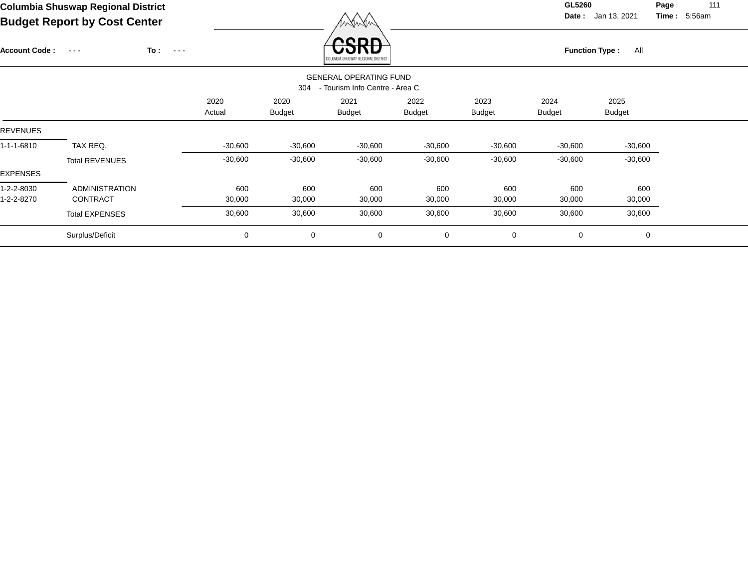**Date :** Jan 13, 2021 **Time :**

**Page :** 111 5:56am

| $\tilde{\phantom{a}}$<br>. . |                       |                             |           |               | , , , , ,                                |               |               |                       |               |  |
|------------------------------|-----------------------|-----------------------------|-----------|---------------|------------------------------------------|---------------|---------------|-----------------------|---------------|--|
| <b>Account Code:</b>         | $\sim$ $\sim$ $\sim$  | To:<br>$\sim$ $\sim$ $\sim$ |           |               | reon<br>LUMBIA SHUSWAP REGIONAL DISTRICT |               |               | <b>Function Type:</b> | All           |  |
|                              |                       |                             |           |               | <b>GENERAL OPERATING FUND</b>            |               |               |                       |               |  |
|                              |                       |                             |           | 304           | - Tourism Info Centre - Area C           |               |               |                       |               |  |
|                              |                       |                             | 2020      | 2020          | 2021                                     | 2022          | 2023          | 2024                  | 2025          |  |
|                              |                       |                             | Actual    | <b>Budget</b> | <b>Budget</b>                            | <b>Budget</b> | <b>Budget</b> | <b>Budget</b>         | <b>Budget</b> |  |
| <b>REVENUES</b>              |                       |                             |           |               |                                          |               |               |                       |               |  |
| 1-1-1-6810                   | TAX REQ.              |                             | $-30,600$ | $-30,600$     | $-30,600$                                | $-30,600$     | $-30,600$     | $-30,600$             | $-30,600$     |  |
|                              | <b>Total REVENUES</b> |                             | $-30,600$ | $-30,600$     | $-30,600$                                | $-30,600$     | $-30,600$     | $-30,600$             | $-30,600$     |  |
| EXPENSES                     |                       |                             |           |               |                                          |               |               |                       |               |  |
| 1-2-2-8030                   | <b>ADMINISTRATION</b> |                             | 600       | 600           | 600                                      | 600           | 600           | 600                   | 600           |  |
| 1-2-2-8270                   | CONTRACT              |                             | 30,000    | 30,000        | 30,000                                   | 30,000        | 30,000        | 30,000                | 30,000        |  |
|                              | <b>Total EXPENSES</b> |                             | 30,600    | 30,600        | 30,600                                   | 30,600        | 30,600        | 30,600                | 30,600        |  |
|                              | Surplus/Deficit       |                             | 0         | $\mathbf 0$   | 0                                        | 0             | 0             | 0                     | $\mathbf 0$   |  |
|                              |                       |                             |           |               |                                          |               |               |                       |               |  |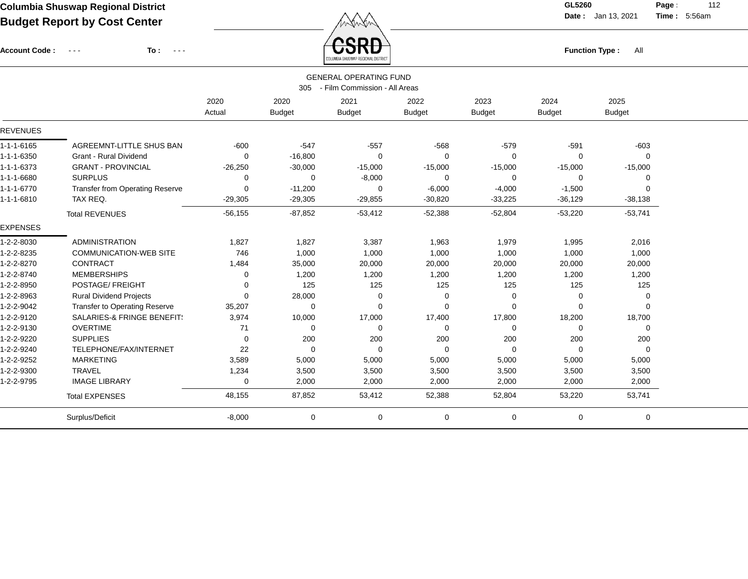Account Code : ---

**To :**

 $\overleftrightarrow{CSRD}$  Function Type : All

**Date :** Jan 13, 2021 **Time :**

**Page :** 112 5:56am

|                    |                                        |                |               | <b>GENERAL OPERATING FUND</b>     |               |               |                |               |  |
|--------------------|----------------------------------------|----------------|---------------|-----------------------------------|---------------|---------------|----------------|---------------|--|
|                    |                                        |                |               | 305 - Film Commission - All Areas |               |               |                |               |  |
|                    |                                        | 2020<br>Actual | 2020          | 2021                              | 2022          | 2023          | 2024           | 2025          |  |
|                    |                                        |                | <b>Budget</b> | <b>Budget</b>                     | <b>Budget</b> | <b>Budget</b> | <b>Budget</b>  | <b>Budget</b> |  |
| <b>REVENUES</b>    |                                        |                |               |                                   |               |               |                |               |  |
| 1-1-1-6165         | AGREEMNT-LITTLE SHUS BAN               | $-600$         | $-547$        | $-557$                            | $-568$        | $-579$        | $-591$         | $-603$        |  |
| 1-1-1-6350         | Grant - Rural Dividend                 | $\Omega$       | $-16,800$     | $\Omega$                          | $\mathbf 0$   | $\Omega$      | $\Omega$       | $\Omega$      |  |
| 1-1-1-6373         | <b>GRANT - PROVINCIAL</b>              | $-26,250$      | $-30,000$     | $-15,000$                         | $-15,000$     | $-15,000$     | $-15,000$      | $-15,000$     |  |
| 1-1-1-6680         | <b>SURPLUS</b>                         | 0              | 0             | $-8,000$                          | 0             | 0             | 0              | 0             |  |
| $1 - 1 - 1 - 6770$ | <b>Transfer from Operating Reserve</b> | $\mathbf 0$    | $-11,200$     | 0                                 | $-6,000$      | $-4,000$      | $-1,500$       | 0             |  |
| 1-1-1-6810         | TAX REQ.                               | $-29,305$      | $-29,305$     | $-29,855$                         | $-30,820$     | $-33,225$     | $-36,129$      | $-38,138$     |  |
|                    | <b>Total REVENUES</b>                  | $-56, 155$     | $-87,852$     | $-53,412$                         | $-52,388$     | $-52,804$     | $-53,220$      | $-53,741$     |  |
| <b>EXPENSES</b>    |                                        |                |               |                                   |               |               |                |               |  |
| 1-2-2-8030         | ADMINISTRATION                         | 1,827          | 1,827         | 3,387                             | 1,963         | 1,979         | 1,995          | 2,016         |  |
| 1-2-2-8235         | <b>COMMUNICATION-WEB SITE</b>          | 746            | 1,000         | 1,000                             | 1,000         | 1,000         | 1,000          | 1,000         |  |
| 1-2-2-8270         | <b>CONTRACT</b>                        | 1,484          | 35,000        | 20,000                            | 20,000        | 20,000        | 20,000         | 20,000        |  |
| 1-2-2-8740         | <b>MEMBERSHIPS</b>                     | 0              | 1,200         | 1,200                             | 1,200         | 1,200         | 1,200          | 1,200         |  |
| 1-2-2-8950         | POSTAGE/ FREIGHT                       | 0              | 125           | 125                               | 125           | 125           | 125            | 125           |  |
| 1-2-2-8963         | <b>Rural Dividend Projects</b>         | $\mathbf 0$    | 28,000        | 0                                 | 0             | 0             | 0              | 0             |  |
| 1-2-2-9042         | <b>Transfer to Operating Reserve</b>   | 35,207         | 0             | $\Omega$                          | 0             | $\Omega$      | $\Omega$       | $\Omega$      |  |
| 1-2-2-9120         | SALARIES-& FRINGE BENEFIT!             | 3,974          | 10,000        | 17,000                            | 17,400        | 17,800        | 18,200         | 18,700        |  |
| 1-2-2-9130         | <b>OVERTIME</b>                        | 71             | 0             | 0                                 | 0             | $\mathbf 0$   | $\mathbf 0$    | 0             |  |
| 1-2-2-9220         | <b>SUPPLIES</b>                        | 0              | 200           | 200                               | 200           | 200           | 200            | 200           |  |
| 1-2-2-9240         | TELEPHONE/FAX/INTERNET                 | 22             | $\mathbf 0$   | $\mathbf 0$                       | $\mathbf 0$   | 0             | $\overline{0}$ | 0             |  |
| 1-2-2-9252         | <b>MARKETING</b>                       | 3,589          | 5,000         | 5,000                             | 5,000         | 5,000         | 5,000          | 5,000         |  |
| 1-2-2-9300         | <b>TRAVEL</b>                          | 1,234          | 3,500         | 3,500                             | 3,500         | 3,500         | 3,500          | 3,500         |  |
| 1-2-2-9795         | <b>IMAGE LIBRARY</b>                   | 0              | 2,000         | 2,000                             | 2,000         | 2,000         | 2,000          | 2,000         |  |
|                    | <b>Total EXPENSES</b>                  | 48,155         | 87,852        | 53,412                            | 52,388        | 52,804        | 53,220         | 53,741        |  |
|                    | Surplus/Deficit                        | $-8,000$       | 0             | 0                                 | 0             | 0             | 0              | 0             |  |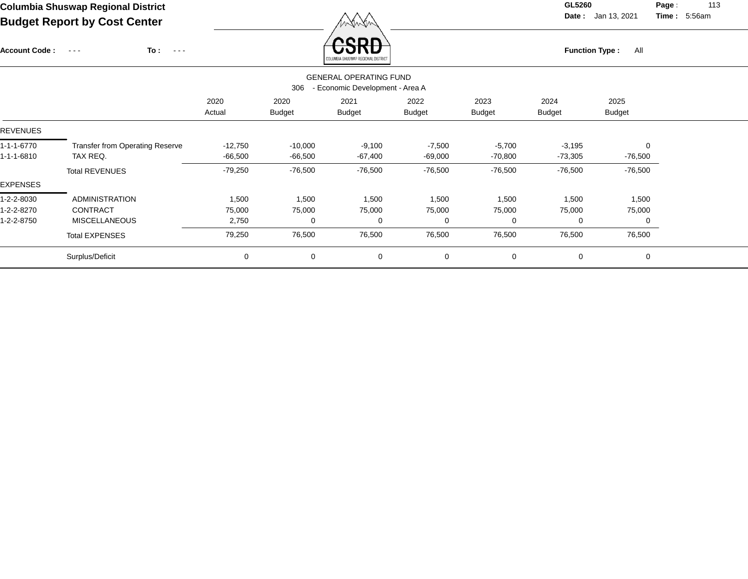Account Code : ---

**To :**

 $\overleftrightarrow{CSRD}$  Function Type : All

**Date :** Jan 13, 2021 **Time :**

**Page :** 113 5:56am

|                 |                                        |                |                       | ANTAMBIN SURSMAL URSINIMIT NISTURI                               |                       |                       |                       |                       |  |
|-----------------|----------------------------------------|----------------|-----------------------|------------------------------------------------------------------|-----------------------|-----------------------|-----------------------|-----------------------|--|
|                 |                                        |                | 306                   | <b>GENERAL OPERATING FUND</b><br>- Economic Development - Area A |                       |                       |                       |                       |  |
|                 |                                        | 2020<br>Actual | 2020<br><b>Budget</b> | 2021<br><b>Budget</b>                                            | 2022<br><b>Budget</b> | 2023<br><b>Budget</b> | 2024<br><b>Budget</b> | 2025<br><b>Budget</b> |  |
| <b>REVENUES</b> |                                        |                |                       |                                                                  |                       |                       |                       |                       |  |
| 1-1-1-6770      | <b>Transfer from Operating Reserve</b> | $-12,750$      | $-10,000$             | $-9,100$                                                         | $-7,500$              | $-5,700$              | $-3,195$              | $\Omega$              |  |
| 1-1-1-6810      | TAX REQ.                               | -66,500        | $-66,500$             | -67,400                                                          | $-69,000$             | $-70,800$             | -73,305               | $-76,500$             |  |
|                 | <b>Total REVENUES</b>                  | $-79,250$      | $-76,500$             | $-76,500$                                                        | $-76,500$             | $-76,500$             | $-76,500$             | $-76,500$             |  |
| EXPENSES        |                                        |                |                       |                                                                  |                       |                       |                       |                       |  |
| 1-2-2-8030      | <b>ADMINISTRATION</b>                  | 1,500          | 1,500                 | 1,500                                                            | 1,500                 | 1,500                 | 1,500                 | 1,500                 |  |
| 1-2-2-8270      | CONTRACT                               | 75,000         | 75,000                | 75,000                                                           | 75,000                | 75,000                | 75,000                | 75,000                |  |
| 1-2-2-8750      | <b>MISCELLANEOUS</b>                   | 2,750          | 0                     | 0                                                                | $\Omega$              | $\Omega$              | 0                     | 0                     |  |
|                 | <b>Total EXPENSES</b>                  | 79,250         | 76,500                | 76,500                                                           | 76,500                | 76,500                | 76,500                | 76,500                |  |
|                 | Surplus/Deficit                        | 0              | $\mathbf 0$           | 0                                                                | $\mathbf 0$           | $\mathbf 0$           | 0                     | $\mathbf 0$           |  |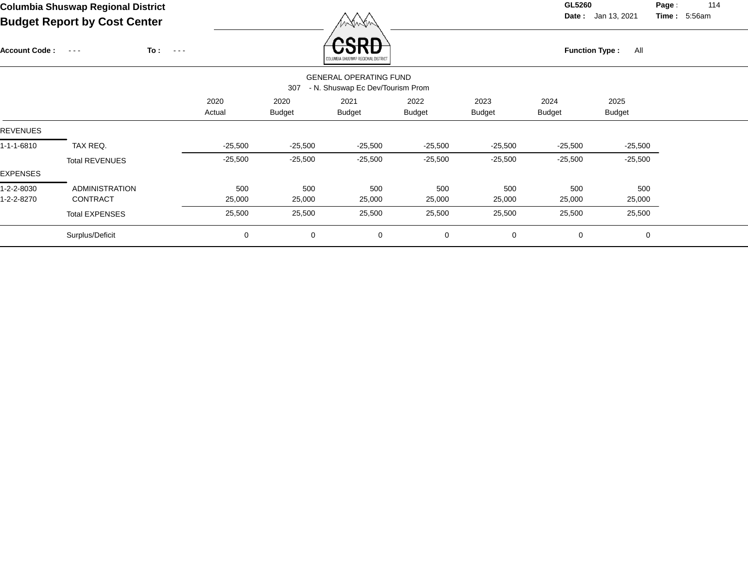**Date :** Jan 13, 2021 **Time :**

**Page :** 114 5:56am

| CSRE<br>To:<br>All<br><b>Account Code:</b><br><b>Function Type:</b><br>$\sim$ $ -$<br>$\sim$ $\sim$ $\sim$<br>OLUMBIA SHUSWAP REGIONAL DISTRICT<br><b>GENERAL OPERATING FUND</b><br>- N. Shuswap Ec Dev/Tourism Prom<br>307<br>2020<br>2020<br>2022<br>2023<br>2024<br>2025<br>2021<br><b>Budget</b><br><b>Budget</b><br><b>Budget</b><br><b>Budget</b><br><b>Budget</b><br><b>Budget</b><br>Actual |  |
|-----------------------------------------------------------------------------------------------------------------------------------------------------------------------------------------------------------------------------------------------------------------------------------------------------------------------------------------------------------------------------------------------------|--|
| <b>REVENUES</b>                                                                                                                                                                                                                                                                                                                                                                                     |  |
|                                                                                                                                                                                                                                                                                                                                                                                                     |  |
|                                                                                                                                                                                                                                                                                                                                                                                                     |  |
|                                                                                                                                                                                                                                                                                                                                                                                                     |  |
| 1-1-1-6810<br>TAX REQ.<br>$-25,500$<br>$-25,500$<br>$-25,500$<br>$-25,500$<br>$-25,500$<br>$-25,500$<br>$-25,500$                                                                                                                                                                                                                                                                                   |  |
| $-25,500$<br>$-25,500$<br>$-25,500$<br>$-25,500$<br>$-25,500$<br>$-25,500$<br>$-25,500$<br><b>Total REVENUES</b>                                                                                                                                                                                                                                                                                    |  |
| EXPENSES                                                                                                                                                                                                                                                                                                                                                                                            |  |
| 500<br><b>ADMINISTRATION</b><br>500<br>500<br>500<br>1-2-2-8030<br>500<br>500<br>500                                                                                                                                                                                                                                                                                                                |  |
| 1-2-2-8270<br><b>CONTRACT</b><br>25,000<br>25,000<br>25,000<br>25,000<br>25,000<br>25,000<br>25,000                                                                                                                                                                                                                                                                                                 |  |
| 25,500<br>25,500<br>25,500<br>25,500<br>25,500<br>25,500<br>25,500<br><b>Total EXPENSES</b>                                                                                                                                                                                                                                                                                                         |  |
| Surplus/Deficit<br>$\mathbf 0$<br>0<br>0<br>0<br>0<br>0<br>0                                                                                                                                                                                                                                                                                                                                        |  |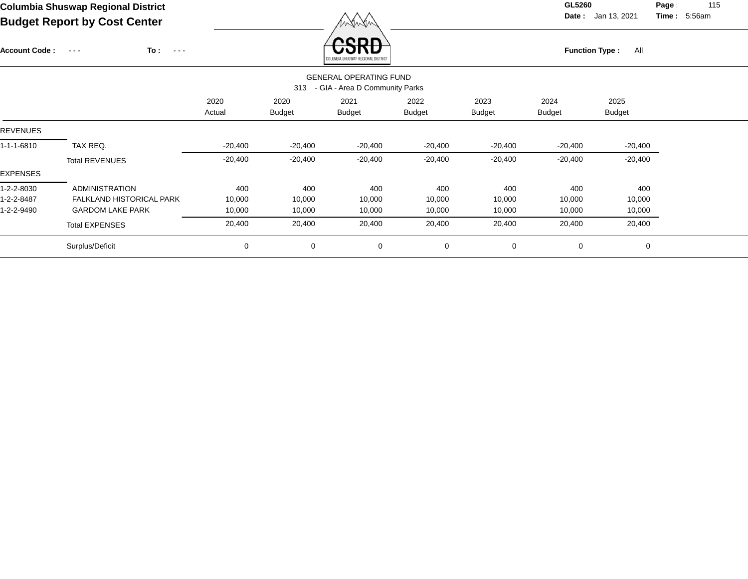**Date :** Jan 13, 2021 **Time : Page :** 115 5:56am

| <b>Account Code:</b> | To :<br>$\sim$ $  -$<br>$\sim$ $\sim$ $\sim$ |                |                       | reon<br>OLUMBIA SHUSWAP REGIONAL DISTRICT                       |                       |                       | <b>Function Type:</b> | All                   |  |
|----------------------|----------------------------------------------|----------------|-----------------------|-----------------------------------------------------------------|-----------------------|-----------------------|-----------------------|-----------------------|--|
|                      |                                              |                | 313                   | <b>GENERAL OPERATING FUND</b><br>- GIA - Area D Community Parks |                       |                       |                       |                       |  |
|                      |                                              | 2020<br>Actual | 2020<br><b>Budget</b> | 2021<br><b>Budget</b>                                           | 2022<br><b>Budget</b> | 2023<br><b>Budget</b> | 2024<br>Budget        | 2025<br><b>Budget</b> |  |
| <b>REVENUES</b>      |                                              |                |                       |                                                                 |                       |                       |                       |                       |  |
| 1-1-1-6810           | TAX REQ.                                     | $-20,400$      | $-20,400$             | $-20,400$                                                       | $-20,400$             | $-20,400$             | -20,400               | $-20,400$             |  |
|                      | <b>Total REVENUES</b>                        | $-20,400$      | $-20,400$             | $-20,400$                                                       | $-20,400$             | $-20,400$             | $-20,400$             | $-20,400$             |  |
| EXPENSES             |                                              |                |                       |                                                                 |                       |                       |                       |                       |  |
| 1-2-2-8030           | <b>ADMINISTRATION</b>                        | 400            | 400                   | 400                                                             | 400                   | 400                   | 400                   | 400                   |  |
| 1-2-2-8487           | FALKLAND HISTORICAL PARK                     | 10,000         | 10,000                | 10,000                                                          | 10,000                | 10,000                | 10,000                | 10,000                |  |
| 1-2-2-9490           | <b>GARDOM LAKE PARK</b>                      | 10,000         | 10,000                | 10,000                                                          | 10,000                | 10,000                | 10,000                | 10,000                |  |
|                      | <b>Total EXPENSES</b>                        | 20,400         | 20,400                | 20,400                                                          | 20,400                | 20,400                | 20,400                | 20,400                |  |
|                      | Surplus/Deficit                              | 0              | $\mathbf 0$           | 0                                                               | 0                     | 0                     | 0                     | 0                     |  |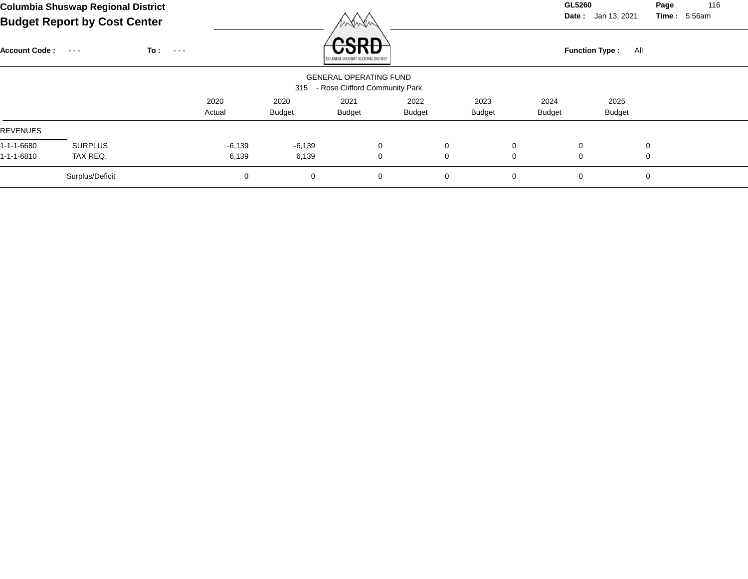**Date :** Jan 13, 2021 **Time :**

**Page :** 116 5:56am

| <b>Account Code:</b> | $\sim$ $\sim$ $\sim$ | To :<br>$\sim$ $\sim$ $\sim$ |          |               | nenn<br>COLUMBIA SHUSWAP REGIONAL DISTRICT                          |        |               |               |   | <b>Function Type:</b><br>All |          |  |
|----------------------|----------------------|------------------------------|----------|---------------|---------------------------------------------------------------------|--------|---------------|---------------|---|------------------------------|----------|--|
|                      |                      |                              |          |               | <b>GENERAL OPERATING FUND</b><br>315 - Rose Clifford Community Park |        |               |               |   |                              |          |  |
|                      |                      |                              | 2020     | 2020          | 2021                                                                | 2022   | 2023          | 2024          |   | 2025                         |          |  |
|                      |                      |                              | Actual   | <b>Budget</b> | <b>Budget</b>                                                       | Budget | <b>Budget</b> | <b>Budget</b> |   | <b>Budget</b>                |          |  |
| REVENUES             |                      |                              |          |               |                                                                     |        |               |               |   |                              |          |  |
| 1-1-1-6680           | <b>SURPLUS</b>       |                              | $-6,139$ | $-6,139$      | 0                                                                   |        | $\mathbf 0$   | 0             | 0 |                              | $\Omega$ |  |
| 1-1-1-6810           | TAX REQ.             |                              | 6,139    | 6,139         | 0                                                                   |        | 0             | $\mathbf 0$   | 0 |                              | 0        |  |
|                      | Surplus/Deficit      |                              | 0        | 0             | 0                                                                   |        | 0             | $\mathbf 0$   | 0 |                              | $\Omega$ |  |

Winter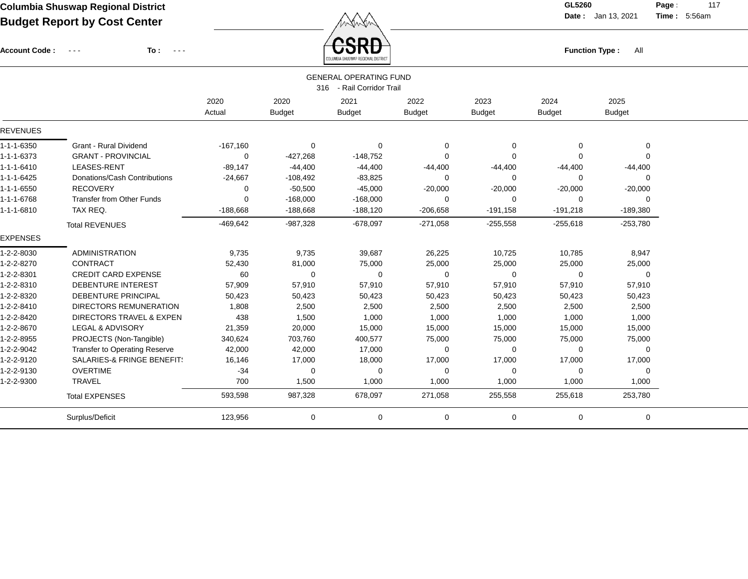$\overbrace{CSRD}$  Function Type : All

**Date :** Jan 13, 2021 **Time :**

**Page :** 117 5:56am

| Account Code:   | To:<br>$\sim$ $\sim$ $\sim$<br>$\frac{1}{2} \frac{1}{2} \frac{1}{2} \frac{1}{2} \frac{1}{2} \frac{1}{2} \frac{1}{2} \frac{1}{2} \frac{1}{2} \frac{1}{2} \frac{1}{2} \frac{1}{2} \frac{1}{2} \frac{1}{2} \frac{1}{2} \frac{1}{2} \frac{1}{2} \frac{1}{2} \frac{1}{2} \frac{1}{2} \frac{1}{2} \frac{1}{2} \frac{1}{2} \frac{1}{2} \frac{1}{2} \frac{1}{2} \frac{1}{2} \frac{1}{2} \frac{1}{2} \frac{1}{2} \frac{1}{2} \frac{$ |            |               | JOND                          |               |               | <b>Function Type:</b> | All           |  |
|-----------------|-----------------------------------------------------------------------------------------------------------------------------------------------------------------------------------------------------------------------------------------------------------------------------------------------------------------------------------------------------------------------------------------------------------------------------|------------|---------------|-------------------------------|---------------|---------------|-----------------------|---------------|--|
|                 |                                                                                                                                                                                                                                                                                                                                                                                                                             |            |               | <b>GENERAL OPERATING FUND</b> |               |               |                       |               |  |
|                 |                                                                                                                                                                                                                                                                                                                                                                                                                             |            |               | 316 - Rail Corridor Trail     |               |               |                       |               |  |
|                 |                                                                                                                                                                                                                                                                                                                                                                                                                             | 2020       | 2020          | 2021                          | 2022          | 2023          | 2024                  | 2025          |  |
|                 |                                                                                                                                                                                                                                                                                                                                                                                                                             | Actual     | <b>Budget</b> | <b>Budget</b>                 | <b>Budget</b> | <b>Budget</b> | <b>Budget</b>         | <b>Budget</b> |  |
| <b>REVENUES</b> |                                                                                                                                                                                                                                                                                                                                                                                                                             |            |               |                               |               |               |                       |               |  |
| 1-1-1-6350      | Grant - Rural Dividend                                                                                                                                                                                                                                                                                                                                                                                                      | $-167,160$ | 0             | $\Omega$                      | 0             | 0             | 0                     | 0             |  |
| 1-1-1-6373      | <b>GRANT - PROVINCIAL</b>                                                                                                                                                                                                                                                                                                                                                                                                   | 0          | $-427,268$    | $-148,752$                    | 0             | $\mathbf 0$   | $\Omega$              | $\mathbf 0$   |  |
| 1-1-1-6410      | LEASES-RENT                                                                                                                                                                                                                                                                                                                                                                                                                 | $-89,147$  | $-44,400$     | $-44,400$                     | $-44,400$     | $-44,400$     | $-44,400$             | $-44,400$     |  |
| 1-1-1-6425      | Donations/Cash Contributions                                                                                                                                                                                                                                                                                                                                                                                                | $-24,667$  | $-108,492$    | $-83,825$                     | 0             | 0             | $\Omega$              | 0             |  |
| 1-1-1-6550      | <b>RECOVERY</b>                                                                                                                                                                                                                                                                                                                                                                                                             | 0          | $-50,500$     | $-45,000$                     | $-20,000$     | $-20,000$     | $-20,000$             | $-20,000$     |  |
| 1-1-1-6768      | <b>Transfer from Other Funds</b>                                                                                                                                                                                                                                                                                                                                                                                            | 0          | $-168,000$    | $-168,000$                    | 0             | 0             | 0                     | 0             |  |
| 1-1-1-6810      | TAX REQ.                                                                                                                                                                                                                                                                                                                                                                                                                    | $-188,668$ | $-188,668$    | $-188,120$                    | $-206,658$    | $-191,158$    | $-191,218$            | $-189,380$    |  |
|                 | <b>Total REVENUES</b>                                                                                                                                                                                                                                                                                                                                                                                                       | $-469,642$ | $-987,328$    | $-678,097$                    | $-271,058$    | $-255,558$    | $-255,618$            | $-253,780$    |  |
| <b>EXPENSES</b> |                                                                                                                                                                                                                                                                                                                                                                                                                             |            |               |                               |               |               |                       |               |  |
| 1-2-2-8030      | <b>ADMINISTRATION</b>                                                                                                                                                                                                                                                                                                                                                                                                       | 9,735      | 9,735         | 39,687                        | 26,225        | 10,725        | 10,785                | 8,947         |  |
| 1-2-2-8270      | CONTRACT                                                                                                                                                                                                                                                                                                                                                                                                                    | 52,430     | 81,000        | 75,000                        | 25,000        | 25,000        | 25,000                | 25,000        |  |
| 1-2-2-8301      | <b>CREDIT CARD EXPENSE</b>                                                                                                                                                                                                                                                                                                                                                                                                  | 60         | $\Omega$      | $\Omega$                      | $\Omega$      | 0             | $\Omega$              | 0             |  |
| 1-2-2-8310      | <b>DEBENTURE INTEREST</b>                                                                                                                                                                                                                                                                                                                                                                                                   | 57,909     | 57,910        | 57,910                        | 57,910        | 57,910        | 57,910                | 57,910        |  |
| 1-2-2-8320      | DEBENTURE PRINCIPAL                                                                                                                                                                                                                                                                                                                                                                                                         | 50,423     | 50,423        | 50,423                        | 50,423        | 50,423        | 50,423                | 50,423        |  |
| 1-2-2-8410      | <b>DIRECTORS REMUNERATION</b>                                                                                                                                                                                                                                                                                                                                                                                               | 1,808      | 2,500         | 2,500                         | 2,500         | 2,500         | 2,500                 | 2,500         |  |
| 1-2-2-8420      | <b>DIRECTORS TRAVEL &amp; EXPEN</b>                                                                                                                                                                                                                                                                                                                                                                                         | 438        | 1,500         | 1,000                         | 1,000         | 1,000         | 1,000                 | 1,000         |  |
| 1-2-2-8670      | LEGAL & ADVISORY                                                                                                                                                                                                                                                                                                                                                                                                            | 21,359     | 20,000        | 15,000                        | 15,000        | 15,000        | 15,000                | 15,000        |  |
| 1-2-2-8955      | PROJECTS (Non-Tangible)                                                                                                                                                                                                                                                                                                                                                                                                     | 340,624    | 703,760       | 400,577                       | 75,000        | 75,000        | 75,000                | 75,000        |  |
| 1-2-2-9042      | Transfer to Operating Reserve                                                                                                                                                                                                                                                                                                                                                                                               | 42,000     | 42,000        | 17,000                        | 0             | 0             | $\Omega$              | 0             |  |
| 1-2-2-9120      | SALARIES-& FRINGE BENEFIT!                                                                                                                                                                                                                                                                                                                                                                                                  | 16,146     | 17,000        | 18,000                        | 17,000        | 17,000        | 17,000                | 17,000        |  |
| 1-2-2-9130      | <b>OVERTIME</b>                                                                                                                                                                                                                                                                                                                                                                                                             | $-34$      | 0             | $\Omega$                      | $\Omega$      | 0             | $\Omega$              | 0             |  |
| 1-2-2-9300      | <b>TRAVEL</b>                                                                                                                                                                                                                                                                                                                                                                                                               | 700        | 1,500         | 1,000                         | 1,000         | 1,000         | 1,000                 | 1,000         |  |
|                 | <b>Total EXPENSES</b>                                                                                                                                                                                                                                                                                                                                                                                                       | 593,598    | 987,328       | 678,097                       | 271,058       | 255,558       | 255,618               | 253,780       |  |
|                 | Surplus/Deficit                                                                                                                                                                                                                                                                                                                                                                                                             | 123,956    | 0             | 0                             | 0             | 0             | 0                     | $\pmb{0}$     |  |
|                 |                                                                                                                                                                                                                                                                                                                                                                                                                             |            |               |                               |               |               |                       |               |  |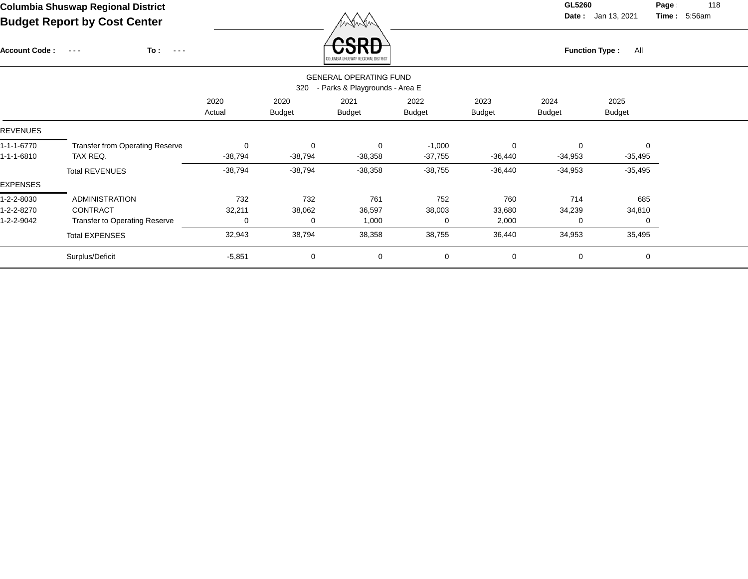Account Code : ---

**To :**

 $\overleftrightarrow{CSRD}$  Function Type : All

**Date :** Jan 13, 2021 **Time :**

**Page :** 118 5:56am

|                 |                                        |                |                       | AND NIGHT OLIVOTANL UPSICIAL RIGHTING                           |                       |                       |                       |                       |  |
|-----------------|----------------------------------------|----------------|-----------------------|-----------------------------------------------------------------|-----------------------|-----------------------|-----------------------|-----------------------|--|
|                 |                                        |                | 320                   | <b>GENERAL OPERATING FUND</b><br>- Parks & Playgrounds - Area E |                       |                       |                       |                       |  |
|                 |                                        | 2020<br>Actual | 2020<br><b>Budget</b> | 2021<br><b>Budget</b>                                           | 2022<br><b>Budget</b> | 2023<br><b>Budget</b> | 2024<br><b>Budget</b> | 2025<br><b>Budget</b> |  |
| <b>REVENUES</b> |                                        |                |                       |                                                                 |                       |                       |                       |                       |  |
| 1-1-1-6770      | <b>Transfer from Operating Reserve</b> | 0              | 0                     | 0                                                               | $-1,000$              | $\Omega$              | 0                     | $\Omega$              |  |
| 1-1-1-6810      | TAX REQ.                               | $-38,794$      | -38,794               | $-38,358$                                                       | $-37,755$             | $-36,440$             | $-34,953$             | $-35,495$             |  |
|                 | <b>Total REVENUES</b>                  | $-38,794$      | $-38,794$             | $-38,358$                                                       | $-38,755$             | $-36,440$             | $-34,953$             | $-35,495$             |  |
| <b>EXPENSES</b> |                                        |                |                       |                                                                 |                       |                       |                       |                       |  |
| 1-2-2-8030      | <b>ADMINISTRATION</b>                  | 732            | 732                   | 761                                                             | 752                   | 760                   | 714                   | 685                   |  |
| 1-2-2-8270      | CONTRACT                               | 32,211         | 38,062                | 36,597                                                          | 38,003                | 33,680                | 34,239                | 34,810                |  |
| 1-2-2-9042      | <b>Transfer to Operating Reserve</b>   | 0              | 0                     | 1,000                                                           | 0                     | 2,000                 | 0                     | 0                     |  |
|                 | <b>Total EXPENSES</b>                  | 32,943         | 38,794                | 38,358                                                          | 38,755                | 36,440                | 34,953                | 35,495                |  |
|                 | Surplus/Deficit                        | $-5,851$       | 0                     | 0                                                               | $\mathbf 0$           | 0                     | 0                     | 0                     |  |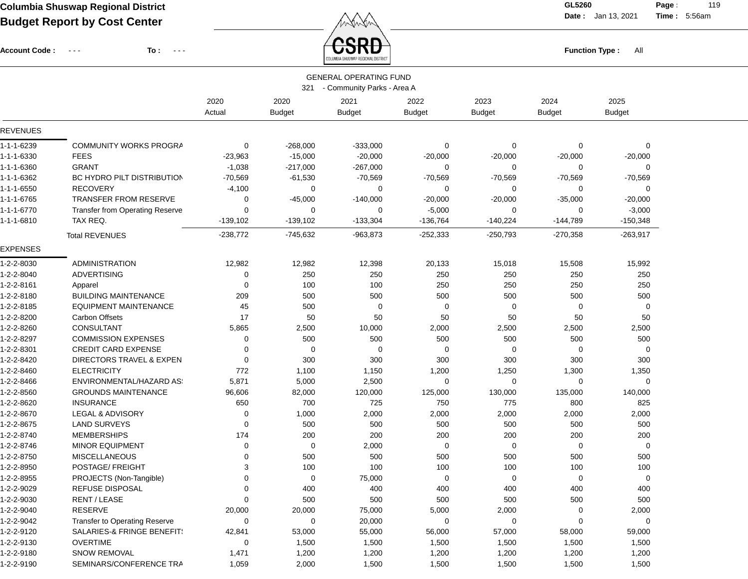Account Code : ---

**To :**

 $\overleftrightarrow{CSRD}$  Function Type : All

**Date :** Jan 13, 2021 **Time :**

**Page :** 119 5:56am

|                 |                                        |            |               | LUMBIN GHUGHAL UEGIUNAL DIGTUDI |               |               |               |               |  |
|-----------------|----------------------------------------|------------|---------------|---------------------------------|---------------|---------------|---------------|---------------|--|
|                 |                                        |            |               | <b>GENERAL OPERATING FUND</b>   |               |               |               |               |  |
|                 |                                        |            | 321           | - Community Parks - Area A      |               |               |               |               |  |
|                 |                                        | 2020       | 2020          | 2021                            | 2022          | 2023          | 2024          | 2025          |  |
|                 |                                        | Actual     | <b>Budget</b> | <b>Budget</b>                   | <b>Budget</b> | <b>Budget</b> | <b>Budget</b> | <b>Budget</b> |  |
| <b>REVENUES</b> |                                        |            |               |                                 |               |               |               |               |  |
| 1-1-1-6239      | <b>COMMUNITY WORKS PROGRA</b>          | 0          | $-268,000$    | $-333,000$                      | 0             | 0             | 0             | 0             |  |
| 1-1-1-6330      | <b>FEES</b>                            | $-23,963$  | $-15,000$     | $-20,000$                       | $-20,000$     | $-20,000$     | $-20,000$     | $-20,000$     |  |
| 1-1-1-6360      | <b>GRANT</b>                           | $-1,038$   | $-217,000$    | $-267,000$                      | 0             | $\mathbf 0$   | 0             | 0             |  |
| 1-1-1-6362      | <b>BC HYDRO PILT DISTRIBUTION</b>      | $-70,569$  | $-61,530$     | $-70,569$                       | $-70,569$     | $-70,569$     | $-70,569$     | $-70,569$     |  |
| 1-1-1-6550      | <b>RECOVERY</b>                        | $-4,100$   | 0             | 0                               | 0             | 0             | 0             | 0             |  |
| 1-1-1-6765      | <b>TRANSFER FROM RESERVE</b>           | 0          | $-45,000$     | $-140,000$                      | $-20,000$     | $-20,000$     | $-35,000$     | $-20,000$     |  |
| 1-1-1-6770      | <b>Transfer from Operating Reserve</b> | 0          | 0             | 0                               | $-5,000$      | 0             | 0             | $-3,000$      |  |
| 1-1-1-6810      | TAX REQ.                               | $-139,102$ | $-139,102$    | $-133,304$                      | $-136,764$    | $-140,224$    | $-144,789$    | $-150,348$    |  |
|                 | <b>Total REVENUES</b>                  | $-238,772$ | -745,632      | $-963,873$                      | $-252,333$    | $-250,793$    | $-270,358$    | $-263,917$    |  |
| <b>EXPENSES</b> |                                        |            |               |                                 |               |               |               |               |  |
| 1-2-2-8030      | <b>ADMINISTRATION</b>                  | 12,982     | 12,982        | 12,398                          | 20,133        | 15,018        | 15,508        | 15,992        |  |
| 1-2-2-8040      | <b>ADVERTISING</b>                     | 0          | 250           | 250                             | 250           | 250           | 250           | 250           |  |
| 1-2-2-8161      | Apparel                                | 0          | 100           | 100                             | 250           | 250           | 250           | 250           |  |
| 1-2-2-8180      | <b>BUILDING MAINTENANCE</b>            | 209        | 500           | 500                             | 500           | 500           | 500           | 500           |  |
| 1-2-2-8185      | <b>EQUIPMENT MAINTENANCE</b>           | 45         | 500           | $\Omega$                        | 0             | $\mathbf 0$   | 0             | 0             |  |
| 1-2-2-8200      | <b>Carbon Offsets</b>                  | 17         | 50            | 50                              | 50            | 50            | 50            | 50            |  |
| 1-2-2-8260      | <b>CONSULTANT</b>                      | 5,865      | 2,500         | 10,000                          | 2,000         | 2,500         | 2,500         | 2,500         |  |
| 1-2-2-8297      | <b>COMMISSION EXPENSES</b>             | 0          | 500           | 500                             | 500           | 500           | 500           | 500           |  |
| 1-2-2-8301      | <b>CREDIT CARD EXPENSE</b>             | 0          | 0             | 0                               | 0             | 0             | 0             | 0             |  |
| 1-2-2-8420      | DIRECTORS TRAVEL & EXPEN               | 0          | 300           | 300                             | 300           | 300           | 300           | 300           |  |
| 1-2-2-8460      | <b>ELECTRICITY</b>                     | 772        | 1,100         | 1,150                           | 1,200         | 1,250         | 1,300         | 1,350         |  |
| 1-2-2-8466      | ENVIRONMENTAL/HAZARD AS:               | 5,871      | 5,000         | 2,500                           | 0             | $\mathbf 0$   | 0             | 0             |  |
| 1-2-2-8560      | <b>GROUNDS MAINTENANCE</b>             | 96,606     | 82,000        | 120,000                         | 125,000       | 130,000       | 135,000       | 140,000       |  |
| 1-2-2-8620      | <b>INSURANCE</b>                       | 650        | 700           | 725                             | 750           | 775           | 800           | 825           |  |
| 1-2-2-8670      | LEGAL & ADVISORY                       | 0          | 1,000         | 2,000                           | 2,000         | 2,000         | 2,000         | 2,000         |  |
| 1-2-2-8675      | <b>LAND SURVEYS</b>                    | 0          | 500           | 500                             | 500           | 500           | 500           | 500           |  |
| 1-2-2-8740      | <b>MEMBERSHIPS</b>                     | 174        | 200           | 200                             | 200           | 200           | 200           | 200           |  |
| 1-2-2-8746      | <b>MINOR EQUIPMENT</b>                 | 0          | 0             | 2,000                           | 0             | 0             | 0             | 0             |  |
| 1-2-2-8750      | <b>MISCELLANEOUS</b>                   | 0          | 500           | 500                             | 500           | 500           | 500           | 500           |  |
| 1-2-2-8950      | <b>POSTAGE/ FREIGHT</b>                | 3          | 100           | 100                             | 100           | 100           | 100           | 100           |  |
| 1-2-2-8955      | PROJECTS (Non-Tangible)                | 0          | 0             | 75,000                          | 0             | $\mathbf 0$   | 0             | 0             |  |
| 1-2-2-9029      | REFUSE DISPOSAL                        | 0          | 400           | 400                             | 400           | 400           | 400           | 400           |  |
| 1-2-2-9030      | RENT / LEASE                           | 0          | 500           | 500                             | 500           | 500           | 500           | 500           |  |
| 1-2-2-9040      | RESERVE                                | 20,000     | 20,000        | 75,000                          | 5,000         | 2,000         | 0             | 2,000         |  |
| 1-2-2-9042      | <b>Transfer to Operating Reserve</b>   | 0          | 0             | 20,000                          | 0             | 0             | 0             | 0             |  |
| 1-2-2-9120      | SALARIES-& FRINGE BENEFIT:             | 42,841     | 53,000        | 55,000                          | 56,000        | 57,000        | 58,000        | 59,000        |  |
| 1-2-2-9130      | <b>OVERTIME</b>                        | 0          | 1,500         | 1,500                           | 1,500         | 1,500         | 1,500         | 1,500         |  |
| 1-2-2-9180      | <b>SNOW REMOVAL</b>                    | 1,471      | 1,200         | 1,200                           | 1,200         | 1,200         | 1,200         | 1,200         |  |
| 1-2-2-9190      | SEMINARS/CONFERENCE TRA                | 1,059      | 2,000         | 1,500                           | 1,500         | 1,500         | 1,500         | 1,500         |  |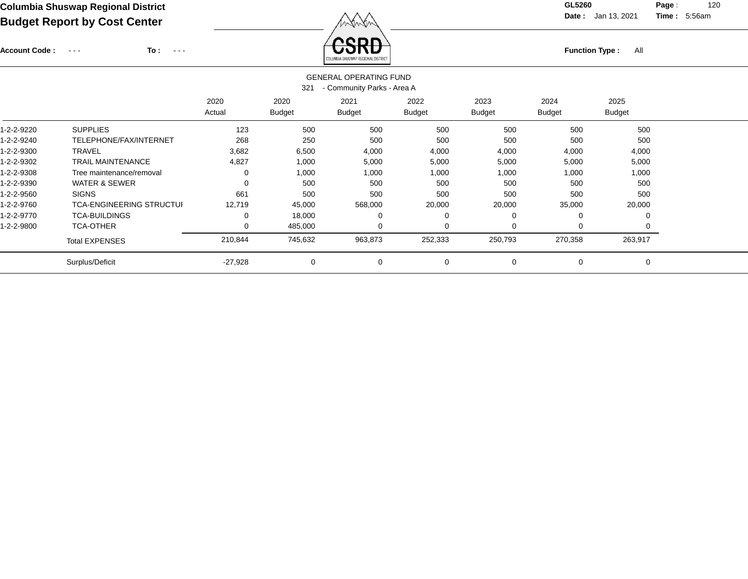Account Code : ---

**To :**

Function Type : All<br>
COLUMBIA SHUSWAP REGIONAL DISTRICT

**Date :** Jan 13, 2021 **Time :**

**Page :** 120 5:56am

|            |                                 |           |               | <b>GENERAL OPERATING FUND</b> |             |               |               |               |
|------------|---------------------------------|-----------|---------------|-------------------------------|-------------|---------------|---------------|---------------|
|            |                                 |           | 321           | - Community Parks - Area A    |             |               |               |               |
|            |                                 | 2020      | 2020          | 2021                          | 2022        | 2023          | 2024          | 2025          |
|            |                                 | Actual    | <b>Budget</b> | <b>Budget</b>                 | Budget      | <b>Budget</b> | <b>Budget</b> | <b>Budget</b> |
| 1-2-2-9220 | <b>SUPPLIES</b>                 | 123       | 500           | 500                           | 500         | 500           | 500           | 500           |
| 1-2-2-9240 | TELEPHONE/FAX/INTERNET          | 268       | 250           | 500                           | 500         | 500           | 500           | 500           |
| 1-2-2-9300 | <b>TRAVEL</b>                   | 3,682     | 6,500         | 4,000                         | 4,000       | 4,000         | 4,000         | 4,000         |
| 1-2-2-9302 | <b>TRAIL MAINTENANCE</b>        | 4,827     | 1,000         | 5,000                         | 5,000       | 5,000         | 5,000         | 5,000         |
| 1-2-2-9308 | Tree maintenance/removal        | 0         | 1,000         | 1,000                         | 1,000       | 1,000         | 1,000         | 1,000         |
| 1-2-2-9390 | <b>WATER &amp; SEWER</b>        | 0         | 500           | 500                           | 500         | 500           | 500           | 500           |
| 1-2-2-9560 | <b>SIGNS</b>                    | 661       | 500           | 500                           | 500         | 500           | 500           | 500           |
| 1-2-2-9760 | <b>TCA-ENGINEERING STRUCTUI</b> | 12,719    | 45,000        | 568,000                       | 20,000      | 20,000        | 35,000        | 20,000        |
| 1-2-2-9770 | <b>TCA-BUILDINGS</b>            | 0         | 18,000        |                               | $\Omega$    |               | $\Omega$      |               |
| 1-2-2-9800 | <b>TCA-OTHER</b>                | 0         | 485,000       | 0                             | $\Omega$    |               | $\Omega$      |               |
|            | <b>Total EXPENSES</b>           | 210,844   | 745,632       | 963,873                       | 252,333     | 250,793       | 270,358       | 263,917       |
|            | Surplus/Deficit                 | $-27,928$ | $\mathbf 0$   | 0                             | $\mathbf 0$ | $\Omega$      | $\mathbf 0$   | $\Omega$      |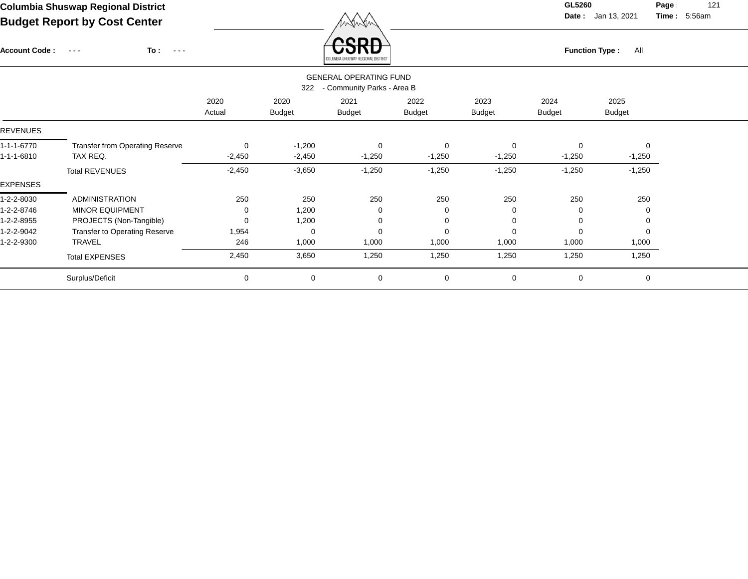Function Type : All

**Date :** Jan 13, 2021 **Time :**

**Page :** 121 5:56am

| <b>Account Code:</b> | To :<br>$\sim$ $\sim$ $\sim$<br>$\sim$ $\sim$ $\sim$ |                |                       | <b>USKD</b><br>COLUMBIA SHUSWAP REGIONAL DISTRICT |                       | <b>Function Type:</b><br>All |                |                       |  |  |  |
|----------------------|------------------------------------------------------|----------------|-----------------------|---------------------------------------------------|-----------------------|------------------------------|----------------|-----------------------|--|--|--|
|                      |                                                      |                |                       |                                                   |                       |                              |                |                       |  |  |  |
|                      |                                                      | 2020<br>Actual | 2020<br><b>Budget</b> | 2021<br><b>Budget</b>                             | 2022<br><b>Budget</b> | 2023<br><b>Budget</b>        | 2024<br>Budget | 2025<br><b>Budget</b> |  |  |  |
| <b>REVENUES</b>      |                                                      |                |                       |                                                   |                       |                              |                |                       |  |  |  |
| 1-1-1-6770           | <b>Transfer from Operating Reserve</b>               | 0              | $-1,200$              | $\mathbf 0$                                       | $\mathbf 0$           | 0                            | 0              | $\Omega$              |  |  |  |
| 1-1-1-6810           | TAX REQ.                                             | $-2,450$       | $-2,450$              | $-1,250$                                          | $-1,250$              | $-1,250$                     | $-1,250$       | $-1,250$              |  |  |  |
|                      | <b>Total REVENUES</b>                                | $-2,450$       | $-3,650$              | $-1,250$                                          | $-1,250$              | $-1,250$                     | $-1,250$       | $-1,250$              |  |  |  |
| EXPENSES             |                                                      |                |                       |                                                   |                       |                              |                |                       |  |  |  |
| 1-2-2-8030           | <b>ADMINISTRATION</b>                                | 250            | 250                   | 250                                               | 250                   | 250                          | 250            | 250                   |  |  |  |
| 1-2-2-8746           | <b>MINOR EQUIPMENT</b>                               | 0              | 1,200                 | 0                                                 | 0                     | $\Omega$                     |                |                       |  |  |  |
| 1-2-2-8955           | PROJECTS (Non-Tangible)                              | 0              | 1,200                 | 0                                                 | $\Omega$              |                              | 0              |                       |  |  |  |
| 1-2-2-9042           | <b>Transfer to Operating Reserve</b>                 | 1,954          | 0                     | $\Omega$                                          | $\Omega$              |                              |                |                       |  |  |  |
| 1-2-2-9300           | <b>TRAVEL</b>                                        | 246            | 1,000                 | 1,000                                             | 1,000                 | 1,000                        | 1,000          | 1,000                 |  |  |  |
|                      | <b>Total EXPENSES</b>                                | 2,450          | 3,650                 | 1,250                                             | 1,250                 | 1,250                        | 1,250          | 1,250                 |  |  |  |
|                      | Surplus/Deficit                                      | 0              | $\mathbf 0$           | 0                                                 | 0                     | 0                            | 0              | 0                     |  |  |  |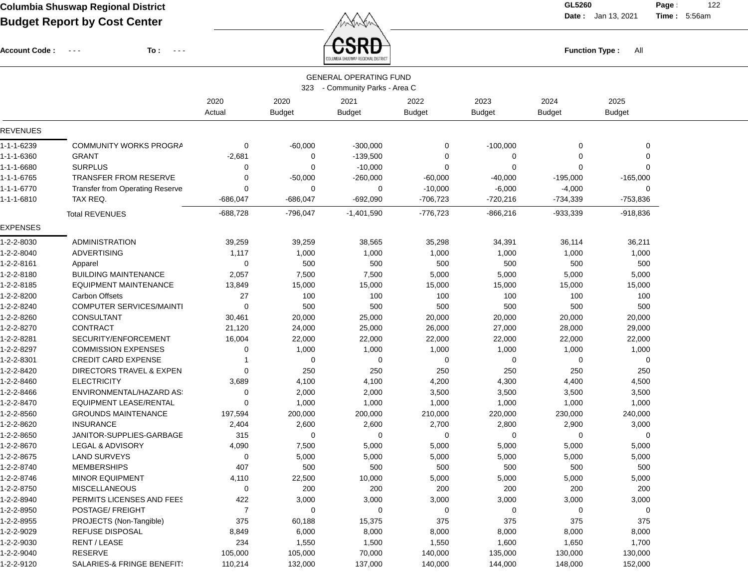Account Code : ---

**To :**

 $F_{\text{unction Type: All}}$ 

**Date :** Jan 13, 2021 **Time :**

**Page :** 122 5:56am

|                 |                                 |                |                              | <b>GENERAL OPERATING FUND</b>                       |                       |                       |                       |                       |  |
|-----------------|---------------------------------|----------------|------------------------------|-----------------------------------------------------|-----------------------|-----------------------|-----------------------|-----------------------|--|
|                 |                                 | 2020<br>Actual | 323<br>2020<br><b>Budget</b> | - Community Parks - Area C<br>2021<br><b>Budget</b> | 2022<br><b>Budget</b> | 2023<br><b>Budget</b> | 2024<br><b>Budget</b> | 2025<br><b>Budget</b> |  |
| <b>REVENUES</b> |                                 |                |                              |                                                     |                       |                       |                       |                       |  |
|                 |                                 |                |                              |                                                     |                       |                       |                       |                       |  |
| 1-1-1-6239      | <b>COMMUNITY WORKS PROGRA</b>   | 0              | $-60,000$                    | $-300,000$                                          | 0                     | $-100,000$            | 0                     | 0                     |  |
| 1-1-1-6360      | <b>GRANT</b>                    | $-2,681$       | 0                            | $-139,500$                                          | 0                     | 0                     | 0                     | 0                     |  |
| 1-1-1-6680      | <b>SURPLUS</b>                  | 0              | 0                            | $-10,000$                                           | 0                     | 0                     | 0                     | $\mathbf 0$           |  |
| 1-1-1-6765      | <b>TRANSFER FROM RESERVE</b>    | 0              | $-50,000$                    | $-260,000$                                          | $-60,000$             | $-40,000$             | $-195,000$            | $-165,000$            |  |
| 1-1-1-6770      | Transfer from Operating Reserve | 0              | $\mathbf 0$                  | 0                                                   | $-10,000$             | $-6,000$              | $-4,000$              | $\Omega$              |  |
| 1-1-1-6810      | TAX REQ.                        | $-686,047$     | $-686,047$                   | $-692,090$                                          | $-706,723$            | $-720,216$            | $-734,339$            | -753,836              |  |
|                 | <b>Total REVENUES</b>           | $-688,728$     | $-796,047$                   | $-1,401,590$                                        | $-776,723$            | $-866,216$            | $-933,339$            | $-918,836$            |  |
| <b>EXPENSES</b> |                                 |                |                              |                                                     |                       |                       |                       |                       |  |
| 1-2-2-8030      | <b>ADMINISTRATION</b>           | 39,259         | 39,259                       | 38,565                                              | 35,298                | 34,391                | 36,114                | 36,211                |  |
| 1-2-2-8040      | <b>ADVERTISING</b>              | 1,117          | 1,000                        | 1,000                                               | 1,000                 | 1,000                 | 1,000                 | 1,000                 |  |
| 1-2-2-8161      | Apparel                         | 0              | 500                          | 500                                                 | 500                   | 500                   | 500                   | 500                   |  |
| 1-2-2-8180      | <b>BUILDING MAINTENANCE</b>     | 2,057          | 7,500                        | 7,500                                               | 5,000                 | 5,000                 | 5,000                 | 5,000                 |  |
| 1-2-2-8185      | <b>EQUIPMENT MAINTENANCE</b>    | 13,849         | 15,000                       | 15,000                                              | 15,000                | 15,000                | 15,000                | 15,000                |  |
| 1-2-2-8200      | <b>Carbon Offsets</b>           | 27             | 100                          | 100                                                 | 100                   | 100                   | 100                   | 100                   |  |
| 1-2-2-8240      | COMPUTER SERVICES/MAINTI        | 0              | 500                          | 500                                                 | 500                   | 500                   | 500                   | 500                   |  |
| 1-2-2-8260      | <b>CONSULTANT</b>               | 30,461         | 20,000                       | 25,000                                              | 20,000                | 20,000                | 20,000                | 20,000                |  |
| 1-2-2-8270      | CONTRACT                        | 21,120         | 24,000                       | 25,000                                              | 26,000                | 27,000                | 28,000                | 29,000                |  |
| 1-2-2-8281      | SECURITY/ENFORCEMENT            | 16,004         | 22,000                       | 22,000                                              | 22,000                | 22,000                | 22,000                | 22,000                |  |
| 1-2-2-8297      | <b>COMMISSION EXPENSES</b>      | 0              | 1,000                        | 1,000                                               | 1,000                 | 1,000                 | 1,000                 | 1,000                 |  |
| 1-2-2-8301      | <b>CREDIT CARD EXPENSE</b>      |                | $\mathbf 0$                  | 0                                                   | $\mathbf 0$           | 0                     | 0                     | $\mathbf 0$           |  |
| 1-2-2-8420      | DIRECTORS TRAVEL & EXPEN        | 0              | 250                          | 250                                                 | 250                   | 250                   | 250                   | 250                   |  |
| 1-2-2-8460      | <b>ELECTRICITY</b>              | 3,689          | 4,100                        | 4,100                                               | 4,200                 | 4,300                 | 4,400                 | 4,500                 |  |
| 1-2-2-8466      | ENVIRONMENTAL/HAZARD AS:        | 0              | 2,000                        | 2,000                                               | 3,500                 | 3,500                 | 3,500                 | 3,500                 |  |
| 1-2-2-8470      | <b>EQUIPMENT LEASE/RENTAL</b>   | $\mathbf 0$    | 1,000                        | 1,000                                               | 1,000                 | 1,000                 | 1,000                 | 1,000                 |  |
| 1-2-2-8560      | <b>GROUNDS MAINTENANCE</b>      | 197,594        | 200,000                      | 200,000                                             | 210,000               | 220,000               | 230,000               | 240,000               |  |
| 1-2-2-8620      | <b>INSURANCE</b>                | 2,404          | 2,600                        | 2,600                                               | 2,700                 | 2,800                 | 2,900                 | 3,000                 |  |
| 1-2-2-8650      | JANITOR-SUPPLIES-GARBAGE        | 315            | 0                            | 0                                                   | 0                     | 0                     | 0                     | 0                     |  |
| 1-2-2-8670      | LEGAL & ADVISORY                | 4,090          | 7,500                        | 5,000                                               | 5,000                 | 5,000                 | 5,000                 | 5,000                 |  |
| 1-2-2-8675      | <b>LAND SURVEYS</b>             | 0              | 5,000                        | 5,000                                               | 5,000                 | 5,000                 | 5,000                 | 5,000                 |  |
| 1-2-2-8740      | <b>MEMBERSHIPS</b>              | 407            | 500                          | 500                                                 | 500                   | 500                   | 500                   | 500                   |  |
| 1-2-2-8746      | <b>MINOR EQUIPMENT</b>          | 4,110          | 22,500                       | 10,000                                              | 5,000                 | 5,000                 | 5,000                 | 5,000                 |  |
| 1-2-2-8750      | <b>MISCELLANEOUS</b>            | 0              | 200                          | 200                                                 | 200                   | 200                   | 200                   | 200                   |  |
| 1-2-2-8940      | PERMITS LICENSES AND FEES       | 422            | 3,000                        | 3,000                                               | 3,000                 | 3,000                 | 3,000                 | 3,000                 |  |
| 1-2-2-8950      | POSTAGE/ FREIGHT                | $\overline{7}$ | 0                            | 0                                                   | 0                     | 0                     | 0                     | 0                     |  |
| 1-2-2-8955      | PROJECTS (Non-Tangible)         | 375            | 60,188                       | 15,375                                              | 375                   | 375                   | 375                   | 375                   |  |
| 1-2-2-9029      | <b>REFUSE DISPOSAL</b>          | 8,849          | 6,000                        | 8,000                                               | 8,000                 | 8,000                 | 8,000                 | 8,000                 |  |
| 1-2-2-9030      | RENT / LEASE                    | 234            | 1,550                        | 1,500                                               | 1,550                 | 1,600                 | 1,650                 | 1,700                 |  |
| 1-2-2-9040      | RESERVE                         | 105,000        | 105,000                      | 70,000                                              | 140,000               | 135,000               | 130,000               | 130,000               |  |
| 1-2-2-9120      | SALARIES-& FRINGE BENEFIT!      | 110,214        | 132,000                      | 137,000                                             | 140,000               | 144,000               | 148,000               | 152,000               |  |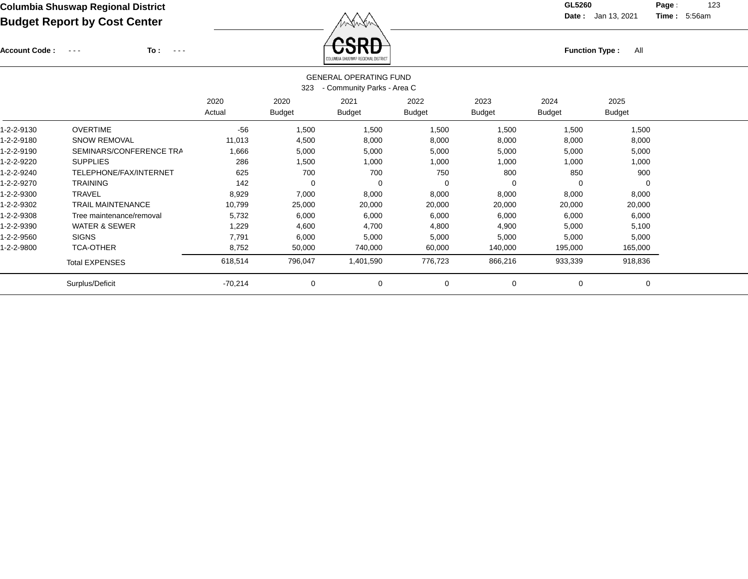Account Code : ---

**To :**

Function Type : All<br>
COLUMBIA SHUSWAP REGIONAL DISTRICT

**Date :** Jan 13, 2021 **Time :**

**Page :** 123 5:56am

|            | <b>GENERAL OPERATING FUND</b><br>- Community Parks - Area C<br>323 |                |                       |                       |                       |                       |                       |                       |  |  |  |
|------------|--------------------------------------------------------------------|----------------|-----------------------|-----------------------|-----------------------|-----------------------|-----------------------|-----------------------|--|--|--|
|            |                                                                    | 2020<br>Actual | 2020<br><b>Budget</b> | 2021<br><b>Budget</b> | 2022<br><b>Budget</b> | 2023<br><b>Budget</b> | 2024<br><b>Budget</b> | 2025<br><b>Budget</b> |  |  |  |
| 1-2-2-9130 | <b>OVERTIME</b>                                                    | $-56$          | 1,500                 | 1,500                 | 1,500                 | 1,500                 | 1,500                 | 1,500                 |  |  |  |
| 1-2-2-9180 | <b>SNOW REMOVAL</b>                                                | 11,013         | 4,500                 | 8,000                 | 8,000                 | 8,000                 | 8,000                 | 8,000                 |  |  |  |
| 1-2-2-9190 | SEMINARS/CONFERENCE TRA                                            | 1,666          | 5,000                 | 5,000                 | 5,000                 | 5,000                 | 5,000                 | 5,000                 |  |  |  |
| 1-2-2-9220 | <b>SUPPLIES</b>                                                    | 286            | 1,500                 | 1,000                 | 1,000                 | 1,000                 | 1,000                 | 1,000                 |  |  |  |
| 1-2-2-9240 | TELEPHONE/FAX/INTERNET                                             | 625            | 700                   | 700                   | 750                   | 800                   | 850                   | 900                   |  |  |  |
| 1-2-2-9270 | <b>TRAINING</b>                                                    | 142            | 0                     | 0                     | $\Omega$              |                       | $\Omega$              |                       |  |  |  |
| 1-2-2-9300 | <b>TRAVEL</b>                                                      | 8,929          | 7,000                 | 8,000                 | 8,000                 | 8,000                 | 8,000                 | 8,000                 |  |  |  |
| 1-2-2-9302 | <b>TRAIL MAINTENANCE</b>                                           | 10,799         | 25,000                | 20,000                | 20,000                | 20,000                | 20,000                | 20,000                |  |  |  |
| 1-2-2-9308 | Tree maintenance/removal                                           | 5,732          | 6,000                 | 6,000                 | 6,000                 | 6,000                 | 6,000                 | 6,000                 |  |  |  |
| 1-2-2-9390 | <b>WATER &amp; SEWER</b>                                           | 1,229          | 4,600                 | 4,700                 | 4,800                 | 4,900                 | 5,000                 | 5,100                 |  |  |  |
| 1-2-2-9560 | <b>SIGNS</b>                                                       | 7,791          | 6,000                 | 5,000                 | 5,000                 | 5,000                 | 5,000                 | 5,000                 |  |  |  |
| 1-2-2-9800 | <b>TCA-OTHER</b>                                                   | 8,752          | 50,000                | 740,000               | 60,000                | 140,000               | 195,000               | 165,000               |  |  |  |
|            | <b>Total EXPENSES</b>                                              | 618,514        | 796,047               | 1,401,590             | 776,723               | 866,216               | 933,339               | 918,836               |  |  |  |
|            | Surplus/Deficit                                                    | $-70,214$      | 0                     | 0                     | $\mathbf 0$           | 0                     | 0                     |                       |  |  |  |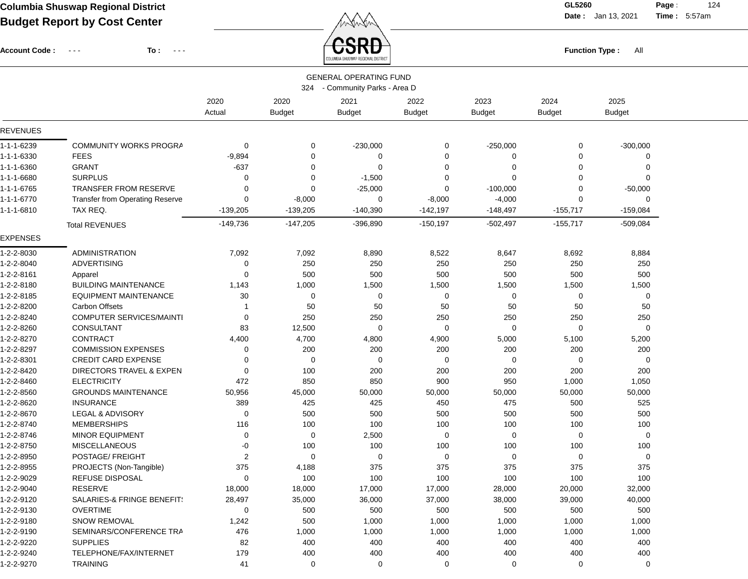Account Code : ---

**To :**

**Function Type :** All

**Date :** Jan 13, 2021 **Time :**

**Page :** 124 5:57am

|                 |                                        |                |                       | COLUMBIA SHUSWAP REGIONAL DISTRICT                          |                       |                       |                       |                       |  |
|-----------------|----------------------------------------|----------------|-----------------------|-------------------------------------------------------------|-----------------------|-----------------------|-----------------------|-----------------------|--|
|                 |                                        |                | 324                   | <b>GENERAL OPERATING FUND</b><br>- Community Parks - Area D |                       |                       |                       |                       |  |
|                 |                                        | 2020<br>Actual | 2020<br><b>Budget</b> | 2021<br><b>Budget</b>                                       | 2022<br><b>Budget</b> | 2023<br><b>Budget</b> | 2024<br><b>Budget</b> | 2025<br><b>Budget</b> |  |
| REVENUES        |                                        |                |                       |                                                             |                       |                       |                       |                       |  |
| 1-1-1-6239      | <b>COMMUNITY WORKS PROGRA</b>          | 0              | 0                     | $-230,000$                                                  | 0                     | $-250,000$            | 0                     | $-300,000$            |  |
| 1-1-1-6330      | <b>FEES</b>                            | $-9,894$       | $\mathbf 0$           | 0                                                           | 0                     | 0                     | 0                     | 0                     |  |
| 1-1-1-6360      | <b>GRANT</b>                           | $-637$         | 0                     | $\Omega$                                                    | 0                     | ∩                     | $\Omega$              | 0                     |  |
| 1-1-1-6680      | <b>SURPLUS</b>                         | 0              | 0                     | $-1,500$                                                    | 0                     | $\Omega$              | $\Omega$              | $\Omega$              |  |
| 1-1-1-6765      | TRANSFER FROM RESERVE                  | 0              | 0                     | $-25,000$                                                   | 0                     | $-100,000$            | 0                     | $-50,000$             |  |
| 1-1-1-6770      | <b>Transfer from Operating Reserve</b> | 0              | $-8,000$              | 0                                                           | $-8,000$              | $-4,000$              | 0                     | 0                     |  |
| 1-1-1-6810      | TAX REQ.                               | $-139,205$     | $-139,205$            | $-140,390$                                                  | $-142,197$            | $-148,497$            | $-155,717$            | $-159,084$            |  |
|                 | <b>Total REVENUES</b>                  | $-149,736$     | $-147,205$            | $-396,890$                                                  | $-150, 197$           | $-502,497$            | $-155,717$            | $-509,084$            |  |
| <b>EXPENSES</b> |                                        |                |                       |                                                             |                       |                       |                       |                       |  |
| 1-2-2-8030      | <b>ADMINISTRATION</b>                  | 7,092          | 7,092                 | 8,890                                                       | 8,522                 | 8,647                 | 8,692                 | 8,884                 |  |
| 1-2-2-8040      | <b>ADVERTISING</b>                     | 0              | 250                   | 250                                                         | 250                   | 250                   | 250                   | 250                   |  |
| 1-2-2-8161      | Apparel                                | 0              | 500                   | 500                                                         | 500                   | 500                   | 500                   | 500                   |  |
| 1-2-2-8180      | <b>BUILDING MAINTENANCE</b>            | 1,143          | 1,000                 | 1,500                                                       | 1,500                 | 1,500                 | 1,500                 | 1,500                 |  |
| 1-2-2-8185      | <b>EQUIPMENT MAINTENANCE</b>           | 30             | 0                     | 0                                                           | 0                     | 0                     | 0                     | 0                     |  |
| 1-2-2-8200      | <b>Carbon Offsets</b>                  | 1              | 50                    | 50                                                          | 50                    | 50                    | 50                    | 50                    |  |
| 1-2-2-8240      | COMPUTER SERVICES/MAINTI               | 0              | 250                   | 250                                                         | 250                   | 250                   | 250                   | 250                   |  |
| 1-2-2-8260      | <b>CONSULTANT</b>                      | 83             | 12,500                | 0                                                           | 0                     | 0                     | 0                     | 0                     |  |
| 1-2-2-8270      | CONTRACT                               | 4,400          | 4,700                 | 4,800                                                       | 4,900                 | 5,000                 | 5,100                 | 5,200                 |  |
| 1-2-2-8297      | <b>COMMISSION EXPENSES</b>             | 0              | 200                   | 200                                                         | 200                   | 200                   | 200                   | 200                   |  |
| 1-2-2-8301      | <b>CREDIT CARD EXPENSE</b>             | 0              | 0                     | $\Omega$                                                    | $\overline{0}$        | $\Omega$              | $\Omega$              | 0                     |  |
| 1-2-2-8420      | DIRECTORS TRAVEL & EXPEN               | 0              | 100                   | 200                                                         | 200                   | 200                   | 200                   | 200                   |  |
| 1-2-2-8460      | <b>ELECTRICITY</b>                     | 472            | 850                   | 850                                                         | 900                   | 950                   | 1,000                 | 1,050                 |  |
| 1-2-2-8560      | <b>GROUNDS MAINTENANCE</b>             | 50,956         | 45,000                | 50,000                                                      | 50,000                | 50,000                | 50,000                | 50,000                |  |
| 1-2-2-8620      | <b>INSURANCE</b>                       | 389            | 425                   | 425                                                         | 450                   | 475                   | 500                   | 525                   |  |
| 1-2-2-8670      | LEGAL & ADVISORY                       | 0              | 500                   | 500                                                         | 500                   | 500                   | 500                   | 500                   |  |
| 1-2-2-8740      | <b>MEMBERSHIPS</b>                     | 116            | 100                   | 100                                                         | 100                   | 100                   | 100                   | 100                   |  |
| 1-2-2-8746      | <b>MINOR EQUIPMENT</b>                 | 0              | 0                     | 2,500                                                       | $\overline{0}$        | 0                     | 0                     | $\mathbf 0$           |  |
| 1-2-2-8750      | <b>MISCELLANEOUS</b>                   | -0             | 100                   | 100                                                         | 100                   | 100                   | 100                   | 100                   |  |
| 1-2-2-8950      | POSTAGE/ FREIGHT                       | $\overline{c}$ | 0                     | $\mathbf 0$                                                 | 0                     | 0                     | 0                     | 0                     |  |
| 1-2-2-8955      | PROJECTS (Non-Tangible)                | 375            | 4,188                 | 375                                                         | 375                   | 375                   | 375                   | 375                   |  |
| 1-2-2-9029      | REFUSE DISPOSAL                        | 0              | 100                   | 100                                                         | 100                   | 100                   | 100                   | 100                   |  |
| 1-2-2-9040      | <b>RESERVE</b>                         | 18,000         | 18,000                | 17,000                                                      | 17,000                | 28,000                | 20,000                | 32,000                |  |
| 1-2-2-9120      | SALARIES-& FRINGE BENEFIT!             | 28,497         | 35,000                | 36,000                                                      | 37,000                | 38,000                | 39,000                | 40,000                |  |
| 1-2-2-9130      | <b>OVERTIME</b>                        | 0              | 500                   | 500                                                         | 500                   | 500                   | 500                   | 500                   |  |
| 1-2-2-9180      | <b>SNOW REMOVAL</b>                    | 1,242          | 500                   | 1,000                                                       | 1,000                 | 1,000                 | 1,000                 | 1,000                 |  |
| 1-2-2-9190      | SEMINARS/CONFERENCE TRA                | 476            | 1,000                 | 1,000                                                       | 1,000                 | 1,000                 | 1,000                 | 1,000                 |  |
| 1-2-2-9220      | <b>SUPPLIES</b>                        | 82             | 400                   | 400                                                         | 400                   | 400                   | 400                   | 400                   |  |
| 1-2-2-9240      | TELEPHONE/FAX/INTERNET                 | 179            | 400                   | 400                                                         | 400                   | 400                   | 400                   | 400                   |  |
| 1-2-2-9270      | <b>TRAINING</b>                        | 41             | $\mathbf 0$           | $\mathbf 0$                                                 | $\mathbf 0$           | $\mathbf 0$           | $\mathbf 0$           | 0                     |  |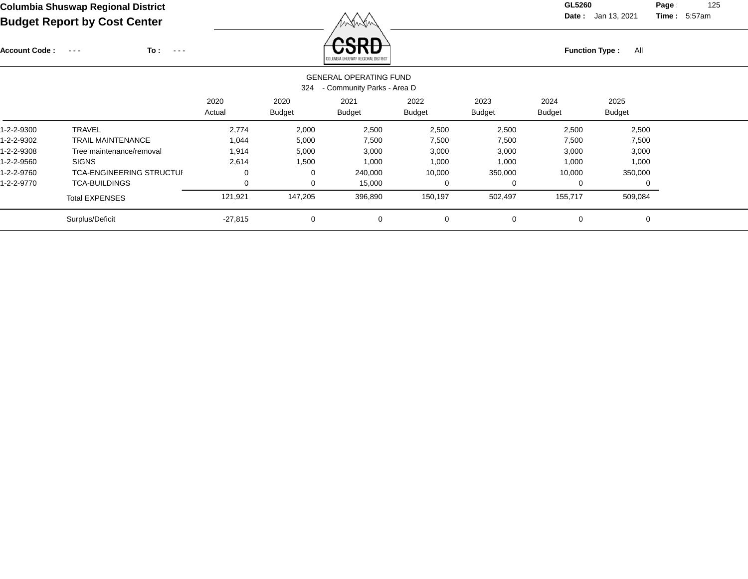Account Code : ---

**To :**

**Function Type :** All COLUMBIA SHUSWAP REGIONAL DISTRICT

**Date :** Jan 13, 2021 **Time :**

**Page :** 125 5:57am

|            | <b>GENERAL OPERATING FUND</b><br>- Community Parks - Area D<br>324 |                |                       |                       |                       |                       |                       |                       |  |  |  |  |
|------------|--------------------------------------------------------------------|----------------|-----------------------|-----------------------|-----------------------|-----------------------|-----------------------|-----------------------|--|--|--|--|
|            |                                                                    | 2020<br>Actual | 2020<br><b>Budget</b> | 2021<br><b>Budget</b> | 2022<br><b>Budget</b> | 2023<br><b>Budget</b> | 2024<br><b>Budget</b> | 2025<br><b>Budget</b> |  |  |  |  |
| 1-2-2-9300 | <b>TRAVEL</b>                                                      | 2,774          | 2,000                 | 2,500                 | 2,500                 | 2,500                 | 2,500                 | 2,500                 |  |  |  |  |
| 1-2-2-9302 | <b>TRAIL MAINTENANCE</b>                                           | 1,044          | 5,000                 | 7,500                 | 7,500                 | 7,500                 | 7,500                 | 7,500                 |  |  |  |  |
| 1-2-2-9308 | Tree maintenance/removal                                           | 1,914          | 5,000                 | 3,000                 | 3,000                 | 3,000                 | 3,000                 | 3,000                 |  |  |  |  |
| 1-2-2-9560 | <b>SIGNS</b>                                                       | 2,614          | 1,500                 | 1,000                 | 1,000                 | 1,000                 | 1,000                 | 1,000                 |  |  |  |  |
| 1-2-2-9760 | <b>TCA-ENGINEERING STRUCTUI</b>                                    | 0              | 0                     | 240,000               | 10,000                | 350,000               | 10,000                | 350,000               |  |  |  |  |
| 1-2-2-9770 | <b>TCA-BUILDINGS</b>                                               | 0              | 0                     | 15,000                | 0                     | O                     | U                     |                       |  |  |  |  |
|            | <b>Total EXPENSES</b>                                              | 121,921        | 147,205               | 396,890               | 150,197               | 502,497               | 155,717               | 509,084               |  |  |  |  |
|            | Surplus/Deficit                                                    | $-27,815$      | 0                     | 0                     | 0                     | 0                     | 0                     | 0                     |  |  |  |  |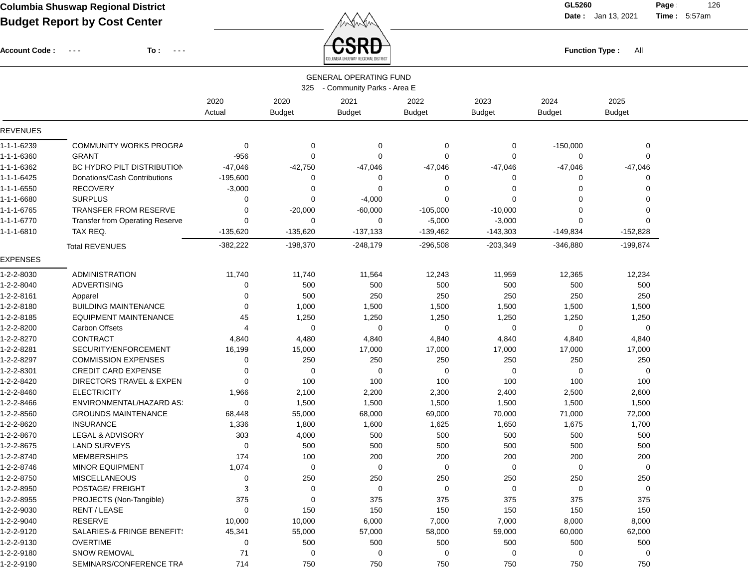Account Code : ---

**To :**

 $\overleftrightarrow{CSRD}$  Function Type : All

**Date :** Jan 13, 2021 **Time :**

**Page :** 126 5:57am

|                 |                                       |                |                       | COLUMBIA SHUSWAP REGIONAL DISTRICT                          |                       |                       |                       |                       |  |
|-----------------|---------------------------------------|----------------|-----------------------|-------------------------------------------------------------|-----------------------|-----------------------|-----------------------|-----------------------|--|
|                 |                                       |                | 325                   | <b>GENERAL OPERATING FUND</b><br>- Community Parks - Area E |                       |                       |                       |                       |  |
|                 |                                       | 2020<br>Actual | 2020<br><b>Budget</b> | 2021<br><b>Budget</b>                                       | 2022<br><b>Budget</b> | 2023<br><b>Budget</b> | 2024<br><b>Budget</b> | 2025<br><b>Budget</b> |  |
| REVENUES        |                                       |                |                       |                                                             |                       |                       |                       |                       |  |
| 1-1-1-6239      | COMMUNITY WORKS PROGRA                | $\mathbf 0$    | 0                     | 0                                                           | $\mathbf 0$           | 0                     | $-150,000$            | 0                     |  |
| 1-1-1-6360      | <b>GRANT</b>                          | $-956$         | 0                     | 0                                                           | $\mathbf 0$           | 0                     | $\mathbf 0$           | 0                     |  |
| 1-1-1-6362      | BC HYDRO PILT DISTRIBUTION            | $-47,046$      | $-42,750$             | $-47,046$                                                   | $-47,046$             | $-47,046$             | $-47,046$             | $-47,046$             |  |
| 1-1-1-6425      | Donations/Cash Contributions          | $-195,600$     | 0                     | 0                                                           | 0                     | 0                     | 0                     | $\Omega$              |  |
| 1-1-1-6550      | <b>RECOVERY</b>                       | $-3,000$       | 0                     | 0                                                           | 0                     | $\Omega$              | 0                     | 0                     |  |
| 1-1-1-6680      | <b>SURPLUS</b>                        | $\mathbf 0$    | 0                     | $-4,000$                                                    | $\mathbf 0$           | $\Omega$              | $\mathbf 0$           | $\Omega$              |  |
| 1-1-1-6765      | <b>TRANSFER FROM RESERVE</b>          | 0              | $-20,000$             | $-60,000$                                                   | $-105,000$            | $-10,000$             | 0                     | 0                     |  |
| 1-1-1-6770      | Transfer from Operating Reserve       | $\mathbf 0$    | 0                     | 0                                                           | $-5,000$              | $-3,000$              | 0                     | 0                     |  |
| 1-1-1-6810      | TAX REQ.                              | $-135,620$     | $-135,620$            | $-137,133$                                                  | $-139,462$            | $-143,303$            | $-149,834$            | $-152,828$            |  |
|                 | <b>Total REVENUES</b>                 | $-382,222$     | $-198,370$            | $-248,179$                                                  | $-296,508$            | $-203,349$            | $-346,880$            | $-199,874$            |  |
| <b>EXPENSES</b> |                                       |                |                       |                                                             |                       |                       |                       |                       |  |
| 1-2-2-8030      | ADMINISTRATION                        | 11,740         | 11,740                | 11,564                                                      | 12,243                | 11,959                | 12,365                | 12,234                |  |
| 1-2-2-8040      | <b>ADVERTISING</b>                    | 0              | 500                   | 500                                                         | 500                   | 500                   | 500                   | 500                   |  |
| 1-2-2-8161      | Apparel                               | $\mathbf 0$    | 500                   | 250                                                         | 250                   | 250                   | 250                   | 250                   |  |
| 1-2-2-8180      | <b>BUILDING MAINTENANCE</b>           | 0              | 1,000                 | 1,500                                                       | 1,500                 | 1,500                 | 1,500                 | 1,500                 |  |
| 1-2-2-8185      | <b>EQUIPMENT MAINTENANCE</b>          | 45             | 1,250                 | 1,250                                                       | 1,250                 | 1,250                 | 1,250                 | 1,250                 |  |
| 1-2-2-8200      | <b>Carbon Offsets</b>                 | 4              | 0                     | 0                                                           | 0                     | 0                     | 0                     | 0                     |  |
| 1-2-2-8270      | <b>CONTRACT</b>                       | 4,840          | 4,480                 | 4,840                                                       | 4,840                 | 4,840                 | 4,840                 | 4,840                 |  |
| 1-2-2-8281      | SECURITY/ENFORCEMENT                  | 16,199         | 15,000                | 17,000                                                      | 17,000                | 17,000                | 17,000                | 17,000                |  |
| 1-2-2-8297      | <b>COMMISSION EXPENSES</b>            | 0              | 250                   | 250                                                         | 250                   | 250                   | 250                   | 250                   |  |
| 1-2-2-8301      | <b>CREDIT CARD EXPENSE</b>            | 0              | 0                     | 0                                                           | 0                     | 0                     | 0                     | 0                     |  |
| 1-2-2-8420      | DIRECTORS TRAVEL & EXPEN              | $\Omega$       | 100                   | 100                                                         | 100                   | 100                   | 100                   | 100                   |  |
| 1-2-2-8460      | <b>ELECTRICITY</b>                    | 1,966          | 2,100                 | 2,200                                                       | 2,300                 | 2,400                 | 2,500                 | 2,600                 |  |
| 1-2-2-8466      | ENVIRONMENTAL/HAZARD AS:              | 0              | 1,500                 | 1,500                                                       | 1,500                 | 1,500                 | 1,500                 | 1,500                 |  |
| 1-2-2-8560      | <b>GROUNDS MAINTENANCE</b>            | 68,448         | 55,000                | 68,000                                                      | 69,000                | 70,000                | 71,000                | 72,000                |  |
| 1-2-2-8620      | <b>INSURANCE</b>                      | 1,336          | 1,800                 | 1,600                                                       | 1,625                 | 1,650                 | 1,675                 | 1,700                 |  |
| 1-2-2-8670      | LEGAL & ADVISORY                      | 303            | 4,000                 | 500                                                         | 500                   | 500                   | 500                   | 500                   |  |
| 1-2-2-8675      | <b>LAND SURVEYS</b>                   | $\mathbf 0$    | 500                   | 500                                                         | 500                   | 500                   | 500                   | 500                   |  |
| 1-2-2-8740      | <b>MEMBERSHIPS</b>                    | 174            | 100                   | 200                                                         | 200                   | 200                   | 200                   | 200                   |  |
| 1-2-2-8746      | <b>MINOR EQUIPMENT</b>                | 1,074          | 0                     | 0                                                           | $\mathbf 0$           | 0                     | 0                     | 0                     |  |
| 1-2-2-8750      | <b>MISCELLANEOUS</b>                  | $\mathbf 0$    | 250                   | 250                                                         | 250                   | 250                   | 250                   | 250                   |  |
| 1-2-2-8950      | POSTAGE/ FREIGHT                      | 3              | 0                     | 0                                                           | $\mathbf 0$           | 0                     | 0                     | 0                     |  |
| 1-2-2-8955      | PROJECTS (Non-Tangible)               | 375            | 0                     | 375                                                         | 375                   | 375                   | 375                   | 375                   |  |
| 1-2-2-9030      | RENT / LEASE                          | 0              | 150                   | 150                                                         | 150                   | 150                   | 150                   | 150                   |  |
| 1-2-2-9040      | <b>RESERVE</b>                        | 10,000         | 10,000                | 6,000                                                       | 7,000                 | 7,000                 | 8,000                 | 8,000                 |  |
| 1-2-2-9120      | <b>SALARIES-&amp; FRINGE BENEFIT:</b> | 45,341         | 55,000                | 57,000                                                      | 58,000                | 59,000                | 60,000                | 62,000                |  |
| 1-2-2-9130      | <b>OVERTIME</b>                       | 0              | 500                   | 500                                                         | 500                   | 500                   | 500                   | 500                   |  |
| 1-2-2-9180      | <b>SNOW REMOVAL</b>                   | 71             | 0                     | 0                                                           | 0                     | 0                     | 0                     | 0                     |  |
| 1-2-2-9190      | SEMINARS/CONFERENCE TRA               | 714            | 750                   | 750                                                         | 750                   | 750                   | 750                   | 750                   |  |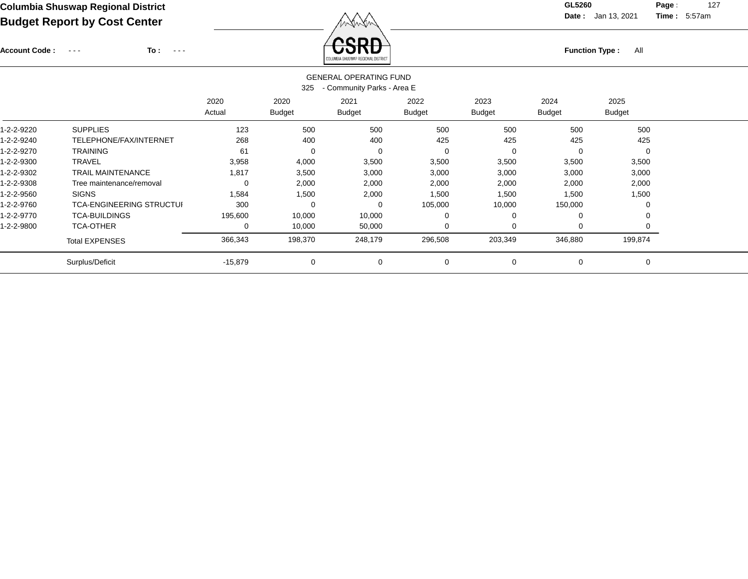Account Code : ---

**To :**

Function Type : All<br>
COLUMBIA SHUSWAP REGIONAL DISTRICT

**Date :** Jan 13, 2021 **Time :**

**Page :** 127 5:57am

|            |                                 |                |                       | <b>GENERAL OPERATING FUND</b> |                |                       |                       |                       |
|------------|---------------------------------|----------------|-----------------------|-------------------------------|----------------|-----------------------|-----------------------|-----------------------|
|            |                                 |                | 325                   | - Community Parks - Area E    |                |                       |                       |                       |
|            |                                 | 2020<br>Actual | 2020<br><b>Budget</b> | 2021<br><b>Budget</b>         | 2022<br>Budget | 2023<br><b>Budget</b> | 2024<br><b>Budget</b> | 2025<br><b>Budget</b> |
| 1-2-2-9220 | <b>SUPPLIES</b>                 | 123            | 500                   | 500                           | 500            | 500                   | 500                   | 500                   |
| 1-2-2-9240 | TELEPHONE/FAX/INTERNET          | 268            | 400                   | 400                           | 425            | 425                   | 425                   | 425                   |
| 1-2-2-9270 | <b>TRAINING</b>                 | 61             | $\Omega$              | 0                             | 0              |                       | 0                     | $\Omega$              |
| 1-2-2-9300 | <b>TRAVEL</b>                   | 3,958          | 4,000                 | 3,500                         | 3,500          | 3,500                 | 3,500                 | 3,500                 |
| 1-2-2-9302 | <b>TRAIL MAINTENANCE</b>        | 1,817          | 3,500                 | 3,000                         | 3,000          | 3,000                 | 3,000                 | 3,000                 |
| 1-2-2-9308 | Tree maintenance/removal        | 0              | 2,000                 | 2,000                         | 2,000          | 2,000                 | 2,000                 | 2,000                 |
| 1-2-2-9560 | <b>SIGNS</b>                    | 1,584          | 1,500                 | 2,000                         | 1,500          | 1,500                 | 1,500                 | 1,500                 |
| 1-2-2-9760 | <b>TCA-ENGINEERING STRUCTUI</b> | 300            | O                     | 0                             | 105,000        | 10,000                | 150,000               | 0                     |
| 1-2-2-9770 | <b>TCA-BUILDINGS</b>            | 195,600        | 10,000                | 10,000                        | $\Omega$       |                       | 0                     | 0                     |
| 1-2-2-9800 | <b>TCA-OTHER</b>                | 0              | 10,000                | 50,000                        | $\Omega$       | $\Omega$              | 0                     | 0                     |
|            | <b>Total EXPENSES</b>           | 366,343        | 198,370               | 248,179                       | 296,508        | 203,349               | 346,880               | 199,874               |
|            | Surplus/Deficit                 | $-15,879$      | 0                     | 0                             | 0              | $\Omega$              | 0                     | 0                     |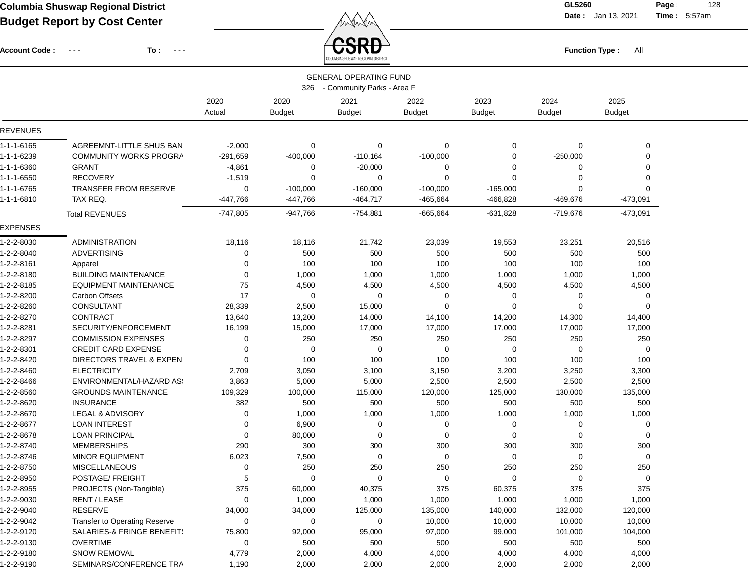Account Code : ---

**To :**

**Function Type :** All

**Date :** Jan 13, 2021 **Time :**

**Page :** 128 5:57am

|                 |                                      |                |                       | COLUMBIA SHUSWAP REGIONAL DISTRICT                          |                       |                       |                       |                       |  |
|-----------------|--------------------------------------|----------------|-----------------------|-------------------------------------------------------------|-----------------------|-----------------------|-----------------------|-----------------------|--|
|                 |                                      |                | 326                   | <b>GENERAL OPERATING FUND</b><br>- Community Parks - Area F |                       |                       |                       |                       |  |
|                 |                                      | 2020<br>Actual | 2020<br><b>Budget</b> | 2021<br><b>Budget</b>                                       | 2022<br><b>Budget</b> | 2023<br><b>Budget</b> | 2024<br><b>Budget</b> | 2025<br><b>Budget</b> |  |
| <b>REVENUES</b> |                                      |                |                       |                                                             |                       |                       |                       |                       |  |
| 1-1-1-6165      | AGREEMNT-LITTLE SHUS BAN             | $-2,000$       | 0                     | 0                                                           | 0                     | 0                     | 0                     | 0                     |  |
| 1-1-1-6239      | COMMUNITY WORKS PROGRA               | $-291,659$     | $-400,000$            | $-110,164$                                                  | $-100,000$            | 0                     | $-250,000$            | $\Omega$              |  |
| 1-1-1-6360      | <b>GRANT</b>                         | $-4,861$       | 0                     | $-20,000$                                                   | 0                     | 0                     | 0                     | 0                     |  |
| 1-1-1-6550      | <b>RECOVERY</b>                      | $-1,519$       | 0                     | 0                                                           | $\Omega$              | 0                     | 0                     | $\Omega$              |  |
| 1-1-1-6765      | <b>TRANSFER FROM RESERVE</b>         | 0              | $-100,000$            | $-160,000$                                                  | $-100,000$            | $-165,000$            | 0                     | ∩                     |  |
| 1-1-1-6810      | TAX REQ.                             | $-447,766$     | $-447,766$            | $-464,717$                                                  | $-465,664$            | $-466,828$            | -469,676              | $-473,091$            |  |
|                 | <b>Total REVENUES</b>                | $-747,805$     | $-947,766$            | $-754,881$                                                  | $-665,664$            | $-631,828$            | $-719,676$            | $-473,091$            |  |
| <b>EXPENSES</b> |                                      |                |                       |                                                             |                       |                       |                       |                       |  |
| 1-2-2-8030      | <b>ADMINISTRATION</b>                | 18,116         | 18,116                | 21,742                                                      | 23,039                | 19,553                | 23,251                | 20,516                |  |
| 1-2-2-8040      | <b>ADVERTISING</b>                   | 0              | 500                   | 500                                                         | 500                   | 500                   | 500                   | 500                   |  |
| 1-2-2-8161      | Apparel                              | 0              | 100                   | 100                                                         | 100                   | 100                   | 100                   | 100                   |  |
| 1-2-2-8180      | <b>BUILDING MAINTENANCE</b>          | 0              | 1,000                 | 1,000                                                       | 1,000                 | 1,000                 | 1,000                 | 1,000                 |  |
| 1-2-2-8185      | <b>EQUIPMENT MAINTENANCE</b>         | 75             | 4,500                 | 4,500                                                       | 4,500                 | 4,500                 | 4,500                 | 4,500                 |  |
| 1-2-2-8200      | <b>Carbon Offsets</b>                | 17             | 0                     | 0                                                           | 0                     | 0                     | 0                     | 0                     |  |
| 1-2-2-8260      | <b>CONSULTANT</b>                    | 28,339         | 2,500                 | 15,000                                                      | $\Omega$              | $\Omega$              | 0                     | $\Omega$              |  |
| 1-2-2-8270      | <b>CONTRACT</b>                      | 13,640         | 13,200                | 14,000                                                      | 14,100                | 14,200                | 14,300                | 14,400                |  |
| 1-2-2-8281      | SECURITY/ENFORCEMENT                 | 16,199         | 15,000                | 17,000                                                      | 17,000                | 17,000                | 17,000                | 17,000                |  |
| 1-2-2-8297      | <b>COMMISSION EXPENSES</b>           | 0              | 250                   | 250                                                         | 250                   | 250                   | 250                   | 250                   |  |
| 1-2-2-8301      | <b>CREDIT CARD EXPENSE</b>           | 0              | 0                     | 0                                                           | $\mathbf 0$           | 0                     | 0                     | $\Omega$              |  |
| 1-2-2-8420      | DIRECTORS TRAVEL & EXPEN             | 0              | 100                   | 100                                                         | 100                   | 100                   | 100                   | 100                   |  |
| 1-2-2-8460      | <b>ELECTRICITY</b>                   | 2,709          | 3,050                 | 3,100                                                       | 3,150                 | 3,200                 | 3,250                 | 3,300                 |  |
| 1-2-2-8466      | ENVIRONMENTAL/HAZARD AS:             | 3,863          | 5,000                 | 5,000                                                       | 2,500                 | 2,500                 | 2,500                 | 2,500                 |  |
| 1-2-2-8560      | <b>GROUNDS MAINTENANCE</b>           | 109,329        | 100,000               | 115,000                                                     | 120,000               | 125,000               | 130,000               | 135,000               |  |
| 1-2-2-8620      | <b>INSURANCE</b>                     | 382            | 500                   | 500                                                         | 500                   | 500                   | 500                   | 500                   |  |
| 1-2-2-8670      | LEGAL & ADVISORY                     | 0              | 1,000                 | 1,000                                                       | 1,000                 | 1,000                 | 1,000                 | 1,000                 |  |
| 1-2-2-8677      | <b>LOAN INTEREST</b>                 | 0              | 6,900                 | 0                                                           | 0                     | 0                     | 0                     | 0                     |  |
| 1-2-2-8678      | <b>LOAN PRINCIPAL</b>                | 0              | 80,000                | 0                                                           | $\mathbf 0$           | $\mathbf 0$           | 0                     | 0                     |  |
| 1-2-2-8740      | <b>MEMBERSHIPS</b>                   | 290            | 300                   | 300                                                         | 300                   | 300                   | 300                   | 300                   |  |
| 1-2-2-8746      | <b>MINOR EQUIPMENT</b>               | 6,023          | 7,500                 | 0                                                           | $\mathbf 0$           | 0                     | 0                     | 0                     |  |
| 1-2-2-8750      | <b>MISCELLANEOUS</b>                 | 0              | 250                   | 250                                                         | 250                   | 250                   | 250                   | 250                   |  |
| 1-2-2-8950      | POSTAGE/ FREIGHT                     | 5              | 0                     | 0                                                           | $\mathbf 0$           | 0                     | 0                     | 0                     |  |
| 1-2-2-8955      | PROJECTS (Non-Tangible)              | 375            | 60,000                | 40,375                                                      | 375                   | 60,375                | 375                   | 375                   |  |
| 1-2-2-9030      | RENT / LEASE                         | $\mathbf 0$    | 1,000                 | 1,000                                                       | 1,000                 | 1,000                 | 1,000                 | 1,000                 |  |
| 1-2-2-9040      | RESERVE                              | 34,000         | 34,000                | 125,000                                                     | 135,000               | 140,000               | 132,000               | 120,000               |  |
| 1-2-2-9042      | <b>Transfer to Operating Reserve</b> | 0              | 0                     | 0                                                           | 10,000                | 10,000                | 10,000                | 10,000                |  |
| 1-2-2-9120      | SALARIES-& FRINGE BENEFIT!           | 75,800         | 92,000                | 95,000                                                      | 97,000                | 99,000                | 101,000               | 104,000               |  |
| 1-2-2-9130      | <b>OVERTIME</b>                      | 0              | 500                   | 500                                                         | 500                   | 500                   | 500                   | 500                   |  |
| 1-2-2-9180      | <b>SNOW REMOVAL</b>                  | 4,779          | 2,000                 | 4,000                                                       | 4,000                 | 4,000                 | 4,000                 | 4,000                 |  |
| 1-2-2-9190      | SEMINARS/CONFERENCE TRA              | 1,190          | 2,000                 | 2,000                                                       | 2,000                 | 2,000                 | 2,000                 | 2,000                 |  |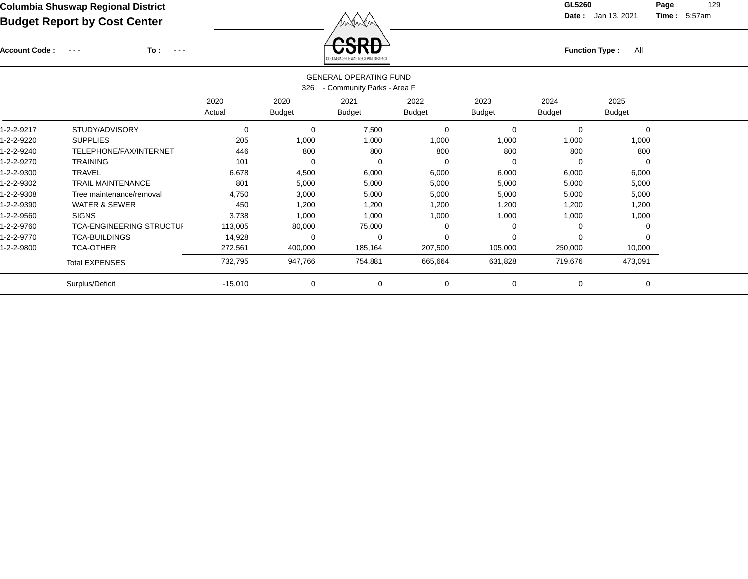Account Code : ---

**To :**

Function Type : All<br>
COLUMBIA SHUSWAP REGIONAL DISTRICT

**Date :** Jan 13, 2021 **Time :**

**Page :** 129 5:57am

| <b>GENERAL OPERATING FUND</b><br>- Community Parks - Area F<br>326 |                                 |                |                       |                       |                |                       |                       |                       |  |  |
|--------------------------------------------------------------------|---------------------------------|----------------|-----------------------|-----------------------|----------------|-----------------------|-----------------------|-----------------------|--|--|
|                                                                    |                                 | 2020<br>Actual | 2020<br><b>Budget</b> | 2021<br><b>Budget</b> | 2022<br>Budget | 2023<br><b>Budget</b> | 2024<br><b>Budget</b> | 2025<br><b>Budget</b> |  |  |
| 1-2-2-9217                                                         | STUDY/ADVISORY                  | 0              | $\mathbf 0$           | 7,500                 | 0              |                       | 0                     | $\mathbf 0$           |  |  |
| 1-2-2-9220                                                         | <b>SUPPLIES</b>                 | 205            | 1,000                 | 1,000                 | 1,000          | 1,000                 | 1,000                 | 1,000                 |  |  |
| 1-2-2-9240                                                         | TELEPHONE/FAX/INTERNET          | 446            | 800                   | 800                   | 800            | 800                   | 800                   | 800                   |  |  |
| 1-2-2-9270                                                         | <b>TRAINING</b>                 | 101            | $\Omega$              | 0                     | $\Omega$       | $\Omega$              | 0                     | 0                     |  |  |
| 1-2-2-9300                                                         | <b>TRAVEL</b>                   | 6,678          | 4,500                 | 6,000                 | 6,000          | 6,000                 | 6,000                 | 6,000                 |  |  |
| 1-2-2-9302                                                         | <b>TRAIL MAINTENANCE</b>        | 801            | 5,000                 | 5,000                 | 5,000          | 5,000                 | 5,000                 | 5,000                 |  |  |
| 1-2-2-9308                                                         | Tree maintenance/removal        | 4,750          | 3,000                 | 5,000                 | 5,000          | 5,000                 | 5,000                 | 5,000                 |  |  |
| 1-2-2-9390                                                         | <b>WATER &amp; SEWER</b>        | 450            | 1,200                 | 1,200                 | 1,200          | 1,200                 | 1,200                 | 1,200                 |  |  |
| 1-2-2-9560                                                         | <b>SIGNS</b>                    | 3,738          | 1,000                 | 1,000                 | 1,000          | 1,000                 | 1,000                 | 1,000                 |  |  |
| 1-2-2-9760                                                         | <b>TCA-ENGINEERING STRUCTUI</b> | 113,005        | 80,000                | 75,000                | $\Omega$       |                       | 0                     | 0                     |  |  |
| 1-2-2-9770                                                         | <b>TCA-BUILDINGS</b>            | 14,928         | 0                     | 0                     | $\Omega$       |                       | 0                     | $\Omega$              |  |  |
| 1-2-2-9800                                                         | <b>TCA-OTHER</b>                | 272,561        | 400,000               | 185,164               | 207,500        | 105,000               | 250,000               | 10,000                |  |  |
|                                                                    | <b>Total EXPENSES</b>           | 732,795        | 947,766               | 754,881               | 665,664        | 631,828               | 719,676               | 473,091               |  |  |
|                                                                    | Surplus/Deficit                 | $-15,010$      | 0                     | 0                     | 0              | 0                     | 0                     | 0                     |  |  |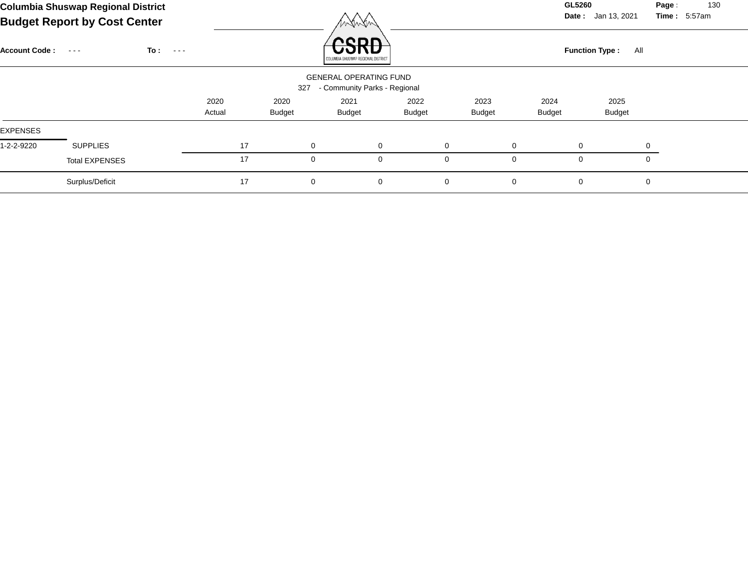|                      | <b>Columbia Shuswap Regional District</b><br><b>Budget Report by Cost Center</b> |                              |        |    |               | Winter                                    |               |             |               |               | GL5260<br>Date: Jan 13, 2021 | Page<br>Time: 5:57am | 130 |
|----------------------|----------------------------------------------------------------------------------|------------------------------|--------|----|---------------|-------------------------------------------|---------------|-------------|---------------|---------------|------------------------------|----------------------|-----|
| <b>Account Code:</b> | $\sim$ $\sim$ $\sim$                                                             | To :<br>$\sim$ $\sim$ $\sim$ |        |    |               | ODR<br>COLUMBIA SHUSWAP REGIONAL DISTRICT |               |             |               |               | <b>Function Type:</b><br>All |                      |     |
|                      |                                                                                  |                              |        |    |               | <b>GENERAL OPERATING FUND</b>             |               |             |               |               |                              |                      |     |
|                      |                                                                                  |                              |        |    | 327           | - Community Parks - Regional              |               |             |               |               |                              |                      |     |
|                      |                                                                                  |                              | 2020   |    | 2020          | 2021                                      | 2022          |             | 2023          | 2024          | 2025                         |                      |     |
|                      |                                                                                  |                              | Actual |    | <b>Budget</b> | <b>Budget</b>                             | <b>Budget</b> |             | <b>Budget</b> | <b>Budget</b> | <b>Budget</b>                |                      |     |
| <b>EXPENSES</b>      |                                                                                  |                              |        |    |               |                                           |               |             |               |               |                              |                      |     |
| 1-2-2-9220           | <b>SUPPLIES</b>                                                                  |                              |        | 17 | $\mathbf 0$   |                                           | $\mathbf 0$   | $\mathbf 0$ |               | $\mathbf 0$   | 0                            | 0                    |     |
|                      | <b>Total EXPENSES</b>                                                            |                              |        | 17 | 0             |                                           | 0             | 0           |               | 0             | 0                            | $\mathbf{0}$         |     |

Surplus/Deficit 17 0 0 0 0 0 0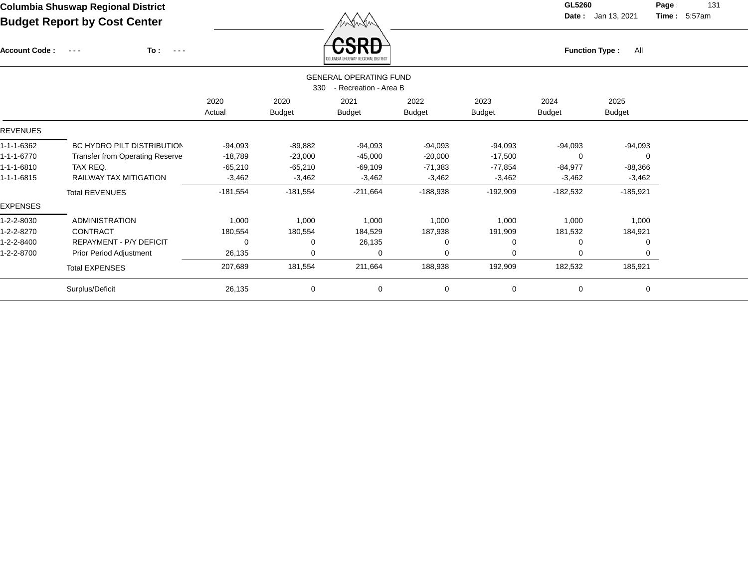Account Code : ---

**To :**

 $\overleftrightarrow{CSRD}$  Function Type : All

**Date :** Jan 13, 2021 **Time :**

**Page :** 131 5:57am

|                 | SAFAWDIN AUSANAL UEAIAIWIP RIATURA                            |            |               |               |               |               |               |               |  |  |  |  |  |
|-----------------|---------------------------------------------------------------|------------|---------------|---------------|---------------|---------------|---------------|---------------|--|--|--|--|--|
|                 | <b>GENERAL OPERATING FUND</b><br>- Recreation - Area B<br>330 |            |               |               |               |               |               |               |  |  |  |  |  |
|                 |                                                               | 2020       | 2020          | 2021          | 2022          | 2023          | 2024          | 2025          |  |  |  |  |  |
|                 |                                                               | Actual     | <b>Budget</b> | <b>Budget</b> | <b>Budget</b> | <b>Budget</b> | <b>Budget</b> | <b>Budget</b> |  |  |  |  |  |
| <b>REVENUES</b> |                                                               |            |               |               |               |               |               |               |  |  |  |  |  |
| 1-1-1-6362      | BC HYDRO PILT DISTRIBUTION                                    | $-94,093$  | $-89,882$     | $-94,093$     | $-94,093$     | $-94,093$     | $-94,093$     | $-94,093$     |  |  |  |  |  |
| 1-1-1-6770      | <b>Transfer from Operating Reserve</b>                        | $-18,789$  | $-23,000$     | $-45,000$     | $-20,000$     | $-17,500$     | 0             | $\Omega$      |  |  |  |  |  |
| 1-1-1-6810      | TAX REQ.                                                      | $-65,210$  | $-65,210$     | -69,109       | $-71,383$     | $-77,854$     | $-84,977$     | $-88,366$     |  |  |  |  |  |
| 1-1-1-6815      | RAILWAY TAX MITIGATION                                        | $-3,462$   | $-3,462$      | $-3,462$      | $-3,462$      | $-3,462$      | $-3,462$      | $-3,462$      |  |  |  |  |  |
|                 | <b>Total REVENUES</b>                                         | $-181,554$ | $-181,554$    | $-211,664$    | $-188,938$    | $-192,909$    | $-182,532$    | $-185,921$    |  |  |  |  |  |
| <b>EXPENSES</b> |                                                               |            |               |               |               |               |               |               |  |  |  |  |  |
| 1-2-2-8030      | <b>ADMINISTRATION</b>                                         | 1,000      | 1,000         | 1,000         | 1,000         | 1,000         | 1,000         | 1,000         |  |  |  |  |  |
| 1-2-2-8270      | <b>CONTRACT</b>                                               | 180,554    | 180,554       | 184,529       | 187,938       | 191,909       | 181,532       | 184,921       |  |  |  |  |  |
| 1-2-2-8400      | REPAYMENT - P/Y DEFICIT                                       | 0          | 0             | 26,135        | $\Omega$      |               | 0             | $\Omega$      |  |  |  |  |  |
| 1-2-2-8700      | <b>Prior Period Adjustment</b>                                | 26,135     | $\Omega$      | 0             | $\Omega$      | $\Omega$      | 0             | 0             |  |  |  |  |  |
|                 | <b>Total EXPENSES</b>                                         | 207,689    | 181,554       | 211,664       | 188,938       | 192,909       | 182,532       | 185,921       |  |  |  |  |  |
|                 | Surplus/Deficit                                               | 26,135     | 0             | 0             | 0             | 0             | 0             | 0             |  |  |  |  |  |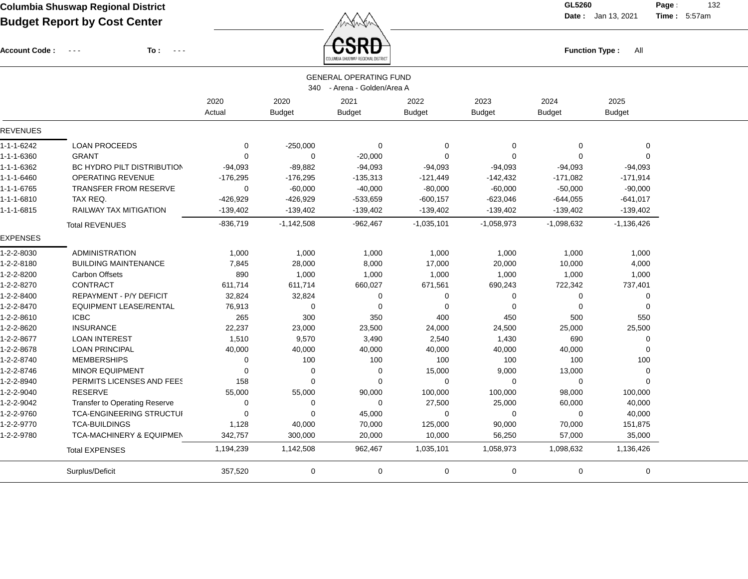Account Code : ---

**To :**

 $\overbrace{CSRD}$  Function Type : All

**Date :** Jan 13, 2021 **Time :**

**Page :** 132 5:57am

|                    |                                      |             |               | COLUMBIA SHUSWAP REGIONAL DISTRICT |               |                |               |               |  |
|--------------------|--------------------------------------|-------------|---------------|------------------------------------|---------------|----------------|---------------|---------------|--|
|                    |                                      |             |               | <b>GENERAL OPERATING FUND</b>      |               |                |               |               |  |
|                    |                                      |             | 340           | - Arena - Golden/Area A            |               |                |               |               |  |
|                    |                                      | 2020        | 2020          | 2021                               | 2022          | 2023           | 2024          | 2025          |  |
|                    |                                      | Actual      | <b>Budget</b> | <b>Budget</b>                      | <b>Budget</b> | <b>Budget</b>  | <b>Budget</b> | <b>Budget</b> |  |
| <b>REVENUES</b>    |                                      |             |               |                                    |               |                |               |               |  |
| 1-1-1-6242         | <b>LOAN PROCEEDS</b>                 | 0           | $-250,000$    | $\Omega$                           | 0             | $\mathbf 0$    | $\Omega$      | $\mathbf 0$   |  |
| 1-1-1-6360         | <b>GRANT</b>                         | $\mathbf 0$ | $\mathbf 0$   | $-20,000$                          | $\mathbf 0$   | $\mathbf 0$    | $\Omega$      | 0             |  |
| 1-1-1-6362         | BC HYDRO PILT DISTRIBUTION           | $-94,093$   | $-89,882$     | $-94,093$                          | $-94,093$     | $-94,093$      | $-94,093$     | $-94,093$     |  |
| $1 - 1 - 1 - 6460$ | <b>OPERATING REVENUE</b>             | $-176,295$  | $-176,295$    | $-135,313$                         | $-121,449$    | $-142,432$     | $-171,082$    | $-171,914$    |  |
| 1-1-1-6765         | <b>TRANSFER FROM RESERVE</b>         | $\mathbf 0$ | $-60,000$     | $-40,000$                          | $-80,000$     | $-60,000$      | $-50,000$     | $-90,000$     |  |
| 1-1-1-6810         | TAX REQ.                             | $-426,929$  | $-426,929$    | $-533,659$                         | $-600, 157$   | $-623,046$     | $-644,055$    | $-641,017$    |  |
| $1 - 1 - 1 - 6815$ | <b>RAILWAY TAX MITIGATION</b>        | $-139,402$  | $-139,402$    | $-139,402$                         | $-139,402$    | $-139,402$     | $-139,402$    | $-139,402$    |  |
|                    | <b>Total REVENUES</b>                | $-836,719$  | $-1,142,508$  | $-962,467$                         | $-1,035,101$  | $-1,058,973$   | $-1,098,632$  | $-1,136,426$  |  |
| <b>EXPENSES</b>    |                                      |             |               |                                    |               |                |               |               |  |
| 1-2-2-8030         | <b>ADMINISTRATION</b>                | 1,000       | 1,000         | 1,000                              | 1,000         | 1,000          | 1,000         | 1,000         |  |
| 1-2-2-8180         | <b>BUILDING MAINTENANCE</b>          | 7,845       | 28,000        | 8,000                              | 17,000        | 20,000         | 10,000        | 4,000         |  |
| 1-2-2-8200         | <b>Carbon Offsets</b>                | 890         | 1,000         | 1,000                              | 1,000         | 1,000          | 1,000         | 1,000         |  |
| 1-2-2-8270         | <b>CONTRACT</b>                      | 611,714     | 611,714       | 660,027                            | 671,561       | 690,243        | 722,342       | 737,401       |  |
| 1-2-2-8400         | REPAYMENT - P/Y DEFICIT              | 32,824      | 32,824        | $\Omega$                           | 0             | $\overline{0}$ | $\Omega$      | 0             |  |
| 1-2-2-8470         | <b>EQUIPMENT LEASE/RENTAL</b>        | 76,913      | $\mathbf 0$   | 0                                  | $\mathbf 0$   | $\mathbf 0$    | $\Omega$      | 0             |  |
| 1-2-2-8610         | <b>ICBC</b>                          | 265         | 300           | 350                                | 400           | 450            | 500           | 550           |  |
| 1-2-2-8620         | <b>INSURANCE</b>                     | 22,237      | 23,000        | 23,500                             | 24,000        | 24,500         | 25,000        | 25,500        |  |
| 1-2-2-8677         | <b>LOAN INTEREST</b>                 | 1,510       | 9,570         | 3,490                              | 2,540         | 1,430          | 690           | 0             |  |
| 1-2-2-8678         | <b>LOAN PRINCIPAL</b>                | 40,000      | 40,000        | 40,000                             | 40,000        | 40,000         | 40,000        | 0             |  |
| 1-2-2-8740         | <b>MEMBERSHIPS</b>                   | 0           | 100           | 100                                | 100           | 100            | 100           | 100           |  |
| 1-2-2-8746         | <b>MINOR EQUIPMENT</b>               | 0           | 0             | 0                                  | 15,000        | 9,000          | 13,000        | 0             |  |
| 1-2-2-8940         | PERMITS LICENSES AND FEES            | 158         | $\Omega$      | $\Omega$                           | $\mathbf 0$   | $\mathbf 0$    | $\Omega$      | $\Omega$      |  |
| 1-2-2-9040         | <b>RESERVE</b>                       | 55,000      | 55,000        | 90,000                             | 100,000       | 100,000        | 98,000        | 100,000       |  |
| 1-2-2-9042         | <b>Transfer to Operating Reserve</b> | $\mathbf 0$ | $\Omega$      | $\Omega$                           | 27,500        | 25,000         | 60,000        | 40,000        |  |
| 1-2-2-9760         | <b>TCA-ENGINEERING STRUCTUI</b>      | $\Omega$    | $\Omega$      | 45,000                             | $\mathbf 0$   | $\mathbf 0$    | $\mathbf 0$   | 40,000        |  |
| 1-2-2-9770         | <b>TCA-BUILDINGS</b>                 | 1,128       | 40,000        | 70,000                             | 125,000       | 90,000         | 70,000        | 151,875       |  |
| 1-2-2-9780         | <b>TCA-MACHINERY &amp; EQUIPMEN</b>  | 342,757     | 300,000       | 20,000                             | 10,000        | 56,250         | 57,000        | 35,000        |  |
|                    | <b>Total EXPENSES</b>                | 1,194,239   | 1,142,508     | 962,467                            | 1,035,101     | 1,058,973      | 1,098,632     | 1,136,426     |  |
|                    | Surplus/Deficit                      | 357,520     | 0             | 0                                  | 0             | 0              | 0             | 0             |  |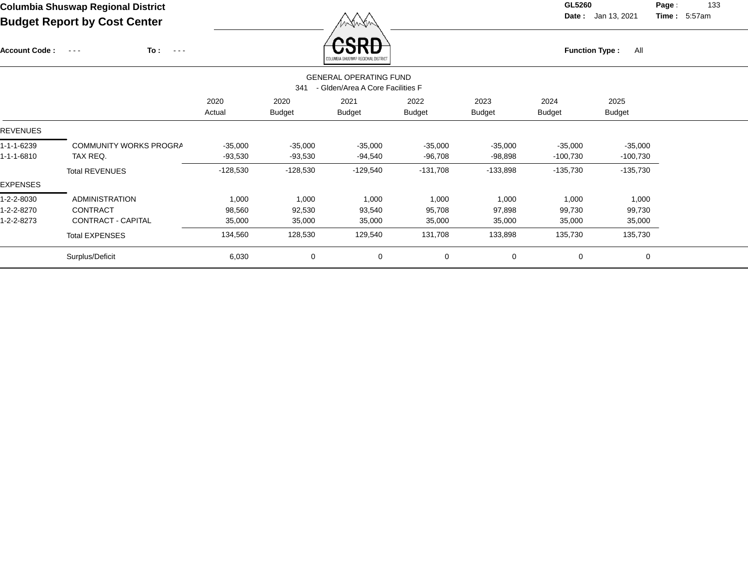Account Code : ---

**To :**

Function Type : All<br>COLUMENA SHUSWAP REGIONAL DISTRICT

**Date :** Jan 13, 2021 **Time :**

**Page :** 133 5:57am

|                          | <b>GENERAL OPERATING FUND</b><br>- Glden/Area A Core Facilities F<br>341 |                        |                        |                       |                        |                        |                         |                         |  |  |  |  |
|--------------------------|--------------------------------------------------------------------------|------------------------|------------------------|-----------------------|------------------------|------------------------|-------------------------|-------------------------|--|--|--|--|
|                          |                                                                          | 2020<br>Actual         | 2020<br><b>Budget</b>  | 2021<br><b>Budget</b> | 2022<br>Budget         | 2023<br><b>Budget</b>  | 2024<br><b>Budget</b>   | 2025<br><b>Budget</b>   |  |  |  |  |
| REVENUES                 |                                                                          |                        |                        |                       |                        |                        |                         |                         |  |  |  |  |
| 1-1-1-6239<br>1-1-1-6810 | COMMUNITY WORKS PROGRA<br>TAX REQ.                                       | $-35,000$<br>$-93,530$ | $-35,000$<br>$-93,530$ | $-35,000$<br>-94,540  | $-35,000$<br>$-96,708$ | $-35,000$<br>$-98,898$ | $-35,000$<br>$-100,730$ | $-35,000$<br>$-100,730$ |  |  |  |  |
|                          | <b>Total REVENUES</b>                                                    | $-128,530$             | $-128,530$             | $-129,540$            | $-131,708$             | $-133,898$             | $-135,730$              | $-135,730$              |  |  |  |  |
| EXPENSES                 |                                                                          |                        |                        |                       |                        |                        |                         |                         |  |  |  |  |
| 1-2-2-8030               | <b>ADMINISTRATION</b>                                                    | 1,000                  | 1,000                  | 1,000                 | 1,000                  | 1,000                  | 1,000                   | 1,000                   |  |  |  |  |
| 1-2-2-8270               | <b>CONTRACT</b>                                                          | 98,560                 | 92,530                 | 93,540                | 95,708                 | 97,898                 | 99,730                  | 99,730                  |  |  |  |  |
| 1-2-2-8273               | CONTRACT - CAPITAL                                                       | 35,000                 | 35,000                 | 35,000                | 35,000                 | 35,000                 | 35,000                  | 35,000                  |  |  |  |  |
|                          | <b>Total EXPENSES</b>                                                    | 134,560                | 128,530                | 129,540               | 131,708                | 133,898                | 135,730                 | 135,730                 |  |  |  |  |
|                          | Surplus/Deficit                                                          | 6,030                  | $\mathbf 0$            | 0                     | $\mathbf 0$            | $\mathbf 0$            | 0                       | 0                       |  |  |  |  |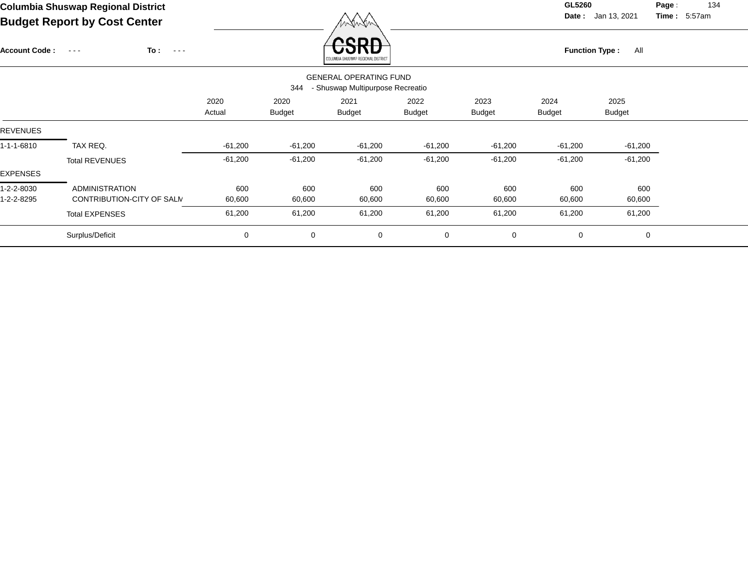**Date :** Jan 13, 2021 **Time :**

**Page :** 134 5:57am

|                      | Budget Report by Cost Center                        |                |                       | menen                                                             |                       |                       |                              |                       |  |  |
|----------------------|-----------------------------------------------------|----------------|-----------------------|-------------------------------------------------------------------|-----------------------|-----------------------|------------------------------|-----------------------|--|--|
| <b>Account Code:</b> | To:<br>$\sim$ $\sim$ $\sim$<br>$\sim$ $\sim$ $\sim$ |                |                       | onn<br>COLUMBIA SHUSWAP REGIONAL DISTRICT                         |                       |                       | <b>Function Type:</b><br>All |                       |  |  |
|                      |                                                     |                | 344                   | <b>GENERAL OPERATING FUND</b><br>- Shuswap Multipurpose Recreatio |                       |                       |                              |                       |  |  |
|                      |                                                     | 2020<br>Actual | 2020<br><b>Budget</b> | 2021<br><b>Budget</b>                                             | 2022<br><b>Budget</b> | 2023<br><b>Budget</b> | 2024<br><b>Budget</b>        | 2025<br><b>Budget</b> |  |  |
| <b>REVENUES</b>      |                                                     |                |                       |                                                                   |                       |                       |                              |                       |  |  |
| $1 - 1 - 1 - 6810$   | TAX REQ.                                            | $-61,200$      | $-61,200$             | $-61,200$                                                         | $-61,200$             | $-61,200$             | $-61,200$                    | $-61,200$             |  |  |
|                      | <b>Total REVENUES</b>                               | $-61,200$      | $-61,200$             | $-61,200$                                                         | $-61,200$             | $-61,200$             | $-61,200$                    | $-61,200$             |  |  |
| <b>EXPENSES</b>      |                                                     |                |                       |                                                                   |                       |                       |                              |                       |  |  |
| 1-2-2-8030           | <b>ADMINISTRATION</b>                               | 600            | 600                   | 600                                                               | 600                   | 600                   | 600                          | 600                   |  |  |
| 1-2-2-8295           | CONTRIBUTION-CITY OF SALM                           | 60,600         | 60,600                | 60,600                                                            | 60,600                | 60,600                | 60,600                       | 60,600                |  |  |
|                      | <b>Total EXPENSES</b>                               | 61,200         | 61,200                | 61,200                                                            | 61,200                | 61,200                | 61,200                       | 61,200                |  |  |
|                      |                                                     |                |                       |                                                                   |                       |                       |                              |                       |  |  |

Surplus/Deficit 0 0 0 0 0 0 0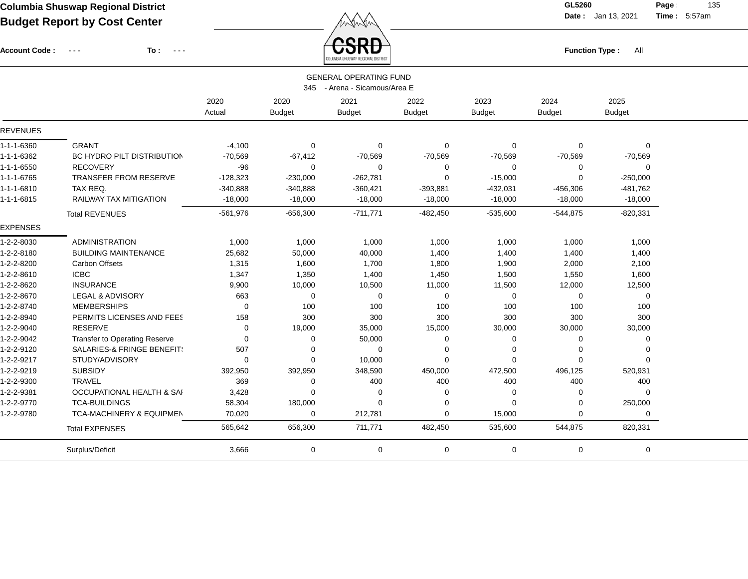Account Code : ---

**To :**

 $\overbrace{CSRD}$  Function Type : All

**Date :** Jan 13, 2021 **Time :**

**Page :** 135 5:57am

|                    |                                      |             |               | COLUMBIA SHUSWAP REGIONAL DISTRICT |               |               |               |               |  |
|--------------------|--------------------------------------|-------------|---------------|------------------------------------|---------------|---------------|---------------|---------------|--|
|                    |                                      |             |               | <b>GENERAL OPERATING FUND</b>      |               |               |               |               |  |
|                    |                                      |             | 345           | - Arena - Sicamous/Area E          |               |               |               |               |  |
|                    |                                      | 2020        | 2020          | 2021                               | 2022          | 2023          | 2024          | 2025          |  |
|                    |                                      | Actual      | <b>Budget</b> | <b>Budget</b>                      | <b>Budget</b> | <b>Budget</b> | <b>Budget</b> | <b>Budget</b> |  |
| <b>REVENUES</b>    |                                      |             |               |                                    |               |               |               |               |  |
| 1-1-1-6360         | <b>GRANT</b>                         | $-4,100$    | 0             | 0                                  | $\mathbf 0$   | 0             | $\Omega$      | 0             |  |
| 1-1-1-6362         | BC HYDRO PILT DISTRIBUTION           | $-70,569$   | $-67,412$     | $-70,569$                          | $-70,569$     | $-70,569$     | $-70,569$     | $-70,569$     |  |
| 1-1-1-6550         | <b>RECOVERY</b>                      | $-96$       | $\Omega$      | $\Omega$                           | 0             | 0             | 0             | 0             |  |
| 1-1-1-6765         | <b>TRANSFER FROM RESERVE</b>         | $-128,323$  | $-230,000$    | $-262,781$                         | 0             | $-15,000$     | 0             | $-250,000$    |  |
| $1 - 1 - 1 - 6810$ | TAX REQ.                             | $-340,888$  | $-340,888$    | $-360,421$                         | $-393,881$    | $-432,031$    | $-456,306$    | $-481,762$    |  |
| 1-1-1-6815         | RAILWAY TAX MITIGATION               | $-18,000$   | $-18,000$     | $-18,000$                          | $-18,000$     | $-18,000$     | $-18,000$     | $-18,000$     |  |
|                    | <b>Total REVENUES</b>                | $-561,976$  | $-656,300$    | $-711,771$                         | $-482,450$    | $-535,600$    | $-544.875$    | $-820,331$    |  |
| <b>EXPENSES</b>    |                                      |             |               |                                    |               |               |               |               |  |
| 1-2-2-8030         | <b>ADMINISTRATION</b>                | 1,000       | 1,000         | 1,000                              | 1,000         | 1,000         | 1,000         | 1,000         |  |
| 1-2-2-8180         | <b>BUILDING MAINTENANCE</b>          | 25,682      | 50,000        | 40,000                             | 1,400         | 1,400         | 1,400         | 1,400         |  |
| 1-2-2-8200         | <b>Carbon Offsets</b>                | 1,315       | 1,600         | 1,700                              | 1,800         | 1,900         | 2,000         | 2,100         |  |
| 1-2-2-8610         | <b>ICBC</b>                          | 1,347       | 1,350         | 1,400                              | 1,450         | 1,500         | 1,550         | 1,600         |  |
| 1-2-2-8620         | <b>INSURANCE</b>                     | 9,900       | 10,000        | 10,500                             | 11,000        | 11,500        | 12,000        | 12,500        |  |
| 1-2-2-8670         | <b>LEGAL &amp; ADVISORY</b>          | 663         | 0             | $\mathbf 0$                        | $\mathbf 0$   | 0             | 0             | 0             |  |
| 1-2-2-8740         | <b>MEMBERSHIPS</b>                   | $\mathbf 0$ | 100           | 100                                | 100           | 100           | 100           | 100           |  |
| 1-2-2-8940         | PERMITS LICENSES AND FEES            | 158         | 300           | 300                                | 300           | 300           | 300           | 300           |  |
| 1-2-2-9040         | <b>RESERVE</b>                       | $\mathbf 0$ | 19,000        | 35,000                             | 15,000        | 30,000        | 30,000        | 30,000        |  |
| 1-2-2-9042         | <b>Transfer to Operating Reserve</b> | $\mathbf 0$ | 0             | 50,000                             | 0             | 0             | 0             | 0             |  |
| 1-2-2-9120         | SALARIES-& FRINGE BENEFIT!           | 507         | 0             | 0                                  | 0             | 0             | $\Omega$      | $\Omega$      |  |
| 1-2-2-9217         | STUDY/ADVISORY                       | $\mathbf 0$ | $\Omega$      | 10,000                             | $\mathbf 0$   | $\Omega$      | $\Omega$      | U             |  |
| 1-2-2-9219         | <b>SUBSIDY</b>                       | 392,950     | 392,950       | 348,590                            | 450,000       | 472,500       | 496,125       | 520,931       |  |
| 1-2-2-9300         | <b>TRAVEL</b>                        | 369         | 0             | 400                                | 400           | 400           | 400           | 400           |  |
| 1-2-2-9381         | <b>OCCUPATIONAL HEALTH &amp; SAI</b> | 3,428       | $\Omega$      | 0                                  | 0             | $\Omega$      | $\Omega$      | $\Omega$      |  |
| 1-2-2-9770         | <b>TCA-BUILDINGS</b>                 | 58,304      | 180,000       | $\Omega$                           | 0             | $\Omega$      | $\Omega$      | 250,000       |  |
| 1-2-2-9780         | <b>TCA-MACHINERY &amp; EQUIPMEN</b>  | 70,020      | $\mathbf 0$   | 212,781                            | $\mathbf 0$   | 15,000        | $\Omega$      | 0             |  |
|                    | <b>Total EXPENSES</b>                | 565,642     | 656,300       | 711,771                            | 482,450       | 535,600       | 544,875       | 820,331       |  |
|                    | Surplus/Deficit                      | 3,666       | 0             | $\mathbf 0$                        | 0             | 0             | $\mathbf 0$   | 0             |  |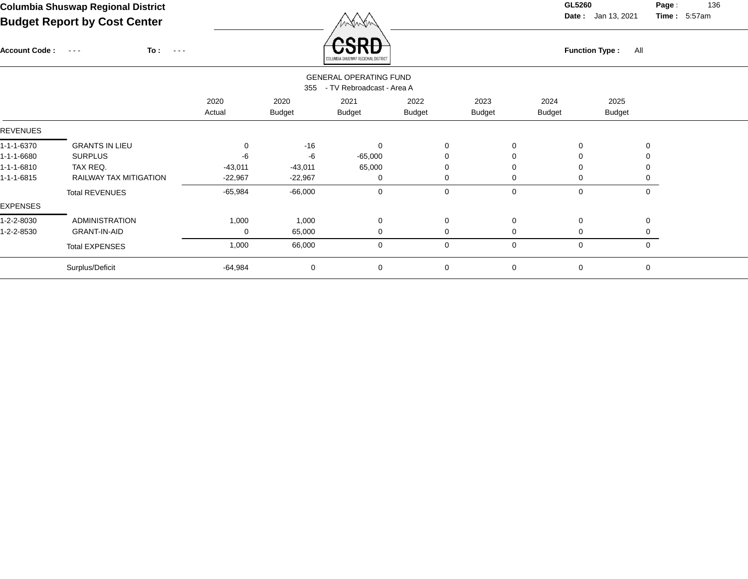Account Code : ---

**Date :** Jan 13, 2021 **Time :**

**Page :** 136 5:57am

| To :<br>$\frac{1}{2} \left( \frac{1}{2} \right) \left( \frac{1}{2} \right) \left( \frac{1}{2} \right) \left( \frac{1}{2} \right)$ | <b>SKD</b><br>COLUMBIA SHUSWAP REGIONAL DISTRICT               | <b>Function Type:</b> | Al |
|-----------------------------------------------------------------------------------------------------------------------------------|----------------------------------------------------------------|-----------------------|----|
|                                                                                                                                   | <b>GENERAL OPERATING FUND</b><br>355 - TV Rebroadcast - Area A |                       |    |

|            |                        | 2020<br>Actual | 2020<br><b>Budget</b> | 2021<br><b>Budget</b> | 2022<br><b>Budget</b> | 2023<br><b>Budget</b> | 2024<br><b>Budget</b> | 2025<br><b>Budget</b> |  |
|------------|------------------------|----------------|-----------------------|-----------------------|-----------------------|-----------------------|-----------------------|-----------------------|--|
| REVENUES   |                        |                |                       |                       |                       |                       |                       |                       |  |
| 1-1-1-6370 | <b>GRANTS IN LIEU</b>  | 0              | $-16$                 | $\Omega$              | $\Omega$              |                       | 0                     | $\Omega$              |  |
| 1-1-1-6680 | <b>SURPLUS</b>         | -6             | -6                    | $-65,000$             |                       |                       | 0                     |                       |  |
| 1-1-1-6810 | TAX REQ.               | $-43,011$      | $-43,011$             | 65,000                |                       |                       | 0                     |                       |  |
| 1-1-1-6815 | RAILWAY TAX MITIGATION | $-22,967$      | $-22,967$             | 0                     |                       |                       | 0                     |                       |  |
|            | <b>Total REVENUES</b>  | $-65,984$      | $-66,000$             | 0                     | 0                     | $\Omega$              | 0                     | 0                     |  |
| EXPENSES   |                        |                |                       |                       |                       |                       |                       |                       |  |
| 1-2-2-8030 | ADMINISTRATION         | 1,000          | 1,000                 | $\mathbf 0$           | $\Omega$              | $\Omega$              | $\mathbf 0$           | $\Omega$              |  |
| 1-2-2-8530 | <b>GRANT-IN-AID</b>    | 0              | 65,000                | 0                     |                       |                       | 0                     |                       |  |
|            | <b>Total EXPENSES</b>  | 1,000          | 66,000                | 0                     | $\Omega$              | $\Omega$              | 0                     | 0                     |  |
|            | Surplus/Deficit        | -64,984        | $\mathbf 0$           | 0                     | 0                     | $\Omega$              | 0                     | 0                     |  |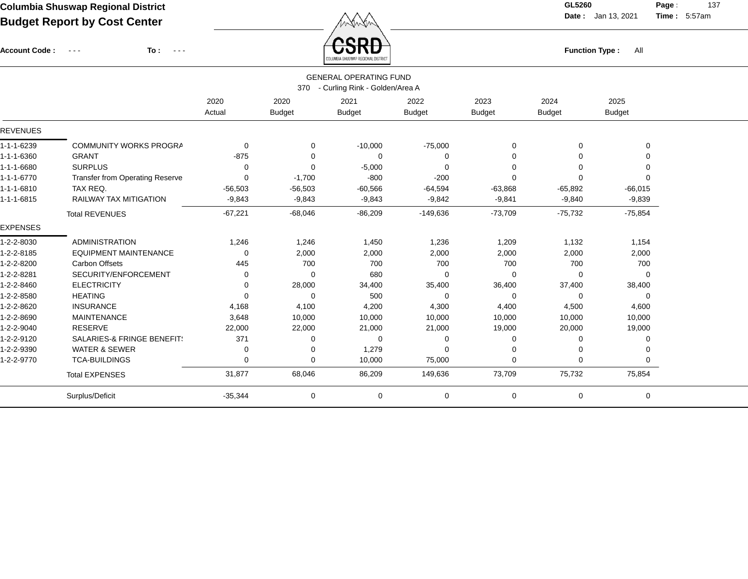Account Code : ---

**To :**

 $\overleftrightarrow{CSRD}$  Function Type : All

**Date :** Jan 13, 2021 **Time :**

**Page :** 137 5:57am

|                    |                                        |           |               | <b>GENERAL OPERATING FUND</b>      |               |               |               |               |  |
|--------------------|----------------------------------------|-----------|---------------|------------------------------------|---------------|---------------|---------------|---------------|--|
|                    |                                        |           |               | 370 - Curling Rink - Golden/Area A |               |               |               |               |  |
|                    |                                        | 2020      | 2020          | 2021                               | 2022          | 2023          | 2024          | 2025          |  |
|                    |                                        | Actual    | <b>Budget</b> | <b>Budget</b>                      | <b>Budget</b> | <b>Budget</b> | <b>Budget</b> | <b>Budget</b> |  |
| <b>REVENUES</b>    |                                        |           |               |                                    |               |               |               |               |  |
|                    |                                        |           |               |                                    |               |               |               |               |  |
| 1-1-1-6239         | <b>COMMUNITY WORKS PROGRA</b>          | 0         | $\Omega$      | $-10,000$                          | $-75,000$     | 0             | $\Omega$      | 0             |  |
| 1-1-1-6360         | <b>GRANT</b>                           | $-875$    | $\Omega$      | 0                                  | 0             | 0             |               | $\Omega$      |  |
| 1-1-1-6680         | <b>SURPLUS</b>                         | $\Omega$  | 0             | $-5,000$                           | $\Omega$      | $\Omega$      |               | $\Omega$      |  |
| $1 - 1 - 1 - 6770$ | <b>Transfer from Operating Reserve</b> | 0         | $-1,700$      | $-800$                             | $-200$        | 0             | $\Omega$      | $\Omega$      |  |
| $1 - 1 - 1 - 6810$ | TAX REQ.                               | $-56,503$ | $-56,503$     | $-60,566$                          | $-64,594$     | $-63,868$     | $-65,892$     | $-66,015$     |  |
| 1-1-1-6815         | <b>RAILWAY TAX MITIGATION</b>          | $-9,843$  | $-9,843$      | $-9,843$                           | $-9,842$      | $-9,841$      | $-9,840$      | $-9,839$      |  |
|                    | <b>Total REVENUES</b>                  | $-67,221$ | $-68,046$     | $-86,209$                          | $-149,636$    | $-73,709$     | $-75,732$     | $-75,854$     |  |
| <b>EXPENSES</b>    |                                        |           |               |                                    |               |               |               |               |  |
| 1-2-2-8030         | <b>ADMINISTRATION</b>                  | 1,246     | 1,246         | 1,450                              | 1,236         | 1,209         | 1,132         | 1,154         |  |
| 1-2-2-8185         | <b>EQUIPMENT MAINTENANCE</b>           | 0         | 2,000         | 2,000                              | 2,000         | 2,000         | 2,000         | 2,000         |  |
| 1-2-2-8200         | <b>Carbon Offsets</b>                  | 445       | 700           | 700                                | 700           | 700           | 700           | 700           |  |
| 1-2-2-8281         | SECURITY/ENFORCEMENT                   | 0         | $\Omega$      | 680                                | $\mathbf 0$   | 0             | $\Omega$      | 0             |  |
| 1-2-2-8460         | <b>ELECTRICITY</b>                     | 0         | 28,000        | 34,400                             | 35,400        | 36,400        | 37,400        | 38,400        |  |
| 1-2-2-8580         | <b>HEATING</b>                         | $\Omega$  | $\Omega$      | 500                                | $\mathbf 0$   | 0             | $\mathbf 0$   | 0             |  |
| 1-2-2-8620         | <b>INSURANCE</b>                       | 4,168     | 4,100         | 4,200                              | 4,300         | 4,400         | 4,500         | 4,600         |  |
| 1-2-2-8690         | <b>MAINTENANCE</b>                     | 3,648     | 10,000        | 10,000                             | 10,000        | 10,000        | 10,000        | 10,000        |  |
| 1-2-2-9040         | <b>RESERVE</b>                         | 22,000    | 22,000        | 21,000                             | 21,000        | 19,000        | 20,000        | 19,000        |  |
| 1-2-2-9120         | SALARIES-& FRINGE BENEFIT!             | 371       | 0             | 0                                  | 0             | 0             | 0             | 0             |  |
| 1-2-2-9390         | <b>WATER &amp; SEWER</b>               | 0         | 0             | 1,279                              | 0             | 0             | $\Omega$      | 0             |  |
| 1-2-2-9770         | <b>TCA-BUILDINGS</b>                   | 0         | $\mathbf 0$   | 10,000                             | 75,000        | $\mathbf 0$   | $\Omega$      | $\mathbf 0$   |  |
|                    | <b>Total EXPENSES</b>                  | 31,877    | 68,046        | 86,209                             | 149,636       | 73,709        | 75,732        | 75,854        |  |
|                    | Surplus/Deficit                        | $-35,344$ | 0             | 0                                  | 0             | $\mathbf 0$   | $\mathbf 0$   | 0             |  |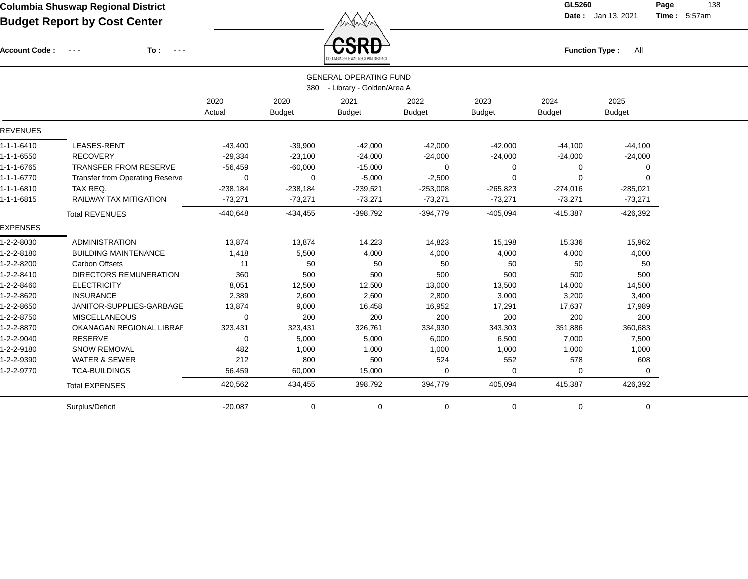Account Code : ---

**To :**

 $\overbrace{CSRD}$  Function Type : All

**Date :** Jan 13, 2021 **Time :**

**Page :** 138 5:57am

|                 |                                        |             |               | COLUMBIA SHUSWAP REGIONAL DISTRICT |               |               |               |               |  |
|-----------------|----------------------------------------|-------------|---------------|------------------------------------|---------------|---------------|---------------|---------------|--|
|                 |                                        |             |               | <b>GENERAL OPERATING FUND</b>      |               |               |               |               |  |
|                 |                                        |             | 380           | - Library - Golden/Area A          |               |               |               |               |  |
|                 |                                        | 2020        | 2020          | 2021                               | 2022          | 2023          | 2024          | 2025          |  |
|                 |                                        | Actual      | <b>Budget</b> | <b>Budget</b>                      | <b>Budget</b> | <b>Budget</b> | <b>Budget</b> | <b>Budget</b> |  |
| <b>REVENUES</b> |                                        |             |               |                                    |               |               |               |               |  |
| 1-1-1-6410      | LEASES-RENT                            | $-43,400$   | $-39,900$     | $-42,000$                          | $-42,000$     | $-42,000$     | $-44,100$     | $-44,100$     |  |
| 1-1-1-6550      | <b>RECOVERY</b>                        | $-29,334$   | $-23,100$     | $-24,000$                          | $-24,000$     | $-24,000$     | $-24,000$     | $-24,000$     |  |
| 1-1-1-6765      | <b>TRANSFER FROM RESERVE</b>           | $-56,459$   | $-60,000$     | $-15,000$                          | 0             | $\Omega$      | $\Omega$      | 0             |  |
| 1-1-1-6770      | <b>Transfer from Operating Reserve</b> | $\mathbf 0$ | 0             | $-5,000$                           | $-2,500$      | $\Omega$      | $\Omega$      | 0             |  |
| 1-1-1-6810      | TAX REQ.                               | $-238,184$  | $-238,184$    | $-239,521$                         | $-253,008$    | $-265,823$    | $-274,016$    | $-285,021$    |  |
| 1-1-1-6815      | <b>RAILWAY TAX MITIGATION</b>          | $-73,271$   | $-73,271$     | $-73,271$                          | $-73,271$     | $-73,271$     | $-73,271$     | $-73,271$     |  |
|                 | <b>Total REVENUES</b>                  | $-440,648$  | $-434, 455$   | $-398,792$                         | $-394,779$    | $-405,094$    | $-415,387$    | $-426,392$    |  |
| <b>EXPENSES</b> |                                        |             |               |                                    |               |               |               |               |  |
| 1-2-2-8030      | <b>ADMINISTRATION</b>                  | 13,874      | 13,874        | 14,223                             | 14,823        | 15,198        | 15,336        | 15,962        |  |
| 1-2-2-8180      | <b>BUILDING MAINTENANCE</b>            | 1,418       | 5,500         | 4,000                              | 4,000         | 4,000         | 4,000         | 4,000         |  |
| 1-2-2-8200      | <b>Carbon Offsets</b>                  | 11          | 50            | 50                                 | 50            | 50            | 50            | 50            |  |
| 1-2-2-8410      | <b>DIRECTORS REMUNERATION</b>          | 360         | 500           | 500                                | 500           | 500           | 500           | 500           |  |
| 1-2-2-8460      | <b>ELECTRICITY</b>                     | 8,051       | 12,500        | 12,500                             | 13,000        | 13,500        | 14,000        | 14,500        |  |
| 1-2-2-8620      | <b>INSURANCE</b>                       | 2,389       | 2,600         | 2,600                              | 2,800         | 3,000         | 3,200         | 3,400         |  |
| 1-2-2-8650      | JANITOR-SUPPLIES-GARBAGE               | 13,874      | 9,000         | 16,458                             | 16,952        | 17,291        | 17,637        | 17,989        |  |
| 1-2-2-8750      | <b>MISCELLANEOUS</b>                   | $\mathbf 0$ | 200           | 200                                | 200           | 200           | 200           | 200           |  |
| 1-2-2-8870      | OKANAGAN REGIONAL LIBRAF               | 323,431     | 323,431       | 326,761                            | 334,930       | 343,303       | 351,886       | 360,683       |  |
| 1-2-2-9040      | <b>RESERVE</b>                         | 0           | 5,000         | 5,000                              | 6,000         | 6,500         | 7,000         | 7,500         |  |
| 1-2-2-9180      | <b>SNOW REMOVAL</b>                    | 482         | 1,000         | 1,000                              | 1,000         | 1,000         | 1,000         | 1,000         |  |
| 1-2-2-9390      | <b>WATER &amp; SEWER</b>               | 212         | 800           | 500                                | 524           | 552           | 578           | 608           |  |
| 1-2-2-9770      | <b>TCA-BUILDINGS</b>                   | 56,459      | 60,000        | 15,000                             | 0             | $\Omega$      | $\Omega$      | 0             |  |
|                 | <b>Total EXPENSES</b>                  | 420,562     | 434,455       | 398,792                            | 394,779       | 405,094       | 415,387       | 426,392       |  |
|                 | Surplus/Deficit                        | $-20,087$   | 0             | 0                                  | 0             | 0             | 0             | 0             |  |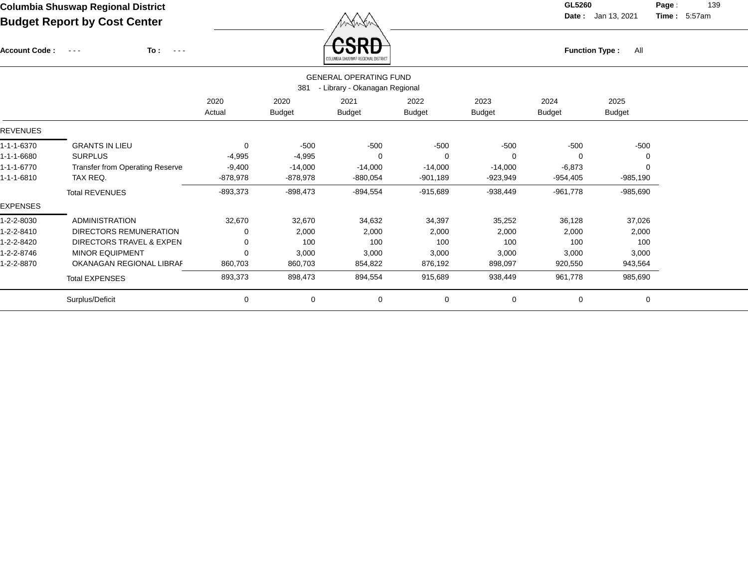Account Code : ---

**To :**

 $\overleftrightarrow{CSRD}$  Function Type : All

**Date :** Jan 13, 2021 **Time :**

**Page :** 139 5:57am

|                 |                                        |                |                       | COLUMBIA SHOSWAP REGIONAL DISTRICT                             |                       |                       |                       |                       |  |
|-----------------|----------------------------------------|----------------|-----------------------|----------------------------------------------------------------|-----------------------|-----------------------|-----------------------|-----------------------|--|
|                 |                                        |                | 381                   | <b>GENERAL OPERATING FUND</b><br>- Library - Okanagan Regional |                       |                       |                       |                       |  |
|                 |                                        | 2020<br>Actual | 2020<br><b>Budget</b> | 2021<br><b>Budget</b>                                          | 2022<br><b>Budget</b> | 2023<br><b>Budget</b> | 2024<br><b>Budget</b> | 2025<br><b>Budget</b> |  |
| <b>REVENUES</b> |                                        |                |                       |                                                                |                       |                       |                       |                       |  |
| 1-1-1-6370      | <b>GRANTS IN LIEU</b>                  | 0              | $-500$                | $-500$                                                         | $-500$                | $-500$                | $-500$                | $-500$                |  |
| 1-1-1-6680      | <b>SURPLUS</b>                         | $-4,995$       | $-4,995$              | $\Omega$                                                       | $\Omega$              |                       |                       |                       |  |
| 1-1-1-6770      | <b>Transfer from Operating Reserve</b> | $-9,400$       | $-14,000$             | $-14,000$                                                      | $-14,000$             | $-14,000$             | $-6,873$              |                       |  |
| 1-1-1-6810      | TAX REQ.                               | -878,978       | -878,978              | $-880,054$                                                     | $-901,189$            | -923,949              | -954,405              | $-985,190$            |  |
|                 | <b>Total REVENUES</b>                  | $-893,373$     | $-898,473$            | $-894,554$                                                     | $-915,689$            | $-938,449$            | $-961,778$            | $-985,690$            |  |
| <b>EXPENSES</b> |                                        |                |                       |                                                                |                       |                       |                       |                       |  |
| 1-2-2-8030      | <b>ADMINISTRATION</b>                  | 32,670         | 32,670                | 34,632                                                         | 34,397                | 35,252                | 36,128                | 37,026                |  |
| 1-2-2-8410      | DIRECTORS REMUNERATION                 | 0              | 2,000                 | 2,000                                                          | 2,000                 | 2,000                 | 2,000                 | 2,000                 |  |
| 1-2-2-8420      | DIRECTORS TRAVEL & EXPEN               | 0              | 100                   | 100                                                            | 100                   | 100                   | 100                   | 100                   |  |
| 1-2-2-8746      | <b>MINOR EQUIPMENT</b>                 | 0              | 3,000                 | 3,000                                                          | 3,000                 | 3,000                 | 3,000                 | 3,000                 |  |
| 1-2-2-8870      | OKANAGAN REGIONAL LIBRAF               | 860,703        | 860,703               | 854,822                                                        | 876,192               | 898,097               | 920,550               | 943,564               |  |
|                 | <b>Total EXPENSES</b>                  | 893,373        | 898,473               | 894,554                                                        | 915,689               | 938,449               | 961,778               | 985,690               |  |
|                 | Surplus/Deficit                        | 0              | $\mathbf 0$           | $\mathbf 0$                                                    | $\mathbf 0$           | $\mathbf 0$           | 0                     | 0                     |  |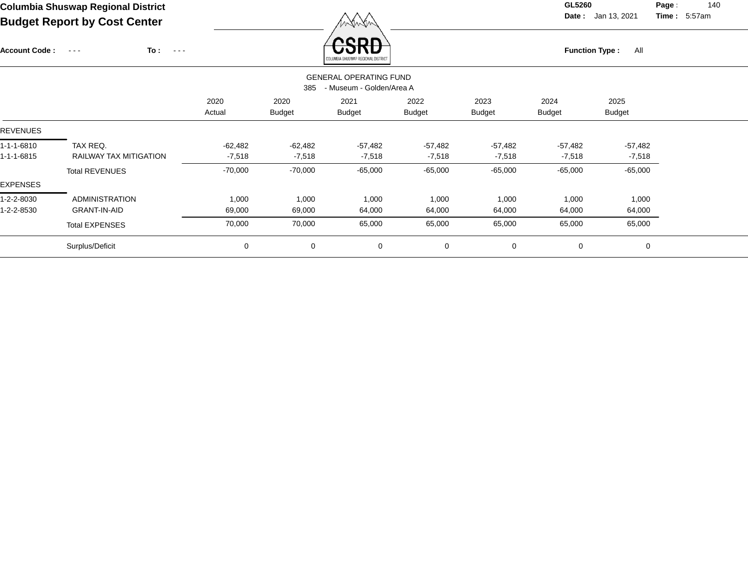Account Code : ---

**To :**

 $\overrightarrow{CSRD}$  Function Type : All

**Date :** Jan 13, 2021 **Time :**

**Page :** 140 5:57am

|                 |                               |                |                       | COLUMBIA SHASAAL REGIONAL DISTRICT                        |                       |                       |                       |                       |  |
|-----------------|-------------------------------|----------------|-----------------------|-----------------------------------------------------------|-----------------------|-----------------------|-----------------------|-----------------------|--|
|                 |                               |                | 385                   | <b>GENERAL OPERATING FUND</b><br>- Museum - Golden/Area A |                       |                       |                       |                       |  |
|                 |                               | 2020<br>Actual | 2020<br><b>Budget</b> | 2021<br><b>Budget</b>                                     | 2022<br><b>Budget</b> | 2023<br><b>Budget</b> | 2024<br><b>Budget</b> | 2025<br><b>Budget</b> |  |
| <b>REVENUES</b> |                               |                |                       |                                                           |                       |                       |                       |                       |  |
| 1-1-1-6810      | TAX REQ.                      | $-62,482$      | -62,482               | $-57,482$                                                 | $-57,482$             | $-57,482$             | $-57,482$             | $-57,482$             |  |
| 1-1-1-6815      | <b>RAILWAY TAX MITIGATION</b> | $-7,518$       | $-7,518$              | $-7,518$                                                  | $-7,518$              | $-7,518$              | $-7,518$              | $-7,518$              |  |
|                 | <b>Total REVENUES</b>         | $-70,000$      | $-70,000$             | $-65,000$                                                 | $-65,000$             | $-65,000$             | $-65,000$             | $-65,000$             |  |
| EXPENSES        |                               |                |                       |                                                           |                       |                       |                       |                       |  |
| 1-2-2-8030      | <b>ADMINISTRATION</b>         | 1,000          | 1,000                 | 1,000                                                     | 1,000                 | 1,000                 | 1,000                 | 1,000                 |  |
| 1-2-2-8530      | <b>GRANT-IN-AID</b>           | 69,000         | 69,000                | 64,000                                                    | 64,000                | 64,000                | 64,000                | 64,000                |  |
|                 | <b>Total EXPENSES</b>         | 70,000         | 70,000                | 65,000                                                    | 65,000                | 65,000                | 65,000                | 65,000                |  |
|                 | Surplus/Deficit               | 0              | 0                     | 0                                                         | $\mathbf 0$           | $\mathbf 0$           | $\mathbf 0$           | $\mathbf 0$           |  |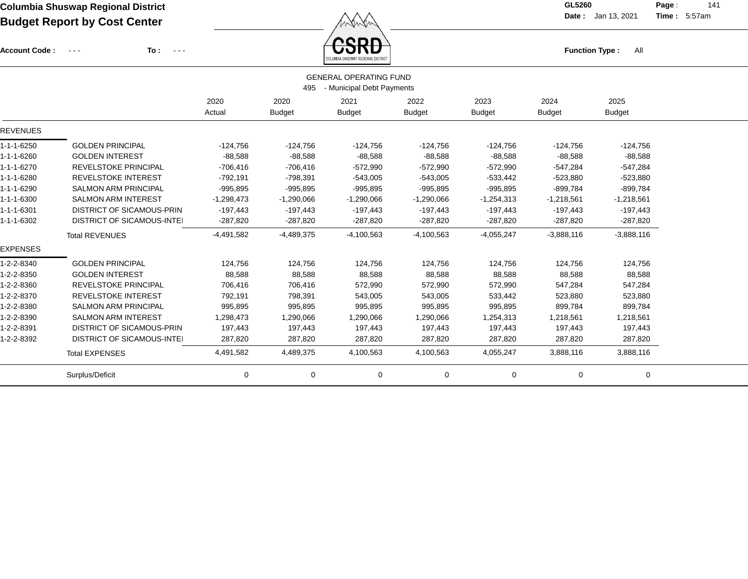Account Code : ---

**To :**

**Function Type :** All

**Date :** Jan 13, 2021 **Time :**

**Page :** 141 5:57am

|                 |                                   |              |               | COLUMBIA SHUSWAP REGIONAL DISTRICT |               |               |               |               |
|-----------------|-----------------------------------|--------------|---------------|------------------------------------|---------------|---------------|---------------|---------------|
|                 |                                   |              |               | <b>GENERAL OPERATING FUND</b>      |               |               |               |               |
|                 |                                   |              | 495           | - Municipal Debt Payments          |               |               |               |               |
|                 |                                   | 2020         | 2020          | 2021                               | 2022          | 2023          | 2024          | 2025          |
|                 |                                   | Actual       | <b>Budget</b> | <b>Budget</b>                      | <b>Budget</b> | <b>Budget</b> | <b>Budget</b> | <b>Budget</b> |
| <b>REVENUES</b> |                                   |              |               |                                    |               |               |               |               |
| 1-1-1-6250      | <b>GOLDEN PRINCIPAL</b>           | $-124,756$   | $-124,756$    | $-124,756$                         | $-124,756$    | $-124,756$    | $-124,756$    | $-124,756$    |
| 1-1-1-6260      | <b>GOLDEN INTEREST</b>            | $-88,588$    | $-88,588$     | $-88,588$                          | $-88,588$     | $-88,588$     | $-88,588$     | $-88,588$     |
| 1-1-1-6270      | <b>REVELSTOKE PRINCIPAL</b>       | $-706,416$   | $-706,416$    | $-572,990$                         | $-572,990$    | $-572,990$    | $-547,284$    | $-547,284$    |
| 1-1-1-6280      | <b>REVELSTOKE INTEREST</b>        | $-792,191$   | $-798,391$    | $-543,005$                         | $-543,005$    | $-533,442$    | $-523,880$    | $-523,880$    |
| 1-1-1-6290      | <b>SALMON ARM PRINCIPAL</b>       | $-995,895$   | $-995,895$    | $-995,895$                         | $-995,895$    | $-995,895$    | $-899,784$    | $-899,784$    |
| 1-1-1-6300      | <b>SALMON ARM INTEREST</b>        | $-1,298,473$ | $-1,290,066$  | $-1,290,066$                       | $-1,290,066$  | $-1,254,313$  | $-1,218,561$  | $-1,218,561$  |
| 1-1-1-6301      | <b>DISTRICT OF SICAMOUS-PRIN</b>  | $-197,443$   | $-197,443$    | $-197,443$                         | -197,443      | $-197,443$    | $-197,443$    | $-197,443$    |
| 1-1-1-6302      | <b>DISTRICT OF SICAMOUS-INTEI</b> | $-287,820$   | $-287,820$    | $-287,820$                         | $-287,820$    | $-287,820$    | $-287,820$    | $-287,820$    |
|                 | <b>Total REVENUES</b>             | $-4,491,582$ | $-4,489,375$  | $-4,100,563$                       | $-4,100,563$  | $-4,055,247$  | $-3,888,116$  | $-3,888,116$  |
| <b>EXPENSES</b> |                                   |              |               |                                    |               |               |               |               |
| 1-2-2-8340      | <b>GOLDEN PRINCIPAL</b>           | 124,756      | 124,756       | 124,756                            | 124,756       | 124,756       | 124,756       | 124,756       |
| 1-2-2-8350      | <b>GOLDEN INTEREST</b>            | 88,588       | 88,588        | 88,588                             | 88,588        | 88,588        | 88,588        | 88,588        |
| 1-2-2-8360      | REVELSTOKE PRINCIPAL              | 706,416      | 706,416       | 572,990                            | 572,990       | 572,990       | 547,284       | 547,284       |
| 1-2-2-8370      | <b>REVELSTOKE INTEREST</b>        | 792,191      | 798,391       | 543,005                            | 543,005       | 533,442       | 523,880       | 523,880       |
| 1-2-2-8380      | <b>SALMON ARM PRINCIPAL</b>       | 995,895      | 995,895       | 995,895                            | 995,895       | 995,895       | 899,784       | 899,784       |
| 1-2-2-8390      | <b>SALMON ARM INTEREST</b>        | 1,298,473    | 1,290,066     | 1,290,066                          | 1,290,066     | 1,254,313     | 1,218,561     | 1,218,561     |
| 1-2-2-8391      | <b>DISTRICT OF SICAMOUS-PRIN</b>  | 197,443      | 197,443       | 197,443                            | 197,443       | 197,443       | 197,443       | 197,443       |
| 1-2-2-8392      | <b>DISTRICT OF SICAMOUS-INTEI</b> | 287,820      | 287,820       | 287,820                            | 287,820       | 287,820       | 287,820       | 287,820       |
|                 | <b>Total EXPENSES</b>             | 4,491,582    | 4,489,375     | 4,100,563                          | 4,100,563     | 4,055,247     | 3,888,116     | 3,888,116     |
|                 | Surplus/Deficit                   | 0            | 0             | 0                                  | 0             | 0             | 0             | 0             |